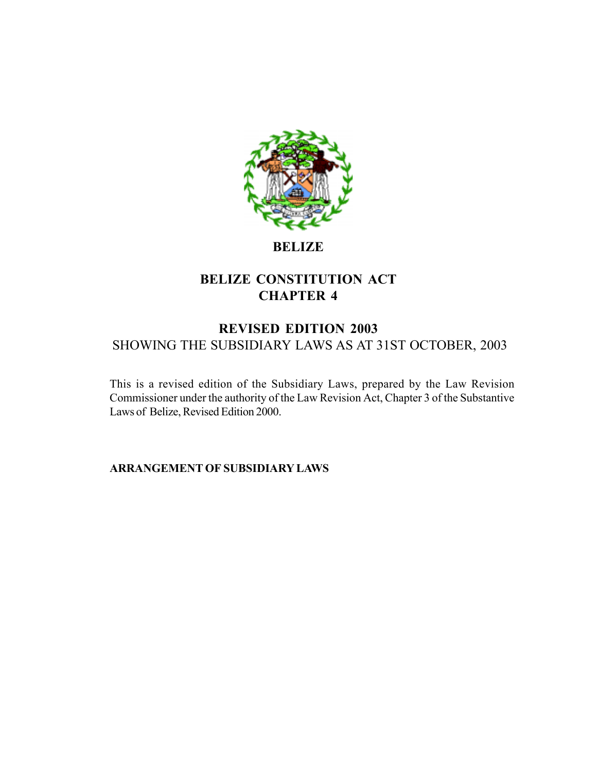

# **BELIZE**

# **BELIZE CONSTITUTION ACT CHAPTER 4**

# **REVISED EDITION 2003** SHOWING THE SUBSIDIARY LAWS AS AT 31ST OCTOBER, 2003

This is a revised edition of the Subsidiary Laws, prepared by the Law Revision Commissioner under the authority of the Law Revision Act, Chapter 3 of the Substantive Laws of Belize, Revised Edition 2000.

**ARRANGEMENT OF SUBSIDIARY LAWS**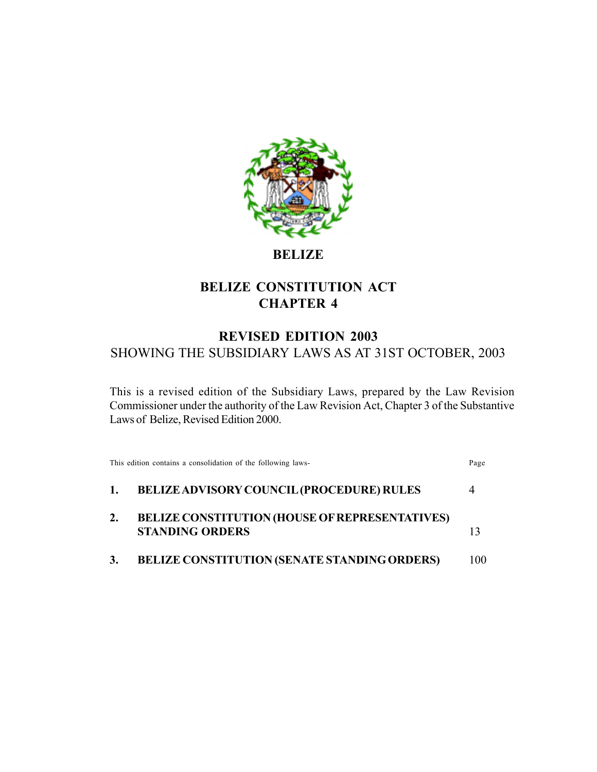

# **BELIZE**

# **BELIZE CONSTITUTION ACT CHAPTER 4**

# **REVISED EDITION 2003** SHOWING THE SUBSIDIARY LAWS AS AT 31ST OCTOBER, 2003

This is a revised edition of the Subsidiary Laws, prepared by the Law Revision Commissioner under the authority of the Law Revision Act, Chapter 3 of the Substantive Laws of Belize, Revised Edition 2000.

| This edition contains a consolidation of the following laws-                    | Page |
|---------------------------------------------------------------------------------|------|
| <b>BELIZE ADVISORY COUNCIL (PROCEDURE) RULES</b>                                | 4    |
| <b>BELIZE CONSTITUTION (HOUSE OF REPRESENTATIVES)</b><br><b>STANDING ORDERS</b> |      |
| <b>BELIZE CONSTITUTION (SENATE STANDING ORDERS)</b>                             | 100. |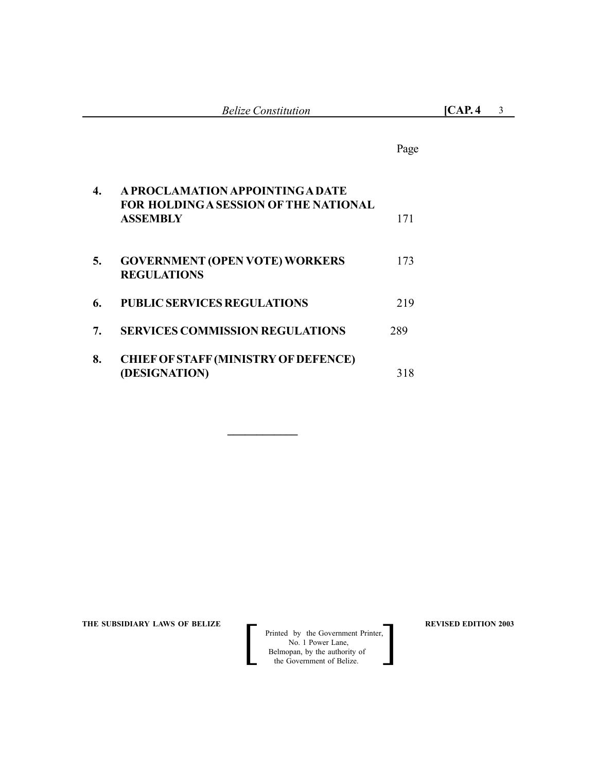|    |                                                                                              | Page |
|----|----------------------------------------------------------------------------------------------|------|
| 4. | A PROCLAMATION APPOINTING A DATE<br>FOR HOLDING A SESSION OF THE NATIONAL<br><b>ASSEMBLY</b> | 171  |
| 5. | <b>GOVERNMENT (OPEN VOTE) WORKERS</b><br><b>REGULATIONS</b>                                  | 173  |
| 6. | <b>PUBLIC SERVICES REGULATIONS</b>                                                           | 219  |
| 7. | <b>SERVICES COMMISSION REGULATIONS</b>                                                       | 289  |
| 8. | <b>CHIEF OF STAFF (MINISTRY OF DEFENCE)</b><br>(DESIGNATION)                                 | 318  |

**\_\_\_\_\_\_\_\_\_\_\_\_**

THE SUBSIDIARY LAWS OF BELIZE **REVISED EDITION 2003** 

**Printed by the Government Printer,**  No. 1 Power Lane, **Belmopan**, by the authority of Printed by the Government Printer,<br>No. 1 Power Lane,<br>Belmopan, by the authority of<br>the Government of Belize.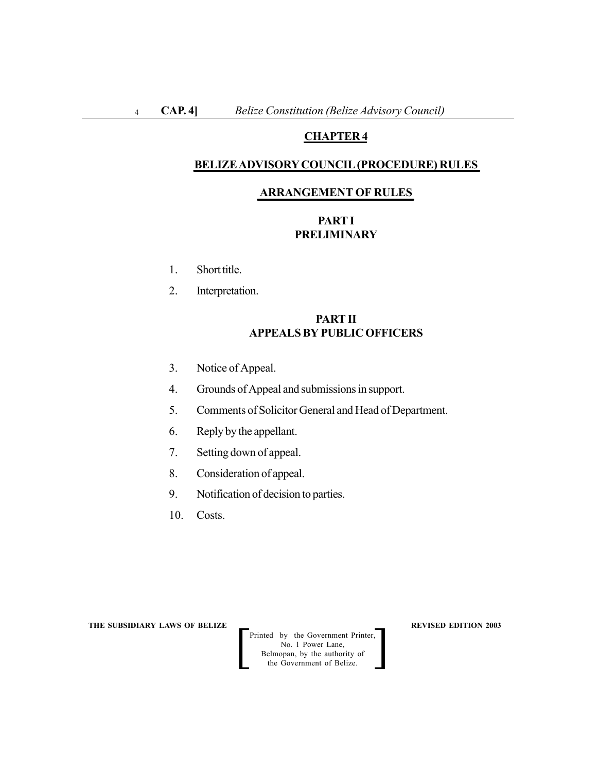# **CHAPTER 4**

#### **BELIZE ADVISORY COUNCIL (PROCEDURE) RULES**

#### **ARRANGEMENT OF RULES**

# **PART I PRELIMINARY**

- 1. Short title.
- 2. Interpretation.

# **PART II APPEALS BY PUBLIC OFFICERS**

- 3. Notice of Appeal.
- 4. Grounds of Appeal and submissions in support.
- 5. Comments of Solicitor General and Head of Department.
- 6. Reply by the appellant.
- 7. Setting down of appeal.
- 8. Consideration of appeal.
- 9. Notification of decision to parties.
- 10. Costs.

**THE SUBSIDIARY LAWS OF BELIZE REVISED EDITION 2003**

Printed by the Government Printer, No. 1 Power Lane, Belmopan, by the authority of Printed by the Government Printer,<br>
No. 1 Power Lane,<br>
Belmopan, by the authority of<br>
the Government of Belize.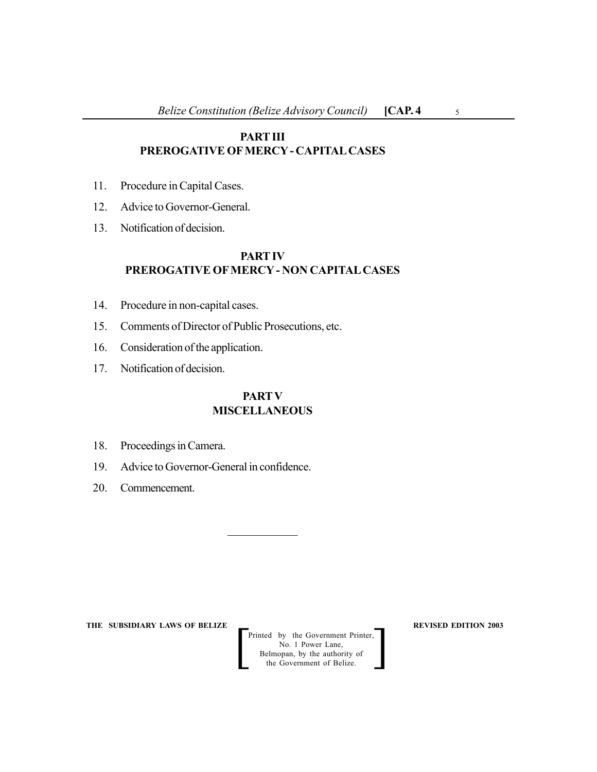# **PART III PREROGATIVE OF MERCY - CAPITAL CASES**

- 11. Procedure in Capital Cases.
- 12. Advice to Governor-General.
- 13. Notification of decision.

# **PART IV PREROGATIVE OF MERCY - NON CAPITAL CASES**

- 14. Procedure in non-capital cases.
- 15. Comments of Director of Public Prosecutions, etc.
- 16. Consideration of the application.
- 17. Notification of decision.

# **PARTV MISCELLANEOUS**

 $\frac{1}{2}$ 

- 18. Proceedings in Camera.
- 19. Advice to Governor-General in confidence.
- 20. Commencement.

**THE SUBSIDIARY LAWS OF BELIZE REVISED EDITION 2003**

Printed by the Government Printer, No. 1 Power Lane, Belmopan, by the authority of Printed by the Government Printer,<br>
No. 1 Power Lane,<br>
Belmopan, by the authority of<br>
the Government of Belize.

5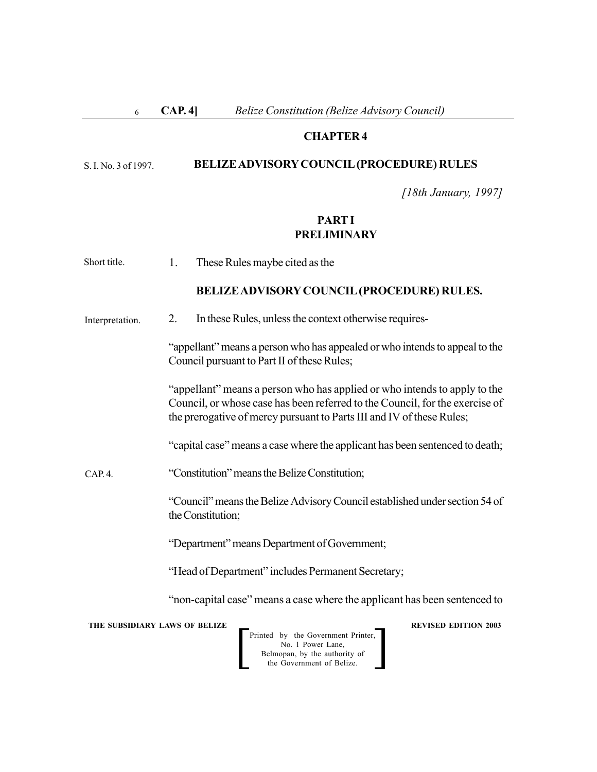#### **CAP. 4]** *Belize Constitution (Belize Advisory Council)* 6

#### **CHAPTER 4**

#### **BELIZE ADVISORY COUNCIL (PROCEDURE) RULES** S. I. No. 3 of 1997.

*[18th January, 1997]*

# **PART I PRELIMINARY**

1. These Rules maybe cited as the Short title.

#### **BELIZE ADVISORY COUNCIL (PROCEDURE) RULES.**

2. In these Rules, unless the context otherwise requires- Interpretation.

> "appellant" means a person who has appealed or who intends to appeal to the Council pursuant to Part II of these Rules;

> "appellant" means a person who has applied or who intends to apply to the Council, or whose case has been referred to the Council, for the exercise of the prerogative of mercy pursuant to Parts III and IV of these Rules;

> "capital case" means a case where the applicant has been sentenced to death;

#### "Constitution" means the Belize Constitution;  $CAP. 4.$

"Council" means the Belize Advisory Council established under section 54 of the Constitution;

"Department" means Department of Government;

"Head of Department" includes Permanent Secretary;

"non-capital case" means a case where the applicant has been sentenced to

**THE SUBSIDIARY LAWS OF BELIZE REVISED EDITION 2003**

Printed by the Government Printer, No. 1 Power Lane, Belmopan, by the authority of Printed by the Government Printer,<br>
No. 1 Power Lane,<br>
Belmopan, by the authority of<br>
the Government of Belize.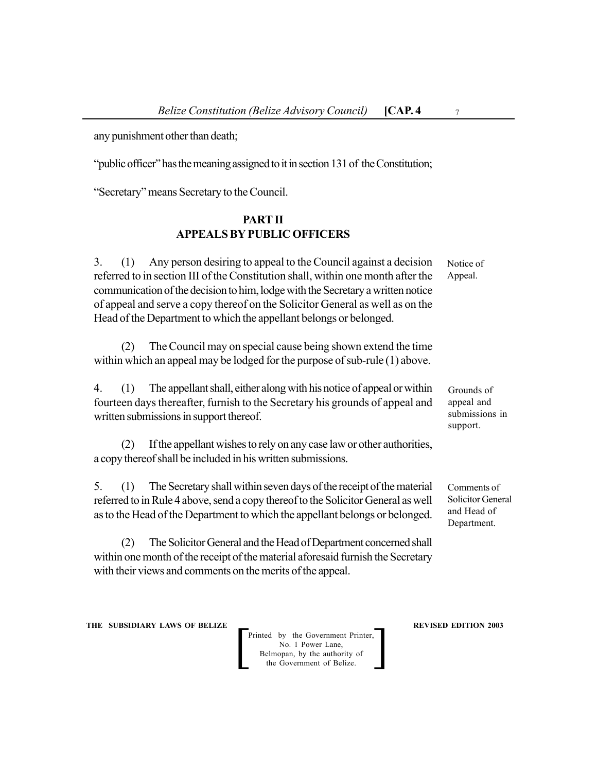any punishment other than death;

"public officer" has the meaning assigned to it in section 131 of the Constitution;

"Secretary" means Secretary to the Council.

### **PART II APPEALS BY PUBLIC OFFICERS**

3. (1) Any person desiring to appeal to the Council against a decision referred to in section III of the Constitution shall, within one month after the communication of the decision to him, lodge with the Secretary a written notice of appeal and serve a copy thereof on the Solicitor General as well as on the Head of the Department to which the appellant belongs or belonged.

(2) The Council may on special cause being shown extend the time within which an appeal may be lodged for the purpose of sub-rule (1) above.

4. (1) The appellant shall, either along with his notice of appeal or within fourteen days thereafter, furnish to the Secretary his grounds of appeal and written submissions in support thereof.

(2) If the appellant wishes to rely on any case law or other authorities, a copy thereof shall be included in his written submissions.

5. (1) The Secretary shall within seven days of the receipt of the material referred to in Rule 4 above, send a copy thereof to the Solicitor General as well as to the Head of the Department to which the appellant belongs or belonged.

(2) The Solicitor General and the Head of Department concerned shall within one month of the receipt of the material aforesaid furnish the Secretary with their views and comments on the merits of the appeal.

**THE SUBSIDIARY LAWS OF BELIZE REVISED EDITION 2003** 

Printed by the Government Printer, No. 1 Power Lane, Belmopan, by the authority of the Government of Belize. Printed by the Government Printer,<br>No. 1 Power Lane,<br>Belmopan, by the authority of<br>the Government of Belize.

Grounds of appeal and submissions in support.

Comments of Solicitor General and Head of Department.

7

Notice of Appeal.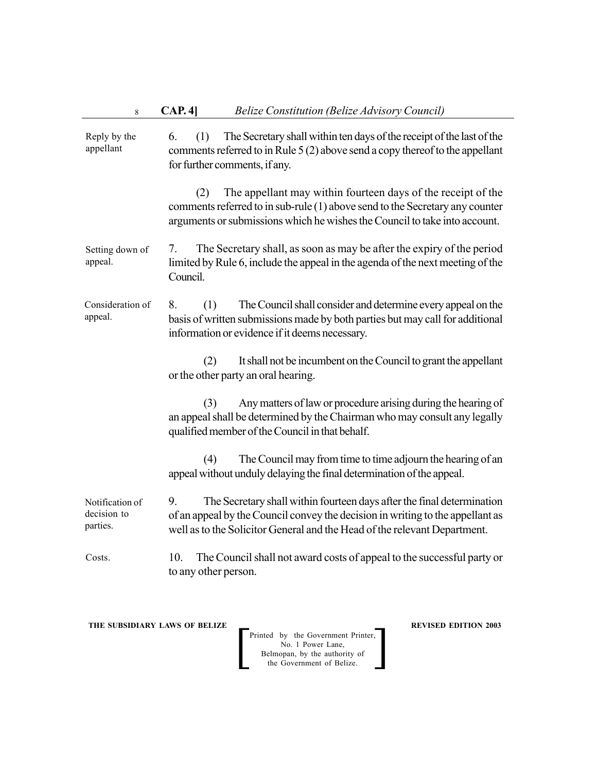| 8                                          | CAP. 4]<br><b>Belize Constitution (Belize Advisory Council)</b>                                                                                                                                                                             |
|--------------------------------------------|---------------------------------------------------------------------------------------------------------------------------------------------------------------------------------------------------------------------------------------------|
| Reply by the<br>appellant                  | The Secretary shall within ten days of the receipt of the last of the<br>6.<br>(1)<br>comments referred to in Rule 5 (2) above send a copy thereof to the appellant<br>for further comments, if any.                                        |
|                                            | The appellant may within fourteen days of the receipt of the<br>(2)<br>comments referred to in sub-rule (1) above send to the Secretary any counter<br>arguments or submissions which he wishes the Council to take into account.           |
| Setting down of<br>appeal.                 | The Secretary shall, as soon as may be after the expiry of the period<br>7.<br>limited by Rule 6, include the appeal in the agenda of the next meeting of the<br>Council.                                                                   |
| Consideration of<br>appeal.                | The Council shall consider and determine every appeal on the<br>8.<br>(1)<br>basis of written submissions made by both parties but may call for additional<br>information or evidence if it deems necessary.                                |
|                                            | It shall not be incumbent on the Council to grant the appellant<br>(2)<br>or the other party an oral hearing.                                                                                                                               |
|                                            | Any matters of law or procedure arising during the hearing of<br>(3)<br>an appeal shall be determined by the Chairman who may consult any legally<br>qualified member of the Council in that behalf.                                        |
|                                            | The Council may from time to time adjourn the hearing of an<br>(4)<br>appeal without unduly delaying the final determination of the appeal.                                                                                                 |
| Notification of<br>decision to<br>parties. | 9.<br>The Secretary shall within fourteen days after the final determination<br>of an appeal by the Council convey the decision in writing to the appellant as<br>well as to the Solicitor General and the Head of the relevant Department. |
| Costs.                                     | 10.<br>The Council shall not award costs of appeal to the successful party or<br>to any other person.                                                                                                                                       |

Printed by the Government Printer, No. 1 Power Lane, Belmopan, by the authority of Printed by the Government Printer,<br>
No. 1 Power Lane,<br>
Belmopan, by the authority of<br>
the Government of Belize.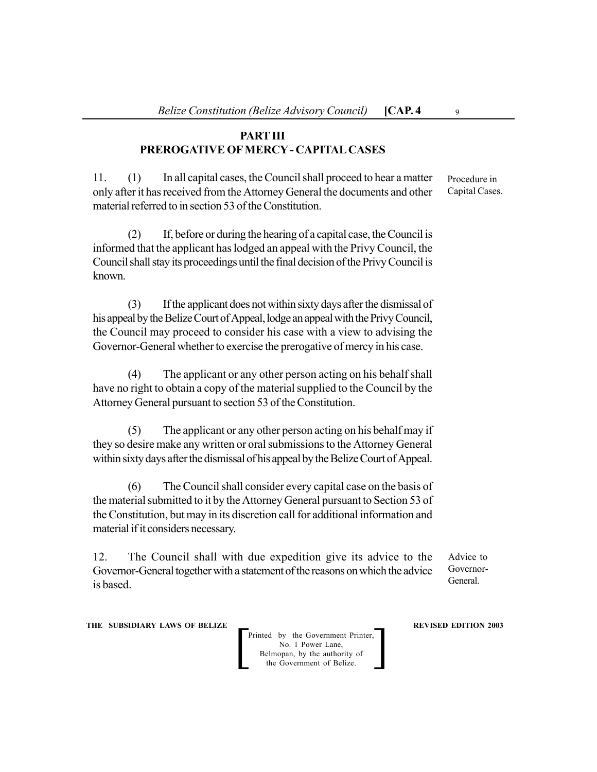# **PART III PREROGATIVE OF MERCY - CAPITAL CASES**

11. (1) In all capital cases, the Council shall proceed to hear a matter only after it has received from the Attorney General the documents and other material referred to in section 53 of the Constitution.

(2) If, before or during the hearing of a capital case, the Council is informed that the applicant has lodged an appeal with the Privy Council, the Council shall stay its proceedings until the final decision of the Privy Council is known.

(3) If the applicant does not within sixty days after the dismissal of his appeal by the Belize Court of Appeal, lodge an appeal with the Privy Council, the Council may proceed to consider his case with a view to advising the Governor-General whether to exercise the prerogative of mercy in his case.

(4) The applicant or any other person acting on his behalf shall have no right to obtain a copy of the material supplied to the Council by the Attorney General pursuant to section 53 of the Constitution.

(5) The applicant or any other person acting on his behalf may if they so desire make any written or oral submissions to the Attorney General within sixty days after the dismissal of his appeal by the Belize Court of Appeal.

(6) The Council shall consider every capital case on the basis of the material submitted to it by the Attorney General pursuant to Section 53 of the Constitution, but may in its discretion call for additional information and material if it considers necessary.

12. The Council shall with due expedition give its advice to the Governor-General together with a statement of the reasons on which the advice is based.

Advice to Governor-General.

**THE SUBSIDIARY LAWS OF BELIZE REVISED EDITION 2003** 

Printed by the Government Printer, No. 1 Power Lane, Belmopan, by the authority of the Government of Belize. Printed by the Government Printer,<br>No. 1 Power Lane,<br>Belmopan, by the authority of<br>the Government of Belize.

Procedure in Capital Cases.

 $\overline{9}$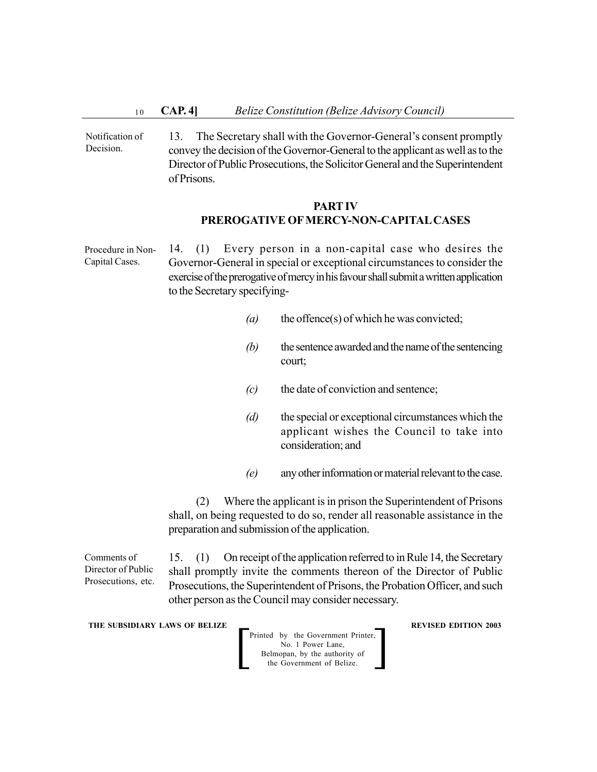13. The Secretary shall with the Governor-General's consent promptly convey the decision of the Governor-General to the applicant as well as to the Director of Public Prosecutions, the Solicitor General and the Superintendent of Prisons. Notification of Decision.

### **PART IV PREROGATIVE OF MERCY-NON-CAPITAL CASES**

14. (1) Every person in a non-capital case who desires the Governor-General in special or exceptional circumstances to consider the exercise of the prerogative of mercy in his favour shall submit a written application to the Secretary specifying- Procedure in Non-Capital Cases.

- *(a)* the offence(s) of which he was convicted;
- *(b)* the sentence awarded and the name of the sentencing court;
- *(c)* the date of conviction and sentence;
- *(d)* the special or exceptional circumstances which the applicant wishes the Council to take into consideration; and
- *(e)* any other information or material relevant to the case.

(2) Where the applicant is in prison the Superintendent of Prisons shall, on being requested to do so, render all reasonable assistance in the preparation and submission of the application.

Comments of Director of Public Prosecutions, etc. 15. (1) On receipt of the application referred to in Rule 14, the Secretary shall promptly invite the comments thereon of the Director of Public Prosecutions, the Superintendent of Prisons, the Probation Officer, and such other person as the Council may consider necessary.

**THE SUBSIDIARY LAWS OF BELIZE REVISED EDITION 2003**

Printed by the Government Printer, No. 1 Power Lane, Belmopan, by the authority of the Government of Belize. Printed by the Government Printer,<br>No. 1 Power Lane,<br>Belmopan, by the authority of<br>the Government of Belize.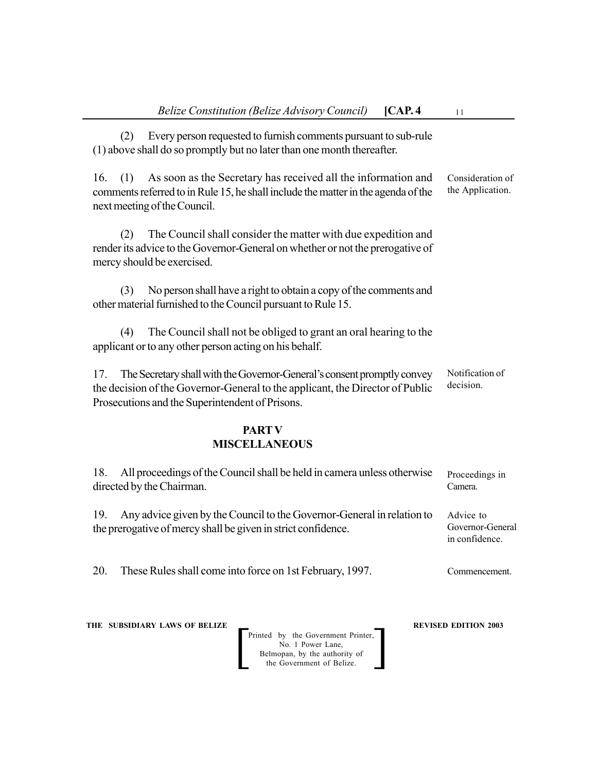| [CAP.4]<br><b>Belize Constitution (Belize Advisory Council)</b>                                                                                                                                                    | 11                                              |
|--------------------------------------------------------------------------------------------------------------------------------------------------------------------------------------------------------------------|-------------------------------------------------|
| Every person requested to furnish comments pursuant to sub-rule<br>(2)<br>(1) above shall do so promptly but no later than one month thereafter.                                                                   |                                                 |
| As soon as the Secretary has received all the information and<br>16.<br>(1)<br>comments referred to in Rule 15, he shall include the matter in the agenda of the<br>next meeting of the Council.                   | Consideration of<br>the Application.            |
| The Council shall consider the matter with due expedition and<br>(2)<br>render its advice to the Governor-General on whether or not the prerogative of<br>mercy should be exercised.                               |                                                 |
| No person shall have a right to obtain a copy of the comments and<br>(3)<br>other material furnished to the Council pursuant to Rule 15.                                                                           |                                                 |
| The Council shall not be obliged to grant an oral hearing to the<br>(4)<br>applicant or to any other person acting on his behalf.                                                                                  |                                                 |
| The Secretary shall with the Governor-General's consent promptly convey<br>17.<br>the decision of the Governor-General to the applicant, the Director of Public<br>Prosecutions and the Superintendent of Prisons. | Notification of<br>decision.                    |
| <b>PART V</b>                                                                                                                                                                                                      |                                                 |
| <b>MISCELLANEOUS</b>                                                                                                                                                                                               |                                                 |
| All proceedings of the Council shall be held in camera unless otherwise<br>18.<br>directed by the Chairman.                                                                                                        | Proceedings in<br>Camera.                       |
| 19.<br>Any advice given by the Council to the Governor-General in relation to<br>the prerogative of mercy shall be given in strict confidence.                                                                     | Advice to<br>Governor-General<br>in confidence. |
| 20.<br>These Rules shall come into force on 1st February, 1997.                                                                                                                                                    | Commencement.                                   |

Printed by the Government Printer, No. 1 Power Lane, Belmopan, by the authority of Printed by the Government Printer,<br>
No. 1 Power Lane,<br>
Belmopan, by the authority of<br>
the Government of Belize.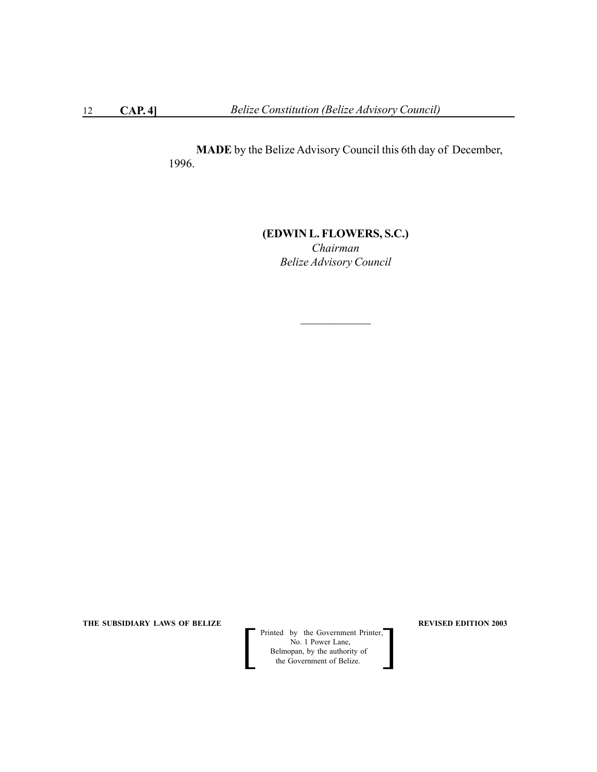**MADE** by the Belize Advisory Council this 6th day of December, 1996.

# **(EDWIN L. FLOWERS, S.C.)** *Chairman Belize Advisory Council*

**THE SUBSIDIARY LAWS OF BELIZE REVISED EDITION 2003** 

 Printed by the Government Printer, No. 1 Power Lane, **Belmopan**, by the authority of Printed by the Government Printer,<br>No. 1 Power Lane,<br>Belmopan, by the authority of<br>the Government of Belize.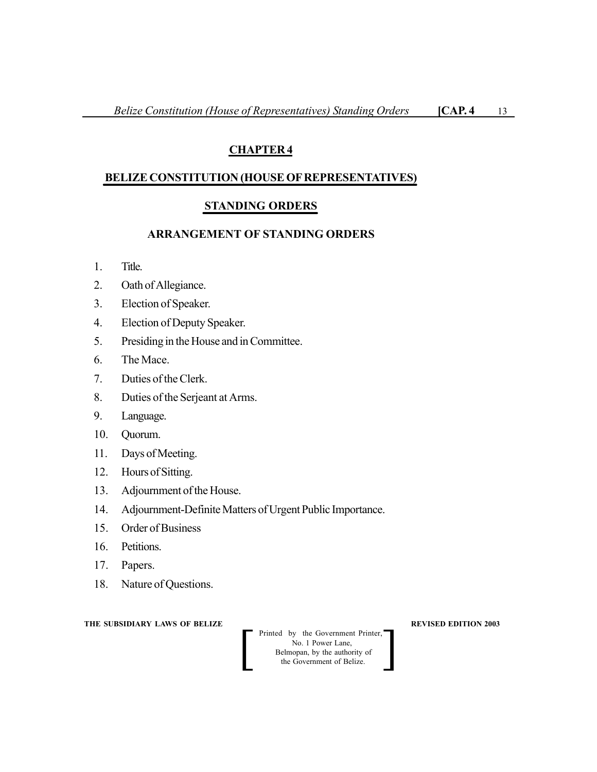# **CHAPTER 4**

# **BELIZE CONSTITUTION (HOUSE OF REPRESENTATIVES)**

# **STANDING ORDERS**

#### **ARRANGEMENT OF STANDING ORDERS**

- 1. Title.
- 2. Oath of Allegiance.
- 3. Election of Speaker.
- 4. Election of Deputy Speaker.
- 5. Presiding in the House and in Committee.
- 6. The Mace.
- 7. Duties of the Clerk.
- 8. Duties of the Serjeant at Arms.
- 9. Language.
- 10. Quorum.
- 11. Days of Meeting.
- 12. Hours of Sitting.
- 13. Adjournment of the House.
- 14. Adjournment-Definite Matters of Urgent Public Importance.
- 15. Order of Business
- 16. Petitions.
- 17. Papers.
- 18. Nature of Questions.

**THE SUBSIDIARY LAWS OF BELIZE REVISED EDITION 2003** 

**Printed by the Government Printer,**<br>
No. 1 Power Lane,<br>
Belmopan, by the authority of<br>
the Government of Belize. No. 1 Power Lane, Belmopan, by the authority of<br>the Government of Belize.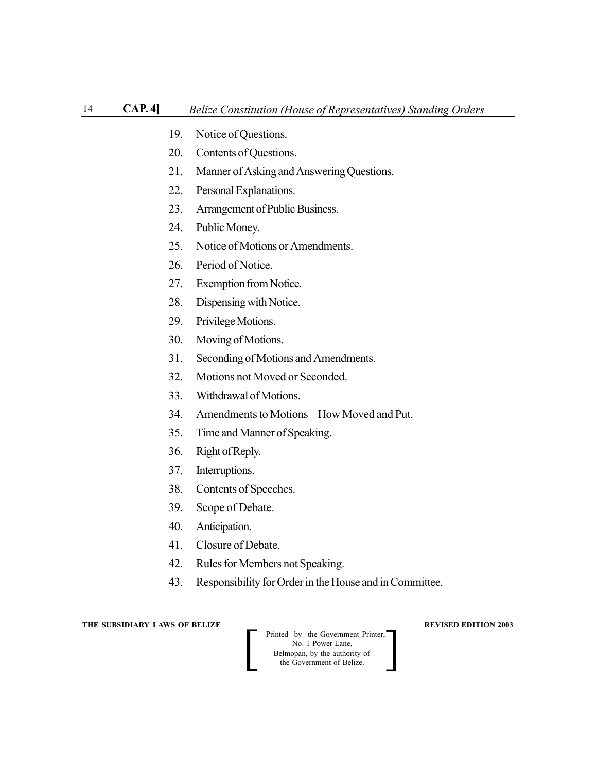- 19. Notice of Questions.
- 20. Contents of Questions.
- 21. Manner of Asking and Answering Questions.
- 22. Personal Explanations.
- 23. Arrangement of Public Business.
- 24. Public Money.
- 25. Notice of Motions or Amendments.
- 26. Period of Notice.
- 27. Exemption from Notice.
- 28. Dispensing with Notice.
- 29. Privilege Motions.
- 30. Moving of Motions.
- 31. Seconding of Motions and Amendments.
- 32. Motions not Moved or Seconded.
- 33. Withdrawal of Motions.
- 34. Amendments to Motions How Moved and Put.
- 35. Time and Manner of Speaking.
- 36. Right of Reply.
- 37. Interruptions.
- 38. Contents of Speeches.
- 39. Scope of Debate.
- 40. Anticipation.
- 41. Closure of Debate.
- 42. Rules for Members not Speaking.
- 43. Responsibility for Order in the House and in Committee.

**Printed by the Government Printer,**<br>
No. 1 Power Lane,<br>
Belmopan, by the authority of<br>
the Government of Belize. No. 1 Power Lane, Belmopan, by the authority of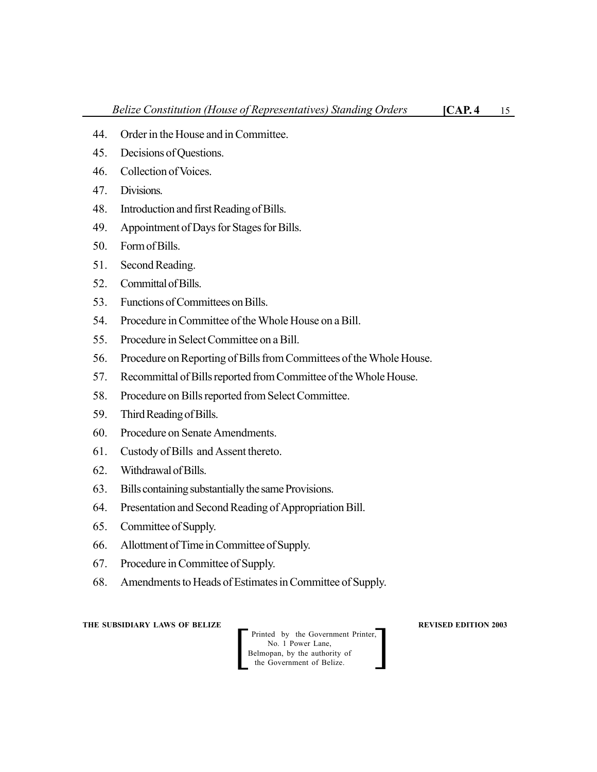- 44. Order in the House and in Committee.
- 45. Decisions of Questions.
- 46. Collection of Voices.
- 47. Divisions.
- 48. Introduction and first Reading of Bills.
- 49. Appointment of Days for Stages for Bills.
- 50. Form of Bills.
- 51. Second Reading.
- 52. Committal of Bills.
- 53. Functions of Committees on Bills.
- 54. Procedure in Committee of the Whole House on a Bill.
- 55. Procedure in Select Committee on a Bill.
- 56. Procedure on Reporting of Bills from Committees of the Whole House.
- 57. Recommittal of Bills reported from Committee of the Whole House.
- 58. Procedure on Bills reported from Select Committee.
- 59. Third Reading of Bills.
- 60. Procedure on Senate Amendments.
- 61. Custody of Bills and Assent thereto.
- 62. Withdrawal of Bills.
- 63. Bills containing substantially the same Provisions.
- 64. Presentation and Second Reading of Appropriation Bill.
- 65. Committee of Supply.
- 66. Allottment of Time in Committee of Supply.
- 67. Procedure in Committee of Supply.
- 68. Amendments to Heads of Estimates in Committee of Supply.

Printed by the Government Printer, No. 1 Power Lane, Belmopan, by the authority of<br>the Government of Belize.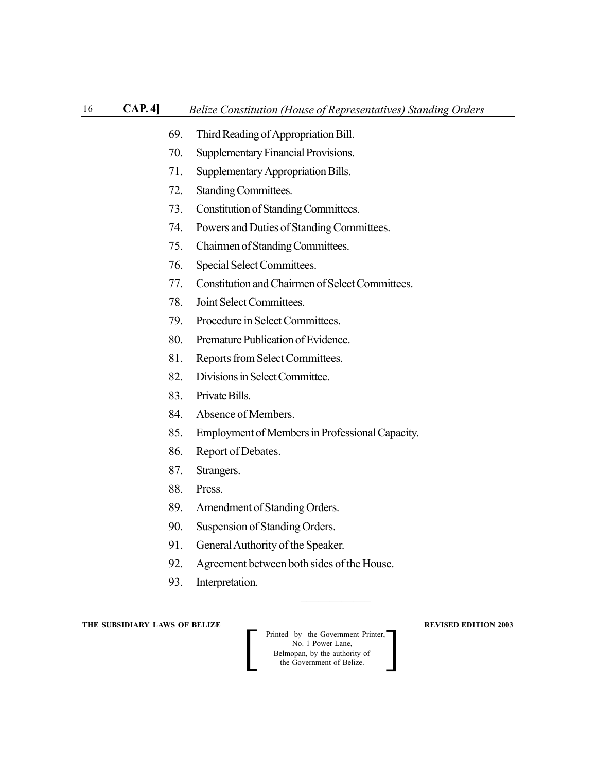- 69. Third Reading of Appropriation Bill.
- 70. Supplementary Financial Provisions.
- 71. Supplementary Appropriation Bills.
- 72. Standing Committees.
- 73. Constitution of Standing Committees.
- 74. Powers and Duties of Standing Committees.
- 75. Chairmen of Standing Committees.
- 76. Special Select Committees.
- 77. Constitution and Chairmen of Select Committees.
- 78. Joint Select Committees.
- 79. Procedure in Select Committees.
- 80. Premature Publication of Evidence.
- 81. Reports from Select Committees.
- 82. Divisions in Select Committee.
- 83. Private Bills.
- 84. Absence of Members.
- 85. Employment of Members in Professional Capacity.
- 86. Report of Debates.
- 87. Strangers.
- 88. Press.
- 89. Amendment of Standing Orders.
- 90. Suspension of Standing Orders.
- 91. General Authority of the Speaker.
- 92. Agreement between both sides of the House.
- 93. Interpretation.

**Printed by the Government Printer,**<br>
No. 1 Power Lane,<br>
Belmopan, by the authority of<br>
the Government of Belize. No. 1 Power Lane, Belmopan, by the authority of<br>the Government of Belize.

 $\mathcal{L}_\text{max}$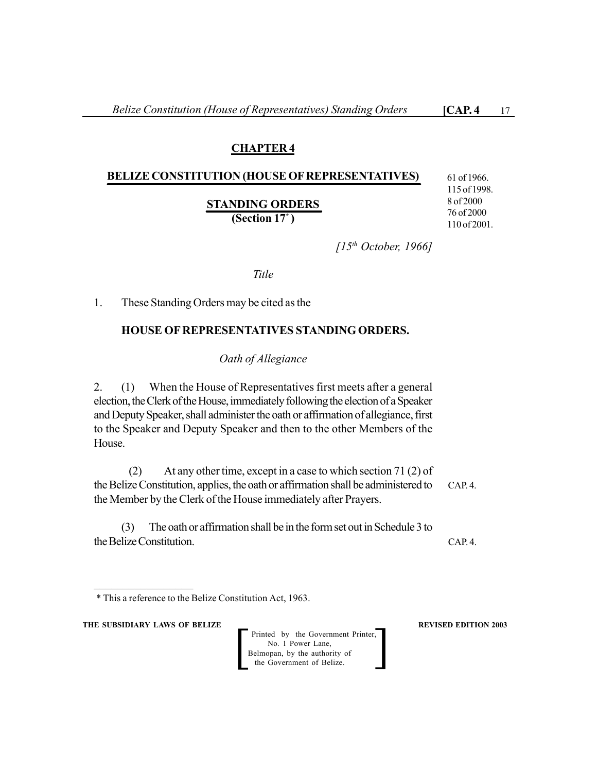# **CHAPTER 4**

## **BELIZE CONSTITUTION (HOUSE OF REPRESENTATIVES)**

**STANDING ORDERS**

**(Section 17\* )**

61 of 1966. 115 of 1998. 8 of 2000 76 of 2000 110 of 2001.

*[15th October, 1966]*

*Title*

1. These Standing Orders may be cited as the

# **HOUSE OF REPRESENTATIVES STANDING ORDERS.**

*Oath of Allegiance*

2. (1) When the House of Representatives first meets after a general election, the Clerk of the House, immediately following the election of a Speaker and Deputy Speaker, shall administer the oath or affirmation of allegiance, first to the Speaker and Deputy Speaker and then to the other Members of the House.

(2) At any other time, except in a case to which section 71 (2) of the Belize Constitution, applies, the oath or affirmation shall be administered to the Member by the Clerk of the House immediately after Prayers. CAP. 4.

(3) The oath or affirmation shall be in the form set out in Schedule 3 to the Belize Constitution.

**THE SUBSIDIARY LAWS OF BELIZE REVISED EDITION 2003** 

 $\frac{1}{2}$  ,  $\frac{1}{2}$  ,  $\frac{1}{2}$  ,  $\frac{1}{2}$  ,  $\frac{1}{2}$  ,  $\frac{1}{2}$  ,  $\frac{1}{2}$  ,  $\frac{1}{2}$  ,  $\frac{1}{2}$ 

Printed by the Government Printer, No. 1 Power Lane, Belmopan, by the authority of<br>the Government of Belize.

CAP. 4.

<sup>\*</sup> This a reference to the Belize Constitution Act, 1963.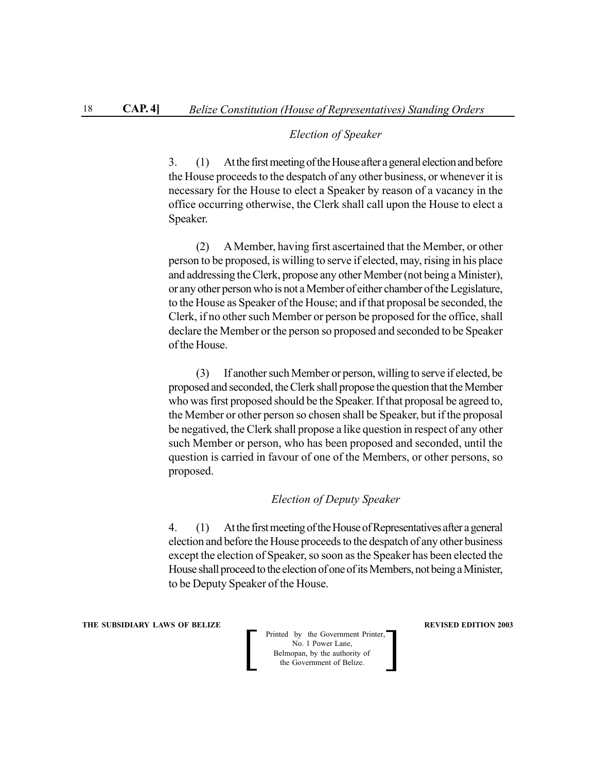#### *Election of Speaker*

3. (1) At the first meeting of the House after a general election and before the House proceeds to the despatch of any other business, or whenever it is necessary for the House to elect a Speaker by reason of a vacancy in the office occurring otherwise, the Clerk shall call upon the House to elect a Speaker.

(2) A Member, having first ascertained that the Member, or other person to be proposed, is willing to serve if elected, may, rising in his place and addressing the Clerk, propose any other Member (not being a Minister), or any other person who is not a Member of either chamber of the Legislature, to the House as Speaker of the House; and if that proposal be seconded, the Clerk, if no other such Member or person be proposed for the office, shall declare the Member or the person so proposed and seconded to be Speaker of the House.

(3) If another such Member or person, willing to serve if elected, be proposed and seconded, the Clerk shall propose the question that the Member who was first proposed should be the Speaker. If that proposal be agreed to, the Member or other person so chosen shall be Speaker, but if the proposal be negatived, the Clerk shall propose a like question in respect of any other such Member or person, who has been proposed and seconded, until the question is carried in favour of one of the Members, or other persons, so proposed.

#### *Election of Deputy Speaker*

4. (1) At the first meeting of the House of Representatives after a general election and before the House proceeds to the despatch of any other business except the election of Speaker, so soon as the Speaker has been elected the House shall proceed to the election of one of its Members, not being a Minister, to be Deputy Speaker of the House.

**THE SUBSIDIARY LAWS OF BELIZE REVISED EDITION 2003** 

**Printed by the Government Printer,**<br>
No. 1 Power Lane,<br>
Belmopan, by the authority of<br>
the Government of Belize. No. 1 Power Lane, Belmopan, by the authority of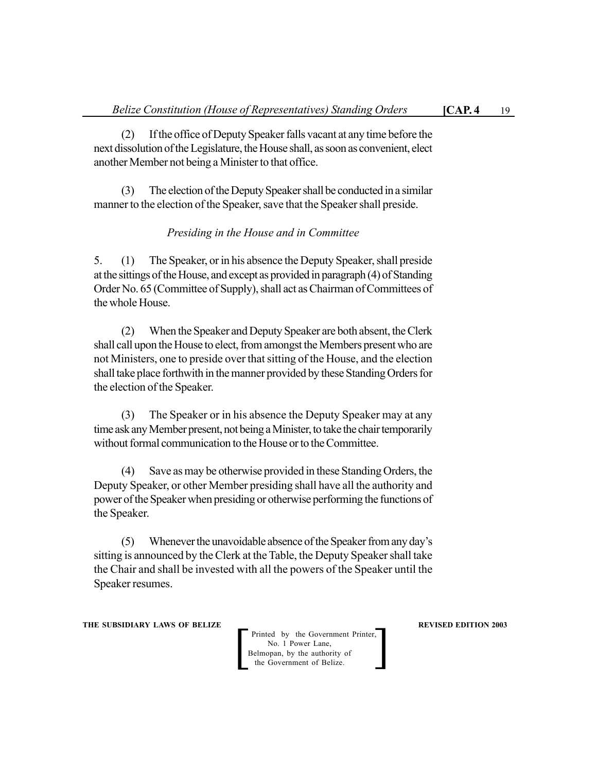(2) If the office of Deputy Speaker falls vacant at any time before the next dissolution of the Legislature, the House shall, as soon as convenient, elect another Member not being a Minister to that office.

(3) The election of the Deputy Speaker shall be conducted in a similar manner to the election of the Speaker, save that the Speaker shall preside.

#### *Presiding in the House and in Committee*

5. (1) The Speaker, or in his absence the Deputy Speaker, shall preside at the sittings of the House, and except as provided in paragraph (4) of Standing Order No. 65 (Committee of Supply), shall act as Chairman of Committees of the whole House.

(2) When the Speaker and Deputy Speaker are both absent, the Clerk shall call upon the House to elect, from amongst the Members present who are not Ministers, one to preside over that sitting of the House, and the election shall take place forthwith in the manner provided by these Standing Orders for the election of the Speaker.

(3) The Speaker or in his absence the Deputy Speaker may at any time ask any Member present, not being a Minister, to take the chair temporarily without formal communication to the House or to the Committee.

(4) Save as may be otherwise provided in these Standing Orders, the Deputy Speaker, or other Member presiding shall have all the authority and power of the Speaker when presiding or otherwise performing the functions of the Speaker.

(5) Whenever the unavoidable absence of the Speaker from any day's sitting is announced by the Clerk at the Table, the Deputy Speaker shall take the Chair and shall be invested with all the powers of the Speaker until the Speaker resumes.

**THE SUBSIDIARY LAWS OF BELIZE REVISED EDITION 2003**

Printed by the Government Printer, No. 1 Power Lane, Belmopan, by the authority of the Government of Belize.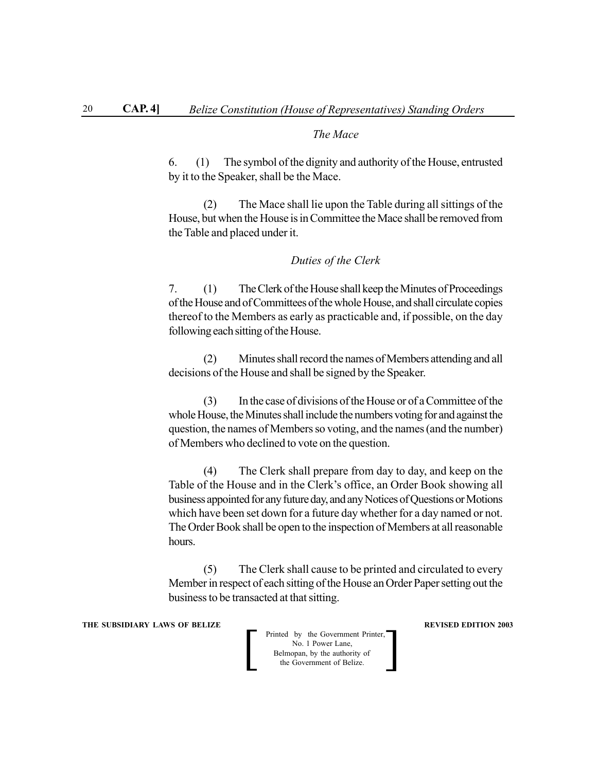#### *The Mace*

6. (1) The symbol of the dignity and authority of the House, entrusted by it to the Speaker, shall be the Mace.

(2) The Mace shall lie upon the Table during all sittings of the House, but when the House is in Committee the Mace shall be removed from the Table and placed under it.

#### *Duties of the Clerk*

7. (1) The Clerk of the House shall keep the Minutes of Proceedings of the House and of Committees of the whole House, and shall circulate copies thereof to the Members as early as practicable and, if possible, on the day following each sitting of the House.

(2) Minutes shall record the names of Members attending and all decisions of the House and shall be signed by the Speaker.

(3) In the case of divisions of the House or of a Committee of the whole House, the Minutes shall include the numbers voting for and against the question, the names of Members so voting, and the names (and the number) of Members who declined to vote on the question.

(4) The Clerk shall prepare from day to day, and keep on the Table of the House and in the Clerk's office, an Order Book showing all business appointed for any future day, and any Notices of Questions or Motions which have been set down for a future day whether for a day named or not. The Order Book shall be open to the inspection of Members at all reasonable hours.

(5) The Clerk shall cause to be printed and circulated to every Member in respect of each sitting of the House an Order Paper setting out the business to be transacted at that sitting.

**THE SUBSIDIARY LAWS OF BELIZE REVISED EDITION 2003** 

**Printed by the Government Printer,**<br>
No. 1 Power Lane,<br>
Belmopan, by the authority of<br>
the Government of Belize. No. 1 Power Lane, Belmopan, by the authority of<br>the Government of Belize.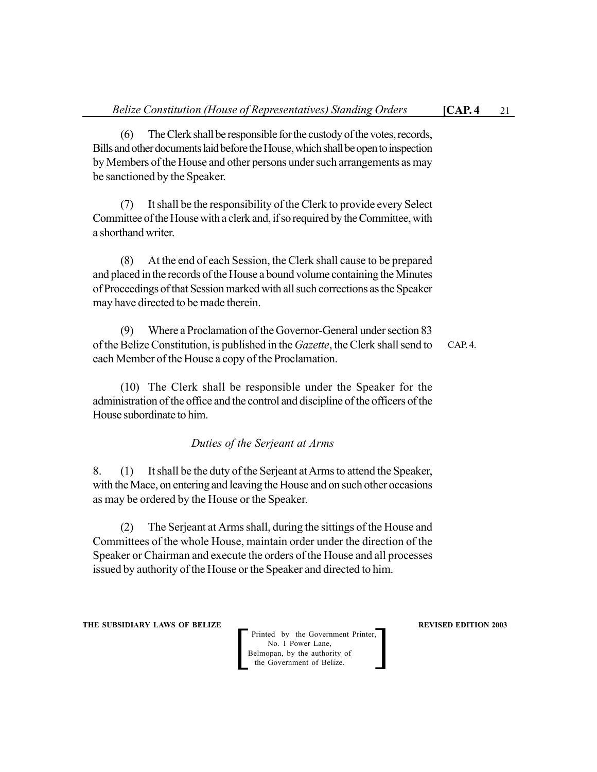(6) The Clerk shall be responsible for the custody of the votes, records, Bills and other documents laid before the House, which shall be open to inspection by Members of the House and other persons under such arrangements as may be sanctioned by the Speaker.

(7) It shall be the responsibility of the Clerk to provide every Select Committee of the House with a clerk and, if so required by the Committee, with a shorthand writer.

(8) At the end of each Session, the Clerk shall cause to be prepared and placed in the records of the House a bound volume containing the Minutes of Proceedings of that Session marked with all such corrections as the Speaker may have directed to be made therein.

(9) Where a Proclamation of the Governor-General under section 83 of the Belize Constitution, is published in the *Gazette*, the Clerk shall send to each Member of the House a copy of the Proclamation.

(10) The Clerk shall be responsible under the Speaker for the administration of the office and the control and discipline of the officers of the House subordinate to him.

*Duties of the Serjeant at Arms*

8. (1) It shall be the duty of the Serjeant at Arms to attend the Speaker, with the Mace, on entering and leaving the House and on such other occasions as may be ordered by the House or the Speaker.

(2) The Serjeant at Arms shall, during the sittings of the House and Committees of the whole House, maintain order under the direction of the Speaker or Chairman and execute the orders of the House and all processes issued by authority of the House or the Speaker and directed to him.

**THE SUBSIDIARY LAWS OF BELIZE REVISED EDITION 2003** 

Printed by the Government Printer, No. 1 Power Lane, Printed by the Government Printer,<br>
No. 1 Power Lane,<br>
Belmopan, by the authority of<br>
the Government of Belize.

CAP. 4.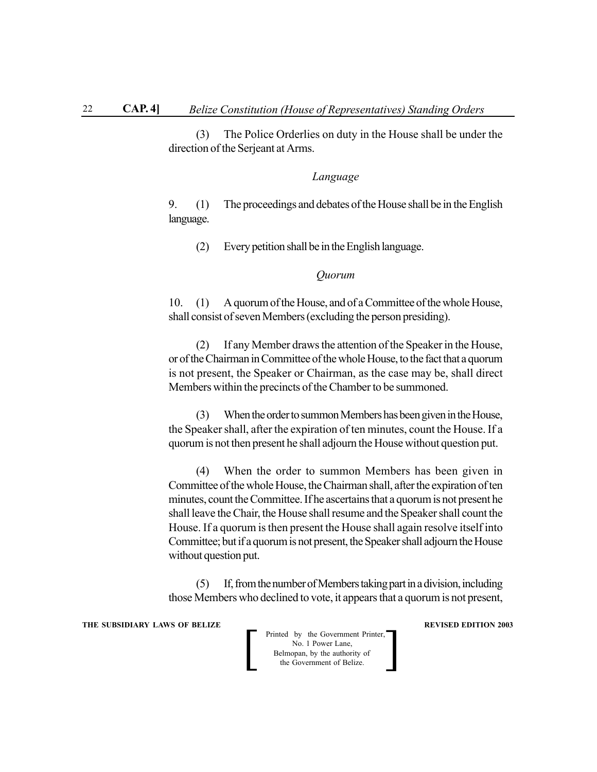(3) The Police Orderlies on duty in the House shall be under the direction of the Serjeant at Arms.

#### *Language*

9. (1) The proceedings and debates of the House shall be in the English language.

(2) Every petition shall be in the English language.

#### *Quorum*

10. (1) A quorum of the House, and of a Committee of the whole House, shall consist of seven Members (excluding the person presiding).

(2) If any Member draws the attention of the Speaker in the House, or of the Chairman in Committee of the whole House, to the fact that a quorum is not present, the Speaker or Chairman, as the case may be, shall direct Members within the precincts of the Chamber to be summoned.

(3) When the order to summon Members has been given in the House, the Speaker shall, after the expiration of ten minutes, count the House. If a quorum is not then present he shall adjourn the House without question put.

(4) When the order to summon Members has been given in Committee of the whole House, the Chairman shall, after the expiration of ten minutes, count the Committee. If he ascertains that a quorum is not present he shall leave the Chair, the House shall resume and the Speaker shall count the House. If a quorum is then present the House shall again resolve itself into Committee; but if a quorum is not present, the Speaker shall adjourn the House without question put.

(5) If, from the number of Members taking part in a division, including those Members who declined to vote, it appears that a quorum is not present,

**THE SUBSIDIARY LAWS OF BELIZE REVISED EDITION 2003** 

| Printed by the Government Printer,<br>No. 1 Power Lane,    |  |
|------------------------------------------------------------|--|
| Belmopan, by the authority of<br>the Government of Belize. |  |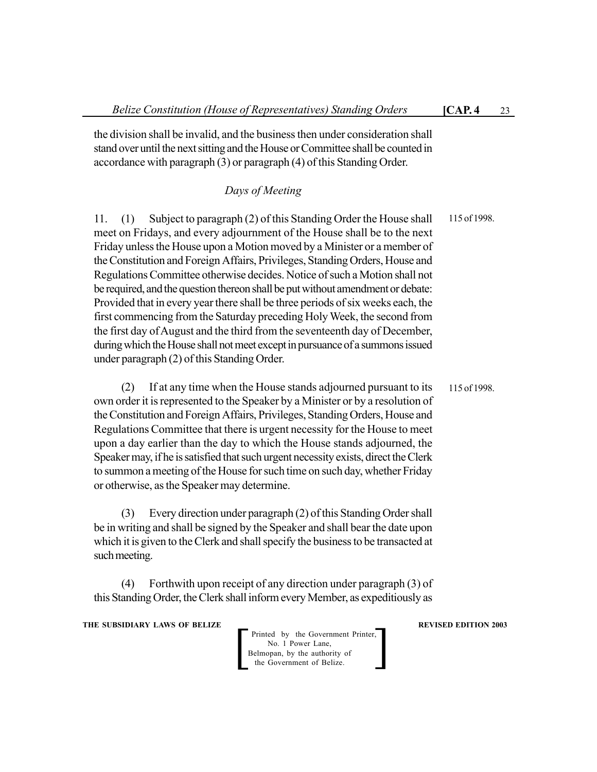the division shall be invalid, and the business then under consideration shall stand over until the next sitting and the House or Committee shall be counted in accordance with paragraph (3) or paragraph (4) of this Standing Order.

# *Days of Meeting*

11. (1) Subject to paragraph (2) of this Standing Order the House shall meet on Fridays, and every adjournment of the House shall be to the next Friday unless the House upon a Motion moved by a Minister or a member of the Constitution and Foreign Affairs, Privileges, Standing Orders, House and Regulations Committee otherwise decides. Notice of such a Motion shall not be required, and the question thereon shall be put without amendment or debate: Provided that in every year there shall be three periods of six weeks each, the first commencing from the Saturday preceding Holy Week, the second from the first day of August and the third from the seventeenth day of December, during which the House shall not meet except in pursuance of a summons issued under paragraph (2) of this Standing Order. 115 of 1998.

(2) If at any time when the House stands adjourned pursuant to its own order it is represented to the Speaker by a Minister or by a resolution of the Constitution and Foreign Affairs, Privileges, Standing Orders, House and Regulations Committee that there is urgent necessity for the House to meet upon a day earlier than the day to which the House stands adjourned, the Speaker may, if he is satisfied that such urgent necessity exists, direct the Clerk to summon a meeting of the House for such time on such day, whether Friday or otherwise, as the Speaker may determine. 115 of 1998.

(3) Every direction under paragraph (2) of this Standing Order shall be in writing and shall be signed by the Speaker and shall bear the date upon which it is given to the Clerk and shall specify the business to be transacted at such meeting.

(4) Forthwith upon receipt of any direction under paragraph (3) of this Standing Order, the Clerk shall inform every Member, as expeditiously as

**THE SUBSIDIARY LAWS OF BELIZE REVISED EDITION 2003** 

Printed by the Government Printer, No. 1 Power Lane, Belmopan, by the authority of<br>the Government of Belize.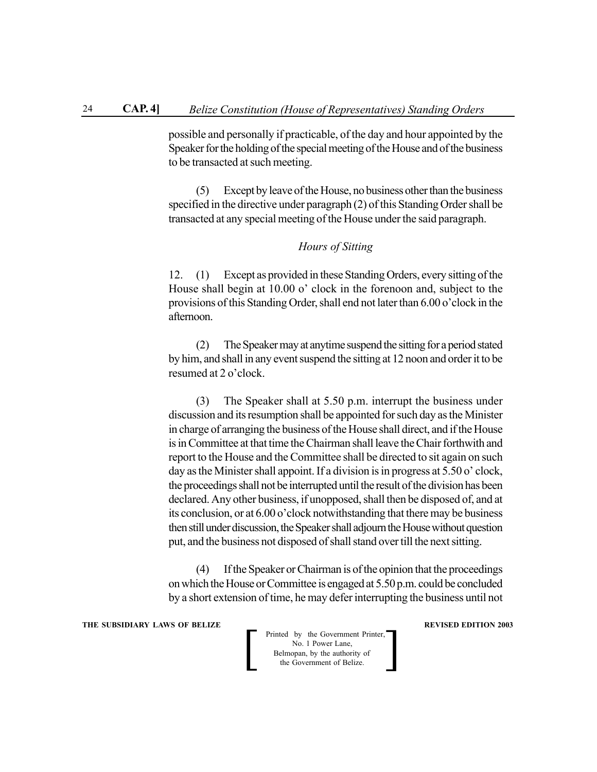possible and personally if practicable, of the day and hour appointed by the Speaker for the holding of the special meeting of the House and of the business to be transacted at such meeting.

(5) Except by leave of the House, no business other than the business specified in the directive under paragraph (2) of this Standing Order shall be transacted at any special meeting of the House under the said paragraph.

#### *Hours of Sitting*

12. (1) Except as provided in these Standing Orders, every sitting of the House shall begin at 10.00 o' clock in the forenoon and, subject to the provisions of this Standing Order, shall end not later than 6.00 o'clock in the afternoon.

(2) The Speaker may at anytime suspend the sitting for a period stated by him, and shall in any event suspend the sitting at 12 noon and order it to be resumed at 2 o'clock.

(3) The Speaker shall at 5.50 p.m. interrupt the business under discussion and its resumption shall be appointed for such day as the Minister in charge of arranging the business of the House shall direct, and if the House is in Committee at that time the Chairman shall leave the Chair forthwith and report to the House and the Committee shall be directed to sit again on such day as the Minister shall appoint. If a division is in progress at 5.50 o' clock, the proceedings shall not be interrupted until the result of the division has been declared. Any other business, if unopposed, shall then be disposed of, and at its conclusion, or at 6.00 o'clock notwithstanding that there may be business then still under discussion, the Speaker shall adjourn the House without question put, and the business not disposed of shall stand over till the next sitting.

(4) If the Speaker or Chairman is of the opinion that the proceedings on which the House or Committee is engaged at 5.50 p.m. could be concluded by a short extension of time, he may defer interrupting the business until not

**THE SUBSIDIARY LAWS OF BELIZE REVISED EDITION 2003** 

**Printed by the Government Printer,**<br>
No. 1 Power Lane,<br>
Belmopan, by the authority of<br>
the Government of Belize. No. 1 Power Lane, Belmopan, by the authority of<br>the Government of Belize.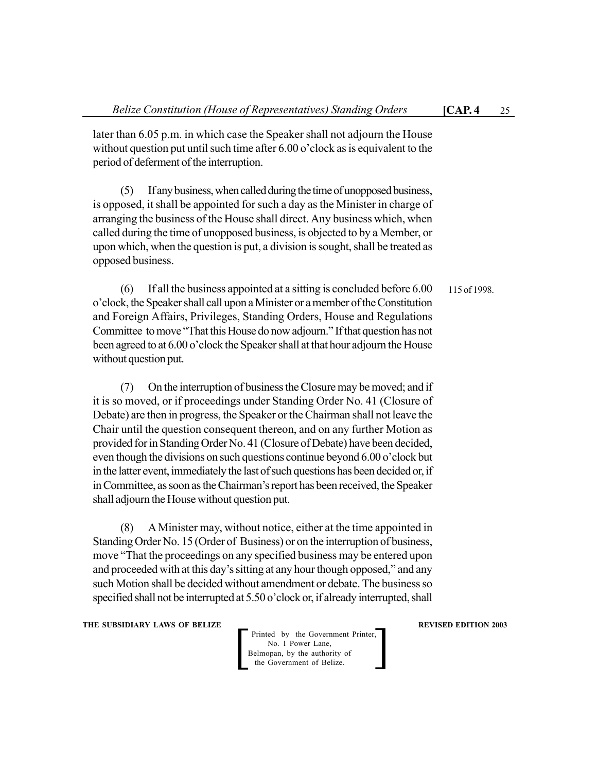later than 6.05 p.m. in which case the Speaker shall not adjourn the House without question put until such time after 6.00 o'clock as is equivalent to the period of deferment of the interruption.

(5) If any business, when called during the time of unopposed business, is opposed, it shall be appointed for such a day as the Minister in charge of arranging the business of the House shall direct. Any business which, when called during the time of unopposed business, is objected to by a Member, or upon which, when the question is put, a division is sought, shall be treated as opposed business.

(6) If all the business appointed at a sitting is concluded before 6.00 o'clock, the Speaker shall call upon a Minister or a member of the Constitution and Foreign Affairs, Privileges, Standing Orders, House and Regulations Committee to move "That this House do now adjourn." If that question has not been agreed to at 6.00 o'clock the Speaker shall at that hour adjourn the House without question put. 115 of 1998.

(7) On the interruption of business the Closure may be moved; and if it is so moved, or if proceedings under Standing Order No. 41 (Closure of Debate) are then in progress, the Speaker or the Chairman shall not leave the Chair until the question consequent thereon, and on any further Motion as provided for in Standing Order No. 41 (Closure of Debate) have been decided, even though the divisions on such questions continue beyond 6.00 o'clock but in the latter event, immediately the last of such questions has been decided or, if in Committee, as soon as the Chairman's report has been received, the Speaker shall adjourn the House without question put.

(8) A Minister may, without notice, either at the time appointed in Standing Order No. 15 (Order of Business) or on the interruption of business, move "That the proceedings on any specified business may be entered upon and proceeded with at this day's sitting at any hour though opposed," and any such Motion shall be decided without amendment or debate. The business so specified shall not be interrupted at 5.50 o'clock or, if already interrupted, shall

**THE SUBSIDIARY LAWS OF BELIZE REVISED EDITION 2003** 

Printed by the Government Printer, No. 1 Power Lane, Belmopan, by the authority of<br>the Government of Belize.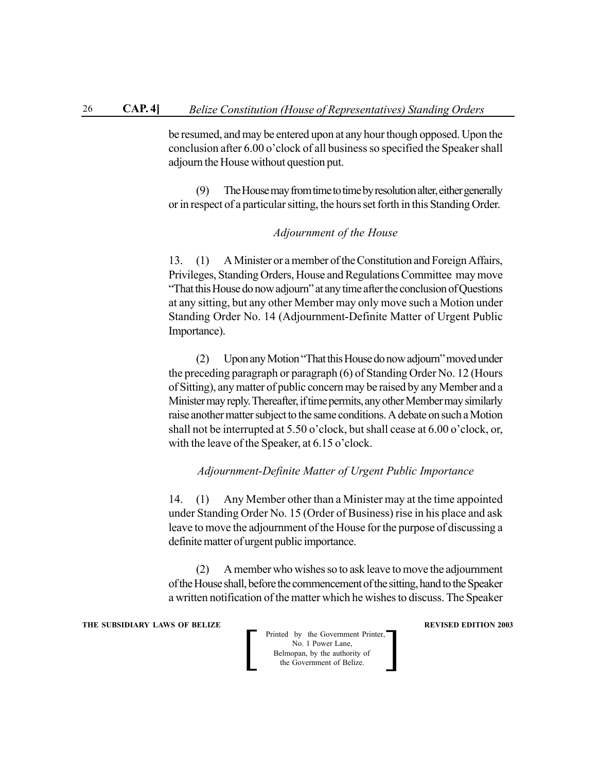be resumed, and may be entered upon at any hour though opposed. Upon the conclusion after 6.00 o'clock of all business so specified the Speaker shall adjourn the House without question put.

(9) The House may from time to time by resolution alter, either generally or in respect of a particular sitting, the hours set forth in this Standing Order.

#### *Adjournment of the House*

13. (1) A Minister or a member of the Constitution and Foreign Affairs, Privileges, Standing Orders, House and Regulations Committee may move "That this House do now adjourn" at any time after the conclusion of Questions at any sitting, but any other Member may only move such a Motion under Standing Order No. 14 (Adjournment-Definite Matter of Urgent Public Importance).

(2) Upon any Motion "That this House do now adjourn" moved under the preceding paragraph or paragraph (6) of Standing Order No. 12 (Hours of Sitting), any matter of public concern may be raised by any Member and a Minister may reply. Thereafter, if time permits, any other Member may similarly raise another matter subject to the same conditions. A debate on such a Motion shall not be interrupted at 5.50 o'clock, but shall cease at 6.00 o'clock, or, with the leave of the Speaker, at 6.15 o'clock.

#### *Adjournment-Definite Matter of Urgent Public Importance*

14. (1) Any Member other than a Minister may at the time appointed under Standing Order No. 15 (Order of Business) rise in his place and ask leave to move the adjournment of the House for the purpose of discussing a definite matter of urgent public importance.

(2) A member who wishes so to ask leave to move the adjournment of the House shall, before the commencement of the sitting, hand to the Speaker a written notification of the matter which he wishes to discuss. The Speaker

**THE SUBSIDIARY LAWS OF BELIZE REVISED EDITION 2003** 

**Printed by the Government Printer,**<br>
No. 1 Power Lane,<br>
Belmopan, by the authority of<br>
the Government of Belize. No. 1 Power Lane, Belmopan, by the authority of<br>the Government of Belize.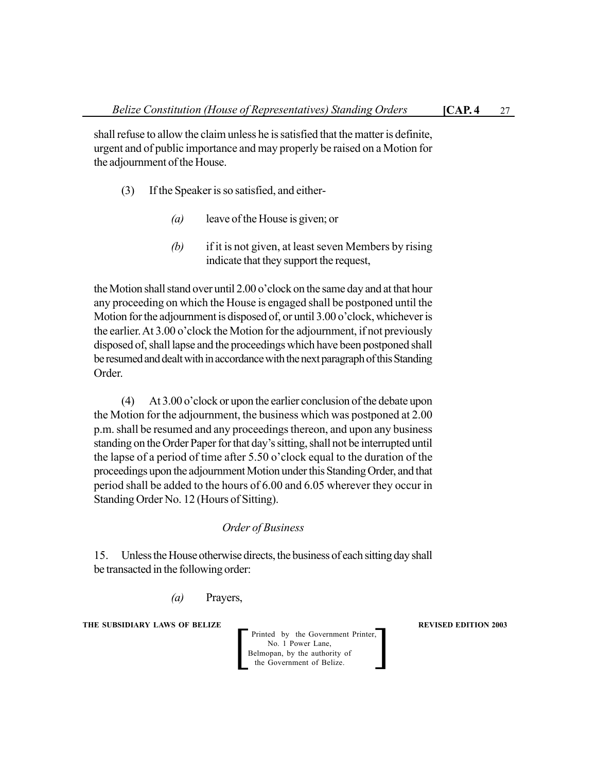shall refuse to allow the claim unless he is satisfied that the matter is definite, urgent and of public importance and may properly be raised on a Motion for the adjournment of the House.

- (3) If the Speaker is so satisfied, and either-
	- *(a)* leave of the House is given; or
	- *(b)* if it is not given, at least seven Members by rising indicate that they support the request,

the Motion shall stand over until 2.00 o'clock on the same day and at that hour any proceeding on which the House is engaged shall be postponed until the Motion for the adjournment is disposed of, or until 3.00 o'clock, whichever is the earlier. At 3.00 o'clock the Motion for the adjournment, if not previously disposed of, shall lapse and the proceedings which have been postponed shall be resumed and dealt with in accordance with the next paragraph of this Standing Order.

(4) At 3.00 o'clock or upon the earlier conclusion of the debate upon the Motion for the adjournment, the business which was postponed at 2.00 p.m. shall be resumed and any proceedings thereon, and upon any business standing on the Order Paper for that day's sitting, shall not be interrupted until the lapse of a period of time after 5.50 o'clock equal to the duration of the proceedings upon the adjournment Motion under this Standing Order, and that period shall be added to the hours of 6.00 and 6.05 wherever they occur in Standing Order No. 12 (Hours of Sitting).

## *Order of Business*

15. Unless the House otherwise directs, the business of each sitting day shall be transacted in the following order:

*(a)* Prayers,

**THE SUBSIDIARY LAWS OF BELIZE REVISED EDITION 2003**

Printed by the Government Printer, No. 1 Power Lane,<br>Belmopan, by the authority of Printed by the Government Printer,<br>
No. 1 Power Lane,<br>
Belmopan, by the authority of<br>
the Government of Belize.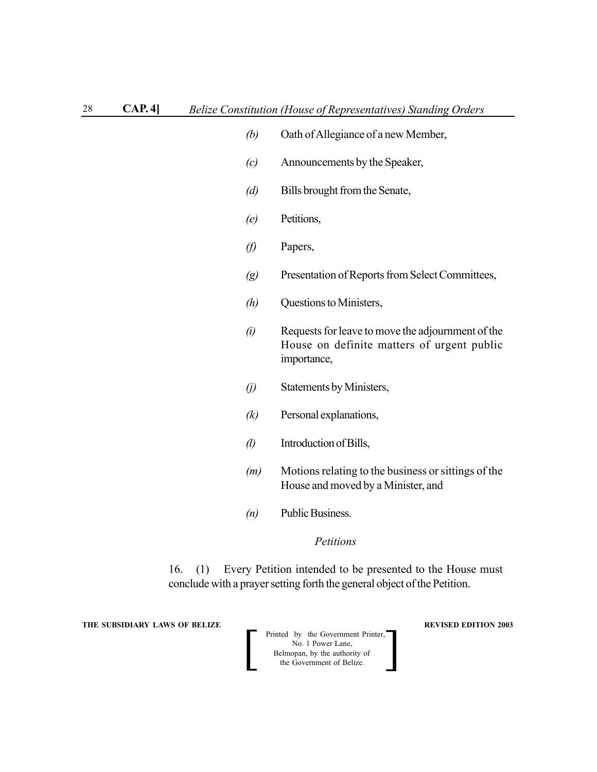- *(b)* Oath of Allegiance of a new Member,
- *(c)* Announcements by the Speaker,
- *(d)* Bills brought from the Senate,
- *(e)* Petitions,
- *(f)* Papers,
- *(g)* Presentation of Reports from Select Committees,
- *(h)* Questions to Ministers,
- *(i)* Requests for leave to move the adjournment of the House on definite matters of urgent public importance,
- *(j)* Statements by Ministers,
- *(k)* Personal explanations,
- *(l)* Introduction of Bills,
- *(m)* Motions relating to the business or sittings of the House and moved by a Minister, and
- *(n)* Public Business.

#### *Petitions*

16. (1) Every Petition intended to be presented to the House must conclude with a prayer setting forth the general object of the Petition.

**THE SUBSIDIARY LAWS OF BELIZE REVISED EDITION 2003** 

| Printed by the Government Printer,<br>No. 1 Power Lane,    |  |
|------------------------------------------------------------|--|
| Belmopan, by the authority of<br>the Government of Belize. |  |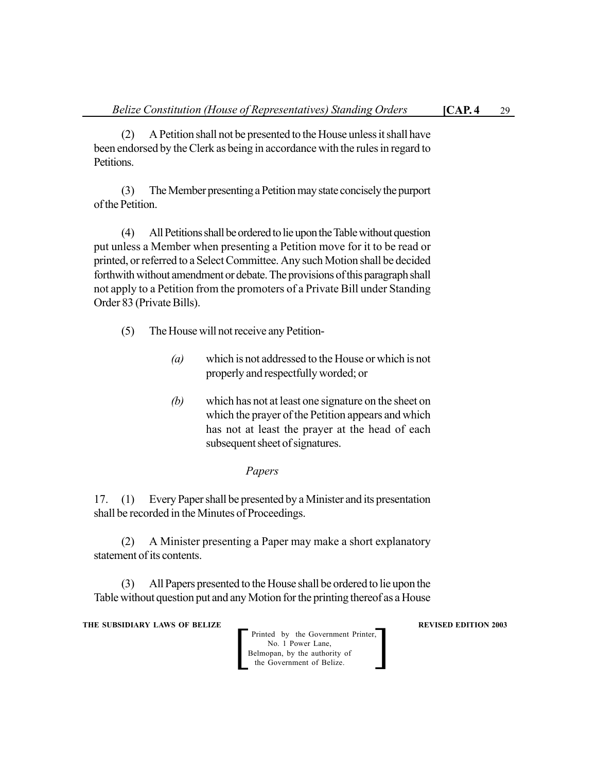(2) A Petition shall not be presented to the House unless it shall have been endorsed by the Clerk as being in accordance with the rules in regard to Petitions.

(3) The Member presenting a Petition may state concisely the purport of the Petition.

(4) All Petitions shall be ordered to lie upon the Table without question put unless a Member when presenting a Petition move for it to be read or printed, or referred to a Select Committee. Any such Motion shall be decided forthwith without amendment or debate. The provisions of this paragraph shall not apply to a Petition from the promoters of a Private Bill under Standing Order 83 (Private Bills).

- (5) The House will not receive any Petition-
	- *(a)* which is not addressed to the House or which is not properly and respectfully worded; or
	- *(b)* which has not at least one signature on the sheet on which the prayer of the Petition appears and which has not at least the prayer at the head of each subsequent sheet of signatures.

### *Papers*

17. (1) Every Paper shall be presented by a Minister and its presentation shall be recorded in the Minutes of Proceedings.

(2) A Minister presenting a Paper may make a short explanatory statement of its contents.

(3) All Papers presented to the House shall be ordered to lie upon the Table without question put and any Motion for the printing thereof as a House

**THE SUBSIDIARY LAWS OF BELIZE REVISED EDITION 2003** 

Printed by the Government Printer, No. 1 Power Lane, Belmopan, by the authority of<br>the Government of Belize.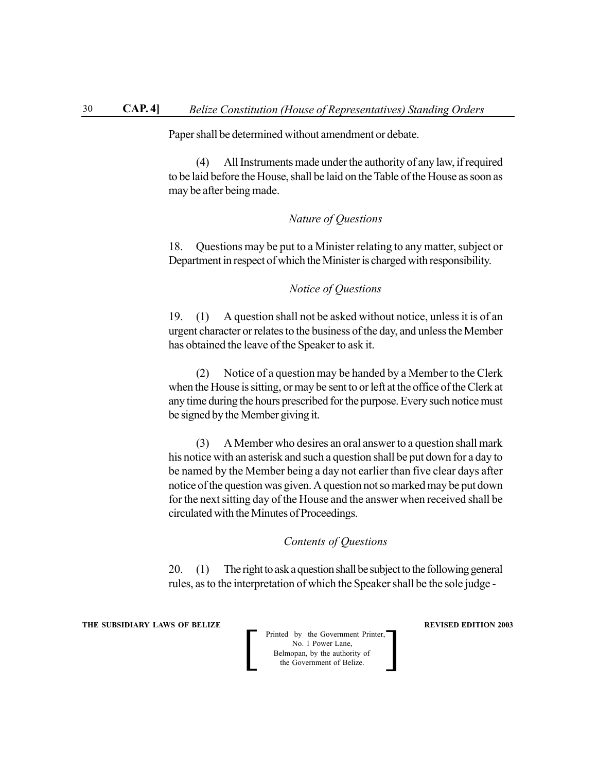Paper shall be determined without amendment or debate.

(4) All Instruments made under the authority of any law, if required to be laid before the House, shall be laid on the Table of the House as soon as may be after being made.

#### *Nature of Questions*

18. Questions may be put to a Minister relating to any matter, subject or Department in respect of which the Minister is charged with responsibility.

*Notice of Questions*

19. (1) A question shall not be asked without notice, unless it is of an urgent character or relates to the business of the day, and unless the Member has obtained the leave of the Speaker to ask it.

(2) Notice of a question may be handed by a Member to the Clerk when the House is sitting, or may be sent to or left at the office of the Clerk at any time during the hours prescribed for the purpose. Every such notice must be signed by the Member giving it.

(3) A Member who desires an oral answer to a question shall mark his notice with an asterisk and such a question shall be put down for a day to be named by the Member being a day not earlier than five clear days after notice of the question was given. A question not so marked may be put down for the next sitting day of the House and the answer when received shall be circulated with the Minutes of Proceedings.

#### *Contents of Questions*

20. (1) The right to ask a question shall be subject to the following general rules, as to the interpretation of which the Speaker shall be the sole judge -

**THE SUBSIDIARY LAWS OF BELIZE REVISED EDITION 2003** 

| Printed by the Government Printer,<br>No. 1 Power Lane,    |  |
|------------------------------------------------------------|--|
| Belmopan, by the authority of<br>the Government of Belize. |  |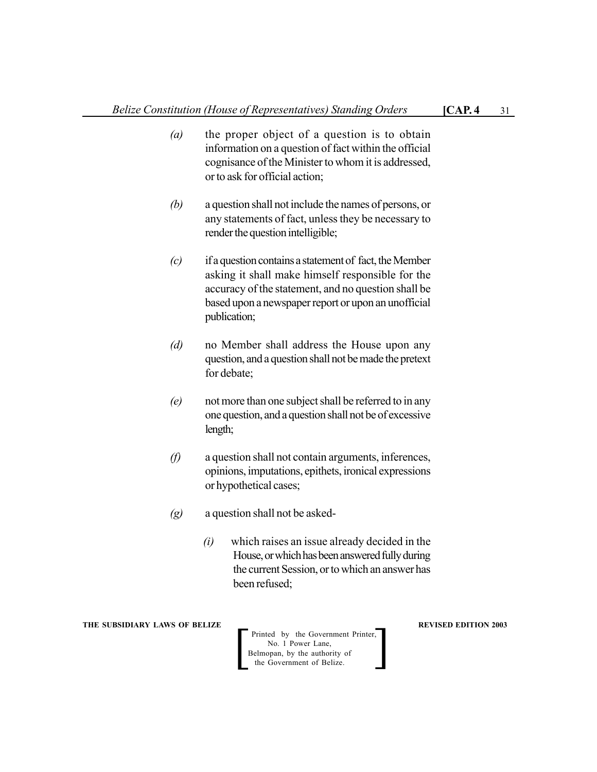- *(a)* the proper object of a question is to obtain information on a question of fact within the official cognisance of the Minister to whom it is addressed, or to ask for official action;
- *(b)* a question shall not include the names of persons, or any statements of fact, unless they be necessary to render the question intelligible;
- *(c)* if a question contains a statement of fact, the Member asking it shall make himself responsible for the accuracy of the statement, and no question shall be based upon a newspaper report or upon an unofficial publication;
- *(d)* no Member shall address the House upon any question, and a question shall not be made the pretext for debate;
- *(e)* not more than one subject shall be referred to in any one question, and a question shall not be of excessive length;
- *(f)* a question shall not contain arguments, inferences, opinions, imputations, epithets, ironical expressions or hypothetical cases;
- *(g)* a question shall not be asked-
	- *(i)* which raises an issue already decided in the House, or which has been answered fully during the current Session, or to which an answer has been refused;

Printed by the Government Printer, No. 1 Power Lane, Belmopan, by the authority of<br>the Government of Belize.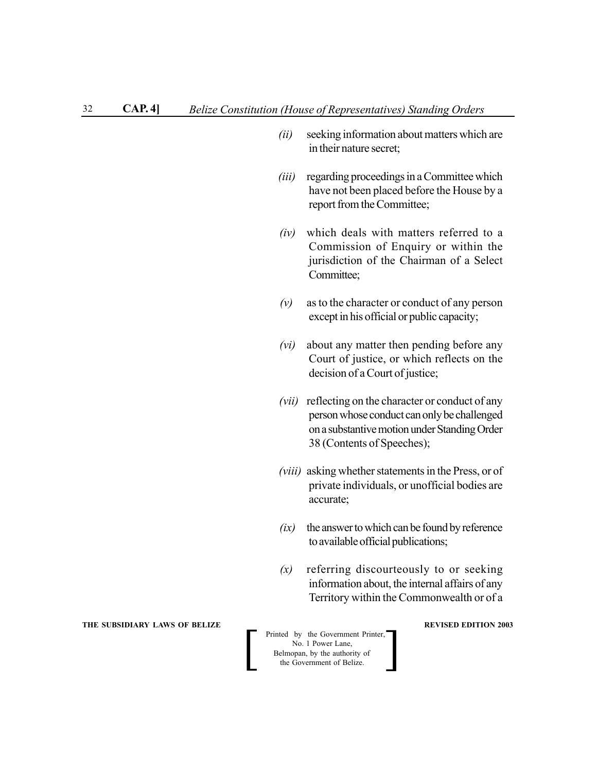- *(ii)* seeking information about matters which are in their nature secret;
- *(iii)* regarding proceedings in a Committee which have not been placed before the House by a report from the Committee;
- *(iv)* which deals with matters referred to a Commission of Enquiry or within the jurisdiction of the Chairman of a Select Committee;
- *(v)* as to the character or conduct of any person except in his official or public capacity;
- *(vi)* about any matter then pending before any Court of justice, or which reflects on the decision of a Court of justice;
- *(vii)* reflecting on the character or conduct of any person whose conduct can only be challenged on a substantive motion under Standing Order 38 (Contents of Speeches);
- *(viii)* asking whether statements in the Press, or of private individuals, or unofficial bodies are accurate;
- *(ix)* the answer to which can be found by reference to available official publications;
- *(x)* referring discourteously to or seeking information about, the internal affairs of any Territory within the Commonwealth or of a

**Printed by the Government Printer,**<br>
No. 1 Power Lane,<br>
Belmopan, by the authority of<br>
the Government of Belize. No. 1 Power Lane, Belmopan, by the authority of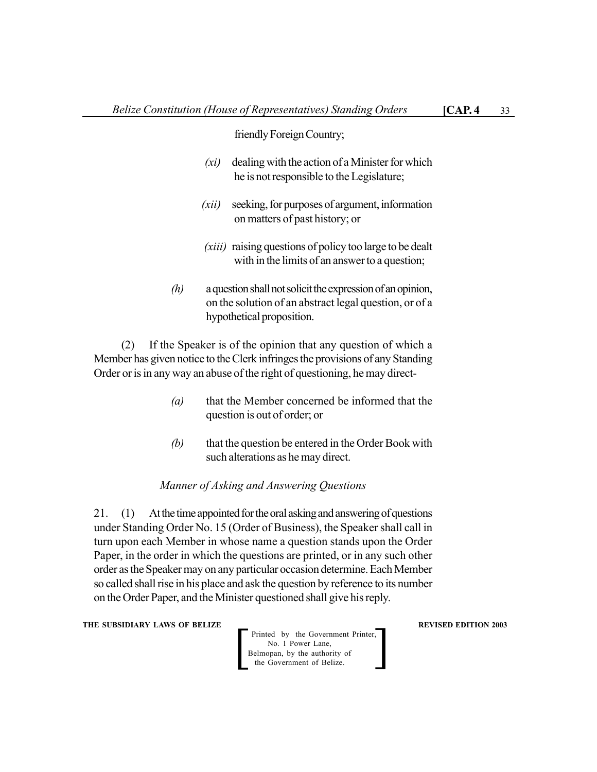friendly Foreign Country;

- *(xi)* dealing with the action of a Minister for which he is not responsible to the Legislature;
- *(xii)* seeking, for purposes of argument, information on matters of past history; or
- *(xiii)* raising questions of policy too large to be dealt with in the limits of an answer to a question;
- *(h)* a question shall not solicit the expression of an opinion, on the solution of an abstract legal question, or of a hypothetical proposition.

(2) If the Speaker is of the opinion that any question of which a Member has given notice to the Clerk infringes the provisions of any Standing Order or is in any way an abuse of the right of questioning, he may direct-

- *(a)* that the Member concerned be informed that the question is out of order; or
- *(b)* that the question be entered in the Order Book with such alterations as he may direct.

#### *Manner of Asking and Answering Questions*

21. (1) At the time appointed for the oral asking and answering of questions under Standing Order No. 15 (Order of Business), the Speaker shall call in turn upon each Member in whose name a question stands upon the Order Paper, in the order in which the questions are printed, or in any such other order as the Speaker may on any particular occasion determine. Each Member so called shall rise in his place and ask the question by reference to its number on the Order Paper, and the Minister questioned shall give his reply.

**THE SUBSIDIARY LAWS OF BELIZE REVISED EDITION 2003** 

Printed by the Government Printer, No. 1 Power Lane, Belmopan, by the authority of<br>the Government of Belize.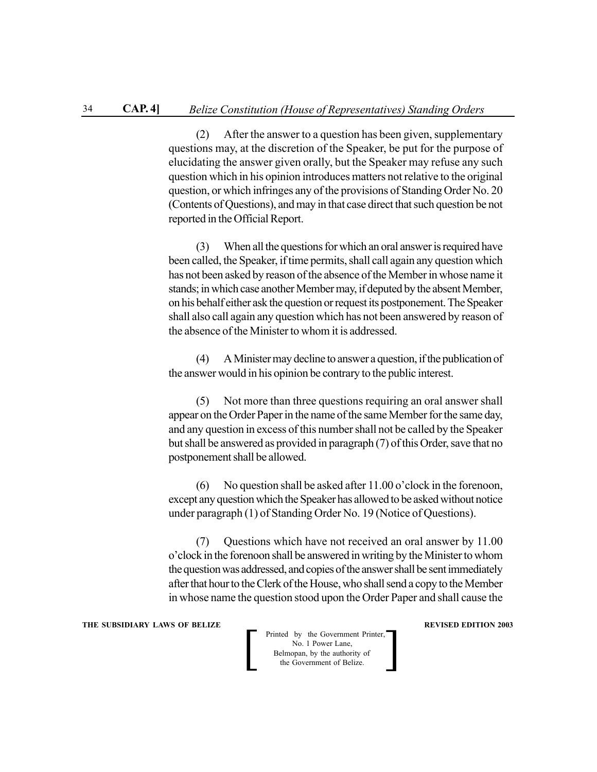(2) After the answer to a question has been given, supplementary questions may, at the discretion of the Speaker, be put for the purpose of elucidating the answer given orally, but the Speaker may refuse any such question which in his opinion introduces matters not relative to the original question, or which infringes any of the provisions of Standing Order No. 20 (Contents of Questions), and may in that case direct that such question be not reported in the Official Report.

(3) When all the questions for which an oral answer is required have been called, the Speaker, if time permits, shall call again any question which has not been asked by reason of the absence of the Member in whose name it stands; in which case another Member may, if deputed by the absent Member, on his behalf either ask the question or request its postponement. The Speaker shall also call again any question which has not been answered by reason of the absence of the Minister to whom it is addressed.

(4) A Minister may decline to answer a question, if the publication of the answer would in his opinion be contrary to the public interest.

(5) Not more than three questions requiring an oral answer shall appear on the Order Paper in the name of the same Member for the same day, and any question in excess of this number shall not be called by the Speaker but shall be answered as provided in paragraph (7) of this Order, save that no postponement shall be allowed.

(6) No question shall be asked after 11.00 o'clock in the forenoon, except any question which the Speaker has allowed to be asked without notice under paragraph (1) of Standing Order No. 19 (Notice of Questions).

(7) Questions which have not received an oral answer by 11.00 o'clock in the forenoon shall be answered in writing by the Minister to whom the question was addressed, and copies of the answer shall be sent immediately after that hour to the Clerk of the House, who shall send a copy to the Member in whose name the question stood upon the Order Paper and shall cause the

#### **THE SUBSIDIARY LAWS OF BELIZE REVISED EDITION 2003**

**Printed by the Government Printer,**<br>
No. 1 Power Lane,<br>
Belmopan, by the authority of<br>
the Government of Belize. No. 1 Power Lane, Belmopan, by the authority of<br>the Government of Belize.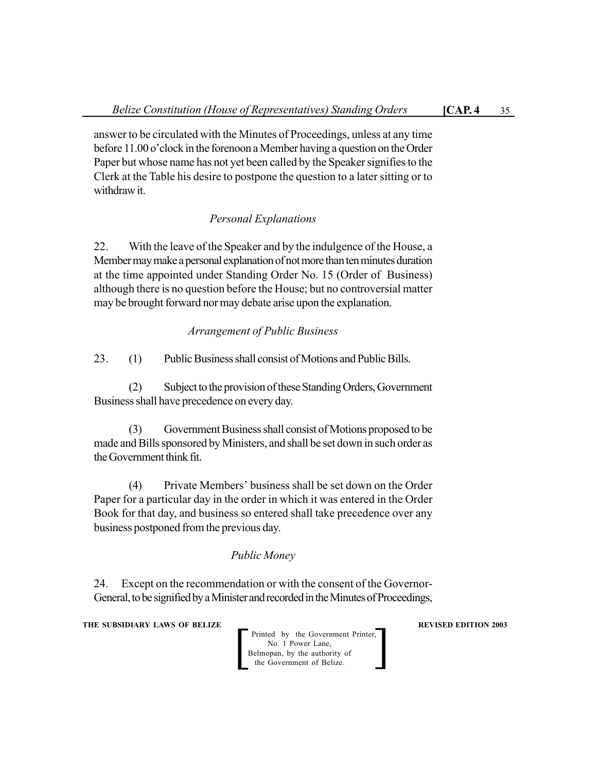answer to be circulated with the Minutes of Proceedings, unless at any time before 11.00 o'clock in the forenoon a Member having a question on the Order Paper but whose name has not yet been called by the Speaker signifies to the Clerk at the Table his desire to postpone the question to a later sitting or to withdraw it.

# *Personal Explanations*

22. With the leave of the Speaker and by the indulgence of the House, a Member may make a personal explanation of not more than ten minutes duration at the time appointed under Standing Order No. 15 (Order of Business) although there is no question before the House; but no controversial matter may be brought forward nor may debate arise upon the explanation.

# *Arrangement of Public Business*

23. (1) Public Business shall consist of Motions and Public Bills.

(2) Subject to the provision of these Standing Orders, Government Business shall have precedence on every day.

(3) Government Business shall consist of Motions proposed to be made and Bills sponsored by Ministers, and shall be set down in such order as the Government think fit.

(4) Private Members' business shall be set down on the Order Paper for a particular day in the order in which it was entered in the Order Book for that day, and business so entered shall take precedence over any business postponed from the previous day.

# *Public Money*

24. Except on the recommendation or with the consent of the Governor-General, to be signified by a Minister and recorded in the Minutes of Proceedings,

**THE SUBSIDIARY LAWS OF BELIZE REVISED EDITION 2003**

Printed by the Government Printer, No. 1 Power Lane, Belmopan, by the authority of<br>the Government of Belize.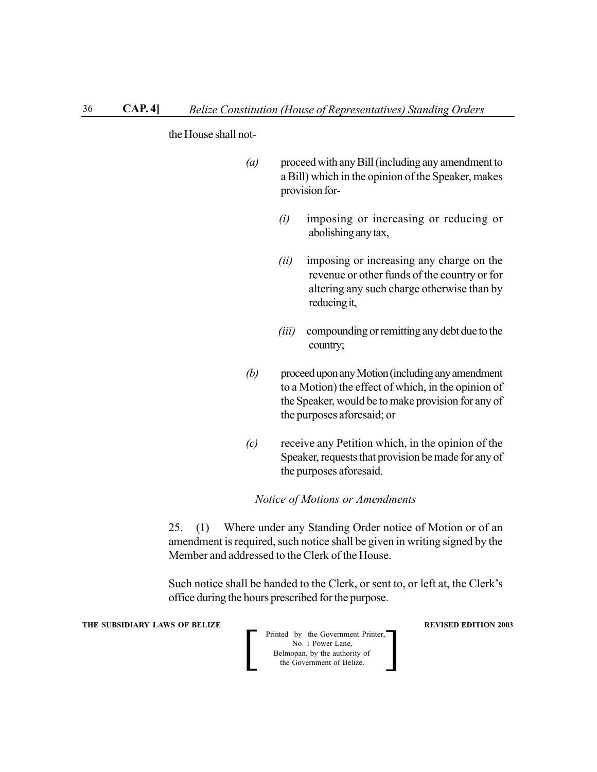the House shall not-

- *(a)* proceed with any Bill (including any amendment to a Bill) which in the opinion of the Speaker, makes provision for-
	- *(i)* imposing or increasing or reducing or abolishing any tax,
	- *(ii)* imposing or increasing any charge on the revenue or other funds of the country or for altering any such charge otherwise than by reducing it,
	- *(iii)* compounding or remitting any debt due to the country;
- *(b)* proceed upon any Motion (including any amendment to a Motion) the effect of which, in the opinion of the Speaker, would be to make provision for any of the purposes aforesaid; or
- *(c)* receive any Petition which, in the opinion of the Speaker, requests that provision be made for any of the purposes aforesaid.

#### *Notice of Motions or Amendments*

25. (1) Where under any Standing Order notice of Motion or of an amendment is required, such notice shall be given in writing signed by the Member and addressed to the Clerk of the House.

Such notice shall be handed to the Clerk, or sent to, or left at, the Clerk's office during the hours prescribed for the purpose.

**THE SUBSIDIARY LAWS OF BELIZE SUBSIDIARY LAWS OF BELIZE** 

| Printed by the Government Printer,<br>No. 1 Power Lane,    |  |
|------------------------------------------------------------|--|
| Belmopan, by the authority of<br>the Government of Belize. |  |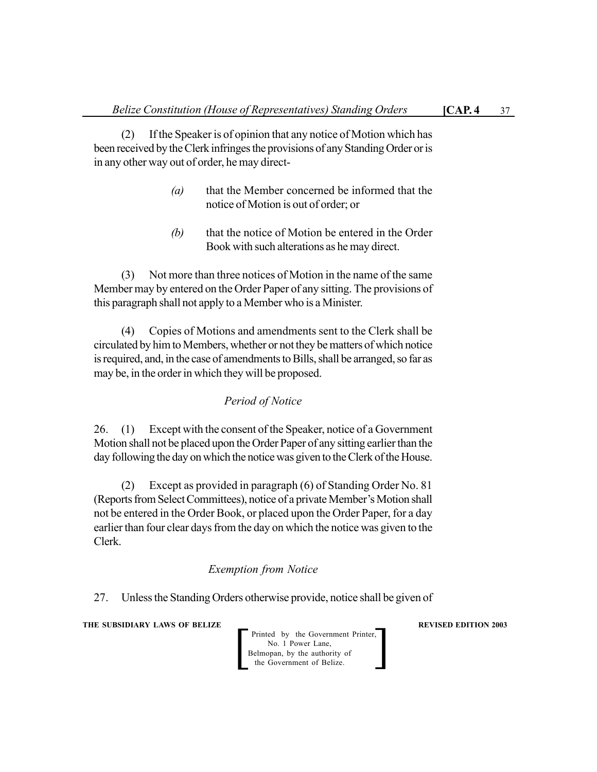(2) If the Speaker is of opinion that any notice of Motion which has been received by the Clerk infringes the provisions of any Standing Order or is in any other way out of order, he may direct-

- *(a)* that the Member concerned be informed that the notice of Motion is out of order; or
- *(b)* that the notice of Motion be entered in the Order Book with such alterations as he may direct.

(3) Not more than three notices of Motion in the name of the same Member may by entered on the Order Paper of any sitting. The provisions of this paragraph shall not apply to a Member who is a Minister.

(4) Copies of Motions and amendments sent to the Clerk shall be circulated by him to Members, whether or not they be matters of which notice is required, and, in the case of amendments to Bills, shall be arranged, so far as may be, in the order in which they will be proposed.

# *Period of Notice*

26. (1) Except with the consent of the Speaker, notice of a Government Motion shall not be placed upon the Order Paper of any sitting earlier than the day following the day on which the notice was given to the Clerk of the House.

(2) Except as provided in paragraph (6) of Standing Order No. 81 (Reports from Select Committees), notice of a private Member's Motion shall not be entered in the Order Book, or placed upon the Order Paper, for a day earlier than four clear days from the day on which the notice was given to the Clerk.

# *Exemption from Notice*

27. Unless the Standing Orders otherwise provide, notice shall be given of

**THE SUBSIDIARY LAWS OF BELIZE REVISED EDITION 2003**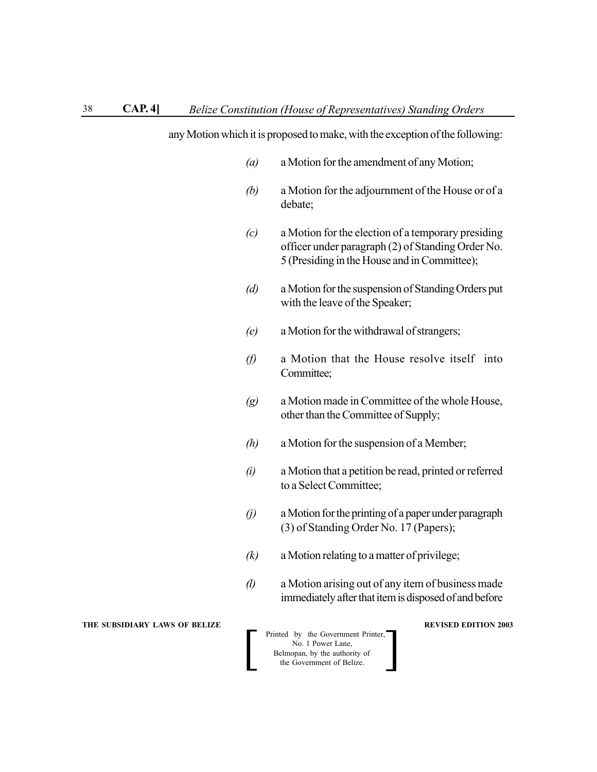any Motion which it is proposed to make, with the exception of the following:

- *(a)* a Motion for the amendment of any Motion;
- *(b)* a Motion for the adjournment of the House or of a debate;
- *(c)* a Motion for the election of a temporary presiding officer under paragraph (2) of Standing Order No. 5 (Presiding in the House and in Committee);
- *(d)* a Motion for the suspension of Standing Orders put with the leave of the Speaker;
- *(e)* a Motion for the withdrawal of strangers;
- *(f)* a Motion that the House resolve itself into Committee;
- *(g)* a Motion made in Committee of the whole House, other than the Committee of Supply;
- *(h)* a Motion for the suspension of a Member;
- *(i)* a Motion that a petition be read, printed or referred to a Select Committee;
- *(j)* a Motion for the printing of a paper under paragraph (3) of Standing Order No. 17 (Papers);
- *(k)* a Motion relating to a matter of privilege;
- *(l)* a Motion arising out of any item of business made immediately after that item is disposed of and before

**THE SUBSIDIARY LAWS OF BELIZE SUBSIDIARY LAWS OF BELIZE**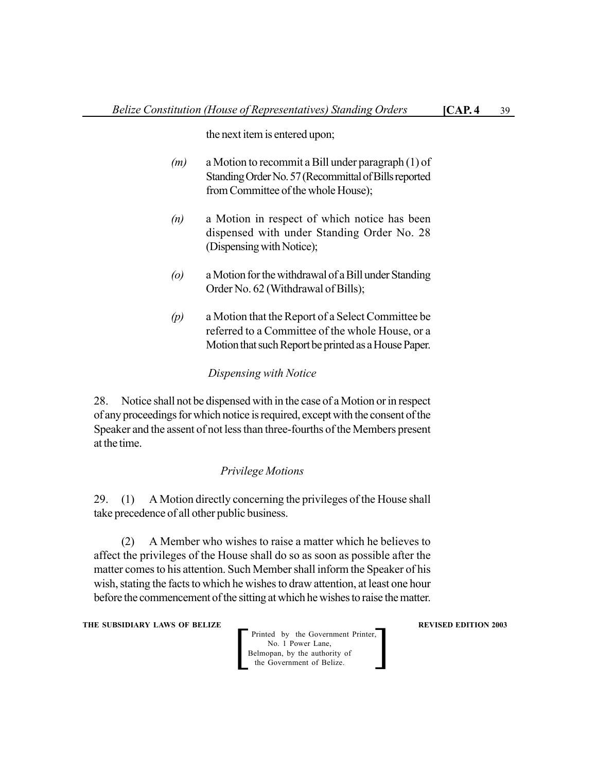the next item is entered upon;

- *(m)* a Motion to recommit a Bill under paragraph (1) of Standing Order No. 57 (Recommittal of Bills reported from Committee of the whole House);
- *(n)* a Motion in respect of which notice has been dispensed with under Standing Order No. 28 (Dispensing with Notice);
- *(o)* a Motion for the withdrawal of a Bill under Standing Order No. 62 (Withdrawal of Bills);
- *(p)* a Motion that the Report of a Select Committee be referred to a Committee of the whole House, or a Motion that such Report be printed as a House Paper.

# *Dispensing with Notice*

28. Notice shall not be dispensed with in the case of a Motion or in respect of any proceedings for which notice is required, except with the consent of the Speaker and the assent of not less than three-fourths of the Members present at the time.

# *Privilege Motions*

29. (1) A Motion directly concerning the privileges of the House shall take precedence of all other public business.

(2) A Member who wishes to raise a matter which he believes to affect the privileges of the House shall do so as soon as possible after the matter comes to his attention. Such Member shall inform the Speaker of his wish, stating the facts to which he wishes to draw attention, at least one hour before the commencement of the sitting at which he wishes to raise the matter.

**THE SUBSIDIARY LAWS OF BELIZE REVISED EDITION 2003**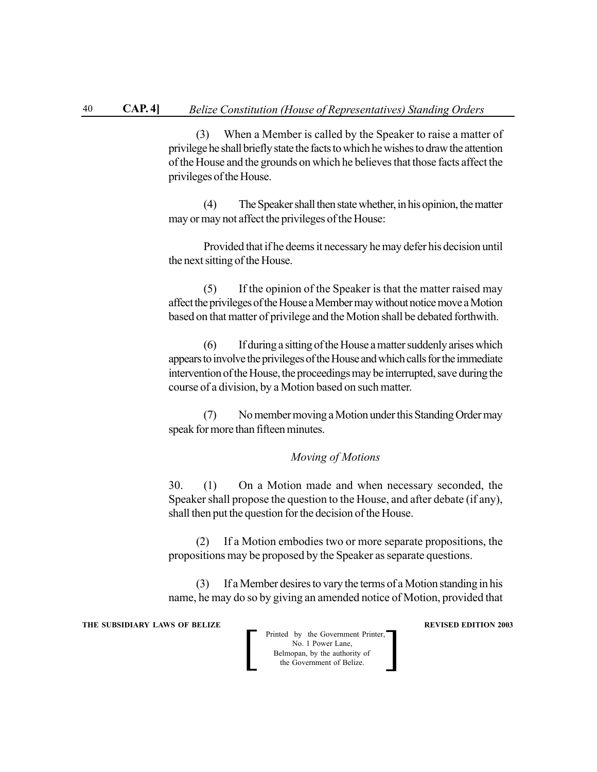(3) When a Member is called by the Speaker to raise a matter of privilege he shall briefly state the facts to which he wishes to draw the attention of the House and the grounds on which he believes that those facts affect the privileges of the House.

(4) The Speaker shall then state whether, in his opinion, the matter may or may not affect the privileges of the House:

Provided that if he deems it necessary he may defer his decision until the next sitting of the House.

(5) If the opinion of the Speaker is that the matter raised may affect the privileges of the House a Member may without notice move a Motion based on that matter of privilege and the Motion shall be debated forthwith.

(6) If during a sitting of the House a matter suddenly arises which appears to involve the privileges of the House and which calls for the immediate intervention of the House, the proceedings may be interrupted, save during the course of a division, by a Motion based on such matter.

(7) No member moving a Motion under this Standing Order may speak for more than fifteen minutes.

### *Moving of Motions*

30. (1) On a Motion made and when necessary seconded, the Speaker shall propose the question to the House, and after debate (if any), shall then put the question for the decision of the House.

(2) If a Motion embodies two or more separate propositions, the propositions may be proposed by the Speaker as separate questions.

(3) If a Member desires to vary the terms of a Motion standing in his name, he may do so by giving an amended notice of Motion, provided that

**THE SUBSIDIARY LAWS OF BELIZE SUBSIDIARY LAWS OF BELIZE** 

| Printed by the Government Printer,<br>No. 1 Power Lane,    |  |
|------------------------------------------------------------|--|
| Belmopan, by the authority of<br>the Government of Belize. |  |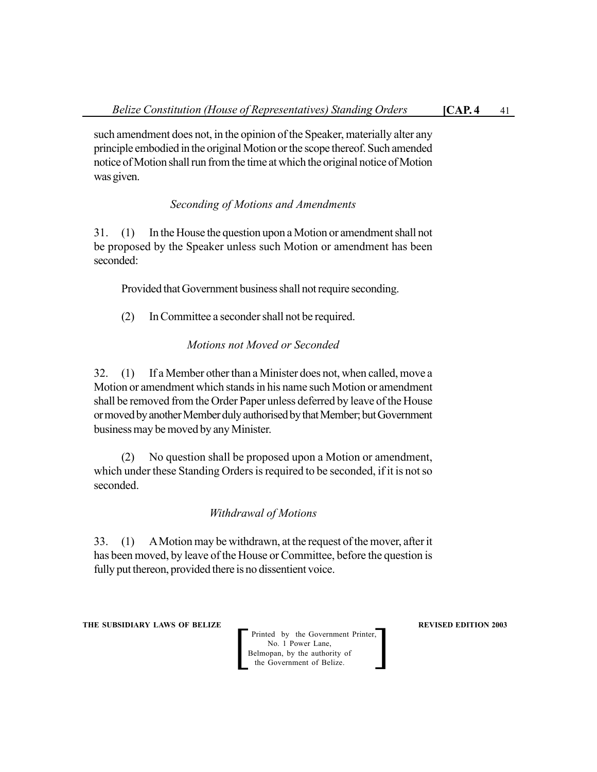such amendment does not, in the opinion of the Speaker, materially alter any principle embodied in the original Motion or the scope thereof. Such amended notice of Motion shall run from the time at which the original notice of Motion was given.

# *Seconding of Motions and Amendments*

31. (1) In the House the question upon a Motion or amendment shall not be proposed by the Speaker unless such Motion or amendment has been seconded:

Provided that Government business shall not require seconding.

(2) In Committee a seconder shall not be required.

# *Motions not Moved or Seconded*

32. (1) If a Member other than a Minister does not, when called, move a Motion or amendment which stands in his name such Motion or amendment shall be removed from the Order Paper unless deferred by leave of the House or moved by another Member duly authorised by that Member; but Government business may be moved by any Minister.

(2) No question shall be proposed upon a Motion or amendment, which under these Standing Orders is required to be seconded, if it is not so seconded.

# *Withdrawal of Motions*

33. (1) A Motion may be withdrawn, at the request of the mover, after it has been moved, by leave of the House or Committee, before the question is fully put thereon, provided there is no dissentient voice.

**THE SUBSIDIARY LAWS OF BELIZE REVISED EDITION 2003**

Printed by the Government Printer, No. 1 Power Lane,<br>Belmopan, by the authority of Printed by the Government Printer,<br>
No. 1 Power Lane,<br>
Belmopan, by the authority of<br>
the Government of Belize.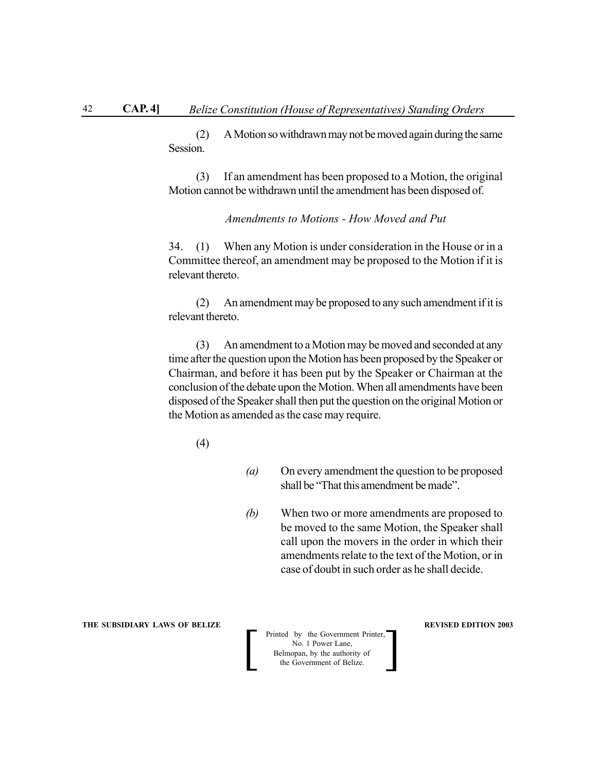(2) A Motion so withdrawn may not be moved again during the same Session.

(3) If an amendment has been proposed to a Motion, the original Motion cannot be withdrawn until the amendment has been disposed of.

*Amendments to Motions - How Moved and Put*

34. (1) When any Motion is under consideration in the House or in a Committee thereof, an amendment may be proposed to the Motion if it is relevant thereto.

(2) An amendment may be proposed to any such amendment if it is relevant thereto.

(3) An amendment to a Motion may be moved and seconded at any time after the question upon the Motion has been proposed by the Speaker or Chairman, and before it has been put by the Speaker or Chairman at the conclusion of the debate upon the Motion. When all amendments have been disposed of the Speaker shall then put the question on the original Motion or the Motion as amended as the case may require.

(4)

- *(a)* On every amendment the question to be proposed shall be "That this amendment be made".
- *(b)* When two or more amendments are proposed to be moved to the same Motion, the Speaker shall call upon the movers in the order in which their amendments relate to the text of the Motion, or in case of doubt in such order as he shall decide.

#### **THE SUBSIDIARY LAWS OF BELIZE REVISED EDITION 2003**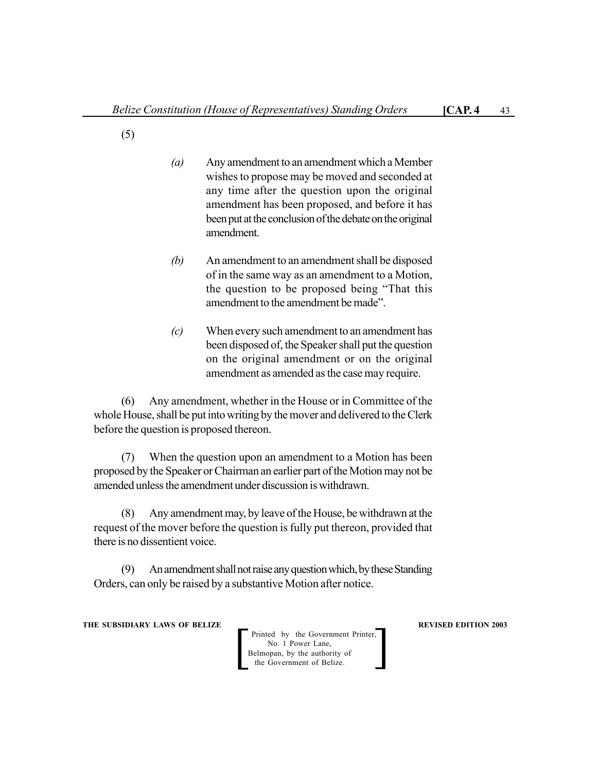- (5)
- *(a)* Any amendment to an amendment which a Member wishes to propose may be moved and seconded at any time after the question upon the original amendment has been proposed, and before it has been put at the conclusion of the debate on the original amendment.
- *(b)* An amendment to an amendment shall be disposed of in the same way as an amendment to a Motion, the question to be proposed being "That this amendment to the amendment be made".
- *(c)* When every such amendment to an amendment has been disposed of, the Speaker shall put the question on the original amendment or on the original amendment as amended as the case may require.

(6) Any amendment, whether in the House or in Committee of the whole House, shall be put into writing by the mover and delivered to the Clerk before the question is proposed thereon.

(7) When the question upon an amendment to a Motion has been proposed by the Speaker or Chairman an earlier part of the Motion may not be amended unless the amendment under discussion is withdrawn.

(8) Any amendment may, by leave of the House, be withdrawn at the request of the mover before the question is fully put thereon, provided that there is no dissentient voice.

(9) An amendment shall not raise any question which, by these Standing Orders, can only be raised by a substantive Motion after notice.

**THE SUBSIDIARY LAWS OF BELIZE REVISED EDITION 2003** 

Printed by the Government Printer, No. 1 Power Lane,<br>Belmopan, by the authority of Printed by the Government Printer,<br>
No. 1 Power Lane,<br>
Belmopan, by the authority of<br>
the Government of Belize.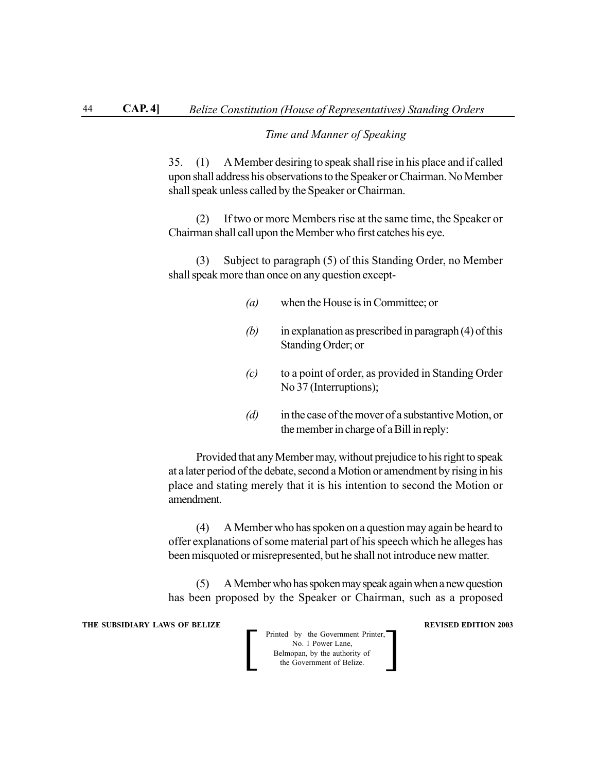# *Time and Manner of Speaking*

35. (1) A Member desiring to speak shall rise in his place and if called upon shall address his observations to the Speaker or Chairman. No Member shall speak unless called by the Speaker or Chairman.

(2) If two or more Members rise at the same time, the Speaker or Chairman shall call upon the Member who first catches his eye.

(3) Subject to paragraph (5) of this Standing Order, no Member shall speak more than once on any question except-

- *(a)* when the House is in Committee; or
- *(b)* in explanation as prescribed in paragraph (4) of this Standing Order; or
- *(c)* to a point of order, as provided in Standing Order No 37 (Interruptions);
- *(d)* in the case of the mover of a substantive Motion, or the member in charge of a Bill in reply:

Provided that any Member may, without prejudice to his right to speak at a later period of the debate, second a Motion or amendment by rising in his place and stating merely that it is his intention to second the Motion or amendment.

(4) A Member who has spoken on a question may again be heard to offer explanations of some material part of his speech which he alleges has been misquoted or misrepresented, but he shall not introduce new matter.

(5) A Member who has spoken may speak again when a new question has been proposed by the Speaker or Chairman, such as a proposed

**THE SUBSIDIARY LAWS OF BELIZE SUBSIDIARY LAWS OF BELIZE** 

| Printed by the Government Printer,<br>No. 1 Power Lane,    |  |
|------------------------------------------------------------|--|
| Belmopan, by the authority of<br>the Government of Belize. |  |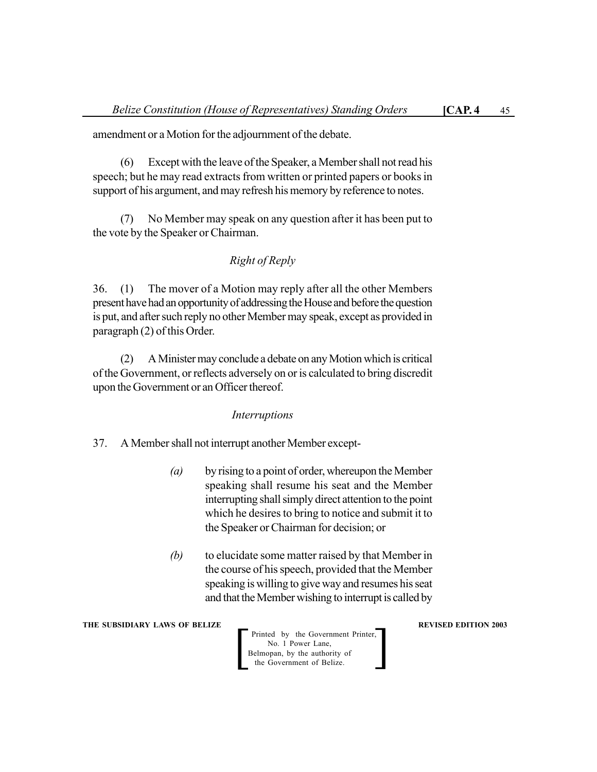amendment or a Motion for the adjournment of the debate.

(6) Except with the leave of the Speaker, a Member shall not read his speech; but he may read extracts from written or printed papers or books in support of his argument, and may refresh his memory by reference to notes.

(7) No Member may speak on any question after it has been put to the vote by the Speaker or Chairman.

# *Right of Reply*

36. (1) The mover of a Motion may reply after all the other Members present have had an opportunity of addressing the House and before the question is put, and after such reply no other Member may speak, except as provided in paragraph (2) of this Order.

(2) A Minister may conclude a debate on any Motion which is critical of the Government, or reflects adversely on or is calculated to bring discredit upon the Government or an Officer thereof.

# *Interruptions*

37. A Member shall not interrupt another Member except-

- *(a)* by rising to a point of order, whereupon the Member speaking shall resume his seat and the Member interrupting shall simply direct attention to the point which he desires to bring to notice and submit it to the Speaker or Chairman for decision; or
- *(b)* to elucidate some matter raised by that Member in the course of his speech, provided that the Member speaking is willing to give way and resumes his seat and that the Member wishing to interrupt is called by

**THE SUBSIDIARY LAWS OF BELIZE REVISED EDITION 2003**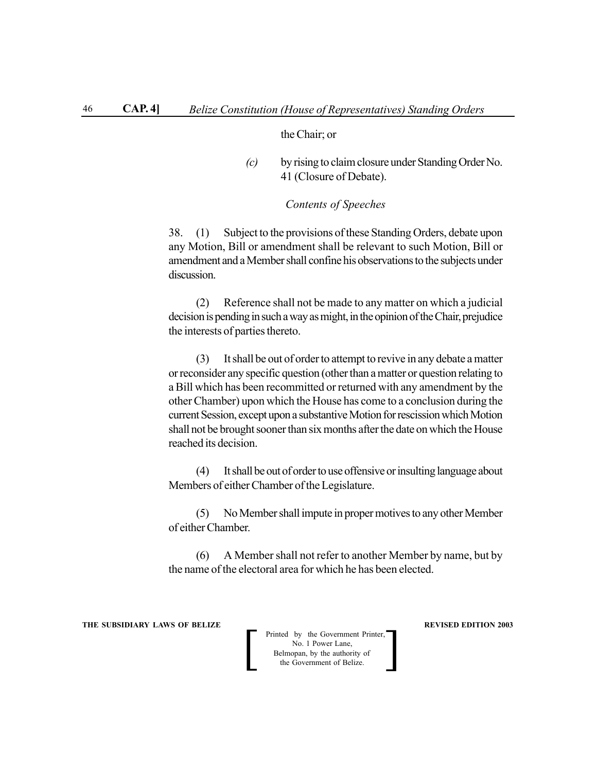# the Chair; or

*(c)* by rising to claim closure under Standing Order No. 41 (Closure of Debate).

# *Contents of Speeches*

38. (1) Subject to the provisions of these Standing Orders, debate upon any Motion, Bill or amendment shall be relevant to such Motion, Bill or amendment and a Member shall confine his observations to the subjects under discussion.

(2) Reference shall not be made to any matter on which a judicial decision is pending in such a way as might, in the opinion of the Chair, prejudice the interests of parties thereto.

(3) It shall be out of order to attempt to revive in any debate a matter or reconsider any specific question (other than a matter or question relating to a Bill which has been recommitted or returned with any amendment by the other Chamber) upon which the House has come to a conclusion during the current Session, except upon a substantive Motion for rescission which Motion shall not be brought sooner than six months after the date on which the House reached its decision.

(4) It shall be out of order to use offensive or insulting language about Members of either Chamber of the Legislature.

(5) No Member shall impute in proper motives to any other Member of either Chamber.

(6) A Member shall not refer to another Member by name, but by the name of the electoral area for which he has been elected.

**THE SUBSIDIARY LAWS OF BELIZE REVISED EDITION 2003**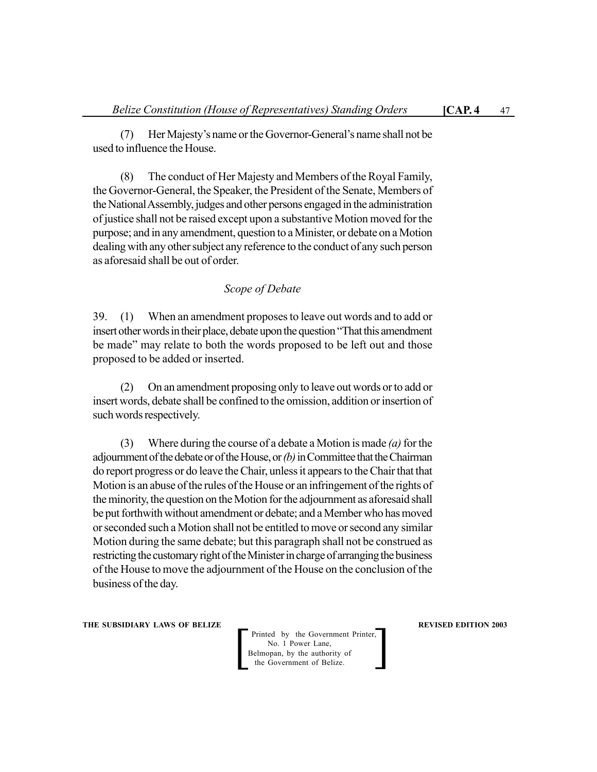(7) Her Majesty's name or the Governor-General's name shall not be used to influence the House.

(8) The conduct of Her Majesty and Members of the Royal Family, the Governor-General, the Speaker, the President of the Senate, Members of the National Assembly, judges and other persons engaged in the administration of justice shall not be raised except upon a substantive Motion moved for the purpose; and in any amendment, question to a Minister, or debate on a Motion dealing with any other subject any reference to the conduct of any such person as aforesaid shall be out of order.

# *Scope of Debate*

39. (1) When an amendment proposes to leave out words and to add or insert other words in their place, debate upon the question "That this amendment be made" may relate to both the words proposed to be left out and those proposed to be added or inserted.

(2) On an amendment proposing only to leave out words or to add or insert words, debate shall be confined to the omission, addition or insertion of such words respectively.

(3) Where during the course of a debate a Motion is made *(a)* for the adjournment of the debate or of the House, or *(b)* in Committee that the Chairman do report progress or do leave the Chair, unless it appears to the Chair that that Motion is an abuse of the rules of the House or an infringement of the rights of the minority, the question on the Motion for the adjournment as aforesaid shall be put forthwith without amendment or debate; and a Member who has moved or seconded such a Motion shall not be entitled to move or second any similar Motion during the same debate; but this paragraph shall not be construed as restricting the customary right of the Minister in charge of arranging the business of the House to move the adjournment of the House on the conclusion of the business of the day.

**THE SUBSIDIARY LAWS OF BELIZE REVISED EDITION 2003**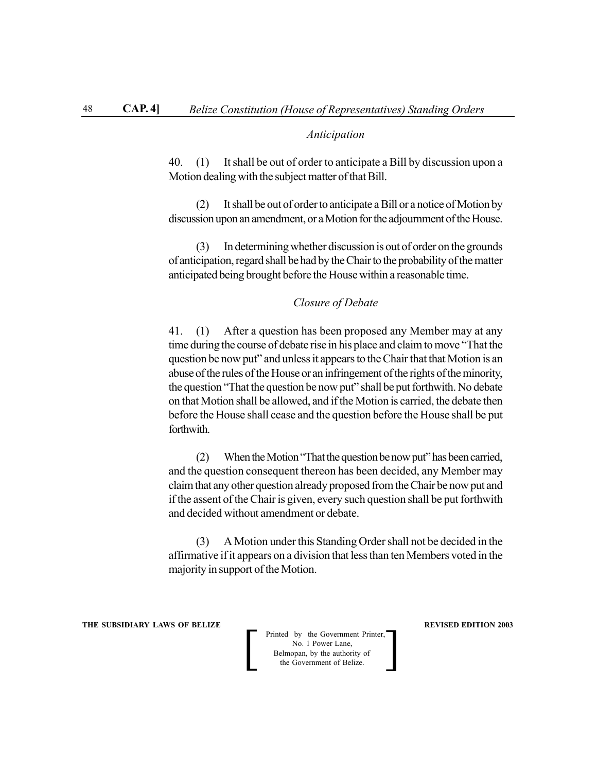### *Anticipation*

40. (1) It shall be out of order to anticipate a Bill by discussion upon a Motion dealing with the subject matter of that Bill.

(2) It shall be out of order to anticipate a Bill or a notice of Motion by discussion upon an amendment, or a Motion for the adjournment of the House.

(3) In determining whether discussion is out of order on the grounds of anticipation, regard shall be had by the Chair to the probability of the matter anticipated being brought before the House within a reasonable time.

# *Closure of Debate*

41. (1) After a question has been proposed any Member may at any time during the course of debate rise in his place and claim to move "That the question be now put" and unless it appears to the Chair that that Motion is an abuse of the rules of the House or an infringement of the rights of the minority, the question "That the question be now put" shall be put forthwith. No debate on that Motion shall be allowed, and if the Motion is carried, the debate then before the House shall cease and the question before the House shall be put forthwith.

(2) When the Motion "That the question be now put" has been carried, and the question consequent thereon has been decided, any Member may claim that any other question already proposed from the Chair be now put and if the assent of the Chair is given, every such question shall be put forthwith and decided without amendment or debate.

(3) A Motion under this Standing Order shall not be decided in the affirmative if it appears on a division that less than ten Members voted in the majority in support of the Motion.

**THE SUBSIDIARY LAWS OF BELIZE REVISED EDITION 2003**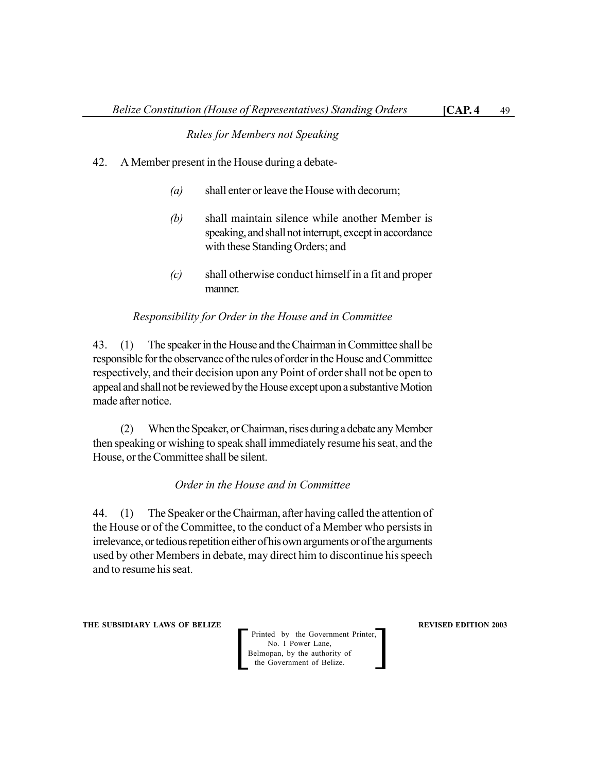# *Rules for Members not Speaking*

- 42. A Member present in the House during a debate-
	- *(a)* shall enter or leave the House with decorum;
	- *(b)* shall maintain silence while another Member is speaking, and shall not interrupt, except in accordance with these Standing Orders; and
	- *(c)* shall otherwise conduct himself in a fit and proper manner.

# *Responsibility for Order in the House and in Committee*

43. (1) The speaker in the House and the Chairman in Committee shall be responsible for the observance of the rules of order in the House and Committee respectively, and their decision upon any Point of order shall not be open to appeal and shall not be reviewed by the House except upon a substantive Motion made after notice.

(2) When the Speaker, or Chairman, rises during a debate any Member then speaking or wishing to speak shall immediately resume his seat, and the House, or the Committee shall be silent.

# *Order in the House and in Committee*

44. (1) The Speaker or the Chairman, after having called the attention of the House or of the Committee, to the conduct of a Member who persists in irrelevance, or tedious repetition either of his own arguments or of the arguments used by other Members in debate, may direct him to discontinue his speech and to resume his seat.

**THE SUBSIDIARY LAWS OF BELIZE REVISED EDITION 2003**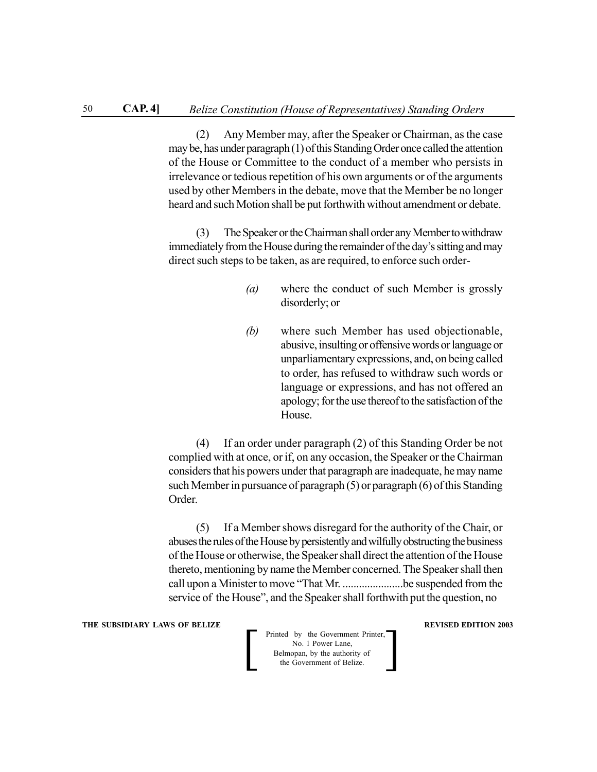(2) Any Member may, after the Speaker or Chairman, as the case may be, has under paragraph (1) of this Standing Order once called the attention of the House or Committee to the conduct of a member who persists in irrelevance or tedious repetition of his own arguments or of the arguments used by other Members in the debate, move that the Member be no longer heard and such Motion shall be put forthwith without amendment or debate.

(3) The Speaker or the Chairman shall order any Member to withdraw immediately from the House during the remainder of the day's sitting and may direct such steps to be taken, as are required, to enforce such order-

- *(a)* where the conduct of such Member is grossly disorderly; or
- *(b)* where such Member has used objectionable, abusive, insulting or offensive words or language or unparliamentary expressions, and, on being called to order, has refused to withdraw such words or language or expressions, and has not offered an apology; for the use thereof to the satisfaction of the House.

(4) If an order under paragraph (2) of this Standing Order be not complied with at once, or if, on any occasion, the Speaker or the Chairman considers that his powers under that paragraph are inadequate, he may name such Member in pursuance of paragraph (5) or paragraph (6) of this Standing Order.

(5) If a Member shows disregard for the authority of the Chair, or abuses the rules of the House by persistently and wilfully obstructing the business of the House or otherwise, the Speaker shall direct the attention of the House thereto, mentioning by name the Member concerned. The Speaker shall then call upon a Minister to move "That Mr. ......................be suspended from the service of the House", and the Speaker shall forthwith put the question, no

**THE SUBSIDIARY LAWS OF BELIZE REVISED EDITION 2003**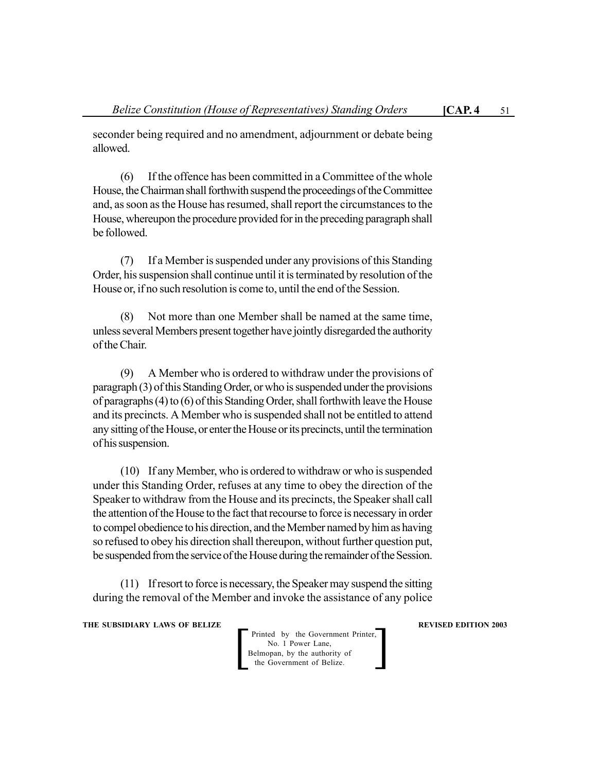seconder being required and no amendment, adjournment or debate being allowed.

(6) If the offence has been committed in a Committee of the whole House, the Chairman shall forthwith suspend the proceedings of the Committee and, as soon as the House has resumed, shall report the circumstances to the House, whereupon the procedure provided for in the preceding paragraph shall be followed.

(7) If a Member is suspended under any provisions of this Standing Order, his suspension shall continue until it is terminated by resolution of the House or, if no such resolution is come to, until the end of the Session.

(8) Not more than one Member shall be named at the same time, unless several Members present together have jointly disregarded the authority of the Chair.

(9) A Member who is ordered to withdraw under the provisions of paragraph (3) of this Standing Order, or who is suspended under the provisions of paragraphs (4) to (6) of this Standing Order, shall forthwith leave the House and its precincts. A Member who is suspended shall not be entitled to attend any sitting of the House, or enter the House or its precincts, until the termination of his suspension.

(10) If any Member, who is ordered to withdraw or who is suspended under this Standing Order, refuses at any time to obey the direction of the Speaker to withdraw from the House and its precincts, the Speaker shall call the attention of the House to the fact that recourse to force is necessary in order to compel obedience to his direction, and the Member named by him as having so refused to obey his direction shall thereupon, without further question put, be suspended from the service of the House during the remainder of the Session.

(11) If resort to force is necessary, the Speaker may suspend the sitting during the removal of the Member and invoke the assistance of any police

**THE SUBSIDIARY LAWS OF BELIZE REVISED EDITION 2003**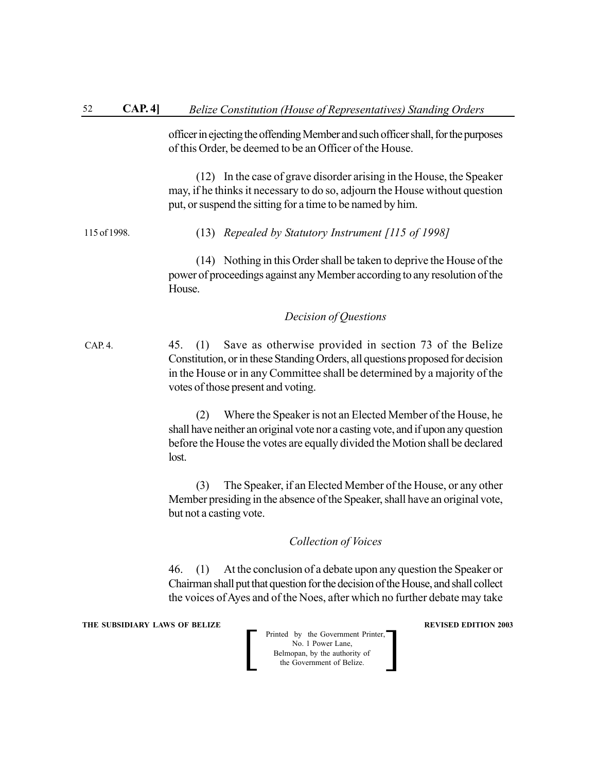officer in ejecting the offending Member and such officer shall, for the purposes of this Order, be deemed to be an Officer of the House.

(12) In the case of grave disorder arising in the House, the Speaker may, if he thinks it necessary to do so, adjourn the House without question put, or suspend the sitting for a time to be named by him.

#### (13) *Repealed by Statutory Instrument [115 of 1998]* 115 of 1998.

(14) Nothing in this Order shall be taken to deprive the House of the power of proceedings against any Member according to any resolution of the **House** 

# *Decision of Questions*

45. (1) Save as otherwise provided in section 73 of the Belize Constitution, or in these Standing Orders, all questions proposed for decision in the House or in any Committee shall be determined by a majority of the votes of those present and voting.  $CAP. 4.$ 

> (2) Where the Speaker is not an Elected Member of the House, he shall have neither an original vote nor a casting vote, and if upon any question before the House the votes are equally divided the Motion shall be declared lost.

> (3) The Speaker, if an Elected Member of the House, or any other Member presiding in the absence of the Speaker, shall have an original vote, but not a casting vote.

# *Collection of Voices*

46. (1) At the conclusion of a debate upon any question the Speaker or Chairman shall put that question for the decision of the House, and shall collect the voices of Ayes and of the Noes, after which no further debate may take

**THE SUBSIDIARY LAWS OF BELIZE REVISED EDITION 2003** 

| Printed by the Government Printer,<br>No. 1 Power Lane,    |  |
|------------------------------------------------------------|--|
| Belmopan, by the authority of<br>the Government of Belize. |  |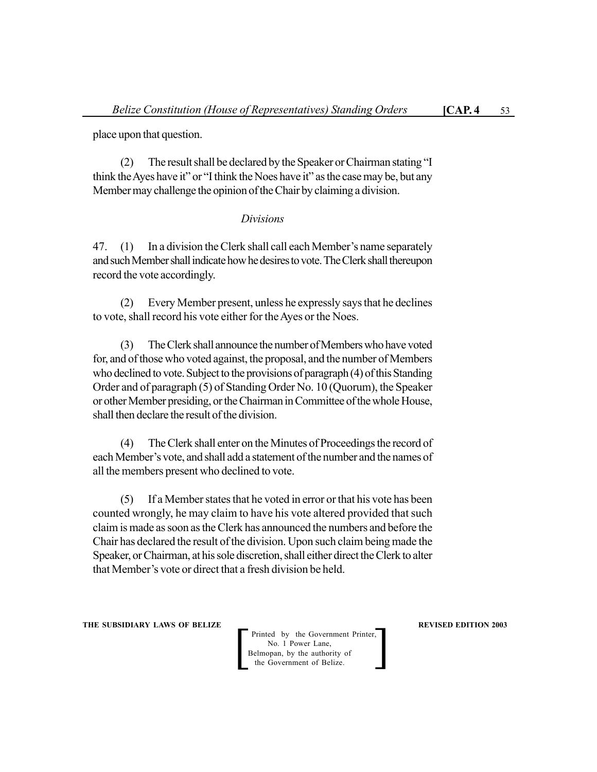place upon that question.

(2) The result shall be declared by the Speaker or Chairman stating "I think the Ayes have it" or "I think the Noes have it" as the case may be, but any Member may challenge the opinion of the Chair by claiming a division.

### *Divisions*

47. (1) In a division the Clerk shall call each Member's name separately and such Member shall indicate how he desires to vote. The Clerk shall thereupon record the vote accordingly.

(2) Every Member present, unless he expressly says that he declines to vote, shall record his vote either for the Ayes or the Noes.

(3) The Clerk shall announce the number of Members who have voted for, and of those who voted against, the proposal, and the number of Members who declined to vote. Subject to the provisions of paragraph (4) of this Standing Order and of paragraph (5) of Standing Order No. 10 (Quorum), the Speaker or other Member presiding, or the Chairman in Committee of the whole House, shall then declare the result of the division.

(4) The Clerk shall enter on the Minutes of Proceedings the record of each Member's vote, and shall add a statement of the number and the names of all the members present who declined to vote.

(5) If a Member states that he voted in error or that his vote has been counted wrongly, he may claim to have his vote altered provided that such claim is made as soon as the Clerk has announced the numbers and before the Chair has declared the result of the division. Upon such claim being made the Speaker, or Chairman, at his sole discretion, shall either direct the Clerk to alter that Member's vote or direct that a fresh division be held.

**THE SUBSIDIARY LAWS OF BELIZE REVISED EDITION 2003**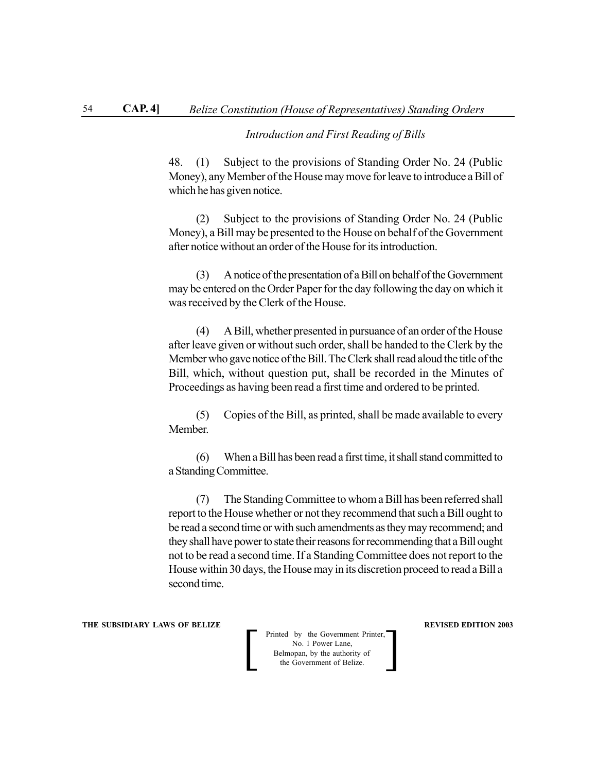# *Introduction and First Reading of Bills*

48. (1) Subject to the provisions of Standing Order No. 24 (Public Money), any Member of the House may move for leave to introduce a Bill of which he has given notice.

(2) Subject to the provisions of Standing Order No. 24 (Public Money), a Bill may be presented to the House on behalf of the Government after notice without an order of the House for its introduction.

(3) A notice of the presentation of a Bill on behalf of the Government may be entered on the Order Paper for the day following the day on which it was received by the Clerk of the House.

(4) A Bill, whether presented in pursuance of an order of the House after leave given or without such order, shall be handed to the Clerk by the Member who gave notice of the Bill. The Clerk shall read aloud the title of the Bill, which, without question put, shall be recorded in the Minutes of Proceedings as having been read a first time and ordered to be printed.

(5) Copies of the Bill, as printed, shall be made available to every Member.

(6) When a Bill has been read a first time, it shall stand committed to a Standing Committee.

(7) The Standing Committee to whom a Bill has been referred shall report to the House whether or not they recommend that such a Bill ought to be read a second time or with such amendments as they may recommend; and they shall have power to state their reasons for recommending that a Bill ought not to be read a second time. If a Standing Committee does not report to the House within 30 days, the House may in its discretion proceed to read a Bill a second time.

#### **THE SUBSIDIARY LAWS OF BELIZE REVISED EDITION 2003**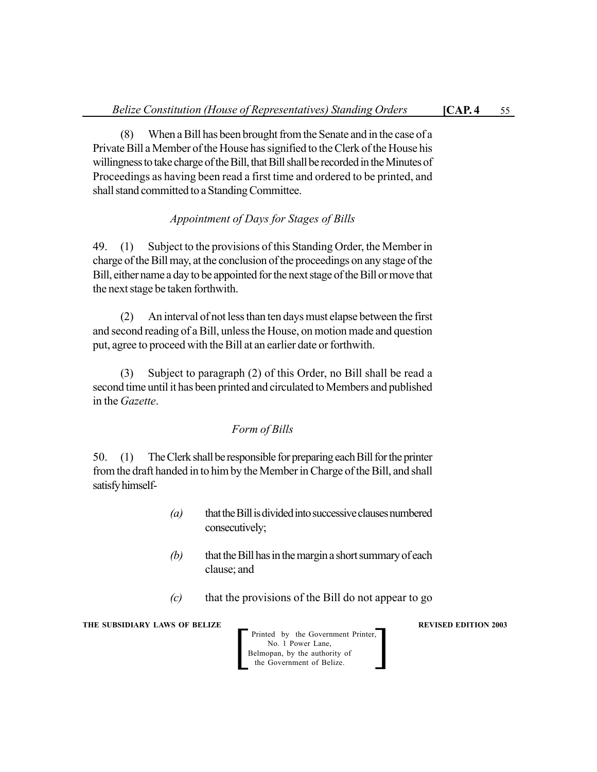(8) When a Bill has been brought from the Senate and in the case of a Private Bill a Member of the House has signified to the Clerk of the House his willingness to take charge of the Bill, that Bill shall be recorded in the Minutes of Proceedings as having been read a first time and ordered to be printed, and shall stand committed to a Standing Committee.

# *Appointment of Days for Stages of Bills*

49. (1) Subject to the provisions of this Standing Order, the Member in charge of the Bill may, at the conclusion of the proceedings on any stage of the Bill, either name a day to be appointed for the next stage of the Bill or move that the next stage be taken forthwith.

(2) An interval of not less than ten days must elapse between the first and second reading of a Bill, unless the House, on motion made and question put, agree to proceed with the Bill at an earlier date or forthwith.

(3) Subject to paragraph (2) of this Order, no Bill shall be read a second time until it has been printed and circulated to Members and published in the *Gazette*.

# *Form of Bills*

50. (1) The Clerk shall be responsible for preparing each Bill for the printer from the draft handed in to him by the Member in Charge of the Bill, and shall satisfy himself-

- *(a)* that the Bill is divided into successive clauses numbered consecutively;
- *(b)* that the Bill has in the margin a short summary of each clause; and
- *(c)* that the provisions of the Bill do not appear to go

**THE SUBSIDIARY LAWS OF BELIZE REVISED EDITION 2003**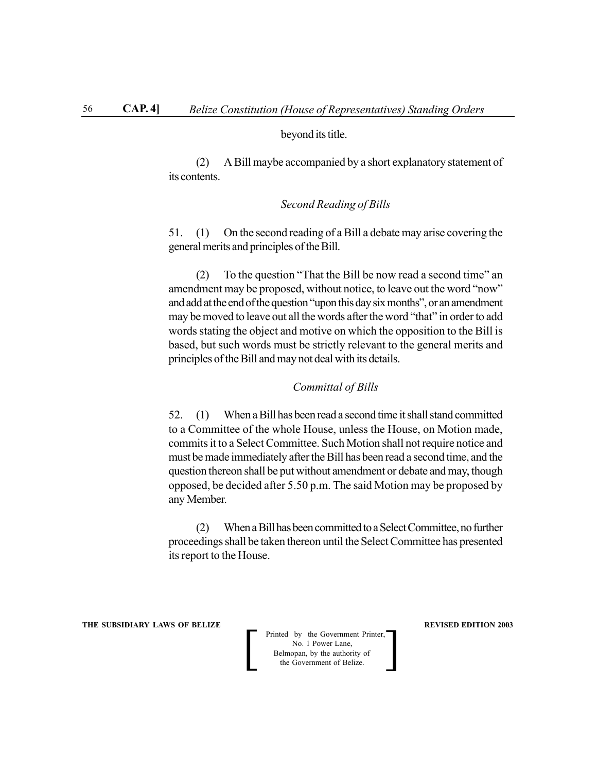### beyond its title.

(2) A Bill maybe accompanied by a short explanatory statement of its contents.

# *Second Reading of Bills*

51. (1) On the second reading of a Bill a debate may arise covering the general merits and principles of the Bill.

(2) To the question "That the Bill be now read a second time" an amendment may be proposed, without notice, to leave out the word "now" and add at the end of the question "upon this day six months", or an amendment may be moved to leave out all the words after the word "that" in order to add words stating the object and motive on which the opposition to the Bill is based, but such words must be strictly relevant to the general merits and principles of the Bill and may not deal with its details.

### *Committal of Bills*

52. (1) When a Bill has been read a second time it shall stand committed to a Committee of the whole House, unless the House, on Motion made, commits it to a Select Committee. Such Motion shall not require notice and must be made immediately after the Bill has been read a second time, and the question thereon shall be put without amendment or debate and may, though opposed, be decided after 5.50 p.m. The said Motion may be proposed by any Member.

(2) When a Bill has been committed to a Select Committee, no further proceedings shall be taken thereon until the Select Committee has presented its report to the House.

**THE SUBSIDIARY LAWS OF BELIZE REVISED EDITION 2003**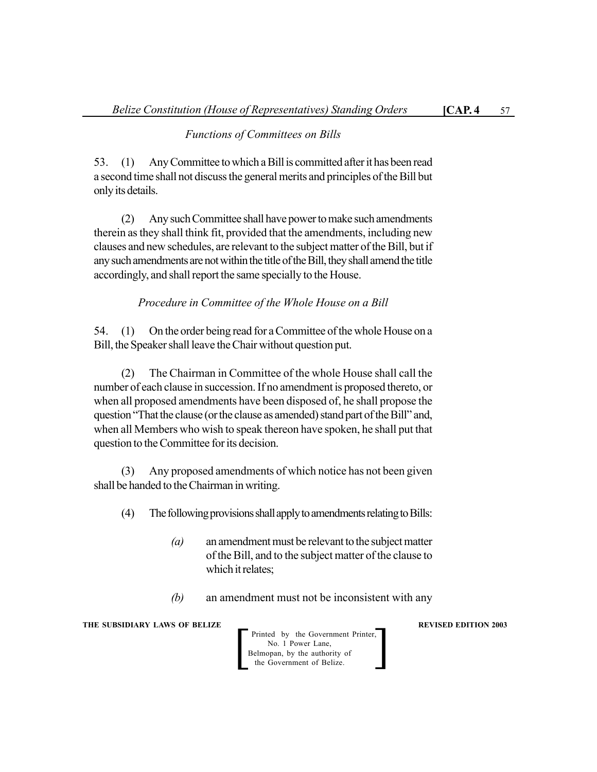# *Functions of Committees on Bills*

53. (1) Any Committee to which a Bill is committed after it has been read a second time shall not discuss the general merits and principles of the Bill but only its details.

(2) Any such Committee shall have power to make such amendments therein as they shall think fit, provided that the amendments, including new clauses and new schedules, are relevant to the subject matter of the Bill, but if any such amendments are not within the title of the Bill, they shall amend the title accordingly, and shall report the same specially to the House.

*Procedure in Committee of the Whole House on a Bill*

54. (1) On the order being read for a Committee of the whole House on a Bill, the Speaker shall leave the Chair without question put.

(2) The Chairman in Committee of the whole House shall call the number of each clause in succession. If no amendment is proposed thereto, or when all proposed amendments have been disposed of, he shall propose the question "That the clause (or the clause as amended) stand part of the Bill" and, when all Members who wish to speak thereon have spoken, he shall put that question to the Committee for its decision.

(3) Any proposed amendments of which notice has not been given shall be handed to the Chairman in writing.

(4) The following provisions shall apply to amendments relating to Bills:

- *(a)* an amendment must be relevant to the subject matter of the Bill, and to the subject matter of the clause to which it relates;
- *(b)* an amendment must not be inconsistent with any

**THE SUBSIDIARY LAWS OF BELIZE REVISED EDITION 2003**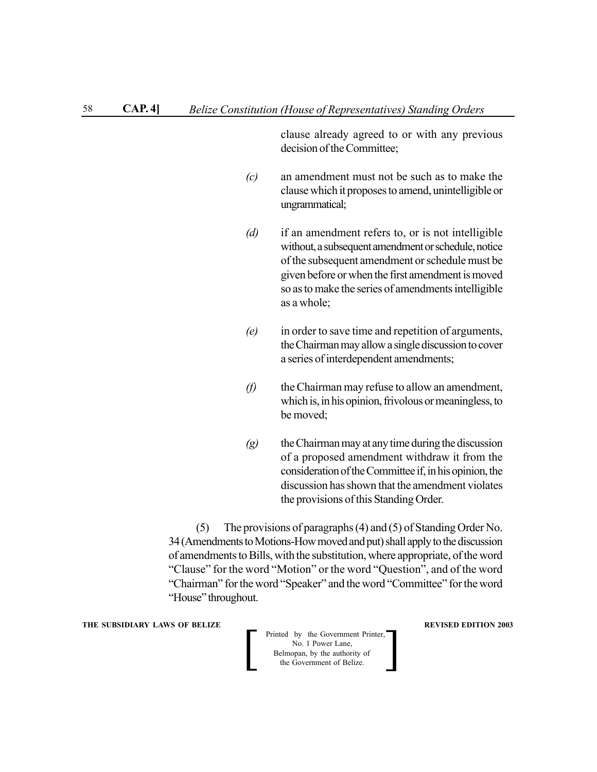clause already agreed to or with any previous decision of the Committee;

- *(c)* an amendment must not be such as to make the clause which it proposes to amend, unintelligible or ungrammatical;
- *(d)* if an amendment refers to, or is not intelligible without, a subsequent amendment or schedule, notice of the subsequent amendment or schedule must be given before or when the first amendment is moved so as to make the series of amendments intelligible as a whole;
- *(e)* in order to save time and repetition of arguments, the Chairman may allow a single discussion to cover a series of interdependent amendments;
- *(f)* the Chairman may refuse to allow an amendment, which is, in his opinion, frivolous or meaningless, to be moved;
- *(g)* the Chairman may at any time during the discussion of a proposed amendment withdraw it from the consideration of the Committee if, in his opinion, the discussion has shown that the amendment violates the provisions of this Standing Order.

(5) The provisions of paragraphs (4) and (5) of Standing Order No. 34 (Amendments to Motions-How moved and put) shall apply to the discussion of amendments to Bills, with the substitution, where appropriate, of the word "Clause" for the word "Motion" or the word "Question", and of the word "Chairman" for the word "Speaker" and the word "Committee" for the word "House" throughout.

### **THE SUBSIDIARY LAWS OF BELIZE REVISED EDITION 2003**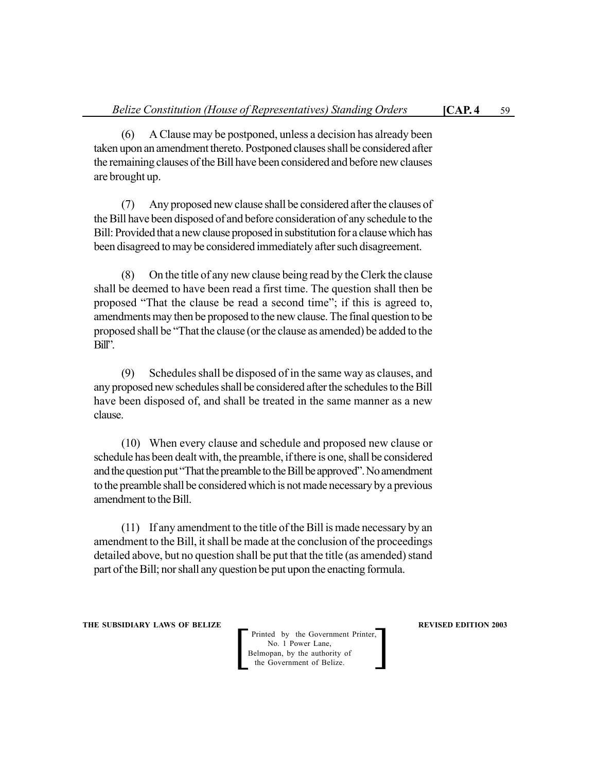(6) A Clause may be postponed, unless a decision has already been taken upon an amendment thereto. Postponed clauses shall be considered after the remaining clauses of the Bill have been considered and before new clauses are brought up.

(7) Any proposed new clause shall be considered after the clauses of the Bill have been disposed of and before consideration of any schedule to the Bill: Provided that a new clause proposed in substitution for a clause which has been disagreed to may be considered immediately after such disagreement.

(8) On the title of any new clause being read by the Clerk the clause shall be deemed to have been read a first time. The question shall then be proposed "That the clause be read a second time"; if this is agreed to, amendments may then be proposed to the new clause. The final question to be proposed shall be "That the clause (or the clause as amended) be added to the Bill".

(9) Schedules shall be disposed of in the same way as clauses, and any proposed new schedules shall be considered after the schedules to the Bill have been disposed of, and shall be treated in the same manner as a new clause.

(10) When every clause and schedule and proposed new clause or schedule has been dealt with, the preamble, if there is one, shall be considered and the question put "That the preamble to the Bill be approved". No amendment to the preamble shall be considered which is not made necessary by a previous amendment to the Bill.

(11) If any amendment to the title of the Bill is made necessary by an amendment to the Bill, it shall be made at the conclusion of the proceedings detailed above, but no question shall be put that the title (as amended) stand part of the Bill; nor shall any question be put upon the enacting formula.

**THE SUBSIDIARY LAWS OF BELIZE REVISED EDITION 2003** 

Printed by the Government Printer, No. 1 Power Lane, Printed by the Government Printer,<br>
No. 1 Power Lane,<br>
Belmopan, by the authority of<br>
the Government of Belize.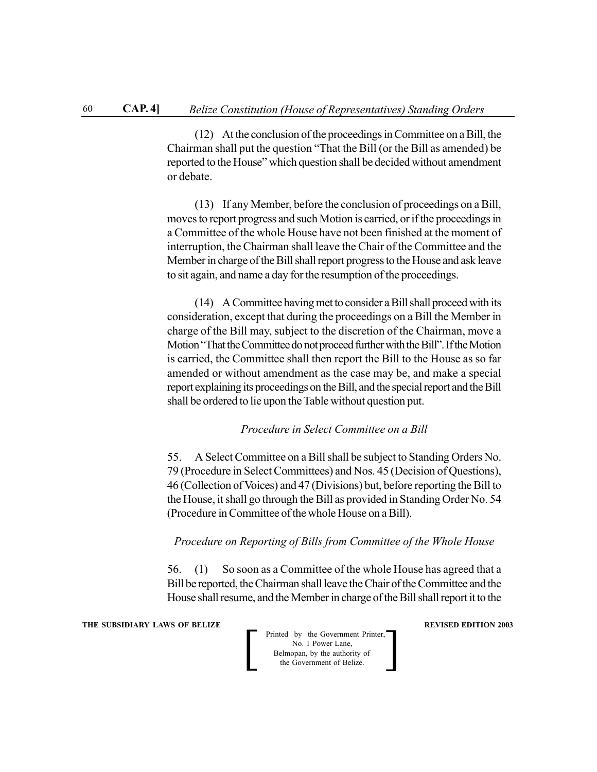(12) At the conclusion of the proceedings in Committee on a Bill, the Chairman shall put the question "That the Bill (or the Bill as amended) be reported to the House" which question shall be decided without amendment or debate.

(13) If any Member, before the conclusion of proceedings on a Bill, moves to report progress and such Motion is carried, or if the proceedings in a Committee of the whole House have not been finished at the moment of interruption, the Chairman shall leave the Chair of the Committee and the Member in charge of the Bill shall report progress to the House and ask leave to sit again, and name a day for the resumption of the proceedings.

(14) A Committee having met to consider a Bill shall proceed with its consideration, except that during the proceedings on a Bill the Member in charge of the Bill may, subject to the discretion of the Chairman, move a Motion "That the Committee do not proceed further with the Bill". If the Motion is carried, the Committee shall then report the Bill to the House as so far amended or without amendment as the case may be, and make a special report explaining its proceedings on the Bill, and the special report and the Bill shall be ordered to lie upon the Table without question put.

# *Procedure in Select Committee on a Bill*

55. A Select Committee on a Bill shall be subject to Standing Orders No. 79 (Procedure in Select Committees) and Nos. 45 (Decision of Questions), 46 (Collection of Voices) and 47 (Divisions) but, before reporting the Bill to the House, it shall go through the Bill as provided in Standing Order No. 54 (Procedure in Committee of the whole House on a Bill).

### *Procedure on Reporting of Bills from Committee of the Whole House*

56. (1) So soon as a Committee of the whole House has agreed that a Bill be reported, the Chairman shall leave the Chair of the Committee and the House shall resume, and the Member in charge of the Bill shall report it to the

**THE SUBSIDIARY LAWS OF BELIZE REVISED EDITION 2003** 

| Printed by the Government Printer,<br>No. 1 Power Lane,    |  |
|------------------------------------------------------------|--|
| Belmopan, by the authority of<br>the Government of Belize. |  |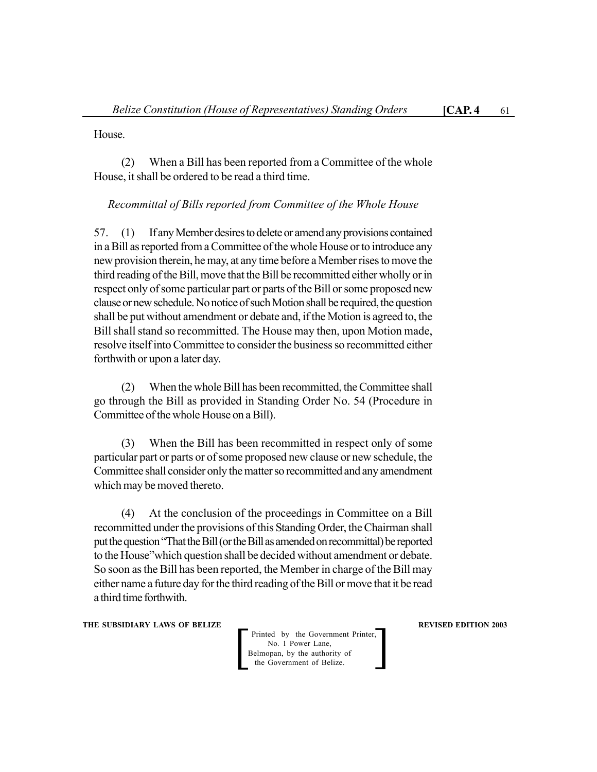House.

(2) When a Bill has been reported from a Committee of the whole House, it shall be ordered to be read a third time.

# *Recommittal of Bills reported from Committee of the Whole House*

57. (1) If any Member desires to delete or amend any provisions contained in a Bill as reported from a Committee of the whole House or to introduce any new provision therein, he may, at any time before a Member rises to move the third reading of the Bill, move that the Bill be recommitted either wholly or in respect only of some particular part or parts of the Bill or some proposed new clause or new schedule. No notice of such Motion shall be required, the question shall be put without amendment or debate and, if the Motion is agreed to, the Bill shall stand so recommitted. The House may then, upon Motion made, resolve itself into Committee to consider the business so recommitted either forthwith or upon a later day.

(2) When the whole Bill has been recommitted, the Committee shall go through the Bill as provided in Standing Order No. 54 (Procedure in Committee of the whole House on a Bill).

(3) When the Bill has been recommitted in respect only of some particular part or parts or of some proposed new clause or new schedule, the Committee shall consider only the matter so recommitted and any amendment which may be moved thereto.

(4) At the conclusion of the proceedings in Committee on a Bill recommitted under the provisions of this Standing Order, the Chairman shall put the question "That the Bill (or the Bill as amended on recommittal) be reported to the House"which question shall be decided without amendment or debate. So soon as the Bill has been reported, the Member in charge of the Bill may either name a future day for the third reading of the Bill or move that it be read a third time forthwith.

**THE SUBSIDIARY LAWS OF BELIZE REVISED EDITION 2003** 

Printed by the Government Printer, No. 1 Power Lane, Printed by the Government Printer,<br>
No. 1 Power Lane,<br>
Belmopan, by the authority of<br>
the Government of Belize.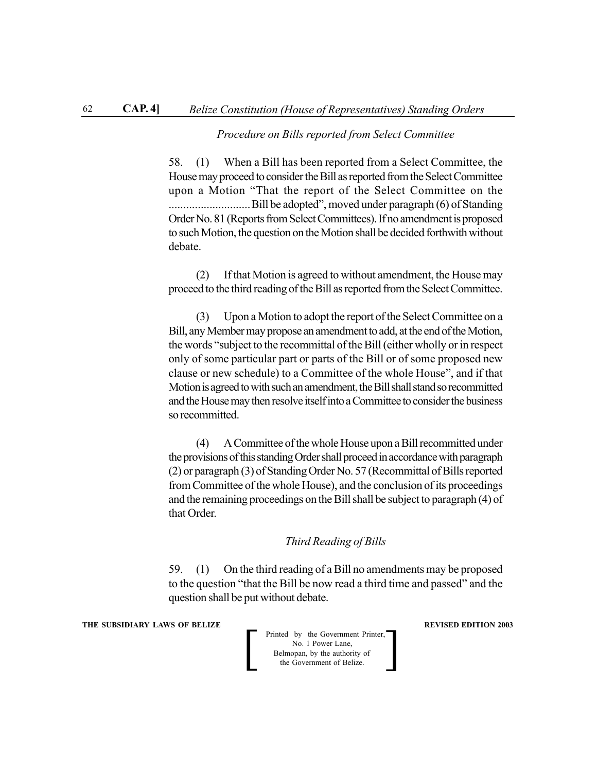### *Procedure on Bills reported from Select Committee*

58. (1) When a Bill has been reported from a Select Committee, the House may proceed to consider the Bill as reported from the Select Committee upon a Motion "That the report of the Select Committee on the ............................Bill be adopted", moved under paragraph (6) of Standing Order No. 81 (Reports from Select Committees). If no amendment is proposed to such Motion, the question on the Motion shall be decided forthwith without debate.

(2) If that Motion is agreed to without amendment, the House may proceed to the third reading of the Bill as reported from the Select Committee.

(3) Upon a Motion to adopt the report of the Select Committee on a Bill, any Member may propose an amendment to add, at the end of the Motion, the words "subject to the recommittal of the Bill (either wholly or in respect only of some particular part or parts of the Bill or of some proposed new clause or new schedule) to a Committee of the whole House", and if that Motion is agreed to with such an amendment, the Bill shall stand so recommitted and the House may then resolve itself into a Committee to consider the business so recommitted.

(4) A Committee of the whole House upon a Bill recommitted under the provisions of this standing Order shall proceed in accordance with paragraph (2) or paragraph (3) of Standing Order No. 57 (Recommittal of Bills reported from Committee of the whole House), and the conclusion of its proceedings and the remaining proceedings on the Bill shall be subject to paragraph (4) of that Order.

### *Third Reading of Bills*

59. (1) On the third reading of a Bill no amendments may be proposed to the question "that the Bill be now read a third time and passed" and the question shall be put without debate.

**THE SUBSIDIARY LAWS OF BELIZE REVISED EDITION 2003** 

**Printed by the Government Printer,**<br>
No. 1 Power Lane,<br>
Belmopan, by the authority of<br>
the Government of Belize. No. 1 Power Lane, Belmopan, by the authority of<br>the Government of Belize.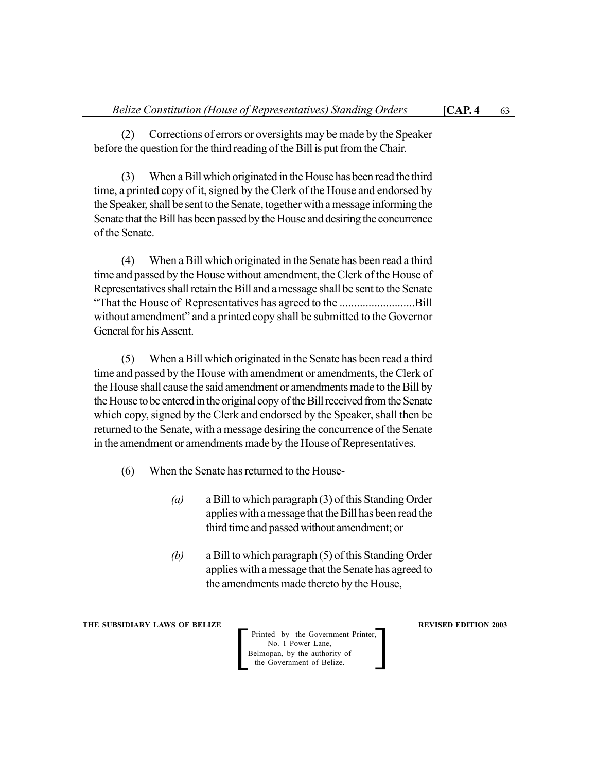(2) Corrections of errors or oversights may be made by the Speaker before the question for the third reading of the Bill is put from the Chair.

(3) When a Bill which originated in the House has been read the third time, a printed copy of it, signed by the Clerk of the House and endorsed by the Speaker, shall be sent to the Senate, together with a message informing the Senate that the Bill has been passed by the House and desiring the concurrence of the Senate.

(4) When a Bill which originated in the Senate has been read a third time and passed by the House without amendment, the Clerk of the House of Representatives shall retain the Bill and a message shall be sent to the Senate "That the House of Representatives has agreed to the ..........................Bill without amendment" and a printed copy shall be submitted to the Governor General for his Assent.

(5) When a Bill which originated in the Senate has been read a third time and passed by the House with amendment or amendments, the Clerk of the House shall cause the said amendment or amendments made to the Bill by the House to be entered in the original copy of the Bill received from the Senate which copy, signed by the Clerk and endorsed by the Speaker, shall then be returned to the Senate, with a message desiring the concurrence of the Senate in the amendment or amendments made by the House of Representatives.

- (6) When the Senate has returned to the House-
	- *(a)* a Bill to which paragraph (3) of this Standing Order applies with a message that the Bill has been read the third time and passed without amendment; or
	- *(b)* a Bill to which paragraph (5) of this Standing Order applies with a message that the Senate has agreed to the amendments made thereto by the House,

**THE SUBSIDIARY LAWS OF BELIZE REVISED EDITION 2003**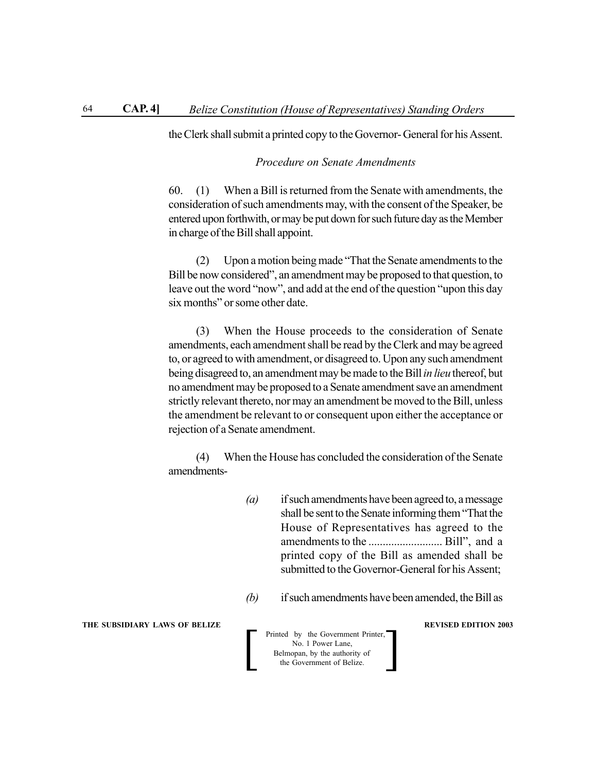the Clerk shall submit a printed copy to the Governor- General for his Assent.

# *Procedure on Senate Amendments*

60. (1) When a Bill is returned from the Senate with amendments, the consideration of such amendments may, with the consent of the Speaker, be entered upon forthwith, or may be put down for such future day as the Member in charge of the Bill shall appoint.

(2) Upon a motion being made "That the Senate amendments to the Bill be now considered", an amendment may be proposed to that question, to leave out the word "now", and add at the end of the question "upon this day six months" or some other date.

(3) When the House proceeds to the consideration of Senate amendments, each amendment shall be read by the Clerk and may be agreed to, or agreed to with amendment, or disagreed to. Upon any such amendment being disagreed to, an amendment may be made to the Bill *in lieu* thereof, but no amendment may be proposed to a Senate amendment save an amendment strictly relevant thereto, nor may an amendment be moved to the Bill, unless the amendment be relevant to or consequent upon either the acceptance or rejection of a Senate amendment.

(4) When the House has concluded the consideration of the Senate amendments-

- *(a)* if such amendments have been agreed to, a message shall be sent to the Senate informing them "That the House of Representatives has agreed to the amendments to the .......................... Bill", and a printed copy of the Bill as amended shall be submitted to the Governor-General for his Assent;
- *(b)* if such amendments have been amended, the Bill as

**THE SUBSIDIARY LAWS OF BELIZE REVISED EDITION 2003**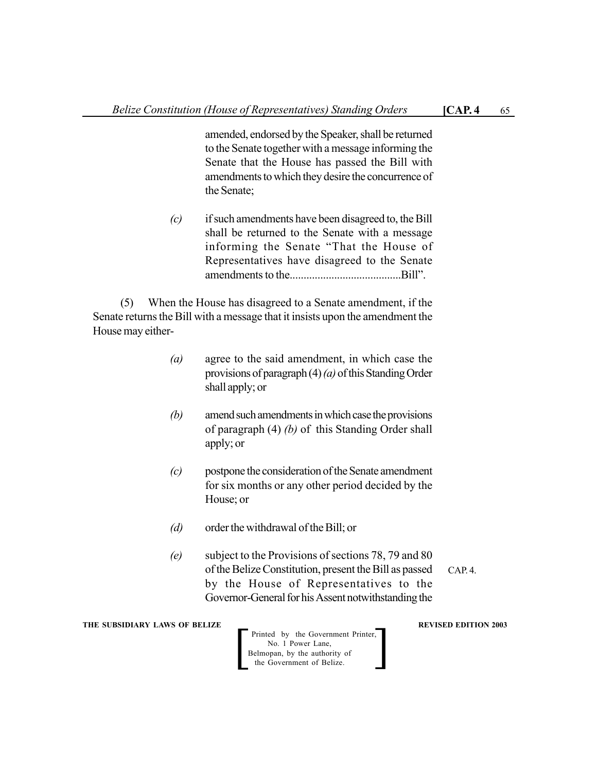amended, endorsed by the Speaker, shall be returned to the Senate together with a message informing the Senate that the House has passed the Bill with amendments to which they desire the concurrence of the Senate;

*(c)* if such amendments have been disagreed to, the Bill shall be returned to the Senate with a message informing the Senate "That the House of Representatives have disagreed to the Senate amendments to the........................................Bill".

(5) When the House has disagreed to a Senate amendment, if the Senate returns the Bill with a message that it insists upon the amendment the House may either-

- *(a)* agree to the said amendment, in which case the provisions of paragraph (4) *(a)* of this Standing Order shall apply; or
- *(b)* amend such amendments in which case the provisions of paragraph (4) *(b)* of this Standing Order shall apply; or
- *(c)* postpone the consideration of the Senate amendment for six months or any other period decided by the House; or
- *(d)* order the withdrawal of the Bill; or
- *(e)* subject to the Provisions of sections 78, 79 and 80 of the Belize Constitution, present the Bill as passed by the House of Representatives to the Governor-General for his Assent notwithstanding the  $CAP. 4.$

**THE SUBSIDIARY LAWS OF BELIZE SUBSIDIARY LAWS OF BELIZE**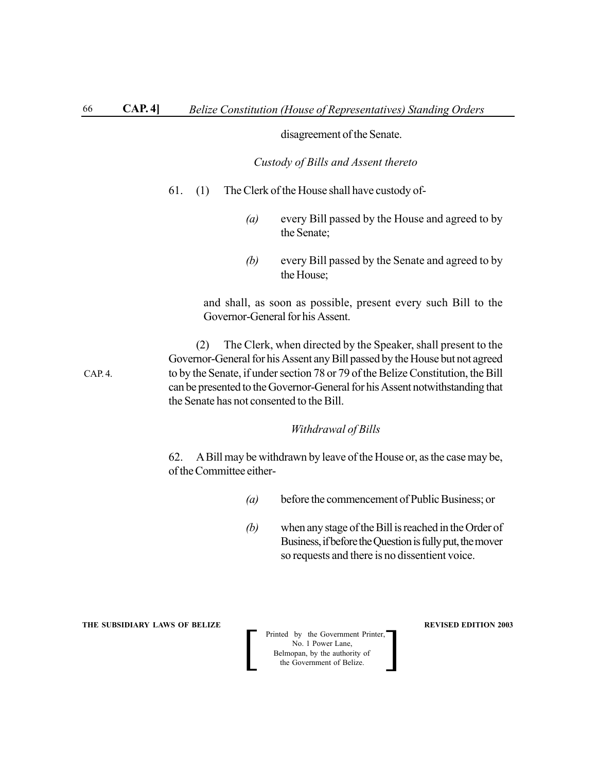### disagreement of the Senate.

*Custody of Bills and Assent thereto*

- 61. (1) The Clerk of the House shall have custody of-
	- *(a)* every Bill passed by the House and agreed to by the Senate;
	- *(b)* every Bill passed by the Senate and agreed to by the House;

and shall, as soon as possible, present every such Bill to the Governor-General for his Assent.

(2) The Clerk, when directed by the Speaker, shall present to the Governor-General for his Assent any Bill passed by the House but not agreed to by the Senate, if under section 78 or 79 of the Belize Constitution, the Bill can be presented to the Governor-General for his Assent notwithstanding that the Senate has not consented to the Bill.

### *Withdrawal of Bills*

62. A Bill may be withdrawn by leave of the House or, as the case may be, of the Committee either-

- *(a)* before the commencement of Public Business; or
- *(b)* when any stage of the Bill is reached in the Order of Business, if before the Question is fully put, the mover so requests and there is no dissentient voice.

**THE SUBSIDIARY LAWS OF BELIZE REVISED EDITION 2003** 

**Printed by the Government Printer,**<br>
No. 1 Power Lane,<br>
Belmopan, by the authority of<br>
the Government of Belize. No. 1 Power Lane, Belmopan, by the authority of<br>the Government of Belize.

CAP. 4.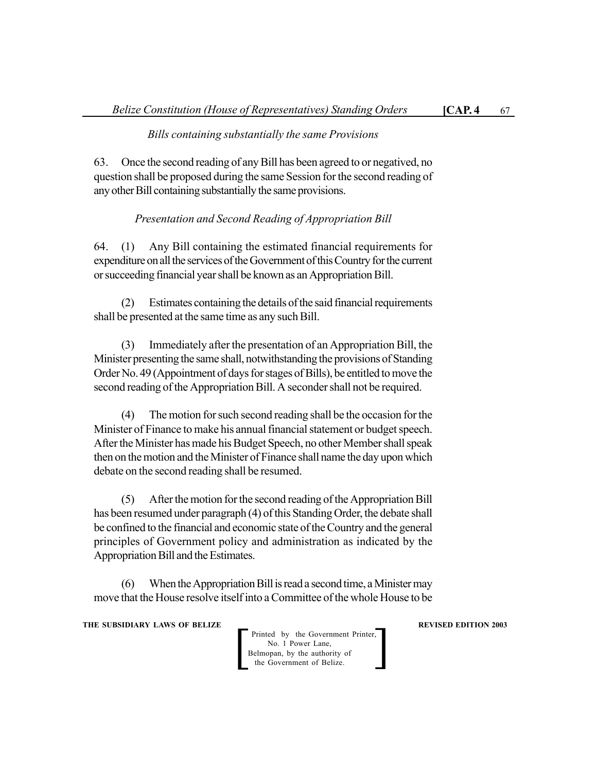# *Bills containing substantially the same Provisions*

63. Once the second reading of any Bill has been agreed to or negatived, no question shall be proposed during the same Session for the second reading of any other Bill containing substantially the same provisions.

# *Presentation and Second Reading of Appropriation Bill*

64. (1) Any Bill containing the estimated financial requirements for expenditure on all the services of the Government of this Country for the current or succeeding financial year shall be known as an Appropriation Bill.

(2) Estimates containing the details of the said financial requirements shall be presented at the same time as any such Bill.

(3) Immediately after the presentation of an Appropriation Bill, the Minister presenting the same shall, notwithstanding the provisions of Standing Order No. 49 (Appointment of days for stages of Bills), be entitled to move the second reading of the Appropriation Bill. A seconder shall not be required.

(4) The motion for such second reading shall be the occasion for the Minister of Finance to make his annual financial statement or budget speech. After the Minister has made his Budget Speech, no other Member shall speak then on the motion and the Minister of Finance shall name the day upon which debate on the second reading shall be resumed.

(5) After the motion for the second reading of the Appropriation Bill has been resumed under paragraph (4) of this Standing Order, the debate shall be confined to the financial and economic state of the Country and the general principles of Government policy and administration as indicated by the Appropriation Bill and the Estimates.

(6) When the Appropriation Bill is read a second time, a Minister may move that the House resolve itself into a Committee of the whole House to be

**THE SUBSIDIARY LAWS OF BELIZE REVISED EDITION 2003**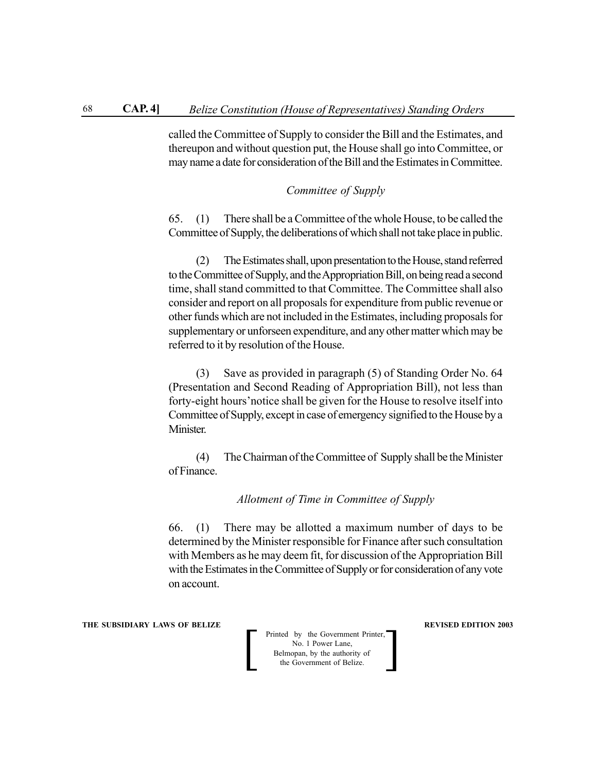called the Committee of Supply to consider the Bill and the Estimates, and thereupon and without question put, the House shall go into Committee, or may name a date for consideration of the Bill and the Estimates in Committee.

# *Committee of Supply*

65. (1) There shall be a Committee of the whole House, to be called the Committee of Supply, the deliberations of which shall not take place in public.

(2) The Estimates shall, upon presentation to the House, stand referred to the Committee of Supply, and the Appropriation Bill, on being read a second time, shall stand committed to that Committee. The Committee shall also consider and report on all proposals for expenditure from public revenue or other funds which are not included in the Estimates, including proposals for supplementary or unforseen expenditure, and any other matter which may be referred to it by resolution of the House.

(3) Save as provided in paragraph (5) of Standing Order No. 64 (Presentation and Second Reading of Appropriation Bill), not less than forty-eight hours'notice shall be given for the House to resolve itself into Committee of Supply, except in case of emergency signified to the House by a Minister.

(4) The Chairman of the Committee of Supply shall be the Minister of Finance.

*Allotment of Time in Committee of Supply*

66. (1) There may be allotted a maximum number of days to be determined by the Minister responsible for Finance after such consultation with Members as he may deem fit, for discussion of the Appropriation Bill with the Estimates in the Committee of Supply or for consideration of any vote on account.

**THE SUBSIDIARY LAWS OF BELIZE REVISED EDITION 2003**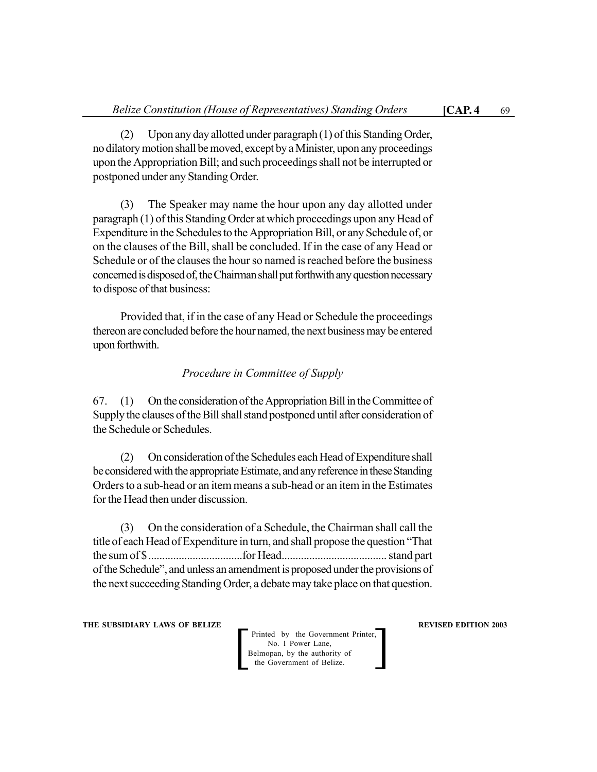(2) Upon any day allotted under paragraph (1) of this Standing Order, no dilatory motion shall be moved, except by a Minister, upon any proceedings upon the Appropriation Bill; and such proceedings shall not be interrupted or postponed under any Standing Order.

(3) The Speaker may name the hour upon any day allotted under paragraph (1) of this Standing Order at which proceedings upon any Head of Expenditure in the Schedules to the Appropriation Bill, or any Schedule of, or on the clauses of the Bill, shall be concluded. If in the case of any Head or Schedule or of the clauses the hour so named is reached before the business concerned is disposed of, the Chairman shall put forthwith any question necessary to dispose of that business:

Provided that, if in the case of any Head or Schedule the proceedings thereon are concluded before the hour named, the next business may be entered upon forthwith.

# *Procedure in Committee of Supply*

67. (1) On the consideration of the Appropriation Bill in the Committee of Supply the clauses of the Bill shall stand postponed until after consideration of the Schedule or Schedules.

(2) On consideration of the Schedules each Head of Expenditure shall be considered with the appropriate Estimate, and any reference in these Standing Orders to a sub-head or an item means a sub-head or an item in the Estimates for the Head then under discussion.

(3) On the consideration of a Schedule, the Chairman shall call the title of each Head of Expenditure in turn, and shall propose the question "That the sum of \$..................................for Head...................................... stand part of the Schedule", and unless an amendment is proposed under the provisions of the next succeeding Standing Order, a debate may take place on that question.

**THE SUBSIDIARY LAWS OF BELIZE REVISED EDITION 2003**

Printed by the Government Printer, No. 1 Power Lane,<br>Belmopan, by the authority of Printed by the Government Printer,<br>
No. 1 Power Lane,<br>
Belmopan, by the authority of<br>
the Government of Belize.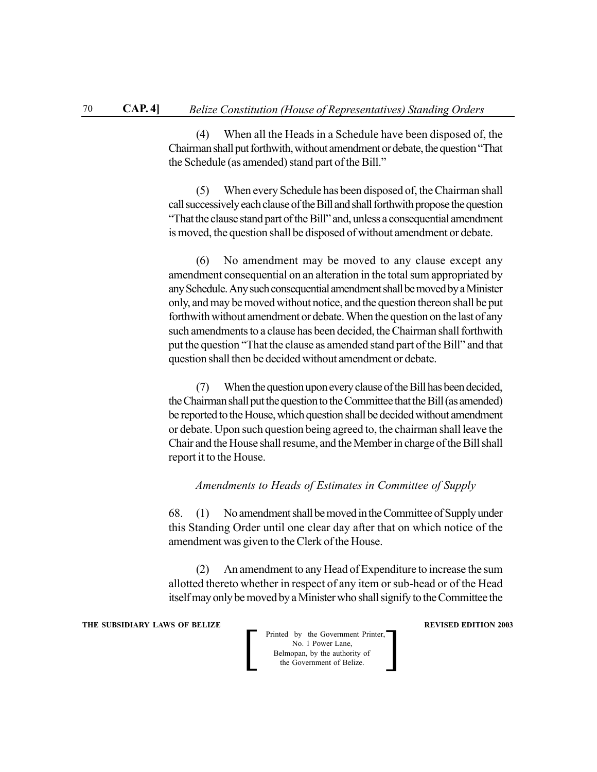(4) When all the Heads in a Schedule have been disposed of, the Chairman shall put forthwith, without amendment or debate, the question "That the Schedule (as amended) stand part of the Bill."

(5) When every Schedule has been disposed of, the Chairman shall call successively each clause of the Bill and shall forthwith propose the question "That the clause stand part of the Bill" and, unless a consequential amendment is moved, the question shall be disposed of without amendment or debate.

(6) No amendment may be moved to any clause except any amendment consequential on an alteration in the total sum appropriated by any Schedule. Any such consequential amendment shall be moved by a Minister only, and may be moved without notice, and the question thereon shall be put forthwith without amendment or debate. When the question on the last of any such amendments to a clause has been decided, the Chairman shall forthwith put the question "That the clause as amended stand part of the Bill" and that question shall then be decided without amendment or debate.

(7) When the question upon every clause of the Bill has been decided, the Chairman shall put the question to the Committee that the Bill (as amended) be reported to the House, which question shall be decided without amendment or debate. Upon such question being agreed to, the chairman shall leave the Chair and the House shall resume, and the Member in charge of the Bill shall report it to the House.

# *Amendments to Heads of Estimates in Committee of Supply*

68. (1) No amendment shall be moved in the Committee of Supply under this Standing Order until one clear day after that on which notice of the amendment was given to the Clerk of the House.

(2) An amendment to any Head of Expenditure to increase the sum allotted thereto whether in respect of any item or sub-head or of the Head itself may only be moved by a Minister who shall signify to the Committee the

**THE SUBSIDIARY LAWS OF BELIZE REVISED EDITION 2003** 

| Printed by the Government Printer,<br>No. 1 Power Lane,    |  |
|------------------------------------------------------------|--|
| Belmopan, by the authority of<br>the Government of Belize. |  |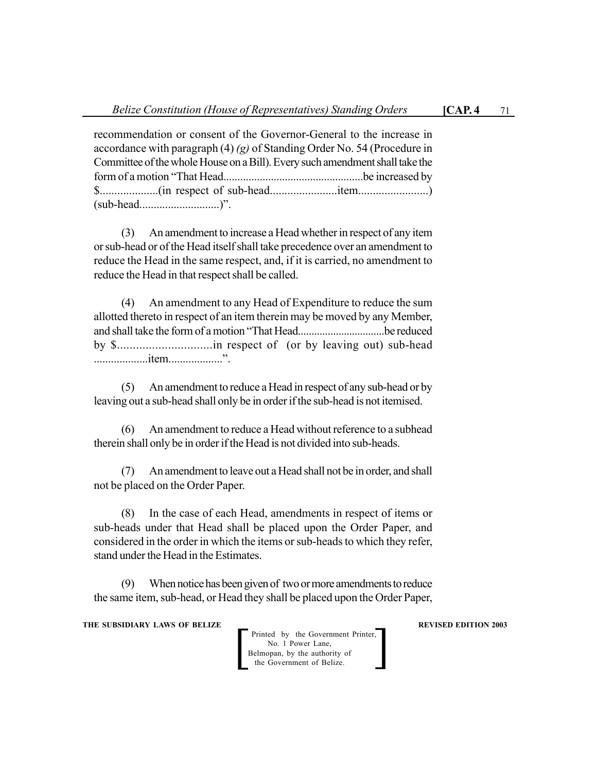recommendation or consent of the Governor-General to the increase in accordance with paragraph (4) *(g)* of Standing Order No. 54 (Procedure in Committee of the whole House on a Bill). Every such amendment shall take the

form of a motion "That Head..................................................be increased by \$....................(in respect of sub-head.......................item........................) (sub-head............................)".

(3) An amendment to increase a Head whether in respect of any item or sub-head or of the Head itself shall take precedence over an amendment to reduce the Head in the same respect, and, if it is carried, no amendment to reduce the Head in that respect shall be called.

(4) An amendment to any Head of Expenditure to reduce the sum allotted thereto in respect of an item therein may be moved by any Member, and shall take the form of a motion "That Head................................be reduced by \$..............................in respect of (or by leaving out) sub-head ...................item...................".

(5) An amendment to reduce a Head in respect of any sub-head or by leaving out a sub-head shall only be in order if the sub-head is not itemised.

(6) An amendment to reduce a Head without reference to a subhead therein shall only be in order if the Head is not divided into sub-heads.

(7) An amendment to leave out a Head shall not be in order, and shall not be placed on the Order Paper.

(8) In the case of each Head, amendments in respect of items or sub-heads under that Head shall be placed upon the Order Paper, and considered in the order in which the items or sub-heads to which they refer, stand under the Head in the Estimates.

(9) When notice has been given of two or more amendments to reduce the same item, sub-head, or Head they shall be placed upon the Order Paper,

**THE SUBSIDIARY LAWS OF BELIZE REVISED EDITION 2003**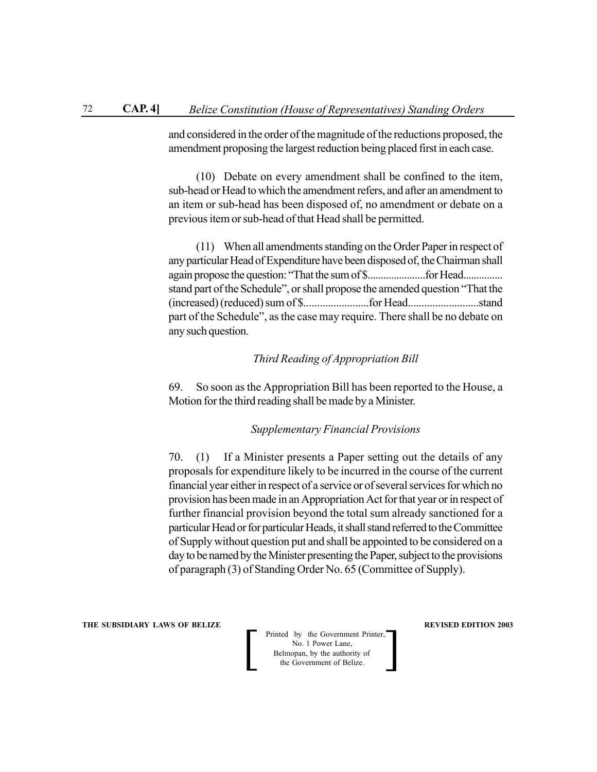and considered in the order of the magnitude of the reductions proposed, the amendment proposing the largest reduction being placed first in each case.

(10) Debate on every amendment shall be confined to the item, sub-head or Head to which the amendment refers, and after an amendment to an item or sub-head has been disposed of, no amendment or debate on a previous item or sub-head of that Head shall be permitted.

(11) When all amendments standing on the Order Paper in respect of any particular Head of Expenditure have been disposed of, the Chairman shall again propose the question: "That the sum of \$......................for Head............... stand part of the Schedule", or shall propose the amended question "That the (increased) (reduced) sum of \$........................for Head..........................stand part of the Schedule", as the case may require. There shall be no debate on any such question.

# *Third Reading of Appropriation Bill*

69. So soon as the Appropriation Bill has been reported to the House, a Motion for the third reading shall be made by a Minister.

# *Supplementary Financial Provisions*

70. (1) If a Minister presents a Paper setting out the details of any proposals for expenditure likely to be incurred in the course of the current financial year either in respect of a service or of several services for which no provision has been made in an Appropriation Act for that year or in respect of further financial provision beyond the total sum already sanctioned for a particular Head or for particular Heads, it shall stand referred to the Committee of Supply without question put and shall be appointed to be considered on a day to be named by the Minister presenting the Paper, subject to the provisions of paragraph (3) of Standing Order No. 65 (Committee of Supply).

**THE SUBSIDIARY LAWS OF BELIZE REVISED EDITION 2003**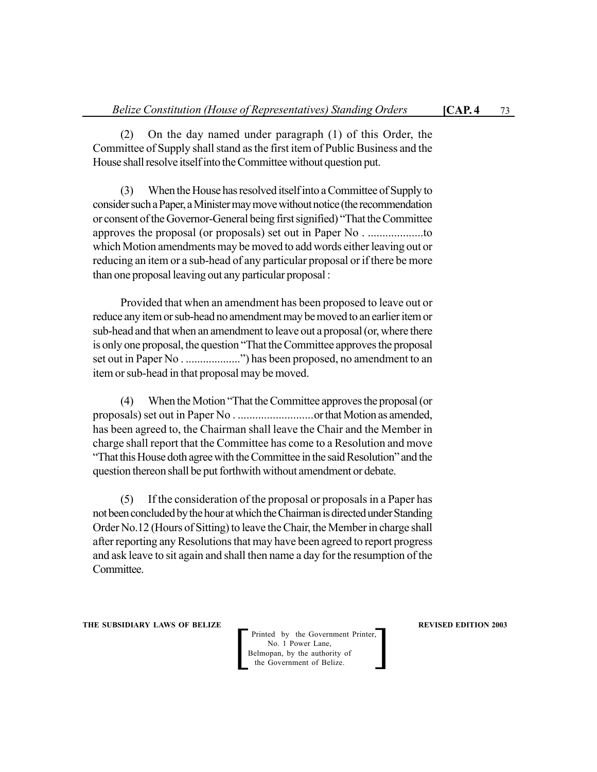(2) On the day named under paragraph (1) of this Order, the Committee of Supply shall stand as the first item of Public Business and the House shall resolve itself into the Committee without question put.

(3) When the House has resolved itself into a Committee of Supply to consider such a Paper, a Minister may move without notice (the recommendation or consent of the Governor-General being first signified) "That the Committee approves the proposal (or proposals) set out in Paper No . ...................to which Motion amendments may be moved to add words either leaving out or reducing an item or a sub-head of any particular proposal or if there be more than one proposal leaving out any particular proposal :

Provided that when an amendment has been proposed to leave out or reduce any item or sub-head no amendment may be moved to an earlier item or sub-head and that when an amendment to leave out a proposal (or, where there is only one proposal, the question "That the Committee approves the proposal set out in Paper No . ...................") has been proposed, no amendment to an item or sub-head in that proposal may be moved.

(4) When the Motion "That the Committee approves the proposal (or proposals) set out in Paper No . ..........................or that Motion as amended, has been agreed to, the Chairman shall leave the Chair and the Member in charge shall report that the Committee has come to a Resolution and move "That this House doth agree with the Committee in the said Resolution" and the question thereon shall be put forthwith without amendment or debate.

(5) If the consideration of the proposal or proposals in a Paper has not been concluded by the hour at which the Chairman is directed under Standing Order No.12 (Hours of Sitting) to leave the Chair, the Member in charge shall after reporting any Resolutions that may have been agreed to report progress and ask leave to sit again and shall then name a day for the resumption of the Committee.

**THE SUBSIDIARY LAWS OF BELIZE REVISED EDITION 2003**

Printed by the Government Printer, No. 1 Power Lane, Belmopan, by the authority of<br>the Government of Belize.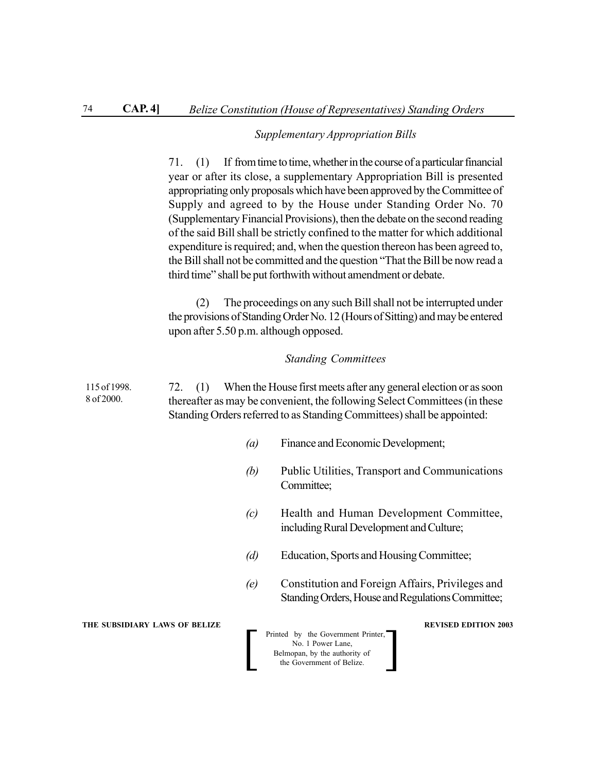# *Supplementary Appropriation Bills*

|                            | 71. (1) If from time to time, whether in the course of a particular financial<br>year or after its close, a supplementary Appropriation Bill is presented<br>appropriating only proposals which have been approved by the Committee of<br>Supply and agreed to by the House under Standing Order No. 70<br>(Supplementary Financial Provisions), then the debate on the second reading<br>of the said Bill shall be strictly confined to the matter for which additional<br>expenditure is required; and, when the question thereon has been agreed to,<br>the Bill shall not be committed and the question "That the Bill be now read a<br>third time" shall be put forthwith without amendment or debate. |
|----------------------------|-------------------------------------------------------------------------------------------------------------------------------------------------------------------------------------------------------------------------------------------------------------------------------------------------------------------------------------------------------------------------------------------------------------------------------------------------------------------------------------------------------------------------------------------------------------------------------------------------------------------------------------------------------------------------------------------------------------|
|                            | The proceedings on any such Bill shall not be interrupted under<br>(2)<br>the provisions of Standing Order No. 12 (Hours of Sitting) and may be entered<br>upon after 5.50 p.m. although opposed.                                                                                                                                                                                                                                                                                                                                                                                                                                                                                                           |
|                            | <b>Standing Committees</b>                                                                                                                                                                                                                                                                                                                                                                                                                                                                                                                                                                                                                                                                                  |
| 115 of 1998.<br>8 of 2000. | When the House first meets after any general election or as soon<br>72.<br>(1)<br>thereafter as may be convenient, the following Select Committees (in these<br>Standing Orders referred to as Standing Committees) shall be appointed:                                                                                                                                                                                                                                                                                                                                                                                                                                                                     |
|                            | Finance and Economic Development;<br>$\left(a\right)$                                                                                                                                                                                                                                                                                                                                                                                                                                                                                                                                                                                                                                                       |
|                            | Public Utilities, Transport and Communications<br>(b)<br>Committee;                                                                                                                                                                                                                                                                                                                                                                                                                                                                                                                                                                                                                                         |
|                            | Health and Human Development Committee,<br>(c)                                                                                                                                                                                                                                                                                                                                                                                                                                                                                                                                                                                                                                                              |

- including Rural Development and Culture;
- *(d)* Education, Sports and Housing Committee;
- *(e)* Constitution and Foreign Affairs, Privileges and Standing Orders, House and Regulations Committee;

**THE SUBSIDIARY LAWS OF BELIZE REVISED EDITION 2003**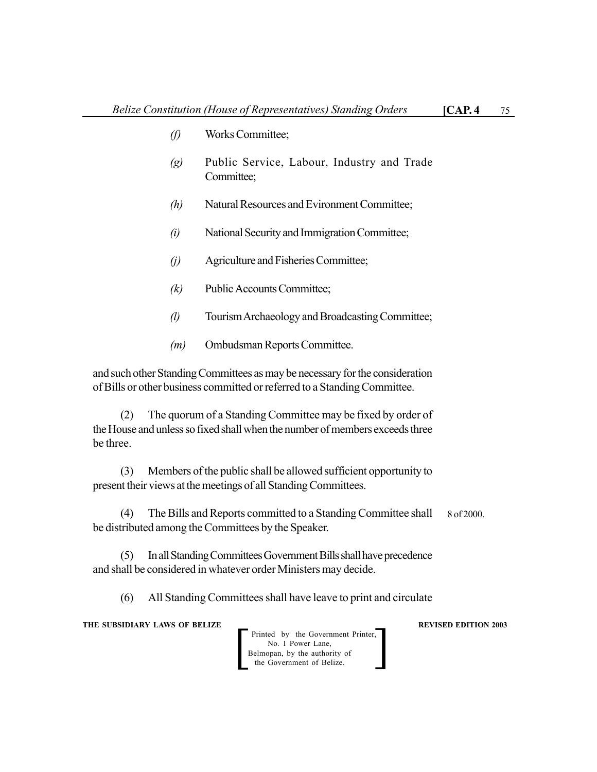- *(f)* Works Committee;
- *(g)* Public Service, Labour, Industry and Trade Committee;
- *(h)* Natural Resources and Evironment Committee;
- *(i)* National Security and Immigration Committee;
- *(j)* Agriculture and Fisheries Committee;
- *(k)* Public Accounts Committee;
- *(l)* Tourism Archaeology and Broadcasting Committee;
- *(m)* Ombudsman Reports Committee.

and such other Standing Committees as may be necessary for the consideration of Bills or other business committed or referred to a Standing Committee.

(2) The quorum of a Standing Committee may be fixed by order of the House and unless so fixed shall when the number of members exceeds three be three.

(3) Members of the public shall be allowed sufficient opportunity to present their views at the meetings of all Standing Committees.

(4) The Bills and Reports committed to a Standing Committee shall be distributed among the Committees by the Speaker. 8 of 2000.

(5) In all Standing Committees Government Bills shall have precedence and shall be considered in whatever order Ministers may decide.

(6) All Standing Committees shall have leave to print and circulate

**THE SUBSIDIARY LAWS OF BELIZE SUBSIDIARY LAWS OF BELIZE** 

Printed by the Government Printer, No. 1 Power Lane, Belmopan, by the authority of<br>the Government of Belize.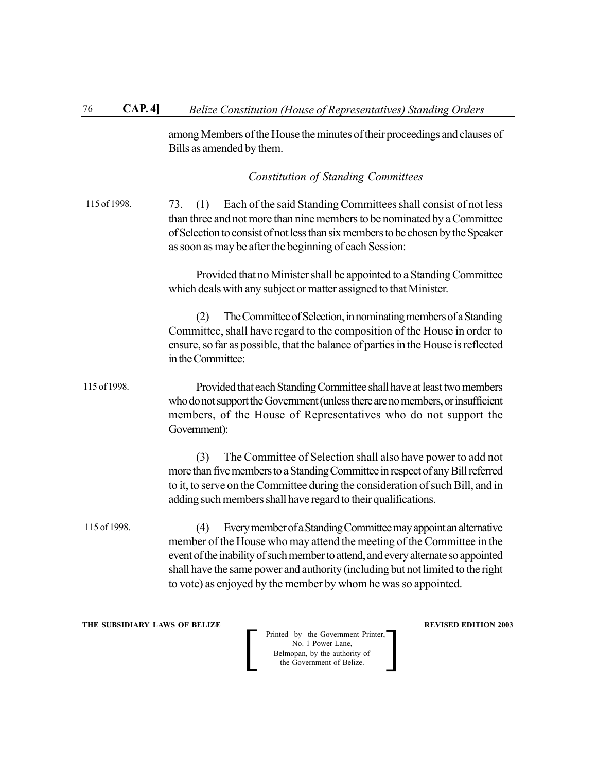among Members of the House the minutes of their proceedings and clauses of Bills as amended by them.

*Constitution of Standing Committees*

73. (1) Each of the said Standing Committees shall consist of not less than three and not more than nine members to be nominated by a Committee of Selection to consist of not less than six members to be chosen by the Speaker as soon as may be after the beginning of each Session: 115 of 1998.

> Provided that no Minister shall be appointed to a Standing Committee which deals with any subject or matter assigned to that Minister.

> (2) The Committee of Selection, in nominating members of a Standing Committee, shall have regard to the composition of the House in order to ensure, so far as possible, that the balance of parties in the House is reflected in the Committee:

Provided that each Standing Committee shall have at least two members who do not support the Government (unless there are no members, or insufficient members, of the House of Representatives who do not support the Government): 115 of 1998.

> (3) The Committee of Selection shall also have power to add not more than five members to a Standing Committee in respect of any Bill referred to it, to serve on the Committee during the consideration of such Bill, and in adding such members shall have regard to their qualifications.

(4) Every member of a Standing Committee may appoint an alternative member of the House who may attend the meeting of the Committee in the event of the inability of such member to attend, and every alternate so appointed shall have the same power and authority (including but not limited to the right to vote) as enjoyed by the member by whom he was so appointed. 115 of 1998.

**THE SUBSIDIARY LAWS OF BELIZE REVISED EDITION 2003**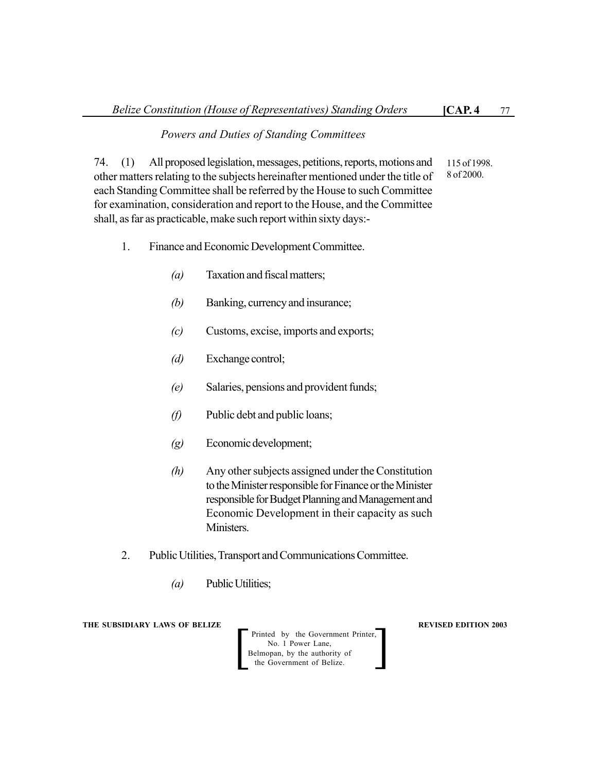#### *Powers and Duties of Standing Committees*

74. (1) All proposed legislation, messages, petitions, reports, motions and other matters relating to the subjects hereinafter mentioned under the title of each Standing Committee shall be referred by the House to such Committee for examination, consideration and report to the House, and the Committee shall, as far as practicable, make such report within sixty days:- 115 of 1998. 8 of 2000.

#### 1. Finance and Economic Development Committee.

- *(a)* Taxation and fiscal matters;
- *(b)* Banking, currency and insurance;
- *(c)* Customs, excise, imports and exports;
- *(d)* Exchange control;
- *(e)* Salaries, pensions and provident funds;
- *(f)* Public debt and public loans;
- *(g)* Economic development;
- *(h)* Any other subjects assigned under the Constitution to the Minister responsible for Finance or the Minister responsible for Budget Planning and Management and Economic Development in their capacity as such Ministers.
- 2. Public Utilities, Transport and Communications Committee.
	- *(a)* Public Utilities;

**THE SUBSIDIARY LAWS OF BELIZE REVISED EDITION 2003** 

Printed by the Government Printer, No. 1 Power Lane,<br>Belmopan, by the authority of Printed by the Government Printer,<br>
No. 1 Power Lane,<br>
Belmopan, by the authority of<br>
the Government of Belize.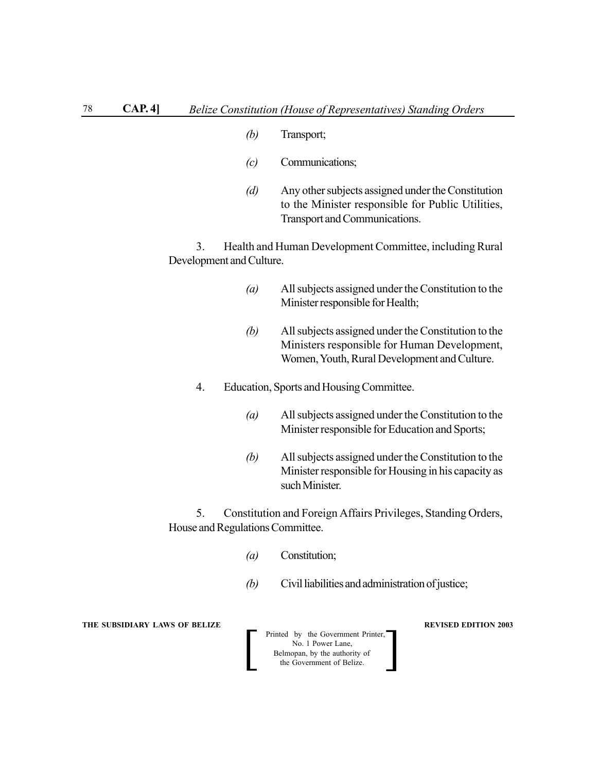- *(b)* Transport;
- *(c)* Communications;
- *(d)* Any other subjects assigned under the Constitution to the Minister responsible for Public Utilities, Transport and Communications.

3. Health and Human Development Committee, including Rural Development and Culture.

- *(a)* All subjects assigned under the Constitution to the Minister responsible for Health;
- *(b)* All subjects assigned under the Constitution to the Ministers responsible for Human Development, Women, Youth, Rural Development and Culture.
- 4. Education, Sports and Housing Committee.
	- *(a)* All subjects assigned under the Constitution to the Minister responsible for Education and Sports;
	- *(b)* All subjects assigned under the Constitution to the Minister responsible for Housing in his capacity as such Minister.

5. Constitution and Foreign Affairs Privileges, Standing Orders, House and Regulations Committee.

- *(a)* Constitution;
- *(b)* Civil liabilities and administration of justice;

#### **THE SUBSIDIARY LAWS OF BELIZE REVISED EDITION 2003**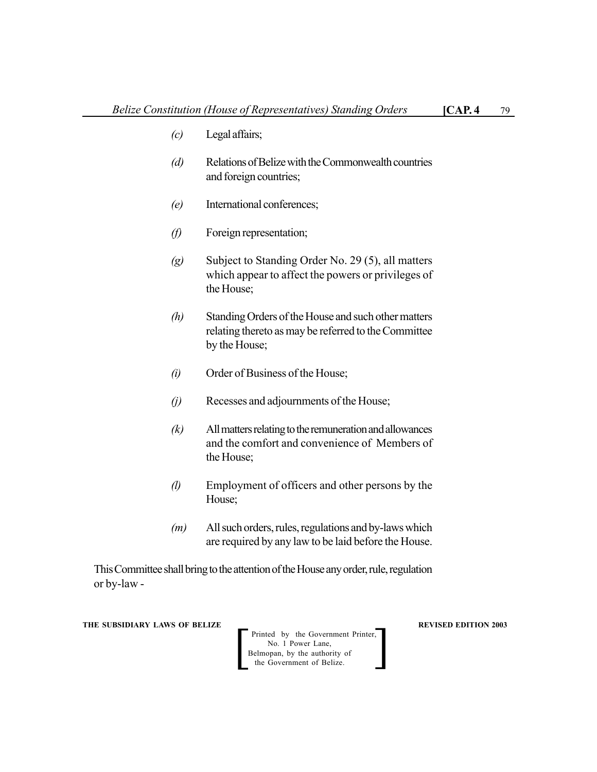- *(c)* Legal affairs;
- *(d)* Relations of Belize with the Commonwealth countries and foreign countries;
- *(e)* International conferences;
- *(f)* Foreign representation;
- *(g)* Subject to Standing Order No. 29 (5), all matters which appear to affect the powers or privileges of the House;
- *(h)* Standing Orders of the House and such other matters relating thereto as may be referred to the Committee by the House;
- *(i)* Order of Business of the House;
- *(j)* Recesses and adjournments of the House;
- *(k)* All matters relating to the remuneration and allowances and the comfort and convenience of Members of the House;
- *(l)* Employment of officers and other persons by the House;
- *(m)* All such orders, rules, regulations and by-laws which are required by any law to be laid before the House.

This Committee shall bring to the attention of the House any order, rule, regulation or by-law -

**THE SUBSIDIARY LAWS OF BELIZE SUBSIDIARY LAWS OF BELIZE** 

Printed by the Government Printer, No. 1 Power Lane,<br>Belmopan, by the authority of Printed by the Government Printer,<br>
No. 1 Power Lane,<br>
Belmopan, by the authority of<br>
the Government of Belize.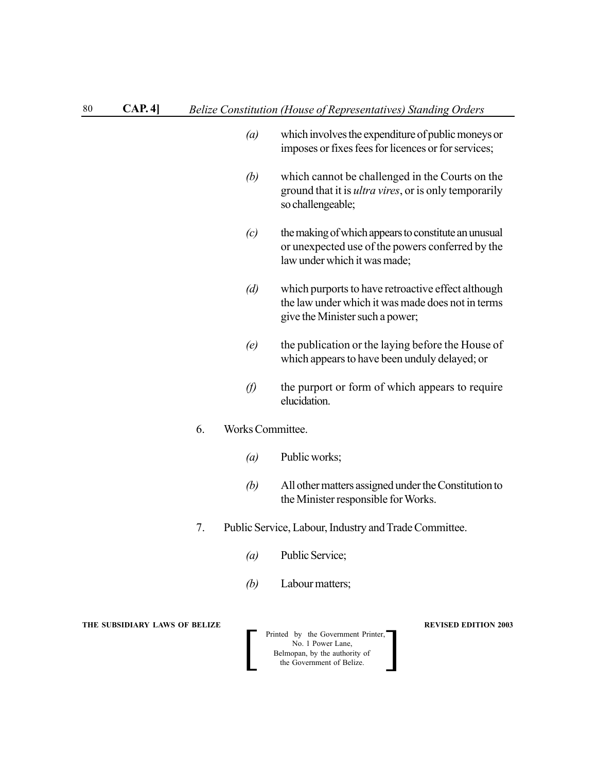- *(a)* which involves the expenditure of public moneys or imposes or fixes fees for licences or for services;
- *(b)* which cannot be challenged in the Courts on the ground that it is *ultra vires*, or is only temporarily so challengeable;
- *(c)* the making of which appears to constitute an unusual or unexpected use of the powers conferred by the law under which it was made;
- *(d)* which purports to have retroactive effect although the law under which it was made does not in terms give the Minister such a power;
- *(e)* the publication or the laying before the House of which appears to have been unduly delayed; or
- *(f)* the purport or form of which appears to require elucidation.

## 6. Works Committee.

- *(a)* Public works;
- *(b)* All other matters assigned under the Constitution to the Minister responsible for Works.
- 7. Public Service, Labour, Industry and Trade Committee.
	- *(a)* Public Service;
	- *(b)* Labour matters;

#### **THE SUBSIDIARY LAWS OF BELIZE REVISED EDITION 2003**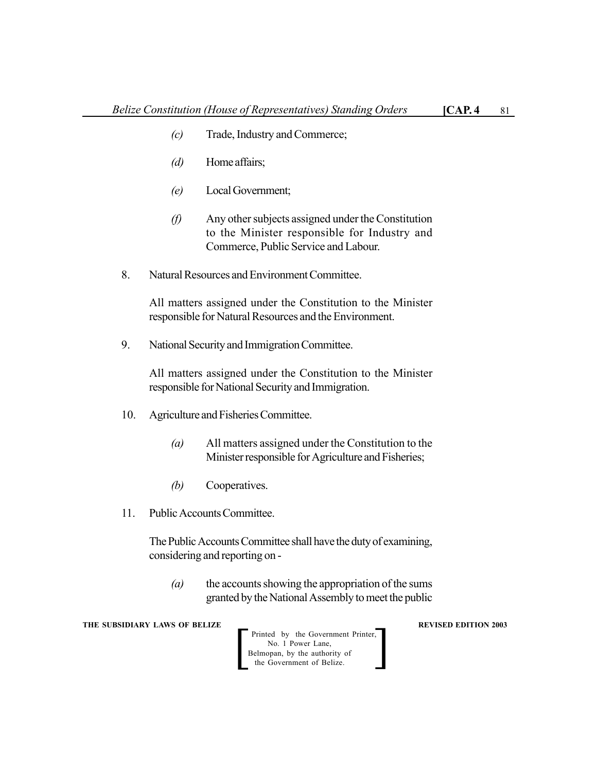- *(c)* Trade, Industry and Commerce;
- *(d)* Home affairs;
- *(e)* Local Government;
- *(f)* Any other subjects assigned under the Constitution to the Minister responsible for Industry and Commerce, Public Service and Labour.
- 8. Natural Resources and Environment Committee.

All matters assigned under the Constitution to the Minister responsible for Natural Resources and the Environment.

9. National Security and Immigration Committee.

All matters assigned under the Constitution to the Minister responsible for National Security and Immigration.

- 10. Agriculture and Fisheries Committee.
	- *(a)* All matters assigned under the Constitution to the Minister responsible for Agriculture and Fisheries;
	- *(b)* Cooperatives.
- 11. Public Accounts Committee.

The Public Accounts Committee shall have the duty of examining, considering and reporting on -

*(a)* the accounts showing the appropriation of the sums granted by the National Assembly to meet the public

**THE SUBSIDIARY LAWS OF BELIZE REVISED EDITION 2003** 

Printed by the Government Printer, No. 1 Power Lane, Printed by the Government Printer,<br>
No. 1 Power Lane,<br>
Belmopan, by the authority of<br>
the Government of Belize.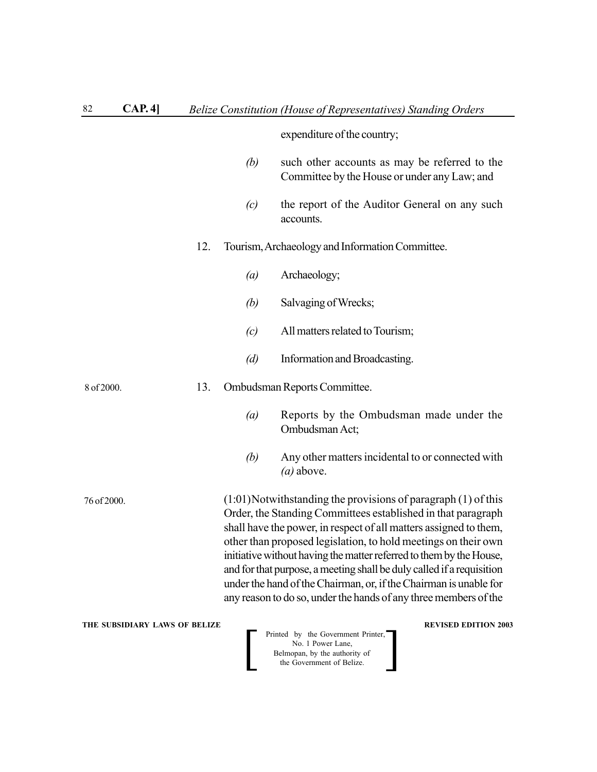# expenditure of the country;

- *(b)* such other accounts as may be referred to the Committee by the House or under any Law; and
- *(c)* the report of the Auditor General on any such accounts.

## 12. Tourism, Archaeology and Information Committee.

- *(a)* Archaeology;
- *(b)* Salvaging of Wrecks;
- *(c)* All matters related to Tourism;
- *(d)* Information and Broadcasting.

#### 13. Ombudsman Reports Committee. 8 of 2000.

- *(a)* Reports by the Ombudsman made under the Ombudsman Act;
- *(b)* Any other matters incidental to or connected with *(a)* above.

 $(1:01)$ Notwithstanding the provisions of paragraph  $(1)$  of this Order, the Standing Committees established in that paragraph shall have the power, in respect of all matters assigned to them, other than proposed legislation, to hold meetings on their own initiative without having the matter referred to them by the House, and for that purpose, a meeting shall be duly called if a requisition under the hand of the Chairman, or, if the Chairman is unable for any reason to do so, under the hands of any three members of the

**THE SUBSIDIARY LAWS OF BELIZE REVISED EDITION 2003** 

76 of 2000.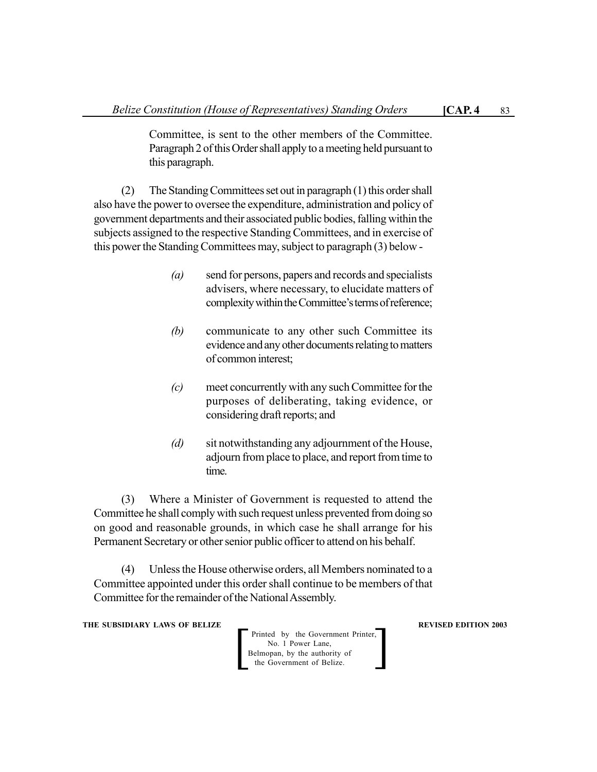Committee, is sent to the other members of the Committee. Paragraph 2 of this Order shall apply to a meeting held pursuant to this paragraph.

(2) The Standing Committees set out in paragraph (1) this order shall also have the power to oversee the expenditure, administration and policy of government departments and their associated public bodies, falling within the subjects assigned to the respective Standing Committees, and in exercise of this power the Standing Committees may, subject to paragraph (3) below -

- *(a)* send for persons, papers and records and specialists advisers, where necessary, to elucidate matters of complexity within the Committee's terms of reference;
- *(b)* communicate to any other such Committee its evidence and any other documents relating to matters of common interest;
- *(c)* meet concurrently with any such Committee for the purposes of deliberating, taking evidence, or considering draft reports; and
- *(d)* sit notwithstanding any adjournment of the House, adjourn from place to place, and report from time to time.

(3) Where a Minister of Government is requested to attend the Committee he shall comply with such request unless prevented from doing so on good and reasonable grounds, in which case he shall arrange for his Permanent Secretary or other senior public officer to attend on his behalf.

(4) Unless the House otherwise orders, all Members nominated to a Committee appointed under this order shall continue to be members of that Committee for the remainder of the National Assembly.

**THE SUBSIDIARY LAWS OF BELIZE REVISED EDITION 2003** 

Printed by the Government Printer, No. 1 Power Lane, Belmopan, by the authority of<br>the Government of Belize.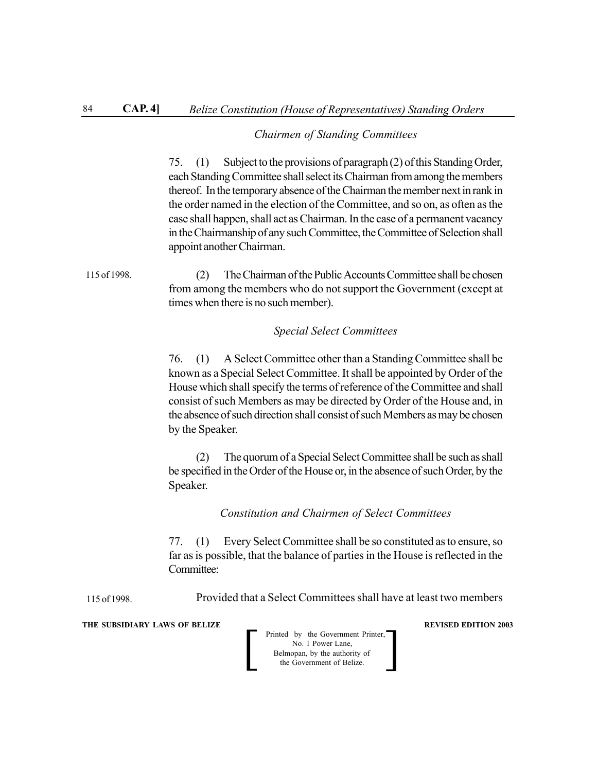#### *Chairmen of Standing Committees*

75. (1) Subject to the provisions of paragraph (2) of this Standing Order, each Standing Committee shall select its Chairman from among the members thereof. In the temporary absence of the Chairman the member next in rank in the order named in the election of the Committee, and so on, as often as the case shall happen, shall act as Chairman. In the case of a permanent vacancy in the Chairmanship of any such Committee, the Committee of Selection shall appoint another Chairman.

(2) The Chairman of the Public Accounts Committee shall be chosen from among the members who do not support the Government (except at times when there is no such member). 115 of 1998.

#### *Special Select Committees*

76. (1) A Select Committee other than a Standing Committee shall be known as a Special Select Committee. It shall be appointed by Order of the House which shall specify the terms of reference of the Committee and shall consist of such Members as may be directed by Order of the House and, in the absence of such direction shall consist of such Members as may be chosen by the Speaker.

(2) The quorum of a Special Select Committee shall be such as shall be specified in the Order of the House or, in the absence of such Order, by the Speaker.

*Constitution and Chairmen of Select Committees*

77. (1) Every Select Committee shall be so constituted as to ensure, so far as is possible, that the balance of parties in the House is reflected in the Committee:

Provided that a Select Committees shall have at least two members

**THE SUBSIDIARY LAWS OF BELIZE REVISED EDITION 2003** 

115 of 1998.

| Printed by the Government Printer,<br>No. 1 Power Lane,    |  |
|------------------------------------------------------------|--|
| Belmopan, by the authority of<br>the Government of Belize. |  |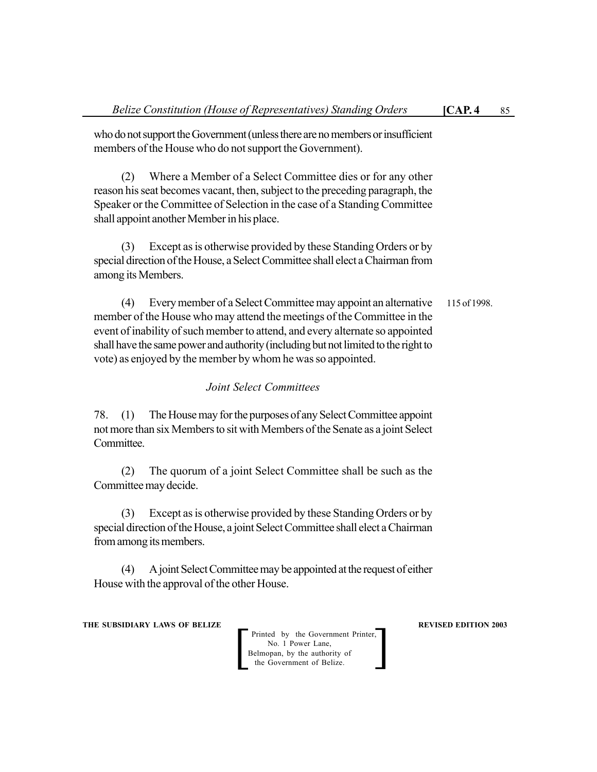(2) Where a Member of a Select Committee dies or for any other reason his seat becomes vacant, then, subject to the preceding paragraph, the Speaker or the Committee of Selection in the case of a Standing Committee shall appoint another Member in his place.

(3) Except as is otherwise provided by these Standing Orders or by special direction of the House, a Select Committee shall elect a Chairman from among its Members.

(4) Every member of a Select Committee may appoint an alternative member of the House who may attend the meetings of the Committee in the event of inability of such member to attend, and every alternate so appointed shall have the same power and authority (including but not limited to the right to vote) as enjoyed by the member by whom he was so appointed. 115 of 1998.

## *Joint Select Committees*

78. (1) The House may for the purposes of any Select Committee appoint not more than six Members to sit with Members of the Senate as a joint Select **Committee** 

(2) The quorum of a joint Select Committee shall be such as the Committee may decide.

(3) Except as is otherwise provided by these Standing Orders or by special direction of the House, a joint Select Committee shall elect a Chairman from among its members.

(4) A joint Select Committee may be appointed at the request of either House with the approval of the other House.

**THE SUBSIDIARY LAWS OF BELIZE REVISED EDITION 2003**

Printed by the Government Printer, No. 1 Power Lane, Belmopan, by the authority of<br>the Government of Belize.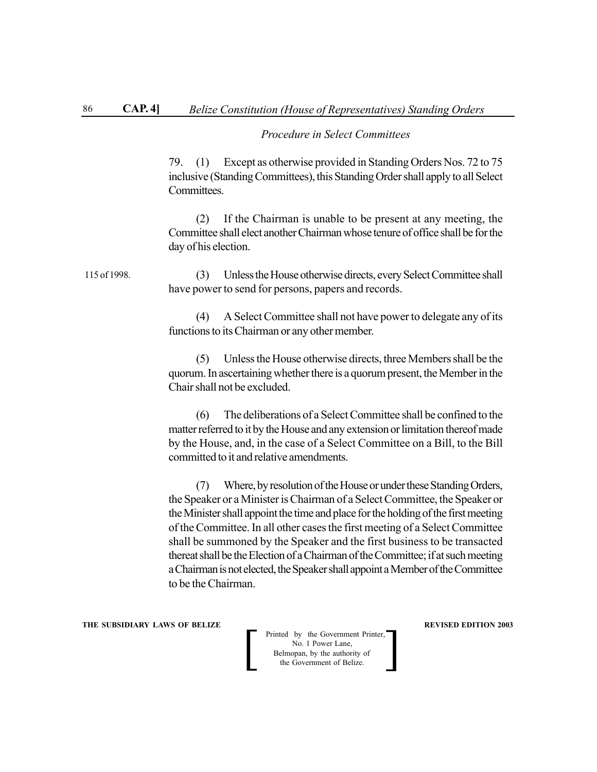#### *Procedure in Select Committees*

79. (1) Except as otherwise provided in Standing Orders Nos. 72 to 75 inclusive (Standing Committees), this Standing Order shall apply to all Select **Committees** 

(2) If the Chairman is unable to be present at any meeting, the Committee shall elect another Chairman whose tenure of office shall be for the day of his election.

(3) Unless the House otherwise directs, every Select Committee shall have power to send for persons, papers and records. 115 of 1998.

> (4) A Select Committee shall not have power to delegate any of its functions to its Chairman or any other member.

> (5) Unless the House otherwise directs, three Members shall be the quorum. In ascertaining whether there is a quorum present, the Member in the Chair shall not be excluded.

> (6) The deliberations of a Select Committee shall be confined to the matter referred to it by the House and any extension or limitation thereof made by the House, and, in the case of a Select Committee on a Bill, to the Bill committed to it and relative amendments.

> (7) Where, by resolution of the House or under these Standing Orders, the Speaker or a Minister is Chairman of a Select Committee, the Speaker or the Minister shall appoint the time and place for the holding of the first meeting of the Committee. In all other cases the first meeting of a Select Committee shall be summoned by the Speaker and the first business to be transacted thereat shall be the Election of a Chairman of the Committee; if at such meeting a Chairman is not elected, the Speaker shall appoint a Member of the Committee to be the Chairman.

**THE SUBSIDIARY LAWS OF BELIZE REVISED EDITION 2003**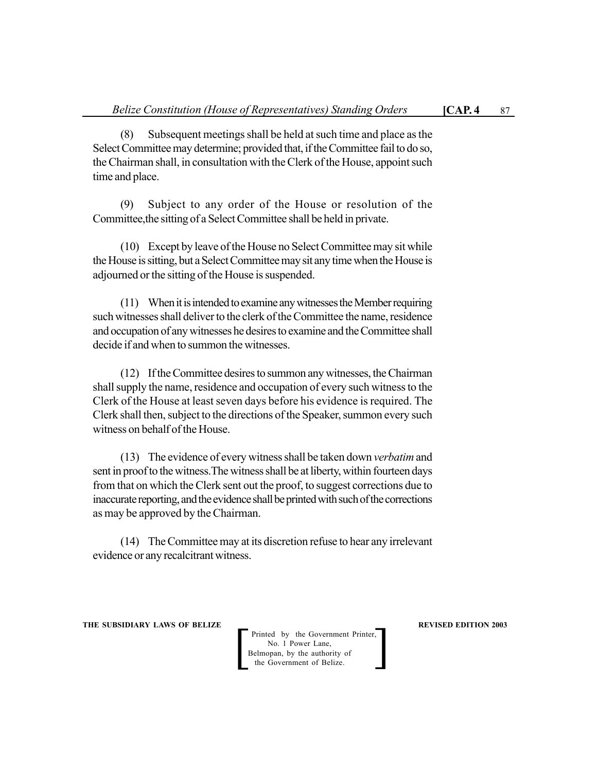(8) Subsequent meetings shall be held at such time and place as the Select Committee may determine; provided that, if the Committee fail to do so, the Chairman shall, in consultation with the Clerk of the House, appoint such time and place.

(9) Subject to any order of the House or resolution of the Committee,the sitting of a Select Committee shall be held in private.

(10) Except by leave of the House no Select Committee may sit while the House is sitting, but a Select Committee may sit any time when the House is adjourned or the sitting of the House is suspended.

(11) When it is intended to examine any witnesses the Member requiring such witnesses shall deliver to the clerk of the Committee the name, residence and occupation of any witnesses he desires to examine and the Committee shall decide if and when to summon the witnesses.

(12) If the Committee desires to summon any witnesses, the Chairman shall supply the name, residence and occupation of every such witness to the Clerk of the House at least seven days before his evidence is required. The Clerk shall then, subject to the directions of the Speaker, summon every such witness on behalf of the House.

(13) The evidence of every witness shall be taken down *verbatim* and sent in proof to the witness.The witness shall be at liberty, within fourteen days from that on which the Clerk sent out the proof, to suggest corrections due to inaccurate reporting, and the evidence shall be printed with such of the corrections as may be approved by the Chairman.

(14) The Committee may at its discretion refuse to hear any irrelevant evidence or any recalcitrant witness.

**THE SUBSIDIARY LAWS OF BELIZE REVISED EDITION 2003**

Printed by the Government Printer, No. 1 Power Lane, Belmopan, by the authority of<br>the Government of Belize.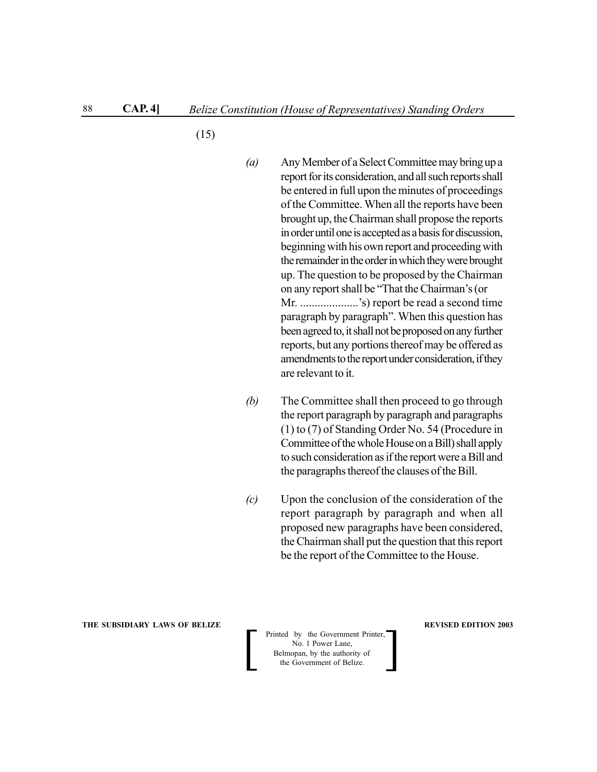(15)

- *(a)* Any Member of a Select Committee may bring up a report for its consideration, and all such reports shall be entered in full upon the minutes of proceedings of the Committee. When all the reports have been brought up, the Chairman shall propose the reports in order until one is accepted as a basis for discussion, beginning with his own report and proceeding with the remainder in the order in which they were brought up. The question to be proposed by the Chairman on any report shall be "That the Chairman's (or Mr. ....................'s) report be read a second time paragraph by paragraph". When this question has been agreed to, it shall not be proposed on any further reports, but any portions thereof may be offered as amendments to the report under consideration, if they are relevant to it.
- *(b)* The Committee shall then proceed to go through the report paragraph by paragraph and paragraphs (1) to (7) of Standing Order No. 54 (Procedure in Committee of the whole House on a Bill) shall apply to such consideration as if the report were a Bill and the paragraphs thereof the clauses of the Bill.
- *(c)* Upon the conclusion of the consideration of the report paragraph by paragraph and when all proposed new paragraphs have been considered, the Chairman shall put the question that this report be the report of the Committee to the House.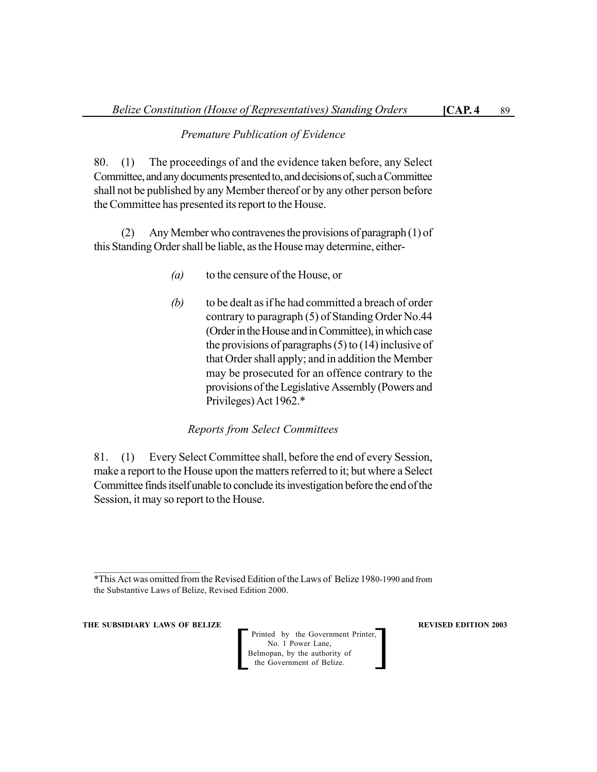### *Premature Publication of Evidence*

80. (1) The proceedings of and the evidence taken before, any Select Committee, and any documents presented to, and decisions of, such a Committee shall not be published by any Member thereof or by any other person before the Committee has presented its report to the House.

(2) Any Member who contravenes the provisions of paragraph (1) of this Standing Order shall be liable, as the House may determine, either-

- *(a)* to the censure of the House, or
- *(b)* to be dealt as if he had committed a breach of order contrary to paragraph (5) of Standing Order No.44 (Order in the House and in Committee), in which case the provisions of paragraphs (5) to (14) inclusive of that Order shall apply; and in addition the Member may be prosecuted for an offence contrary to the provisions of the Legislative Assembly (Powers and Privileges) Act 1962.\*

#### *Reports from Select Committees*

81. (1) Every Select Committee shall, before the end of every Session, make a report to the House upon the matters referred to it; but where a Select Committee finds itself unable to conclude its investigation before the end of the Session, it may so report to the House.

\*This Act was omitted from the Revised Edition of the Laws of Belize 1980-1990 and from the Substantive Laws of Belize, Revised Edition 2000.

**THE SUBSIDIARY LAWS OF BELIZE REVISED EDITION 2003**

Printed by the Government Printer, No. 1 Power Lane,<br>Belmopan, by the authority of Printed by the Government Printer,<br>
No. 1 Power Lane,<br>
Belmopan, by the authority of<br>
the Government of Belize.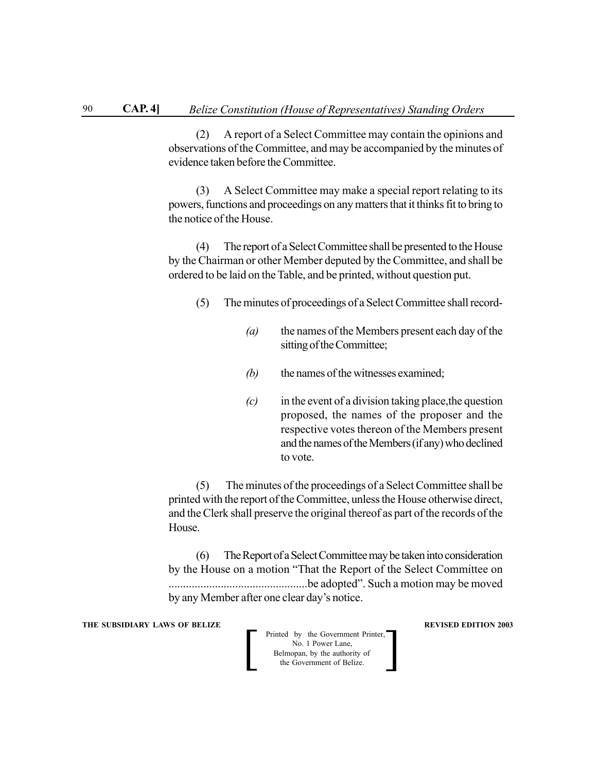(2) A report of a Select Committee may contain the opinions and observations of the Committee, and may be accompanied by the minutes of evidence taken before the Committee.

(3) A Select Committee may make a special report relating to its powers, functions and proceedings on any matters that it thinks fit to bring to the notice of the House.

(4) The report of a Select Committee shall be presented to the House by the Chairman or other Member deputed by the Committee, and shall be ordered to be laid on the Table, and be printed, without question put.

- (5) The minutes of proceedings of a Select Committee shall record-
	- *(a)* the names of the Members present each day of the sitting of the Committee;
	- *(b)* the names of the witnesses examined;
	- *(c)* in the event of a division taking place,the question proposed, the names of the proposer and the respective votes thereon of the Members present and the names of the Members (if any) who declined to vote.

(5) The minutes of the proceedings of a Select Committee shall be printed with the report of the Committee, unless the House otherwise direct, and the Clerk shall preserve the original thereof as part of the records of the House.

(6) The Report of a Select Committee may be taken into consideration by the House on a motion "That the Report of the Select Committee on ................................................be adopted". Such a motion may be moved by any Member after one clear day's notice.

**THE SUBSIDIARY LAWS OF BELIZE REVISED EDITION 2003**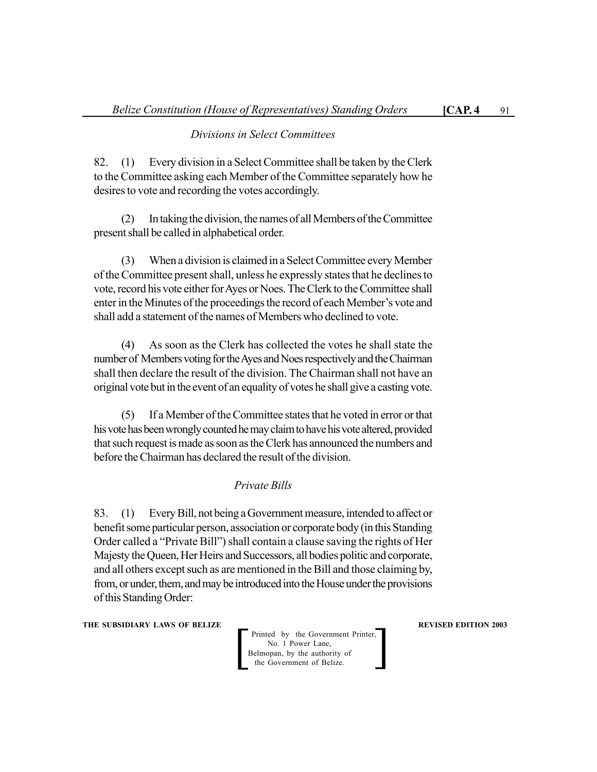#### *Divisions in Select Committees*

82. (1) Every division in a Select Committee shall be taken by the Clerk to the Committee asking each Member of the Committee separately how he desires to vote and recording the votes accordingly.

(2) In taking the division, the names of all Members of the Committee present shall be called in alphabetical order.

(3) When a division is claimed in a Select Committee every Member of the Committee present shall, unless he expressly states that he declines to vote, record his vote either for Ayes or Noes. The Clerk to the Committee shall enter in the Minutes of the proceedings the record of each Member's vote and shall add a statement of the names of Members who declined to vote.

(4) As soon as the Clerk has collected the votes he shall state the number of Members voting for the Ayes and Noes respectively and the Chairman shall then declare the result of the division. The Chairman shall not have an original vote but in the event of an equality of votes he shall give a casting vote.

(5) If a Member of the Committee states that he voted in error or that his vote has been wrongly counted he may claim to have his vote altered, provided that such request is made as soon as the Clerk has announced the numbers and before the Chairman has declared the result of the division.

#### *Private Bills*

83. (1) Every Bill, not being a Government measure, intended to affect or benefit some particular person, association or corporate body (in this Standing Order called a "Private Bill") shall contain a clause saving the rights of Her Majesty the Queen, Her Heirs and Successors, all bodies politic and corporate, and all others except such as are mentioned in the Bill and those claiming by, from, or under, them, and may be introduced into the House under the provisions of this Standing Order:

**THE SUBSIDIARY LAWS OF BELIZE REVISED EDITION 2003** 

Printed by the Government Printer, No. 1 Power Lane,<br>Belmopan, by the authority of the Government of Belize.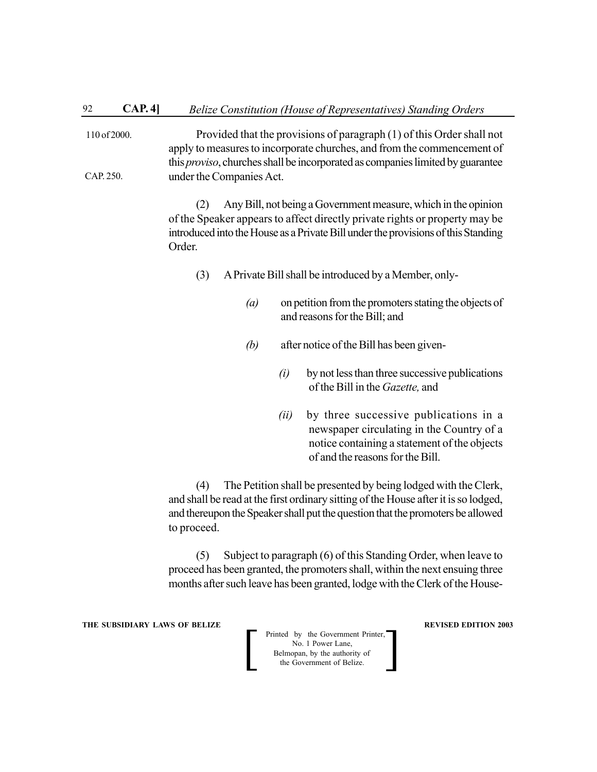Provided that the provisions of paragraph (1) of this Order shall not apply to measures to incorporate churches, and from the commencement of this *proviso*, churches shall be incorporated as companies limited by guarantee under the Companies Act. 110 of 2000. CAP. 250.

> (2) Any Bill, not being a Government measure, which in the opinion of the Speaker appears to affect directly private rights or property may be introduced into the House as a Private Bill under the provisions of this Standing Order.

- (3) A Private Bill shall be introduced by a Member, only-
	- *(a)* on petition from the promoters stating the objects of and reasons for the Bill; and
	- *(b)* after notice of the Bill has been given-
		- *(i)* by not less than three successive publications of the Bill in the *Gazette,* and
		- *(ii)* by three successive publications in a newspaper circulating in the Country of a notice containing a statement of the objects of and the reasons for the Bill.

(4) The Petition shall be presented by being lodged with the Clerk, and shall be read at the first ordinary sitting of the House after it is so lodged, and thereupon the Speaker shall put the question that the promoters be allowed to proceed.

(5) Subject to paragraph (6) of this Standing Order, when leave to proceed has been granted, the promoters shall, within the next ensuing three months after such leave has been granted, lodge with the Clerk of the House-

**THE SUBSIDIARY LAWS OF BELIZE REVISED EDITION 2003**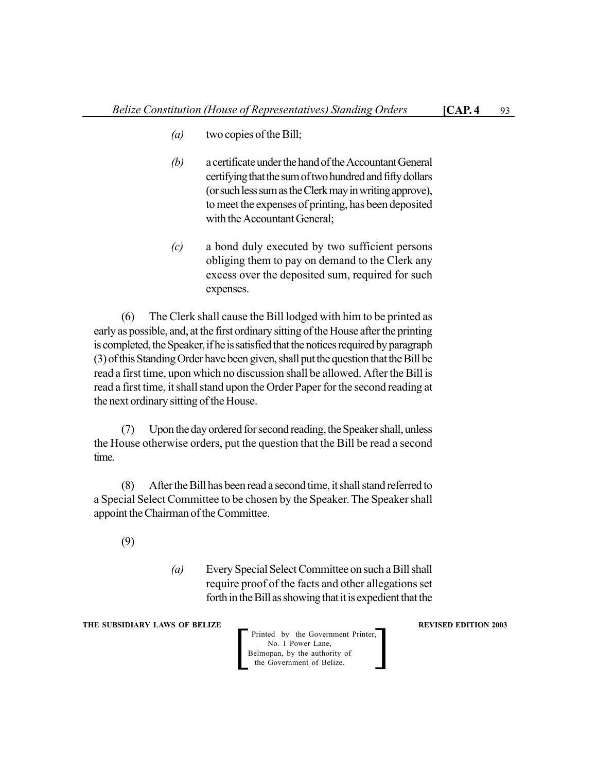- *(b)* a certificate under the hand of the Accountant General certifying that the sum of two hundred and fifty dollars (or such less sum as the Clerk may in writing approve), to meet the expenses of printing, has been deposited with the Accountant General;
- *(c)* a bond duly executed by two sufficient persons obliging them to pay on demand to the Clerk any excess over the deposited sum, required for such expenses.

(6) The Clerk shall cause the Bill lodged with him to be printed as early as possible, and, at the first ordinary sitting of the House after the printing is completed, the Speaker, if he is satisfied that the notices required by paragraph (3) of this Standing Order have been given, shall put the question that the Bill be read a first time, upon which no discussion shall be allowed. After the Bill is read a first time, it shall stand upon the Order Paper for the second reading at the next ordinary sitting of the House.

(7) Upon the day ordered for second reading, the Speaker shall, unless the House otherwise orders, put the question that the Bill be read a second time.

(8) After the Bill has been read a second time, it shall stand referred to a Special Select Committee to be chosen by the Speaker. The Speaker shall appoint the Chairman of the Committee.

(9)

*(a)* Every Special Select Committee on such a Bill shall require proof of the facts and other allegations set forth in the Bill as showing that it is expedient that the

**THE SUBSIDIARY LAWS OF BELIZE REVISED EDITION 2003**

Printed by the Government Printer, No. 1 Power Lane,<br>Belmopan, by the authority of Printed by the Government Printer,<br>
No. 1 Power Lane,<br>
Belmopan, by the authority of<br>
the Government of Belize.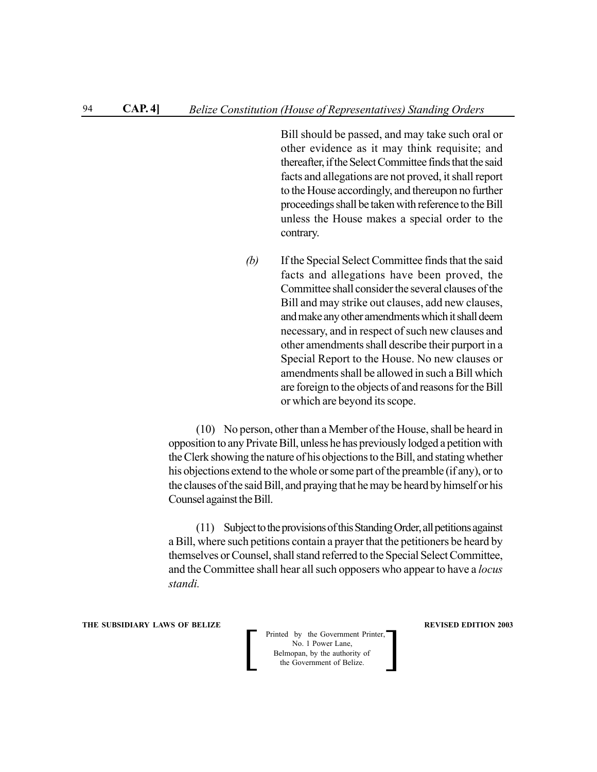Bill should be passed, and may take such oral or other evidence as it may think requisite; and thereafter, if the Select Committee finds that the said facts and allegations are not proved, it shall report to the House accordingly, and thereupon no further proceedings shall be taken with reference to the Bill unless the House makes a special order to the contrary.

*(b)* If the Special Select Committee finds that the said facts and allegations have been proved, the Committee shall consider the several clauses of the Bill and may strike out clauses, add new clauses, and make any other amendments which it shall deem necessary, and in respect of such new clauses and other amendments shall describe their purport in a Special Report to the House. No new clauses or amendments shall be allowed in such a Bill which are foreign to the objects of and reasons for the Bill or which are beyond its scope.

(10) No person, other than a Member of the House, shall be heard in opposition to any Private Bill, unless he has previously lodged a petition with the Clerk showing the nature of his objections to the Bill, and stating whether his objections extend to the whole or some part of the preamble (if any), or to the clauses of the said Bill, and praying that he may be heard by himself or his Counsel against the Bill.

(11) Subject to the provisions of this Standing Order, all petitions against a Bill, where such petitions contain a prayer that the petitioners be heard by themselves or Counsel, shall stand referred to the Special Select Committee, and the Committee shall hear all such opposers who appear to have a *locus standi.*

**THE SUBSIDIARY LAWS OF BELIZE REVISED EDITION 2003**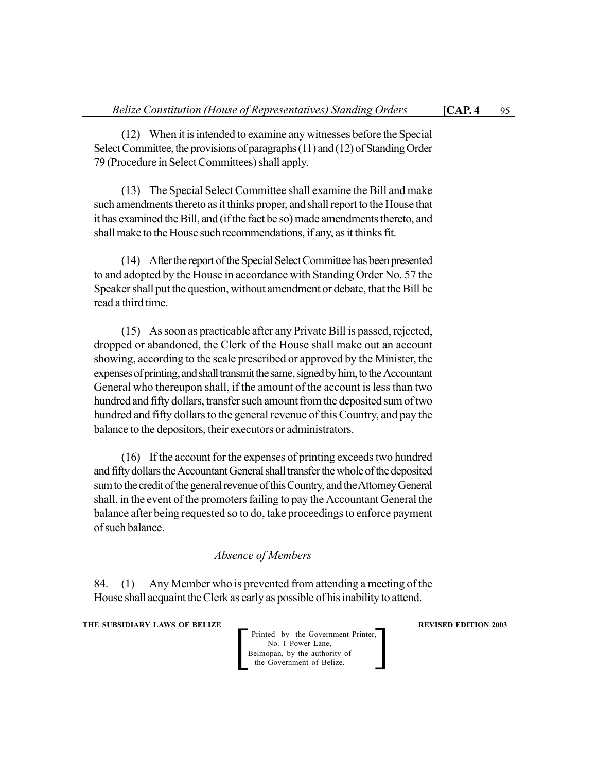(12) When it is intended to examine any witnesses before the Special Select Committee, the provisions of paragraphs (11) and (12) of Standing Order 79 (Procedure in Select Committees) shall apply.

(13) The Special Select Committee shall examine the Bill and make such amendments thereto as it thinks proper, and shall report to the House that it has examined the Bill, and (if the fact be so) made amendments thereto, and shall make to the House such recommendations, if any, as it thinks fit.

(14) After the report of the Special Select Committee has been presented to and adopted by the House in accordance with Standing Order No. 57 the Speaker shall put the question, without amendment or debate, that the Bill be read a third time.

(15) As soon as practicable after any Private Bill is passed, rejected, dropped or abandoned, the Clerk of the House shall make out an account showing, according to the scale prescribed or approved by the Minister, the expenses of printing, and shall transmit the same, signed by him, to the Accountant General who thereupon shall, if the amount of the account is less than two hundred and fifty dollars, transfer such amount from the deposited sum of two hundred and fifty dollars to the general revenue of this Country, and pay the balance to the depositors, their executors or administrators.

(16) If the account for the expenses of printing exceeds two hundred and fifty dollars the Accountant General shall transfer the whole of the deposited sum to the credit of the general revenue of this Country, and the Attorney General shall, in the event of the promoters failing to pay the Accountant General the balance after being requested so to do, take proceedings to enforce payment of such balance.

## *Absence of Members*

84. (1) Any Member who is prevented from attending a meeting of the House shall acquaint the Clerk as early as possible of his inability to attend.

**THE SUBSIDIARY LAWS OF BELIZE REVISED EDITION 2003** 

Printed by the Government Printer, No. 1 Power Lane, Belmopan, by the authority of<br>the Government of Belize.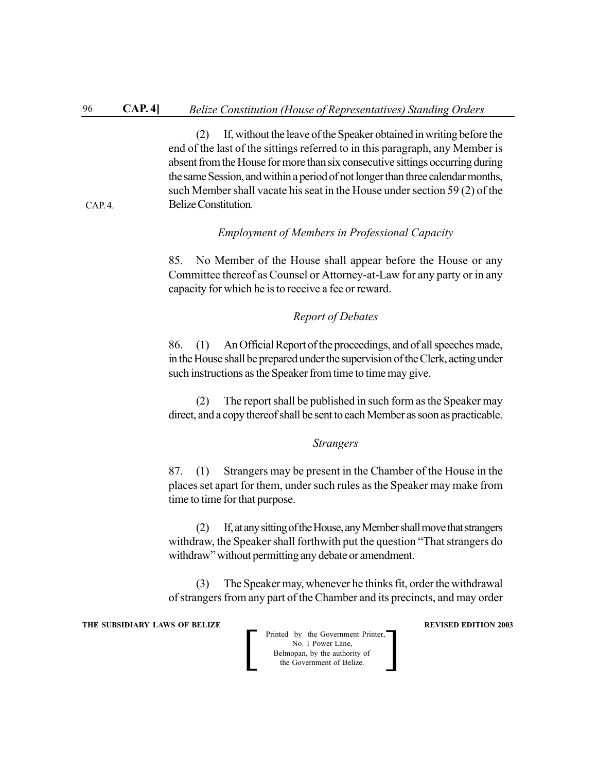(2) If, without the leave of the Speaker obtained in writing before the end of the last of the sittings referred to in this paragraph, any Member is absent from the House for more than six consecutive sittings occurring during the same Session, and within a period of not longer than three calendar months, such Member shall vacate his seat in the House under section 59 (2) of the Belize Constitution*.*

#### *Employment of Members in Professional Capacity*

85. No Member of the House shall appear before the House or any Committee thereof as Counsel or Attorney-at-Law for any party or in any capacity for which he is to receive a fee or reward.

#### *Report of Debates*

86. (1) An Official Report of the proceedings, and of all speeches made, in the House shall be prepared under the supervision of the Clerk, acting under such instructions as the Speaker from time to time may give.

(2) The report shall be published in such form as the Speaker may direct, and a copy thereof shall be sent to each Member as soon as practicable.

#### *Strangers*

87. (1) Strangers may be present in the Chamber of the House in the places set apart for them, under such rules as the Speaker may make from time to time for that purpose.

(2) If, at any sitting of the House, any Member shall move that strangers withdraw, the Speaker shall forthwith put the question "That strangers do withdraw" without permitting any debate or amendment.

(3) The Speaker may, whenever he thinks fit, order the withdrawal of strangers from any part of the Chamber and its precincts, and may order

**THE SUBSIDIARY LAWS OF BELIZE REVISED EDITION 2003** 

 $CAP. 4.$ 

| Printed by the Government Printer,<br>No. 1 Power Lane,    |  |
|------------------------------------------------------------|--|
| Belmopan, by the authority of<br>the Government of Belize. |  |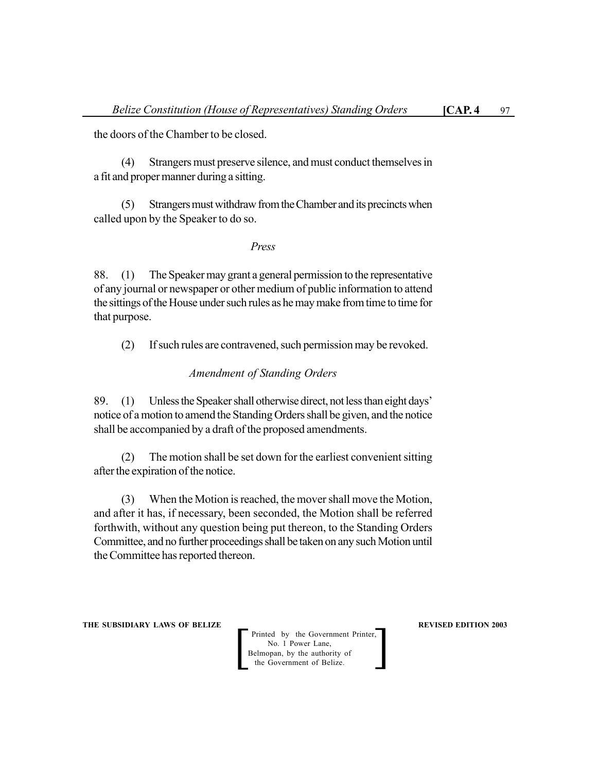the doors of the Chamber to be closed.

(4) Strangers must preserve silence, and must conduct themselves in a fit and proper manner during a sitting.

(5) Strangers must withdraw from the Chamber and its precincts when called upon by the Speaker to do so.

#### *Press*

88. (1) The Speaker may grant a general permission to the representative of any journal or newspaper or other medium of public information to attend the sittings of the House under such rules as he may make from time to time for that purpose.

(2) If such rules are contravened, such permission may be revoked.

#### *Amendment of Standing Orders*

89. (1) Unless the Speaker shall otherwise direct, not less than eight days' notice of a motion to amend the Standing Orders shall be given, and the notice shall be accompanied by a draft of the proposed amendments.

(2) The motion shall be set down for the earliest convenient sitting after the expiration of the notice.

(3) When the Motion is reached, the mover shall move the Motion, and after it has, if necessary, been seconded, the Motion shall be referred forthwith, without any question being put thereon, to the Standing Orders Committee, and no further proceedings shall be taken on any such Motion until the Committee has reported thereon.

**THE SUBSIDIARY LAWS OF BELIZE REVISED EDITION 2003**

Printed by the Government Printer, No. 1 Power Lane,<br>Belmopan, by the authority of Printed by the Government Printer,<br>
No. 1 Power Lane,<br>
Belmopan, by the authority of<br>
the Government of Belize.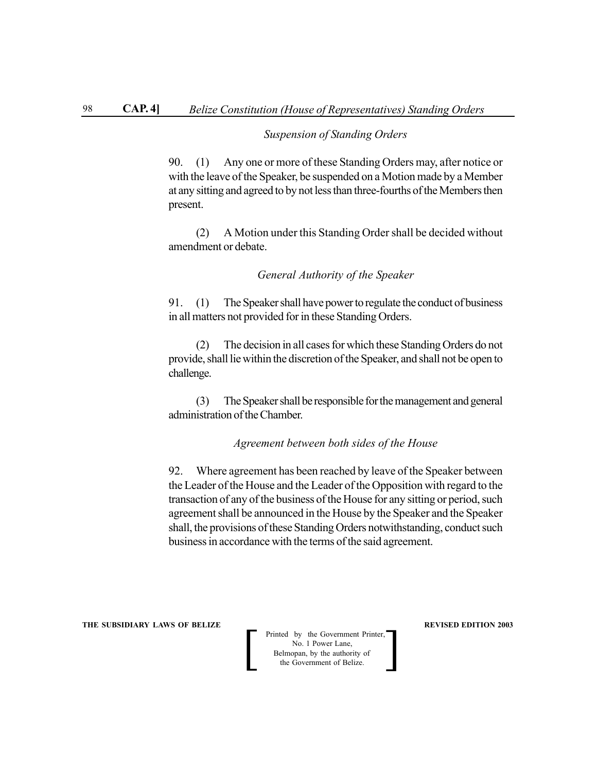#### *Suspension of Standing Orders*

90. (1) Any one or more of these Standing Orders may, after notice or with the leave of the Speaker, be suspended on a Motion made by a Member at any sitting and agreed to by not less than three-fourths of the Members then present.

(2) A Motion under this Standing Order shall be decided without amendment or debate.

#### *General Authority of the Speaker*

91. (1) The Speaker shall have power to regulate the conduct of business in all matters not provided for in these Standing Orders.

(2) The decision in all cases for which these Standing Orders do not provide, shall lie within the discretion of the Speaker, and shall not be open to challenge.

(3) The Speaker shall be responsible for the management and general administration of the Chamber.

*Agreement between both sides of the House*

92. Where agreement has been reached by leave of the Speaker between the Leader of the House and the Leader of the Opposition with regard to the transaction of any of the business of the House for any sitting or period, such agreement shall be announced in the House by the Speaker and the Speaker shall, the provisions of these Standing Orders notwithstanding, conduct such business in accordance with the terms of the said agreement.

**THE SUBSIDIARY LAWS OF BELIZE REVISED EDITION 2003**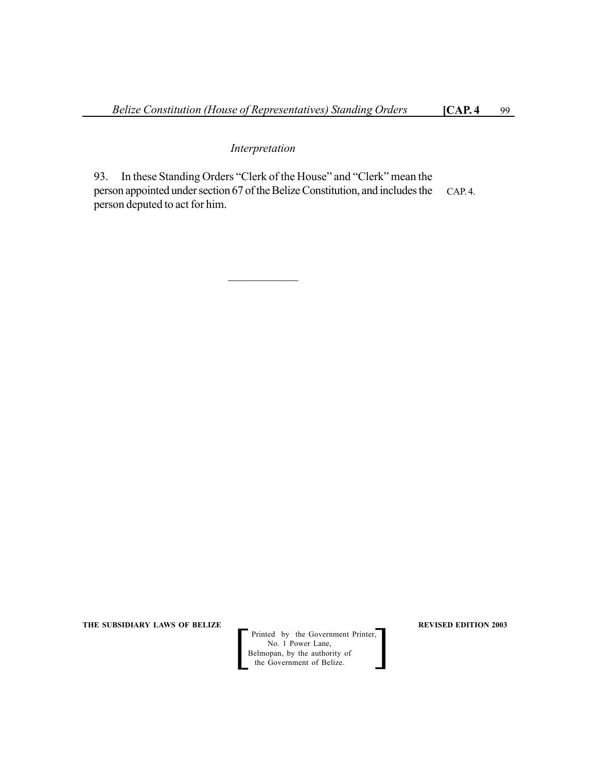#### *Interpretation*

 $\mathcal{L}_\text{max}$ 

93. In these Standing Orders "Clerk of the House" and "Clerk" mean the person appointed under section 67 of the Belize Constitution, and includes the person deputed to act for him. CAP. 4.

**THE SUBSIDIARY LAWS OF BELIZE REVISED EDITION 2003** 

Printed by the Government Printer, No. 1 Power Lane, Printed by the Government Printer,<br>
No. 1 Power Lane,<br>
Belmopan, by the authority of<br>
the Government of Belize.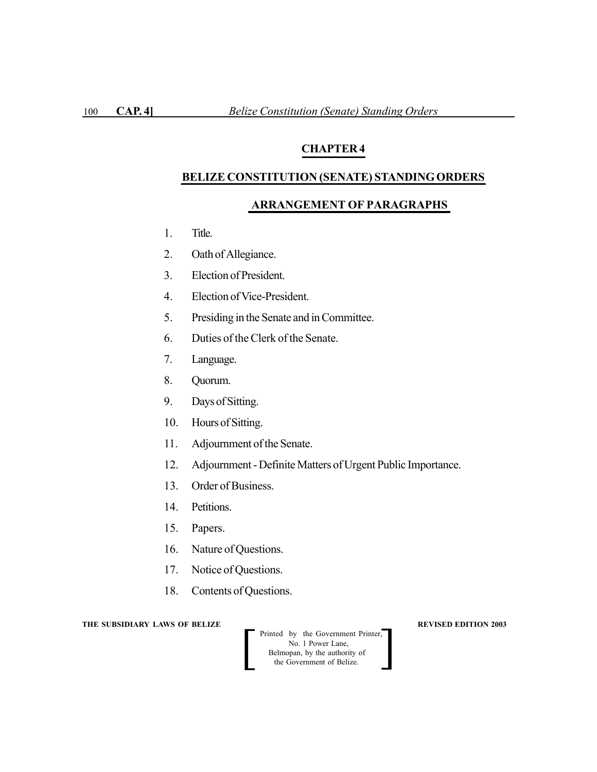# **CHAPTER 4**

#### **BELIZE CONSTITUTION (SENATE) STANDING ORDERS**

# **ARRANGEMENT OF PARAGRAPHS**

- 1. Title.
- 2. Oath of Allegiance.
- 3. Election of President.
- 4. Election of Vice-President.
- 5. Presiding in the Senate and in Committee.
- 6. Duties of the Clerk of the Senate.
- 7. Language.
- 8. Quorum.
- 9. Days of Sitting.
- 10. Hours of Sitting.
- 11. Adjournment of the Senate.
- 12. Adjournment Definite Matters of Urgent Public Importance.
- 13. Order of Business.
- 14. Petitions.
- 15. Papers.
- 16. Nature of Questions.
- 17. Notice of Questions.
- 18. Contents of Questions.

**THE SUBSIDIARY LAWS OF BELIZE REVISED EDITION 2003** 

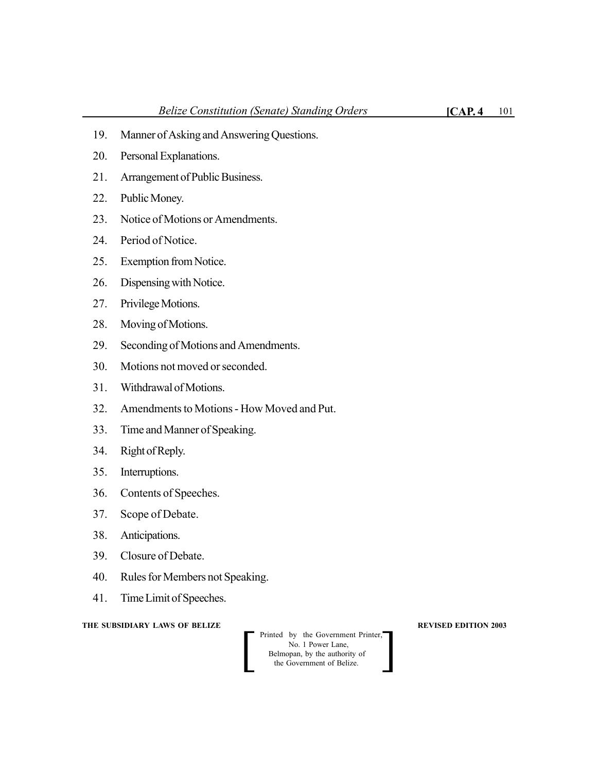- 20. Personal Explanations.
- 21. Arrangement of Public Business.
- 22. Public Money.
- 23. Notice of Motions or Amendments.
- 24. Period of Notice.
- 25. Exemption from Notice.
- 26. Dispensing with Notice.
- 27. Privilege Motions.
- 28. Moving of Motions.
- 29. Seconding of Motions and Amendments.
- 30. Motions not moved or seconded.
- 31. Withdrawal of Motions.
- 32. Amendments to Motions How Moved and Put.
- 33. Time and Manner of Speaking.
- 34. Right of Reply.
- 35. Interruptions.
- 36. Contents of Speeches.
- 37. Scope of Debate.
- 38. Anticipations.
- 39. Closure of Debate.
- 40. Rules for Members not Speaking.
- 41. Time Limit of Speeches.

**THE SUBSIDIARY LAWS OF BELIZE REVISED EDITION 2003**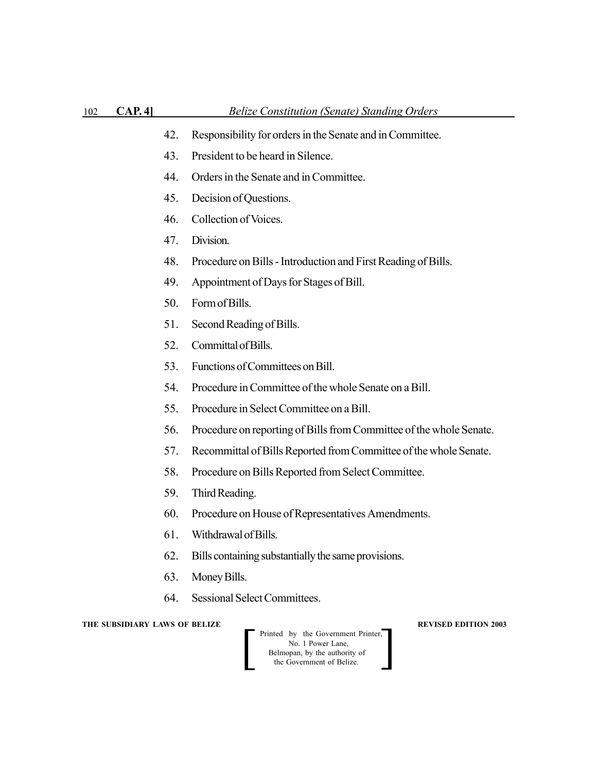- 42. Responsibility for orders in the Senate and in Committee.
- 43. President to be heard in Silence.
- 44. Orders in the Senate and in Committee.
- 45. Decision of Questions.
- 46. Collection of Voices.
- 47. Division.
- 48. Procedure on Bills Introduction and First Reading of Bills.
- 49. Appointment of Days for Stages of Bill.
- 50. Form of Bills.
- 51. Second Reading of Bills.
- 52. Committal of Bills.
- 53. Functions of Committees on Bill.
- 54. Procedure in Committee of the whole Senate on a Bill.
- 55. Procedure in Select Committee on a Bill.
- 56. Procedure on reporting of Bills from Committee of the whole Senate.
- 57. Recommittal of Bills Reported from Committee of the whole Senate.
- 58. Procedure on Bills Reported from Select Committee.
- 59. Third Reading.
- 60. Procedure on House of Representatives Amendments.
- 61. Withdrawal of Bills.
- 62. Bills containing substantially the same provisions.
- 63. Money Bills.
- 64. Sessional Select Committees.

**THE SUBSIDIARY LAWS OF BELIZE REVISED EDITION 2003**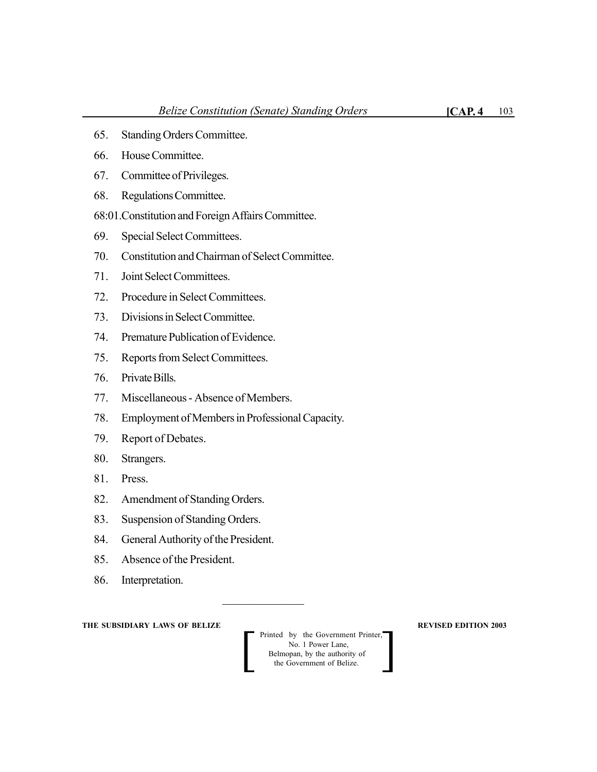- 65. Standing Orders Committee.
- 66. House Committee.
- 67. Committee of Privileges.
- 68. Regulations Committee.
- 68:01.Constitution and Foreign Affairs Committee.
- 69. Special Select Committees.
- 70. Constitution and Chairman of Select Committee.
- 71. Joint Select Committees.
- 72. Procedure in Select Committees.
- 73. Divisions in Select Committee.
- 74. Premature Publication of Evidence.
- 75. Reports from Select Committees.
- 76. Private Bills.
- 77. Miscellaneous Absence of Members.
- 78. Employment of Members in Professional Capacity.
- 79. Report of Debates.
- 80. Strangers.
- 81. Press.
- 82. Amendment of Standing Orders.
- 83. Suspension of Standing Orders.
- 84. General Authority of the President.
- 85. Absence of the President.
- 86. Interpretation.

**THE SUBSIDIARY LAWS OF BELIZE REVISED EDITION 2003** 

Printed by the Government Printer,<br>
No. 1 Power Lane,<br>
Belmopan, by the authority of<br>
the Government of Belize. No. 1 Power Lane, Belmopan, by the authority of<br>the Government of Belize.

 $\frac{1}{2}$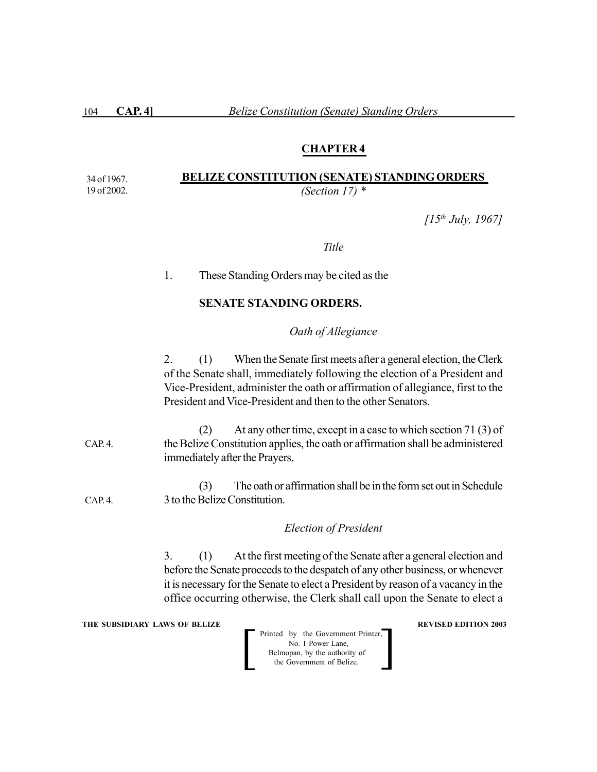104 **CAP. 4]** *Belize Constitution (Senate) Standing Orders*

#### **CHAPTER 4**

#### **BELIZE CONSTITUTION (SENATE) STANDING ORDERS** *(Section 17) \** 34 of 1967. 19 of 2002.

*[15th July, 1967]*

*Title*

### 1. These Standing Orders may be cited as the

#### **SENATE STANDING ORDERS.**

#### *Oath of Allegiance*

2. (1) When the Senate first meets after a general election, the Clerk of the Senate shall, immediately following the election of a President and Vice-President, administer the oath or affirmation of allegiance, first to the President and Vice-President and then to the other Senators.

(2) At any other time, except in a case to which section 71 (3) of the Belize Constitution applies, the oath or affirmation shall be administered immediately after the Prayers.  $CAP<sub>4</sub>$ 

(3) The oath or affirmation shall be in the form set out in Schedule 3 to the Belize Constitution. CAP. 4.

#### *Election of President*

3. (1) At the first meeting of the Senate after a general election and before the Senate proceeds to the despatch of any other business, or whenever it is necessary for the Senate to elect a President by reason of a vacancy in the office occurring otherwise, the Clerk shall call upon the Senate to elect a

**THE SUBSIDIARY LAWS OF BELIZE REVISED EDITION 2003**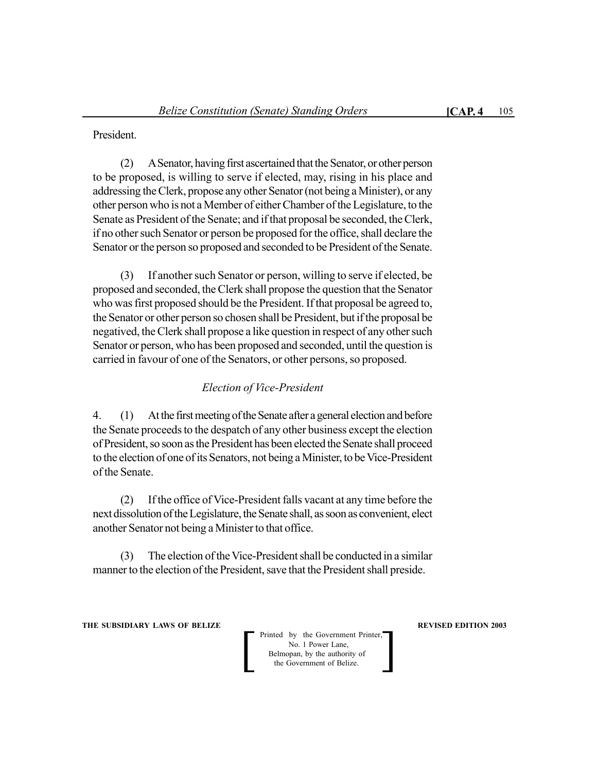President.

(2) A Senator, having first ascertained that the Senator, or other person to be proposed, is willing to serve if elected, may, rising in his place and addressing the Clerk, propose any other Senator (not being a Minister), or any other person who is not a Member of either Chamber of the Legislature, to the Senate as President of the Senate; and if that proposal be seconded, the Clerk, if no other such Senator or person be proposed for the office, shall declare the Senator or the person so proposed and seconded to be President of the Senate.

(3) If another such Senator or person, willing to serve if elected, be proposed and seconded, the Clerk shall propose the question that the Senator who was first proposed should be the President. If that proposal be agreed to, the Senator or other person so chosen shall be President, but if the proposal be negatived, the Clerk shall propose a like question in respect of any other such Senator or person, who has been proposed and seconded, until the question is carried in favour of one of the Senators, or other persons, so proposed.

### *Election of Vice-President*

4. (1) At the first meeting of the Senate after a general election and before the Senate proceeds to the despatch of any other business except the election of President, so soon as the President has been elected the Senate shall proceed to the election of one of its Senators, not being a Minister, to be Vice-President of the Senate.

(2) If the office of Vice-President falls vacant at any time before the next dissolution of the Legislature, the Senate shall, as soon as convenient, elect another Senator not being a Minister to that office.

(3) The election of the Vice-President shall be conducted in a similar manner to the election of the President, save that the President shall preside.

**THE SUBSIDIARY LAWS OF BELIZE AND SUBSIDIARY LAWS AREVISED EDITION 2003**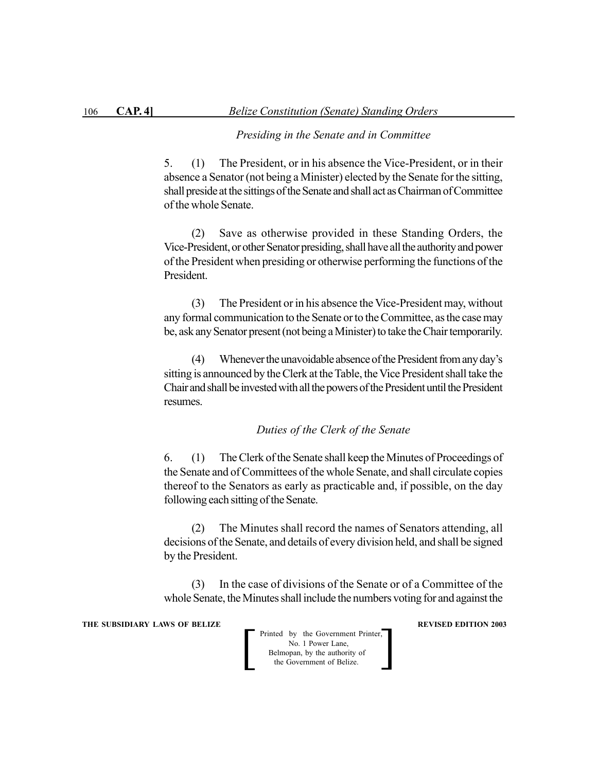#### *Presiding in the Senate and in Committee*

5. (1) The President, or in his absence the Vice-President, or in their absence a Senator (not being a Minister) elected by the Senate for the sitting, shall preside at the sittings of the Senate and shall act as Chairman of Committee of the whole Senate.

(2) Save as otherwise provided in these Standing Orders, the Vice-President, or other Senator presiding, shall have all the authority and power of the President when presiding or otherwise performing the functions of the President.

(3) The President or in his absence the Vice-President may, without any formal communication to the Senate or to the Committee, as the case may be, ask any Senator present (not being a Minister) to take the Chair temporarily.

(4) Whenever the unavoidable absence of the President from any day's sitting is announced by the Clerk at the Table, the Vice President shall take the Chair and shall be invested with all the powers of the President until the President resumes.

*Duties of the Clerk of the Senate*

6. (1) The Clerk of the Senate shall keep the Minutes of Proceedings of the Senate and of Committees of the whole Senate, and shall circulate copies thereof to the Senators as early as practicable and, if possible, on the day following each sitting of the Senate.

(2) The Minutes shall record the names of Senators attending, all decisions of the Senate, and details of every division held, and shall be signed by the President.

(3) In the case of divisions of the Senate or of a Committee of the whole Senate, the Minutes shall include the numbers voting for and against the

**THE SUBSIDIARY LAWS OF BELIZE REVISED EDITION 2003**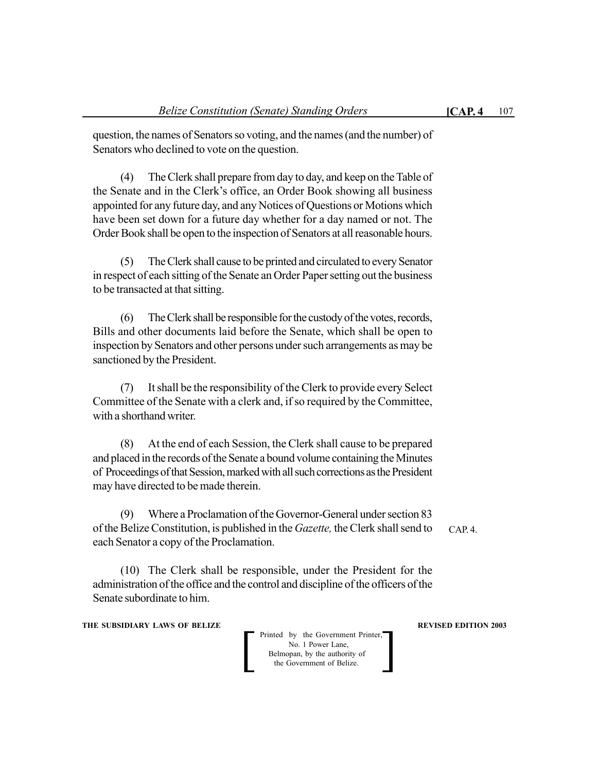question, the names of Senators so voting, and the names (and the number) of Senators who declined to vote on the question.

(4) The Clerk shall prepare from day to day, and keep on the Table of the Senate and in the Clerk's office, an Order Book showing all business appointed for any future day, and any Notices of Questions or Motions which have been set down for a future day whether for a day named or not. The Order Book shall be open to the inspection of Senators at all reasonable hours.

(5) The Clerk shall cause to be printed and circulated to every Senator in respect of each sitting of the Senate an Order Paper setting out the business to be transacted at that sitting.

(6) The Clerk shall be responsible for the custody of the votes, records, Bills and other documents laid before the Senate, which shall be open to inspection by Senators and other persons under such arrangements as may be sanctioned by the President.

(7) It shall be the responsibility of the Clerk to provide every Select Committee of the Senate with a clerk and, if so required by the Committee, with a shorthand writer.

(8) At the end of each Session, the Clerk shall cause to be prepared and placed in the records of the Senate a bound volume containing the Minutes of Proceedings of that Session, marked with all such corrections as the President may have directed to be made therein.

(9) Where a Proclamation of the Governor-General under section 83 of the Belize Constitution, is published in the *Gazette,* the Clerk shall send to each Senator a copy of the Proclamation.

(10) The Clerk shall be responsible, under the President for the administration of the office and the control and discipline of the officers of the Senate subordinate to him.

**THE SUBSIDIARY LAWS OF BELIZE AND SUBSIDIARY LAWS AREVISED EDITION 2003** 

Printed by the Government Printer,<br>
No. 1 Power Lane,<br>
Belmopan, by the authority of<br>
the Government of Belize. No. 1 Power Lane, Belmopan, by the authority of

CAP. 4.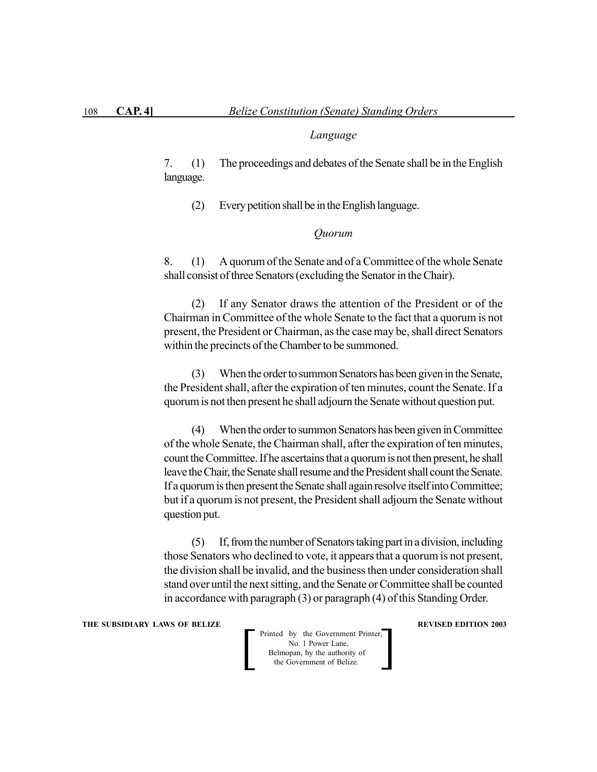#### *Language*

7. (1) The proceedings and debates of the Senate shall be in the English language.

(2) Every petition shall be in the English language.

#### *Quorum*

8. (1) A quorum of the Senate and of a Committee of the whole Senate shall consist of three Senators (excluding the Senator in the Chair).

(2) If any Senator draws the attention of the President or of the Chairman in Committee of the whole Senate to the fact that a quorum is not present, the President or Chairman, as the case may be, shall direct Senators within the precincts of the Chamber to be summoned.

(3) When the order to summon Senators has been given in the Senate, the President shall, after the expiration of ten minutes, count the Senate. If a quorum is not then present he shall adjourn the Senate without question put.

(4) When the order to summon Senators has been given in Committee of the whole Senate, the Chairman shall, after the expiration of ten minutes, count the Committee. If he ascertains that a quorum is not then present, he shall leave the Chair, the Senate shall resume and the President shall count the Senate. If a quorum is then present the Senate shall again resolve itself into Committee; but if a quorum is not present, the President shall adjourn the Senate without question put.

(5) If, from the number of Senators taking part in a division, including those Senators who declined to vote, it appears that a quorum is not present, the division shall be invalid, and the business then under consideration shall stand over until the next sitting, and the Senate or Committee shall be counted in accordance with paragraph (3) or paragraph (4) of this Standing Order.

#### **THE SUBSIDIARY LAWS OF BELIZE REVISED EDITION 2003**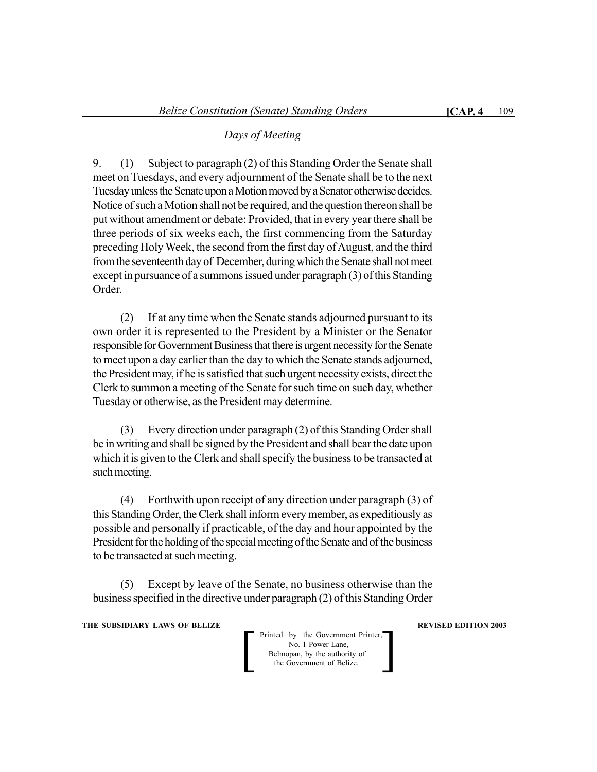## *Days of Meeting*

9. (1) Subject to paragraph (2) of this Standing Order the Senate shall meet on Tuesdays, and every adjournment of the Senate shall be to the next Tuesday unless the Senate upon a Motion moved by a Senator otherwise decides. Notice of such a Motion shall not be required, and the question thereon shall be put without amendment or debate: Provided, that in every year there shall be three periods of six weeks each, the first commencing from the Saturday preceding Holy Week, the second from the first day of August, and the third from the seventeenth day of December, during which the Senate shall not meet except in pursuance of a summons issued under paragraph (3) of this Standing Order.

(2) If at any time when the Senate stands adjourned pursuant to its own order it is represented to the President by a Minister or the Senator responsible for Government Business that there is urgent necessity for the Senate to meet upon a day earlier than the day to which the Senate stands adjourned, the President may, if he is satisfied that such urgent necessity exists, direct the Clerk to summon a meeting of the Senate for such time on such day, whether Tuesday or otherwise, as the President may determine.

(3) Every direction under paragraph (2) of this Standing Order shall be in writing and shall be signed by the President and shall bear the date upon which it is given to the Clerk and shall specify the business to be transacted at such meeting.

(4) Forthwith upon receipt of any direction under paragraph (3) of this Standing Order, the Clerk shall inform every member, as expeditiously as possible and personally if practicable, of the day and hour appointed by the President for the holding of the special meeting of the Senate and of the business to be transacted at such meeting.

(5) Except by leave of the Senate, no business otherwise than the business specified in the directive under paragraph (2) of this Standing Order

**THE SUBSIDIARY LAWS OF BELIZE AND SUBSIDIARY LAWS AREVISED EDITION 2003**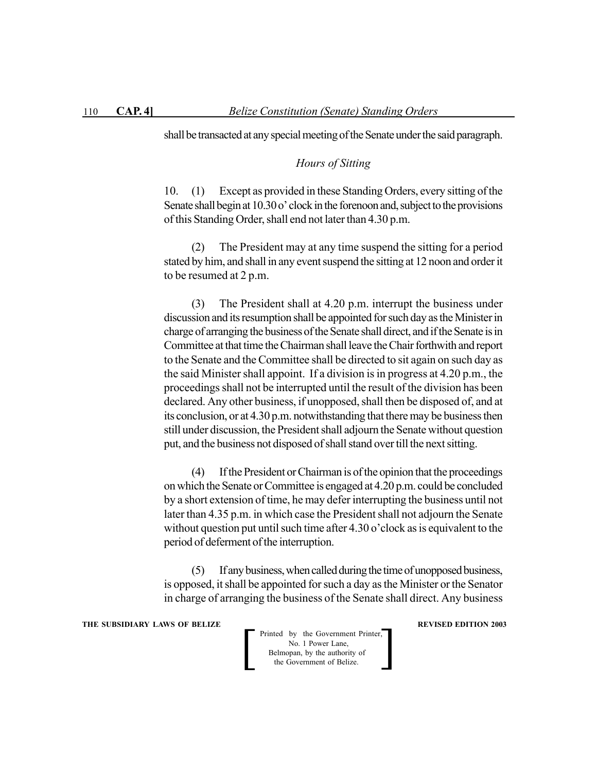shall be transacted at any special meeting of the Senate under the said paragraph.

## *Hours of Sitting*

10. (1) Except as provided in these Standing Orders, every sitting of the Senate shall begin at 10.30 o' clock in the forenoon and, subject to the provisions of this Standing Order, shall end not later than 4.30 p.m.

(2) The President may at any time suspend the sitting for a period stated by him, and shall in any event suspend the sitting at 12 noon and order it to be resumed at 2 p.m.

(3) The President shall at 4.20 p.m. interrupt the business under discussion and its resumption shall be appointed for such day as the Minister in charge of arranging the business of the Senate shall direct, and if the Senate is in Committee at that time the Chairman shall leave the Chair forthwith and report to the Senate and the Committee shall be directed to sit again on such day as the said Minister shall appoint. If a division is in progress at 4.20 p.m., the proceedings shall not be interrupted until the result of the division has been declared. Any other business, if unopposed, shall then be disposed of, and at its conclusion, or at 4.30 p.m. notwithstanding that there may be business then still under discussion, the President shall adjourn the Senate without question put, and the business not disposed of shall stand over till the next sitting.

(4) If the President or Chairman is of the opinion that the proceedings on which the Senate or Committee is engaged at 4.20 p.m. could be concluded by a short extension of time, he may defer interrupting the business until not later than 4.35 p.m. in which case the President shall not adjourn the Senate without question put until such time after 4.30 o'clock as is equivalent to the period of deferment of the interruption.

(5) If any business, when called during the time of unopposed business, is opposed, it shall be appointed for such a day as the Minister or the Senator in charge of arranging the business of the Senate shall direct. Any business

**THE SUBSIDIARY LAWS OF BELIZE REVISED EDITION 2003**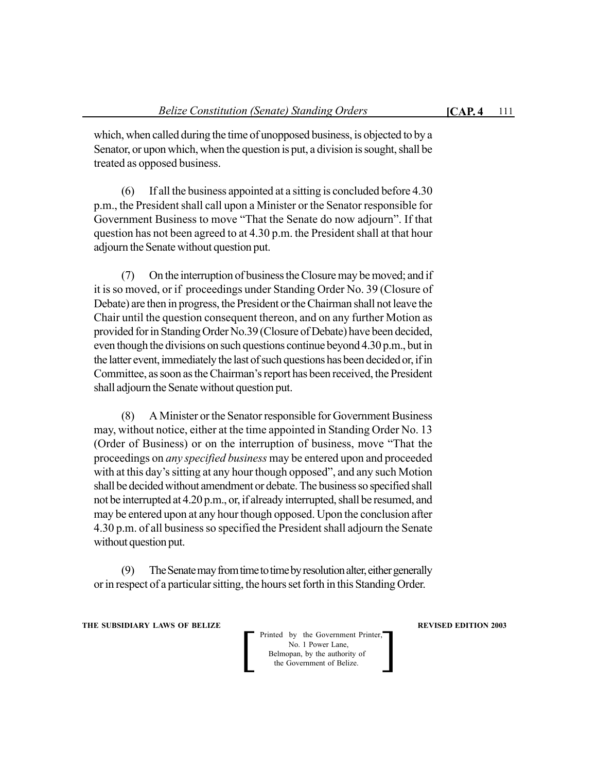which, when called during the time of unopposed business, is objected to by a Senator, or upon which, when the question is put, a division is sought, shall be treated as opposed business.

(6) If all the business appointed at a sitting is concluded before 4.30 p.m., the President shall call upon a Minister or the Senator responsible for Government Business to move "That the Senate do now adjourn". If that question has not been agreed to at 4.30 p.m. the President shall at that hour adjourn the Senate without question put.

(7) On the interruption of business the Closure may be moved; and if it is so moved, or if proceedings under Standing Order No. 39 (Closure of Debate) are then in progress, the President or the Chairman shall not leave the Chair until the question consequent thereon, and on any further Motion as provided for in Standing Order No.39 (Closure of Debate) have been decided, even though the divisions on such questions continue beyond 4.30 p.m., but in the latter event, immediately the last of such questions has been decided or, if in Committee, as soon as the Chairman's report has been received, the President shall adjourn the Senate without question put.

(8) A Minister or the Senator responsible for Government Business may, without notice, either at the time appointed in Standing Order No. 13 (Order of Business) or on the interruption of business, move "That the proceedings on *any specified business* may be entered upon and proceeded with at this day's sitting at any hour though opposed", and any such Motion shall be decided without amendment or debate. The business so specified shall not be interrupted at 4.20 p.m., or, if already interrupted, shall be resumed, and may be entered upon at any hour though opposed. Upon the conclusion after 4.30 p.m. of all business so specified the President shall adjourn the Senate without question put.

(9) The Senate may from time to time by resolution alter, either generally or in respect of a particular sitting, the hours set forth in this Standing Order.

**THE SUBSIDIARY LAWS OF BELIZE AND SUBSIDIARY LAWS AREVISED EDITION 2003**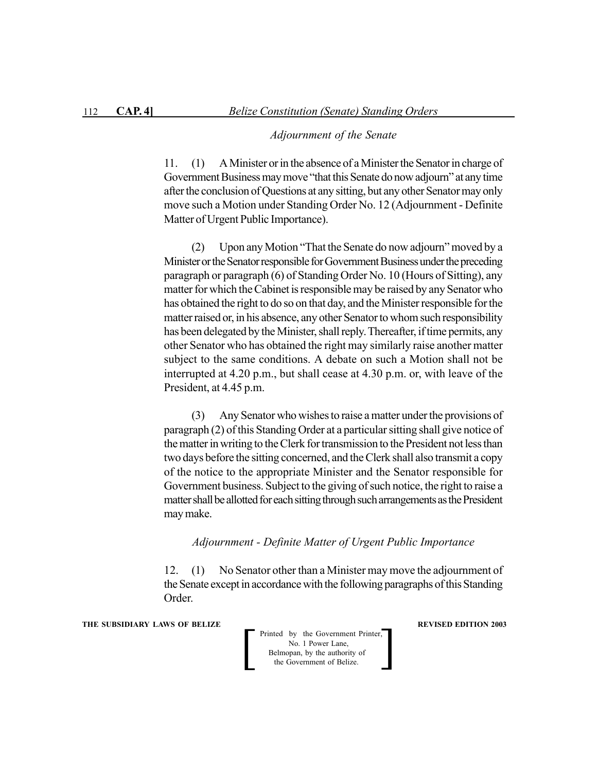#### *Adjournment of the Senate*

11. (1) A Minister or in the absence of a Minister the Senator in charge of Government Business may move "that this Senate do now adjourn" at any time after the conclusion of Questions at any sitting, but any other Senator may only move such a Motion under Standing Order No. 12 (Adjournment - Definite Matter of Urgent Public Importance).

(2) Upon any Motion "That the Senate do now adjourn" moved by a Minister or the Senator responsible for Government Business under the preceding paragraph or paragraph (6) of Standing Order No. 10 (Hours of Sitting), any matter for which the Cabinet is responsible may be raised by any Senator who has obtained the right to do so on that day, and the Minister responsible for the matter raised or, in his absence, any other Senator to whom such responsibility has been delegated by the Minister, shall reply. Thereafter, if time permits, any other Senator who has obtained the right may similarly raise another matter subject to the same conditions. A debate on such a Motion shall not be interrupted at 4.20 p.m., but shall cease at 4.30 p.m. or, with leave of the President, at 4.45 p.m.

(3) Any Senator who wishes to raise a matter under the provisions of paragraph (2) of this Standing Order at a particular sitting shall give notice of the matter in writing to the Clerk for transmission to the President not less than two days before the sitting concerned, and the Clerk shall also transmit a copy of the notice to the appropriate Minister and the Senator responsible for Government business. Subject to the giving of such notice, the right to raise a matter shall be allotted for each sitting through such arrangements as the President may make.

#### *Adjournment - Definite Matter of Urgent Public Importance*

12. (1) No Senator other than a Minister may move the adjournment of the Senate except in accordance with the following paragraphs of this Standing Order.

**THE SUBSIDIARY LAWS OF BELIZE REVISED EDITION 2003**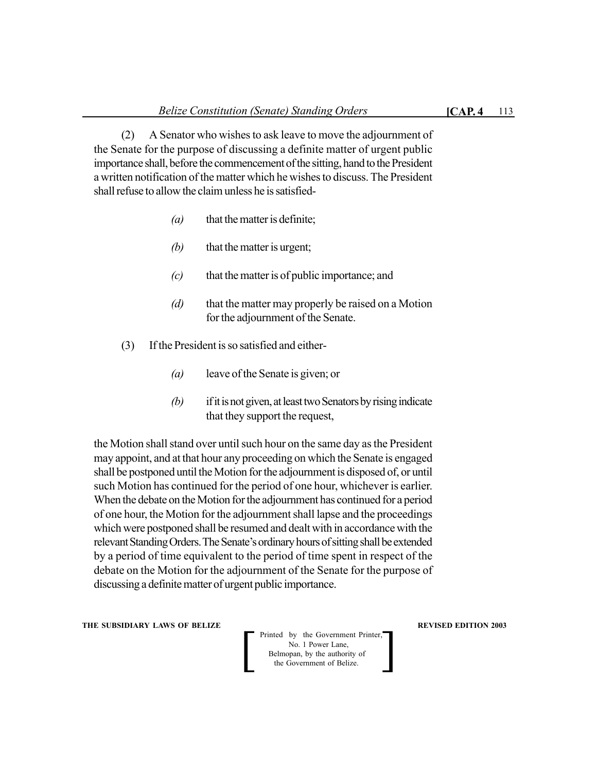(2) A Senator who wishes to ask leave to move the adjournment of the Senate for the purpose of discussing a definite matter of urgent public importance shall, before the commencement of the sitting, hand to the President a written notification of the matter which he wishes to discuss. The President shall refuse to allow the claim unless he is satisfied-

- *(a)* that the matter is definite;
- *(b)* that the matter is urgent;
- *(c)* that the matter is of public importance; and
- *(d)* that the matter may properly be raised on a Motion for the adjournment of the Senate.
- (3) If the President is so satisfied and either-
	- *(a)* leave of the Senate is given; or
	- *(b)* if it is not given, at least two Senators by rising indicate that they support the request,

the Motion shall stand over until such hour on the same day as the President may appoint, and at that hour any proceeding on which the Senate is engaged shall be postponed until the Motion for the adjournment is disposed of, or until such Motion has continued for the period of one hour, whichever is earlier. When the debate on the Motion for the adjournment has continued for a period of one hour, the Motion for the adjournment shall lapse and the proceedings which were postponed shall be resumed and dealt with in accordance with the relevant Standing Orders. The Senate's ordinary hours of sitting shall be extended by a period of time equivalent to the period of time spent in respect of the debate on the Motion for the adjournment of the Senate for the purpose of discussing a definite matter of urgent public importance.

**THE SUBSIDIARY LAWS OF BELIZE AND SUBSIDIARY LAWS AREVISED EDITION 2003**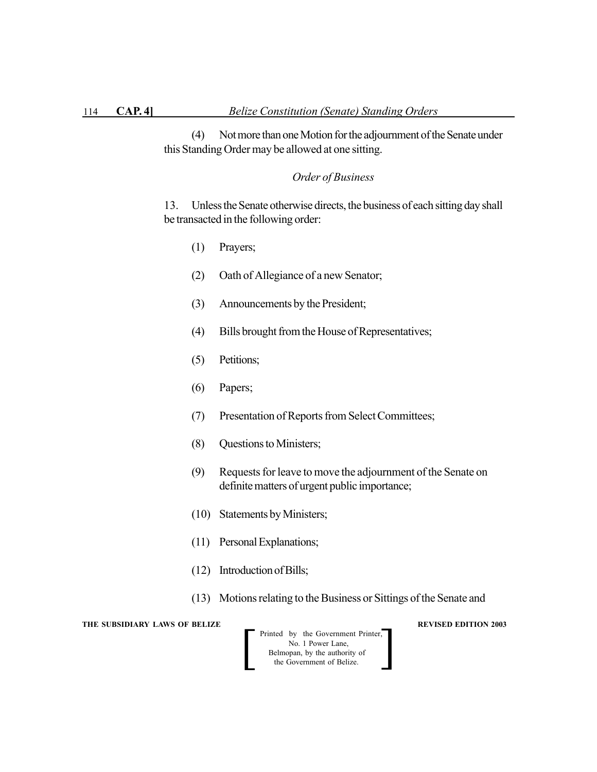(4) Not more than one Motion for the adjournment of the Senate under this Standing Order may be allowed at one sitting.

## *Order of Business*

13. Unless the Senate otherwise directs, the business of each sitting day shall be transacted in the following order:

- (1) Prayers;
- (2) Oath of Allegiance of a new Senator;
- (3) Announcements by the President;
- (4) Bills brought from the House of Representatives;
- (5) Petitions;
- (6) Papers;
- (7) Presentation of Reports from Select Committees;
- (8) Questions to Ministers;
- (9) Requests for leave to move the adjournment of the Senate on definite matters of urgent public importance;
- (10) Statements by Ministers;
- (11) Personal Explanations;
- (12) Introduction of Bills;
- (13) Motions relating to the Business or Sittings of the Senate and

**THE SUBSIDIARY LAWS OF BELIZE REVISED EDITION 2003** 

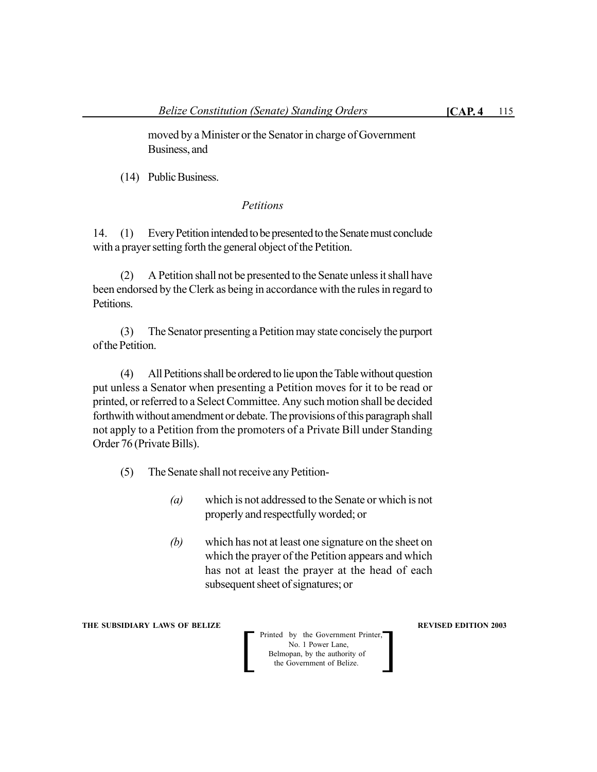moved by a Minister or the Senator in charge of Government Business, and

(14) Public Business.

## *Petitions*

14. (1) Every Petition intended to be presented to the Senate must conclude with a prayer setting forth the general object of the Petition.

(2) A Petition shall not be presented to the Senate unless it shall have been endorsed by the Clerk as being in accordance with the rules in regard to Petitions.

(3) The Senator presenting a Petition may state concisely the purport of the Petition.

(4) All Petitions shall be ordered to lie upon the Table without question put unless a Senator when presenting a Petition moves for it to be read or printed, or referred to a Select Committee. Any such motion shall be decided forthwith without amendment or debate. The provisions of this paragraph shall not apply to a Petition from the promoters of a Private Bill under Standing Order 76 (Private Bills).

- (5) The Senate shall not receive any Petition-
	- *(a)* which is not addressed to the Senate or which is not properly and respectfully worded; or
	- *(b)* which has not at least one signature on the sheet on which the prayer of the Petition appears and which has not at least the prayer at the head of each subsequent sheet of signatures; or

**THE SUBSIDIARY LAWS OF BELIZE AND SUBSIDIARY LAWS AREVISED EDITION 2003**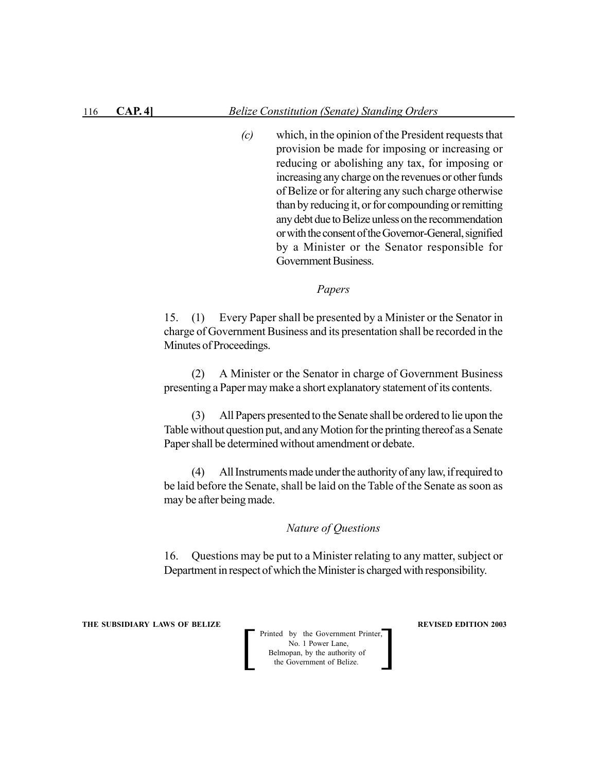*(c)* which, in the opinion of the President requests that provision be made for imposing or increasing or reducing or abolishing any tax, for imposing or increasing any charge on the revenues or other funds of Belize or for altering any such charge otherwise than by reducing it, or for compounding or remitting any debt due to Belize unless on the recommendation or with the consent of the Governor-General, signified by a Minister or the Senator responsible for Government Business.

*Papers*

15. (1) Every Paper shall be presented by a Minister or the Senator in charge of Government Business and its presentation shall be recorded in the Minutes of Proceedings.

(2) A Minister or the Senator in charge of Government Business presenting a Paper may make a short explanatory statement of its contents.

(3) All Papers presented to the Senate shall be ordered to lie upon the Table without question put, and any Motion for the printing thereof as a Senate Paper shall be determined without amendment or debate.

(4) All Instruments made under the authority of any law, if required to be laid before the Senate, shall be laid on the Table of the Senate as soon as may be after being made.

## *Nature of Questions*

16. Questions may be put to a Minister relating to any matter, subject or Department in respect of which the Minister is charged with responsibility.

**THE SUBSIDIARY LAWS OF BELIZE REVISED EDITION 2003**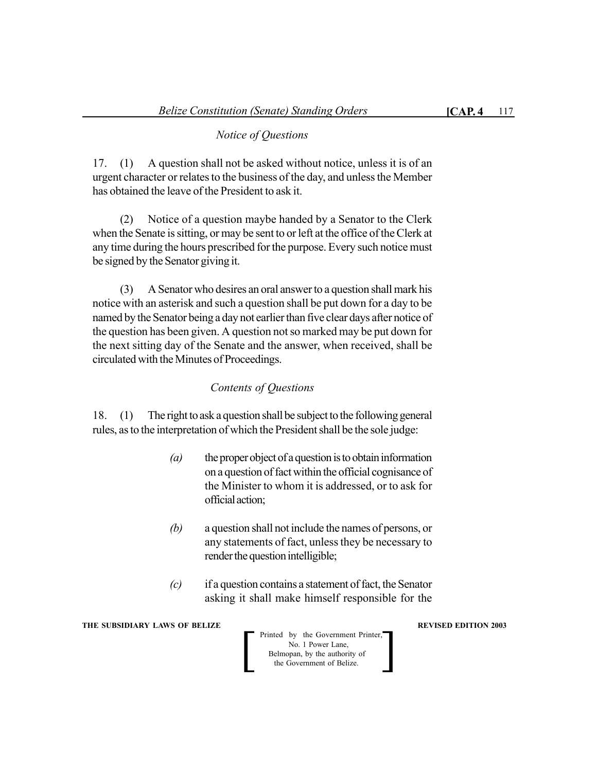17. (1) A question shall not be asked without notice, unless it is of an urgent character or relates to the business of the day, and unless the Member has obtained the leave of the President to ask it.

(2) Notice of a question maybe handed by a Senator to the Clerk when the Senate is sitting, or may be sent to or left at the office of the Clerk at any time during the hours prescribed for the purpose. Every such notice must be signed by the Senator giving it.

(3) A Senator who desires an oral answer to a question shall mark his notice with an asterisk and such a question shall be put down for a day to be named by the Senator being a day not earlier than five clear days after notice of the question has been given. A question not so marked may be put down for the next sitting day of the Senate and the answer, when received, shall be circulated with the Minutes of Proceedings.

## *Contents of Questions*

18. (1) The right to ask a question shall be subject to the following general rules, as to the interpretation of which the President shall be the sole judge:

- *(a)* the proper object of a question is to obtain information on a question of fact within the official cognisance of the Minister to whom it is addressed, or to ask for official action;
- *(b)* a question shall not include the names of persons, or any statements of fact, unless they be necessary to render the question intelligible;
- *(c)* if a question contains a statement of fact, the Senator asking it shall make himself responsible for the

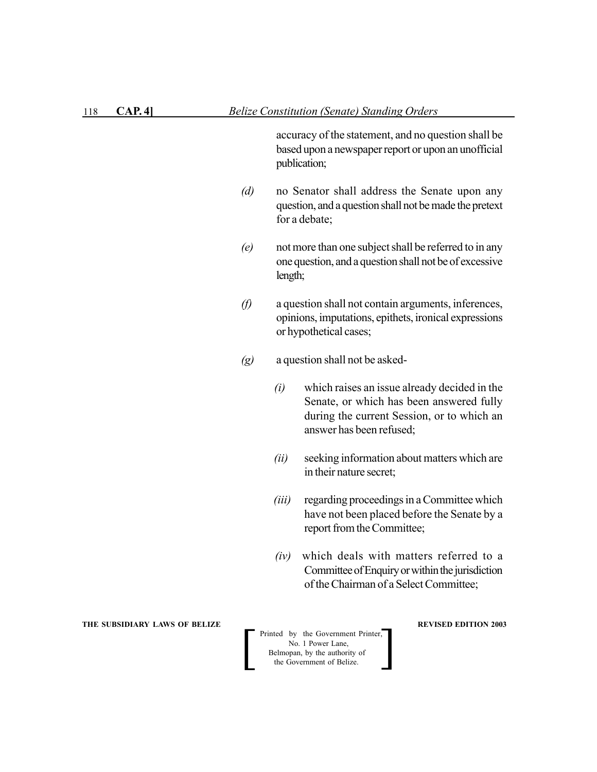| 118 | CAP. 4]                       |                   | <b>Belize Constitution (Senate) Standing Orders</b>                                                                                                                                                                                                                                                                                                                                                                               |                                                                                                                                                                    |  |
|-----|-------------------------------|-------------------|-----------------------------------------------------------------------------------------------------------------------------------------------------------------------------------------------------------------------------------------------------------------------------------------------------------------------------------------------------------------------------------------------------------------------------------|--------------------------------------------------------------------------------------------------------------------------------------------------------------------|--|
|     |                               |                   |                                                                                                                                                                                                                                                                                                                                                                                                                                   | accuracy of the statement, and no question shall be<br>based upon a newspaper report or upon an unofficial<br>publication;                                         |  |
|     |                               | (d)               | no Senator shall address the Senate upon any<br>question, and a question shall not be made the pretext<br>for a debate;<br>not more than one subject shall be referred to in any<br>one question, and a question shall not be of excessive<br>length;<br>a question shall not contain arguments, inferences,<br>opinions, imputations, epithets, ironical expressions<br>or hypothetical cases;<br>a question shall not be asked- |                                                                                                                                                                    |  |
|     |                               | (e)               |                                                                                                                                                                                                                                                                                                                                                                                                                                   |                                                                                                                                                                    |  |
|     |                               | $\varnothing$     |                                                                                                                                                                                                                                                                                                                                                                                                                                   |                                                                                                                                                                    |  |
|     |                               | $\left( g\right)$ |                                                                                                                                                                                                                                                                                                                                                                                                                                   |                                                                                                                                                                    |  |
|     |                               |                   | (i)                                                                                                                                                                                                                                                                                                                                                                                                                               | which raises an issue already decided in the<br>Senate, or which has been answered fully<br>during the current Session, or to which an<br>answer has been refused; |  |
|     |                               |                   | (ii)                                                                                                                                                                                                                                                                                                                                                                                                                              | seeking information about matters which are<br>in their nature secret;                                                                                             |  |
|     |                               |                   | (iii)                                                                                                                                                                                                                                                                                                                                                                                                                             | regarding proceedings in a Committee which<br>have not been placed before the Senate by a<br>report from the Committee;                                            |  |
|     |                               |                   | (iv)                                                                                                                                                                                                                                                                                                                                                                                                                              | which deals with matters referred to a<br>Committee of Enquiry or within the jurisdiction<br>of the Chairman of a Select Committee;                                |  |
|     | THE SUBSIDIARY LAWS OF BELIZE |                   | <b>REVISED EDITION 2003</b><br>Printed by the Government Printer,<br>No. 1 Power Lane,<br>Belmopan, by the authority of<br>the Government of Belize.                                                                                                                                                                                                                                                                              |                                                                                                                                                                    |  |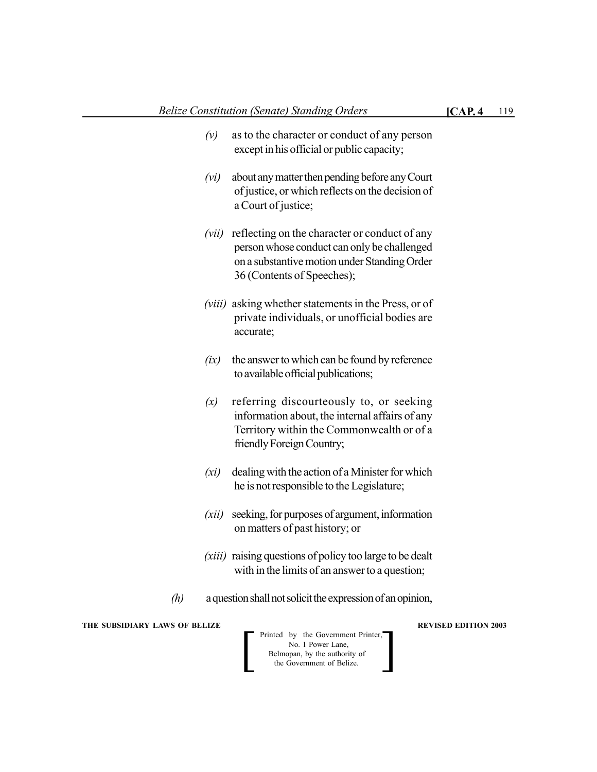- *(vi)* about any matter then pending before any Court of justice, or which reflects on the decision of a Court of justice;
- *(vii)* reflecting on the character or conduct of any person whose conduct can only be challenged on a substantive motion under Standing Order 36 (Contents of Speeches);
- *(viii)* asking whether statements in the Press, or of private individuals, or unofficial bodies are accurate;
- *(ix)* the answer to which can be found by reference to available official publications;
- *(x)* referring discourteously to, or seeking information about, the internal affairs of any Territory within the Commonwealth or of a friendly Foreign Country;
- *(xi)* dealing with the action of a Minister for which he is not responsible to the Legislature;
- *(xii)* seeking, for purposes of argument, information on matters of past history; or
- *(xiii)* raising questions of policy too large to be dealt with in the limits of an answer to a question;
- *(h)* a question shall not solicit the expression of an opinion,

**THE SUBSIDIARY LAWS OF BELIZE AND SUBSIDIARY LAWS AREVISED EDITION 2003** 

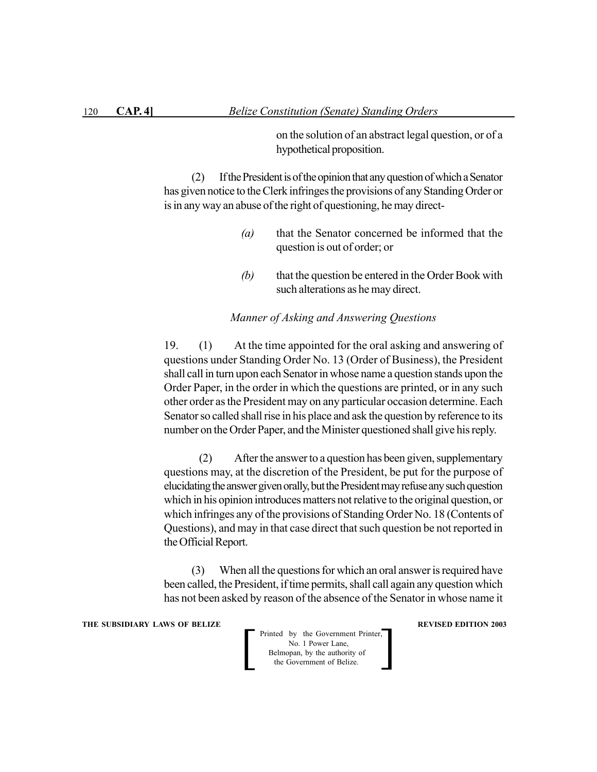on the solution of an abstract legal question, or of a hypothetical proposition.

(2) If the President is of the opinion that any question of which a Senator has given notice to the Clerk infringes the provisions of any Standing Order or is in any way an abuse of the right of questioning, he may direct-

- *(a)* that the Senator concerned be informed that the question is out of order; or
- *(b)* that the question be entered in the Order Book with such alterations as he may direct.

#### *Manner of Asking and Answering Questions*

19. (1) At the time appointed for the oral asking and answering of questions under Standing Order No. 13 (Order of Business), the President shall call in turn upon each Senator in whose name a question stands upon the Order Paper, in the order in which the questions are printed, or in any such other order as the President may on any particular occasion determine. Each Senator so called shall rise in his place and ask the question by reference to its number on the Order Paper, and the Minister questioned shall give his reply.

(2) After the answer to a question has been given, supplementary questions may, at the discretion of the President, be put for the purpose of elucidating the answer given orally, but the President may refuse any such question which in his opinion introduces matters not relative to the original question, or which infringes any of the provisions of Standing Order No. 18 (Contents of Questions), and may in that case direct that such question be not reported in the Official Report.

(3) When all the questions for which an oral answer is required have been called, the President, if time permits, shall call again any question which has not been asked by reason of the absence of the Senator in whose name it

**THE SUBSIDIARY LAWS OF BELIZE REVISED EDITION 2003**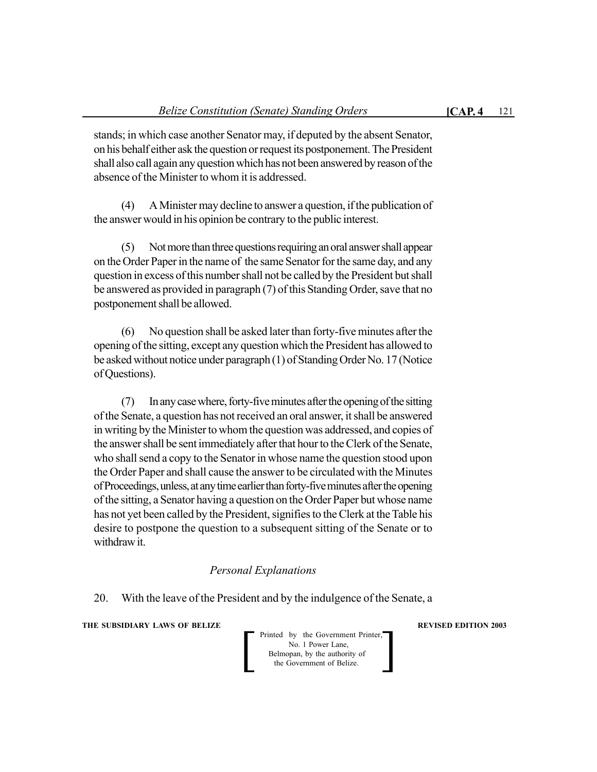stands; in which case another Senator may, if deputed by the absent Senator, on his behalf either ask the question or request its postponement. The President shall also call again any question which has not been answered by reason of the absence of the Minister to whom it is addressed.

(4) A Minister may decline to answer a question, if the publication of the answer would in his opinion be contrary to the public interest.

(5) Not more than three questions requiring an oral answer shall appear on the Order Paper in the name of the same Senator for the same day, and any question in excess of this number shall not be called by the President but shall be answered as provided in paragraph (7) of this Standing Order, save that no postponement shall be allowed.

(6) No question shall be asked later than forty-five minutes after the opening of the sitting, except any question which the President has allowed to be asked without notice under paragraph (1) of Standing Order No. 17 (Notice of Questions).

(7) In any case where, forty-five minutes after the opening of the sitting of the Senate, a question has not received an oral answer, it shall be answered in writing by the Minister to whom the question was addressed, and copies of the answer shall be sent immediately after that hour to the Clerk of the Senate, who shall send a copy to the Senator in whose name the question stood upon the Order Paper and shall cause the answer to be circulated with the Minutes of Proceedings, unless, at any time earlier than forty-five minutes after the opening of the sitting, a Senator having a question on the Order Paper but whose name has not yet been called by the President, signifies to the Clerk at the Table his desire to postpone the question to a subsequent sitting of the Senate or to withdraw it.

## *Personal Explanations*

20. With the leave of the President and by the indulgence of the Senate, a

**THE SUBSIDIARY LAWS OF BELIZE AND SUBSIDIARY LAWS AREVISED EDITION 2003**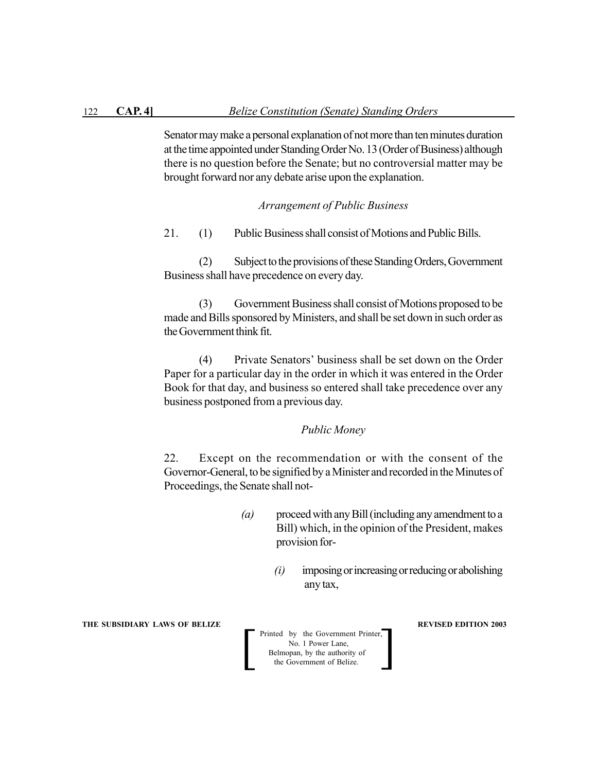Senator may make a personal explanation of not more than ten minutes duration at the time appointed under Standing Order No. 13 (Order of Business) although there is no question before the Senate; but no controversial matter may be brought forward nor any debate arise upon the explanation.

## *Arrangement of Public Business*

21. (1) Public Business shall consist of Motions and Public Bills.

(2) Subject to the provisions of these Standing Orders, Government Business shall have precedence on every day.

(3) Government Business shall consist of Motions proposed to be made and Bills sponsored by Ministers, and shall be set down in such order as the Government think fit.

(4) Private Senators' business shall be set down on the Order Paper for a particular day in the order in which it was entered in the Order Book for that day, and business so entered shall take precedence over any business postponed from a previous day.

## *Public Money*

22. Except on the recommendation or with the consent of the Governor-General, to be signified by a Minister and recorded in the Minutes of Proceedings, the Senate shall not-

- *(a)* proceed with any Bill (including any amendment to a Bill) which, in the opinion of the President, makes provision for-
	- *(i)* imposing or increasing or reducing or abolishing any tax,

**THE SUBSIDIARY LAWS OF BELIZE REVISED EDITION 2003**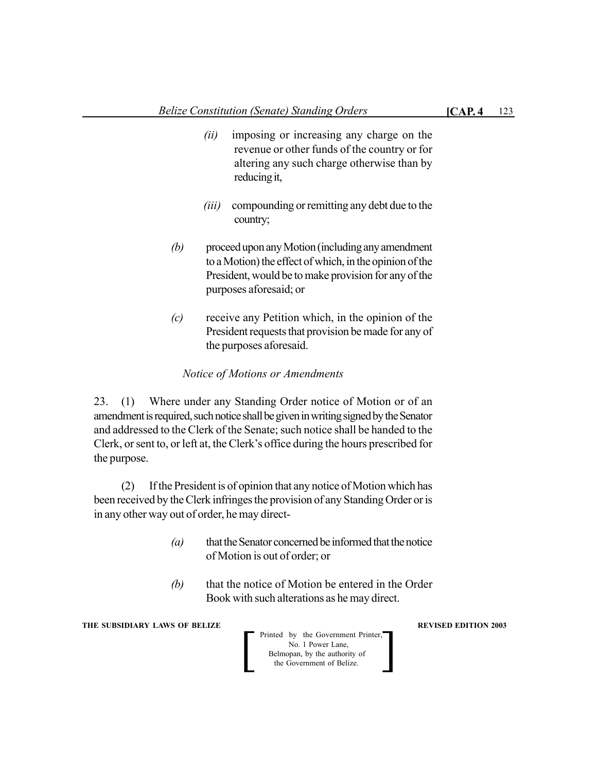- *(ii)* imposing or increasing any charge on the revenue or other funds of the country or for altering any such charge otherwise than by reducing it,
- *(iii)* compounding or remitting any debt due to the country;
- *(b)* proceed upon any Motion (including any amendment to a Motion) the effect of which, in the opinion of the President, would be to make provision for any of the purposes aforesaid; or
- *(c)* receive any Petition which, in the opinion of the President requests that provision be made for any of the purposes aforesaid.

## *Notice of Motions or Amendments*

23. (1) Where under any Standing Order notice of Motion or of an amendment is required, such notice shall be given in writing signed by the Senator and addressed to the Clerk of the Senate; such notice shall be handed to the Clerk, or sent to, or left at, the Clerk's office during the hours prescribed for the purpose.

(2) If the President is of opinion that any notice of Motion which has been received by the Clerk infringes the provision of any Standing Order or is in any other way out of order, he may direct-

- *(a)* that the Senator concerned be informed that the notice of Motion is out of order; or
- *(b)* that the notice of Motion be entered in the Order Book with such alterations as he may direct.

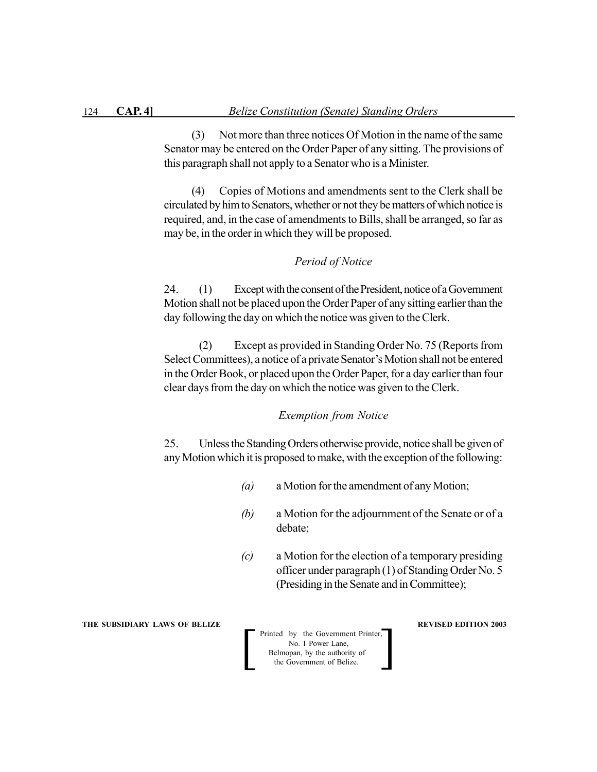(3) Not more than three notices Of Motion in the name of the same Senator may be entered on the Order Paper of any sitting. The provisions of this paragraph shall not apply to a Senator who is a Minister.

(4) Copies of Motions and amendments sent to the Clerk shall be circulated by him to Senators, whether or not they be matters of which notice is required, and, in the case of amendments to Bills, shall be arranged, so far as may be, in the order in which they will be proposed.

## *Period of Notice*

24. (1) Except with the consent of the President, notice of a Government Motion shall not be placed upon the Order Paper of any sitting earlier than the day following the day on which the notice was given to the Clerk.

(2) Except as provided in Standing Order No. 75 (Reports from Select Committees), a notice of a private Senator's Motion shall not be entered in the Order Book, or placed upon the Order Paper, for a day earlier than four clear days from the day on which the notice was given to the Clerk.

#### *Exemption from Notice*

25. Unless the Standing Orders otherwise provide, notice shall be given of any Motion which it is proposed to make, with the exception of the following:

- *(a)* a Motion for the amendment of any Motion;
- *(b)* a Motion for the adjournment of the Senate or of a debate;
- *(c)* a Motion for the election of a temporary presiding officer under paragraph (1) of Standing Order No. 5 (Presiding in the Senate and in Committee);

**THE SUBSIDIARY LAWS OF BELIZE REVISED EDITION 2003** 

 Printed by the Government Printer, No. 1 Power Lane, Belmopan, by the authority of Printed by the Government Printer,<br>No. 1 Power Lane,<br>Belmopan, by the authority of<br>the Government of Belize.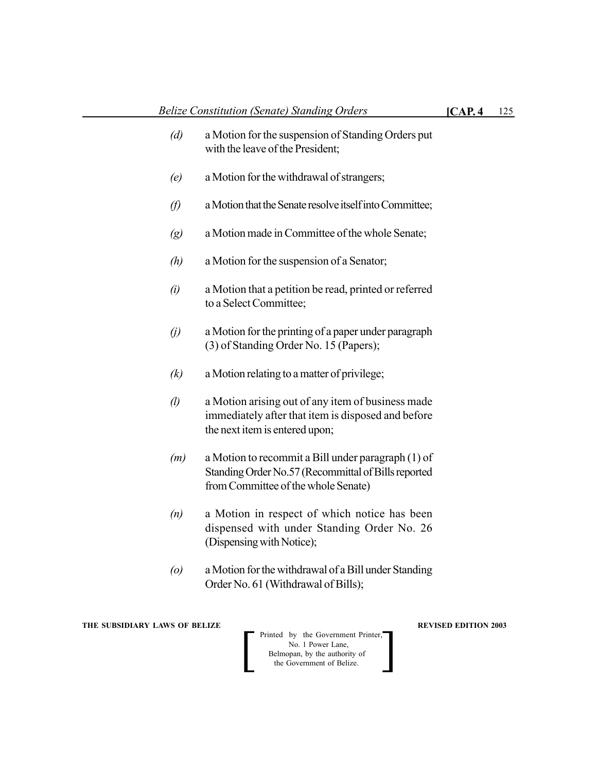- *(d)* a Motion for the suspension of Standing Orders put with the leave of the President;
- *(e)* a Motion for the withdrawal of strangers;
- *(f)* a Motion that the Senate resolve itself into Committee;
- *(g)* a Motion made in Committee of the whole Senate;
- *(h)* a Motion for the suspension of a Senator;
- *(i)* a Motion that a petition be read, printed or referred to a Select Committee;
- *(j)* a Motion for the printing of a paper under paragraph (3) of Standing Order No. 15 (Papers);
- *(k)* a Motion relating to a matter of privilege;
- *(l)* a Motion arising out of any item of business made immediately after that item is disposed and before the next item is entered upon;
- *(m)* a Motion to recommit a Bill under paragraph (1) of Standing Order No.57 (Recommittal of Bills reported from Committee of the whole Senate)
- *(n)* a Motion in respect of which notice has been dispensed with under Standing Order No. 26 (Dispensing with Notice);
- *(o)* a Motion for the withdrawal of a Bill under Standing Order No. 61 (Withdrawal of Bills);

**THE SUBSIDIARY LAWS OF BELIZE 2003 REVISED EDITION 2003**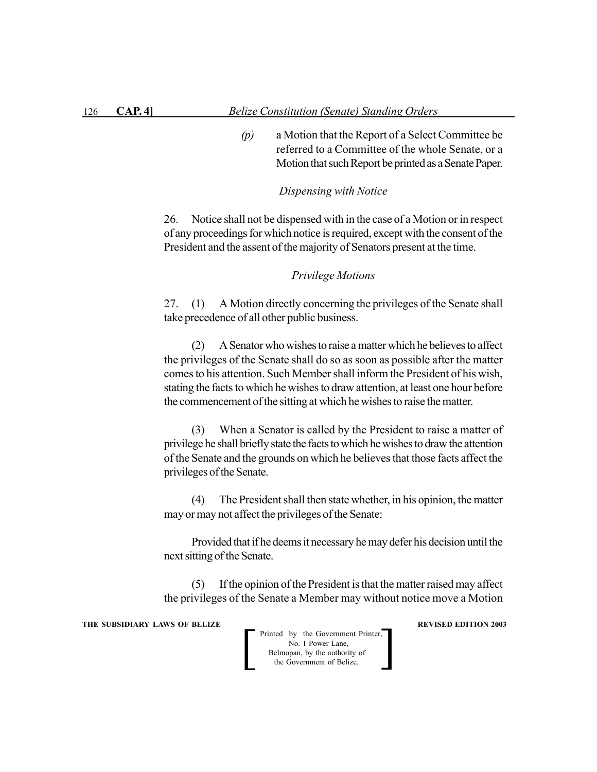*(p)* a Motion that the Report of a Select Committee be referred to a Committee of the whole Senate, or a Motion that such Report be printed as a Senate Paper.

#### *Dispensing with Notice*

26. Notice shall not be dispensed with in the case of a Motion or in respect of any proceedings for which notice is required, except with the consent of the President and the assent of the majority of Senators present at the time.

## *Privilege Motions*

27. (1) A Motion directly concerning the privileges of the Senate shall take precedence of all other public business.

(2) A Senator who wishes to raise a matter which he believes to affect the privileges of the Senate shall do so as soon as possible after the matter comes to his attention. Such Member shall inform the President of his wish, stating the facts to which he wishes to draw attention, at least one hour before the commencement of the sitting at which he wishes to raise the matter.

(3) When a Senator is called by the President to raise a matter of privilege he shall briefly state the facts to which he wishes to draw the attention of the Senate and the grounds on which he believes that those facts affect the privileges of the Senate.

(4) The President shall then state whether, in his opinion, the matter may or may not affect the privileges of the Senate:

Provided that if he deems it necessary he may defer his decision until the next sitting of the Senate.

(5) If the opinion of the President is that the matter raised may affect the privileges of the Senate a Member may without notice move a Motion

**THE SUBSIDIARY LAWS OF BELIZE REVISED EDITION 2003**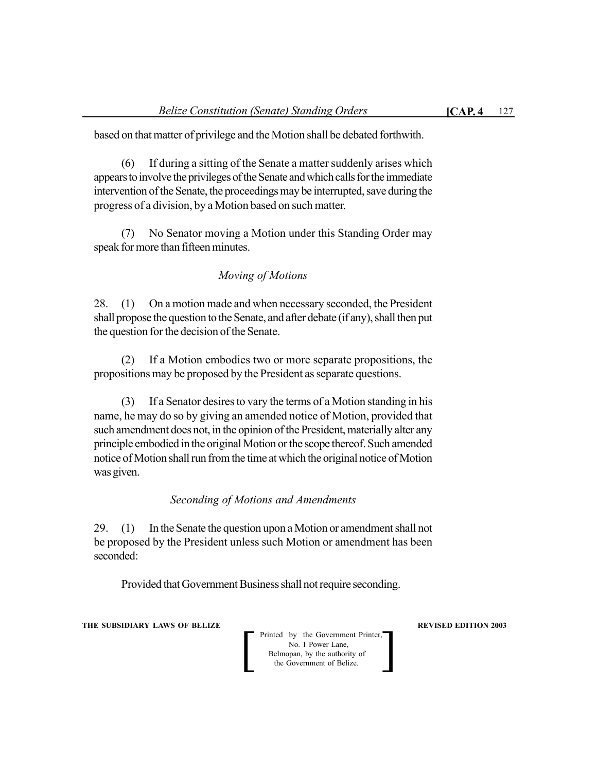based on that matter of privilege and the Motion shall be debated forthwith.

(6) If during a sitting of the Senate a matter suddenly arises which appears to involve the privileges of the Senate and which calls for the immediate intervention of the Senate, the proceedings may be interrupted, save during the progress of a division, by a Motion based on such matter.

(7) No Senator moving a Motion under this Standing Order may speak for more than fifteen minutes.

## *Moving of Motions*

28. (1) On a motion made and when necessary seconded, the President shall propose the question to the Senate, and after debate (if any), shall then put the question for the decision of the Senate.

(2) If a Motion embodies two or more separate propositions, the propositions may be proposed by the President as separate questions.

(3) If a Senator desires to vary the terms of a Motion standing in his name, he may do so by giving an amended notice of Motion, provided that such amendment does not, in the opinion of the President, materially alter any principle embodied in the original Motion or the scope thereof. Such amended notice of Motion shall run from the time at which the original notice of Motion was given.

## *Seconding of Motions and Amendments*

29. (1) In the Senate the question upon a Motion or amendment shall not be proposed by the President unless such Motion or amendment has been seconded:

Provided that Government Business shall not require seconding.

**THE SUBSIDIARY LAWS OF BELIZE AND SUBSIDIARY LAWS AREVISED EDITION 2003**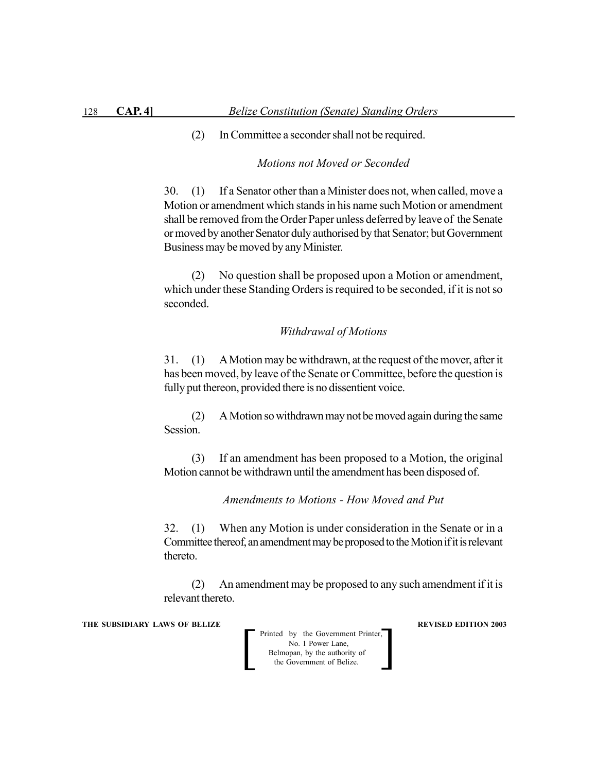(2) In Committee a seconder shall not be required.

#### *Motions not Moved or Seconded*

30. (1) If a Senator other than a Minister does not, when called, move a Motion or amendment which stands in his name such Motion or amendment shall be removed from the Order Paper unless deferred by leave of the Senate or moved by another Senator duly authorised by that Senator; but Government Business may be moved by any Minister.

(2) No question shall be proposed upon a Motion or amendment, which under these Standing Orders is required to be seconded, if it is not so seconded.

## *Withdrawal of Motions*

31. (1) A Motion may be withdrawn, at the request of the mover, after it has been moved, by leave of the Senate or Committee, before the question is fully put thereon, provided there is no dissentient voice.

(2) A Motion so withdrawn may not be moved again during the same Session.

(3) If an amendment has been proposed to a Motion, the original Motion cannot be withdrawn until the amendment has been disposed of.

*Amendments to Motions - How Moved and Put*

32. (1) When any Motion is under consideration in the Senate or in a Committee thereof, an amendment may be proposed to the Motion if it is relevant thereto.

(2) An amendment may be proposed to any such amendment if it is relevant thereto.

**THE SUBSIDIARY LAWS OF BELIZE REVISED EDITION 2003**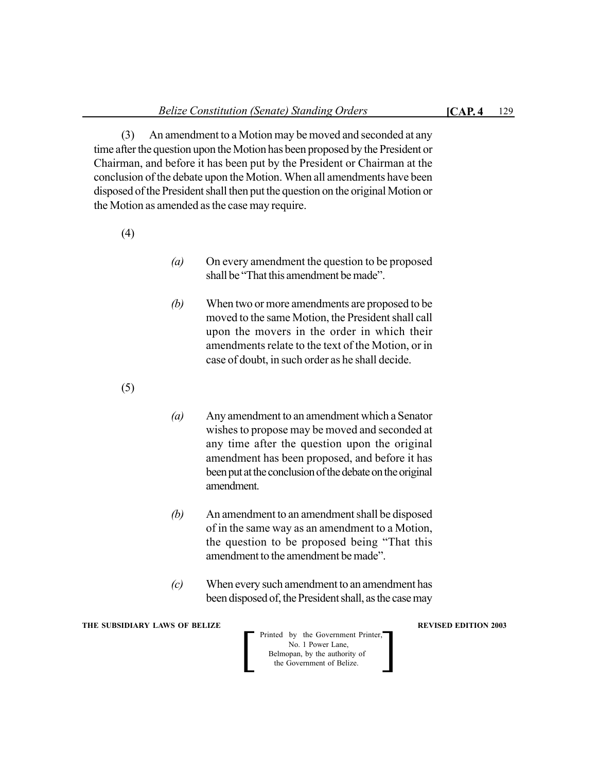(3) An amendment to a Motion may be moved and seconded at any time after the question upon the Motion has been proposed by the President or Chairman, and before it has been put by the President or Chairman at the conclusion of the debate upon the Motion. When all amendments have been disposed of the President shall then put the question on the original Motion or the Motion as amended as the case may require.

(4)

- *(a)* On every amendment the question to be proposed shall be "That this amendment be made".
- *(b)* When two or more amendments are proposed to be moved to the same Motion, the President shall call upon the movers in the order in which their amendments relate to the text of the Motion, or in case of doubt, in such order as he shall decide.
- (5)
- *(a)* Any amendment to an amendment which a Senator wishes to propose may be moved and seconded at any time after the question upon the original amendment has been proposed, and before it has been put at the conclusion of the debate on the original amendment.
- *(b)* An amendment to an amendment shall be disposed of in the same way as an amendment to a Motion, the question to be proposed being "That this amendment to the amendment be made".
- *(c)* When every such amendment to an amendment has been disposed of, the President shall, as the case may

**THE SUBSIDIARY LAWS OF BELIZE AND SUBSIDIARY LAWS AREVISED EDITION 2003**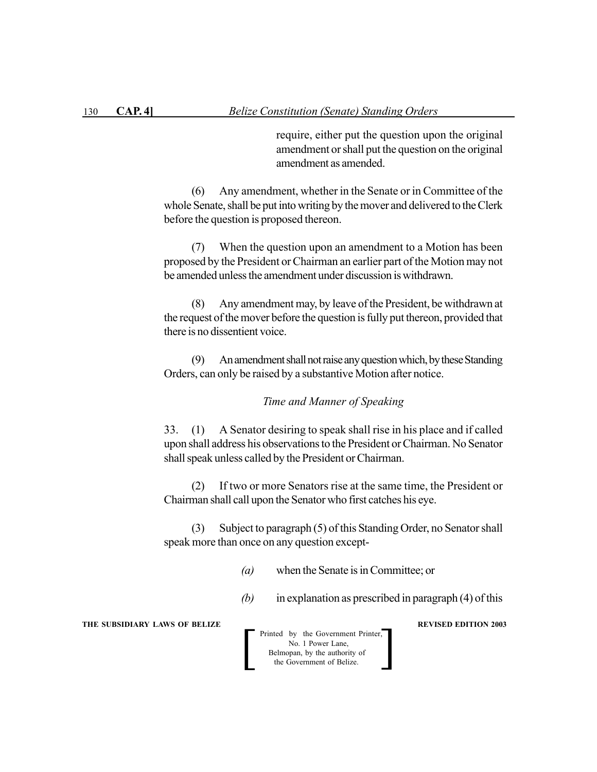require, either put the question upon the original amendment or shall put the question on the original amendment as amended.

(6) Any amendment, whether in the Senate or in Committee of the whole Senate, shall be put into writing by the mover and delivered to the Clerk before the question is proposed thereon.

(7) When the question upon an amendment to a Motion has been proposed by the President or Chairman an earlier part of the Motion may not be amended unless the amendment under discussion is withdrawn.

(8) Any amendment may, by leave of the President, be withdrawn at the request of the mover before the question is fully put thereon, provided that there is no dissentient voice.

(9) An amendment shall not raise any question which, by these Standing Orders, can only be raised by a substantive Motion after notice.

## *Time and Manner of Speaking*

33. (1) A Senator desiring to speak shall rise in his place and if called upon shall address his observations to the President or Chairman. No Senator shall speak unless called by the President or Chairman.

(2) If two or more Senators rise at the same time, the President or Chairman shall call upon the Senator who first catches his eye.

(3) Subject to paragraph (5) of this Standing Order, no Senator shall speak more than once on any question except-

*(a)* when the Senate is in Committee; or

*(b)* in explanation as prescribed in paragraph (4) of this

**THE SUBSIDIARY LAWS OF BELIZE REVISED EDITION 2003**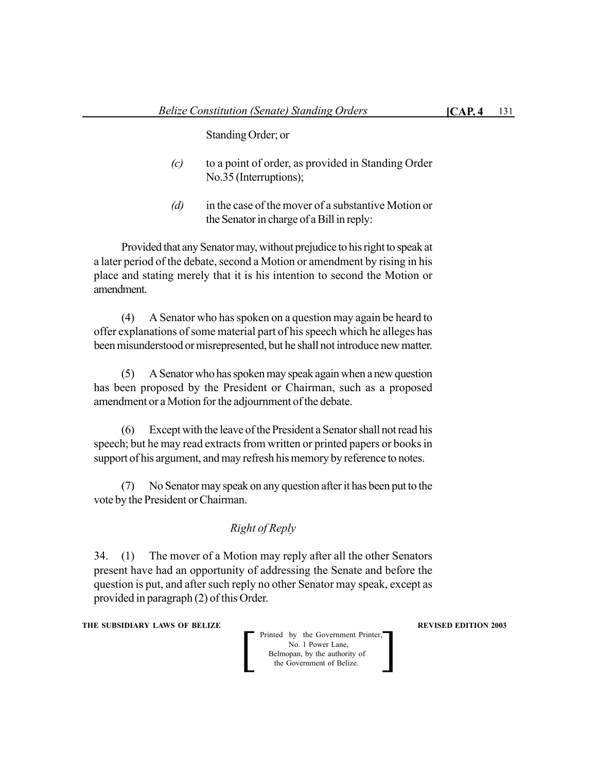Standing Order; or

- *(c)* to a point of order, as provided in Standing Order No.35 (Interruptions);
- *(d)* in the case of the mover of a substantive Motion or the Senator in charge of a Bill in reply:

Provided that any Senator may, without prejudice to his right to speak at a later period of the debate, second a Motion or amendment by rising in his place and stating merely that it is his intention to second the Motion or amendment.

(4) A Senator who has spoken on a question may again be heard to offer explanations of some material part of his speech which he alleges has been misunderstood or misrepresented, but he shall not introduce new matter.

(5) A Senator who has spoken may speak again when a new question has been proposed by the President or Chairman, such as a proposed amendment or a Motion for the adjournment of the debate.

(6) Except with the leave of the President a Senator shall not read his speech; but he may read extracts from written or printed papers or books in support of his argument, and may refresh his memory by reference to notes.

(7) No Senator may speak on any question after it has been put to the vote by the President or Chairman.

## *Right of Reply*

34. (1) The mover of a Motion may reply after all the other Senators present have had an opportunity of addressing the Senate and before the question is put, and after such reply no other Senator may speak, except as provided in paragraph (2) of this Order.

**THE SUBSIDIARY LAWS OF BELIZE AND SUBSIDIARY LAWS AREVISED EDITION 2003**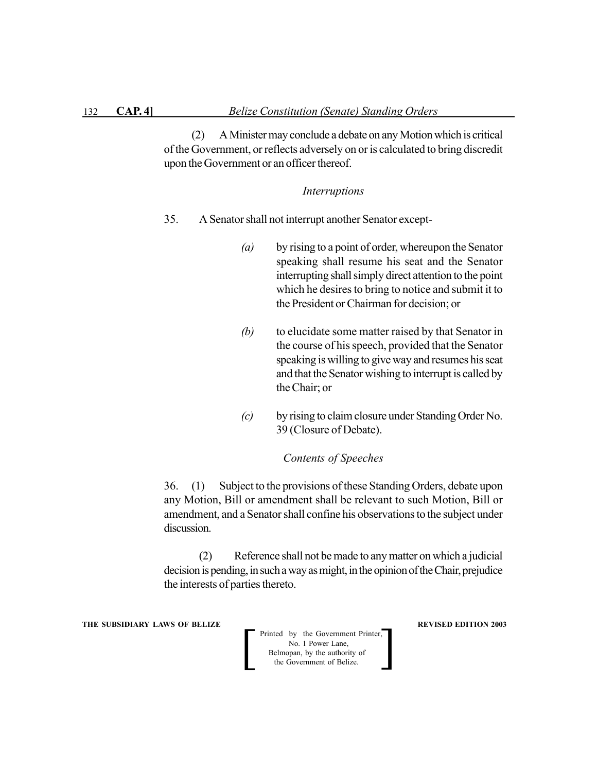(2) A Minister may conclude a debate on any Motion which is critical of the Government, or reflects adversely on or is calculated to bring discredit upon the Government or an officer thereof.

#### *Interruptions*

- 35. A Senator shall not interrupt another Senator except-
	- *(a)* by rising to a point of order, whereupon the Senator speaking shall resume his seat and the Senator interrupting shall simply direct attention to the point which he desires to bring to notice and submit it to the President or Chairman for decision; or
	- *(b)* to elucidate some matter raised by that Senator in the course of his speech, provided that the Senator speaking is willing to give way and resumes his seat and that the Senator wishing to interrupt is called by the Chair; or
	- *(c)* by rising to claim closure under Standing Order No. 39 (Closure of Debate).

## *Contents of Speeches*

36. (1) Subject to the provisions of these Standing Orders, debate upon any Motion, Bill or amendment shall be relevant to such Motion, Bill or amendment, and a Senator shall confine his observations to the subject under discussion.

(2) Reference shall not be made to any matter on which a judicial decision is pending, in such a way as might, in the opinion of the Chair, prejudice the interests of parties thereto.

**THE SUBSIDIARY LAWS OF BELIZE REVISED EDITION 2003**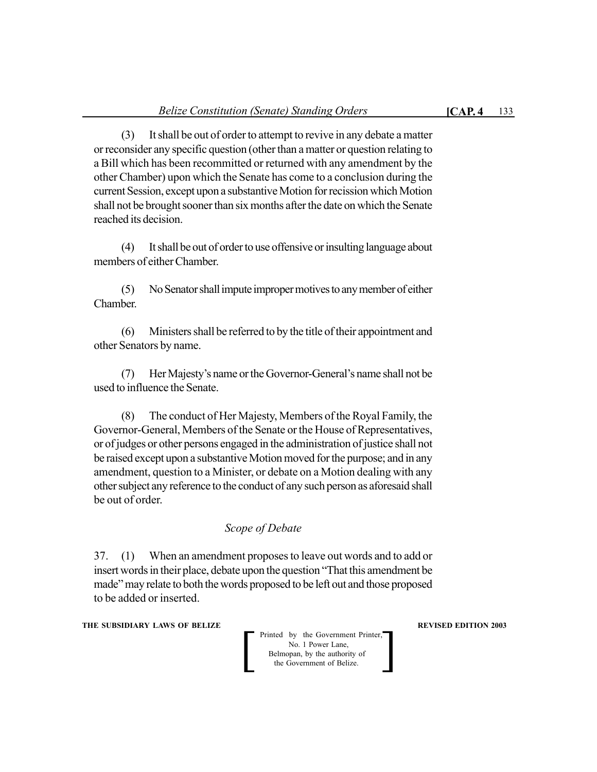(3) It shall be out of order to attempt to revive in any debate a matter or reconsider any specific question (other than a matter or question relating to a Bill which has been recommitted or returned with any amendment by the other Chamber) upon which the Senate has come to a conclusion during the current Session, except upon a substantive Motion for recission which Motion shall not be brought sooner than six months after the date on which the Senate reached its decision.

(4) It shall be out of order to use offensive or insulting language about members of either Chamber.

(5) No Senator shall impute improper motives to any member of either Chamber.

(6) Ministers shall be referred to by the title of their appointment and other Senators by name.

(7) Her Majesty's name or the Governor-General's name shall not be used to influence the Senate.

(8) The conduct of Her Majesty, Members of the Royal Family, the Governor-General, Members of the Senate or the House of Representatives, or of judges or other persons engaged in the administration of justice shall not be raised except upon a substantive Motion moved for the purpose; and in any amendment, question to a Minister, or debate on a Motion dealing with any other subject any reference to the conduct of any such person as aforesaid shall be out of order.

# *Scope of Debate*

37. (1) When an amendment proposes to leave out words and to add or insert words in their place, debate upon the question "That this amendment be made" may relate to both the words proposed to be left out and those proposed to be added or inserted.

**THE SUBSIDIARY LAWS OF BELIZE AND SUBSIDIARY LAWS AREVISED EDITION 2003**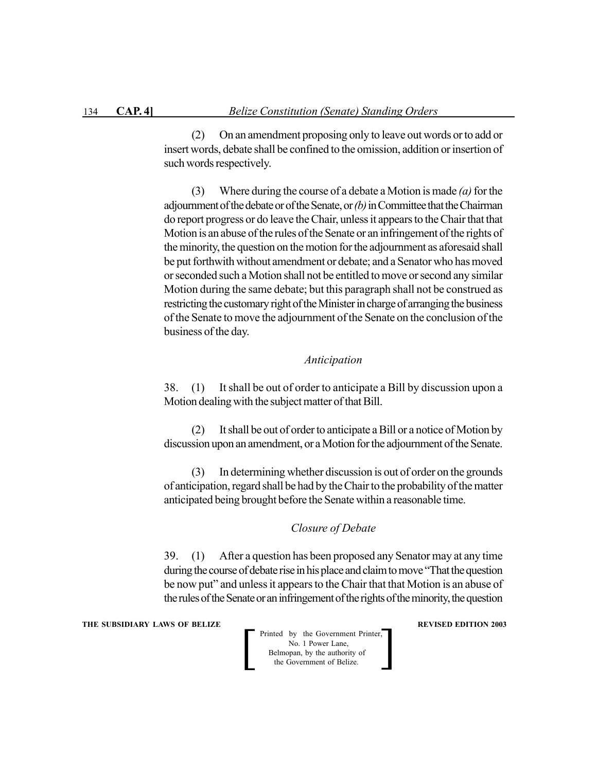(2) On an amendment proposing only to leave out words or to add or insert words, debate shall be confined to the omission, addition or insertion of such words respectively.

(3) Where during the course of a debate a Motion is made *(a)* for the adjournment of the debate or of the Senate, or *(b)* in Committee that the Chairman do report progress or do leave the Chair, unless it appears to the Chair that that Motion is an abuse of the rules of the Senate or an infringement of the rights of the minority, the question on the motion for the adjournment as aforesaid shall be put forthwith without amendment or debate; and a Senator who has moved or seconded such a Motion shall not be entitled to move or second any similar Motion during the same debate; but this paragraph shall not be construed as restricting the customary right of the Minister in charge of arranging the business of the Senate to move the adjournment of the Senate on the conclusion of the business of the day.

## *Anticipation*

38. (1) It shall be out of order to anticipate a Bill by discussion upon a Motion dealing with the subject matter of that Bill.

(2) It shall be out of order to anticipate a Bill or a notice of Motion by discussion upon an amendment, or a Motion for the adjournment of the Senate.

(3) In determining whether discussion is out of order on the grounds of anticipation, regard shall be had by the Chair to the probability of the matter anticipated being brought before the Senate within a reasonable time.

## *Closure of Debate*

39. (1) After a question has been proposed any Senator may at any time during the course of debate rise in his place and claim to move "That the question be now put" and unless it appears to the Chair that that Motion is an abuse of the rules of the Senate or an infringement of the rights of the minority, the question

**THE SUBSIDIARY LAWS OF BELIZE REVISED EDITION 2003**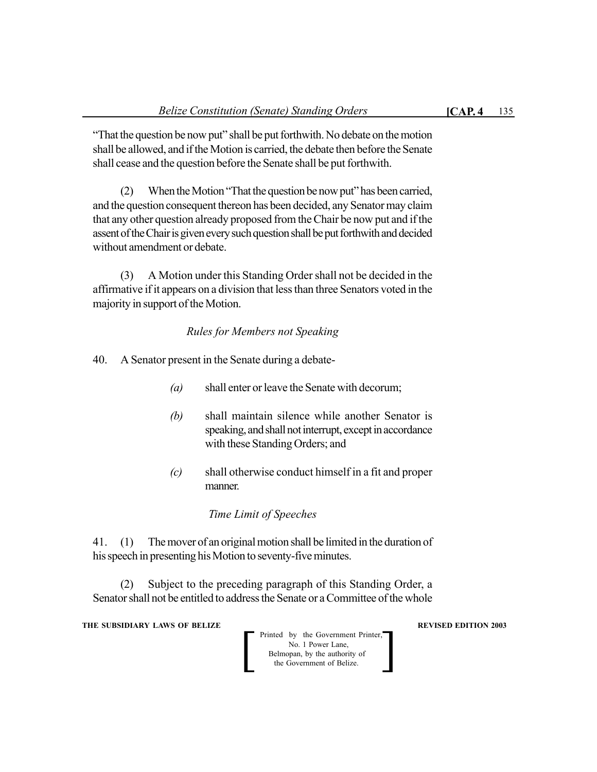"That the question be now put" shall be put forthwith. No debate on the motion shall be allowed, and if the Motion is carried, the debate then before the Senate shall cease and the question before the Senate shall be put forthwith.

(2) When the Motion "That the question be now put" has been carried, and the question consequent thereon has been decided, any Senator may claim that any other question already proposed from the Chair be now put and if the assent of the Chair is given every such question shall be put forthwith and decided without amendment or debate.

(3) A Motion under this Standing Order shall not be decided in the affirmative if it appears on a division that less than three Senators voted in the majority in support of the Motion.

## *Rules for Members not Speaking*

- 40. A Senator present in the Senate during a debate-
	- *(a)* shall enter or leave the Senate with decorum;
	- *(b)* shall maintain silence while another Senator is speaking, and shall not interrupt, except in accordance with these Standing Orders; and
	- *(c)* shall otherwise conduct himself in a fit and proper manner.

## *Time Limit of Speeches*

41. (1) The mover of an original motion shall be limited in the duration of his speech in presenting his Motion to seventy-five minutes.

(2) Subject to the preceding paragraph of this Standing Order, a Senator shall not be entitled to address the Senate or a Committee of the whole

**THE SUBSIDIARY LAWS OF BELIZE AND SUBSIDIARY LAWS AREVISED EDITION 2003** 

 Printed by the Government Printer, No. 1 Power Lane, **Belmopan**, by the authority of Printed by the Government Printer,<br>No. 1 Power Lane,<br>Belmopan, by the authority of<br>the Government of Belize.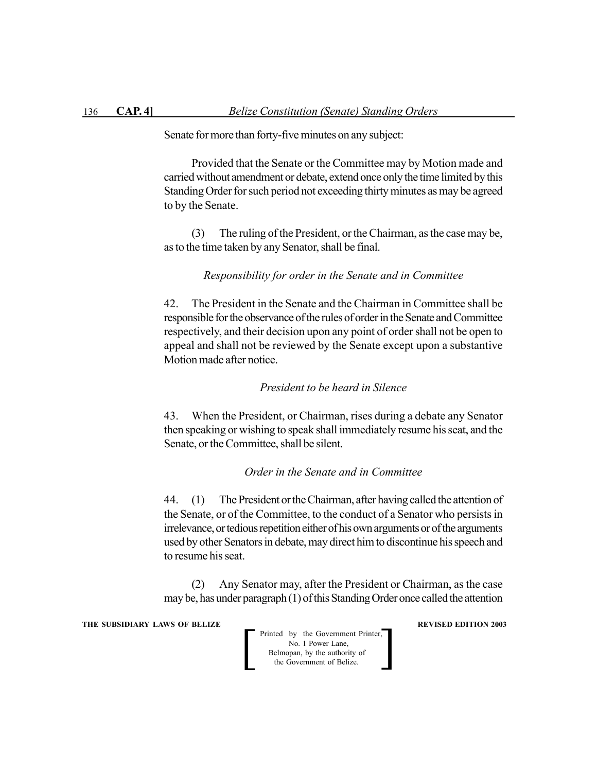Senate for more than forty-five minutes on any subject:

Provided that the Senate or the Committee may by Motion made and carried without amendment or debate, extend once only the time limited by this Standing Order for such period not exceeding thirty minutes as may be agreed to by the Senate.

(3) The ruling of the President, or the Chairman, as the case may be, as to the time taken by any Senator, shall be final.

#### *Responsibility for order in the Senate and in Committee*

42. The President in the Senate and the Chairman in Committee shall be responsible for the observance of the rules of order in the Senate and Committee respectively, and their decision upon any point of order shall not be open to appeal and shall not be reviewed by the Senate except upon a substantive Motion made after notice.

## *President to be heard in Silence*

43. When the President, or Chairman, rises during a debate any Senator then speaking or wishing to speak shall immediately resume his seat, and the Senate, or the Committee, shall be silent.

## *Order in the Senate and in Committee*

44. (1) The President or the Chairman, after having called the attention of the Senate, or of the Committee, to the conduct of a Senator who persists in irrelevance, or tedious repetition either of his own arguments or of the arguments used by other Senators in debate, may direct him to discontinue his speech and to resume his seat.

(2) Any Senator may, after the President or Chairman, as the case may be, has under paragraph (1) of this Standing Order once called the attention

**THE SUBSIDIARY LAWS OF BELIZE REVISED EDITION 2003**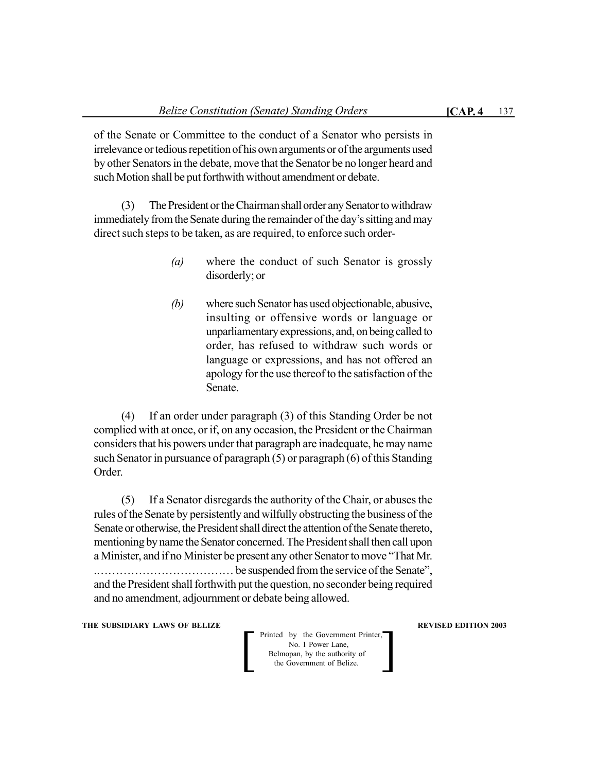of the Senate or Committee to the conduct of a Senator who persists in irrelevance or tedious repetition of his own arguments or of the arguments used by other Senators in the debate, move that the Senator be no longer heard and such Motion shall be put forthwith without amendment or debate.

(3) The President or the Chairman shall order any Senator to withdraw immediately from the Senate during the remainder of the day's sitting and may direct such steps to be taken, as are required, to enforce such order-

- *(a)* where the conduct of such Senator is grossly disorderly; or
- *(b)* where such Senator has used objectionable, abusive, insulting or offensive words or language or unparliamentary expressions, and, on being called to order, has refused to withdraw such words or language or expressions, and has not offered an apology for the use thereof to the satisfaction of the Senate.

(4) If an order under paragraph (3) of this Standing Order be not complied with at once, or if, on any occasion, the President or the Chairman considers that his powers under that paragraph are inadequate, he may name such Senator in pursuance of paragraph (5) or paragraph (6) of this Standing Order.

(5) If a Senator disregards the authority of the Chair, or abuses the rules of the Senate by persistently and wilfully obstructing the business of the Senate or otherwise, the President shall direct the attention of the Senate thereto, mentioning by name the Senator concerned. The President shall then call upon a Minister, and if no Minister be present any other Senator to move "That Mr. .……………………………… be suspended from the service of the Senate", and the President shall forthwith put the question, no seconder being required and no amendment, adjournment or debate being allowed.

**THE SUBSIDIARY LAWS OF BELIZE AND SUBSIDIARY LAWS AREVISED EDITION 2003**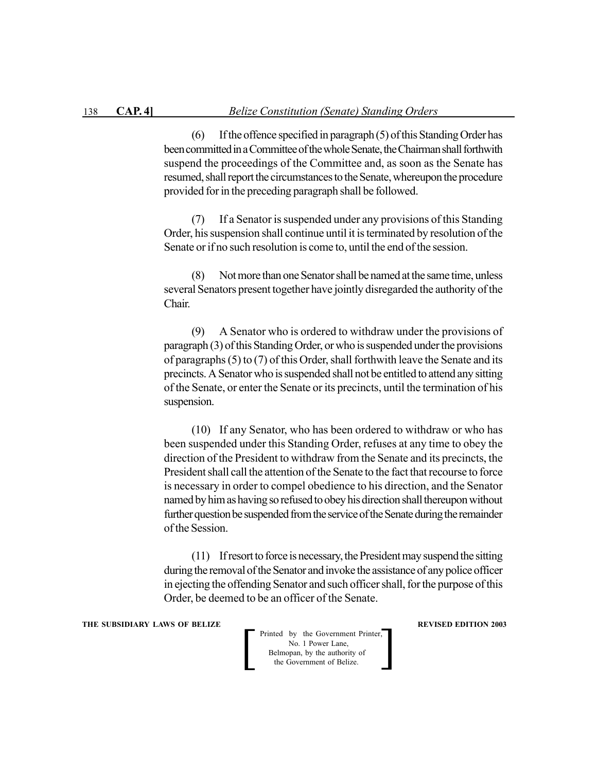(6) If the offence specified in paragraph (5) of this Standing Order has been committed in a Committee of the whole Senate, the Chairman shall forthwith suspend the proceedings of the Committee and, as soon as the Senate has resumed, shall report the circumstances to the Senate, whereupon the procedure provided for in the preceding paragraph shall be followed.

(7) If a Senator is suspended under any provisions of this Standing Order, his suspension shall continue until it is terminated by resolution of the Senate or if no such resolution is come to, until the end of the session.

(8) Not more than one Senator shall be named at the same time, unless several Senators present together have jointly disregarded the authority of the Chair.

(9) A Senator who is ordered to withdraw under the provisions of paragraph (3) of this Standing Order, or who is suspended under the provisions of paragraphs (5) to (7) of this Order, shall forthwith leave the Senate and its precincts. A Senator who is suspended shall not be entitled to attend any sitting of the Senate, or enter the Senate or its precincts, until the termination of his suspension.

(10) If any Senator, who has been ordered to withdraw or who has been suspended under this Standing Order, refuses at any time to obey the direction of the President to withdraw from the Senate and its precincts, the President shall call the attention of the Senate to the fact that recourse to force is necessary in order to compel obedience to his direction, and the Senator named by him as having so refused to obey his direction shall thereupon without further question be suspended from the service of the Senate during the remainder of the Session.

(11) If resort to force is necessary, the President may suspend the sitting during the removal of the Senator and invoke the assistance of any police officer in ejecting the offending Senator and such officer shall, for the purpose of this Order, be deemed to be an officer of the Senate.

**THE SUBSIDIARY LAWS OF BELIZE REVISED EDITION 2003**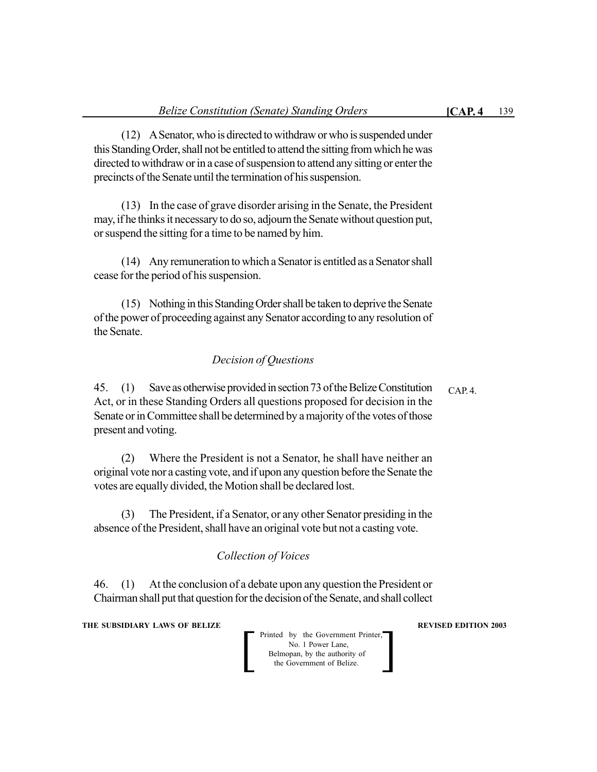(12) A Senator, who is directed to withdraw or who is suspended under this Standing Order, shall not be entitled to attend the sitting from which he was directed to withdraw or in a case of suspension to attend any sitting or enter the precincts of the Senate until the termination of his suspension.

(13) In the case of grave disorder arising in the Senate, the President may, if he thinks it necessary to do so, adjourn the Senate without question put, or suspend the sitting for a time to be named by him.

(14) Any remuneration to which a Senator is entitled as a Senator shall cease for the period of his suspension.

(15) Nothing in this Standing Order shall be taken to deprive the Senate of the power of proceeding against any Senator according to any resolution of the Senate.

## *Decision of Questions*

45. (1) Save as otherwise provided in section 73 of the Belize Constitution Act, or in these Standing Orders all questions proposed for decision in the Senate or in Committee shall be determined by a majority of the votes of those present and voting. CAP. 4.

(2) Where the President is not a Senator, he shall have neither an original vote nor a casting vote, and if upon any question before the Senate the votes are equally divided, the Motion shall be declared lost.

(3) The President, if a Senator, or any other Senator presiding in the absence of the President, shall have an original vote but not a casting vote.

# *Collection of Voices*

46. (1) At the conclusion of a debate upon any question the President or Chairman shall put that question for the decision of the Senate, and shall collect

**THE SUBSIDIARY LAWS OF BELIZE AND SUBSIDIARY LAWS AREVISED EDITION 2003**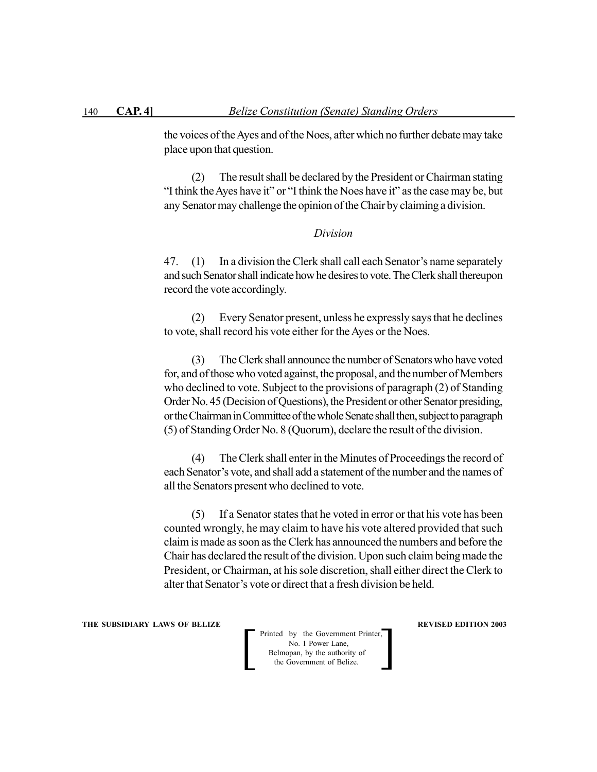the voices of the Ayes and of the Noes, after which no further debate may take place upon that question.

(2) The result shall be declared by the President or Chairman stating "I think the Ayes have it" or "I think the Noes have it" as the case may be, but any Senator may challenge the opinion of the Chair by claiming a division.

## *Division*

47. (1) In a division the Clerk shall call each Senator's name separately and such Senator shall indicate how he desires to vote. The Clerk shall thereupon record the vote accordingly.

(2) Every Senator present, unless he expressly says that he declines to vote, shall record his vote either for the Ayes or the Noes.

(3) The Clerk shall announce the number of Senators who have voted for, and of those who voted against, the proposal, and the number of Members who declined to vote. Subject to the provisions of paragraph (2) of Standing Order No. 45 (Decision of Questions), the President or other Senator presiding, or the Chairman in Committee of the whole Senate shall then, subject to paragraph (5) of Standing Order No. 8 (Quorum), declare the result of the division.

(4) The Clerk shall enter in the Minutes of Proceedings the record of each Senator's vote, and shall add a statement of the number and the names of all the Senators present who declined to vote.

(5) If a Senator states that he voted in error or that his vote has been counted wrongly, he may claim to have his vote altered provided that such claim is made as soon as the Clerk has announced the numbers and before the Chair has declared the result of the division. Upon such claim being made the President, or Chairman, at his sole discretion, shall either direct the Clerk to alter that Senator's vote or direct that a fresh division be held.

**THE SUBSIDIARY LAWS OF BELIZE REVISED EDITION 2003** 

 Printed by the Government Printer, No. 1 Power Lane, Belmopan, by the authority of Printed by the Government Printer,<br>No. 1 Power Lane,<br>Belmopan, by the authority of<br>the Government of Belize.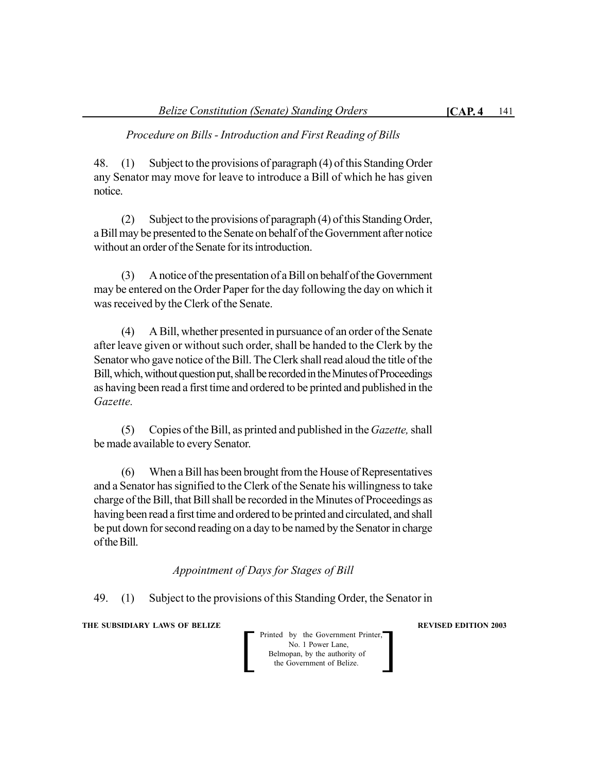*Procedure on Bills - Introduction and First Reading of Bills*

48. (1) Subject to the provisions of paragraph (4) of this Standing Order any Senator may move for leave to introduce a Bill of which he has given notice.

(2) Subject to the provisions of paragraph (4) of this Standing Order, a Bill may be presented to the Senate on behalf of the Government after notice without an order of the Senate for its introduction.

(3) A notice of the presentation of a Bill on behalf of the Government may be entered on the Order Paper for the day following the day on which it was received by the Clerk of the Senate.

(4) A Bill, whether presented in pursuance of an order of the Senate after leave given or without such order, shall be handed to the Clerk by the Senator who gave notice of the Bill. The Clerk shall read aloud the title of the Bill, which, without question put, shall be recorded in the Minutes of Proceedings as having been read a first time and ordered to be printed and published in the *Gazette.*

(5) Copies of the Bill, as printed and published in the *Gazette,* shall be made available to every Senator.

(6) When a Bill has been brought from the House of Representatives and a Senator has signified to the Clerk of the Senate his willingness to take charge of the Bill, that Bill shall be recorded in the Minutes of Proceedings as having been read a first time and ordered to be printed and circulated, and shall be put down for second reading on a day to be named by the Senator in charge of the Bill.

*Appointment of Days for Stages of Bill*

49. (1) Subject to the provisions of this Standing Order, the Senator in

**THE SUBSIDIARY LAWS OF BELIZE AND SUBSIDIARY LAWS AREVISED EDITION 2003** 

Printed by the Government Printer,<br>
No. 1 Power Lane,<br>
Belmopan, by the authority of<br>
the Government of Belize. No. 1 Power Lane, Belmopan, by the authority of<br>the Government of Belize.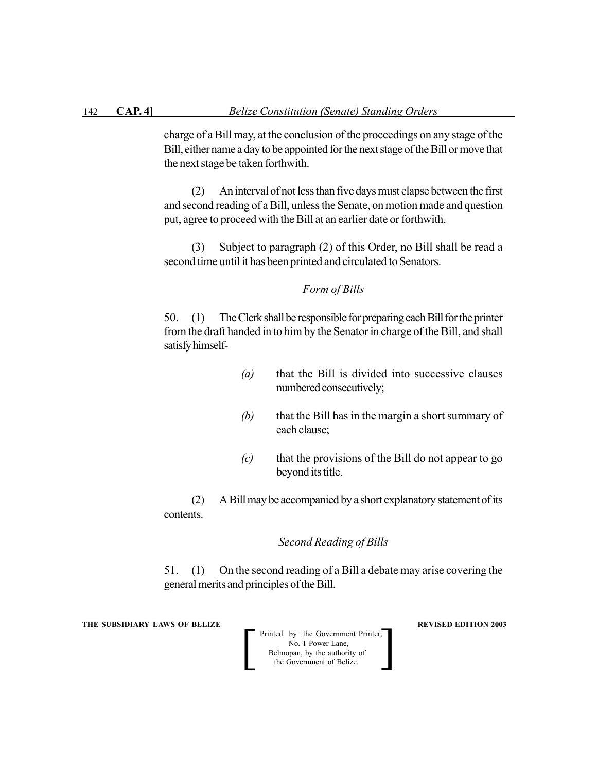charge of a Bill may, at the conclusion of the proceedings on any stage of the Bill, either name a day to be appointed for the next stage of the Bill or move that the next stage be taken forthwith.

(2) An interval of not less than five days must elapse between the first and second reading of a Bill, unless the Senate, on motion made and question put, agree to proceed with the Bill at an earlier date or forthwith.

(3) Subject to paragraph (2) of this Order, no Bill shall be read a second time until it has been printed and circulated to Senators.

## *Form of Bills*

50. (1) The Clerk shall be responsible for preparing each Bill for the printer from the draft handed in to him by the Senator in charge of the Bill, and shall satisfy himself-

- *(a)* that the Bill is divided into successive clauses numbered consecutively;
- *(b)* that the Bill has in the margin a short summary of each clause;
- *(c)* that the provisions of the Bill do not appear to go beyond its title.

(2) A Bill may be accompanied by a short explanatory statement of its contents.

## *Second Reading of Bills*

51. (1) On the second reading of a Bill a debate may arise covering the general merits and principles of the Bill.

**THE SUBSIDIARY LAWS OF BELIZE REVISED EDITION 2003**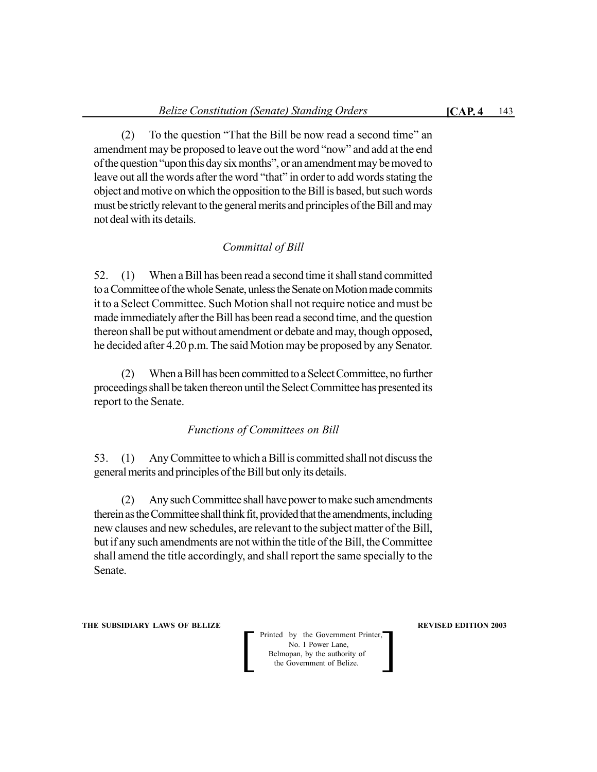(2) To the question "That the Bill be now read a second time" an amendment may be proposed to leave out the word "now" and add at the end of the question "upon this day six months", or an amendment may be moved to leave out all the words after the word "that" in order to add words stating the object and motive on which the opposition to the Bill is based, but such words must be strictly relevant to the general merits and principles of the Bill and may not deal with its details.

## *Committal of Bill*

52. (1) When a Bill has been read a second time it shall stand committed to a Committee of the whole Senate, unless the Senate on Motion made commits it to a Select Committee. Such Motion shall not require notice and must be made immediately after the Bill has been read a second time, and the question thereon shall be put without amendment or debate and may, though opposed, he decided after 4.20 p.m. The said Motion may be proposed by any Senator.

(2) When a Bill has been committed to a Select Committee, no further proceedings shall be taken thereon until the Select Committee has presented its report to the Senate.

## *Functions of Committees on Bill*

53. (1) Any Committee to which a Bill is committed shall not discuss the general merits and principles of the Bill but only its details.

(2) Any such Committee shall have power to make such amendments therein as the Committee shall think fit, provided that the amendments, including new clauses and new schedules, are relevant to the subject matter of the Bill, but if any such amendments are not within the title of the Bill, the Committee shall amend the title accordingly, and shall report the same specially to the Senate.

**THE SUBSIDIARY LAWS OF BELIZE AND SUBSIDIARY LAWS AREVISED EDITION 2003**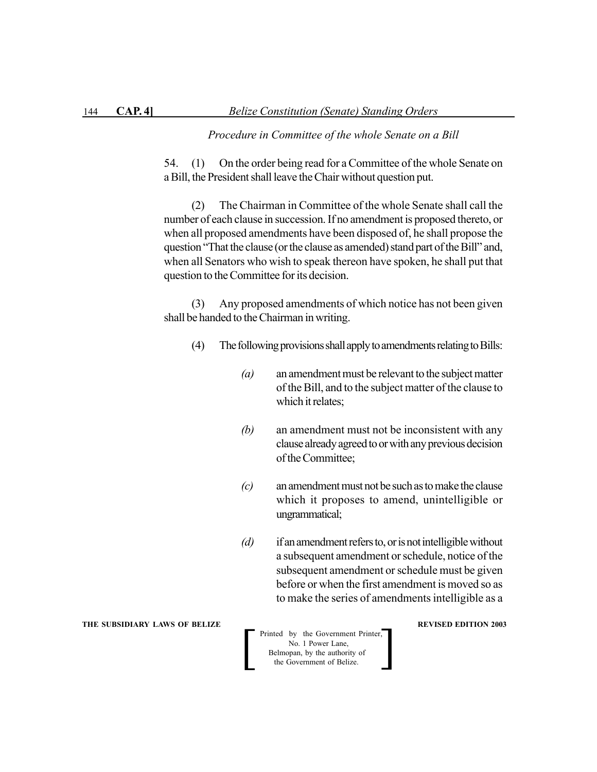#### *Procedure in Committee of the whole Senate on a Bill*

54. (1) On the order being read for a Committee of the whole Senate on a Bill, the President shall leave the Chair without question put.

(2) The Chairman in Committee of the whole Senate shall call the number of each clause in succession. If no amendment is proposed thereto, or when all proposed amendments have been disposed of, he shall propose the question "That the clause (or the clause as amended) stand part of the Bill" and, when all Senators who wish to speak thereon have spoken, he shall put that question to the Committee for its decision.

(3) Any proposed amendments of which notice has not been given shall be handed to the Chairman in writing.

- (4) The following provisions shall apply to amendments relating to Bills:
	- *(a)* an amendment must be relevant to the subject matter of the Bill, and to the subject matter of the clause to which it relates;
	- *(b)* an amendment must not be inconsistent with any clause already agreed to or with any previous decision of the Committee;
	- *(c)* an amendment must not be such as to make the clause which it proposes to amend, unintelligible or ungrammatical;
	- *(d)* if an amendment refers to, or is not intelligible without a subsequent amendment or schedule, notice of the subsequent amendment or schedule must be given before or when the first amendment is moved so as to make the series of amendments intelligible as a

Printed by the Government Printer,<br>
No. 1 Power Lane,<br>
Belmopan, by the authority of<br>
the Government of Belize. No. 1 Power Lane, Belmopan, by the authority of

#### **THE SUBSIDIARY LAWS OF BELIZE REVISED EDITION 2003**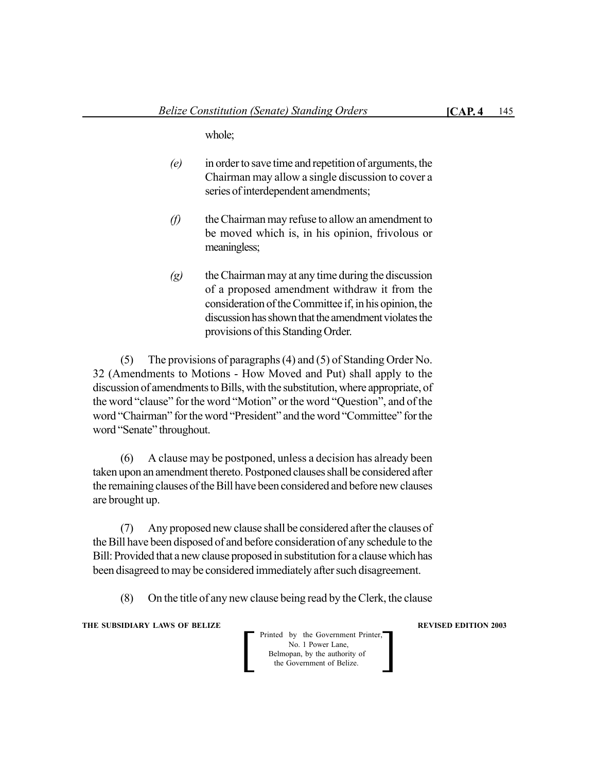whole;

- *(e)* in order to save time and repetition of arguments, the Chairman may allow a single discussion to cover a series of interdependent amendments;
- *(f)* the Chairman may refuse to allow an amendment to be moved which is, in his opinion, frivolous or meaningless;
- *(g)* the Chairman may at any time during the discussion of a proposed amendment withdraw it from the consideration of the Committee if, in his opinion, the discussion has shown that the amendment violates the provisions of this Standing Order.

(5) The provisions of paragraphs (4) and (5) of Standing Order No. 32 (Amendments to Motions - How Moved and Put) shall apply to the discussion of amendments to Bills, with the substitution, where appropriate, of the word "clause" for the word "Motion" or the word "Question", and of the word "Chairman" for the word "President" and the word "Committee" for the word "Senate" throughout.

(6) A clause may be postponed, unless a decision has already been taken upon an amendment thereto. Postponed clauses shall be considered after the remaining clauses of the Bill have been considered and before new clauses are brought up.

(7) Any proposed new clause shall be considered after the clauses of the Bill have been disposed of and before consideration of any schedule to the Bill: Provided that a new clause proposed in substitution for a clause which has been disagreed to may be considered immediately after such disagreement.

(8) On the title of any new clause being read by the Clerk, the clause

**THE SUBSIDIARY LAWS OF BELIZE AND SUBSIDIARY LAWS AREVISED EDITION 2003** 

Printed by the Government Printer,<br>
No. 1 Power Lane,<br>
Belmopan, by the authority of<br>
the Government of Belize. No. 1 Power Lane, Belmopan, by the authority of<br>the Government of Belize.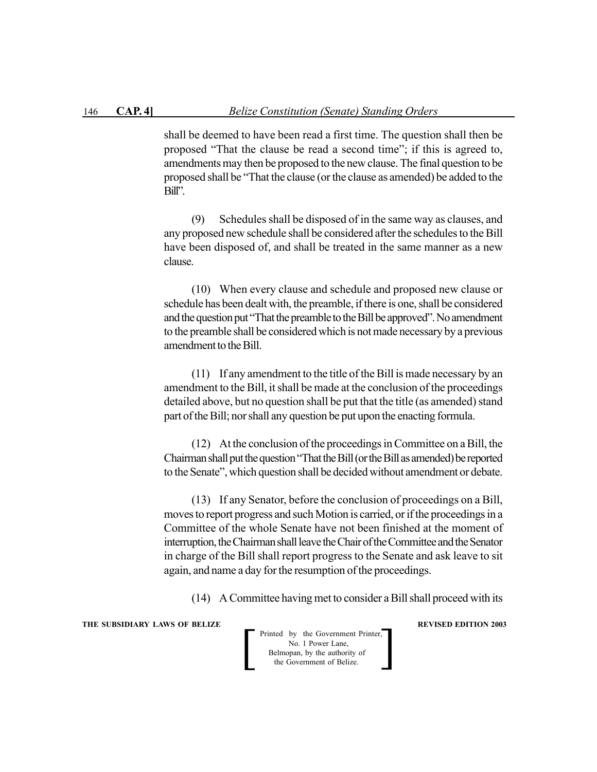shall be deemed to have been read a first time. The question shall then be proposed "That the clause be read a second time"; if this is agreed to, amendments may then be proposed to the new clause. The final question to be proposed shall be "That the clause (or the clause as amended) be added to the Bill".

(9) Schedules shall be disposed of in the same way as clauses, and any proposed new schedule shall be considered after the schedules to the Bill have been disposed of, and shall be treated in the same manner as a new clause.

(10) When every clause and schedule and proposed new clause or schedule has been dealt with, the preamble, if there is one, shall be considered and the question put "That the preamble to the Bill be approved". No amendment to the preamble shall be considered which is not made necessary by a previous amendment to the Bill.

(11) If any amendment to the title of the Bill is made necessary by an amendment to the Bill, it shall be made at the conclusion of the proceedings detailed above, but no question shall be put that the title (as amended) stand part of the Bill; nor shall any question be put upon the enacting formula.

(12) At the conclusion of the proceedings in Committee on a Bill, the Chairman shall put the question "That the Bill (or the Bill as amended) be reported to the Senate", which question shall be decided without amendment or debate.

(13) If any Senator, before the conclusion of proceedings on a Bill, moves to report progress and such Motion is carried, or if the proceedings in a Committee of the whole Senate have not been finished at the moment of interruption, the Chairman shall leave the Chair of the Committee and the Senator in charge of the Bill shall report progress to the Senate and ask leave to sit again, and name a day for the resumption of the proceedings.

(14) A Committee having met to consider a Bill shall proceed with its

**THE SUBSIDIARY LAWS OF BELIZE REVISED EDITION 2003** 

 Printed by the Government Printer, No. 1 Power Lane, Belmopan, by the authority of Printed by the Government Printer,<br>No. 1 Power Lane,<br>Belmopan, by the authority of<br>the Government of Belize.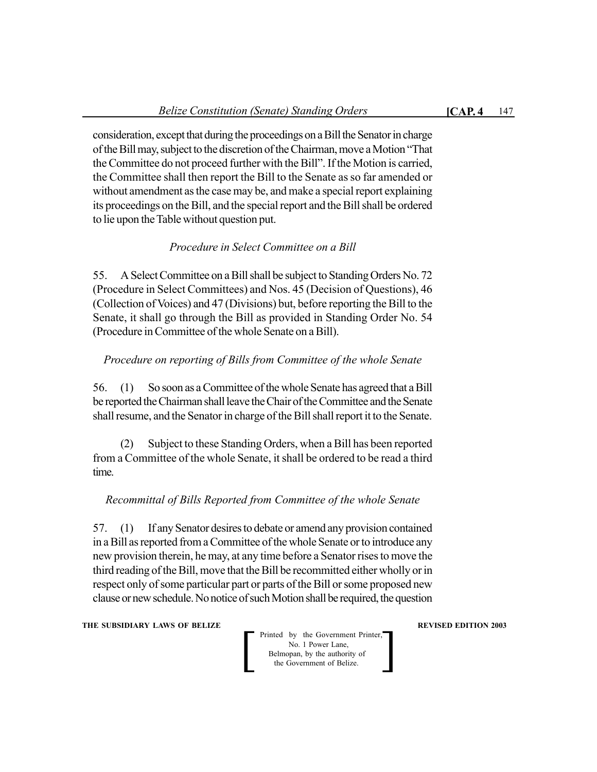consideration, except that during the proceedings on a Bill the Senator in charge of the Bill may, subject to the discretion of the Chairman, move a Motion "That the Committee do not proceed further with the Bill". If the Motion is carried, the Committee shall then report the Bill to the Senate as so far amended or without amendment as the case may be, and make a special report explaining its proceedings on the Bill, and the special report and the Bill shall be ordered to lie upon the Table without question put.

## *Procedure in Select Committee on a Bill*

55. A Select Committee on a Bill shall be subject to Standing Orders No. 72 (Procedure in Select Committees) and Nos. 45 (Decision of Questions), 46 (Collection of Voices) and 47 (Divisions) but, before reporting the Bill to the Senate, it shall go through the Bill as provided in Standing Order No. 54 (Procedure in Committee of the whole Senate on a Bill).

## *Procedure on reporting of Bills from Committee of the whole Senate*

56. (1) So soon as a Committee of the whole Senate has agreed that a Bill be reported the Chairman shall leave the Chair of the Committee and the Senate shall resume, and the Senator in charge of the Bill shall report it to the Senate.

(2) Subject to these Standing Orders, when a Bill has been reported from a Committee of the whole Senate, it shall be ordered to be read a third time.

# *Recommittal of Bills Reported from Committee of the whole Senate*

57. (1) If any Senator desires to debate or amend any provision contained in a Bill as reported from a Committee of the whole Senate or to introduce any new provision therein, he may, at any time before a Senator rises to move the third reading of the Bill, move that the Bill be recommitted either wholly or in respect only of some particular part or parts of the Bill or some proposed new clause or new schedule. No notice of such Motion shall be required, the question

**THE SUBSIDIARY LAWS OF BELIZE AND SUBSIDIARY LAWS AREVISED EDITION 2003**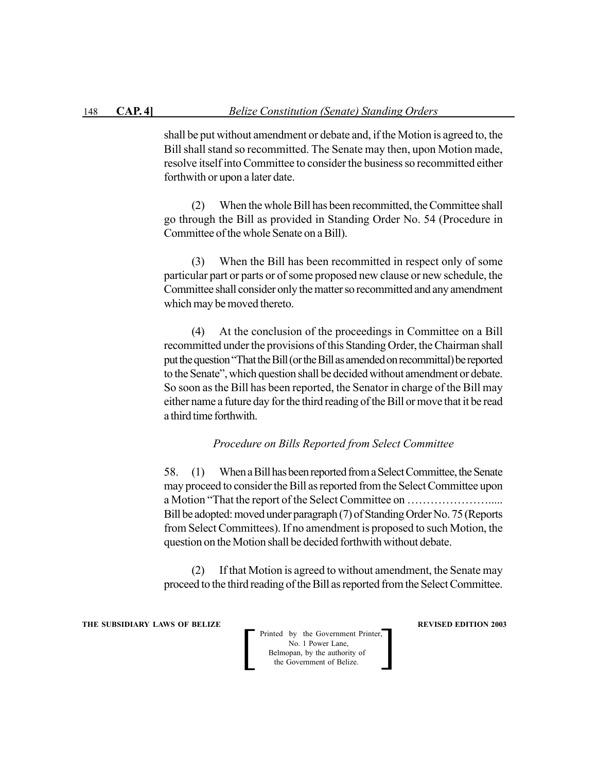shall be put without amendment or debate and, if the Motion is agreed to, the Bill shall stand so recommitted. The Senate may then, upon Motion made, resolve itself into Committee to consider the business so recommitted either forthwith or upon a later date.

(2) When the whole Bill has been recommitted, the Committee shall go through the Bill as provided in Standing Order No. 54 (Procedure in Committee of the whole Senate on a Bill).

(3) When the Bill has been recommitted in respect only of some particular part or parts or of some proposed new clause or new schedule, the Committee shall consider only the matter so recommitted and any amendment which may be moved thereto.

(4) At the conclusion of the proceedings in Committee on a Bill recommitted under the provisions of this Standing Order, the Chairman shall put the question "That the Bill (or the Bill as amended on recommittal) be reported to the Senate", which question shall be decided without amendment or debate. So soon as the Bill has been reported, the Senator in charge of the Bill may either name a future day for the third reading of the Bill or move that it be read a third time forthwith.

#### *Procedure on Bills Reported from Select Committee*

58. (1) When a Bill has been reported from a Select Committee, the Senate may proceed to consider the Bill as reported from the Select Committee upon a Motion "That the report of the Select Committee on …………………..... Bill be adopted: moved under paragraph (7) of Standing Order No. 75 (Reports from Select Committees). If no amendment is proposed to such Motion, the question on the Motion shall be decided forthwith without debate.

(2) If that Motion is agreed to without amendment, the Senate may proceed to the third reading of the Bill as reported from the Select Committee.

**THE SUBSIDIARY LAWS OF BELIZE REVISED EDITION 2003**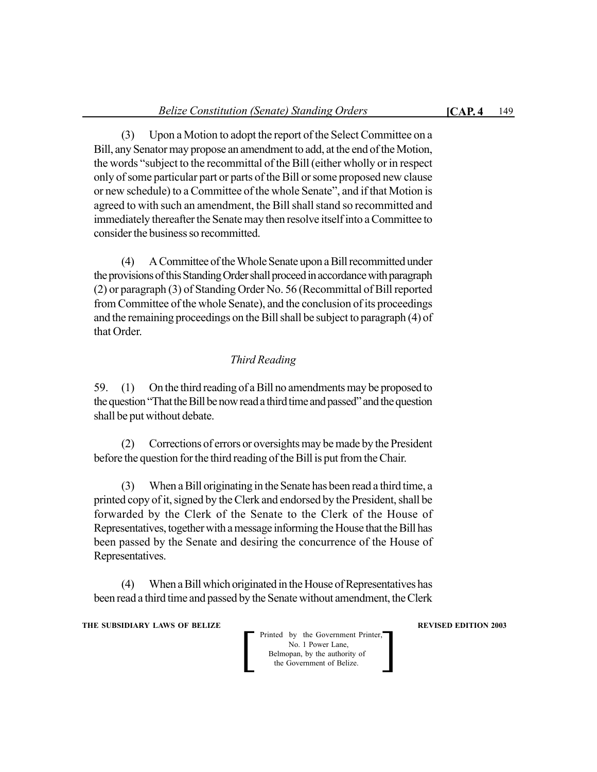(3) Upon a Motion to adopt the report of the Select Committee on a Bill, any Senator may propose an amendment to add, at the end of the Motion, the words "subject to the recommittal of the Bill (either wholly or in respect only of some particular part or parts of the Bill or some proposed new clause or new schedule) to a Committee of the whole Senate", and if that Motion is agreed to with such an amendment, the Bill shall stand so recommitted and immediately thereafter the Senate may then resolve itself into a Committee to consider the business so recommitted.

(4) A Committee of the Whole Senate upon a Bill recommitted under the provisions of this Standing Order shall proceed in accordance with paragraph (2) or paragraph (3) of Standing Order No. 56 (Recommittal of Bill reported from Committee of the whole Senate), and the conclusion of its proceedings and the remaining proceedings on the Bill shall be subject to paragraph (4) of that Order.

## *Third Reading*

59. (1) On the third reading of a Bill no amendments may be proposed to the question "That the Bill be now read a third time and passed" and the question shall be put without debate.

(2) Corrections of errors or oversights may be made by the President before the question for the third reading of the Bill is put from the Chair.

(3) When a Bill originating in the Senate has been read a third time, a printed copy of it, signed by the Clerk and endorsed by the President, shall be forwarded by the Clerk of the Senate to the Clerk of the House of Representatives, together with a message informing the House that the Bill has been passed by the Senate and desiring the concurrence of the House of Representatives.

(4) When a Bill which originated in the House of Representatives has been read a third time and passed by the Senate without amendment, the Clerk

**THE SUBSIDIARY LAWS OF BELIZE AND SUBSIDIARY LAWS AREVISED EDITION 2003**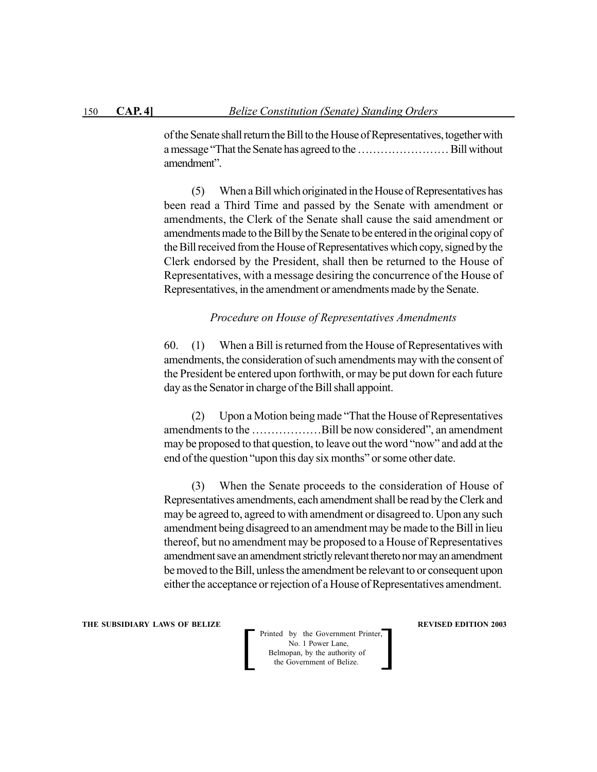of the Senate shall return the Bill to the House of Representatives, together with a message "That the Senate has agreed to the …………………… Bill without amendment".

(5) When a Bill which originated in the House of Representatives has been read a Third Time and passed by the Senate with amendment or amendments, the Clerk of the Senate shall cause the said amendment or amendments made to the Bill by the Senate to be entered in the original copy of the Bill received from the House of Representatives which copy, signed by the Clerk endorsed by the President, shall then be returned to the House of Representatives, with a message desiring the concurrence of the House of Representatives, in the amendment or amendments made by the Senate.

#### *Procedure on House of Representatives Amendments*

60. (1) When a Bill is returned from the House of Representatives with amendments, the consideration of such amendments may with the consent of the President be entered upon forthwith, or may be put down for each future day as the Senator in charge of the Bill shall appoint.

(2) Upon a Motion being made "That the House of Representatives amendments to the ………………Bill be now considered", an amendment may be proposed to that question, to leave out the word "now" and add at the end of the question "upon this day six months" or some other date.

(3) When the Senate proceeds to the consideration of House of Representatives amendments, each amendment shall be read by the Clerk and may be agreed to, agreed to with amendment or disagreed to. Upon any such amendment being disagreed to an amendment may be made to the Bill in lieu thereof, but no amendment may be proposed to a House of Representatives amendment save an amendment strictly relevant thereto nor may an amendment be moved to the Bill, unless the amendment be relevant to or consequent upon either the acceptance or rejection of a House of Representatives amendment.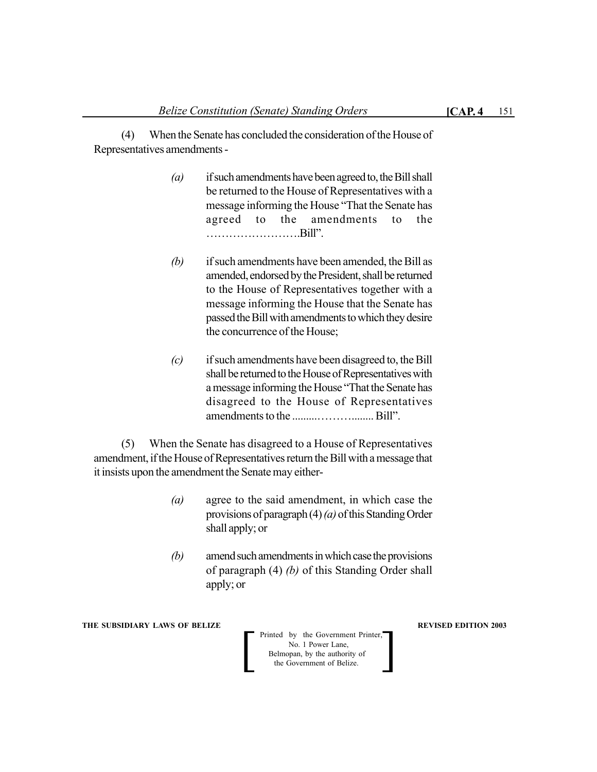(4) When the Senate has concluded the consideration of the House of Representatives amendments -

- *(a)* if such amendments have been agreed to, the Bill shall be returned to the House of Representatives with a message informing the House "That the Senate has agreed to the amendments to the …………………….Bill".
- *(b)* if such amendments have been amended, the Bill as amended, endorsed by the President, shall be returned to the House of Representatives together with a message informing the House that the Senate has passed the Bill with amendments to which they desire the concurrence of the House;
- *(c)* if such amendments have been disagreed to, the Bill shall be returned to the House of Representatives with a message informing the House "That the Senate has disagreed to the House of Representatives amendments to the .........………........ Bill".

(5) When the Senate has disagreed to a House of Representatives amendment, if the House of Representatives return the Bill with a message that it insists upon the amendment the Senate may either-

- *(a)* agree to the said amendment, in which case the provisions of paragraph (4) *(a)* of this Standing Order shall apply; or
- *(b)* amend such amendments in which case the provisions of paragraph (4) *(b)* of this Standing Order shall apply; or

**THE SUBSIDIARY LAWS OF BELIZE AND SUBSIDIARY LAWS AREVISED EDITION 2003**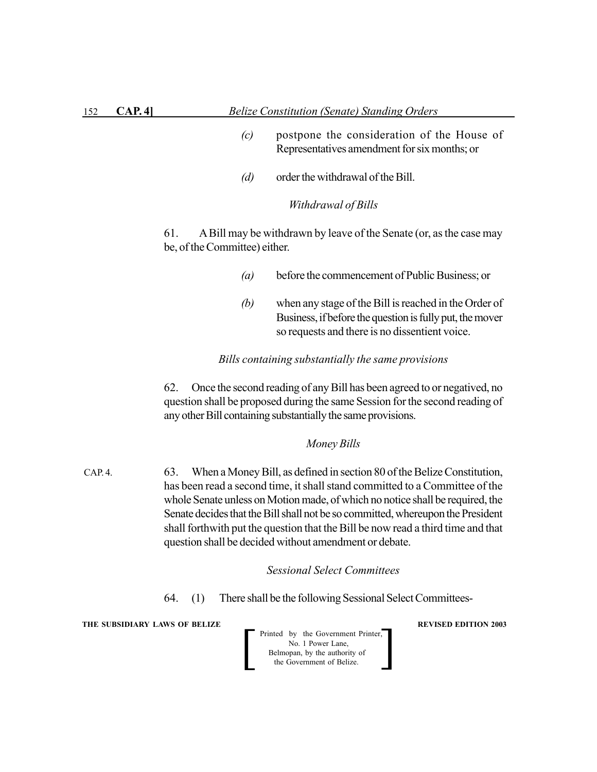- *(c)* postpone the consideration of the House of Representatives amendment for six months; or
- *(d)* order the withdrawal of the Bill.

*Withdrawal of Bills*

61. A Bill may be withdrawn by leave of the Senate (or, as the case may be, of the Committee) either.

- *(a)* before the commencement of Public Business; or
- *(b)* when any stage of the Bill is reached in the Order of Business, if before the question is fully put, the mover so requests and there is no dissentient voice.

#### *Bills containing substantially the same provisions*

62. Once the second reading of any Bill has been agreed to or negatived, no question shall be proposed during the same Session for the second reading of any other Bill containing substantially the same provisions.

#### *Money Bills*

63. When a Money Bill, as defined in section 80 of the Belize Constitution, has been read a second time, it shall stand committed to a Committee of the whole Senate unless on Motion made, of which no notice shall be required, the Senate decides that the Bill shall not be so committed, whereupon the President shall forthwith put the question that the Bill be now read a third time and that question shall be decided without amendment or debate. CAP. 4.

*Sessional Select Committees*

64. (1) There shall be the following Sessional Select Committees-

**THE SUBSIDIARY LAWS OF BELIZE REVISED EDITION 2003** 

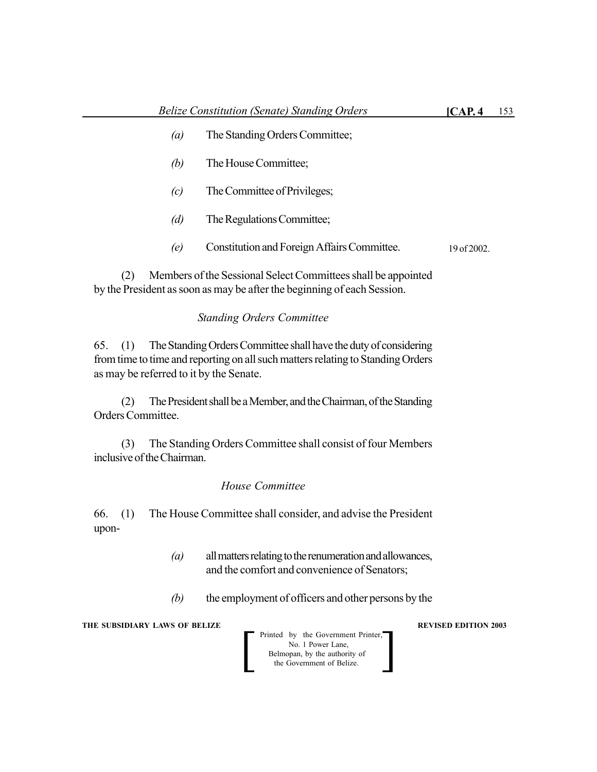- *(b)* The House Committee;
- *(c)* The Committee of Privileges;
- *(d)* The Regulations Committee;
- *(e)* Constitution and Foreign Affairs Committee. 19 of 2002.

(2) Members of the Sessional Select Committees shall be appointed by the President as soon as may be after the beginning of each Session.

## *Standing Orders Committee*

65. (1) The Standing Orders Committee shall have the duty of considering from time to time and reporting on all such matters relating to Standing Orders as may be referred to it by the Senate.

(2) The President shall be a Member, and the Chairman, of the Standing Orders Committee.

(3) The Standing Orders Committee shall consist of four Members inclusive of the Chairman.

#### *House Committee*

66. (1) The House Committee shall consider, and advise the President upon-

- *(a)* all matters relating to the renumeration and allowances, and the comfort and convenience of Senators;
- *(b)* the employment of officers and other persons by the

**THE SUBSIDIARY LAWS OF BELIZE REVISED EDITION 2003** 

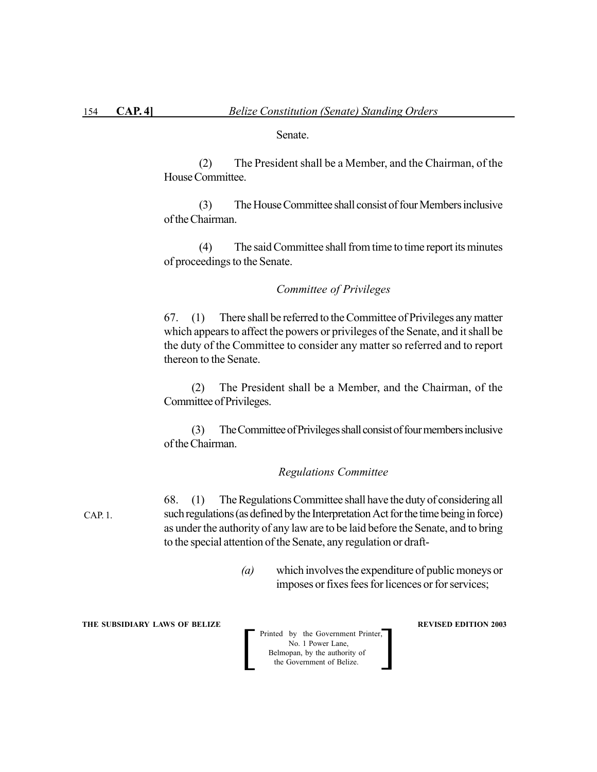Senate.

(2) The President shall be a Member, and the Chairman, of the House Committee.

(3) The House Committee shall consist of four Members inclusive of the Chairman.

(4) The said Committee shall from time to time report its minutes of proceedings to the Senate.

#### *Committee of Privileges*

67. (1) There shall be referred to the Committee of Privileges any matter which appears to affect the powers or privileges of the Senate, and it shall be the duty of the Committee to consider any matter so referred and to report thereon to the Senate.

(2) The President shall be a Member, and the Chairman, of the Committee of Privileges.

(3) The Committee of Privileges shall consist of four members inclusive of the Chairman.

#### *Regulations Committee*

CAP. 1.

68. (1) The Regulations Committee shall have the duty of considering all such regulations (as defined by the Interpretation Act for the time being in force) as under the authority of any law are to be laid before the Senate, and to bring to the special attention of the Senate, any regulation or draft-

> *(a)* which involves the expenditure of public moneys or imposes or fixes fees for licences or for services;

**THE SUBSIDIARY LAWS OF BELIZE REVISED EDITION 2003**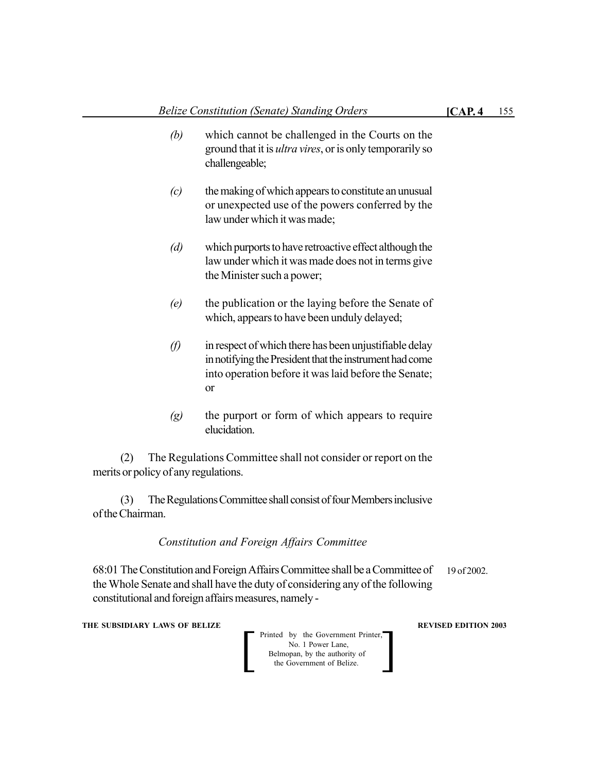- *(b)* which cannot be challenged in the Courts on the ground that it is *ultra vires*, or is only temporarily so challengeable;
- *(c)* the making of which appears to constitute an unusual or unexpected use of the powers conferred by the law under which it was made;
- *(d)* which purports to have retroactive effect although the law under which it was made does not in terms give the Minister such a power;
- *(e)* the publication or the laying before the Senate of which, appears to have been unduly delayed;
- *(f)* in respect of which there has been unjustifiable delay in notifying the President that the instrument had come into operation before it was laid before the Senate; or
- *(g)* the purport or form of which appears to require elucidation.

(2) The Regulations Committee shall not consider or report on the merits or policy of any regulations.

(3) The Regulations Committee shall consist of four Members inclusive of the Chairman.

#### *Constitution and Foreign Affairs Committee*

68:01 The Constitution and Foreign Affairs Committee shall be a Committee of the Whole Senate and shall have the duty of considering any of the following constitutional and foreign affairs measures, namely - 19 of 2002.

**THE SUBSIDIARY LAWS OF BELIZE REVISED EDITION 2003**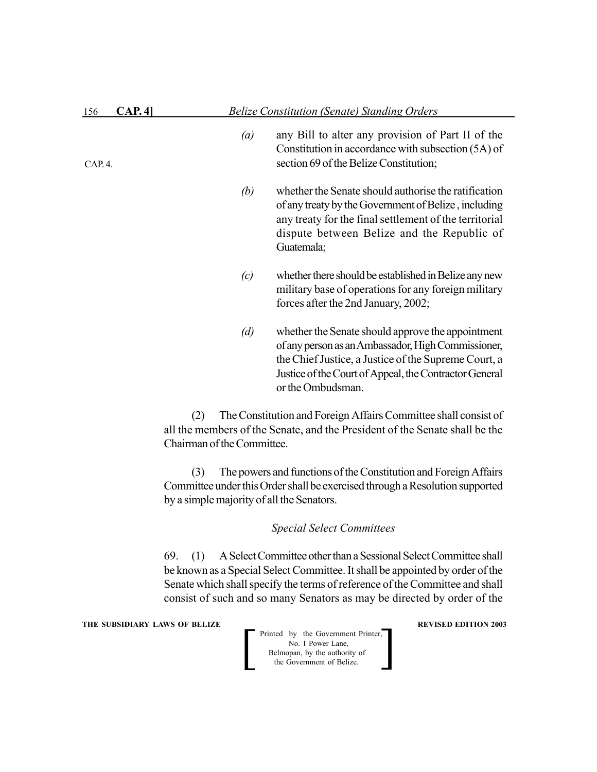| 156   | <b>CAP.4</b> |                  | <b>Belize Constitution (Senate) Standing Orders</b>                                                                                                                                                                                            |  |  |
|-------|--------------|------------------|------------------------------------------------------------------------------------------------------------------------------------------------------------------------------------------------------------------------------------------------|--|--|
| CAP.4 |              | $\left(a\right)$ | any Bill to alter any provision of Part II of the<br>Constitution in accordance with subsection (5A) of<br>section 69 of the Belize Constitution;                                                                                              |  |  |
|       |              | (b)              | whether the Senate should authorise the ratification<br>of any treaty by the Government of Belize, including<br>any treaty for the final settlement of the territorial<br>dispute between Belize and the Republic of<br>Guatemala;             |  |  |
|       |              | (c)              | whether there should be established in Belize any new<br>military base of operations for any foreign military<br>forces after the 2nd January, 2002;                                                                                           |  |  |
|       |              | (d)              | whether the Senate should approve the appointment<br>of any person as an Ambassador, High Commissioner,<br>the Chief Justice, a Justice of the Supreme Court, a<br>Justice of the Court of Appeal, the Contractor General<br>or the Ombudsman. |  |  |

(2) The Constitution and Foreign Affairs Committee shall consist of all the members of the Senate, and the President of the Senate shall be the Chairman of the Committee.

(3) The powers and functions of the Constitution and Foreign Affairs Committee under this Order shall be exercised through a Resolution supported by a simple majority of all the Senators.

#### *Special Select Committees*

69. (1) A Select Committee other than a Sessional Select Committee shall be known as a Special Select Committee. It shall be appointed by order of the Senate which shall specify the terms of reference of the Committee and shall consist of such and so many Senators as may be directed by order of the

**THE SUBSIDIARY LAWS OF BELIZE REVISED EDITION 2003**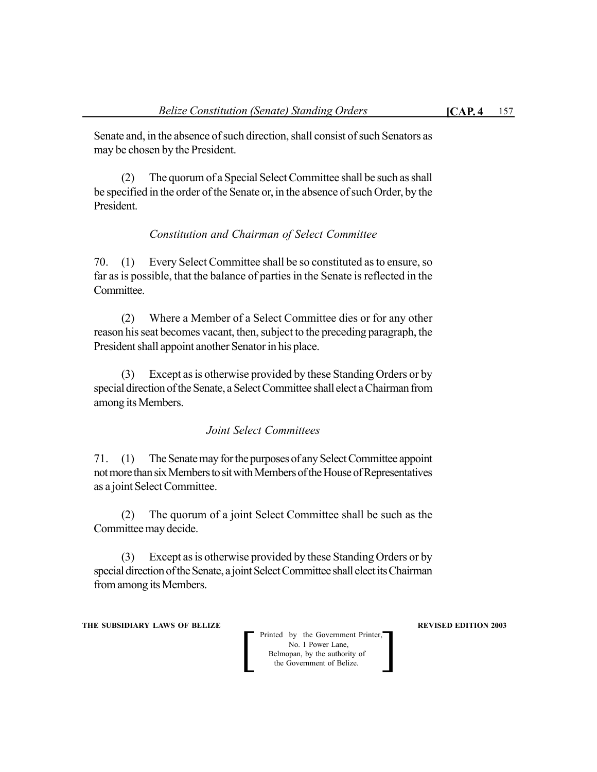Senate and, in the absence of such direction, shall consist of such Senators as may be chosen by the President.

(2) The quorum of a Special Select Committee shall be such as shall be specified in the order of the Senate or, in the absence of such Order, by the President.

## *Constitution and Chairman of Select Committee*

70. (1) Every Select Committee shall be so constituted as to ensure, so far as is possible, that the balance of parties in the Senate is reflected in the Committee.

(2) Where a Member of a Select Committee dies or for any other reason his seat becomes vacant, then, subject to the preceding paragraph, the President shall appoint another Senator in his place.

(3) Except as is otherwise provided by these Standing Orders or by special direction of the Senate, a Select Committee shall elect a Chairman from among its Members.

## *Joint Select Committees*

71. (1) The Senate may for the purposes of any Select Committee appoint not more than six Members to sit with Members of the House of Representatives as a joint Select Committee.

(2) The quorum of a joint Select Committee shall be such as the Committee may decide.

(3) Except as is otherwise provided by these Standing Orders or by special direction of the Senate, a joint Select Committee shall elect its Chairman from among its Members.

**THE SUBSIDIARY LAWS OF BELIZE AND SUBSIDIARY LAWS AREVISED EDITION 2003**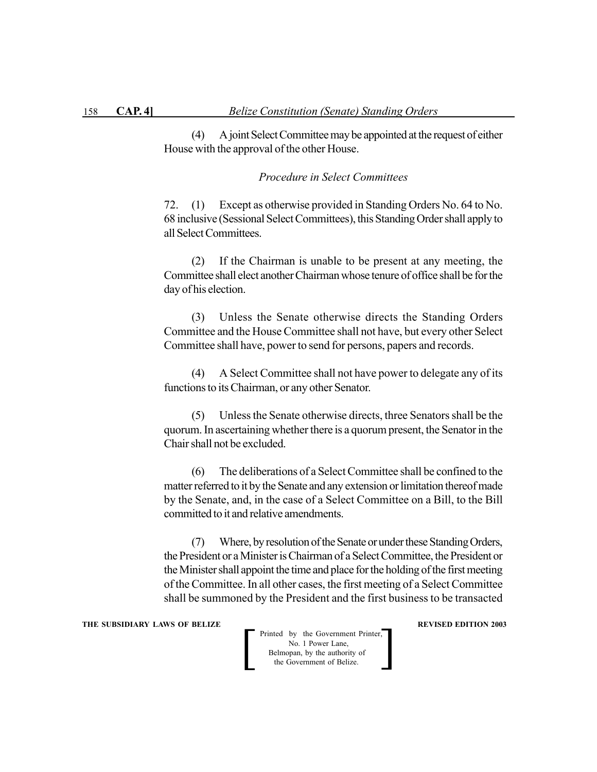(4) A joint Select Committee may be appointed at the request of either House with the approval of the other House.

*Procedure in Select Committees*

72. (1) Except as otherwise provided in Standing Orders No. 64 to No. 68 inclusive (Sessional Select Committees), this Standing Order shall apply to all Select Committees.

(2) If the Chairman is unable to be present at any meeting, the Committee shall elect another Chairman whose tenure of office shall be for the day of his election.

(3) Unless the Senate otherwise directs the Standing Orders Committee and the House Committee shall not have, but every other Select Committee shall have, power to send for persons, papers and records.

(4) A Select Committee shall not have power to delegate any of its functions to its Chairman, or any other Senator.

(5) Unless the Senate otherwise directs, three Senators shall be the quorum. In ascertaining whether there is a quorum present, the Senator in the Chair shall not be excluded.

(6) The deliberations of a Select Committee shall be confined to the matter referred to it by the Senate and any extension or limitation thereof made by the Senate, and, in the case of a Select Committee on a Bill, to the Bill committed to it and relative amendments.

(7) Where, by resolution of the Senate or under these Standing Orders, the President or a Minister is Chairman of a Select Committee, the President or the Minister shall appoint the time and place for the holding of the first meeting of the Committee. In all other cases, the first meeting of a Select Committee shall be summoned by the President and the first business to be transacted

#### **THE SUBSIDIARY LAWS OF BELIZE REVISED EDITION 2003**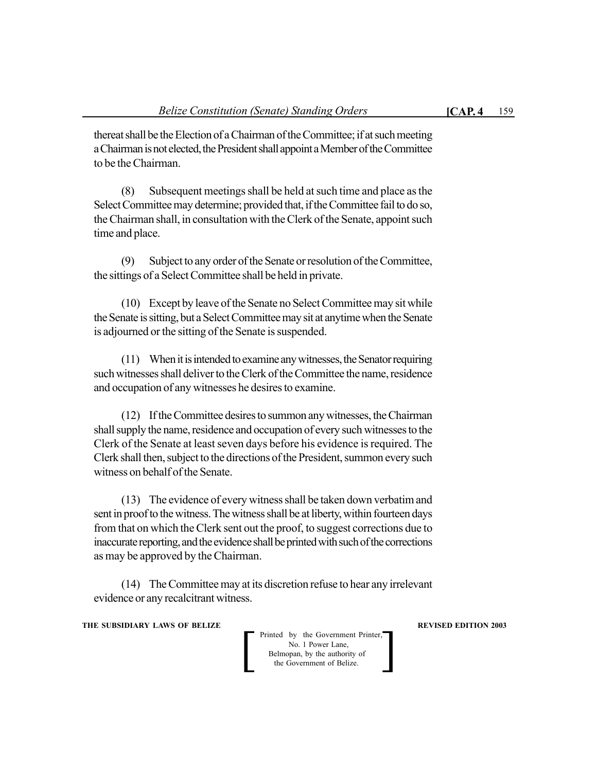thereat shall be the Election of a Chairman of the Committee; if at such meeting a Chairman is not elected, the President shall appoint a Member of the Committee to be the Chairman.

(8) Subsequent meetings shall be held at such time and place as the Select Committee may determine; provided that, if the Committee fail to do so, the Chairman shall, in consultation with the Clerk of the Senate, appoint such time and place.

(9) Subject to any order of the Senate or resolution of the Committee, the sittings of a Select Committee shall be held in private.

(10) Except by leave of the Senate no Select Committee may sit while the Senate is sitting, but a Select Committee may sit at anytime when the Senate is adjourned or the sitting of the Senate is suspended.

(11) When it is intended to examine any witnesses, the Senator requiring such witnesses shall deliver to the Clerk of the Committee the name, residence and occupation of any witnesses he desires to examine.

(12) If the Committee desires to summon any witnesses, the Chairman shall supply the name, residence and occupation of every such witnesses to the Clerk of the Senate at least seven days before his evidence is required. The Clerk shall then, subject to the directions of the President, summon every such witness on behalf of the Senate.

(13) The evidence of every witness shall be taken down verbatim and sent in proof to the witness. The witness shall be at liberty, within fourteen days from that on which the Clerk sent out the proof, to suggest corrections due to inaccurate reporting, and the evidence shall be printed with such of the corrections as may be approved by the Chairman.

(14) The Committee may at its discretion refuse to hear any irrelevant evidence or any recalcitrant witness.

#### **THE SUBSIDIARY LAWS OF BELIZE AND SUBSIDIARY LAWS AREVISED EDITION 2003**

 Printed by the Government Printer, No. 1 Power Lane, **Belmopan**, by the authority of Printed by the Government Printer,<br>No. 1 Power Lane,<br>Belmopan, by the authority of<br>the Government of Belize.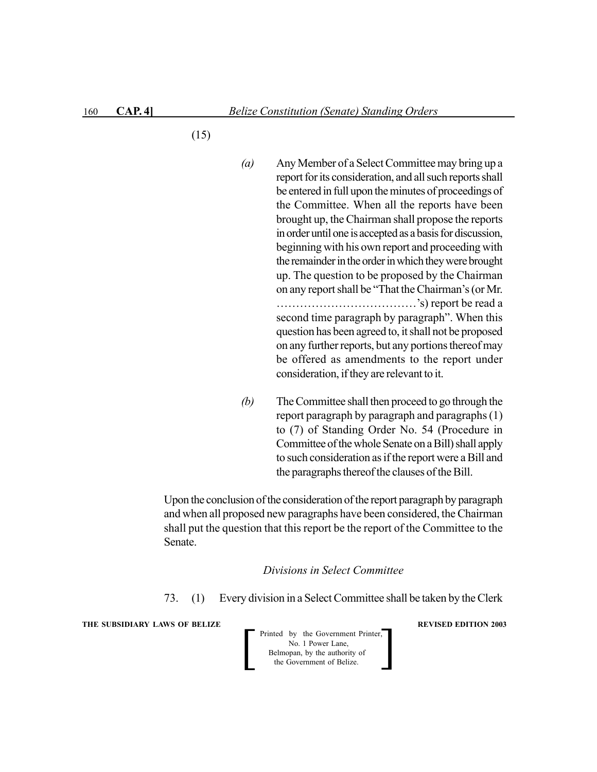- (15)
- *(a)* Any Member of a Select Committee may bring up a report for its consideration, and all such reports shall be entered in full upon the minutes of proceedings of the Committee. When all the reports have been brought up, the Chairman shall propose the reports in order until one is accepted as a basis for discussion, beginning with his own report and proceeding with the remainder in the order in which they were brought up. The question to be proposed by the Chairman on any report shall be "That the Chairman's (or Mr. ………………………………'s) report be read a second time paragraph by paragraph". When this question has been agreed to, it shall not be proposed on any further reports, but any portions thereof may be offered as amendments to the report under consideration, if they are relevant to it.
- *(b)* The Committee shall then proceed to go through the report paragraph by paragraph and paragraphs (1) to (7) of Standing Order No. 54 (Procedure in Committee of the whole Senate on a Bill) shall apply to such consideration as if the report were a Bill and the paragraphs thereof the clauses of the Bill.

Upon the conclusion of the consideration of the report paragraph by paragraph and when all proposed new paragraphs have been considered, the Chairman shall put the question that this report be the report of the Committee to the Senate.

#### *Divisions in Select Committee*

73. (1) Every division in a Select Committee shall be taken by the Clerk

**THE SUBSIDIARY LAWS OF BELIZE REVISED EDITION 2003** 

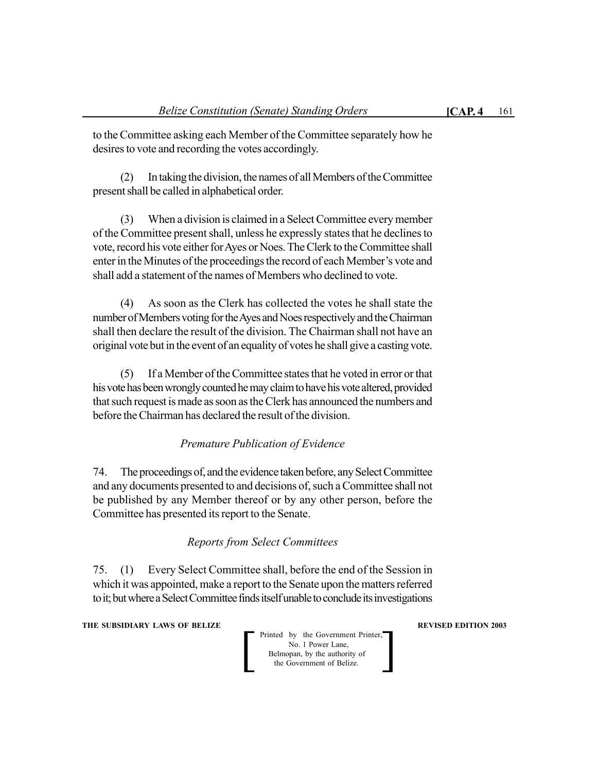to the Committee asking each Member of the Committee separately how he desires to vote and recording the votes accordingly.

(2) In taking the division, the names of all Members of the Committee present shall be called in alphabetical order.

(3) When a division is claimed in a Select Committee every member of the Committee present shall, unless he expressly states that he declines to vote, record his vote either for Ayes or Noes. The Clerk to the Committee shall enter in the Minutes of the proceedings the record of each Member's vote and shall add a statement of the names of Members who declined to vote.

(4) As soon as the Clerk has collected the votes he shall state the number of Members voting for the Ayes and Noes respectively and the Chairman shall then declare the result of the division. The Chairman shall not have an original vote but in the event of an equality of votes he shall give a casting vote.

(5) If a Member of the Committee states that he voted in error or that his vote has been wrongly counted he may claim to have his vote altered, provided that such request is made as soon as the Clerk has announced the numbers and before the Chairman has declared the result of the division.

## *Premature Publication of Evidence*

74. The proceedings of, and the evidence taken before, any Select Committee and any documents presented to and decisions of, such a Committee shall not be published by any Member thereof or by any other person, before the Committee has presented its report to the Senate.

## *Reports from Select Committees*

75. (1) Every Select Committee shall, before the end of the Session in which it was appointed, make a report to the Senate upon the matters referred to it; but where a Select Committee finds itself unable to conclude its investigations

**THE SUBSIDIARY LAWS OF BELIZE AND SUBSIDIARY LAWS AREVISED EDITION 2003** 

 Printed by the Government Printer, No. 1 Power Lane, **Belmopan**, by the authority of Printed by the Government Printer,<br>No. 1 Power Lane,<br>Belmopan, by the authority of<br>the Government of Belize.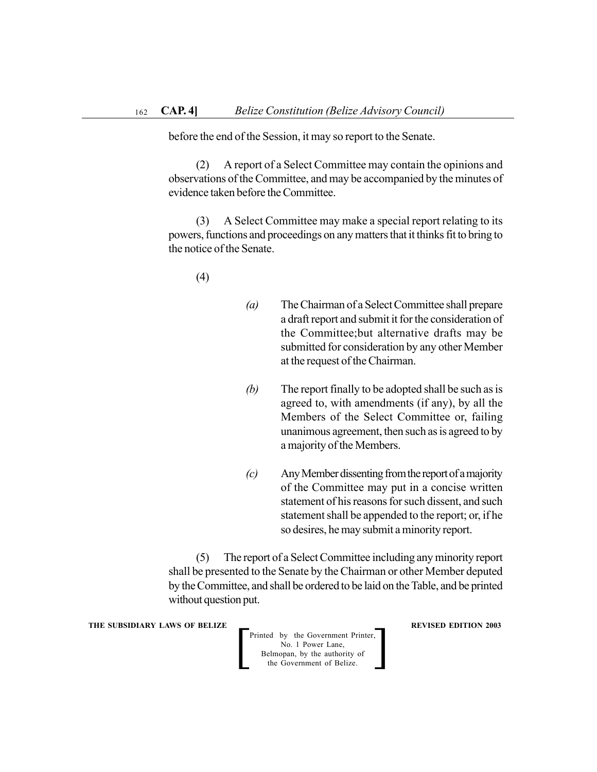before the end of the Session, it may so report to the Senate.

(2) A report of a Select Committee may contain the opinions and observations of the Committee, and may be accompanied by the minutes of evidence taken before the Committee.

(3) A Select Committee may make a special report relating to its powers, functions and proceedings on any matters that it thinks fit to bring to the notice of the Senate.

(4)

- *(a)* The Chairman of a Select Committee shall prepare a draft report and submit it for the consideration of the Committee;but alternative drafts may be submitted for consideration by any other Member at the request of the Chairman.
- *(b)* The report finally to be adopted shall be such as is agreed to, with amendments (if any), by all the Members of the Select Committee or, failing unanimous agreement, then such as is agreed to by a majority of the Members.
- *(c)* Any Member dissenting from the report of a majority of the Committee may put in a concise written statement of his reasons for such dissent, and such statement shall be appended to the report; or, if he so desires, he may submit a minority report.

(5) The report of a Select Committee including any minority report shall be presented to the Senate by the Chairman or other Member deputed by the Committee, and shall be ordered to be laid on the Table, and be printed without question put.

**THE SUBSIDIARY LAWS OF BELIZE REVISED EDITION 2003** 

Printed by the Government Printer, No. 1 Power Lane, Belmopan, by the authority of the Government of Belize. Printed by the Government Printer,<br>No. 1 Power Lane,<br>Belmopan, by the authority of<br>the Government of Belize.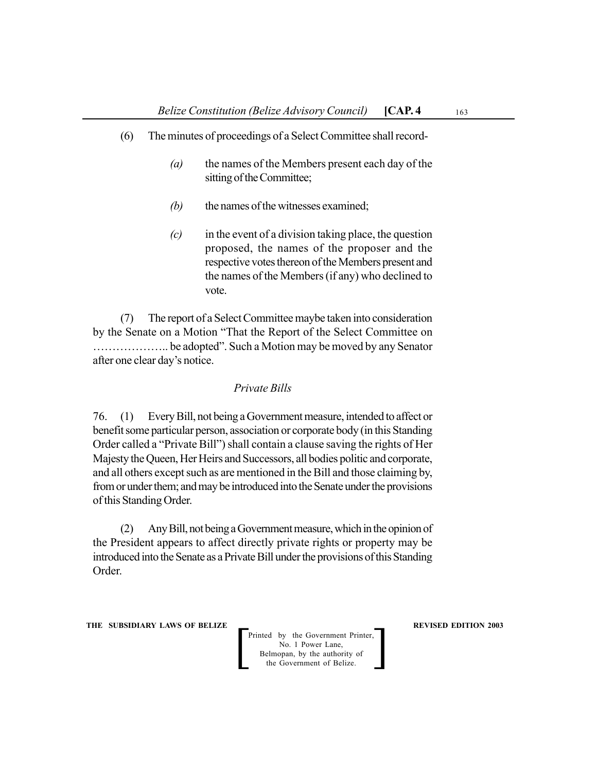- (6) The minutes of proceedings of a Select Committee shall record-
	- *(a)* the names of the Members present each day of the sitting of the Committee;
	- *(b)* the names of the witnesses examined;
	- *(c)* in the event of a division taking place, the question proposed, the names of the proposer and the respective votes thereon of the Members present and the names of the Members (if any) who declined to vote.

(7) The report of a Select Committee maybe taken into consideration by the Senate on a Motion "That the Report of the Select Committee on ……………….. be adopted". Such a Motion may be moved by any Senator after one clear day's notice.

#### *Private Bills*

76. (1) Every Bill, not being a Government measure, intended to affect or benefit some particular person, association or corporate body (in this Standing Order called a "Private Bill") shall contain a clause saving the rights of Her Majesty the Queen, Her Heirs and Successors, all bodies politic and corporate, and all others except such as are mentioned in the Bill and those claiming by, from or under them; and may be introduced into the Senate under the provisions of this Standing Order.

(2) Any Bill, not being a Government measure, which in the opinion of the President appears to affect directly private rights or property may be introduced into the Senate as a Private Bill under the provisions of this Standing Order.

**THE SUBSIDIARY LAWS OF BELIZE REVISED EDITION 2003**

Printed by the Government Printer, No. 1 Power Lane, Belmopan, by the authority of the Government of Belize. Printed by the Government Printer,<br>No. 1 Power Lane,<br>Belmopan, by the authority of<br>the Government of Belize.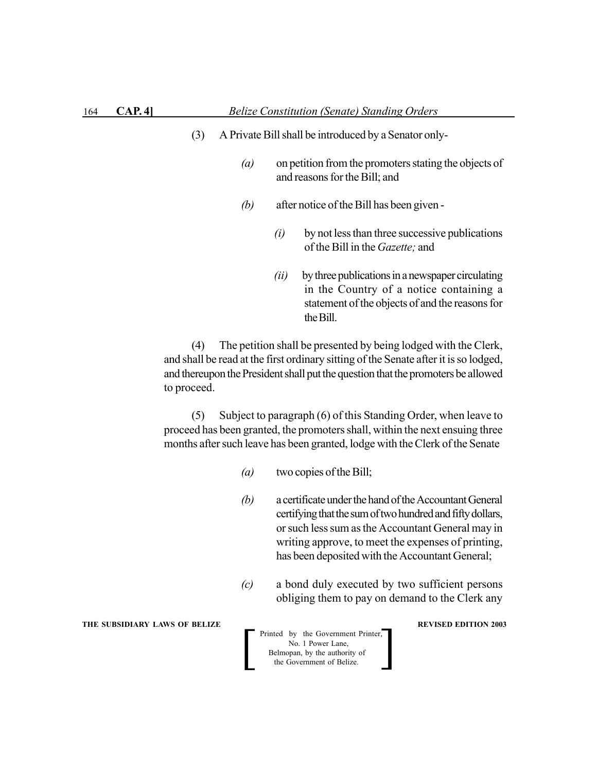- (3) A Private Bill shall be introduced by a Senator only-
	- *(a)* on petition from the promoters stating the objects of and reasons for the Bill; and
	- *(b)* after notice of the Bill has been given
		- *(i)* by not less than three successive publications of the Bill in the *Gazette;* and
		- *(ii)* by three publications in a newspaper circulating in the Country of a notice containing a statement of the objects of and the reasons for the Bill.

(4) The petition shall be presented by being lodged with the Clerk, and shall be read at the first ordinary sitting of the Senate after it is so lodged, and thereupon the President shall put the question that the promoters be allowed to proceed.

(5) Subject to paragraph (6) of this Standing Order, when leave to proceed has been granted, the promoters shall, within the next ensuing three months after such leave has been granted, lodge with the Clerk of the Senate

- *(a)* two copies of the Bill;
- *(b)* a certificate under the hand of the Accountant General certifying that the sum of two hundred and fifty dollars, or such less sum as the Accountant General may in writing approve, to meet the expenses of printing, has been deposited with the Accountant General;
- *(c)* a bond duly executed by two sufficient persons obliging them to pay on demand to the Clerk any

**THE SUBSIDIARY LAWS OF BELIZE REVISED EDITION 2003**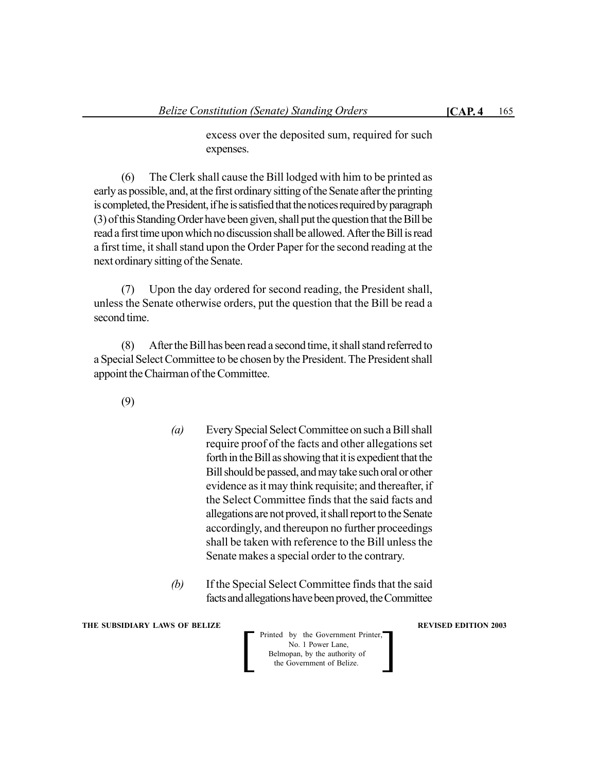excess over the deposited sum, required for such expenses.

(6) The Clerk shall cause the Bill lodged with him to be printed as early as possible, and, at the first ordinary sitting of the Senate after the printing is completed, the President, if he is satisfied that the notices required by paragraph (3) of this Standing Order have been given, shall put the question that the Bill be read a first time upon which no discussion shall be allowed. After the Bill is read a first time, it shall stand upon the Order Paper for the second reading at the next ordinary sitting of the Senate.

(7) Upon the day ordered for second reading, the President shall, unless the Senate otherwise orders, put the question that the Bill be read a second time.

(8) After the Bill has been read a second time, it shall stand referred to a Special Select Committee to be chosen by the President. The President shall appoint the Chairman of the Committee.

(9)

- *(a)* Every Special Select Committee on such a Bill shall require proof of the facts and other allegations set forth in the Bill as showing that it is expedient that the Bill should be passed, and may take such oral or other evidence as it may think requisite; and thereafter, if the Select Committee finds that the said facts and allegations are not proved, it shall report to the Senate accordingly, and thereupon no further proceedings shall be taken with reference to the Bill unless the Senate makes a special order to the contrary.
- *(b)* If the Special Select Committee finds that the said facts and allegations have been proved, the Committee

**THE SUBSIDIARY LAWS OF BELIZE AND SUBSIDIARY LAWS AREVISED EDITION 2003** 

Printed by the Government Printer,<br>
No. 1 Power Lane,<br>
Belmopan, by the authority of<br>
the Government of Belize. No. 1 Power Lane, Belmopan, by the authority of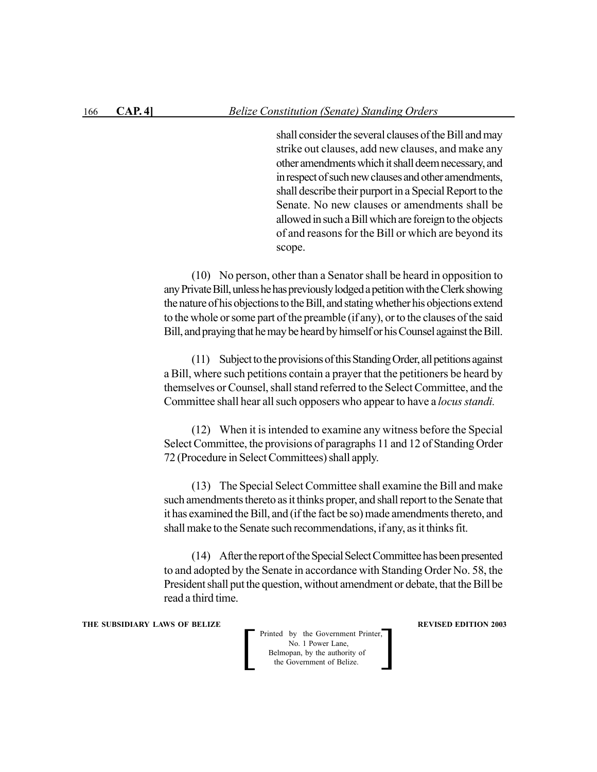shall consider the several clauses of the Bill and may strike out clauses, add new clauses, and make any other amendments which it shall deem necessary, and in respect of such new clauses and other amendments, shall describe their purport in a Special Report to the Senate. No new clauses or amendments shall be allowed in such a Bill which are foreign to the objects of and reasons for the Bill or which are beyond its scope.

(10) No person, other than a Senator shall be heard in opposition to any Private Bill, unless he has previously lodged a petition with the Clerk showing the nature of his objections to the Bill, and stating whether his objections extend to the whole or some part of the preamble (if any), or to the clauses of the said Bill, and praying that he may be heard by himself or his Counsel against the Bill.

(11) Subject to the provisions of this Standing Order, all petitions against a Bill, where such petitions contain a prayer that the petitioners be heard by themselves or Counsel, shall stand referred to the Select Committee, and the Committee shall hear all such opposers who appear to have a *locus standi*.

(12) When it is intended to examine any witness before the Special Select Committee, the provisions of paragraphs 11 and 12 of Standing Order 72 (Procedure in Select Committees) shall apply.

(13) The Special Select Committee shall examine the Bill and make such amendments thereto as it thinks proper, and shall report to the Senate that it has examined the Bill, and (if the fact be so) made amendments thereto, and shall make to the Senate such recommendations, if any, as it thinks fit.

(14) After the report of the Special Select Committee has been presented to and adopted by the Senate in accordance with Standing Order No. 58, the President shall put the question, without amendment or debate, that the Bill be read a third time.

**THE SUBSIDIARY LAWS OF BELIZE REVISED EDITION 2003**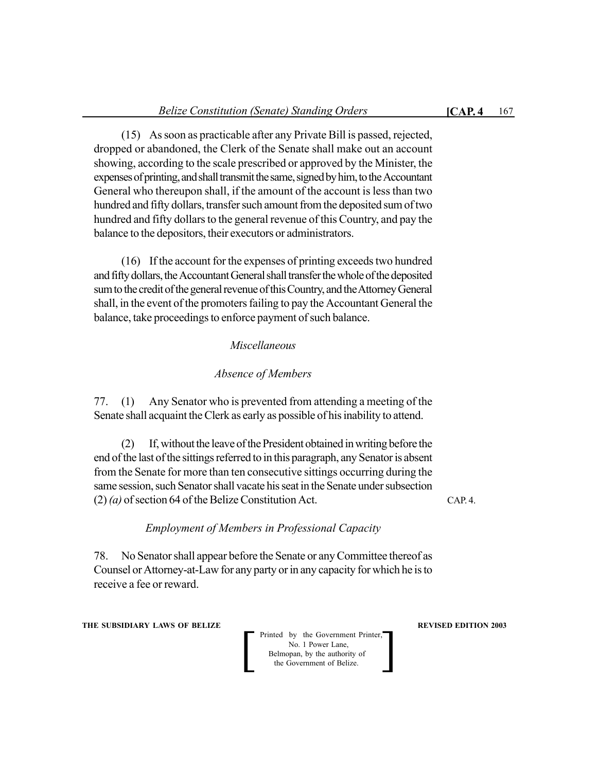(15) As soon as practicable after any Private Bill is passed, rejected, dropped or abandoned, the Clerk of the Senate shall make out an account showing, according to the scale prescribed or approved by the Minister, the expenses of printing, and shall transmit the same, signed by him, to the Accountant General who thereupon shall, if the amount of the account is less than two hundred and fifty dollars, transfer such amount from the deposited sum of two hundred and fifty dollars to the general revenue of this Country, and pay the balance to the depositors, their executors or administrators.

(16) If the account for the expenses of printing exceeds two hundred and fifty dollars, the Accountant General shall transfer the whole of the deposited sum to the credit of the general revenue of this Country, and the Attorney General shall, in the event of the promoters failing to pay the Accountant General the balance, take proceedings to enforce payment of such balance.

## *Miscellaneous*

## *Absence of Members*

77. (1) Any Senator who is prevented from attending a meeting of the Senate shall acquaint the Clerk as early as possible of his inability to attend.

(2) If, without the leave of the President obtained in writing before the end of the last of the sittings referred to in this paragraph, any Senator is absent from the Senate for more than ten consecutive sittings occurring during the same session, such Senator shall vacate his seat in the Senate under subsection (2) *(a)* of section 64 of the Belize Constitution Act.

CAP. 4.

## *Employment of Members in Professional Capacity*

78. No Senator shall appear before the Senate or any Committee thereof as Counsel or Attorney-at-Law for any party or in any capacity for which he is to receive a fee or reward.

**THE SUBSIDIARY LAWS OF BELIZE AND SUBSIDIARY LAWS AREVISED EDITION 2003**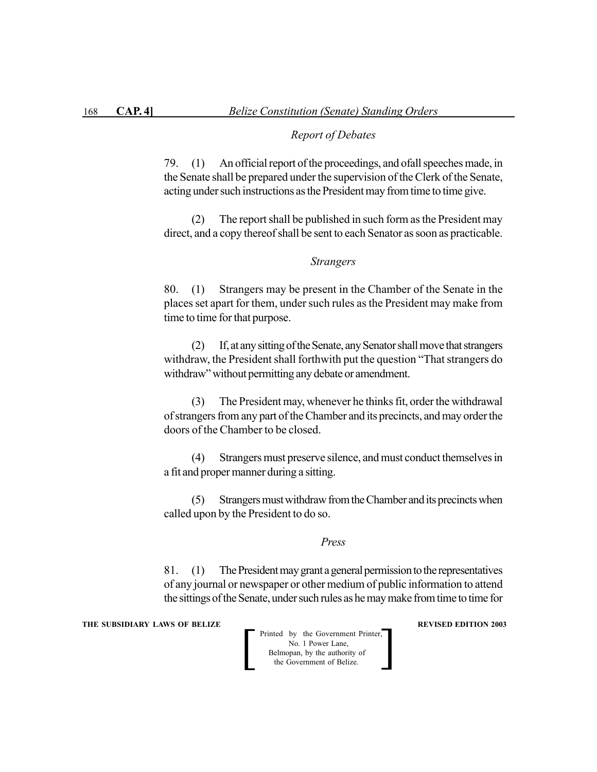#### *Report of Debates*

79. (1) An official report of the proceedings, and ofall speeches made, in the Senate shall be prepared under the supervision of the Clerk of the Senate, acting under such instructions as the President may from time to time give.

(2) The report shall be published in such form as the President may direct, and a copy thereof shall be sent to each Senator as soon as practicable.

#### *Strangers*

80. (1) Strangers may be present in the Chamber of the Senate in the places set apart for them, under such rules as the President may make from time to time for that purpose.

(2) If, at any sitting of the Senate, any Senator shall move that strangers withdraw, the President shall forthwith put the question "That strangers do withdraw" without permitting any debate or amendment.

(3) The President may, whenever he thinks fit, order the withdrawal of strangers from any part of the Chamber and its precincts, and may order the doors of the Chamber to be closed.

(4) Strangers must preserve silence, and must conduct themselves in a fit and proper manner during a sitting.

(5) Strangers must withdraw from the Chamber and its precincts when called upon by the President to do so.

#### *Press*

81. (1) The President may grant a general permission to the representatives of any journal or newspaper or other medium of public information to attend the sittings of the Senate, under such rules as he may make from time to time for

**THE SUBSIDIARY LAWS OF BELIZE REVISED EDITION 2003** 

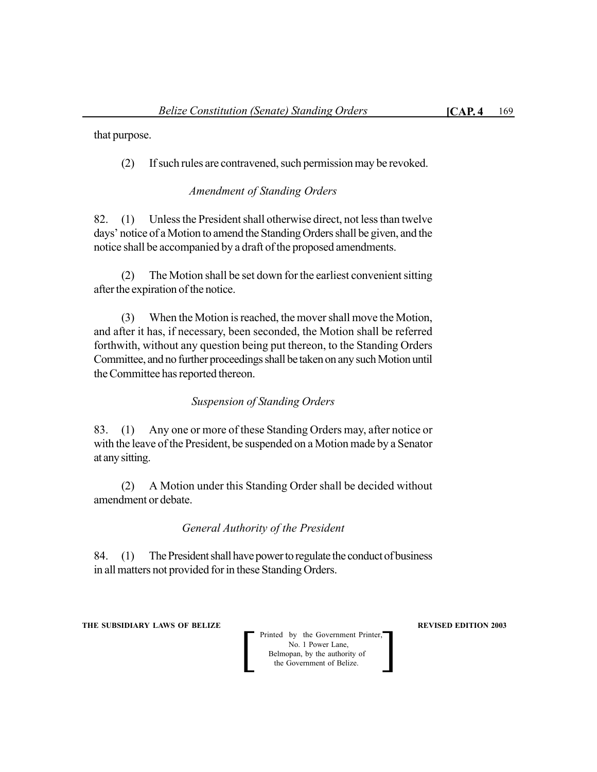that purpose.

(2) If such rules are contravened, such permission may be revoked.

## *Amendment of Standing Orders*

82. (1) Unless the President shall otherwise direct, not less than twelve days' notice of a Motion to amend the Standing Orders shall be given, and the notice shall be accompanied by a draft of the proposed amendments.

(2) The Motion shall be set down for the earliest convenient sitting after the expiration of the notice.

(3) When the Motion is reached, the mover shall move the Motion, and after it has, if necessary, been seconded, the Motion shall be referred forthwith, without any question being put thereon, to the Standing Orders Committee, and no further proceedings shall be taken on any such Motion until the Committee has reported thereon.

## *Suspension of Standing Orders*

83. (1) Any one or more of these Standing Orders may, after notice or with the leave of the President, be suspended on a Motion made by a Senator at any sitting.

(2) A Motion under this Standing Order shall be decided without amendment or debate.

## *General Authority of the President*

84. (1) The President shall have power to regulate the conduct of business in all matters not provided for in these Standing Orders.

**THE SUBSIDIARY LAWS OF BELIZE AND SUBSIDIARY LAWS AREVISED EDITION 2003**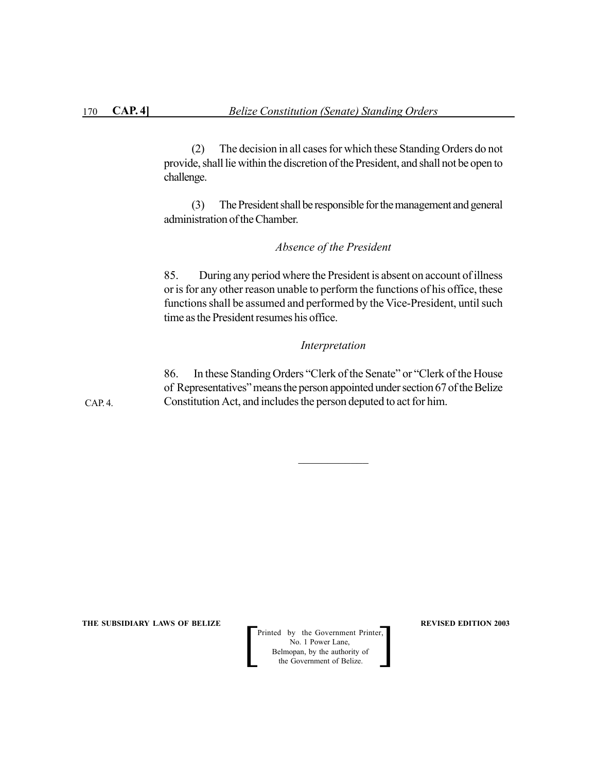(2) The decision in all cases for which these Standing Orders do not provide, shall lie within the discretion of the President, and shall not be open to challenge.

(3) The President shall be responsible for the management and general administration of the Chamber.

#### *Absence of the President*

85. During any period where the President is absent on account of illness or is for any other reason unable to perform the functions of his office, these functions shall be assumed and performed by the Vice-President, until such time as the President resumes his office.

#### *Interpretation*

86. In these Standing Orders "Clerk of the Senate" or "Clerk of the House of Representatives" means the person appointed under section 67 of the Belize Constitution Act, and includes the person deputed to act for him.

 $\mathcal{L}_\text{max}$ 

CAP. 4.

**THE SUBSIDIARY LAWS OF BELIZE**  $\qquad$  $\qquad$  **REVISED EDITION 2003** 

Printed by the Government Printer, No. 1 Power Lane, Belmopan, by the authority of Printed by the Government Printer,<br>No. 1 Power Lane,<br>Belmopan, by the authority of<br>the Government of Belize.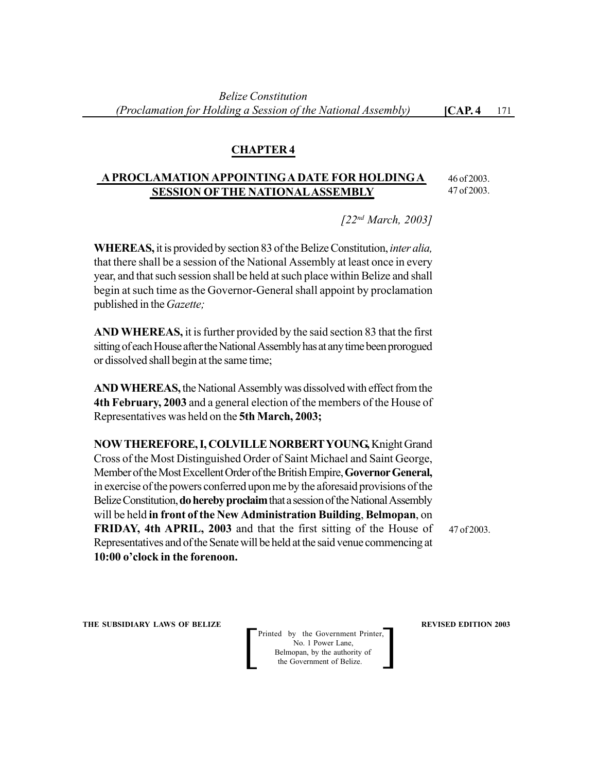## **CHAPTER 4**

## **A PROCLAMATION APPOINTING A DATE FOR HOLDING A SESSION OF THE NATIONAL ASSEMBLY**

46 of 2003. 47 of 2003.

*[22nd March, 2003]*

**WHEREAS,** it is provided by section 83 of the Belize Constitution, *inter alia,* that there shall be a session of the National Assembly at least once in every year, and that such session shall be held at such place within Belize and shall begin at such time as the Governor-General shall appoint by proclamation published in the *Gazette;*

**AND WHEREAS,** it is further provided by the said section 83 that the first sitting of each House after the National Assembly has at any time been prorogued or dissolved shall begin at the same time;

**AND WHEREAS,** the National Assembly was dissolved with effect from the **4th February, 2003** and a general election of the members of the House of Representatives was held on the **5th March, 2003;**

**NOW THEREFORE, I, COLVILLE NORBERT YOUNG,** Knight Grand Cross of the Most Distinguished Order of Saint Michael and Saint George, Member of the Most Excellent Order of the British Empire, **Governor General,** in exercise of the powers conferred upon me by the aforesaid provisions of the Belize Constitution, **do hereby proclaim** that a session of the National Assembly will be held **in front of the New Administration Building**, **Belmopan**, on **FRIDAY, 4th APRIL, 2003** and that the first sitting of the House of Representatives and of the Senate will be held at the said venue commencing at **10:00 o'clock in the forenoon.**

47 of 2003.

**THE SUBSIDIARY LAWS OF BELIZE REVISED EDITION 2003** 

Printed by the Government Printer, No. 1 Power Lane, Belmopan, by the authority of Printed by the Government Printer,<br>No. 1 Power Lane,<br>Belmopan, by the authority of<br>the Government of Belize.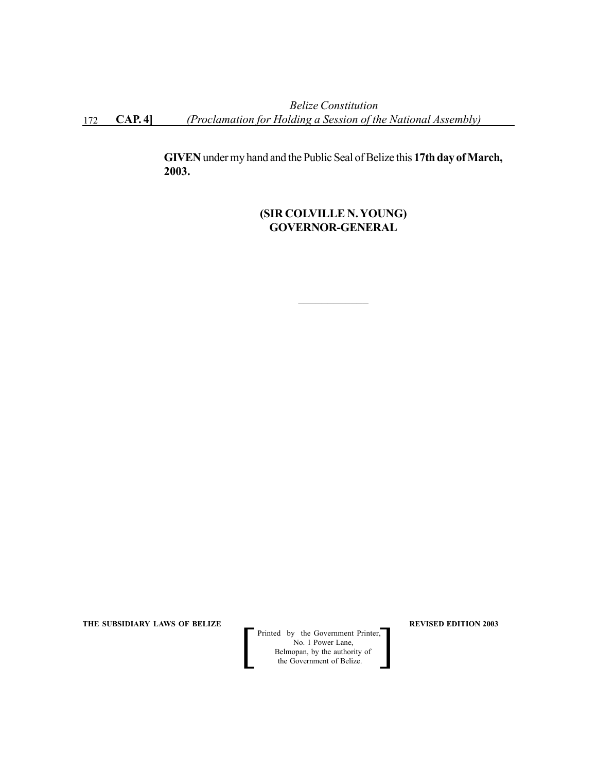*Belize Constitution* 172 **CAP. 4]** *(Proclamation for Holding a Session of the National Assembly)*

> **GIVEN** under my hand and the Public Seal of Belize this **17th day of March, 2003.**

# **(SIR COLVILLE N. YOUNG) GOVERNOR-GENERAL**

 $\mathcal{L}_\text{max}$ 

**THE SUBSIDIARY LAWS OF BELIZE REVISED EDITION 2003** 

 Printed by the Government Printer, No. 1 Power Lane, Belmopan, by the authority of<br>the Government of Belize. Printed by the Government Printer,<br>
No. 1 Power Lane,<br>
Belmopan, by the authority of<br>
the Government of Belize.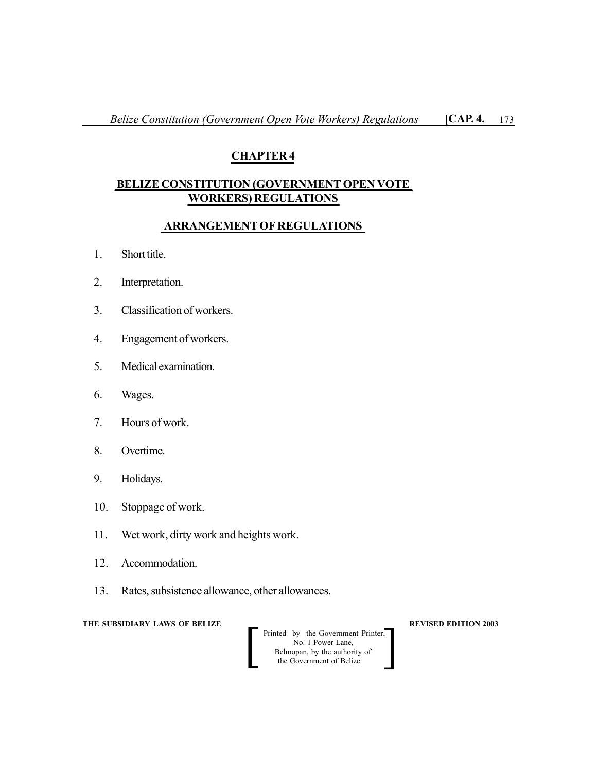# **CHAPTER 4**

# **BELIZE CONSTITUTION (GOVERNMENT OPEN VOTE WORKERS) REGULATIONS**

## **ARRANGEMENT OF REGULATIONS**

- 1. Short title.
- 2. Interpretation.
- 3. Classification of workers.
- 4. Engagement of workers.
- 5. Medical examination.
- 6. Wages.
- 7. Hours of work.
- 8. Overtime.
- 9. Holidays.
- 10. Stoppage of work.
- 11. Wet work, dirty work and heights work.
- 12. Accommodation.
- 13. Rates, subsistence allowance, other allowances.

**THE SUBSIDIARY LAWS OF BELIZE REVISED EDITION 2003** 

 Printed by the Government Printer, No. 1 Power Lane, Belmopan, by the authority of Printed by the Government Printer,<br>No. 1 Power Lane,<br>Belmopan, by the authority of<br>the Government of Belize.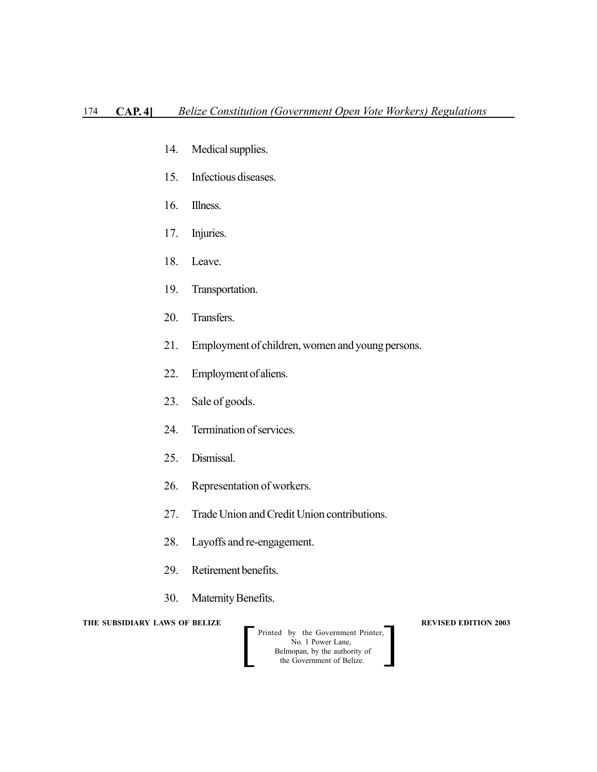- 14. Medical supplies.
- 15. Infectious diseases.
- 16. Illness.
- 17. Injuries.
- 18. Leave.
- 19. Transportation.
- 20. Transfers.
- 21. Employment of children, women and young persons.
- 22. Employment of aliens.
- 23. Sale of goods.
- 24. Termination of services.
- 25. Dismissal.
- 26. Representation of workers.
- 27. Trade Union and Credit Union contributions.
- 28. Layoffs and re-engagement.
- 29. Retirement benefits.
- 30. Maternity Benefits.

**THE SUBSIDIARY LAWS OF BELIZE AND REVISED EDITION 2003** 

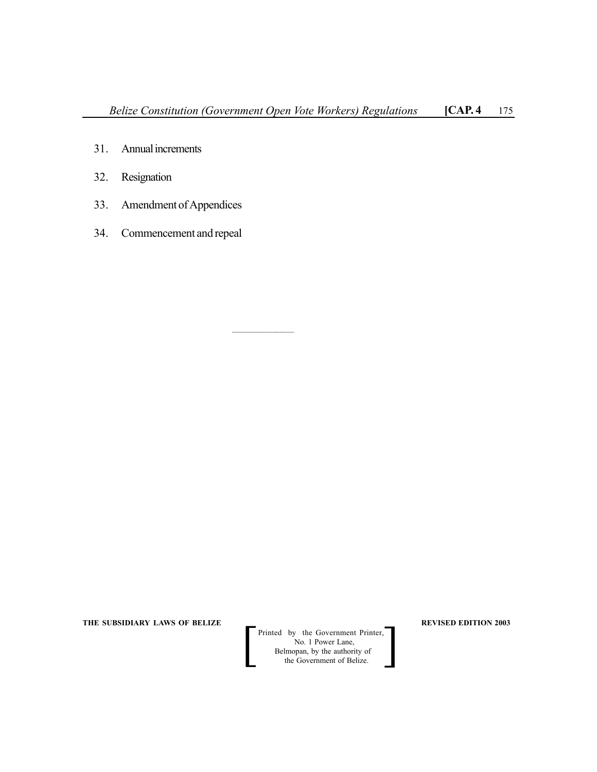$\mathcal{L}_\text{max}$ 

- 31. Annual increments
- 32. Resignation
- 33. Amendment of Appendices
- 34. Commencement and repeal

**THE SUBSIDIARY LAWS OF BELIZE**  $\qquad$  $\qquad$  **REVISED EDITION 2003** 

Printed by the Government Printer, No. 1 Power Lane, Belmopan, by the authority of Printed by the Government Printer,<br>No. 1 Power Lane,<br>Belmopan, by the authority of<br>the Government of Belize.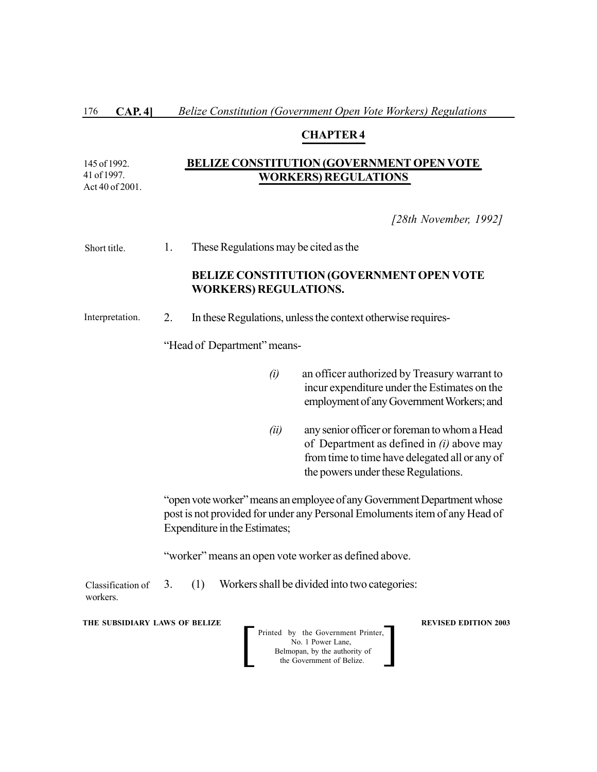#### **CHAPTER 4**

#### **BELIZE CONSTITUTION (GOVERNMENT OPEN VOTE WORKERS) REGULATIONS** 145 of 1992.

41 of 1997. Act 40 of 2001.

## *[28th November, 1992]*

1. These Regulations may be cited as the Short title.

## **BELIZE CONSTITUTION (GOVERNMENT OPEN VOTE WORKERS) REGULATIONS.**

2. In these Regulations, unless the context otherwise requires- Interpretation.

"Head of Department" means-

- *(i)* an officer authorized by Treasury warrant to incur expenditure under the Estimates on the employment of any Government Workers; and
- *(ii)* any senior officer or foreman to whom a Head of Department as defined in *(i)* above may from time to time have delegated all or any of the powers under these Regulations.

"open vote worker" means an employee of any Government Department whose post is not provided for under any Personal Emoluments item of any Head of Expenditure in the Estimates;

"worker" means an open vote worker as defined above.

3. (1) Workers shall be divided into two categories: Classification of workers.

**THE SUBSIDIARY LAWS OF BELIZE A LOCAL CONSUMING A LOCAL CONSUMING A LOCAL CONSUMING A LOCAL CONSUMING A LOCAL CONSUMING A LOCAL CONSUMING A LOCAL CONSUMING A LOCAL CONSUMING A LOCAL CONSUMING A LOCAL CONSUMING A LOCAL CON** 

Printed by the Government Printer, No. 1 Power Lane, Belmopan, by the authority of<br>the Government of Belize. Printed by the Government Printer,<br>No. 1 Power Lane,<br>Belmopan, by the authority of<br>the Government of Belize.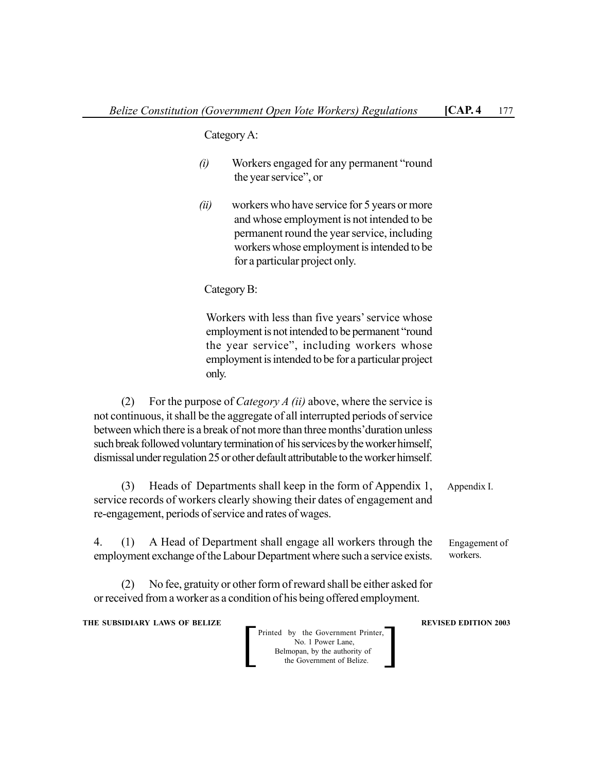Category A:

- *(i)* Workers engaged for any permanent "round the year service", or
- *(ii)* workers who have service for 5 years or more and whose employment is not intended to be permanent round the year service, including workers whose employment is intended to be for a particular project only.

Category B:

Workers with less than five years' service whose employment is not intended to be permanent "round the year service", including workers whose employment is intended to be for a particular project only.

(2) For the purpose of *Category A (ii)* above, where the service is not continuous, it shall be the aggregate of all interrupted periods of service between which there is a break of not more than three months'duration unless such break followed voluntary termination of his services by the worker himself, dismissal under regulation 25 or other default attributable to the worker himself.

(3) Heads of Departments shall keep in the form of Appendix 1, service records of workers clearly showing their dates of engagement and re-engagement, periods of service and rates of wages. Appendix I.

4. (1) A Head of Department shall engage all workers through the employment exchange of the Labour Department where such a service exists. Engagement of workers.

(2) No fee, gratuity or other form of reward shall be either asked for or received from a worker as a condition of his being offered employment.

**THE SUBSIDIARY LAWS OF BELIZE REVISED EDITION 2003**

Printed by the Government Printer, No. 1 Power Lane, Belmopan, by the authority of Printed by the Government Printer,<br>No. 1 Power Lane,<br>Belmopan, by the authority of<br>the Government of Belize.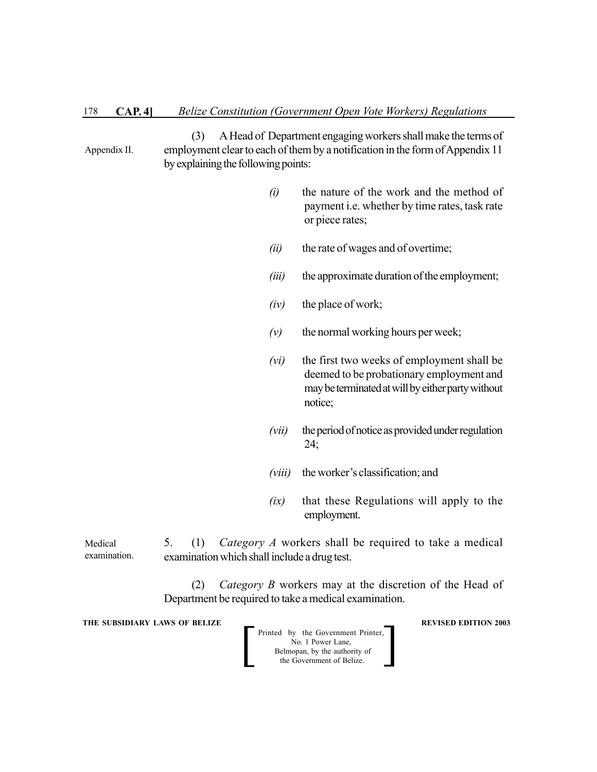(3) A Head of Department engaging workers shall make the terms of employment clear to each of them by a notification in the form of Appendix 11 by explaining the following points: Appendix II.

- *(i)* the nature of the work and the method of payment i.e. whether by time rates, task rate or piece rates;
- *(ii)* the rate of wages and of overtime;
- *(iii)* the approximate duration of the employment;
- *(iv)* the place of work;
- *(v)* the normal working hours per week;
- *(vi)* the first two weeks of employment shall be deemed to be probationary employment and may be terminated at will by either party without notice;
- *(vii)* the period of notice as provided under regulation 24;
- *(viii)* the worker's classification; and
- *(ix)* that these Regulations will apply to the employment.

5. (1) *Category A* workers shall be required to take a medical examination which shall include a drug test. Medical examination.

> (2) *Category B* workers may at the discretion of the Head of Department be required to take a medical examination.

**THE SUBSIDIARY LAWS OF BELIZE A LOCAL CONSUMING A LOCAL CONSUMING A LOCAL REVISED EDITION 2003** 

Printed by the Government Printer, No. 1 Power Lane, Belmopan, by the authority of<br>the Government of Belize. Printed by the Government Printer,<br>No. 1 Power Lane,<br>Belmopan, by the authority of<br>the Government of Belize.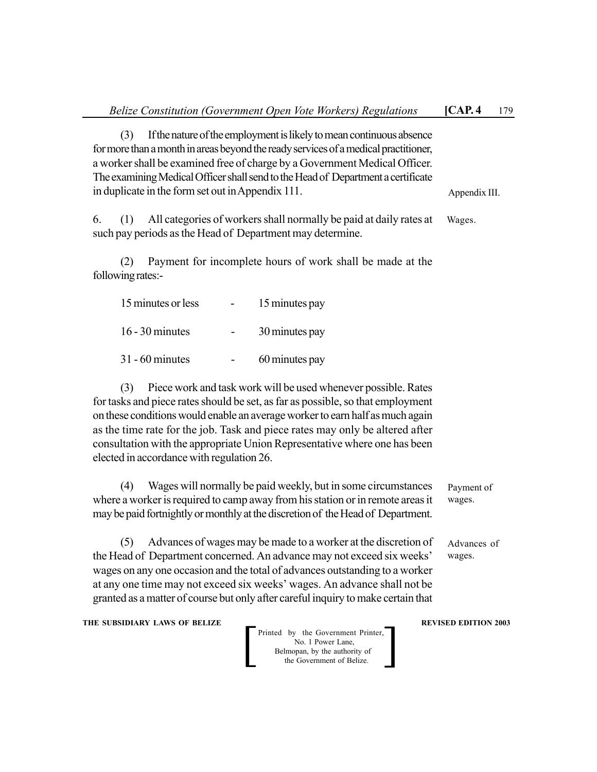| Belize Constitution (Government Open Vote Workers) Regulations                                                                                                                                                                                                                                                                                                                                                                                      | [CAP.4]                     | 179 |
|-----------------------------------------------------------------------------------------------------------------------------------------------------------------------------------------------------------------------------------------------------------------------------------------------------------------------------------------------------------------------------------------------------------------------------------------------------|-----------------------------|-----|
| If the nature of the employment is likely to mean continuous absence<br>(3)<br>for more than a month in areas beyond the ready services of a medical practitioner,<br>a worker shall be examined free of charge by a Government Medical Officer.<br>The examining Medical Officer shall send to the Head of Department a certificate<br>in duplicate in the form set out in Appendix 111.                                                           | Appendix III.               |     |
| All categories of workers shall normally be paid at daily rates at<br>(1)<br>6.<br>such pay periods as the Head of Department may determine.                                                                                                                                                                                                                                                                                                        | Wages.                      |     |
| Payment for incomplete hours of work shall be made at the<br>(2)<br>following rates:-                                                                                                                                                                                                                                                                                                                                                               |                             |     |
| 15 minutes or less<br>15 minutes pay                                                                                                                                                                                                                                                                                                                                                                                                                |                             |     |
| $16 - 30$ minutes<br>30 minutes pay                                                                                                                                                                                                                                                                                                                                                                                                                 |                             |     |
| $31 - 60$ minutes<br>60 minutes pay                                                                                                                                                                                                                                                                                                                                                                                                                 |                             |     |
| Piece work and task work will be used whenever possible. Rates<br>(3)<br>for tasks and piece rates should be set, as far as possible, so that employment<br>on these conditions would enable an average worker to earn half as much again<br>as the time rate for the job. Task and piece rates may only be altered after<br>consultation with the appropriate Union Representative where one has been<br>elected in accordance with regulation 26. |                             |     |
| Wages will normally be paid weekly, but in some circumstances<br>(4)<br>where a worker is required to camp away from his station or in remote areas it<br>may be paid fortnightly or monthly at the discretion of the Head of Department.                                                                                                                                                                                                           | Payment of<br>wages.        |     |
| (5) Advances of wages may be made to a worker at the discretion of<br>the Head of Department concerned. An advance may not exceed six weeks'<br>wages on any one occasion and the total of advances outstanding to a worker<br>at any one time may not exceed six weeks' wages. An advance shall not be<br>granted as a matter of course but only after careful inquiry to make certain that                                                        | Advances of<br>wages.       |     |
| THE SUBSIDIARY LAWS OF BELIZE<br>Printed by the Government Printer,<br>No. 1 Power Lane,<br>Belmopan, by the authority of<br>the Government of Belize.                                                                                                                                                                                                                                                                                              | <b>REVISED EDITION 2003</b> |     |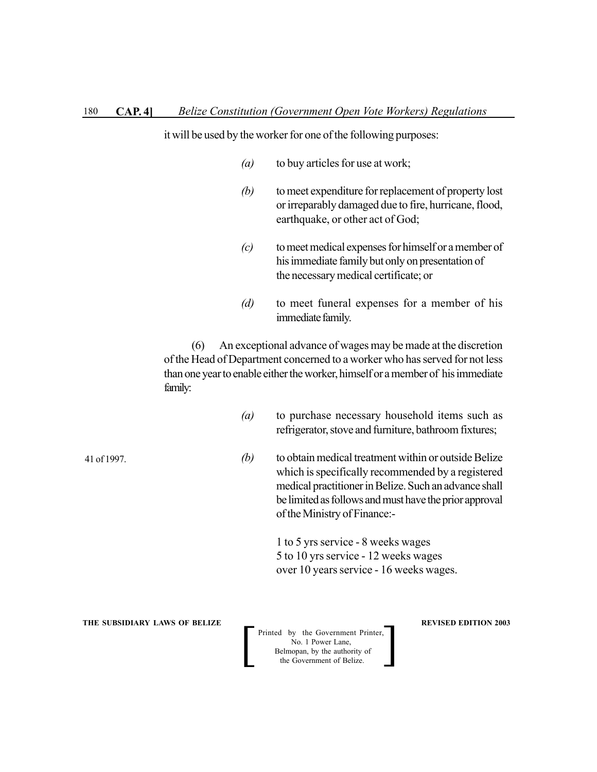it will be used by the worker for one of the following purposes:

- *(a)* to buy articles for use at work;
- *(b)* to meet expenditure for replacement of property lost or irreparably damaged due to fire, hurricane, flood, earthquake, or other act of God;
- *(c)* to meet medical expenses for himself or a member of his immediate family but only on presentation of the necessary medical certificate; or
- *(d)* to meet funeral expenses for a member of his immediate family.

(6) An exceptional advance of wages may be made at the discretion of the Head of Department concerned to a worker who has served for not less than one year to enable either the worker, himself or a member of his immediate family:

- *(a)* to purchase necessary household items such as refrigerator, stove and furniture, bathroom fixtures;
- *(b)* to obtain medical treatment within or outside Belize which is specifically recommended by a registered medical practitioner in Belize. Such an advance shall be limited as follows and must have the prior approval of the Ministry of Finance:-

1 to 5 yrs service - 8 weeks wages 5 to 10 yrs service - 12 weeks wages over 10 years service - 16 weeks wages.

**THE SUBSIDIARY LAWS OF BELIZE A LOCAL CONSUMING A LOCAL CONSUMING A LOCAL CONSUMING A LOCAL CONSUMING A LOCAL CONSUMING A LOCAL CONSUMING A LOCAL CONSUMING A LOCAL CONSUMING A LOCAL CONSUMING A LOCAL CONSUMING A LOCAL CON** 

Printed by the Government Printer, No. 1 Power Lane, Belmopan, by the authority of<br>the Government of Belize. Printed by the Government Printer,<br>No. 1 Power Lane,<br>Belmopan, by the authority of<br>the Government of Belize.

41 of 1997.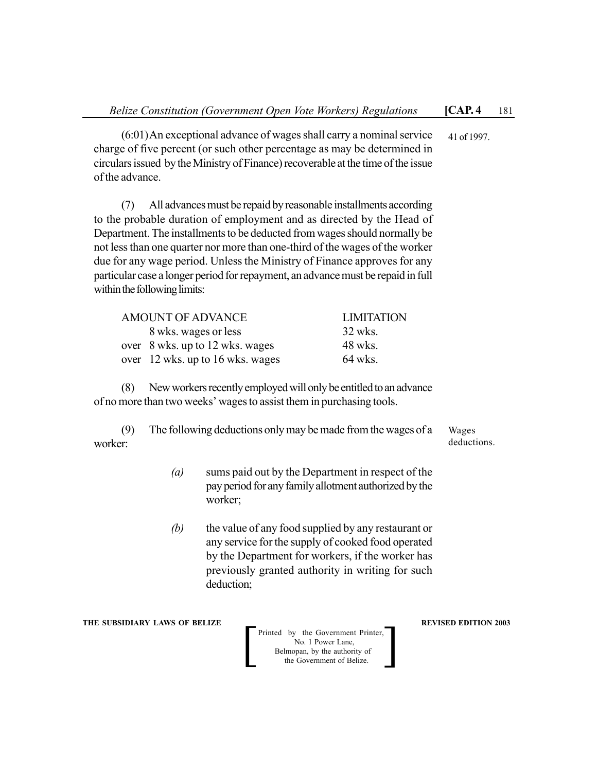(6:01)An exceptional advance of wages shall carry a nominal service charge of five percent (or such other percentage as may be determined in circulars issued by the Ministry of Finance) recoverable at the time of the issue of the advance. 41 of 1997.

(7) All advances must be repaid by reasonable installments according to the probable duration of employment and as directed by the Head of Department. The installments to be deducted from wages should normally be not less than one quarter nor more than one-third of the wages of the worker due for any wage period. Unless the Ministry of Finance approves for any particular case a longer period for repayment, an advance must be repaid in full within the following limits:

| <b>AMOUNT OF ADVANCE</b>         | <b>LIMITATION</b> |
|----------------------------------|-------------------|
| 8 wks. wages or less             | 32 wks.           |
| over 8 wks. up to 12 wks. wages  | 48 wks.           |
| over 12 wks. up to 16 wks. wages | 64 wks.           |

(8) New workers recently employed will only be entitled to an advance of no more than two weeks' wages to assist them in purchasing tools.

(9) The following deductions only may be made from the wages of a worker: Wages deductions.

- *(a)* sums paid out by the Department in respect of the pay period for any family allotment authorized by the worker;
- *(b)* the value of any food supplied by any restaurant or any service for the supply of cooked food operated by the Department for workers, if the worker has previously granted authority in writing for such deduction;

**THE SUBSIDIARY LAWS OF BELIZE REVISED EDITION 2003**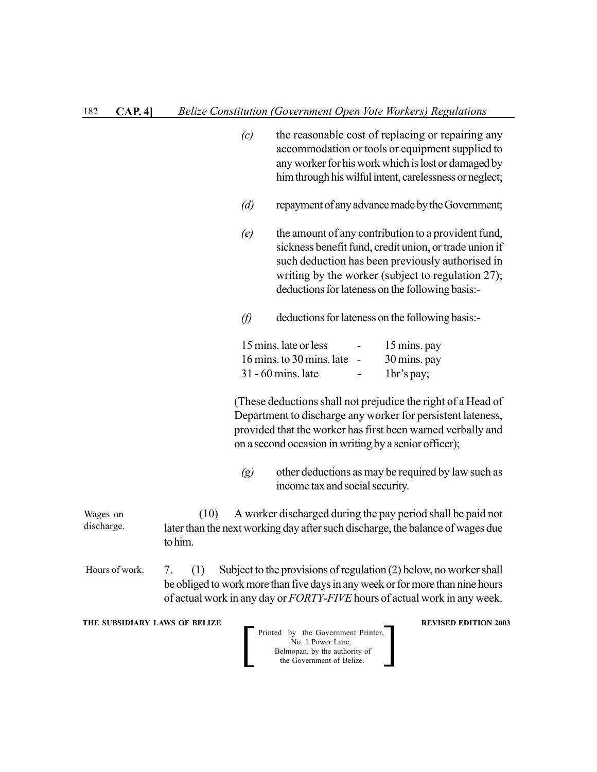|                               | (c)               | the reasonable cost of replacing or repairing any<br>accommodation or tools or equipment supplied to<br>any worker for his work which is lost or damaged by<br>him through his wilful intent, carelessness or neglect;                                                     |
|-------------------------------|-------------------|----------------------------------------------------------------------------------------------------------------------------------------------------------------------------------------------------------------------------------------------------------------------------|
|                               | (d)               | repayment of any advance made by the Government;                                                                                                                                                                                                                           |
|                               | (e)               | the amount of any contribution to a provident fund,<br>sickness benefit fund, credit union, or trade union if<br>such deduction has been previously authorised in<br>writing by the worker (subject to regulation 27);<br>deductions for lateness on the following basis:- |
|                               | $\varnothing$     | deductions for lateness on the following basis:-                                                                                                                                                                                                                           |
|                               |                   | 15 mins. late or less<br>15 mins. pay<br>16 mins. to 30 mins. late -<br>30 mins. pay<br>31 - 60 mins. late<br>1hr's pay;                                                                                                                                                   |
|                               |                   | (These deductions shall not prejudice the right of a Head of<br>Department to discharge any worker for persistent lateness,<br>provided that the worker has first been warned verbally and<br>on a second occasion in writing by a senior officer);                        |
|                               | $\left( g\right)$ | other deductions as may be required by law such as<br>income tax and social security.                                                                                                                                                                                      |
| Wages on<br>discharge.        | (10)<br>to him.   | A worker discharged during the pay period shall be paid not<br>later than the next working day after such discharge, the balance of wages due                                                                                                                              |
| Hours of work.                | (1)<br>7.         | Subject to the provisions of regulation (2) below, no worker shall<br>be obliged to work more than five days in any week or for more than nine hours<br>of actual work in any day or FORTY-FIVE hours of actual work in any week.                                          |
| THE SUBSIDIARY LAWS OF BELIZE |                   | <b>REVISED EDITION 2003</b><br>Printed by the Government Printer,<br>No. 1 Power Lane                                                                                                                                                                                      |

No. 1 Power Lane, Belmopan, by the authority of Printed by the Government Printer,<br>No. 1 Power Lane,<br>Belmopan, by the authority of<br>the Government of Belize.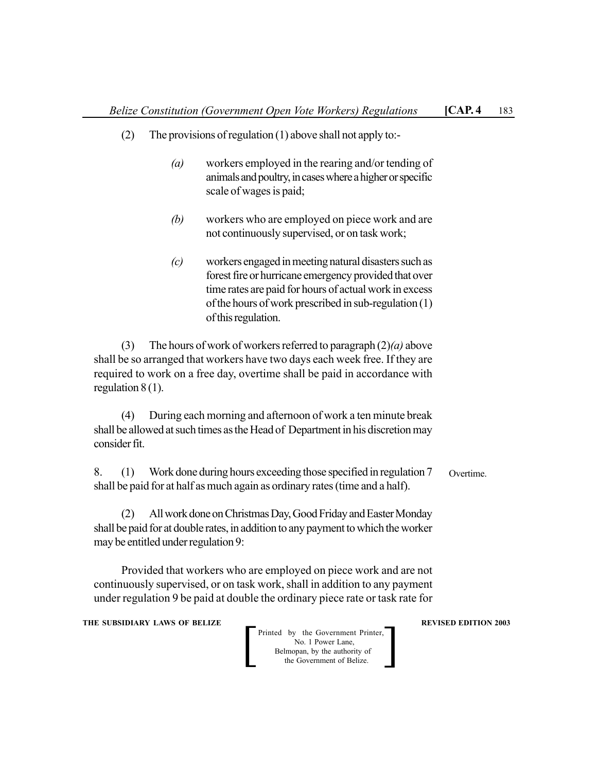- (2) The provisions of regulation (1) above shall not apply to:-
	- *(a)* workers employed in the rearing and/or tending of animals and poultry, in cases where a higher or specific scale of wages is paid;
	- *(b)* workers who are employed on piece work and are not continuously supervised, or on task work;
	- *(c)* workers engaged in meeting natural disasters such as forest fire or hurricane emergency provided that over time rates are paid for hours of actual work in excess of the hours of work prescribed in sub-regulation (1) of this regulation.

(3) The hours of work of workers referred to paragraph (2)*(a)* above shall be so arranged that workers have two days each week free. If they are required to work on a free day, overtime shall be paid in accordance with regulation 8 (1).

(4) During each morning and afternoon of work a ten minute break shall be allowed at such times as the Head of Department in his discretion may consider fit.

8. (1) Work done during hours exceeding those specified in regulation 7 shall be paid for at half as much again as ordinary rates (time and a half). Overtime.

(2) All work done on Christmas Day, Good Friday and Easter Monday shall be paid for at double rates, in addition to any payment to which the worker may be entitled under regulation 9:

Provided that workers who are employed on piece work and are not continuously supervised, or on task work, shall in addition to any payment under regulation 9 be paid at double the ordinary piece rate or task rate for

**THE SUBSIDIARY LAWS OF BELIZE A LOCAL CONSUMING A LOCAL CONSUMING REVISED EDITION 2003**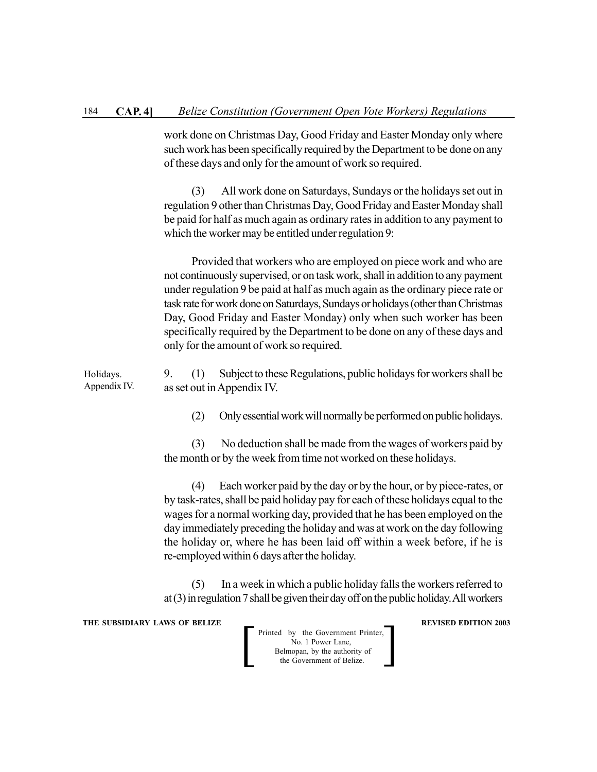work done on Christmas Day, Good Friday and Easter Monday only where such work has been specifically required by the Department to be done on any of these days and only for the amount of work so required.

(3) All work done on Saturdays, Sundays or the holidays set out in regulation 9 other than Christmas Day, Good Friday and Easter Monday shall be paid for half as much again as ordinary rates in addition to any payment to which the worker may be entitled under regulation 9:

Provided that workers who are employed on piece work and who are not continuously supervised, or on task work, shall in addition to any payment under regulation 9 be paid at half as much again as the ordinary piece rate or task rate for work done on Saturdays, Sundays or holidays (other than Christmas Day, Good Friday and Easter Monday) only when such worker has been specifically required by the Department to be done on any of these days and only for the amount of work so required.

9. (1) Subject to these Regulations, public holidays for workers shall be as set out in Appendix IV. Holidays. Appendix IV.

(2) Only essential work will normally be performed on public holidays.

(3) No deduction shall be made from the wages of workers paid by the month or by the week from time not worked on these holidays.

(4) Each worker paid by the day or by the hour, or by piece-rates, or by task-rates, shall be paid holiday pay for each of these holidays equal to the wages for a normal working day, provided that he has been employed on the day immediately preceding the holiday and was at work on the day following the holiday or, where he has been laid off within a week before, if he is re-employed within 6 days after the holiday.

(5) In a week in which a public holiday falls the workers referred to at (3) in regulation 7 shall be given their day off on the public holiday. All workers

**THE SUBSIDIARY LAWS OF BELIZE A LOCAL CONSUMING A LOCAL CONSUMING A LOCAL CONSUMING A LOCAL CONSUMING A LOCAL CONSUMING A LOCAL CONSUMING A LOCAL CONSUMING A LOCAL CONSUMING A LOCAL CONSUMING A LOCAL CONSUMING A LOCAL CON**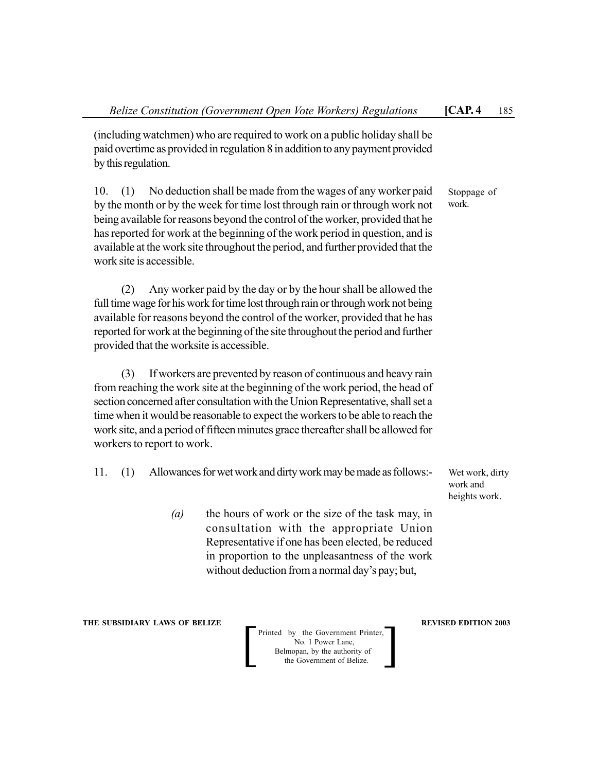(including watchmen) who are required to work on a public holiday shall be paid overtime as provided in regulation 8 in addition to any payment provided by this regulation.

10. (1) No deduction shall be made from the wages of any worker paid by the month or by the week for time lost through rain or through work not being available for reasons beyond the control of the worker, provided that he has reported for work at the beginning of the work period in question, and is available at the work site throughout the period, and further provided that the work site is accessible.

(2) Any worker paid by the day or by the hour shall be allowed the full time wage for his work for time lost through rain or through work not being available for reasons beyond the control of the worker, provided that he has reported for work at the beginning of the site throughout the period and further provided that the worksite is accessible.

(3) If workers are prevented by reason of continuous and heavy rain from reaching the work site at the beginning of the work period, the head of section concerned after consultation with the Union Representative, shall set a time when it would be reasonable to expect the workers to be able to reach the work site, and a period of fifteen minutes grace thereafter shall be allowed for workers to report to work.

- 11. (1) Allowances for wet work and dirty work may be made as follows:-
	- *(a)* the hours of work or the size of the task may, in consultation with the appropriate Union Representative if one has been elected, be reduced in proportion to the unpleasantness of the work without deduction from a normal day's pay; but,

**THE SUBSIDIARY LAWS OF BELIZE REVISED EDITION 2003**

Printed by the Government Printer, No. 1 Power Lane, Belmopan, by the authority of<br>the Government of Belize. Printed by the Government Printer,<br>No. 1 Power Lane,<br>Belmopan, by the authority of<br>the Government of Belize.

Wet work, dirty work and heights work.

Stoppage of work.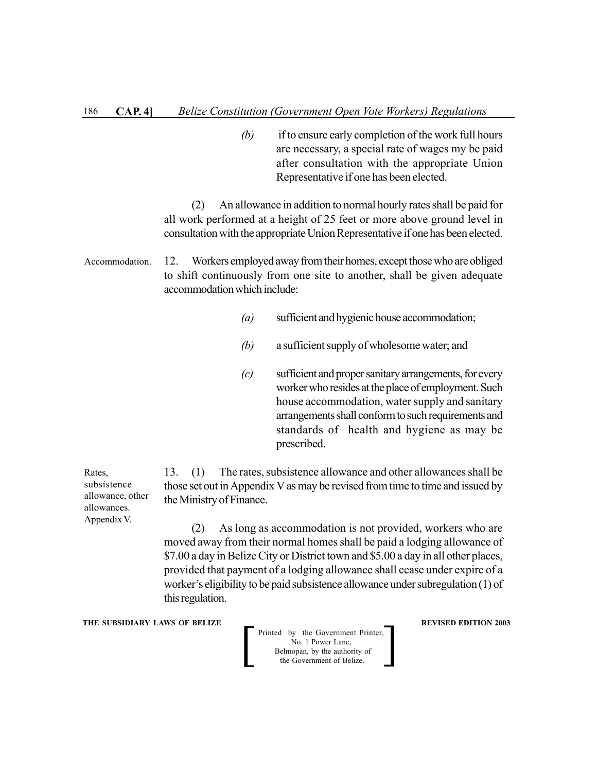*(b)* if to ensure early completion of the work full hours are necessary, a special rate of wages my be paid after consultation with the appropriate Union Representative if one has been elected.

(2) An allowance in addition to normal hourly rates shall be paid for all work performed at a height of 25 feet or more above ground level in consultation with the appropriate Union Representative if one has been elected.

12. Workers employed away from their homes, except those who are obliged to shift continuously from one site to another, shall be given adequate accommodation which include: Accommodation.

- *(a)* sufficient and hygienic house accommodation;
- *(b)* a sufficient supply of wholesome water; and
- *(c)* sufficient and proper sanitary arrangements, for every worker who resides at the place of employment. Such house accommodation, water supply and sanitary arrangements shall conform to such requirements and standards of health and hygiene as may be prescribed.

13. (1) The rates, subsistence allowance and other allowances shall be those set out in Appendix V as may be revised from time to time and issued by the Ministry of Finance.

(2) As long as accommodation is not provided, workers who are moved away from their normal homes shall be paid a lodging allowance of \$7.00 a day in Belize City or District town and \$5.00 a day in all other places, provided that payment of a lodging allowance shall cease under expire of a worker's eligibility to be paid subsistence allowance under subregulation (1) of this regulation.

**THE SUBSIDIARY LAWS OF BELIZE A LOCAL CONSUMING A LOCAL CONSUMING A LOCAL CONSUMING A LOCAL CONSUMING A LOCAL CONSUMING A LOCAL CONSUMING A LOCAL CONSUMING A LOCAL CONSUMING A LOCAL CONSUMING A LOCAL CONSUMING A LOCAL CON** 

Printed by the Government Printer, No. 1 Power Lane, Belmopan, by the authority of Printed by the Government Printer,<br>No. 1 Power Lane,<br>Belmopan, by the authority of<br>the Government of Belize.

Rates, subsistence allowance, other allowances. Appendix V.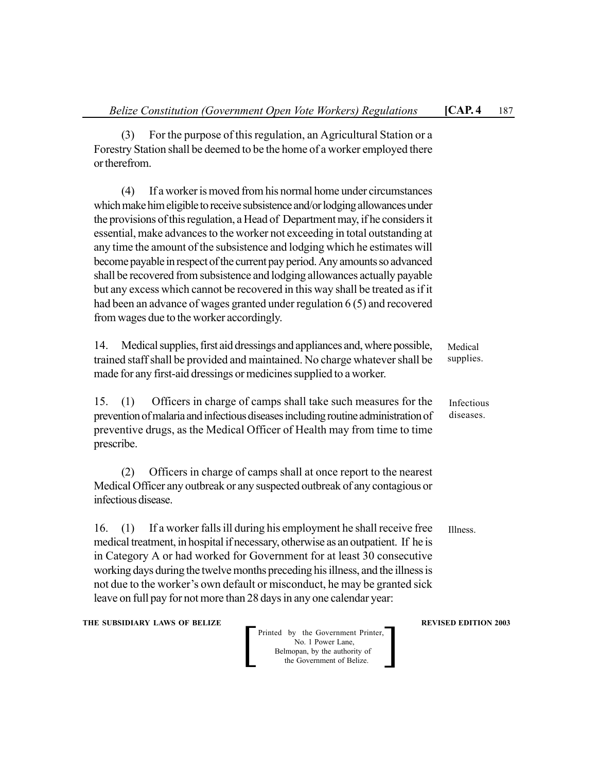(3) For the purpose of this regulation, an Agricultural Station or a Forestry Station shall be deemed to be the home of a worker employed there or therefrom.

(4) If a worker is moved from his normal home under circumstances which make him eligible to receive subsistence and/or lodging allowances under the provisions of this regulation, a Head of Department may, if he considers it essential, make advances to the worker not exceeding in total outstanding at any time the amount of the subsistence and lodging which he estimates will become payable in respect of the current pay period. Any amounts so advanced shall be recovered from subsistence and lodging allowances actually payable but any excess which cannot be recovered in this way shall be treated as if it had been an advance of wages granted under regulation 6 (5) and recovered from wages due to the worker accordingly.

14. Medical supplies, first aid dressings and appliances and, where possible, trained staff shall be provided and maintained. No charge whatever shall be made for any first-aid dressings or medicines supplied to a worker. Medical supplies.

15. (1) Officers in charge of camps shall take such measures for the prevention of malaria and infectious diseases including routine administration of preventive drugs, as the Medical Officer of Health may from time to time prescribe. diseases.

(2) Officers in charge of camps shall at once report to the nearest Medical Officer any outbreak or any suspected outbreak of any contagious or infectious disease.

16. (1) If a worker falls ill during his employment he shall receive free medical treatment, in hospital if necessary, otherwise as an outpatient. If he is in Category A or had worked for Government for at least 30 consecutive working days during the twelve months preceding his illness, and the illness is not due to the worker's own default or misconduct, he may be granted sick leave on full pay for not more than 28 days in any one calendar year:

**THE SUBSIDIARY LAWS OF BELIZE A LOCAL CONSUMING A LOCAL CONSUMING REVISED EDITION 2003** 

Printed by the Government Printer, No. 1 Power Lane, Belmopan, by the authority of<br>the Government of Belize. Printed by the Government Printer,<br>No. 1 Power Lane,<br>Belmopan, by the authority of<br>the Government of Belize.

Infectious

Illness.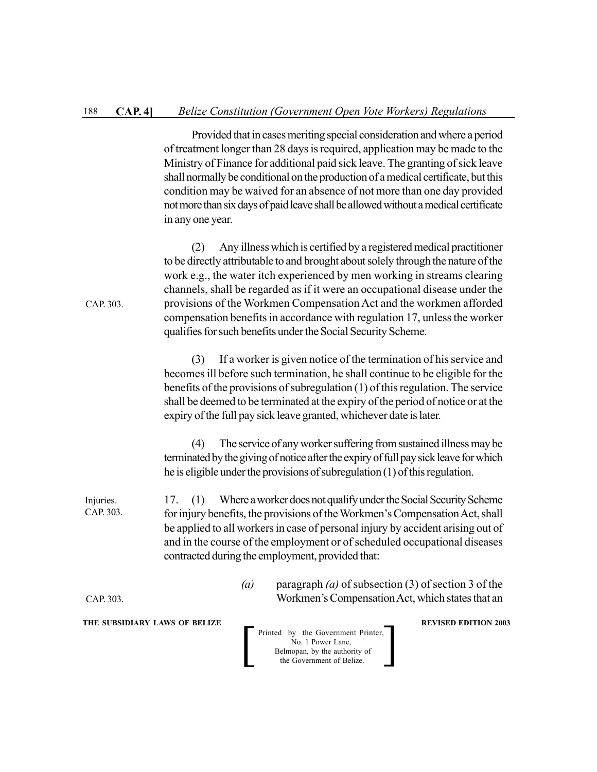Provided that in cases meriting special consideration and where a period of treatment longer than 28 days is required, application may be made to the Ministry of Finance for additional paid sick leave. The granting of sick leave shall normally be conditional on the production of a medical certificate, but this condition may be waived for an absence of not more than one day provided not more than six days of paid leave shall be allowed without a medical certificate in any one year.

(2) Any illness which is certified by a registered medical practitioner to be directly attributable to and brought about solely through the nature of the work e.g., the water itch experienced by men working in streams clearing channels, shall be regarded as if it were an occupational disease under the provisions of the Workmen Compensation Act and the workmen afforded compensation benefits in accordance with regulation 17, unless the worker qualifies for such benefits under the Social Security Scheme.

(3) If a worker is given notice of the termination of his service and becomes ill before such termination, he shall continue to be eligible for the benefits of the provisions of subregulation (1) of this regulation. The service shall be deemed to be terminated at the expiry of the period of notice or at the expiry of the full pay sick leave granted, whichever date is later.

(4) The service of any worker suffering from sustained illness may be terminated by the giving of notice after the expiry of full pay sick leave for which he is eligible under the provisions of subregulation (1) of this regulation.

17. (1) Where a worker does not qualify under the Social Security Scheme for injury benefits, the provisions of the Workmen's Compensation Act, shall be applied to all workers in case of personal injury by accident arising out of and in the course of the employment or of scheduled occupational diseases contracted during the employment, provided that: Injuries. CAP. 303.

> *(a)* paragraph *(a)* of subsection (3) of section 3 of the Workmen's Compensation Act, which states that an

**THE SUBSIDIARY LAWS OF BELIZE A LOCAL CONSUMING A LOCAL CONSUMING A LOCAL CONSUMING A LOCAL CONSUMING A LOCAL CONSUMING A LOCAL CONSUMING A LOCAL CONSUMING A LOCAL CONSUMING A LOCAL CONSUMING A LOCAL CONSUMING A LOCAL CON** 

CAP. 303.

Printed by the Government Printer, No. 1 Power Lane, Belmopan, by the authority of<br>the Government of Belize. Printed by the Government Printer,<br>No. 1 Power Lane,<br>Belmopan, by the authority of<br>the Government of Belize.

CAP. 303.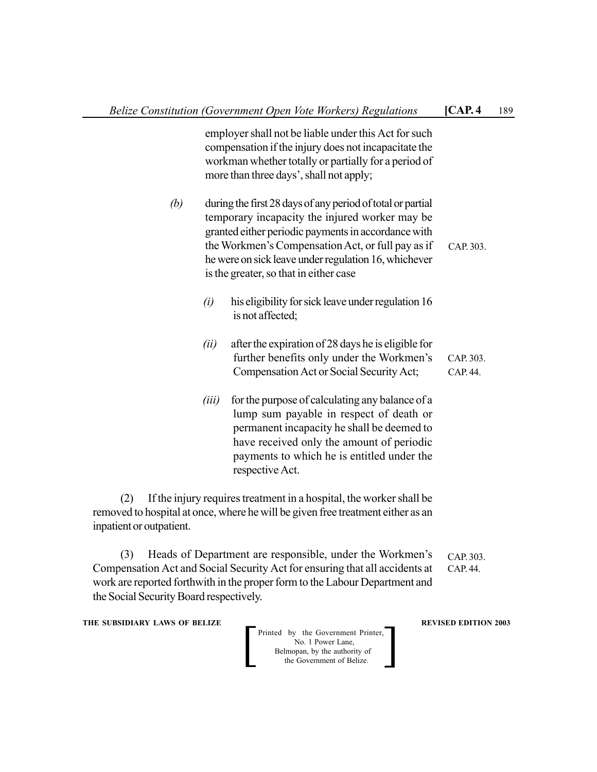|       |                                                                                                                                                                                                                                                        | [CAP.4]                                                                                                                                                                                                                                                                                                                                                                                                                                                                                                                                                                                                         | 189 |
|-------|--------------------------------------------------------------------------------------------------------------------------------------------------------------------------------------------------------------------------------------------------------|-----------------------------------------------------------------------------------------------------------------------------------------------------------------------------------------------------------------------------------------------------------------------------------------------------------------------------------------------------------------------------------------------------------------------------------------------------------------------------------------------------------------------------------------------------------------------------------------------------------------|-----|
|       |                                                                                                                                                                                                                                                        |                                                                                                                                                                                                                                                                                                                                                                                                                                                                                                                                                                                                                 |     |
|       |                                                                                                                                                                                                                                                        | CAP. 303.                                                                                                                                                                                                                                                                                                                                                                                                                                                                                                                                                                                                       |     |
| (i)   | his eligibility for sick leave under regulation 16<br>is not affected;                                                                                                                                                                                 |                                                                                                                                                                                                                                                                                                                                                                                                                                                                                                                                                                                                                 |     |
| (ii)  | after the expiration of 28 days he is eligible for<br>further benefits only under the Workmen's<br>Compensation Act or Social Security Act;                                                                                                            | CAP. 303.<br>CAP. 44.                                                                                                                                                                                                                                                                                                                                                                                                                                                                                                                                                                                           |     |
| (iii) | for the purpose of calculating any balance of a<br>lump sum payable in respect of death or<br>permanent incapacity he shall be deemed to<br>have received only the amount of periodic<br>payments to which he is entitled under the<br>respective Act. |                                                                                                                                                                                                                                                                                                                                                                                                                                                                                                                                                                                                                 |     |
|       |                                                                                                                                                                                                                                                        | Belize Constitution (Government Open Vote Workers) Regulations<br>employer shall not be liable under this Act for such<br>compensation if the injury does not incapacitate the<br>workman whether totally or partially for a period of<br>more than three days', shall not apply;<br>during the first 28 days of any period of total or partial<br>temporary incapacity the injured worker may be<br>granted either periodic payments in accordance with<br>the Workmen's Compensation Act, or full pay as if<br>he were on sick leave under regulation 16, whichever<br>is the greater, so that in either case |     |

(2) If the injury requires treatment in a hospital, the worker shall be removed to hospital at once, where he will be given free treatment either as an inpatient or outpatient.

(3) Heads of Department are responsible, under the Workmen's Compensation Act and Social Security Act for ensuring that all accidents at work are reported forthwith in the proper form to the Labour Department and the Social Security Board respectively. CAP. 303. CAP. 44.

**THE SUBSIDIARY LAWS OF BELIZE 2003**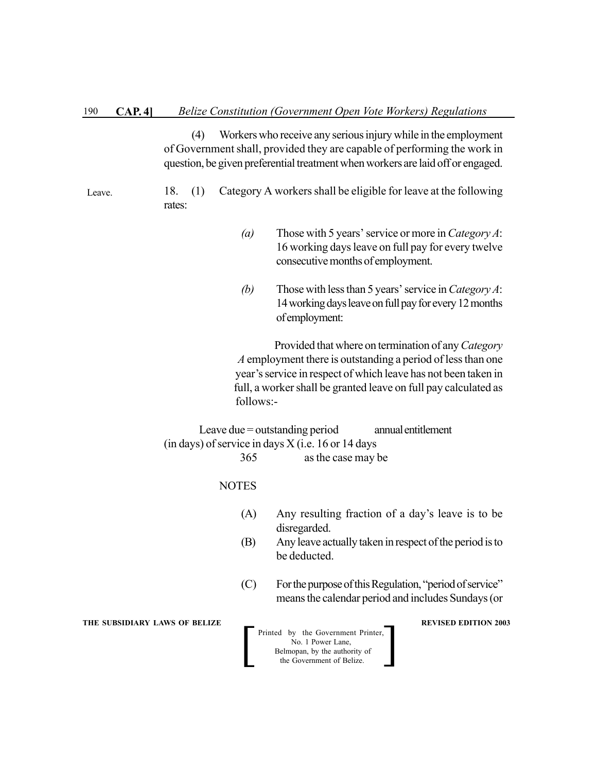(4) Workers who receive any serious injury while in the employment of Government shall, provided they are capable of performing the work in question, be given preferential treatment when workers are laid off or engaged.

Leave.

- 18. (1) Category A workers shall be eligible for leave at the following rates:
	- *(a)* Those with 5 years' service or more in *Category A*: 16 working days leave on full pay for every twelve consecutive months of employment.
	- *(b)* Those with less than 5 years' service in *Category A*: 14 working days leave on full pay for every 12 months of employment:

Provided that where on termination of any *Category A* employment there is outstanding a period of less than one year's service in respect of which leave has not been taken in full, a worker shall be granted leave on full pay calculated as follows:-

Leave due = outstanding period annual entitlement (in days) of service in days  $X$  (i.e. 16 or 14 days 365 as the case may be

> Printed by the Government Printer, No. 1 Power Lane, Belmopan, by the authority of<br>the Government of Belize. Printed by the Government Printer,<br>No. 1 Power Lane,<br>Belmopan, by the authority of<br>the Government of Belize.

**NOTES** 

- (A) Any resulting fraction of a day's leave is to be disregarded.
- (B) Any leave actually taken in respect of the period is to be deducted.
- (C) For the purpose of this Regulation, "period of service" means the calendar period and includes Sundays (or

**THE SUBSIDIARY LAWS OF BELIZE A LOCAL CONSUMING A LOCAL CONSUMING A LOCAL CONSUMING A LOCAL CONSUMING A LOCAL CONSUMING A LOCAL CONSUMING A LOCAL CONSUMING A LOCAL CONSUMING A LOCAL CONSUMING A LOCAL CONSUMING A LOCAL CON**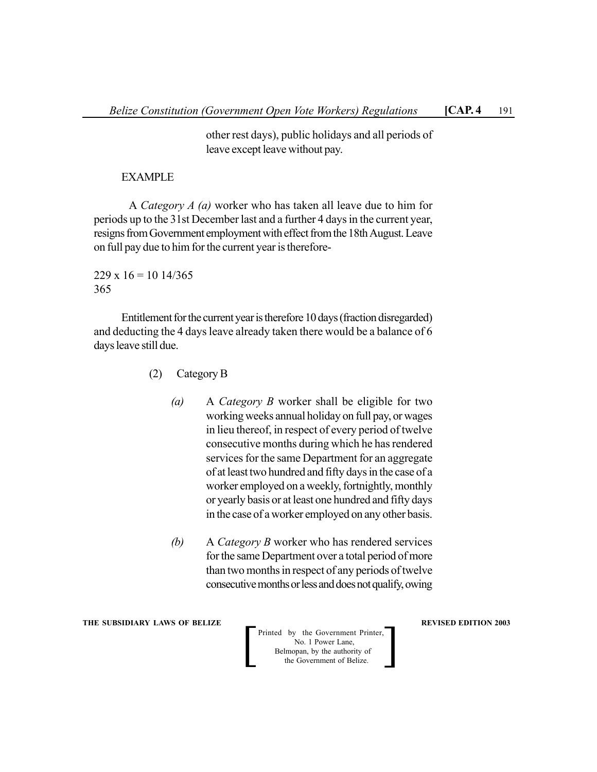other rest days), public holidays and all periods of leave except leave without pay.

### EXAMPLE

A *Category A (a)* worker who has taken all leave due to him for periods up to the 31st December last and a further 4 days in the current year, resigns from Government employment with effect from the 18th August. Leave on full pay due to him for the current year is therefore-

 $229 \times 16 = 10 \frac{14}{365}$ 365

Entitlement for the current year is therefore 10 days (fraction disregarded) and deducting the 4 days leave already taken there would be a balance of 6 days leave still due.

- (2) Category B
	- *(a)* A *Category B* worker shall be eligible for two working weeks annual holiday on full pay, or wages in lieu thereof, in respect of every period of twelve consecutive months during which he has rendered services for the same Department for an aggregate of at least two hundred and fifty days in the case of a worker employed on a weekly, fortnightly, monthly or yearly basis or at least one hundred and fifty days in the case of a worker employed on any other basis.
	- *(b)* A *Category B* worker who has rendered services for the same Department over a total period of more than two months in respect of any periods of twelve consecutive months or less and does not qualify, owing

**THE SUBSIDIARY LAWS OF BELIZE REVISED EDITION 2003**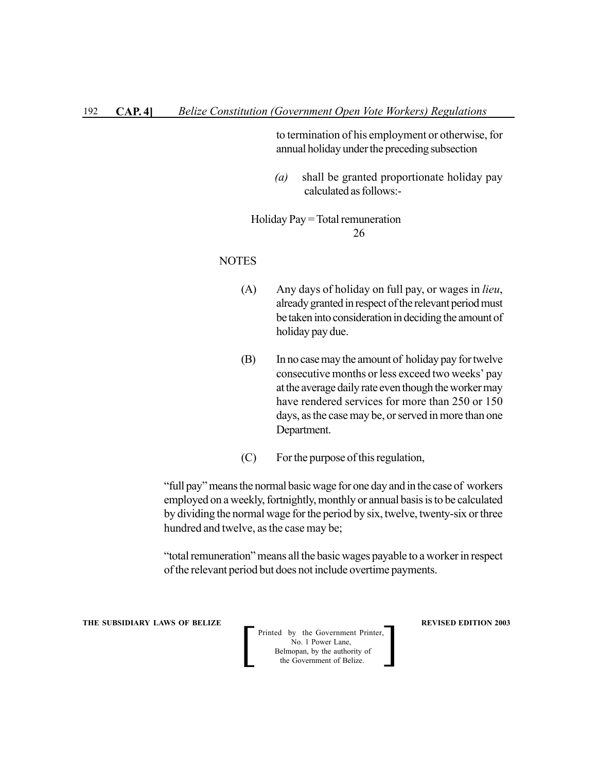to termination of his employment or otherwise, for annual holiday under the preceding subsection

 *(a)* shall be granted proportionate holiday pay calculated as follows:-

 Holiday Pay = Total remuneration 26

#### **NOTES**

- (A) Any days of holiday on full pay, or wages in *lieu*, already granted in respect of the relevant period must be taken into consideration in deciding the amount of holiday pay due.
- (B) In no case may the amount of holiday pay for twelve consecutive months or less exceed two weeks' pay at the average daily rate even though the worker may have rendered services for more than 250 or 150 days, as the case may be, or served in more than one Department.
- (C) For the purpose of this regulation,

"full pay" means the normal basic wage for one day and in the case of workers employed on a weekly, fortnightly, monthly or annual basis is to be calculated by dividing the normal wage for the period by six, twelve, twenty-six or three hundred and twelve, as the case may be;

"total remuneration" means all the basic wages payable to a worker in respect of the relevant period but does not include overtime payments.

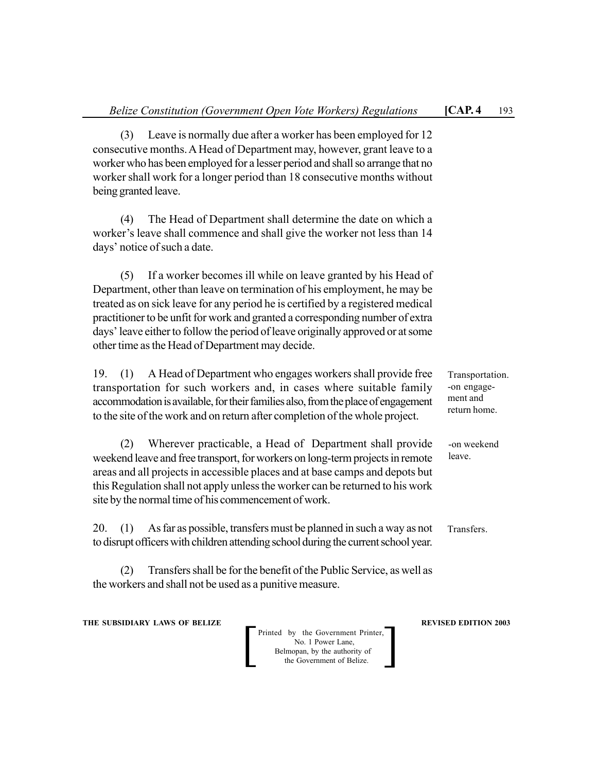(3) Leave is normally due after a worker has been employed for 12 consecutive months. A Head of Department may, however, grant leave to a worker who has been employed for a lesser period and shall so arrange that no worker shall work for a longer period than 18 consecutive months without being granted leave.

(4) The Head of Department shall determine the date on which a worker's leave shall commence and shall give the worker not less than 14 days' notice of such a date.

(5) If a worker becomes ill while on leave granted by his Head of Department, other than leave on termination of his employment, he may be treated as on sick leave for any period he is certified by a registered medical practitioner to be unfit for work and granted a corresponding number of extra days' leave either to follow the period of leave originally approved or at some other time as the Head of Department may decide.

19. (1) A Head of Department who engages workers shall provide free transportation for such workers and, in cases where suitable family accommodation is available, for their families also, from the place of engagement to the site of the work and on return after completion of the whole project.

(2) Wherever practicable, a Head of Department shall provide weekend leave and free transport, for workers on long-term projects in remote areas and all projects in accessible places and at base camps and depots but this Regulation shall not apply unless the worker can be returned to his work site by the normal time of his commencement of work.

20. (1) As far as possible, transfers must be planned in such a way as not to disrupt officers with children attending school during the current school year. Transfers.

(2) Transfers shall be for the benefit of the Public Service, as well as the workers and shall not be used as a punitive measure.

**THE SUBSIDIARY LAWS OF BELIZE REVISED EDITION 2003**

Printed by the Government Printer, No. 1 Power Lane, Belmopan, by the authority of<br>the Government of Belize. Printed by the Government Printer,<br>No. 1 Power Lane,<br>Belmopan, by the authority of<br>the Government of Belize.

Transportation. -on engagement and return home.

-on weekend leave.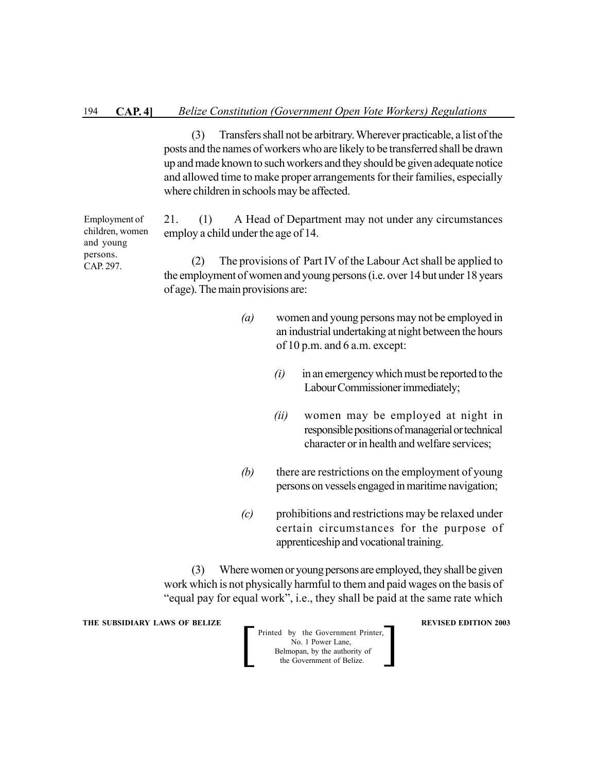(3) Transfers shall not be arbitrary. Wherever practicable, a list of the posts and the names of workers who are likely to be transferred shall be drawn up and made known to such workers and they should be given adequate notice and allowed time to make proper arrangements for their families, especially where children in schools may be affected.

21. (1) A Head of Department may not under any circumstances employ a child under the age of 14.

(2) The provisions of Part IV of the Labour Act shall be applied to the employment of women and young persons (i.e. over 14 but under 18 years of age). The main provisions are:

- *(a)* women and young persons may not be employed in an industrial undertaking at night between the hours of 10 p.m. and 6 a.m. except:
	- *(i)* in an emergency which must be reported to the Labour Commissioner immediately;
	- *(ii)* women may be employed at night in responsible positions of managerial or technical character or in health and welfare services;
- *(b)* there are restrictions on the employment of young persons on vessels engaged in maritime navigation;
- *(c)* prohibitions and restrictions may be relaxed under certain circumstances for the purpose of apprenticeship and vocational training.

(3) Where women or young persons are employed, they shall be given work which is not physically harmful to them and paid wages on the basis of "equal pay for equal work", i.e., they shall be paid at the same rate which

**THE SUBSIDIARY LAWS OF BELIZE A LOCAL CONSUMING A LOCAL CONSUMING A LOCAL CONSUMING A LOCAL CONSUMING A LOCAL CONSUMING A LOCAL CONSUMING A LOCAL CONSUMING A LOCAL CONSUMING A LOCAL CONSUMING A LOCAL CONSUMING A LOCAL CON** 

Printed by the Government Printer, No. 1 Power Lane, Belmopan, by the authority of<br>the Government of Belize. Printed by the Government Printer,<br>No. 1 Power Lane,<br>Belmopan, by the authority of<br>the Government of Belize.

Employment of children, women and young persons. CAP. 297.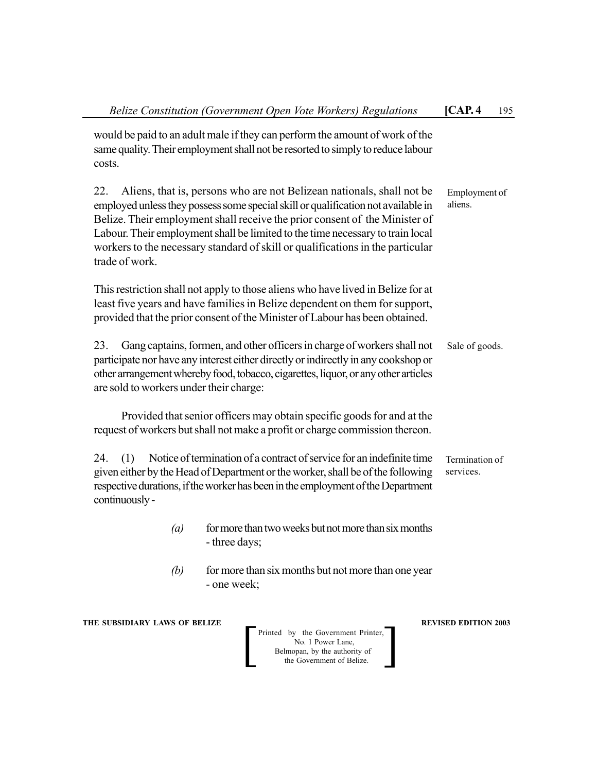| Belize Constitution (Government Open Vote Workers) Regulations                                                                                                                                                                                                                                                                                                                                                                         | $\mathsf{ICAP}.4$<br>195    |  |  |
|----------------------------------------------------------------------------------------------------------------------------------------------------------------------------------------------------------------------------------------------------------------------------------------------------------------------------------------------------------------------------------------------------------------------------------------|-----------------------------|--|--|
| would be paid to an adult male if they can perform the amount of work of the<br>same quality. Their employment shall not be resorted to simply to reduce labour<br>costs.                                                                                                                                                                                                                                                              |                             |  |  |
| 22.<br>Aliens, that is, persons who are not Belizean nationals, shall not be<br>employed unless they possess some special skill or qualification not available in<br>Belize. Their employment shall receive the prior consent of the Minister of<br>Labour. Their employment shall be limited to the time necessary to train local<br>workers to the necessary standard of skill or qualifications in the particular<br>trade of work. | Employment of<br>aliens.    |  |  |
| This restriction shall not apply to those aliens who have lived in Belize for at<br>least five years and have families in Belize dependent on them for support,<br>provided that the prior consent of the Minister of Labour has been obtained.                                                                                                                                                                                        |                             |  |  |
| Gang captains, formen, and other officers in charge of workers shall not<br>23.<br>participate nor have any interest either directly or indirectly in any cookshop or<br>other arrangement whereby food, tobacco, cigarettes, liquor, or any other articles<br>are sold to workers under their charge:                                                                                                                                 | Sale of goods.              |  |  |
| Provided that senior officers may obtain specific goods for and at the<br>request of workers but shall not make a profit or charge commission thereon.                                                                                                                                                                                                                                                                                 |                             |  |  |
| Notice of termination of a contract of service for an indefinite time<br>24.<br>(1)<br>given either by the Head of Department or the worker, shall be of the following<br>respective durations, if the worker has been in the employment of the Department<br>continuously -                                                                                                                                                           | Termination of<br>services. |  |  |
| (a) for more than two weeks but not more than six months<br>- three days;                                                                                                                                                                                                                                                                                                                                                              |                             |  |  |
| for more than six months but not more than one year<br>(b)<br>- one week;                                                                                                                                                                                                                                                                                                                                                              |                             |  |  |
| THE SUBSIDIARY LAWS OF BELIZE<br>Printed by the Government Printer,<br>No. 1 Power Lane,<br>Belmopan, by the authority of<br>the Government of Belize.                                                                                                                                                                                                                                                                                 | <b>REVISED EDITION 2003</b> |  |  |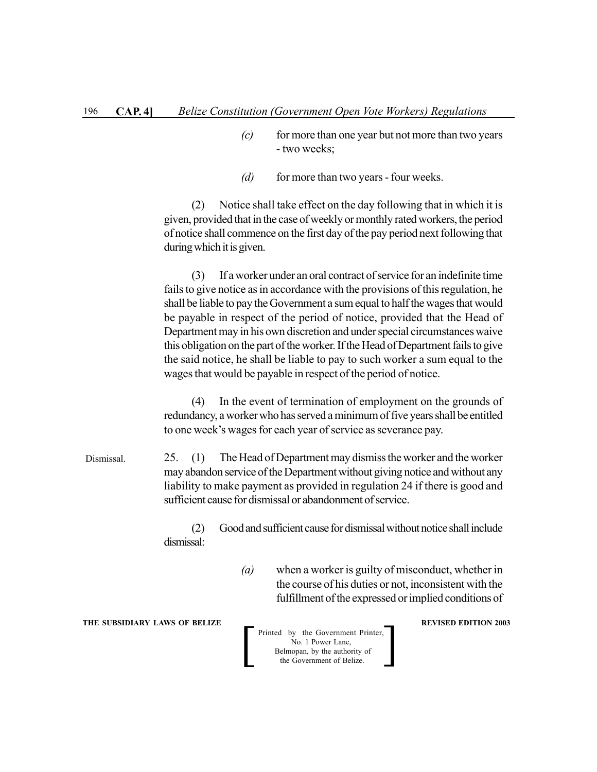- *(c)* for more than one year but not more than two years - two weeks;
- *(d)* for more than two years four weeks.

(2) Notice shall take effect on the day following that in which it is given, provided that in the case of weekly or monthly rated workers, the period of notice shall commence on the first day of the pay period next following that during which it is given.

(3) If a worker under an oral contract of service for an indefinite time fails to give notice as in accordance with the provisions of this regulation, he shall be liable to pay the Government a sum equal to half the wages that would be payable in respect of the period of notice, provided that the Head of Department may in his own discretion and under special circumstances waive this obligation on the part of the worker. If the Head of Department fails to give the said notice, he shall be liable to pay to such worker a sum equal to the wages that would be payable in respect of the period of notice.

(4) In the event of termination of employment on the grounds of redundancy, a worker who has served a minimum of five years shall be entitled to one week's wages for each year of service as severance pay.

25. (1) The Head of Department may dismiss the worker and the worker may abandon service of the Department without giving notice and without any liability to make payment as provided in regulation 24 if there is good and sufficient cause for dismissal or abandonment of service. Dismissal.

> (2) Good and sufficient cause for dismissal without notice shall include dismissal:

> > *(a)* when a worker is guilty of misconduct, whether in the course of his duties or not, inconsistent with the fulfillment of the expressed or implied conditions of

**THE SUBSIDIARY LAWS OF BELIZE A LOCAL CONSUMING A LOCAL CONSUMING A LOCAL CONSUMING A LOCAL CONSUMING A LOCAL CONSUMING A LOCAL CONSUMING A LOCAL CONSUMING A LOCAL CONSUMING A LOCAL CONSUMING A LOCAL CONSUMING A LOCAL CON**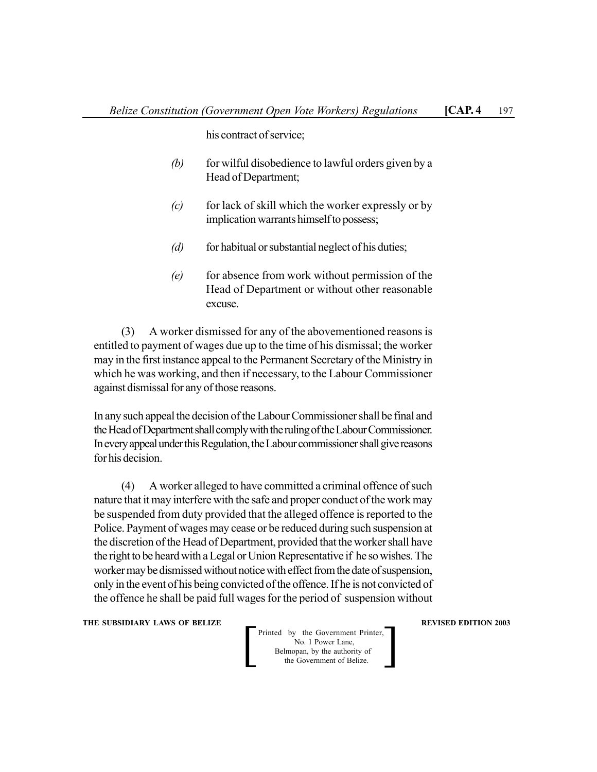his contract of service;

- *(b)* for wilful disobedience to lawful orders given by a Head of Department;
- *(c)* for lack of skill which the worker expressly or by implication warrants himself to possess;
- *(d)* for habitual or substantial neglect of his duties;
- *(e)* for absence from work without permission of the Head of Department or without other reasonable excuse.

(3) A worker dismissed for any of the abovementioned reasons is entitled to payment of wages due up to the time of his dismissal; the worker may in the first instance appeal to the Permanent Secretary of the Ministry in which he was working, and then if necessary, to the Labour Commissioner against dismissal for any of those reasons.

In any such appeal the decision of the Labour Commissioner shall be final and the Head of Department shall comply with the ruling of the Labour Commissioner. In every appeal under this Regulation, the Labour commissioner shall give reasons for his decision.

(4) A worker alleged to have committed a criminal offence of such nature that it may interfere with the safe and proper conduct of the work may be suspended from duty provided that the alleged offence is reported to the Police. Payment of wages may cease or be reduced during such suspension at the discretion of the Head of Department, provided that the worker shall have the right to be heard with a Legal or Union Representative if he so wishes. The worker may be dismissed without notice with effect from the date of suspension, only in the event of his being convicted of the offence. If he is not convicted of the offence he shall be paid full wages for the period of suspension without

**THE SUBSIDIARY LAWS OF BELIZE A LOCAL CONSUMING A LOCAL CONSUMING REVISED EDITION 2003**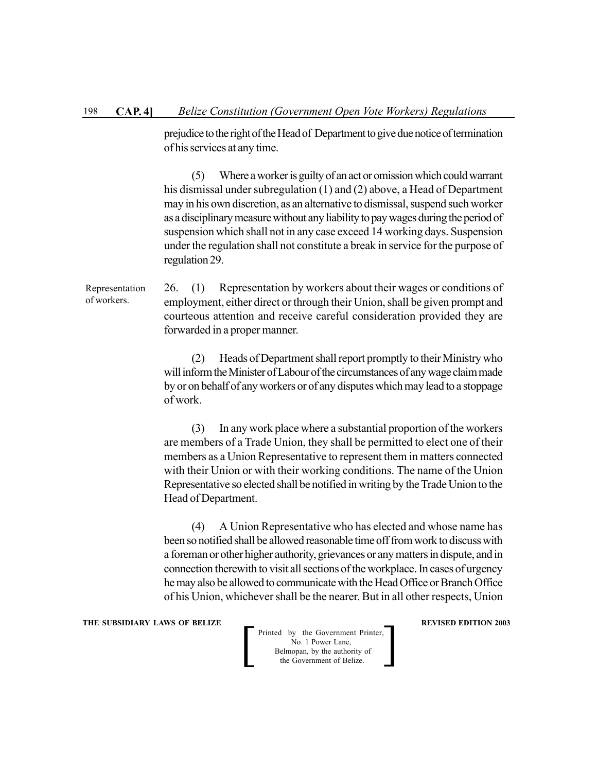prejudice to the right of the Head of Department to give due notice of termination of his services at any time.

(5) Where a worker is guilty of an act or omission which could warrant his dismissal under subregulation (1) and (2) above, a Head of Department may in his own discretion, as an alternative to dismissal, suspend such worker as a disciplinary measure without any liability to pay wages during the period of suspension which shall not in any case exceed 14 working days. Suspension under the regulation shall not constitute a break in service for the purpose of regulation 29.

26. (1) Representation by workers about their wages or conditions of employment, either direct or through their Union, shall be given prompt and courteous attention and receive careful consideration provided they are forwarded in a proper manner. Representation of workers.

> (2) Heads of Department shall report promptly to their Ministry who will inform the Minister of Labour of the circumstances of any wage claim made by or on behalf of any workers or of any disputes which may lead to a stoppage of work.

> (3) In any work place where a substantial proportion of the workers are members of a Trade Union, they shall be permitted to elect one of their members as a Union Representative to represent them in matters connected with their Union or with their working conditions. The name of the Union Representative so elected shall be notified in writing by the Trade Union to the Head of Department.

> (4) A Union Representative who has elected and whose name has been so notified shall be allowed reasonable time off from work to discuss with a foreman or other higher authority, grievances or any matters in dispute, and in connection therewith to visit all sections of the workplace. In cases of urgency he may also be allowed to communicate with the Head Office or Branch Office of his Union, whichever shall be the nearer. But in all other respects, Union

#### **THE SUBSIDIARY LAWS OF BELIZE A LOCAL CONSUMING A LOCAL CONSUMING A LOCAL CONSUMING A LOCAL CONSUMING A LOCAL CONSUMING A LOCAL CONSUMING A LOCAL CONSUMING A LOCAL CONSUMING A LOCAL CONSUMING A LOCAL CONSUMING A LOCAL CON**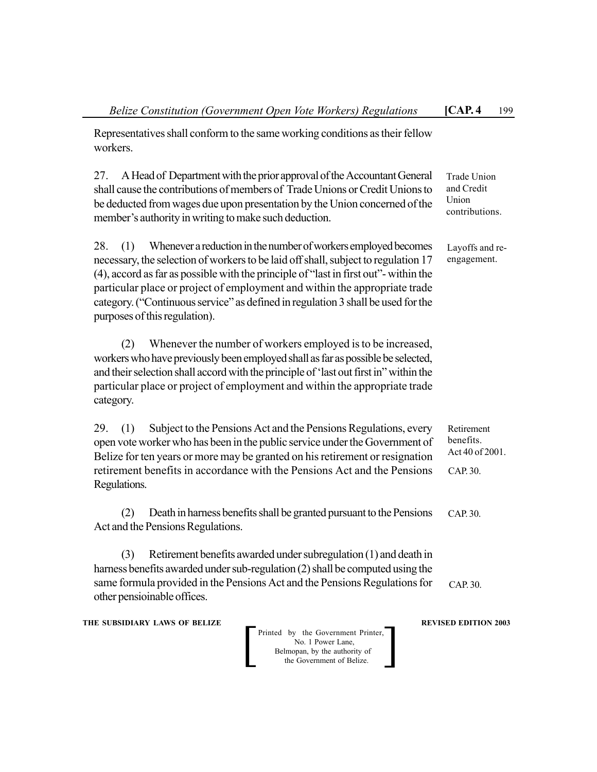Representatives shall conform to the same working conditions as their fellow workers.

27. A Head of Department with the prior approval of the Accountant General shall cause the contributions of members of Trade Unions or Credit Unions to be deducted from wages due upon presentation by the Union concerned of the member's authority in writing to make such deduction. Trade Union and Credit Union contributions.

28. (1) Whenever a reduction in the number of workers employed becomes necessary, the selection of workers to be laid off shall, subject to regulation 17 (4), accord as far as possible with the principle of "last in first out"- within the particular place or project of employment and within the appropriate trade category. ("Continuous service" as defined in regulation 3 shall be used for the purposes of this regulation).

(2) Whenever the number of workers employed is to be increased, workers who have previously been employed shall as far as possible be selected, and their selection shall accord with the principle of 'last out first in" within the particular place or project of employment and within the appropriate trade category.

29. (1) Subject to the Pensions Act and the Pensions Regulations, every open vote worker who has been in the public service under the Government of Belize for ten years or more may be granted on his retirement or resignation retirement benefits in accordance with the Pensions Act and the Pensions Regulations. Retirement benefits. Act 40 of 2001. CAP. 30.

(2) Death in harness benefits shall be granted pursuant to the Pensions Act and the Pensions Regulations. CAP. 30.

(3) Retirement benefits awarded under subregulation (1) and death in harness benefits awarded under sub-regulation (2) shall be computed using the same formula provided in the Pensions Act and the Pensions Regulations for other pensioinable offices. CAP. 30.

**THE SUBSIDIARY LAWS OF BELIZE A LOCAL CONSUMING A LOCAL CONSUMING REVISED EDITION 2003** 

Printed by the Government Printer, No. 1 Power Lane, Belmopan, by the authority of<br>the Government of Belize. Printed by the Government Printer,<br>No. 1 Power Lane,<br>Belmopan, by the authority of<br>the Government of Belize.

Layoffs and reengagement.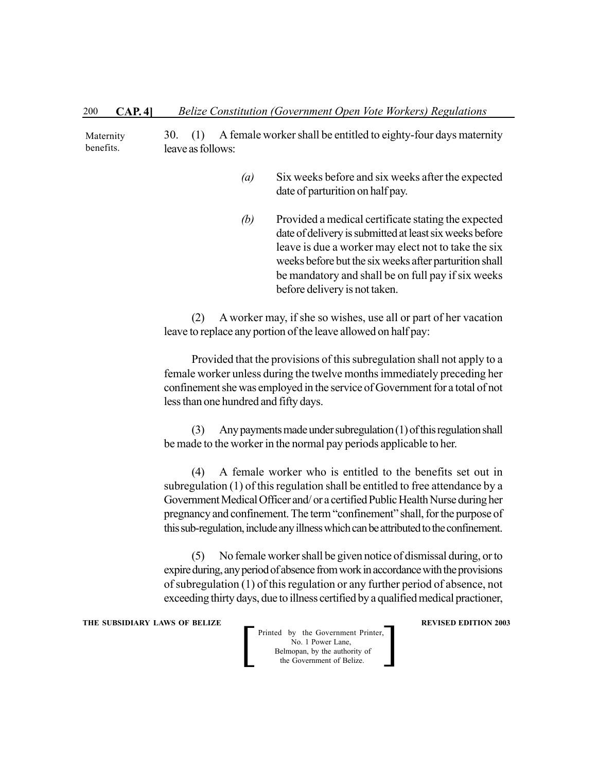30. (1) A female worker shall be entitled to eighty-four days maternity leave as follows: Maternity benefits.

- *(a)* Six weeks before and six weeks after the expected date of parturition on half pay.
- *(b)* Provided a medical certificate stating the expected date of delivery is submitted at least six weeks before leave is due a worker may elect not to take the six weeks before but the six weeks after parturition shall be mandatory and shall be on full pay if six weeks before delivery is not taken.

(2) A worker may, if she so wishes, use all or part of her vacation leave to replace any portion of the leave allowed on half pay:

Provided that the provisions of this subregulation shall not apply to a female worker unless during the twelve months immediately preceding her confinement she was employed in the service of Government for a total of not less than one hundred and fifty days.

(3) Any payments made under subregulation (1) of this regulation shall be made to the worker in the normal pay periods applicable to her.

(4) A female worker who is entitled to the benefits set out in subregulation (1) of this regulation shall be entitled to free attendance by a Government Medical Officer and/ or a certified Public Health Nurse during her pregnancy and confinement. The term "confinement" shall, for the purpose of this sub-regulation, include any illness which can be attributed to the confinement.

(5) No female worker shall be given notice of dismissal during, or to expire during, any period of absence from work in accordance with the provisions of subregulation (1) of this regulation or any further period of absence, not exceeding thirty days, due to illness certified by a qualified medical practioner,

#### **THE SUBSIDIARY LAWS OF BELIZE A LOCAL CONSUMING A LOCAL CONSUMING A LOCAL CONSUMING A LOCAL CONSUMING A LOCAL CONSUMING A LOCAL CONSUMING A LOCAL CONSUMING A LOCAL CONSUMING A LOCAL CONSUMING A LOCAL CONSUMING A LOCAL CON**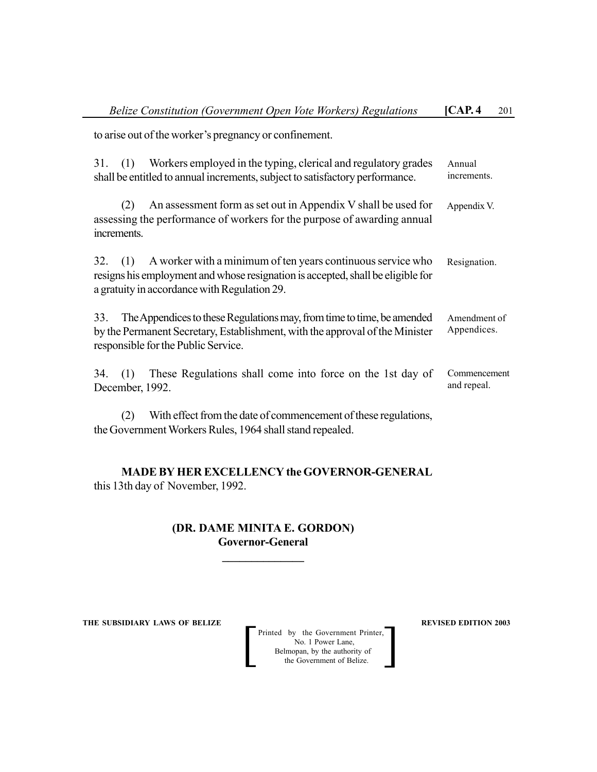to arise out of the worker's pregnancy or confinement.

| 31.       | (1)                | Workers employed in the typing, clerical and regulatory grades<br>shall be entitled to annual increments, subject to satisfactory performance.                                                 | Annual<br>increments.       |
|-----------|--------------------|------------------------------------------------------------------------------------------------------------------------------------------------------------------------------------------------|-----------------------------|
|           | (2)<br>increments. | An assessment form as set out in Appendix V shall be used for<br>assessing the performance of workers for the purpose of awarding annual                                                       | Appendix V.                 |
|           | $32. \quad (1)$    | A worker with a minimum of ten years continuous service who<br>resigns his employment and whose resignation is accepted, shall be eligible for<br>a gratuity in accordance with Regulation 29. | Resignation.                |
| 33.       |                    | The Appendices to these Regulations may, from time to time, be amended<br>by the Permanent Secretary, Establishment, with the approval of the Minister<br>responsible for the Public Service.  | Amendment of<br>Appendices. |
| $34.$ (1) | December, 1992.    | These Regulations shall come into force on the 1st day of                                                                                                                                      | Commencement<br>and repeal. |
|           | (2)                | With effect from the date of commencement of these regulations,                                                                                                                                |                             |

the Government Workers Rules, 1964 shall stand repealed.

# **MADE BY HER EXCELLENCY the GOVERNOR-GENERAL** this 13th day of November, 1992.

# **(DR. DAME MINITA E. GORDON) Governor-General**

**\_\_\_\_\_\_\_\_\_\_\_\_\_\_**

**THE SUBSIDIARY LAWS OF BELIZE 2003**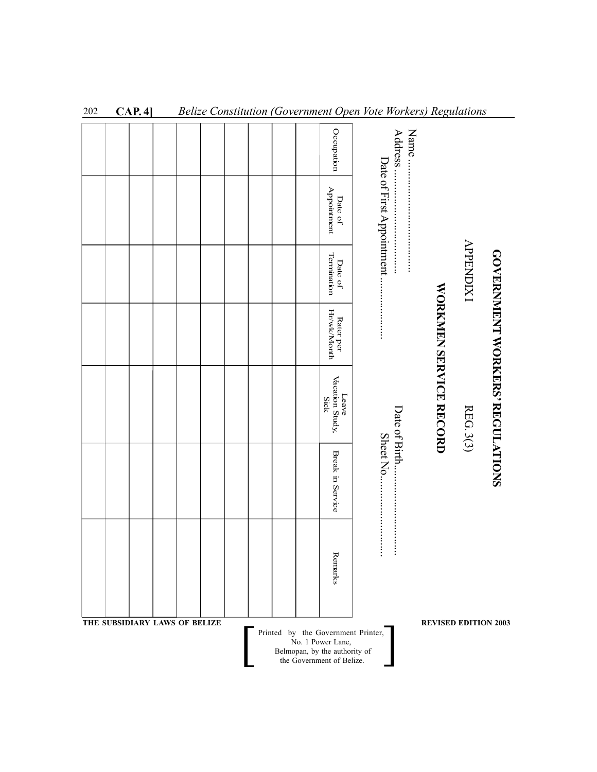|                               |  |  |  |  | Occupation                                                 |                       | Address                   | Name. |                        |                  |                                        |
|-------------------------------|--|--|--|--|------------------------------------------------------------|-----------------------|---------------------------|-------|------------------------|------------------|----------------------------------------|
|                               |  |  |  |  | Appointment<br>Date of                                     |                       | Date of First Appointment |       |                        |                  |                                        |
|                               |  |  |  |  | Termination<br>Date of                                     |                       | :::::::::                 |       |                        | <b>APPENDIX1</b> |                                        |
|                               |  |  |  |  | Hr/wk/Month<br>Rater per                                   | :<br>:<br>:<br>:<br>: |                           |       |                        |                  |                                        |
|                               |  |  |  |  | Vacation Study,<br>Leave<br>Sick                           |                       | Date of Birth             |       | WORKMEN SERVICE RECORD | REG. 3(3)        | <b>GOVERNMENT WORKERS' REGULATIONS</b> |
|                               |  |  |  |  | Break in Service                                           |                       | Sheet No                  |       |                        |                  |                                        |
|                               |  |  |  |  | Remarks                                                    |                       | ::::::::::::::::          |       |                        |                  |                                        |
| THE SUBSIDIARY LAWS OF BELIZE |  |  |  |  |                                                            |                       |                           |       |                        |                  | <b>REVISED EDITION 2003</b>            |
|                               |  |  |  |  | Printed by the Government Printer,<br>No. 1 Power Lane,    |                       |                           |       |                        |                  |                                        |
|                               |  |  |  |  | Belmopan, by the authority of<br>the Government of Belize. |                       |                           |       |                        |                  |                                        |

202 **CAP. 4]** *Belize Constitution (Government Open Vote Workers) Regulations*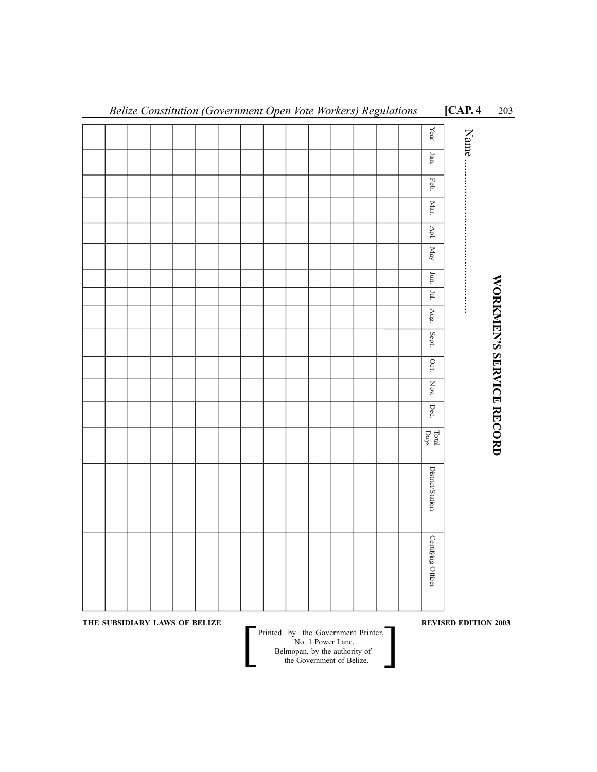|                               |  |  |  |  |                                                                                 |                                    |  | Year                                                     | Name.                       |                          |
|-------------------------------|--|--|--|--|---------------------------------------------------------------------------------|------------------------------------|--|----------------------------------------------------------|-----------------------------|--------------------------|
|                               |  |  |  |  |                                                                                 |                                    |  | ${\it Jan.}$                                             |                             |                          |
|                               |  |  |  |  |                                                                                 |                                    |  | Feb.                                                     |                             |                          |
|                               |  |  |  |  |                                                                                 |                                    |  | <b>Mar.</b>                                              |                             |                          |
|                               |  |  |  |  |                                                                                 |                                    |  | $\rm {d} \bar{\rm v}$                                    |                             |                          |
|                               |  |  |  |  |                                                                                 |                                    |  | $_{\rm{Nay}}$                                            |                             |                          |
|                               |  |  |  |  |                                                                                 |                                    |  | $\frac{1}{2}$                                            |                             |                          |
|                               |  |  |  |  |                                                                                 |                                    |  | $\mathbb{H}$                                             |                             |                          |
|                               |  |  |  |  |                                                                                 |                                    |  | $\frac{1}{\sqrt{2}}$                                     |                             |                          |
|                               |  |  |  |  |                                                                                 |                                    |  | Sept.                                                    |                             |                          |
|                               |  |  |  |  |                                                                                 |                                    |  | $Oct.$                                                   |                             |                          |
|                               |  |  |  |  |                                                                                 |                                    |  | $_{\rm Nov}$                                             |                             |                          |
|                               |  |  |  |  |                                                                                 |                                    |  | Dec.                                                     |                             |                          |
|                               |  |  |  |  |                                                                                 |                                    |  | $_{\mbox{\small\tiny Total}}^{\mbox{\small\tiny Total}}$ |                             | WORKMEN'S SERVICE RECORD |
|                               |  |  |  |  |                                                                                 |                                    |  | <b>District/Station</b>                                  |                             |                          |
|                               |  |  |  |  |                                                                                 |                                    |  | Certifying Officer                                       |                             |                          |
| THE SUBSIDIARY LAWS OF BELIZE |  |  |  |  | No. 1 Power Lane,<br>Belmopan, by the authority of<br>the Government of Belize. | Printed by the Government Printer, |  |                                                          | <b>REVISED EDITION 2003</b> |                          |
|                               |  |  |  |  |                                                                                 |                                    |  |                                                          |                             |                          |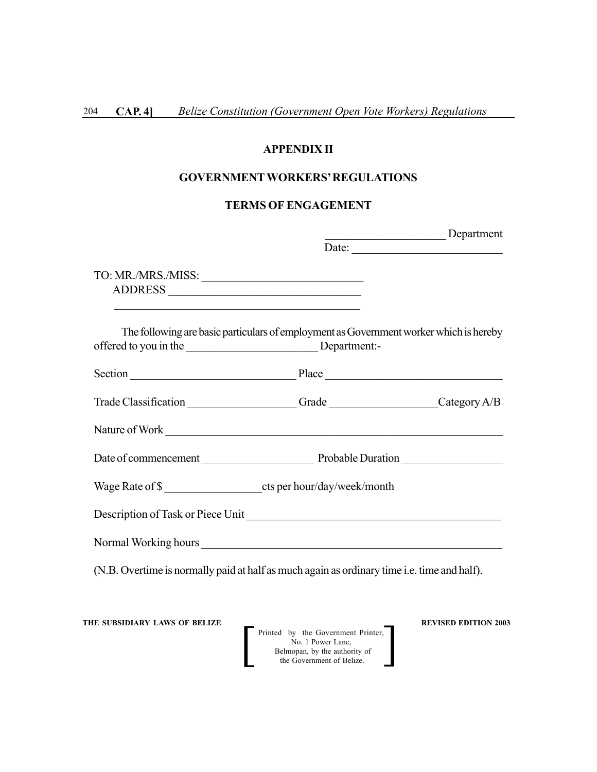## **APPENDIX II**

## **GOVERNMENT WORKERS' REGULATIONS**

# **TERMS OF ENGAGEMENT**

|                                                                                                                                        | Department |
|----------------------------------------------------------------------------------------------------------------------------------------|------------|
|                                                                                                                                        |            |
| TO: MR./MRS./MISS:<br>and the control of the control of the control of the control of the control of the control of the control of the |            |
| The following are basic particulars of employment as Government worker which is hereby                                                 |            |
|                                                                                                                                        |            |
| Trade Classification __________________Grade _________________Category A/B                                                             |            |
| Nature of Work                                                                                                                         |            |
| Date of commencement Probable Duration                                                                                                 |            |
| Wage Rate of \$                                                                                                                        |            |
|                                                                                                                                        |            |
| Normal Working hours                                                                                                                   |            |
| (N.B. Overtime is normally paid at half as much again as ordinary time i.e. time and half).                                            |            |
|                                                                                                                                        |            |

**THE SUBSIDIARY LAWS OF BELIZE**  $\qquad$  **REVISED EDITION 2003**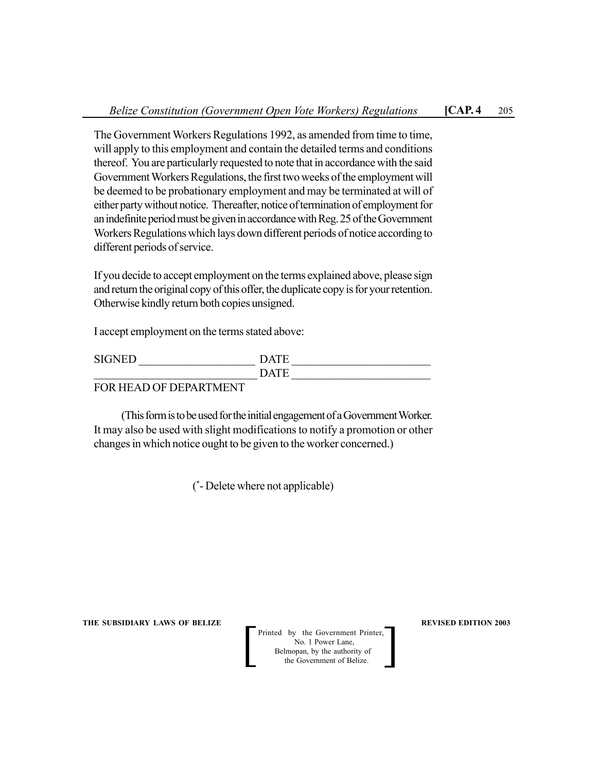The Government Workers Regulations 1992, as amended from time to time, will apply to this employment and contain the detailed terms and conditions thereof. You are particularly requested to note that in accordance with the said Government Workers Regulations, the first two weeks of the employment will be deemed to be probationary employment and may be terminated at will of either party without notice. Thereafter, notice of termination of employment for an indefinite period must be given in accordance with Reg. 25 of the Government Workers Regulations which lays down different periods of notice according to different periods of service.

If you decide to accept employment on the terms explained above, please sign and return the original copy of this offer, the duplicate copy is for your retention. Otherwise kindly return both copies unsigned.

I accept employment on the terms stated above:

| <b>SIGNED</b>              | <b>DATE</b> |
|----------------------------|-------------|
|                            | <b>DATE</b> |
| EOD LIE A D OF DEDA DTMENT |             |

# FOR HEAD OF DEPARTMENT

(This form is to be used for the initial engagement of a Government Worker. It may also be used with slight modifications to notify a promotion or other changes in which notice ought to be given to the worker concerned.)

( \* - Delete where not applicable)

**THE SUBSIDIARY LAWS OF BELIZE REVISED EDITION 2003**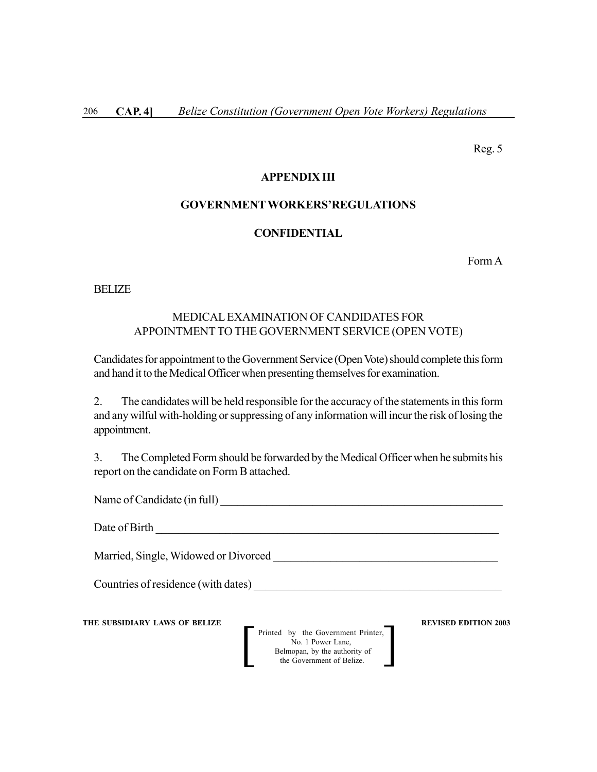Reg. 5

#### **APPENDIX III**

#### **GOVERNMENT WORKERS'REGULATIONS**

### **CONFIDENTIAL**

Form A

BELIZE

# MEDICAL EXAMINATION OF CANDIDATES FOR APPOINTMENTTO THE GOVERNMENT SERVICE (OPEN VOTE)

Candidates for appointment to the Government Service (Open Vote) should complete this form and hand it to the Medical Officer when presenting themselves for examination.

2. The candidates will be held responsible for the accuracy of the statements in this form and any wilful with-holding or suppressing of any information will incur the risk of losing the appointment.

3. The Completed Form should be forwarded by the Medical Officer when he submits his report on the candidate on Form B attached.

Name of Candidate (in full)

Date of Birth \_\_\_\_\_\_\_\_\_\_\_\_\_\_\_\_\_\_\_\_\_\_\_\_\_\_\_\_\_\_\_\_\_\_\_\_\_\_\_\_\_\_\_\_\_\_\_\_\_\_\_\_\_\_\_\_\_\_\_

Married, Single, Widowed or Divorced \_\_\_\_\_\_\_\_\_\_\_\_\_\_\_\_\_\_\_\_\_\_\_\_\_\_\_\_\_\_\_\_\_\_\_\_\_\_\_

Countries of residence (with dates)

**THE SUBSIDIARY LAWS OF BELIZE A LOCAL CONSUMING A LOCAL CONSUMING A REVISED EDITION 2003**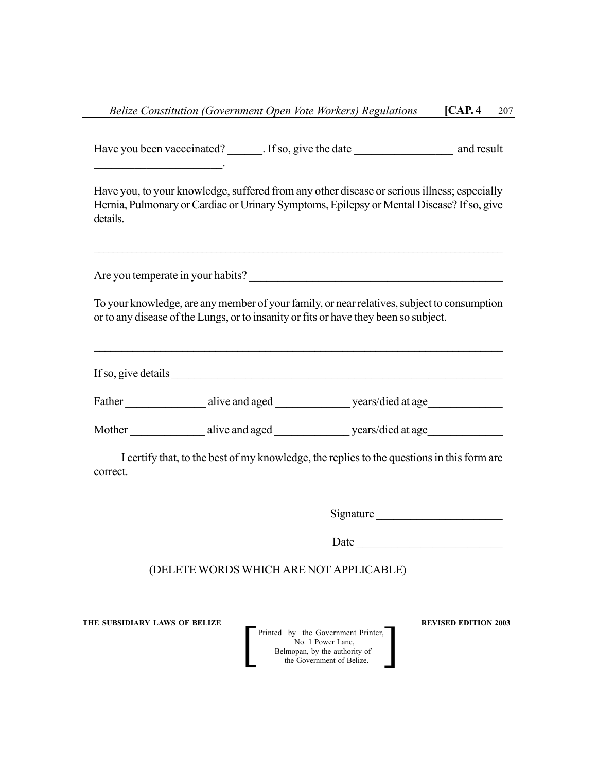Have you been vacccinated? Fig. 1f so, give the date and result  $\mathcal{L}_\text{max}$  and  $\mathcal{L}_\text{max}$  and  $\mathcal{L}_\text{max}$ Have you, to your knowledge, suffered from any other disease or serious illness; especially Hernia, Pulmonary or Cardiac or Urinary Symptoms, Epilepsy or Mental Disease? If so, give details.  $\mathcal{L}_\mathcal{L} = \{ \mathcal{L}_\mathcal{L} = \{ \mathcal{L}_\mathcal{L} = \{ \mathcal{L}_\mathcal{L} = \{ \mathcal{L}_\mathcal{L} = \{ \mathcal{L}_\mathcal{L} = \{ \mathcal{L}_\mathcal{L} = \{ \mathcal{L}_\mathcal{L} = \{ \mathcal{L}_\mathcal{L} = \{ \mathcal{L}_\mathcal{L} = \{ \mathcal{L}_\mathcal{L} = \{ \mathcal{L}_\mathcal{L} = \{ \mathcal{L}_\mathcal{L} = \{ \mathcal{L}_\mathcal{L} = \{ \mathcal{L}_\mathcal{$ Are you temperate in your habits? To your knowledge, are any member of your family, or near relatives, subject to consumption or to any disease of the Lungs, or to insanity or fits or have they been so subject.  $\mathcal{L}_\mathcal{L} = \{ \mathcal{L}_\mathcal{L} = \{ \mathcal{L}_\mathcal{L} = \{ \mathcal{L}_\mathcal{L} = \{ \mathcal{L}_\mathcal{L} = \{ \mathcal{L}_\mathcal{L} = \{ \mathcal{L}_\mathcal{L} = \{ \mathcal{L}_\mathcal{L} = \{ \mathcal{L}_\mathcal{L} = \{ \mathcal{L}_\mathcal{L} = \{ \mathcal{L}_\mathcal{L} = \{ \mathcal{L}_\mathcal{L} = \{ \mathcal{L}_\mathcal{L} = \{ \mathcal{L}_\mathcal{L} = \{ \mathcal{L}_\mathcal{$ If so, give details Father alive and aged years/died at age Mother alive and aged years/died at age I certify that, to the best of my knowledge, the replies to the questions in this form are correct. Signature \_\_\_\_\_\_\_\_\_\_\_\_\_\_\_\_\_\_\_\_\_\_ Date  $\Box$ (DELETE WORDS WHICH ARE NOT APPLICABLE)

**THE SUBSIDIARY LAWS OF BELIZE REVISED EDITION 2003**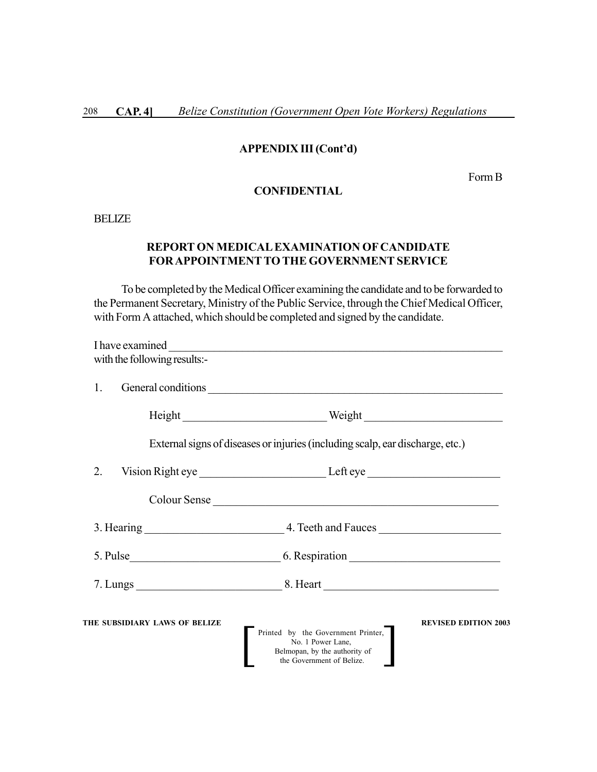# **APPENDIX III (Cont'd)**

Form B

# **CONFIDENTIAL**

BELIZE

# **REPORT ON MEDICAL EXAMINATION OF CANDIDATE FOR APPOINTMENTTO THE GOVERNMENT SERVICE**

To be completed by the Medical Officer examining the candidate and to be forwarded to the Permanent Secretary, Ministry of the Public Service, through the Chief Medical Officer, with Form A attached, which should be completed and signed by the candidate.

| with the following results:-  |                                                                                                                                                      |
|-------------------------------|------------------------------------------------------------------------------------------------------------------------------------------------------|
| 1.                            | General conditions                                                                                                                                   |
|                               |                                                                                                                                                      |
|                               | External signs of diseases or injuries (including scalp, ear discharge, etc.)                                                                        |
| 2.                            |                                                                                                                                                      |
|                               | Colour Sense                                                                                                                                         |
|                               |                                                                                                                                                      |
|                               |                                                                                                                                                      |
|                               |                                                                                                                                                      |
| THE SUBSIDIARY LAWS OF BELIZE | <b>REVISED EDITION 2003</b><br>Printed by the Government Printer,<br>No. 1 Power Lane,<br>Belmopan, by the authority of<br>the Government of Belize. |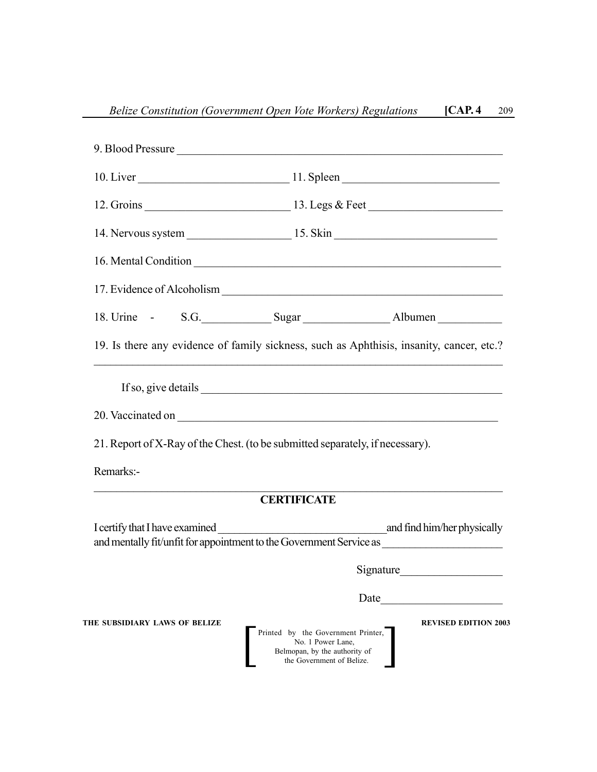|                               | 9. Blood Pressure                                                                                                                                    |  |
|-------------------------------|------------------------------------------------------------------------------------------------------------------------------------------------------|--|
|                               |                                                                                                                                                      |  |
|                               |                                                                                                                                                      |  |
|                               |                                                                                                                                                      |  |
|                               |                                                                                                                                                      |  |
|                               |                                                                                                                                                      |  |
|                               | 18. Urine - S.G. Sugar Sugar Albumen                                                                                                                 |  |
|                               | 19. Is there any evidence of family sickness, such as Aphthisis, insanity, cancer, etc.?                                                             |  |
| Remarks:-                     | 21. Report of X-Ray of the Chest. (to be submitted separately, if necessary).                                                                        |  |
|                               | <b>CERTIFICATE</b>                                                                                                                                   |  |
|                               | and mentally fit/unfit for appointment to the Government Service as ________________________________                                                 |  |
|                               | Signature                                                                                                                                            |  |
|                               | Date                                                                                                                                                 |  |
| THE SUBSIDIARY LAWS OF BELIZE | <b>REVISED EDITION 2003</b><br>Printed by the Government Printer,<br>No. 1 Power Lane,<br>Belmopan, by the authority of<br>the Government of Belize. |  |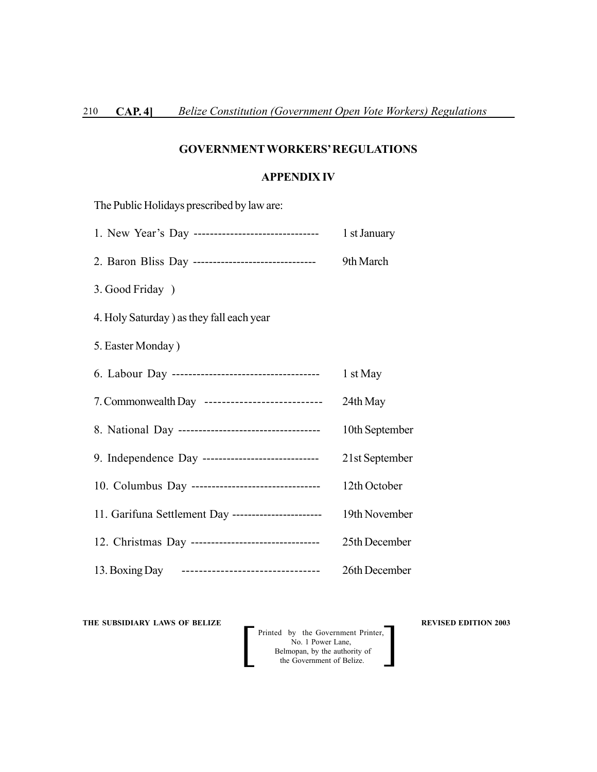# **GOVERNMENTWORKERS' REGULATIONS**

### **APPENDIX IV**

| The Public Holidays prescribed by law are:          |                |
|-----------------------------------------------------|----------------|
|                                                     | 1 st January   |
| 2. Baron Bliss Day -------------------------------- | 9th March      |
| 3. Good Friday )                                    |                |
| 4. Holy Saturday ) as they fall each year           |                |
| 5. Easter Monday)                                   |                |
|                                                     | 1 st May       |
| 7. Commonwealth Day ---------------------------     | 24th May       |
|                                                     | 10th September |
| 9. Independence Day ------------------------------- | 21st September |
| 10. Columbus Day ---------------------------------  | 12th October   |
| 11. Garifuna Settlement Day ----------------------- | 19th November  |
| 12. Christmas Day --------------------------------- | 25th December  |
| 13. Boxing Day --------------------------------     | 26th December  |

**THE SUBSIDIARY LAWS OF BELIZE**  $\qquad$  **REVISED EDITION 2003**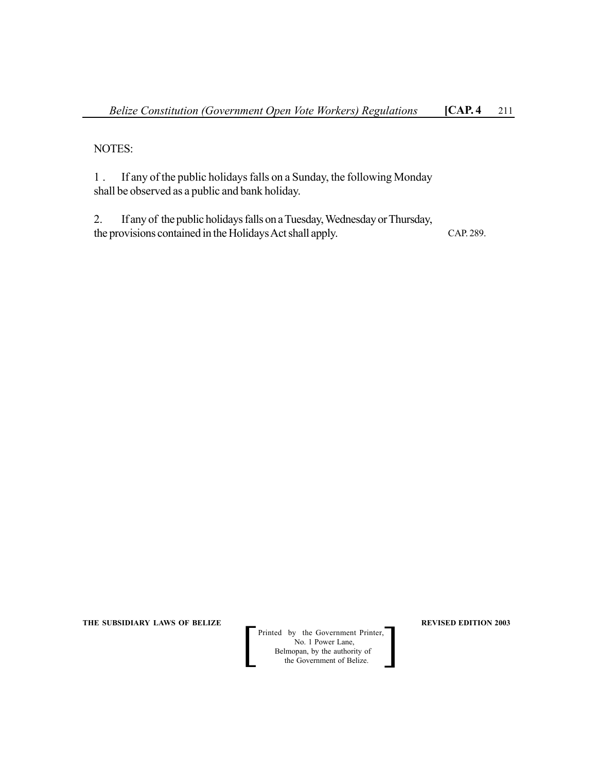NOTES:

1 . If any of the public holidays falls on a Sunday, the following Monday shall be observed as a public and bank holiday.

2. If any of the public holidays falls on a Tuesday, Wednesday or Thursday, the provisions contained in the Holidays Act shall apply. CAP. 289.

**THE SUBSIDIARY LAWS OF BELIZE REVISED EDITION 2003**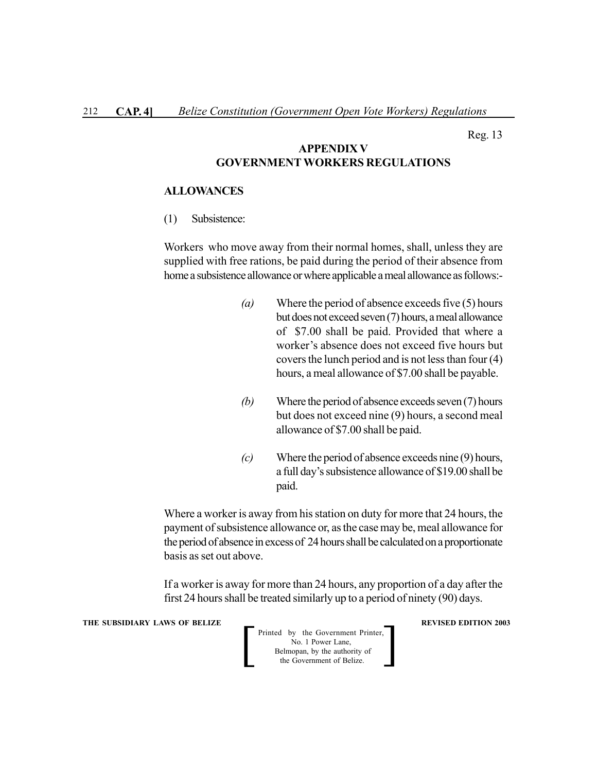Reg. 13

### **APPENDIX V GOVERNMENTWORKERS REGULATIONS**

#### **ALLOWANCES**

(1) Subsistence:

Workers who move away from their normal homes, shall, unless they are supplied with free rations, be paid during the period of their absence from home a subsistence allowance or where applicable a meal allowance as follows:-

- *(a)* Where the period of absence exceeds five (5) hours but does not exceed seven (7) hours, a meal allowance of \$7.00 shall be paid. Provided that where a worker's absence does not exceed five hours but covers the lunch period and is not less than four (4) hours, a meal allowance of \$7.00 shall be payable.
- *(b)* Where the period of absence exceeds seven (7) hours but does not exceed nine (9) hours, a second meal allowance of \$7.00 shall be paid.
- *(c)* Where the period of absence exceeds nine (9) hours, a full day's subsistence allowance of \$19.00 shall be paid.

Where a worker is away from his station on duty for more that 24 hours, the payment of subsistence allowance or, as the case may be, meal allowance for the period of absence in excess of 24 hours shall be calculated on a proportionate basis as set out above.

If a worker is away for more than 24 hours, any proportion of a day after the first 24 hours shall be treated similarly up to a period of ninety (90) days.

**THE SUBSIDIARY LAWS OF BELIZE A LOCAL CONSUMING A LOCAL CONSUMING A REVISED EDITION 2003** Printed by the Government Printer, No. 1 Power Lane, Belmopan, by the authority of<br>the Government of Belize. Printed by the Government Printer,<br>No. 1 Power Lane,<br>Belmopan, by the authority of<br>the Government of Belize.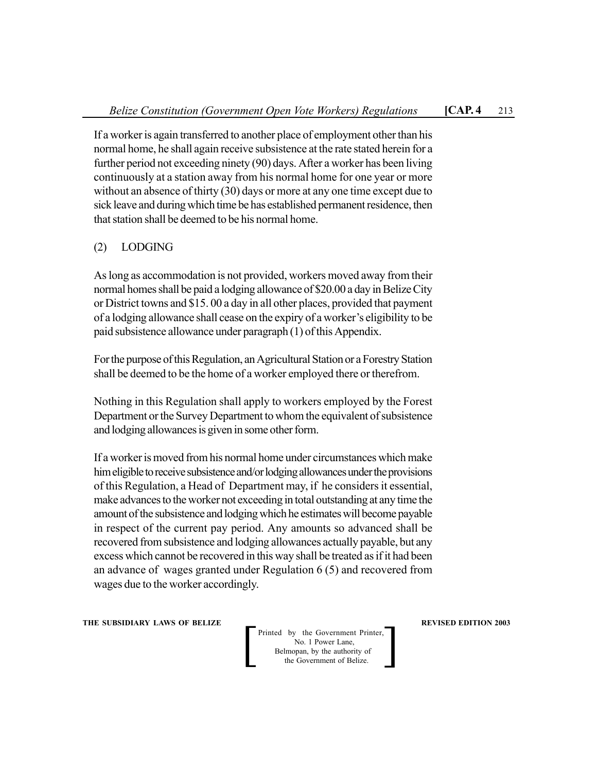If a worker is again transferred to another place of employment other than his normal home, he shall again receive subsistence at the rate stated herein for a further period not exceeding ninety (90) days. After a worker has been living continuously at a station away from his normal home for one year or more without an absence of thirty (30) days or more at any one time except due to sick leave and during which time be has established permanent residence, then that station shall be deemed to be his normal home.

# (2) LODGING

As long as accommodation is not provided, workers moved away from their normal homes shall be paid a lodging allowance of \$20.00 a day in Belize City or District towns and \$15. 00 a day in all other places, provided that payment of a lodging allowance shall cease on the expiry of a worker's eligibility to be paid subsistence allowance under paragraph (1) of this Appendix.

For the purpose of this Regulation, an Agricultural Station or a Forestry Station shall be deemed to be the home of a worker employed there or therefrom.

Nothing in this Regulation shall apply to workers employed by the Forest Department or the Survey Department to whom the equivalent of subsistence and lodging allowances is given in some other form.

If a worker is moved from his normal home under circumstances which make him eligible to receive subsistence and/or lodging allowances under the provisions of this Regulation, a Head of Department may, if he considers it essential, make advances to the worker not exceeding in total outstanding at any time the amount of the subsistence and lodging which he estimates will become payable in respect of the current pay period. Any amounts so advanced shall be recovered from subsistence and lodging allowances actually payable, but any excess which cannot be recovered in this way shall be treated as if it had been an advance of wages granted under Regulation 6 (5) and recovered from wages due to the worker accordingly.

**THE SUBSIDIARY LAWS OF BELIZE REVISED EDITION 2003**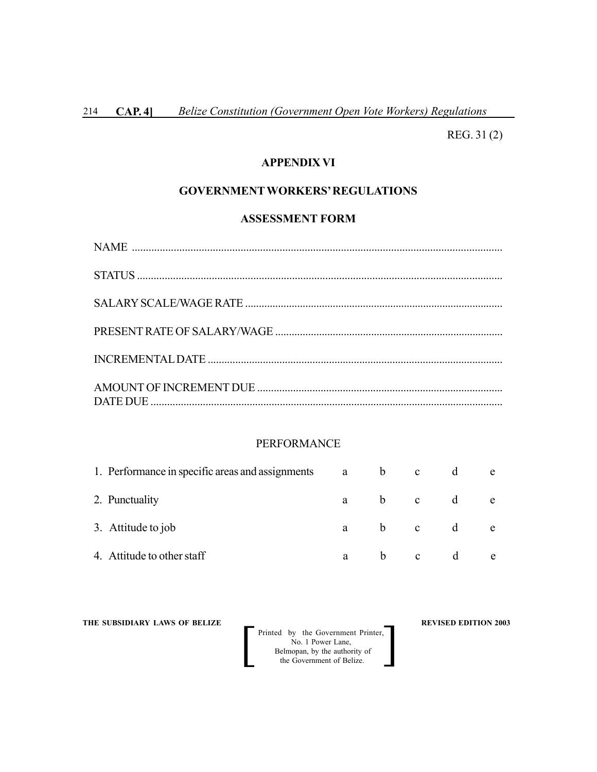REG. 31 (2)

# **APPENDIX VI**

# **GOVERNMENTWORKERS' REGULATIONS**

#### **ASSESSMENT FORM**

#### PERFORMANCE

| 1. Performance in specific areas and assignments | a          | b. | $\mathbf{c}$ | e |
|--------------------------------------------------|------------|----|--------------|---|
| 2. Punctuality                                   | a a        |    | b c d        | e |
| 3. Attitude to job                               | $a \qquad$ |    | b c d        | e |
| 4. Attitude to other staff                       | a          | b. | $\mathbf{c}$ | e |

**THE SUBSIDIARY LAWS OF BELIZE**  $\qquad$  **REVISED EDITION 2003**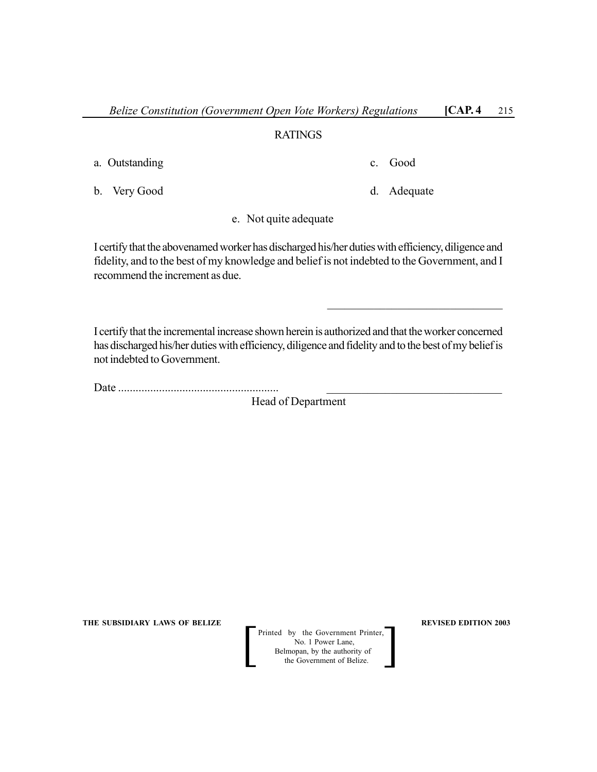### RATINGS

a. Outstanding c. Good

b. Very Good d. Adequate

 $\mathcal{L}_\text{max}$  , where  $\mathcal{L}_\text{max}$  and  $\mathcal{L}_\text{max}$  and  $\mathcal{L}_\text{max}$ 

e. Not quite adequate

I certify that the abovenamed worker has discharged his/her duties with efficiency, diligence and fidelity, and to the best of my knowledge and belief is not indebted to the Government, and I recommend the increment as due.

I certify that the incremental increase shown herein is authorized and that the worker concerned has discharged his/her duties with efficiency, diligence and fidelity and to the best of my belief is not indebted to Government.

Date ....................................................... \_\_\_\_\_\_\_\_\_\_\_\_\_\_\_\_\_\_\_\_\_\_\_\_\_\_\_\_\_\_

Head of Department

**THE SUBSIDIARY LAWS OF BELIZE 2003**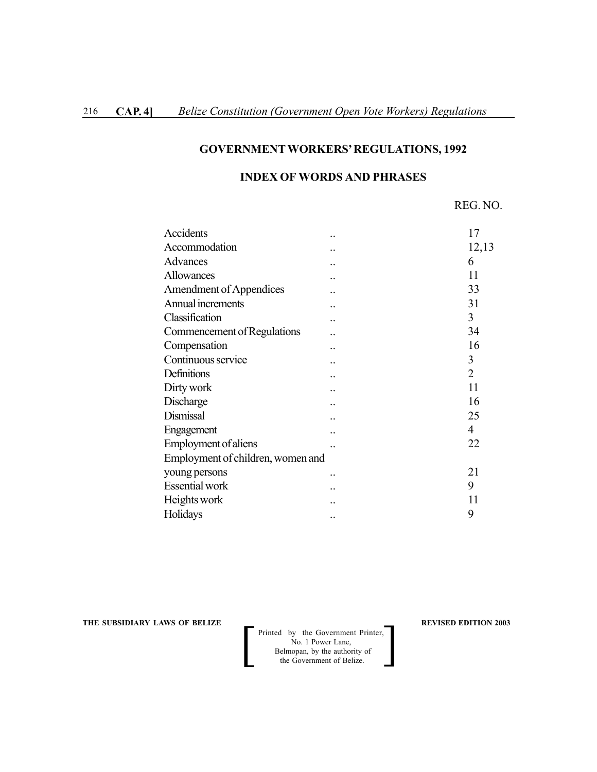# **GOVERNMENTWORKERS' REGULATIONS, 1992**

## **INDEX OF WORDS AND PHRASES**

| Accidents                         | 17             |
|-----------------------------------|----------------|
| Accommodation                     | 12,13          |
| Advances                          | 6              |
| Allowances                        | 11             |
| <b>Amendment of Appendices</b>    | 33             |
| Annual increments                 | 31             |
| Classification                    | 3              |
| Commencement of Regulations       | 34             |
| Compensation                      | 16             |
| Continuous service                | 3              |
| Definitions                       | $\overline{2}$ |
| Dirty work                        | 11             |
| Discharge                         | 16             |
| Dismissal                         | 25             |
| Engagement                        | 4              |
| Employment of aliens              | 22             |
| Employment of children, women and |                |
| young persons                     | 21             |
| <b>Essential</b> work             | 9              |
| Heights work                      | 11             |
| Holidays                          | 9              |

**THE SUBSIDIARY LAWS OF BELIZE**  $\qquad$  $\qquad$  **REVISED EDITION 2003**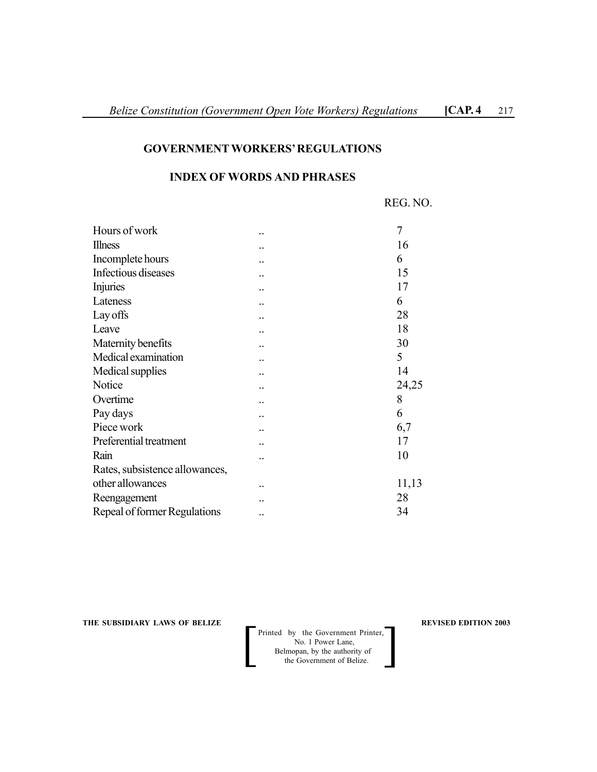## **GOVERNMENTWORKERS' REGULATIONS**

## **INDEX OF WORDS AND PHRASES**

REG. NO.

| Hours of work                  |                      | 7     |
|--------------------------------|----------------------|-------|
| <b>Illness</b>                 |                      | 16    |
| Incomplete hours               |                      | 6     |
| Infectious diseases            |                      | 15    |
| <b>Injuries</b>                |                      | 17    |
| Lateness                       |                      | 6     |
| Lay offs                       |                      | 28    |
| Leave                          |                      | 18    |
| Maternity benefits             |                      | 30    |
| Medical examination            |                      | 5     |
| Medical supplies               |                      | 14    |
| Notice                         |                      | 24,25 |
| Overtime                       |                      | 8     |
| Pay days                       |                      | 6     |
| Piece work                     |                      | 6,7   |
| Preferential treatment         |                      | 17    |
| Rain                           |                      | 10    |
| Rates, subsistence allowances, |                      |       |
| other allowances               | $\ddot{\phantom{0}}$ | 11,13 |
| Reengagement                   |                      | 28    |
| Repeal of former Regulations   |                      | 34    |
|                                |                      |       |

**THE SUBSIDIARY LAWS OF BELIZE**  $\qquad$  $\qquad$  **REVISED EDITION 2003**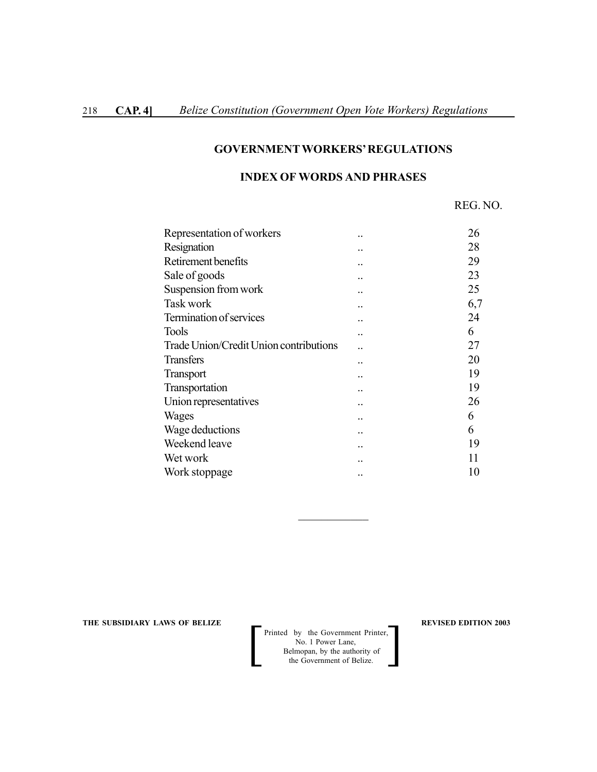## **GOVERNMENTWORKERS' REGULATIONS**

# **INDEX OF WORDS AND PHRASES**

REG. NO.

| 26     |
|--------|
| 28     |
| 29     |
| 23     |
| <br>25 |
| 6,7    |
| 24     |
| 6      |
| 27     |
| 20     |
| 19     |
| <br>19 |
| <br>26 |
| <br>6  |
| 6      |
| 19     |
| 11     |
| 10     |
|        |

**THE SUBSIDIARY LAWS OF BELIZE AND SUBSIDIARY LAWS OF BELIZE AND SUBSIDIARY LAWS OF BELIZE** 

 Printed by the Government Printer, No. 1 Power Lane, Printed by the Government Printer,<br>No. 1 Power Lane,<br>Belmopan, by the authority of<br>the Government of Belize.

 $\mathcal{L}_\text{max}$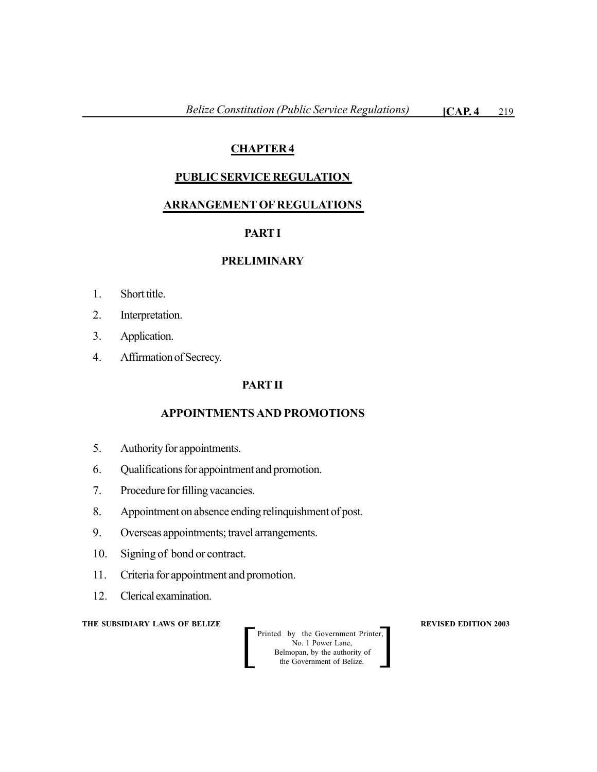# **CHAPTER 4**

# **PUBLIC SERVICE REGULATION**

# **ARRANGEMENT OF REGULATIONS**

# **PART I**

# **PRELIMINARY**

- 1. Short title.
- 2. Interpretation.
- 3. Application.
- 4. Affirmation of Secrecy.

# **PART II**

# **APPOINTMENTS AND PROMOTIONS**

- 5. Authority for appointments.
- 6. Qualifications for appointment and promotion.
- 7. Procedure for filling vacancies.
- 8. Appointment on absence ending relinquishment of post.
- 9. Overseas appointments; travel arrangements.
- 10. Signing of bond or contract.
- 11. Criteria for appointment and promotion.
- 12. Clerical examination.

### **THE SUBSIDIARY LAWS OF BELIZE REVISED EDITION 2003**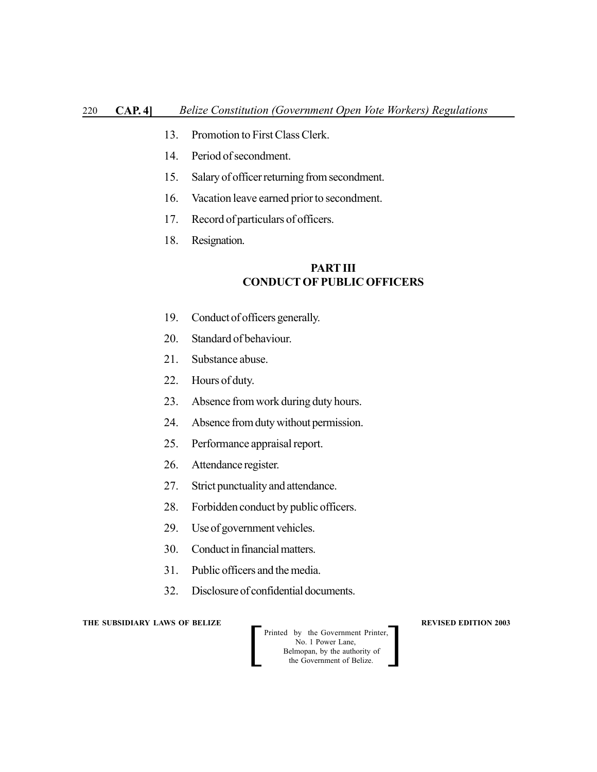- 13. Promotion to First Class Clerk.
- 14. Period of secondment.
- 15. Salary of officer returning from secondment.
- 16. Vacation leave earned prior to secondment.
- 17. Record of particulars of officers.
- 18. Resignation.

# **PART III CONDUCT OF PUBLIC OFFICERS**

- 19. Conduct of officers generally.
- 20. Standard of behaviour.
- 21. Substance abuse.
- 22. Hours of duty.
- 23. Absence from work during duty hours.
- 24. Absence from duty without permission.
- 25. Performance appraisal report.
- 26. Attendance register.
- 27. Strict punctuality and attendance.
- 28. Forbidden conduct by public officers.
- 29. Use of government vehicles.
- 30. Conduct in financial matters.
- 31. Public officers and the media.
- 32. Disclosure of confidential documents.

**THE SUBSIDIARY LAWS OF BELIZE**  $\qquad$  $\qquad$  **REVISED EDITION 2003** 

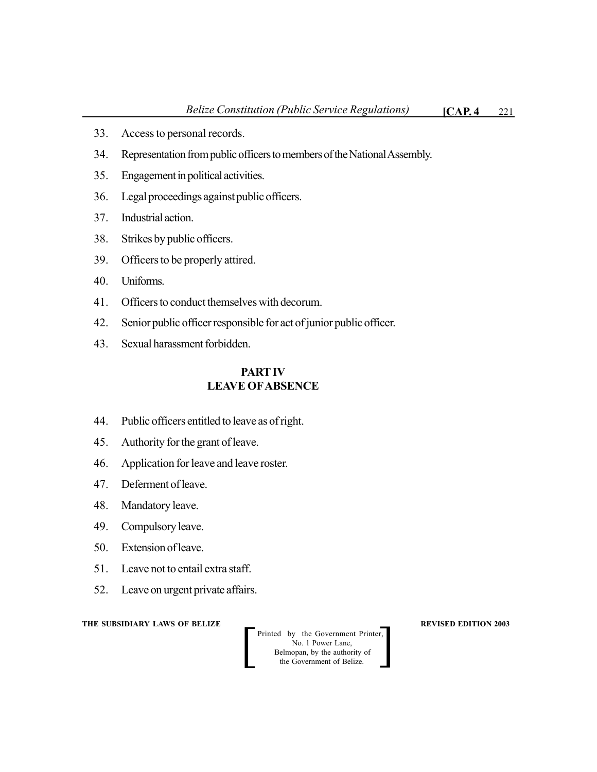- 33. Access to personal records.
- 34. Representation from public officers to members of the National Assembly.
- 35. Engagement in political activities.
- 36. Legal proceedings against public officers.
- 37. Industrial action.
- 38. Strikes by public officers.
- 39. Officers to be properly attired.
- 40. Uniforms.
- 41. Officers to conduct themselves with decorum.
- 42. Senior public officer responsible for act of junior public officer.
- 43. Sexual harassment forbidden.

# **PART IV LEAVE OFABSENCE**

- 44. Public officers entitled to leave as of right.
- 45. Authority for the grant of leave.
- 46. Application for leave and leave roster.
- 47. Deferment of leave.
- 48. Mandatory leave.
- 49. Compulsory leave.
- 50. Extension of leave.
- 51. Leave not to entail extra staff.
- 52. Leave on urgent private affairs.

#### **THE SUBSIDIARY LAWS OF BELIZE REVISED EDITION 2003**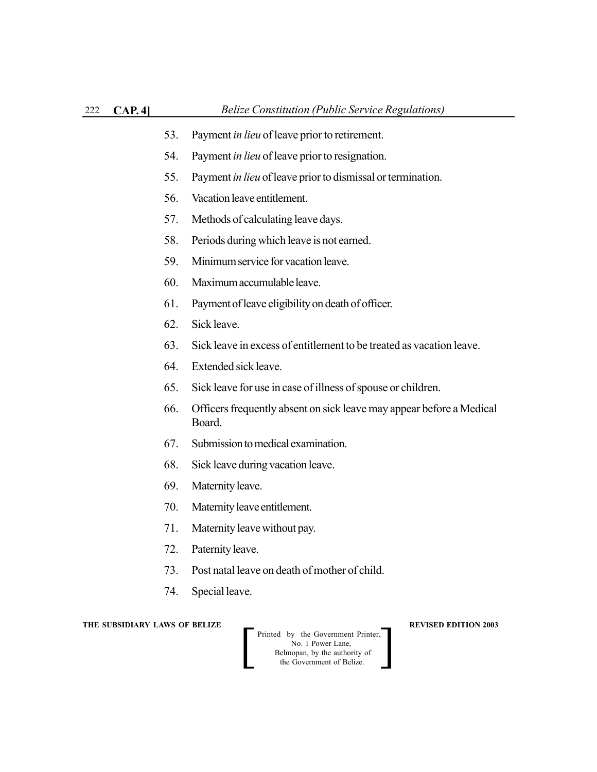- 53. Payment *in lieu* of leave prior to retirement.
- 54. Payment *in lieu* of leave prior to resignation.
- 55. Payment *in lieu* of leave prior to dismissal or termination.
- 56. Vacation leave entitlement.
- 57. Methods of calculating leave days.
- 58. Periods during which leave is not earned.
- 59. Minimum service for vacation leave.
- 60. Maximum accumulable leave.
- 61. Payment of leave eligibility on death of officer.
- 62. Sick leave.
- 63. Sick leave in excess of entitlement to be treated as vacation leave.
- 64. Extended sick leave.
- 65. Sick leave for use in case of illness of spouse or children.
- 66. Officers frequently absent on sick leave may appear before a Medical Board.
- 67. Submission to medical examination.
- 68. Sick leave during vacation leave.
- 69. Maternity leave.
- 70. Maternity leave entitlement.
- 71. Maternity leave without pay.
- 72. Paternity leave.
- 73. Post natal leave on death of mother of child.
- 74. Special leave.

**THE SUBSIDIARY LAWS OF BELIZE A LOCAL CONSUMING A LOCAL PREVISED EDITION 2003**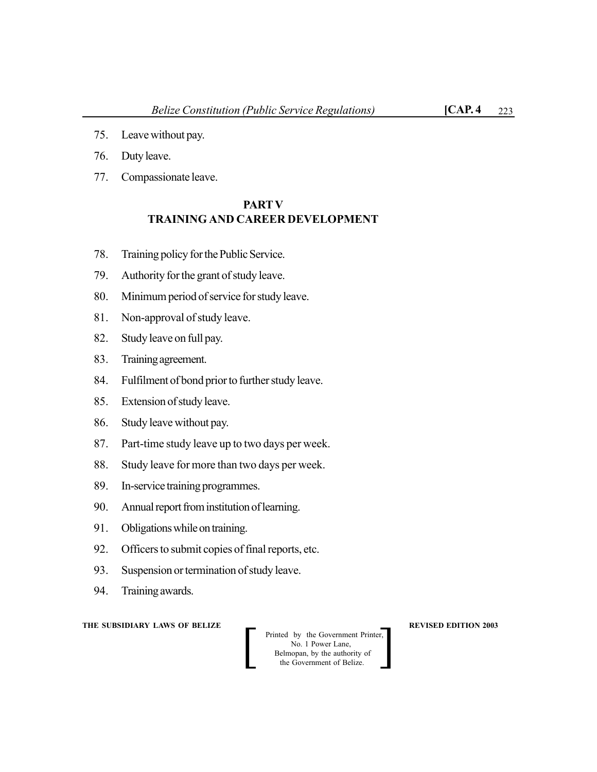- 75. Leave without pay.
- 76. Duty leave.
- 77. Compassionate leave.

# **PARTV TRAINING AND CAREER DEVELOPMENT**

- 78. Training policy for the Public Service.
- 79. Authority for the grant of study leave.
- 80. Minimum period of service for study leave.
- 81. Non-approval of study leave.
- 82. Study leave on full pay.
- 83. Training agreement.
- 84. Fulfilment of bond prior to further study leave.
- 85. Extension of study leave.
- 86. Study leave without pay.
- 87. Part-time study leave up to two days per week.
- 88. Study leave for more than two days per week.
- 89. In-service training programmes.
- 90. Annual report from institution of learning.
- 91. Obligations while on training.
- 92. Officers to submit copies of final reports, etc.
- 93. Suspension or termination of study leave.
- 94. Training awards.

### **THE SUBSIDIARY LAWS OF BELIZE A REVISED EDITION 2003**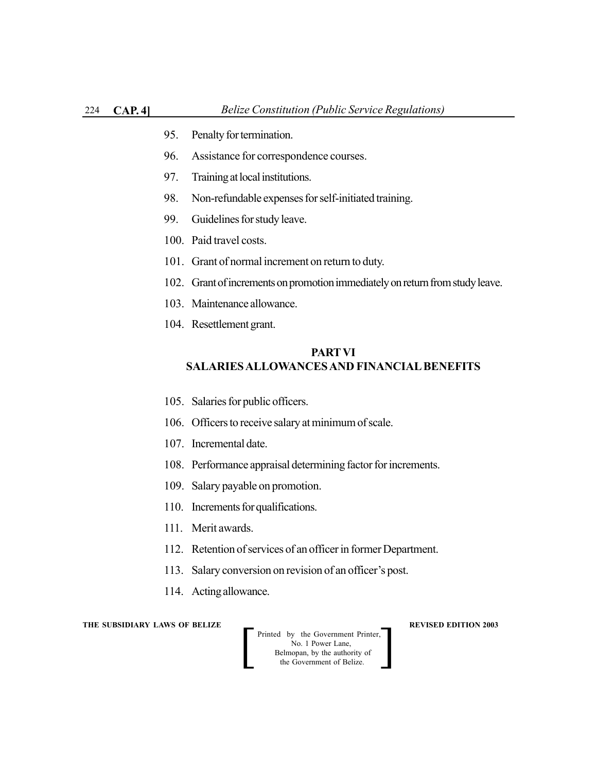- 95. Penalty for termination.
- 96. Assistance for correspondence courses.
- 97. Training at local institutions.
- 98. Non-refundable expenses for self-initiated training.
- 99. Guidelines for study leave.
- 100. Paid travel costs.
- 101. Grant of normal increment on return to duty.
- 102. Grant of increments on promotion immediately on return from study leave.
- 103. Maintenance allowance.
- 104. Resettlement grant.

# **PARTVI SALARIES ALLOWANCES AND FINANCIAL BENEFITS**

- 105. Salaries for public officers.
- 106. Officers to receive salary at minimum of scale.
- 107. Incremental date.
- 108. Performance appraisal determining factor for increments.
- 109. Salary payable on promotion.
- 110. Increments for qualifications.
- 111. Merit awards.
- 112. Retention of services of an officer in former Department.
- 113. Salary conversion on revision of an officer's post.
- 114. Acting allowance.

**THE SUBSIDIARY LAWS OF BELIZE A LOCAL CONSUMING A LOCAL PREVISED EDITION 2003** 

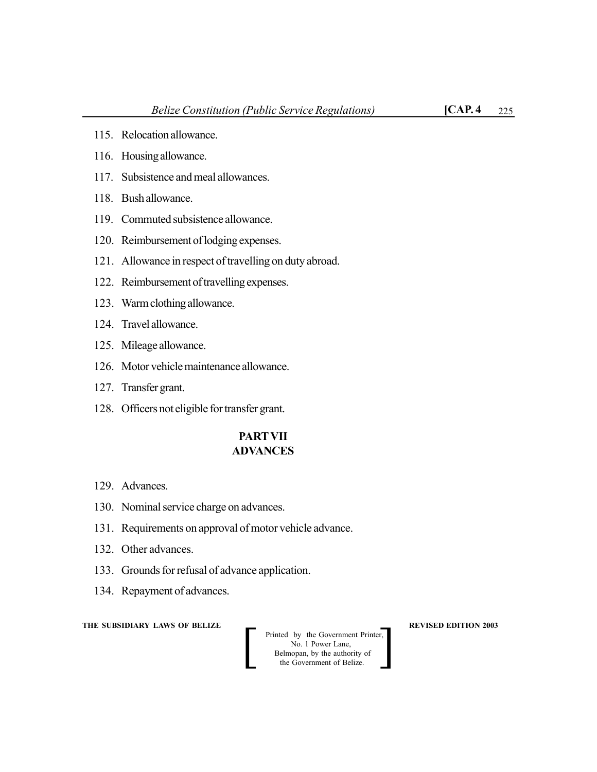- 115. Relocation allowance.
- 116. Housing allowance.
- 117. Subsistence and meal allowances.
- 118. Bush allowance.
- 119. Commuted subsistence allowance.
- 120. Reimbursement of lodging expenses.
- 121. Allowance in respect of travelling on duty abroad.
- 122. Reimbursement of travelling expenses.
- 123. Warm clothing allowance.
- 124. Travel allowance.
- 125. Mileage allowance.
- 126. Motor vehicle maintenance allowance.
- 127. Transfer grant.
- 128. Officers not eligible for transfer grant.

## **PARTVII ADVANCES**

- 129. Advances.
- 130. Nominal service charge on advances.
- 131. Requirements on approval of motor vehicle advance.
- 132. Other advances.
- 133. Grounds for refusal of advance application.
- 134. Repayment of advances.

### **THE SUBSIDIARY LAWS OF BELIZE A REVISED EDITION 2003**

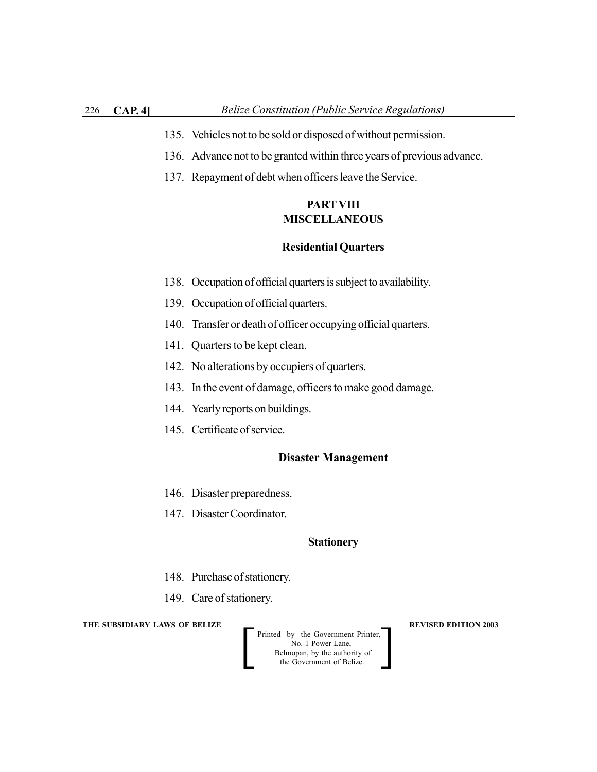- 135. Vehicles not to be sold or disposed of without permission.
- 136. Advance not to be granted within three years of previous advance.
- 137. Repayment of debt when officers leave the Service.

# **PARTVIII MISCELLANEOUS**

### **Residential Quarters**

- 138. Occupation of official quarters is subject to availability.
- 139. Occupation of official quarters.
- 140. Transfer or death of officer occupying official quarters.
- 141. Quarters to be kept clean.
- 142. No alterations by occupiers of quarters.
- 143. In the event of damage, officers to make good damage.
- 144. Yearly reports on buildings.
- 145. Certificate of service.

#### **Disaster Management**

- 146. Disaster preparedness.
- 147. Disaster Coordinator.

#### **Stationery**

- 148. Purchase of stationery.
- 149. Care of stationery.

#### **THE SUBSIDIARY LAWS OF BELIZE**  $\qquad$  **<b>REVISED EDITION 2003**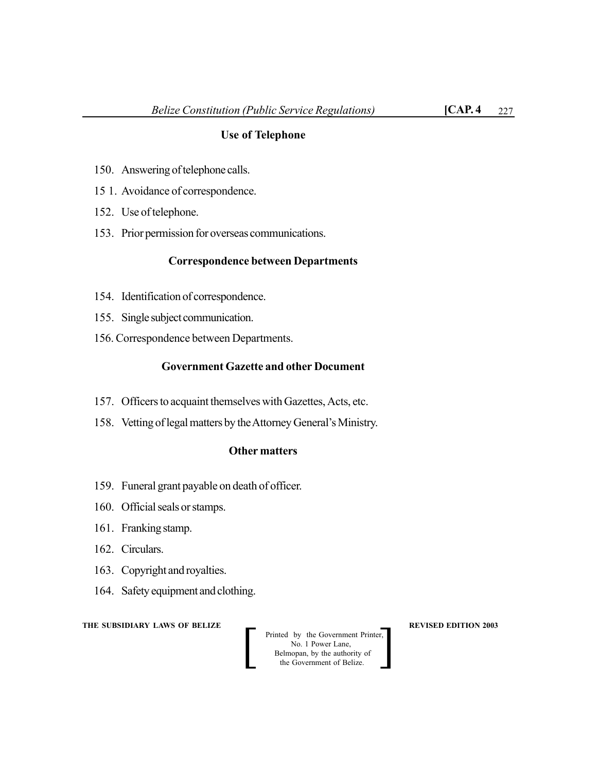## **Use of Telephone**

- 150. Answering of telephone calls.
- 15 1. Avoidance of correspondence.
- 152. Use of telephone.
- 153. Prior permission for overseas communications.

### **Correspondence between Departments**

- 154. Identification of correspondence.
- 155. Single subject communication.
- 156. Correspondence between Departments.

## **Government Gazette and other Document**

- 157. Officers to acquaint themselves with Gazettes, Acts, etc.
- 158. Vetting of legal matters by the Attorney General's Ministry.

### **Other matters**

- 159. Funeral grant payable on death of officer.
- 160. Official seals or stamps.
- 161. Franking stamp.
- 162. Circulars.
- 163. Copyright and royalties.
- 164. Safety equipment and clothing.

**THE SUBSIDIARY LAWS OF BELIZE**  $\qquad$  $\qquad$  **REVISED EDITION 2003**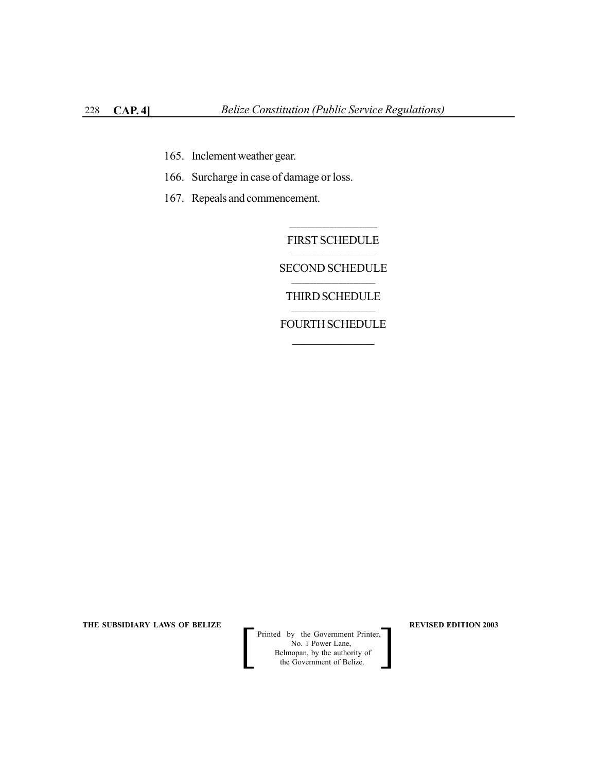- 165. Inclement weather gear.
- 166. Surcharge in case of damage or loss.
- 167. Repeals and commencement.

 $\mathcal{L}_\text{max}$ FIRST SCHEDULE \_\_\_\_\_\_\_\_\_\_\_\_\_\_\_\_\_\_\_\_\_\_\_

SECOND SCHEDULE  $\mathcal{L}_\text{max}$ 

THIRD SCHEDULE  $\mathcal{L}_\text{max}$ 

FOURTH SCHEDULE  $\frac{1}{2}$ 

THE SUBSIDIARY LAWS OF BELIZE **REVISED EDITION 2003**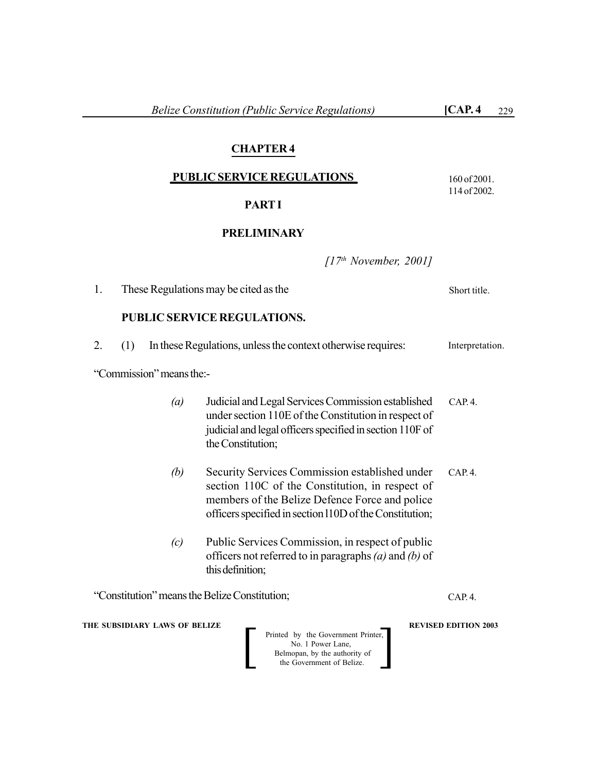# **CHAPTER 4**

## **PUBLIC SERVICE REGULATIONS**

## **PART I**

## **PRELIMINARY**

*[17th November, 2001]*

**THE SUBSIDIARY LAWS OF BELIZE**  $\qquad$  **WE REVISED EDITION 2003** Printed by the Government Printer, No. 1 Power Lane, Belmopan, by the authority of<br>the Government of Belize. Printed by the Government Printer,<br>No. 1 Power Lane,<br>Belmopan, by the authority of<br>the Government of Belize. 1. These Regulations may be cited as the **PUBLIC SERVICE REGULATIONS.** 2. (1) In these Regulations, unless the context otherwise requires: "Commission" means the:- *(a)* Judicial and Legal Services Commission established under section 110E of the Constitution in respect of judicial and legal officers specified in section 110F of the Constitution; *(b)* Security Services Commission established under section 110C of the Constitution, in respect of members of the Belize Defence Force and police officers specified in section l10D of the Constitution; *(c)* Public Services Commission, in respect of public officers not referred to in paragraphs *(a)* and *(b)* of this definition; "Constitution" means the Belize Constitution; Interpretation. Short title. CAP. 4. CAP. 4. CAP. 4.

160 of 2001. 114 of 2002.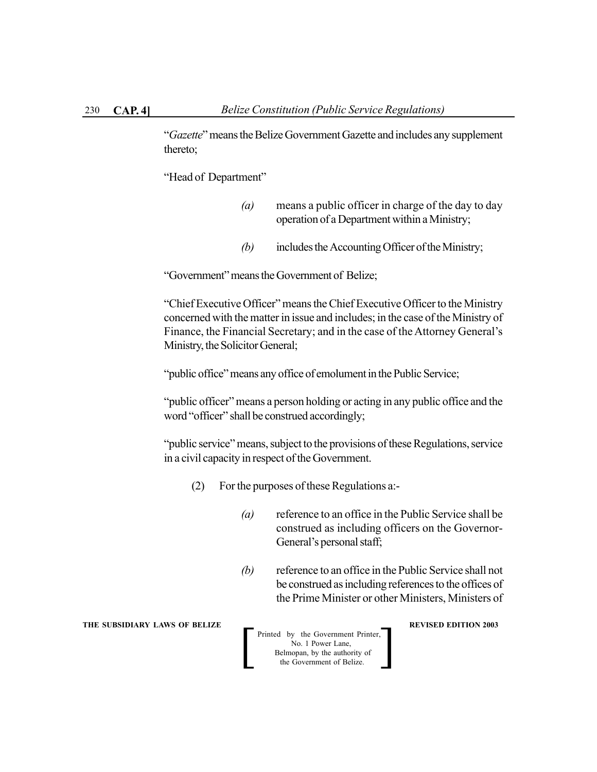"*Gazette*" means the Belize Government Gazette and includes any supplement thereto;

"Head of Department"

- *(a)* means a public officer in charge of the day to day operation of a Department within a Ministry;
- *(b)* includes the Accounting Officer of the Ministry;

"Government" means the Government of Belize;

"Chief Executive Officer" means the Chief Executive Officer to the Ministry concerned with the matter in issue and includes; in the case of the Ministry of Finance, the Financial Secretary; and in the case of the Attorney General's Ministry, the Solicitor General;

"public office" means any office of emolument in the Public Service;

"public officer" means a person holding or acting in any public office and the word "officer" shall be construed accordingly;

"public service" means, subject to the provisions of these Regulations, service in a civil capacity in respect of the Government.

- (2) For the purposes of these Regulations a:-
	- *(a)* reference to an office in the Public Service shall be construed as including officers on the Governor-General's personal staff;
	- *(b)* reference to an office in the Public Service shall not be construed as including references to the offices of the Prime Minister or other Ministers, Ministers of

**THE SUBSIDIARY LAWS OF BELIZE REVISED EDITION 2003** 

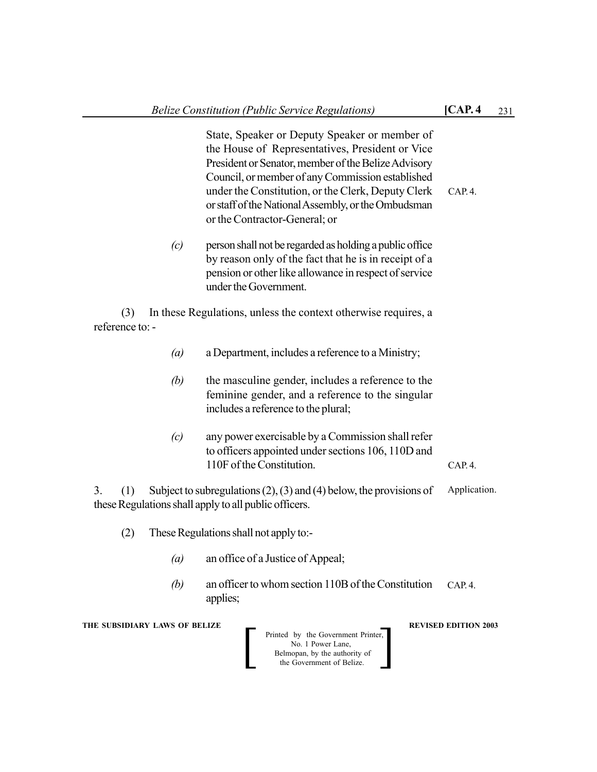|                               | State, Speaker or Deputy Speaker or member of<br>the House of Representatives, President or Vice<br>President or Senator, member of the Belize Advisory<br>Council, or member of any Commission established<br>under the Constitution, or the Clerk, Deputy Clerk<br>or staff of the National Assembly, or the Ombudsman<br>or the Contractor-General; or | CAP. 4.                     |
|-------------------------------|-----------------------------------------------------------------------------------------------------------------------------------------------------------------------------------------------------------------------------------------------------------------------------------------------------------------------------------------------------------|-----------------------------|
| (c)                           | person shall not be regarded as holding a public office<br>by reason only of the fact that he is in receipt of a<br>pension or other like allowance in respect of service<br>under the Government.                                                                                                                                                        |                             |
| (3)<br>reference to: -        | In these Regulations, unless the context otherwise requires, a                                                                                                                                                                                                                                                                                            |                             |
| $\left(a\right)$              | a Department, includes a reference to a Ministry;                                                                                                                                                                                                                                                                                                         |                             |
| (b)                           | the masculine gender, includes a reference to the<br>feminine gender, and a reference to the singular<br>includes a reference to the plural;                                                                                                                                                                                                              |                             |
| (c)                           | any power exercisable by a Commission shall refer<br>to officers appointed under sections 106, 110D and<br>110F of the Constitution.                                                                                                                                                                                                                      | CAP. 4.                     |
| 3.<br>(1)                     | Subject to subregulations $(2)$ , $(3)$ and $(4)$ below, the provisions of<br>these Regulations shall apply to all public officers.                                                                                                                                                                                                                       | Application.                |
| (2)                           | These Regulations shall not apply to:-                                                                                                                                                                                                                                                                                                                    |                             |
| (a)                           | an office of a Justice of Appeal;                                                                                                                                                                                                                                                                                                                         |                             |
| (b)                           | an officer to whom section 110B of the Constitution<br>applies;                                                                                                                                                                                                                                                                                           | CAP.4.                      |
| THE SUBSIDIARY LAWS OF BELIZE | Printed by the Government Printer,<br>No. 1 Power Lane,<br>Belmopan, by the authority of<br>the Government of Belize.                                                                                                                                                                                                                                     | <b>REVISED EDITION 2003</b> |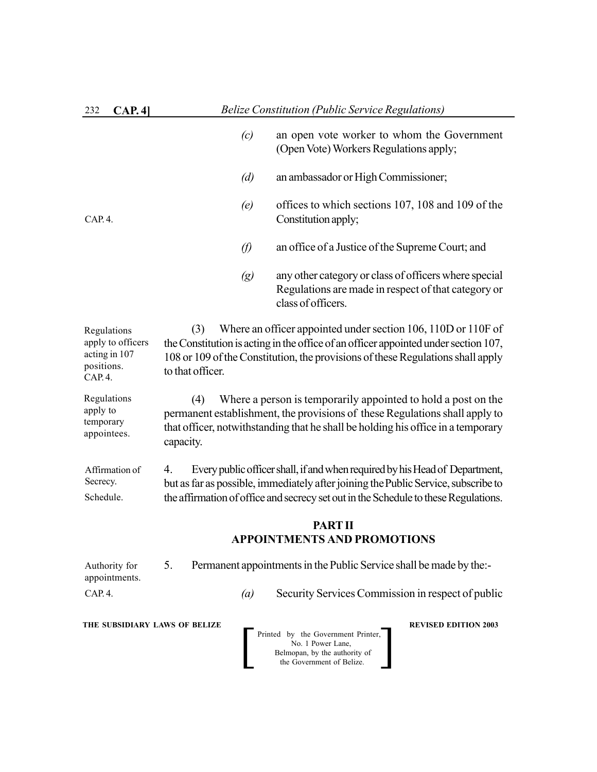| 232<br>CAP.4                                                                                                                                                                          |                         | <b>Belize Constitution (Public Service Regulations)</b>                                                                                                                                                                                                  |  |  |
|---------------------------------------------------------------------------------------------------------------------------------------------------------------------------------------|-------------------------|----------------------------------------------------------------------------------------------------------------------------------------------------------------------------------------------------------------------------------------------------------|--|--|
|                                                                                                                                                                                       | (c)                     | an open vote worker to whom the Government<br>(Open Vote) Workers Regulations apply;                                                                                                                                                                     |  |  |
|                                                                                                                                                                                       | (d)                     | an ambassador or High Commissioner;                                                                                                                                                                                                                      |  |  |
| CAP.4.                                                                                                                                                                                | (e)                     | offices to which sections 107, 108 and 109 of the<br>Constitution apply;                                                                                                                                                                                 |  |  |
|                                                                                                                                                                                       | $\varnothing$           | an office of a Justice of the Supreme Court; and                                                                                                                                                                                                         |  |  |
|                                                                                                                                                                                       | $\left( g\right)$       | any other category or class of officers where special<br>Regulations are made in respect of that category or<br>class of officers.                                                                                                                       |  |  |
| Regulations<br>apply to officers<br>acting in 107<br>positions.<br>CAP. 4.                                                                                                            | (3)<br>to that officer. | Where an officer appointed under section 106, 110D or 110F of<br>the Constitution is acting in the office of an officer appointed under section 107,<br>108 or 109 of the Constitution, the provisions of these Regulations shall apply                  |  |  |
| Regulations<br>apply to<br>temporary<br>appointees.                                                                                                                                   | (4)<br>capacity.        | Where a person is temporarily appointed to hold a post on the<br>permanent establishment, the provisions of these Regulations shall apply to<br>that officer, notwithstanding that he shall be holding his office in a temporary                         |  |  |
| Affirmation of<br>Secrecy.<br>Schedule.                                                                                                                                               | 4.                      | Every public officer shall, if and when required by his Head of Department,<br>but as far as possible, immediately after joining the Public Service, subscribe to<br>the affirmation of office and secrecy set out in the Schedule to these Regulations. |  |  |
|                                                                                                                                                                                       |                         | <b>PART II</b>                                                                                                                                                                                                                                           |  |  |
|                                                                                                                                                                                       |                         | <b>APPOINTMENTS AND PROMOTIONS</b>                                                                                                                                                                                                                       |  |  |
| Authority for<br>appointments.                                                                                                                                                        | 5.                      | Permanent appointments in the Public Service shall be made by the:-                                                                                                                                                                                      |  |  |
| CAP.4.                                                                                                                                                                                | (a)                     | Security Services Commission in respect of public                                                                                                                                                                                                        |  |  |
| THE SUBSIDIARY LAWS OF BELIZE<br><b>REVISED EDITION 2003</b><br>Printed by the Government Printer,<br>No. 1 Power Lane,<br>Belmopan, by the authority of<br>the Government of Belize. |                         |                                                                                                                                                                                                                                                          |  |  |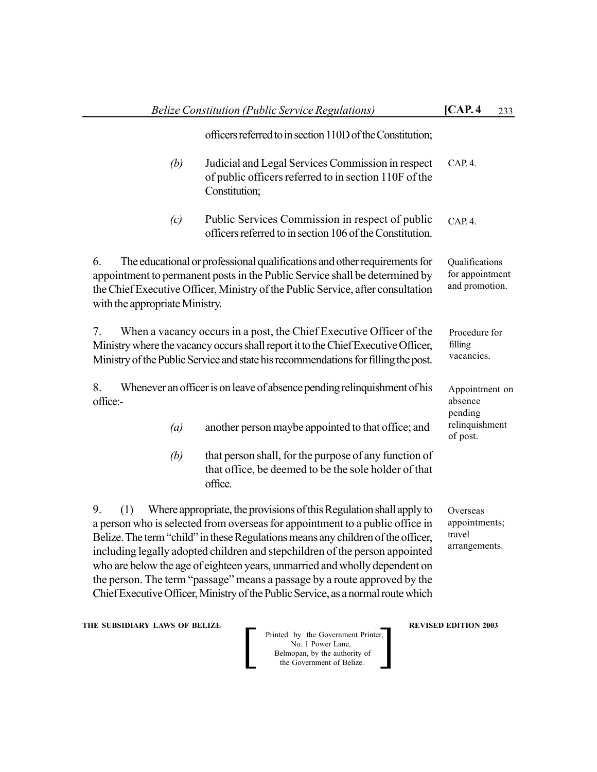|                                      | <b>Belize Constitution (Public Service Regulations)</b>                                                                                                                                                                                                                                                                                                                                                                                                                                                                                                               | [CAP. 4]                                             | 233 |
|--------------------------------------|-----------------------------------------------------------------------------------------------------------------------------------------------------------------------------------------------------------------------------------------------------------------------------------------------------------------------------------------------------------------------------------------------------------------------------------------------------------------------------------------------------------------------------------------------------------------------|------------------------------------------------------|-----|
|                                      | officers referred to in section 110D of the Constitution;                                                                                                                                                                                                                                                                                                                                                                                                                                                                                                             |                                                      |     |
| (b)                                  | Judicial and Legal Services Commission in respect<br>of public officers referred to in section 110F of the<br>Constitution;                                                                                                                                                                                                                                                                                                                                                                                                                                           | CAP. 4.                                              |     |
| (c)                                  | Public Services Commission in respect of public<br>officers referred to in section 106 of the Constitution.                                                                                                                                                                                                                                                                                                                                                                                                                                                           | CAP. 4.                                              |     |
| 6.<br>with the appropriate Ministry. | The educational or professional qualifications and other requirements for<br>appointment to permanent posts in the Public Service shall be determined by<br>the Chief Executive Officer, Ministry of the Public Service, after consultation                                                                                                                                                                                                                                                                                                                           | Qualifications<br>for appointment<br>and promotion.  |     |
| 7.                                   | When a vacancy occurs in a post, the Chief Executive Officer of the<br>Ministry where the vacancy occurs shall report it to the Chief Executive Officer,<br>Ministry of the Public Service and state his recommendations for filling the post.                                                                                                                                                                                                                                                                                                                        | Procedure for<br>filling<br>vacancies.               |     |
| 8.<br>office:-                       | Whenever an officer is on leave of absence pending relinquishment of his                                                                                                                                                                                                                                                                                                                                                                                                                                                                                              | Appointment on<br>absence<br>pending                 |     |
| (a)                                  | another person maybe appointed to that office; and                                                                                                                                                                                                                                                                                                                                                                                                                                                                                                                    | relinquishment<br>of post.                           |     |
| (b)                                  | that person shall, for the purpose of any function of<br>that office, be deemed to be the sole holder of that<br>office.                                                                                                                                                                                                                                                                                                                                                                                                                                              |                                                      |     |
| 9.<br>(1)                            | Where appropriate, the provisions of this Regulation shall apply to<br>a person who is selected from overseas for appointment to a public office in<br>Belize. The term "child" in these Regulations means any children of the officer,<br>including legally adopted children and stepchildren of the person appointed<br>who are below the age of eighteen years, unmarried and wholly dependent on<br>the person. The term "passage" means a passage by a route approved by the<br>Chief Executive Officer, Ministry of the Public Service, as a normal route which | Overseas<br>appointments;<br>travel<br>arrangements. |     |

**THE SUBSIDIARY LAWS OF BELIZE A REVISED EDITION 2003** 

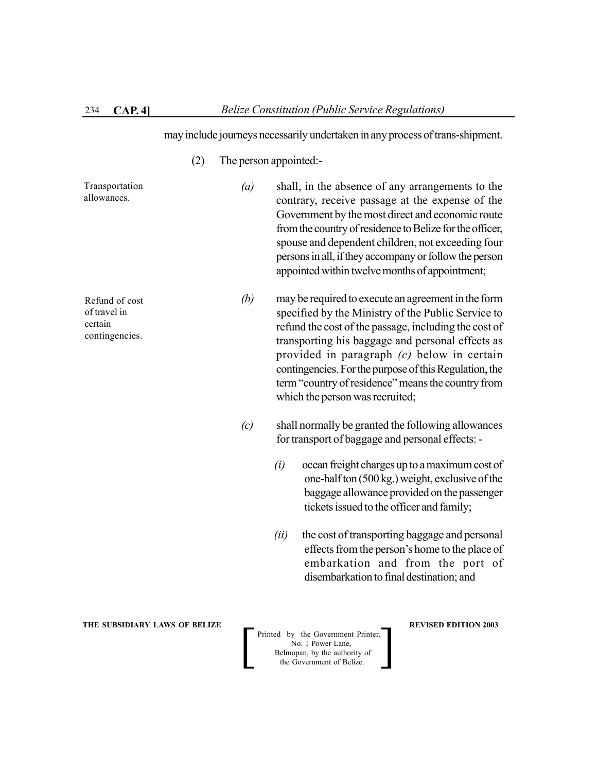may include journeys necessarily undertaken in any process of trans-shipment.

(2) The person appointed:-

Transportation allowances.

*(a)* shall, in the absence of any arrangements to the contrary, receive passage at the expense of the Government by the most direct and economic route from the country of residence to Belize for the officer, spouse and dependent children, not exceeding four persons in all, if they accompany or follow the person appointed within twelve months of appointment;

*(b)* may be required to execute an agreement in the form specified by the Ministry of the Public Service to refund the cost of the passage, including the cost of transporting his baggage and personal effects as provided in paragraph *(c)* below in certain contingencies. For the purpose of this Regulation, the term "country of residence" means the country from which the person was recruited;

- *(c)* shall normally be granted the following allowances for transport of baggage and personal effects: -
	- *(i)* ocean freight charges up to a maximum cost of one-half ton (500 kg.) weight, exclusive of the baggage allowance provided on the passenger tickets issued to the officer and family;
	- *(ii)* the cost of transporting baggage and personal effects from the person's home to the place of embarkation and from the port of disembarkation to final destination; and

**THE SUBSIDIARY LAWS OF BELIZE A LOCAL CONSUMING A LOCAL PREVISED EDITION 2003** 

 Printed by the Government Printer, No. 1 Power Lane, Belmopan, by the authority of Printed by the Government Printer,<br>No. 1 Power Lane,<br>Belmopan, by the authority of<br>the Government of Belize.

Refund of cost of travel in certain contingencies.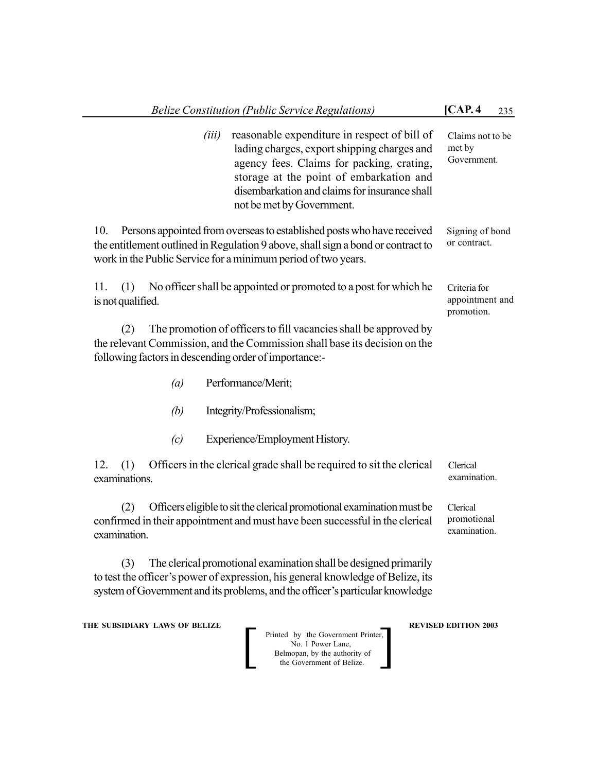| <b>Belize Constitution (Public Service Regulations)</b>                                                                                                                                                                                     |                                                                                                                                                                                                                                                                   | [CAP. 4]<br>235                               |
|---------------------------------------------------------------------------------------------------------------------------------------------------------------------------------------------------------------------------------------------|-------------------------------------------------------------------------------------------------------------------------------------------------------------------------------------------------------------------------------------------------------------------|-----------------------------------------------|
| (iii)                                                                                                                                                                                                                                       | reasonable expenditure in respect of bill of<br>lading charges, export shipping charges and<br>agency fees. Claims for packing, crating,<br>storage at the point of embarkation and<br>disembarkation and claims for insurance shall<br>not be met by Government. | Claims not to be<br>met by<br>Government.     |
| Persons appointed from overseas to established posts who have received<br>10.<br>the entitlement outlined in Regulation 9 above, shall sign a bond or contract to<br>work in the Public Service for a minimum period of two years.          |                                                                                                                                                                                                                                                                   | Signing of bond<br>or contract.               |
| No officer shall be appointed or promoted to a post for which he<br>11.<br>(1)<br>is not qualified.                                                                                                                                         |                                                                                                                                                                                                                                                                   | Criteria for<br>appointment and<br>promotion. |
| The promotion of officers to fill vacancies shall be approved by<br>(2)<br>the relevant Commission, and the Commission shall base its decision on the<br>following factors in descending order of importance:-                              |                                                                                                                                                                                                                                                                   |                                               |
| Performance/Merit;<br>$\left(a\right)$                                                                                                                                                                                                      |                                                                                                                                                                                                                                                                   |                                               |
| (b)<br>Integrity/Professionalism;                                                                                                                                                                                                           |                                                                                                                                                                                                                                                                   |                                               |
| Experience/Employment History.<br>(c)                                                                                                                                                                                                       |                                                                                                                                                                                                                                                                   |                                               |
| Officers in the clerical grade shall be required to sit the clerical<br>12.<br>(1)<br>examinations.                                                                                                                                         |                                                                                                                                                                                                                                                                   | Clerical<br>examination.                      |
| Officers eligible to sit the clerical promotional examination must be<br>(2)<br>confirmed in their appointment and must have been successful in the clerical<br>examination.                                                                |                                                                                                                                                                                                                                                                   | Clerical<br>promotional<br>examination.       |
| The clerical promotional examination shall be designed primarily<br>(3)<br>to test the officer's power of expression, his general knowledge of Belize, its<br>system of Government and its problems, and the officer's particular knowledge |                                                                                                                                                                                                                                                                   |                                               |

**THE SUBSIDIARY LAWS OF BELIZE A REVISED EDITION 2003**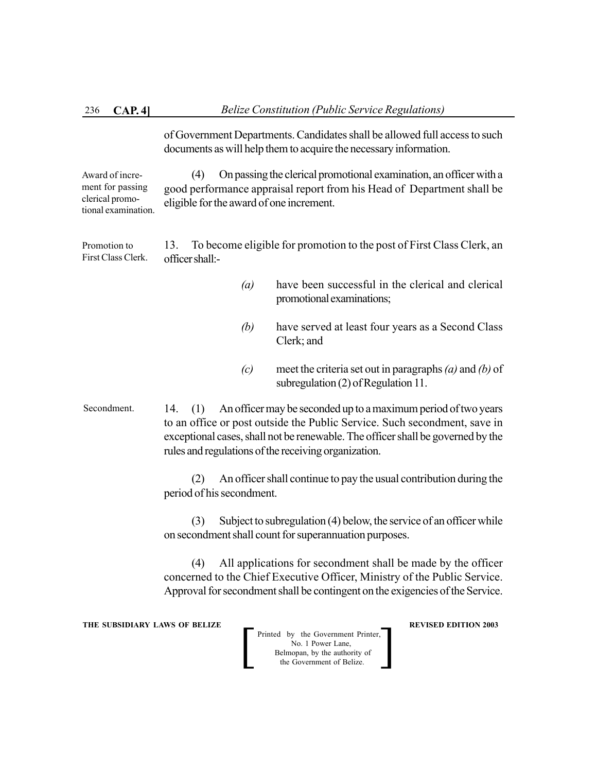of Government Departments. Candidates shall be allowed full access to such documents as will help them to acquire the necessary information.

(4) On passing the clerical promotional examination, an officer with a good performance appraisal report from his Head of Department shall be eligible for the award of one increment. Award of increment for passing clerical promotional examination.

13. To become eligible for promotion to the post of First Class Clerk, an officer shall:- Promotion to First Class Clerk.

- *(a)* have been successful in the clerical and clerical promotional examinations;
- *(b)* have served at least four years as a Second Class Clerk; and
- *(c)* meet the criteria set out in paragraphs *(a)* and *(b)* of subregulation (2) of Regulation 11.
- 14. (1) An officer may be seconded up to a maximum period of two years to an office or post outside the Public Service. Such secondment, save in exceptional cases, shall not be renewable. The officer shall be governed by the rules and regulations of the receiving organization. Secondment.

(2) An officer shall continue to pay the usual contribution during the period of his secondment.

(3) Subject to subregulation (4) below, the service of an officer while on secondment shall count for superannuation purposes.

(4) All applications for secondment shall be made by the officer concerned to the Chief Executive Officer, Ministry of the Public Service. Approval for secondment shall be contingent on the exigencies of the Service.

**THE SUBSIDIARY LAWS OF BELIZE A LOCAL CONSUMING A LOCAL PREVISED EDITION 2003**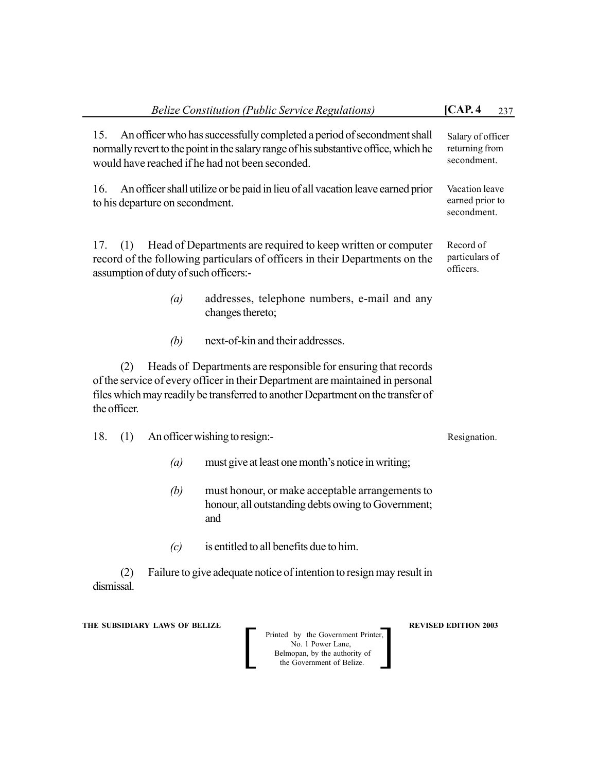| 15.                                                 | An officer who has successfully completed a period of second ment shall<br>normally revert to the point in the salary range of his substantive office, which he<br>would have reached if he had not been seconded.                  | Salary of officer<br>returning from<br>secondment. |
|-----------------------------------------------------|-------------------------------------------------------------------------------------------------------------------------------------------------------------------------------------------------------------------------------------|----------------------------------------------------|
| 16.<br>to his departure on secondment.              | An officer shall utilize or be paid in lieu of all vacation leave earned prior                                                                                                                                                      | Vacation leave<br>earned prior to<br>secondment.   |
| 17.<br>(1)<br>assumption of duty of such officers:- | Head of Departments are required to keep written or computer<br>record of the following particulars of officers in their Departments on the                                                                                         | Record of<br>particulars of<br>officers.           |
|                                                     | (a)<br>addresses, telephone numbers, e-mail and any<br>changes thereto;                                                                                                                                                             |                                                    |
|                                                     | next-of-kin and their addresses.<br>(b)                                                                                                                                                                                             |                                                    |
| (2)<br>the officer.                                 | Heads of Departments are responsible for ensuring that records<br>of the service of every officer in their Department are maintained in personal<br>files which may readily be transferred to another Department on the transfer of |                                                    |
| 18.<br>(1)                                          | An officer wishing to resign:-                                                                                                                                                                                                      | Resignation.                                       |
|                                                     | must give at least one month's notice in writing;<br>$\left(a\right)$                                                                                                                                                               |                                                    |
|                                                     | (b)<br>must honour, or make acceptable arrangements to<br>honour, all outstanding debts owing to Government;<br>and                                                                                                                 |                                                    |
|                                                     | is entitled to all benefits due to him.<br>(c)                                                                                                                                                                                      |                                                    |
| (2)<br>dismissal.                                   | Failure to give adequate notice of intention to resign may result in                                                                                                                                                                |                                                    |

**THE SUBSIDIARY LAWS OF BELIZE AND REVISED EDITION 2003**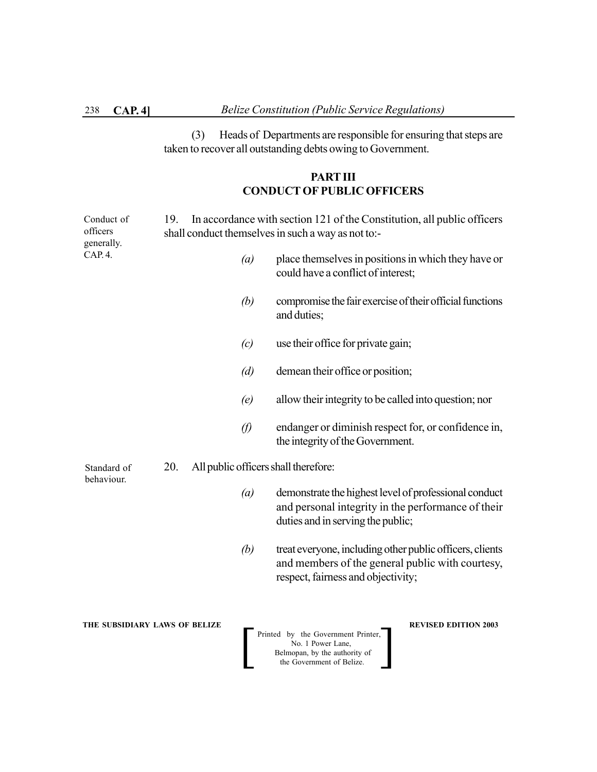(3) Heads of Departments are responsible for ensuring that steps are taken to recover all outstanding debts owing to Government.

# **PART III CONDUCT OF PUBLIC OFFICERS**

| Conduct of<br>officers<br>generally. | 19. |                  | In accordance with section 121 of the Constitution, all public officers<br>shall conduct themselves in such a way as not to:-                        |
|--------------------------------------|-----|------------------|------------------------------------------------------------------------------------------------------------------------------------------------------|
| CAP. 4.                              |     | $\left(a\right)$ | place themselves in positions in which they have or<br>could have a conflict of interest;                                                            |
|                                      |     | (b)              | compromise the fair exercise of their official functions<br>and duties;                                                                              |
|                                      |     | (c)              | use their office for private gain;                                                                                                                   |
|                                      |     | (d)              | demean their office or position;                                                                                                                     |
|                                      |     | (e)              | allow their integrity to be called into question; nor                                                                                                |
|                                      |     | $\varnothing$    | endanger or diminish respect for, or confidence in,<br>the integrity of the Government.                                                              |
| Standard of<br>behaviour.            | 20. |                  | All public officers shall therefore:                                                                                                                 |
|                                      |     | $\left(a\right)$ | demonstrate the highest level of professional conduct<br>and personal integrity in the performance of their<br>duties and in serving the public;     |
|                                      |     | (b)              | treat everyone, including other public officers, clients<br>and members of the general public with courtesy,<br>respect, fairness and objectivity;   |
| THE SUBSIDIARY LAWS OF BELIZE        |     |                  | <b>REVISED EDITION 2003</b><br>Printed by the Government Printer,<br>No. 1 Power Lane,<br>Belmopan, by the authority of<br>the Government of Belize. |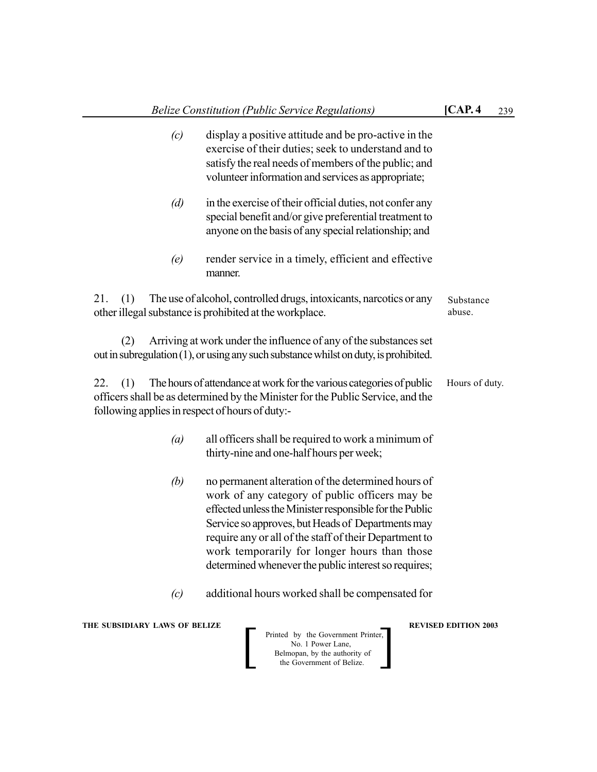- *(c)* display a positive attitude and be pro-active in the exercise of their duties; seek to understand and to satisfy the real needs of members of the public; and volunteer information and services as appropriate;
- *(d)* in the exercise of their official duties, not confer any special benefit and/or give preferential treatment to anyone on the basis of any special relationship; and
- *(e)* render service in a timely, efficient and effective manner.

21. (1) The use of alcohol, controlled drugs, intoxicants, narcotics or any other illegal substance is prohibited at the workplace. Substance abuse.

(2) Arriving at work under the influence of any of the substances set out in subregulation (1), or using any such substance whilst on duty, is prohibited.

22. (1) The hours of attendance at work for the various categories of public officers shall be as determined by the Minister for the Public Service, and the following applies in respect of hours of duty:- Hours of duty.

- *(a)* all officers shall be required to work a minimum of thirty-nine and one-half hours per week;
- *(b)* no permanent alteration of the determined hours of work of any category of public officers may be effected unless the Minister responsible for the Public Service so approves, but Heads of Departments may require any or all of the staff of their Department to work temporarily for longer hours than those determined whenever the public interest so requires;
- *(c)* additional hours worked shall be compensated for

**THE SUBSIDIARY LAWS OF BELIZE A LOCAL CONSUMING A LOCAL PREVISED EDITION 2003** 

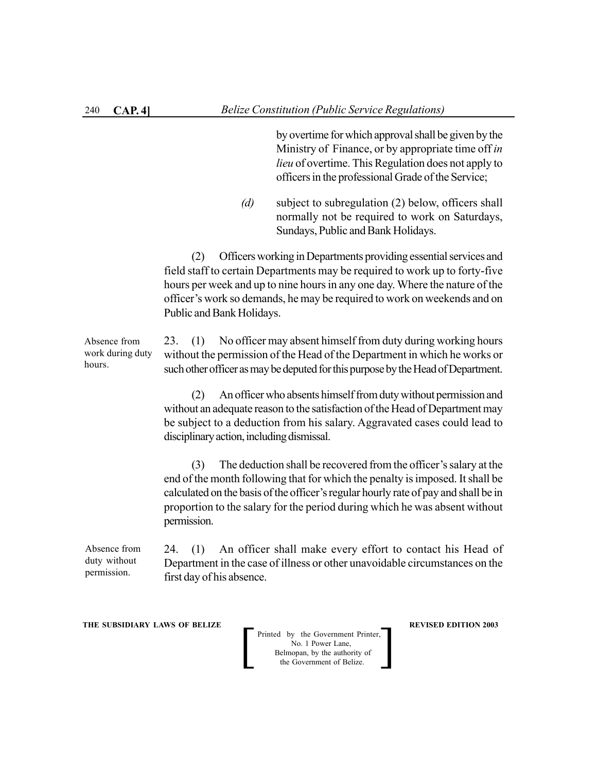by overtime for which approval shall be given by the Ministry of Finance, or by appropriate time off *in lieu* of overtime. This Regulation does not apply to officers in the professional Grade of the Service;

*(d)* subject to subregulation (2) below, officers shall normally not be required to work on Saturdays, Sundays, Public and Bank Holidays.

(2) Officers working in Departments providing essential services and field staff to certain Departments may be required to work up to forty-five hours per week and up to nine hours in any one day. Where the nature of the officer's work so demands, he may be required to work on weekends and on Public and Bank Holidays.

23. (1) No officer may absent himself from duty during working hours without the permission of the Head of the Department in which he works or such other officer as may be deputed for this purpose by the Head of Department. Absence from work during duty hours.

> (2) An officer who absents himself from duty without permission and without an adequate reason to the satisfaction of the Head of Department may be subject to a deduction from his salary. Aggravated cases could lead to disciplinary action, including dismissal.

> (3) The deduction shall be recovered from the officer's salary at the end of the month following that for which the penalty is imposed. It shall be calculated on the basis of the officer's regular hourly rate of pay and shall be in proportion to the salary for the period during which he was absent without permission.

24. (1) An officer shall make every effort to contact his Head of Department in the case of illness or other unavoidable circumstances on the first day of his absence. Absence from duty without permission.

**THE SUBSIDIARY LAWS OF BELIZE REVISED EDITION 2003**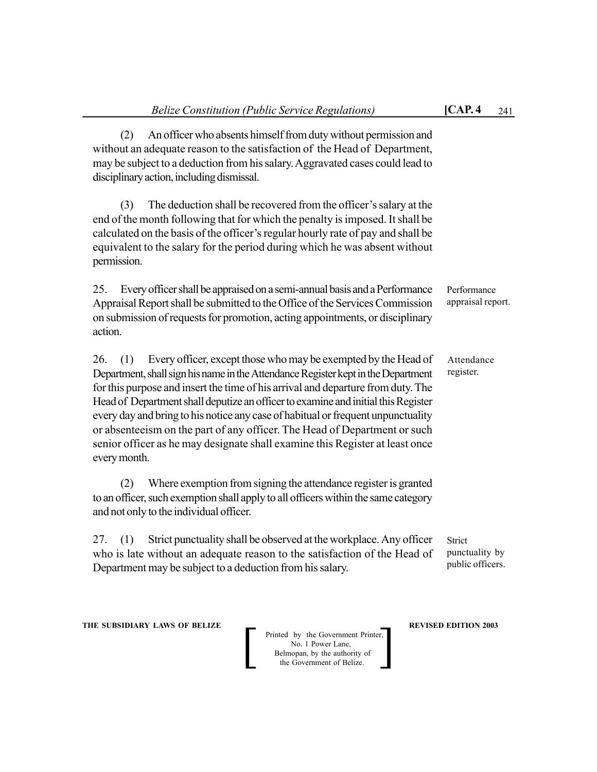(2) An officer who absents himself from duty without permission and without an adequate reason to the satisfaction of the Head of Department, may be subject to a deduction from his salary. Aggravated cases could lead to

disciplinary action, including dismissal.

(3) The deduction shall be recovered from the officer's salary at the end of the month following that for which the penalty is imposed. It shall be calculated on the basis of the officer's regular hourly rate of pay and shall be equivalent to the salary for the period during which he was absent without permission.

25. Every officer shall be appraised on a semi-annual basis and a Performance Appraisal Report shall be submitted to the Office of the Services Commission on submission of requests for promotion, acting appointments, or disciplinary action. Performance appraisal report.

26. (1) Every officer, except those who may be exempted by the Head of Department, shall sign his name in the Attendance Register kept in the Department for this purpose and insert the time of his arrival and departure from duty. The Head of Department shall deputize an officer to examine and initial this Register every day and bring to his notice any case of habitual or frequent unpunctuality or absenteeism on the part of any officer. The Head of Department or such senior officer as he may designate shall examine this Register at least once every month.

(2) Where exemption from signing the attendance register is granted to an officer, such exemption shall apply to all officers within the same category and not only to the individual officer.

27. (1) Strict punctuality shall be observed at the workplace. Any officer who is late without an adequate reason to the satisfaction of the Head of Department may be subject to a deduction from his salary.

Strict punctuality by public officers.

**THE SUBSIDIARY LAWS OF BELIZE A LOCAL CONSUMING A LOCAL PREVISED EDITION 2003** 

Printed by the Government Printer, No. 1 Power Lane, Belmopan, by the authority of Printed by the Government Printer,<br>No. 1 Power Lane,<br>Belmopan, by the authority of<br>the Government of Belize.

Attendance register.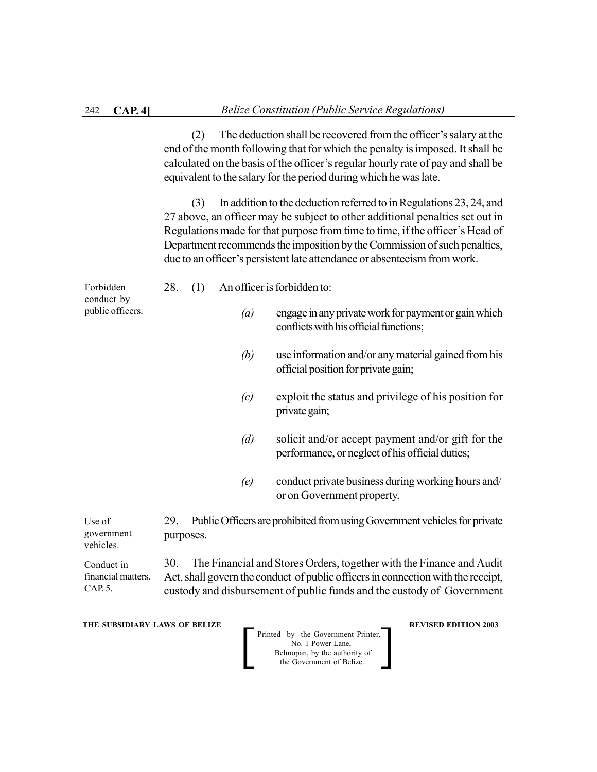(2) The deduction shall be recovered from the officer's salary at the end of the month following that for which the penalty is imposed. It shall be calculated on the basis of the officer's regular hourly rate of pay and shall be equivalent to the salary for the period during which he was late.

(3) In addition to the deduction referred to in Regulations 23, 24, and 27 above, an officer may be subject to other additional penalties set out in Regulations made for that purpose from time to time, if the officer's Head of Department recommends the imposition by the Commission of such penalties, due to an officer's persistent late attendance or absenteeism from work.

| Forbidden<br>conduct by | 28. |     | An officer is forbidden to:                                                                                  |
|-------------------------|-----|-----|--------------------------------------------------------------------------------------------------------------|
| public officers.        |     | (a) | engage in any private work for payment or gain which<br>conflicts with his official functions;               |
|                         |     | (b) | use information and/or any material gained from his<br>official position for private gain;                   |
|                         |     |     | $\mathbf{1}$ , and the second contract $\mathbf{1}$ , and $\mathbf{1}$ , and $\mathbf{1}$ , and $\mathbf{1}$ |

- *(c)* exploit the status and privilege of his position for private gain;
- *(d)* solicit and/or accept payment and/or gift for the performance, or neglect of his official duties;
- *(e)* conduct private business during working hours and/ or on Government property.

29. Public Officers are prohibited from using Government vehicles for private purposes. Use of government vehicles.

30. The Financial and Stores Orders, together with the Finance and Audit Act, shall govern the conduct of public officers in connection with the receipt, custody and disbursement of public funds and the custody of Government financial matters.

**THE SUBSIDIARY LAWS OF BELIZE REVISED EDITION 2003** 

Conduct in

CAP. 5.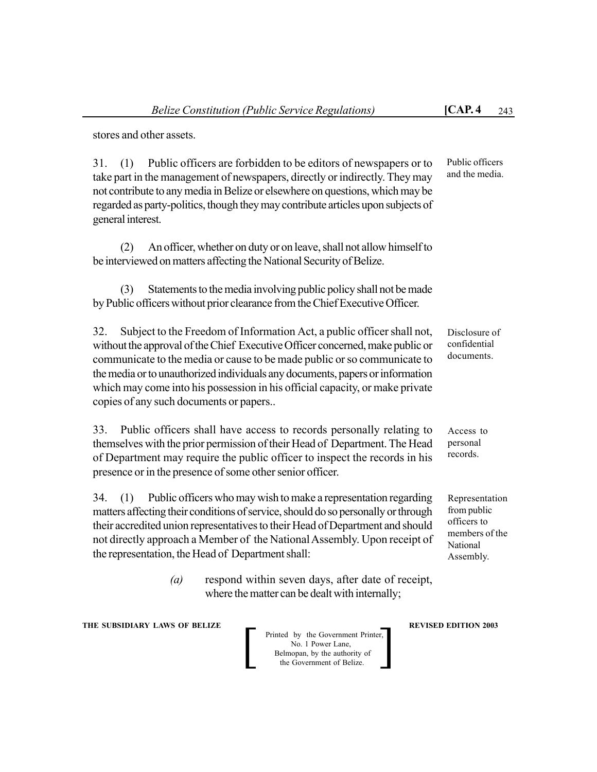stores and other assets.

31. (1) Public officers are forbidden to be editors of newspapers or to take part in the management of newspapers, directly or indirectly. They may not contribute to any media in Belize or elsewhere on questions, which may be regarded as party-politics, though they may contribute articles upon subjects of general interest.

(2) An officer, whether on duty or on leave, shall not allow himself to be interviewed on matters affecting the National Security of Belize.

(3) Statements to the media involving public policy shall not be made by Public officers without prior clearance from the Chief Executive Officer.

32. Subject to the Freedom of Information Act, a public officer shall not, without the approval of the Chief Executive Officer concerned, make public or communicate to the media or cause to be made public or so communicate to the media or to unauthorized individuals any documents, papers or information which may come into his possession in his official capacity, or make private copies of any such documents or papers.. Disclosure of

33. Public officers shall have access to records personally relating to themselves with the prior permission of their Head of Department. The Head of Department may require the public officer to inspect the records in his presence or in the presence of some other senior officer.

34. (1) Public officers who may wish to make a representation regarding matters affecting their conditions of service, should do so personally or through their accredited union representatives to their Head of Department and should not directly approach a Member of the National Assembly. Upon receipt of the representation, the Head of Department shall:

> *(a)* respond within seven days, after date of receipt, where the matter can be dealt with internally;

**THE SUBSIDIARY LAWS OF BELIZE A LOCAL CONSUMING A LOCAL PREVISED EDITION 2003** 

Printed by the Government Printer, No. 1 Power Lane, Belmopan, by the authority of<br>the Government of Belize. Printed by the Government Printer,<br>No. 1 Power Lane,<br>Belmopan, by the authority of<br>the Government of Belize.

confidential documents.

Access to personal records.

Representation from public officers to members of the National Assembly.

Public officers and the media.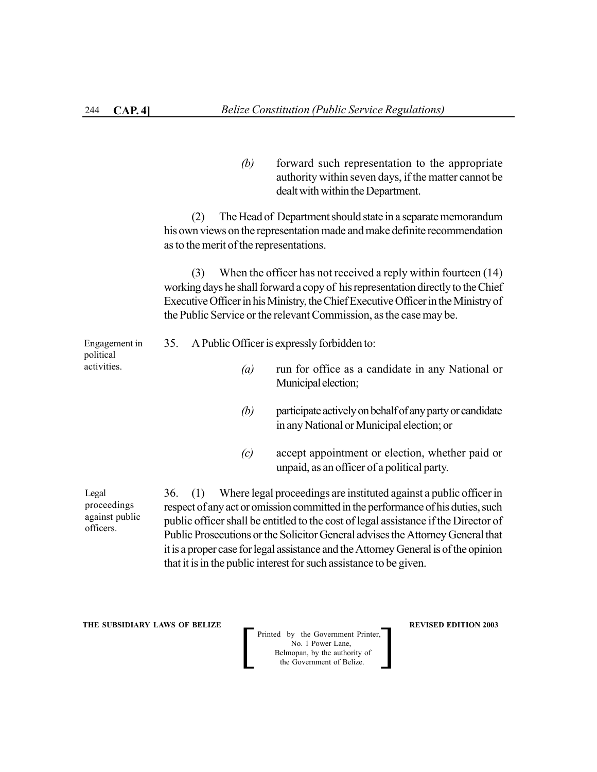*(b)* forward such representation to the appropriate authority within seven days, if the matter cannot be dealt with within the Department.

(2) The Head of Department should state in a separate memorandum his own views on the representation made and make definite recommendation as to the merit of the representations.

(3) When the officer has not received a reply within fourteen (14) working days he shall forward a copy of his representation directly to the Chief Executive Officer in his Ministry, the Chief Executive Officer in the Ministry of the Public Service or the relevant Commission, as the case may be.

35. A Public Officer is expressly forbidden to: *(a)* run for office as a candidate in any National or Municipal election; Engagement in political activities.

- *(b)* participate actively on behalf of any party or candidate in any National or Municipal election; or
- *(c)* accept appointment or election, whether paid or unpaid, as an officer of a political party.

Legal proceedings against public officers.

36. (1) Where legal proceedings are instituted against a public officer in respect of any act or omission committed in the performance of his duties, such public officer shall be entitled to the cost of legal assistance if the Director of Public Prosecutions or the Solicitor General advises the Attorney General that it is a proper case for legal assistance and the Attorney General is of the opinion that it is in the public interest for such assistance to be given.

**THE SUBSIDIARY LAWS OF BELIZE REVISED EDITION 2003**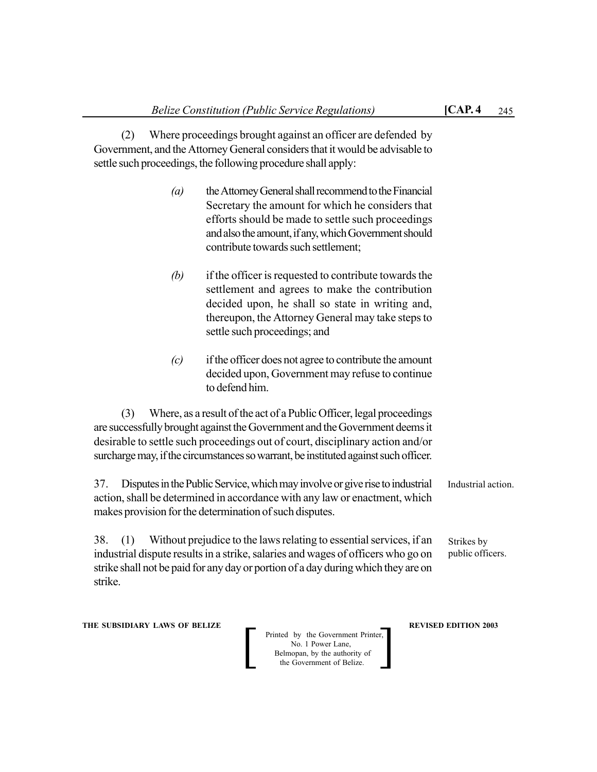(2) Where proceedings brought against an officer are defended by Government, and the Attorney General considers that it would be advisable to settle such proceedings, the following procedure shall apply:

- *(a)* the Attorney General shall recommend to the Financial Secretary the amount for which he considers that efforts should be made to settle such proceedings and also the amount, if any, which Government should contribute towards such settlement;
- *(b)* if the officer is requested to contribute towards the settlement and agrees to make the contribution decided upon, he shall so state in writing and, thereupon, the Attorney General may take steps to settle such proceedings; and
- *(c)* if the officer does not agree to contribute the amount decided upon, Government may refuse to continue to defend him.

(3) Where, as a result of the act of a Public Officer, legal proceedings are successfully brought against the Government and the Government deems it desirable to settle such proceedings out of court, disciplinary action and/or surcharge may, if the circumstances so warrant, be instituted against such officer.

37. Disputes in the Public Service, which may involve or give rise to industrial action, shall be determined in accordance with any law or enactment, which makes provision for the determination of such disputes.

38. (1) Without prejudice to the laws relating to essential services, if an industrial dispute results in a strike, salaries and wages of officers who go on strike shall not be paid for any day or portion of a day during which they are on strike. public officers.

**THE SUBSIDIARY LAWS OF BELIZE A LOCAL CONSUMING A LOCAL PREVISED EDITION 2003** 

Printed by the Government Printer, No. 1 Power Lane, Belmopan, by the authority of<br>the Government of Belize. Printed by the Government Printer,<br>No. 1 Power Lane,<br>Belmopan, by the authority of<br>the Government of Belize.

Industrial action.

Strikes by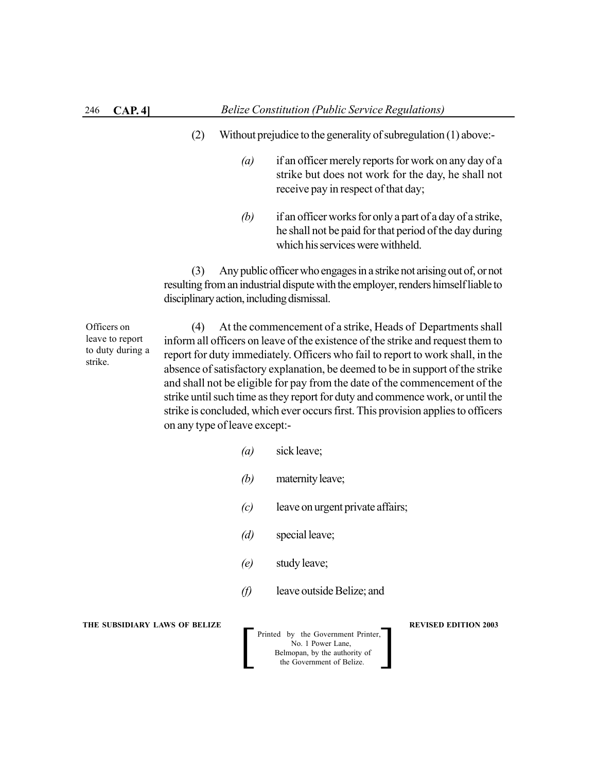- (2) Without prejudice to the generality of subregulation (1) above:-
	- *(a)* if an officer merely reports for work on any day of a strike but does not work for the day, he shall not receive pay in respect of that day;
	- *(b)* if an officer works for only a part of a day of a strike, he shall not be paid for that period of the day during which his services were withheld.

(3) Any public officer who engages in a strike not arising out of, or not resulting from an industrial dispute with the employer, renders himself liable to disciplinary action, including dismissal.

Officers on leave to report to duty during a strike.

(4) At the commencement of a strike, Heads of Departments shall inform all officers on leave of the existence of the strike and request them to report for duty immediately. Officers who fail to report to work shall, in the absence of satisfactory explanation, be deemed to be in support of the strike and shall not be eligible for pay from the date of the commencement of the strike until such time as they report for duty and commence work, or until the strike is concluded, which ever occurs first. This provision applies to officers on any type of leave except:-

- *(a)* sick leave;
- *(b)* maternity leave;
- *(c)* leave on urgent private affairs;
- *(d)* special leave;
- *(e)* study leave;
- *(f)* leave outside Belize; and

**THE SUBSIDIARY LAWS OF BELIZE A LOCAL CONSUMING A LOCAL PREVISED EDITION 2003**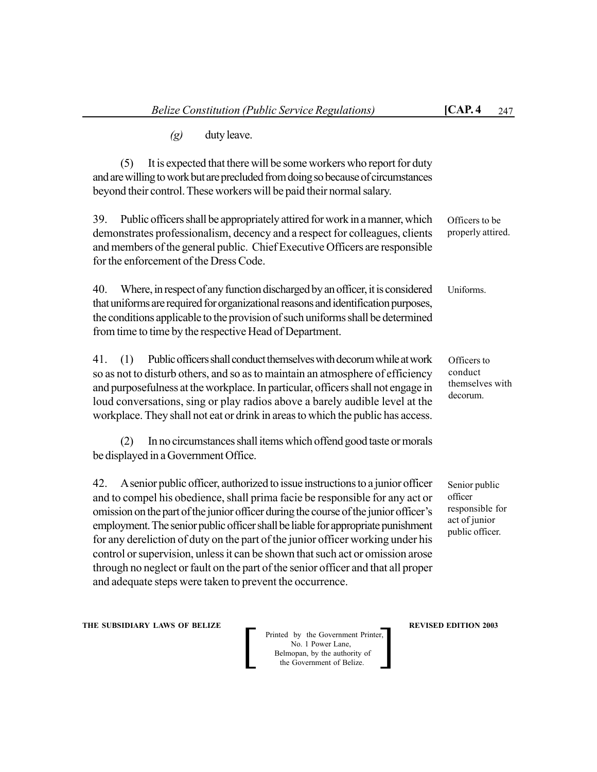*(g)* duty leave.

(5) It is expected that there will be some workers who report for duty and are willing to work but are precluded from doing so because of circumstances beyond their control. These workers will be paid their normal salary.

39. Public officers shall be appropriately attired for work in a manner, which demonstrates professionalism, decency and a respect for colleagues, clients and members of the general public. Chief Executive Officers are responsible for the enforcement of the Dress Code. Officers to be properly attired.

40. Where, in respect of any function discharged by an officer, it is considered that uniforms are required for organizational reasons and identification purposes, the conditions applicable to the provision of such uniforms shall be determined from time to time by the respective Head of Department. Uniforms.

41. (1) Public officers shall conduct themselves with decorum while at work so as not to disturb others, and so as to maintain an atmosphere of efficiency and purposefulness at the workplace. In particular, officers shall not engage in loud conversations, sing or play radios above a barely audible level at the workplace. They shall not eat or drink in areas to which the public has access.

(2) In no circumstances shall items which offend good taste or morals be displayed in a Government Office.

42. A senior public officer, authorized to issue instructions to a junior officer and to compel his obedience, shall prima facie be responsible for any act or omission on the part of the junior officer during the course of the junior officer's employment. The senior public officer shall be liable for appropriate punishment for any dereliction of duty on the part of the junior officer working under his control or supervision, unless it can be shown that such act or omission arose through no neglect or fault on the part of the senior officer and that all proper and adequate steps were taken to prevent the occurrence.

**THE SUBSIDIARY LAWS OF BELIZE A LOCAL CONSUMING A LOCAL PREVISED EDITION 2003** 

Printed by the Government Printer, No. 1 Power Lane, Belmopan, by the authority of<br>the Government of Belize. Printed by the Government Printer,<br>No. 1 Power Lane,<br>Belmopan, by the authority of<br>the Government of Belize.

Senior public officer

Officers to conduct

themselves with decorum.

responsible for act of junior public officer.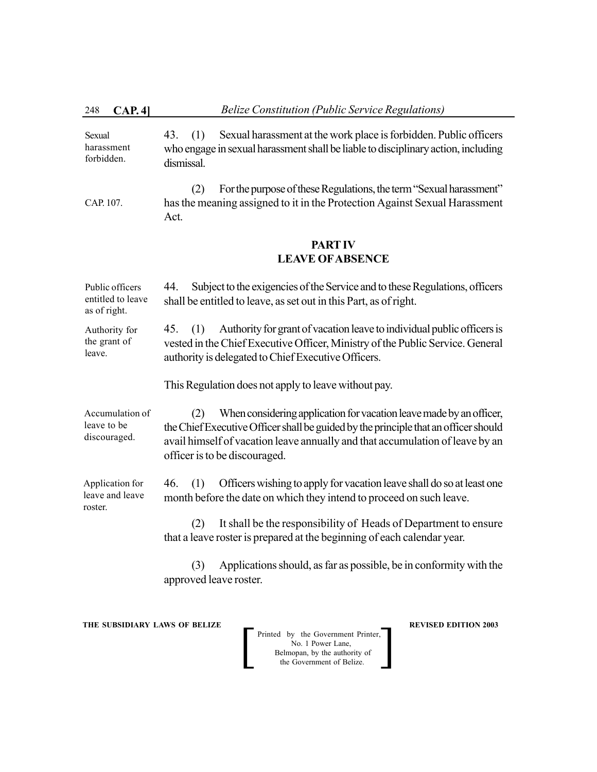| Sexual<br>harassment<br>forbidden. | Sexual harassment at the work place is forbidden. Public officers<br>43. (1)<br>who engage in sexual harassment shall be liable to disciplinary action, including<br>dismissal. |
|------------------------------------|---------------------------------------------------------------------------------------------------------------------------------------------------------------------------------|
| CAP. 107.                          | For the purpose of these Regulations, the term "Sexual harassment"<br>has the meaning assigned to it in the Protection Against Sexual Harassment<br>Act.                        |

# **PART IV LEAVE OFABSENCE**

44. Subject to the exigencies of the Service and to these Regulations, officers shall be entitled to leave, as set out in this Part, as of right. 45. (1) Authority for grant of vacation leave to individual public officers is vested in the Chief Executive Officer, Ministry of the Public Service. General authority is delegated to Chief Executive Officers. Public officers entitled to leave as of right. Authority for the grant of leave.

This Regulation does not apply to leave without pay.

(2) When considering application for vacation leave made by an officer, the Chief Executive Officer shall be guided by the principle that an officer should avail himself of vacation leave annually and that accumulation of leave by an officer is to be discouraged. Accumulation of leave to be discouraged.

46. (1) Officers wishing to apply for vacation leave shall do so at least one month before the date on which they intend to proceed on such leave. Application for leave and leave roster.

> (2) It shall be the responsibility of Heads of Department to ensure that a leave roster is prepared at the beginning of each calendar year.

> (3) Applications should, as far as possible, be in conformity with the approved leave roster.

**THE SUBSIDIARY LAWS OF BELIZE**  $\qquad$  **<b>REVISED EDITION 2003**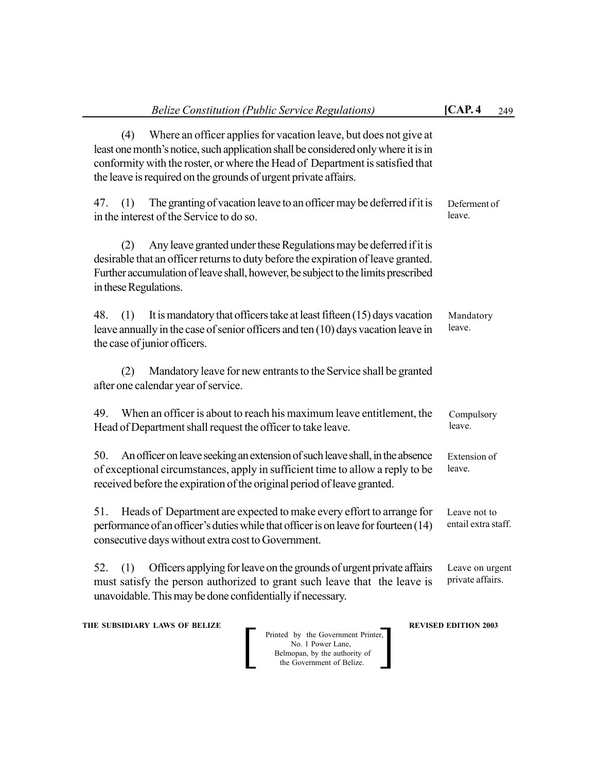| <b>Belize Constitution (Public Service Regulations)</b>                                                                                                                                                                                                                                                            | [CAP.4]<br>249                      |
|--------------------------------------------------------------------------------------------------------------------------------------------------------------------------------------------------------------------------------------------------------------------------------------------------------------------|-------------------------------------|
| Where an officer applies for vacation leave, but does not give at<br>(4)<br>least one month's notice, such application shall be considered only where it is in<br>conformity with the roster, or where the Head of Department is satisfied that<br>the leave is required on the grounds of urgent private affairs. |                                     |
| The granting of vacation leave to an officer may be deferred if it is<br>47.<br>(1)<br>in the interest of the Service to do so.                                                                                                                                                                                    | Deferment of<br>leave.              |
| Any leave granted under these Regulations may be deferred if it is<br>(2)<br>desirable that an officer returns to duty before the expiration of leave granted.<br>Further accumulation of leave shall, however, be subject to the limits prescribed<br>in these Regulations.                                       |                                     |
| It is mandatory that officers take at least fifteen (15) days vacation<br>48.<br>(1)<br>leave annually in the case of senior officers and ten (10) days vacation leave in<br>the case of junior officers.                                                                                                          | Mandatory<br>leave.                 |
| Mandatory leave for new entrants to the Service shall be granted<br>(2)<br>after one calendar year of service.                                                                                                                                                                                                     |                                     |
| When an officer is about to reach his maximum leave entitlement, the<br>49.<br>Head of Department shall request the officer to take leave.                                                                                                                                                                         | Compulsory<br>leave.                |
| An officer on leave seeking an extension of such leave shall, in the absence<br>50.<br>of exceptional circumstances, apply in sufficient time to allow a reply to be<br>received before the expiration of the original period of leave granted.                                                                    | Extension of<br>leave.              |
| Heads of Department are expected to make every effort to arrange for<br>51.<br>performance of an officer's duties while that officer is on leave for fourteen (14)<br>consecutive days without extra cost to Government.                                                                                           | Leave not to<br>entail extra staff. |
| Officers applying for leave on the grounds of urgent private affairs<br>(1)<br>52.<br>must satisfy the person authorized to grant such leave that the leave is<br>unavoidable. This may be done confidentially if necessary.                                                                                       | Leave on urgent<br>private affairs. |
|                                                                                                                                                                                                                                                                                                                    |                                     |

**THE SUBSIDIARY LAWS OF BELIZE AND REVISED EDITION 2003** 

| Printed by the Government Printer, |
|------------------------------------|
| No. 1 Power Lane.                  |
| Belmopan, by the authority of      |
| the Government of Belize.          |
|                                    |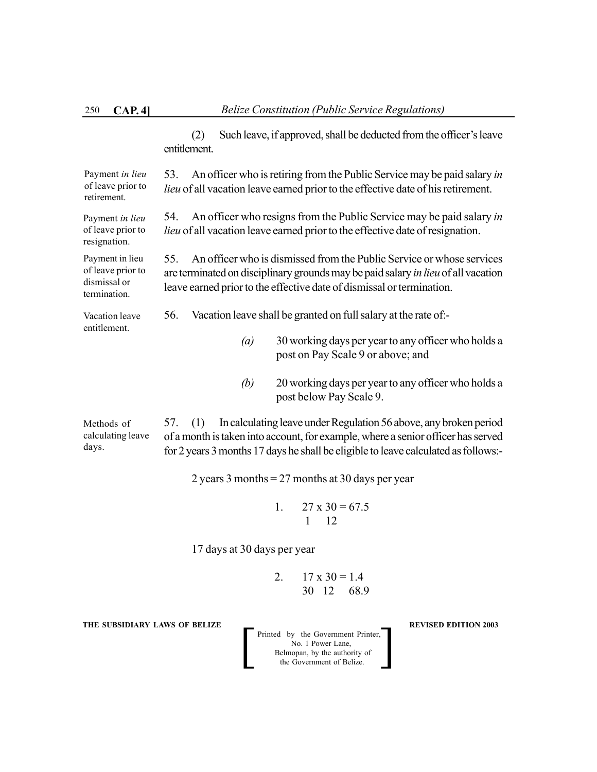(2) Such leave, if approved, shall be deducted from the officer's leave entitlement. 53. An officer who is retiring from the Public Service may be paid salary *in lieu* of all vacation leave earned prior to the effective date of his retirement. 54. An officer who resigns from the Public Service may be paid salary *in lieu* of all vacation leave earned prior to the effective date of resignation. 55. An officer who is dismissed from the Public Service or whose services are terminated on disciplinary grounds may be paid salary *in lieu* of all vacation leave earned prior to the effective date of dismissal or termination. 56. Vacation leave shall be granted on full salary at the rate of:- *(a)* 30 working days per year to any officer who holds a post on Pay Scale 9 or above; and *(b)* 20 working days per year to any officer who holds a post below Pay Scale 9. 57. (1) In calculating leave under Regulation 56 above, any broken period of a month is taken into account, for example, where a senior officer has served for 2 years 3 months 17 days he shall be eligible to leave calculated as follows:- 2 years 3 months = 27 months at 30 days per year 1.  $27 \times 30 = 67.5$  1 12 17 days at 30 days per year Payment *in lieu* of leave prior to retirement. Payment *in lieu* of leave prior to resignation. Payment in lieu of leave prior to dismissal or termination. Vacation leave entitlement. Methods of calculating leave days.

> 2.  $17 \times 30 = 1.4$ 30 12 68.9

**THE SUBSIDIARY LAWS OF BELIZE REVISED EDITION 2003**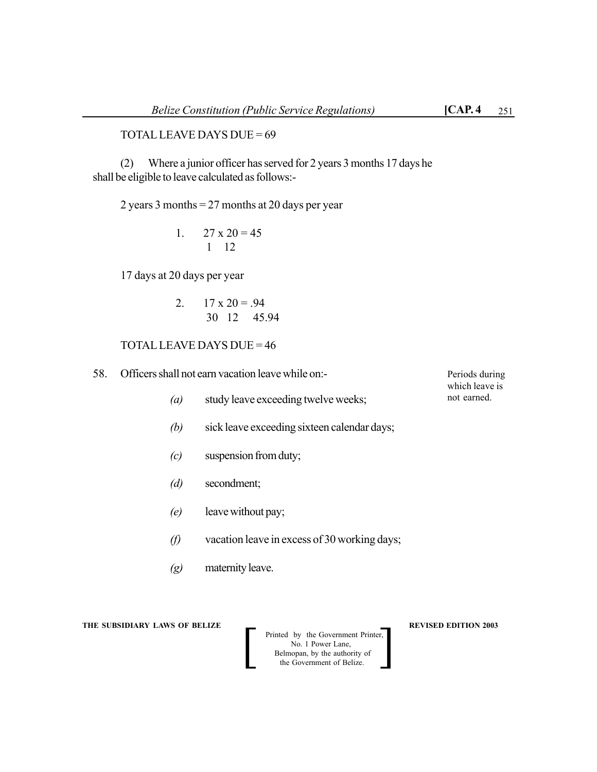## TOTAL LEAVE DAYS DUE = 69

(2) Where a junior officer has served for 2 years 3 months 17 days he shall be eligible to leave calculated as follows:-

2 years 3 months = 27 months at 20 days per year

1. 
$$
27 \times 20 = 45
$$
  
1 12

17 days at 20 days per year

2. 
$$
17 \times 20 = .94
$$
  
30 12 45.94

## TOTAL LEAVE DAYS DUE = 46

- 58. Officers shall not earn vacation leave while on:-
	- *(a)* study leave exceeding twelve weeks;
	- *(b)* sick leave exceeding sixteen calendar days;
	- *(c)* suspension from duty;
	- *(d)* secondment;
	- *(e)* leave without pay;
	- *(f)* vacation leave in excess of 30 working days;
	- *(g)* maternity leave.

**THE SUBSIDIARY LAWS OF BELIZE AND REVISED EDITION 2003** 

Printed by the Government Printer, No. 1 Power Lane, Belmopan, by the authority of<br>the Government of Belize. Printed by the Government Printer,<br>No. 1 Power Lane,<br>Belmopan, by the authority of<br>the Government of Belize.

Periods during which leave is not earned.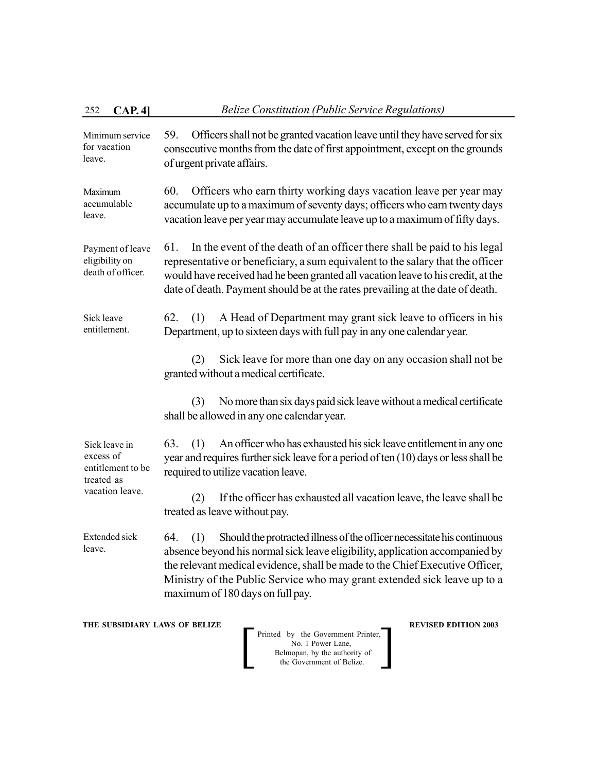| 252<br>CAP.4]                                                                    | <b>Belize Constitution (Public Service Regulations)</b>                                                                                                                                                                                                                                                                                                               |
|----------------------------------------------------------------------------------|-----------------------------------------------------------------------------------------------------------------------------------------------------------------------------------------------------------------------------------------------------------------------------------------------------------------------------------------------------------------------|
| Minimum service<br>for vacation<br>leave.                                        | Officers shall not be granted vacation leave until they have served for six<br>59.<br>consecutive months from the date of first appointment, except on the grounds<br>of urgent private affairs.                                                                                                                                                                      |
| Maximum<br>accumulable<br>leave.                                                 | Officers who earn thirty working days vacation leave per year may<br>60.<br>accumulate up to a maximum of seventy days; officers who earn twenty days<br>vacation leave per year may accumulate leave up to a maximum of fifty days.                                                                                                                                  |
| Payment of leave<br>eligibility on<br>death of officer.                          | In the event of the death of an officer there shall be paid to his legal<br>61.<br>representative or beneficiary, a sum equivalent to the salary that the officer<br>would have received had he been granted all vacation leave to his credit, at the<br>date of death. Payment should be at the rates prevailing at the date of death.                               |
| Sick leave<br>entitlement.                                                       | A Head of Department may grant sick leave to officers in his<br>62.<br>(1)<br>Department, up to sixteen days with full pay in any one calendar year.                                                                                                                                                                                                                  |
|                                                                                  | Sick leave for more than one day on any occasion shall not be<br>(2)<br>granted without a medical certificate.                                                                                                                                                                                                                                                        |
|                                                                                  | No more than six days paid sick leave without a medical certificate<br>(3)<br>shall be allowed in any one calendar year.                                                                                                                                                                                                                                              |
| Sick leave in<br>excess of<br>entitlement to be<br>treated as<br>vacation leave. | An officer who has exhausted his sick leave entitlement in any one<br>63.<br>(1)<br>year and requires further sick leave for a period of ten (10) days or less shall be<br>required to utilize vacation leave.                                                                                                                                                        |
|                                                                                  | If the officer has exhausted all vacation leave, the leave shall be<br>(2)<br>treated as leave without pay.                                                                                                                                                                                                                                                           |
| <b>Extended sick</b><br>leave.                                                   | Should the protracted illness of the officer necessitate his continuous<br>(1)<br>64.<br>absence beyond his normal sick leave eligibility, application accompanied by<br>the relevant medical evidence, shall be made to the Chief Executive Officer,<br>Ministry of the Public Service who may grant extended sick leave up to a<br>maximum of 180 days on full pay. |
| THE SUBSIDIARY LAWS OF BELIZE                                                    | <b>REVISED EDITION 2003</b><br>Printed by the Government Printer,<br>No. 1 Power Lane,<br>Belmopan, by the authority of<br>the Government of Belize.                                                                                                                                                                                                                  |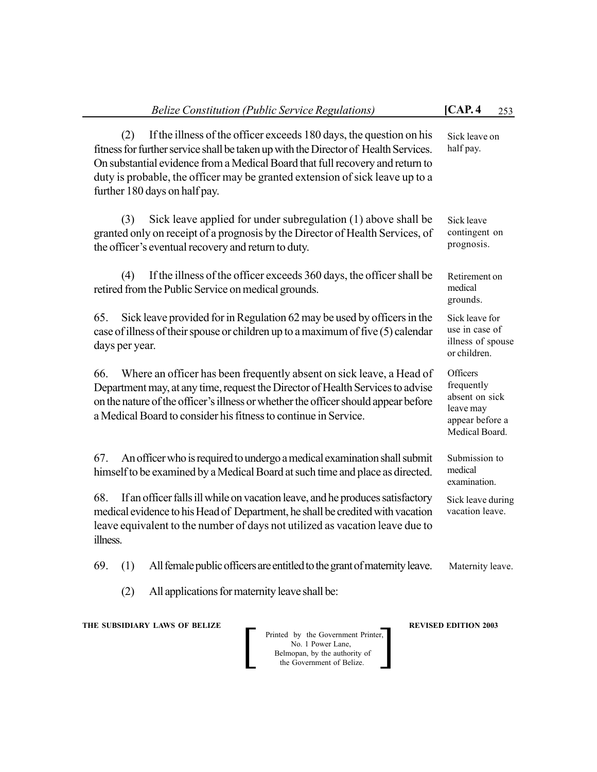(2) If the illness of the officer exceeds 180 days, the question on his fitness for further service shall be taken up with the Director of Health Services. On substantial evidence from a Medical Board that full recovery and return to duty is probable, the officer may be granted extension of sick leave up to a further 180 days on half pay.

(3) Sick leave applied for under subregulation (1) above shall be granted only on receipt of a prognosis by the Director of Health Services, of the officer's eventual recovery and return to duty.

(4) If the illness of the officer exceeds 360 days, the officer shall be retired from the Public Service on medical grounds.

65. Sick leave provided for in Regulation 62 may be used by officers in the case of illness of their spouse or children up to a maximum of five (5) calendar days per year.

66. Where an officer has been frequently absent on sick leave, a Head of Department may, at any time, request the Director of Health Services to advise on the nature of the officer's illness or whether the officer should appear before a Medical Board to consider his fitness to continue in Service.

67. An officer who is required to undergo a medical examination shall submit himself to be examined by a Medical Board at such time and place as directed.

68. If an officer falls ill while on vacation leave, and he produces satisfactory medical evidence to his Head of Department, he shall be credited with vacation leave equivalent to the number of days not utilized as vacation leave due to illness.

69. (1) All female public officers are entitled to the grant of maternity leave.

(2) All applications for maternity leave shall be:

**THE SUBSIDIARY LAWS OF BELIZE A LOCAL CONSUMING A LOCAL PREVISED EDITION 2003** 

Printed by the Government Printer, No. 1 Power Lane, Belmopan, by the authority of<br>the Government of Belize. Printed by the Government Printer,<br>No. 1 Power Lane,<br>Belmopan, by the authority of<br>the Government of Belize.

**Officers** frequently absent on sick leave may appear before a Medical Board.

Submission to medical examination.

Sick leave during vacation leave.

Maternity leave.

Sick leave on half pay.

Sick leave contingent on prognosis.

Retirement on medical grounds.

Sick leave for use in case of illness of spouse or children.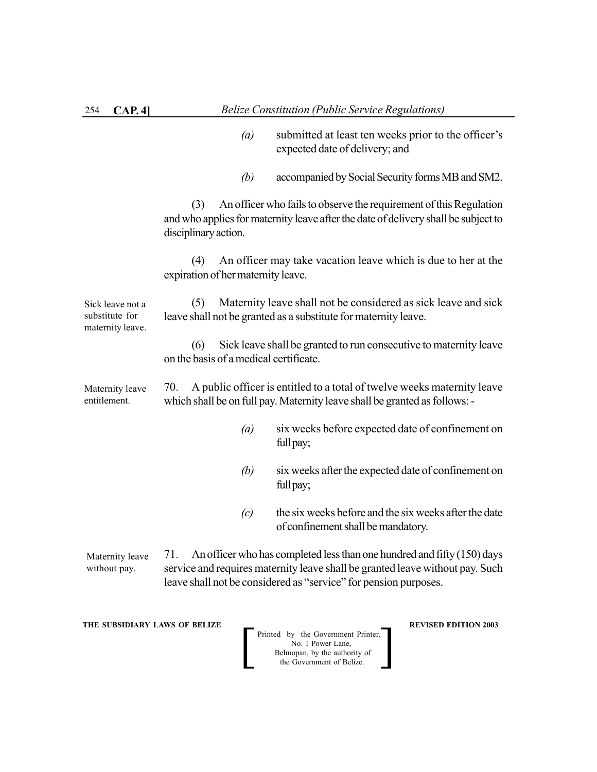| 254<br>CAP.4                                           | <b>Belize Constitution (Public Service Regulations)</b>                                                                                                                                                                             |
|--------------------------------------------------------|-------------------------------------------------------------------------------------------------------------------------------------------------------------------------------------------------------------------------------------|
|                                                        | (a)<br>submitted at least ten weeks prior to the officer's<br>expected date of delivery; and                                                                                                                                        |
|                                                        | accompanied by Social Security forms MB and SM2.<br>(b)                                                                                                                                                                             |
|                                                        | An officer who fails to observe the requirement of this Regulation<br>(3)<br>and who applies for maternity leave after the date of delivery shall be subject to<br>disciplinary action.                                             |
|                                                        | An officer may take vacation leave which is due to her at the<br>(4)<br>expiration of her maternity leave.                                                                                                                          |
| Sick leave not a<br>substitute for<br>maternity leave. | Maternity leave shall not be considered as sick leave and sick<br>(5)<br>leave shall not be granted as a substitute for maternity leave.                                                                                            |
|                                                        | Sick leave shall be granted to run consecutive to maternity leave<br>(6)<br>on the basis of a medical certificate.                                                                                                                  |
| Maternity leave<br>entitlement.                        | 70.<br>A public officer is entitled to a total of twelve weeks maternity leave<br>which shall be on full pay. Maternity leave shall be granted as follows: -                                                                        |
|                                                        | six weeks before expected date of confinement on<br>(a)<br>full pay;                                                                                                                                                                |
|                                                        | six weeks after the expected date of confinement on<br>(b)<br>full pay;                                                                                                                                                             |
|                                                        | the six weeks before and the six weeks after the date<br>(c)<br>of confinement shall be mandatory.                                                                                                                                  |
| Maternity leave<br>without pay.                        | An officer who has completed less than one hundred and fifty (150) days<br>71.<br>service and requires maternity leave shall be granted leave without pay. Such<br>leave shall not be considered as "service" for pension purposes. |

**THE SUBSIDIARY LAWS OF BELIZE REVISED EDITION 2003**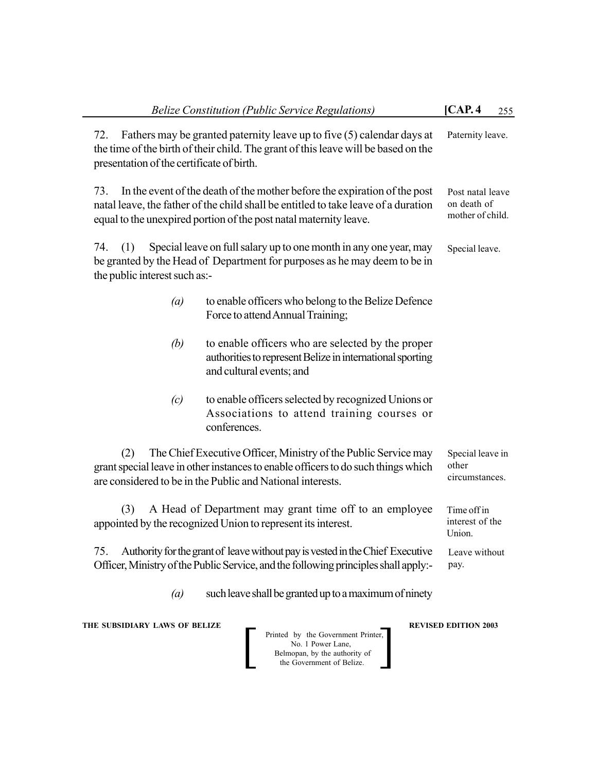| [CAP.4]<br><b>Belize Constitution (Public Service Regulations)</b><br>255                                                                                                                                                                                                                          |                                             |  |  |  |  |
|----------------------------------------------------------------------------------------------------------------------------------------------------------------------------------------------------------------------------------------------------------------------------------------------------|---------------------------------------------|--|--|--|--|
| Fathers may be granted paternity leave up to five (5) calendar days at<br>72.<br>the time of the birth of their child. The grant of this leave will be based on the<br>presentation of the certificate of birth.                                                                                   | Paternity leave.                            |  |  |  |  |
| 73.<br>In the event of the death of the mother before the expiration of the post<br>Post natal leave<br>on death of<br>natal leave, the father of the child shall be entitled to take leave of a duration<br>mother of child.<br>equal to the unexpired portion of the post natal maternity leave. |                                             |  |  |  |  |
| Special leave on full salary up to one month in any one year, may<br>74.<br>(1)<br>be granted by the Head of Department for purposes as he may deem to be in<br>the public interest such as:-                                                                                                      | Special leave.                              |  |  |  |  |
| to enable officers who belong to the Belize Defence<br>$\left(a\right)$<br>Force to attend Annual Training;                                                                                                                                                                                        |                                             |  |  |  |  |
| (b)<br>to enable officers who are selected by the proper<br>authorities to represent Belize in international sporting<br>and cultural events; and                                                                                                                                                  |                                             |  |  |  |  |
| to enable officers selected by recognized Unions or<br>(c)<br>Associations to attend training courses or<br>conferences.                                                                                                                                                                           |                                             |  |  |  |  |
| The Chief Executive Officer, Ministry of the Public Service may<br>(2)<br>grant special leave in other instances to enable officers to do such things which<br>are considered to be in the Public and National interests.                                                                          | Special leave in<br>other<br>circumstances. |  |  |  |  |
| A Head of Department may grant time off to an employee<br>(3)<br>appointed by the recognized Union to represent its interest.                                                                                                                                                                      | Time off in<br>interest of the<br>Union.    |  |  |  |  |
| Authority for the grant of leave without pay is vested in the Chief Executive<br>75.<br>Officer, Ministry of the Public Service, and the following principles shall apply:-                                                                                                                        | Leave without<br>pay.                       |  |  |  |  |
| such leave shall be granted up to a maximum of ninety<br>$\left(a\right)$                                                                                                                                                                                                                          |                                             |  |  |  |  |
| THE SUBSIDIARY LAWS OF BELIZE<br>Printed by the Government Printer,<br>No. 1 Power Lane,<br>Belmopan, by the authority of<br>the Government of Belize.                                                                                                                                             | <b>REVISED EDITION 2003</b>                 |  |  |  |  |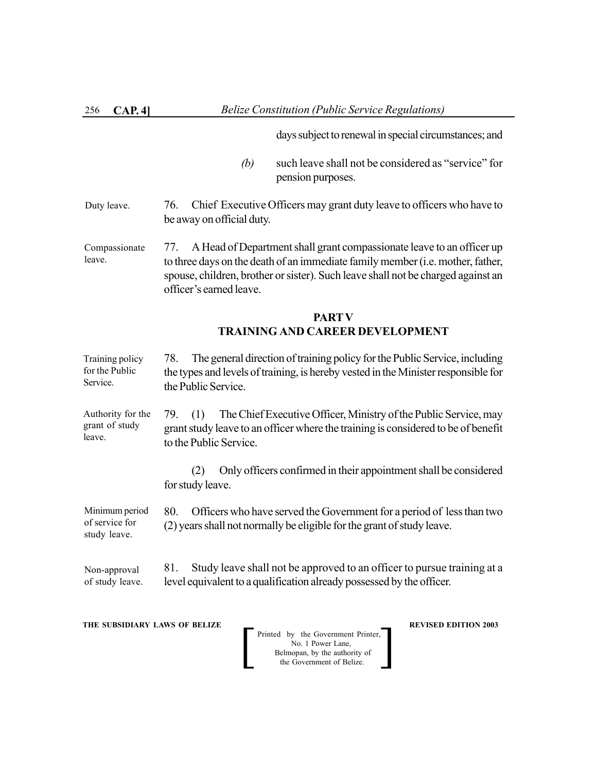days subject to renewal in special circumstances; and

- *(b)* such leave shall not be considered as "service" for pension purposes.
- 76. Chief Executive Officers may grant duty leave to officers who have to be away on official duty. Duty leave.
- 77. A Head of Department shall grant compassionate leave to an officer up to three days on the death of an immediate family member (i.e. mother, father, spouse, children, brother or sister). Such leave shall not be charged against an officer's earned leave. Compassionate leave.

# **PARTV TRAINING AND CAREER DEVELOPMENT**

78. The general direction of training policy for the Public Service, including the types and levels of training, is hereby vested in the Minister responsible for the Public Service. Training policy for the Public Service.

79. (1) The Chief Executive Officer, Ministry of the Public Service, may grant study leave to an officer where the training is considered to be of benefit to the Public Service. Authority for the grant of study leave.

> (2) Only officers confirmed in their appointment shall be considered for study leave.

80. Officers who have served the Government for a period of less than two (2) years shall not normally be eligible for the grant of study leave. Minimum period of service for study leave.

81. Study leave shall not be approved to an officer to pursue training at a level equivalent to a qualification already possessed by the officer. Non-approval of study leave.

**THE SUBSIDIARY LAWS OF BELIZE REVISED EDITION 2003**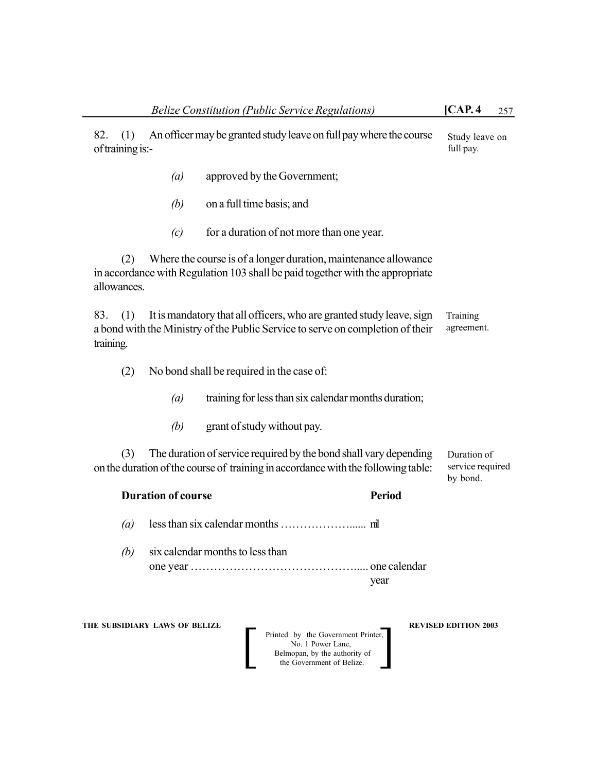| 82.<br>(1)<br>of training is:- |                               |                                              | An officer may be granted study leave on full pay where the course                                                                                     |                      | Study leave on<br>full pay.                 |
|--------------------------------|-------------------------------|----------------------------------------------|--------------------------------------------------------------------------------------------------------------------------------------------------------|----------------------|---------------------------------------------|
|                                | $\left(a\right)$              |                                              | approved by the Government;                                                                                                                            |                      |                                             |
|                                | (b)                           | on a full time basis; and                    |                                                                                                                                                        |                      |                                             |
|                                | (c)                           |                                              | for a duration of not more than one year.                                                                                                              |                      |                                             |
| (2)<br>allowances.             |                               |                                              | Where the course is of a longer duration, maintenance allowance<br>in accordance with Regulation 103 shall be paid together with the appropriate       |                      |                                             |
| 83.<br>(1)<br>training.        |                               |                                              | It is mandatory that all officers, who are granted study leave, sign<br>a bond with the Ministry of the Public Service to serve on completion of their |                      | Training<br>agreement.                      |
| (2)                            |                               |                                              | No bond shall be required in the case of:                                                                                                              |                      |                                             |
|                                | $\left(a\right)$              |                                              | training for less than six calendar months duration;                                                                                                   |                      |                                             |
|                                | (b)                           |                                              | grant of study without pay.                                                                                                                            |                      |                                             |
| (3)                            |                               |                                              | The duration of service required by the bond shall vary depending<br>on the duration of the course of training in accordance with the following table: |                      | Duration of<br>service required<br>by bond. |
|                                | <b>Duration of course</b>     |                                              |                                                                                                                                                        | <b>Period</b>        |                                             |
| (a)                            |                               |                                              |                                                                                                                                                        |                      |                                             |
| (b)                            |                               | six calendar months to less than<br>one year |                                                                                                                                                        | one calendar<br>year |                                             |
|                                | THE SUBSIDIARY LAWS OF BELIZE |                                              | Printed by the Government Printer,<br>No. 1 Power Lane,<br>Belmopan, by the authority of<br>the Government of Belize.                                  |                      | <b>REVISED EDITION 2003</b>                 |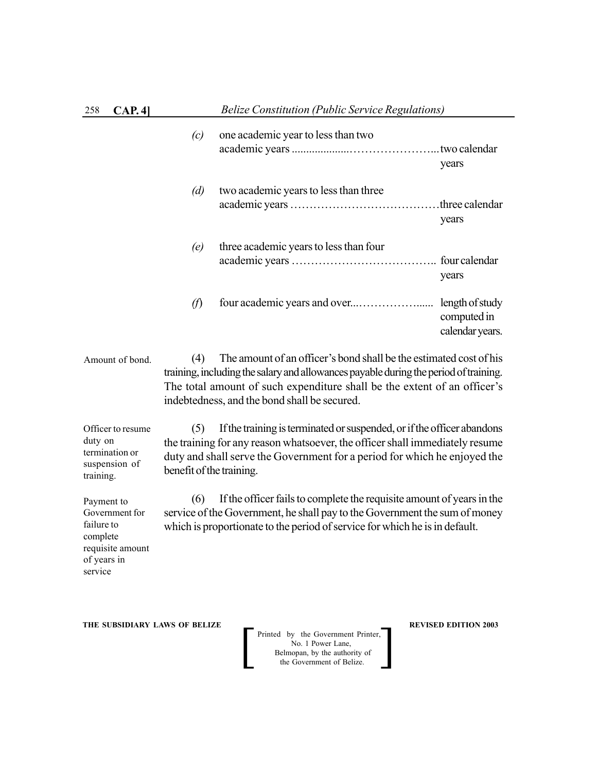| 258 | CAP.4]          |               | <b>Belize Constitution (Public Service Regulations)</b>            |                                                   |  |
|-----|-----------------|---------------|--------------------------------------------------------------------|---------------------------------------------------|--|
|     |                 | (c)           | one academic year to less than two                                 | years                                             |  |
|     |                 | (d)           | two academic years to less than three                              | three calendar.<br>years                          |  |
|     |                 | (e)           | three academic years to less than four                             | years                                             |  |
|     |                 | $\mathcal{F}$ |                                                                    | length of study<br>computed in<br>calendar years. |  |
|     | Amount of bond. | (4)           | The amount of an officer's bond shall be the estimated cost of his |                                                   |  |

training, including the salary and allowances payable during the period of training. The total amount of such expenditure shall be the extent of an officer's indebtedness, and the bond shall be secured.

Officer to resume duty on termination or suspension of training.

(5) If the training is terminated or suspended, or if the officer abandons the training for any reason whatsoever, the officer shall immediately resume duty and shall serve the Government for a period for which he enjoyed the benefit of the training.

(6) If the officer fails to complete the requisite amount of years in the service of the Government, he shall pay to the Government the sum of money which is proportionate to the period of service for which he is in default.

Payment to Government for failure to complete requisite amount of years in service

**THE SUBSIDIARY LAWS OF BELIZE**  $\qquad$  **<b>REVISED EDITION 2003**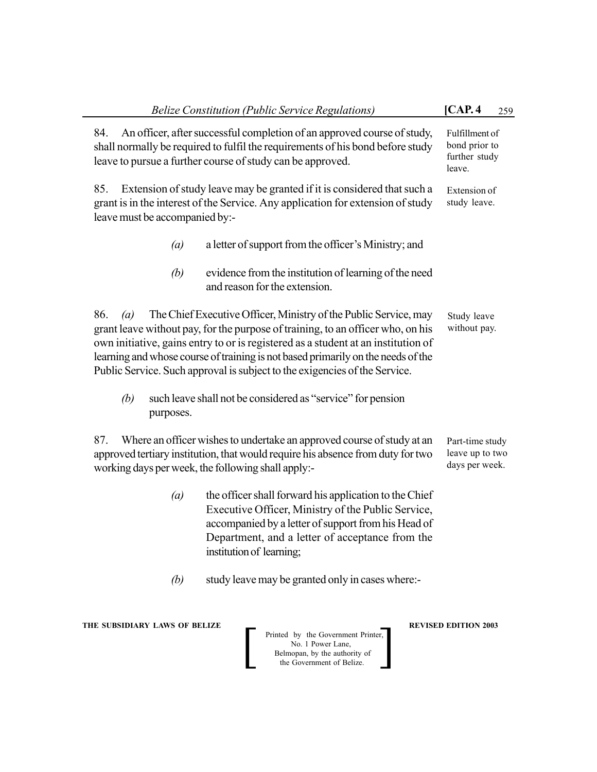| <b>Belize Constitution (Public Service Regulations)</b>                                                                                                                                                                                                                                                                                                                                                                  | [CAP.4]<br>259                                             |
|--------------------------------------------------------------------------------------------------------------------------------------------------------------------------------------------------------------------------------------------------------------------------------------------------------------------------------------------------------------------------------------------------------------------------|------------------------------------------------------------|
| An officer, after successful completion of an approved course of study,<br>84.<br>shall normally be required to fulfil the requirements of his bond before study<br>leave to pursue a further course of study can be approved.                                                                                                                                                                                           | Fulfillment of<br>bond prior to<br>further study<br>leave. |
| Extension of study leave may be granted if it is considered that such a<br>85.<br>grant is in the interest of the Service. Any application for extension of study<br>leave must be accompanied by:-                                                                                                                                                                                                                      | Extension of<br>study leave.                               |
| a letter of support from the officer's Ministry; and<br>$\left(a\right)$                                                                                                                                                                                                                                                                                                                                                 |                                                            |
| (b)<br>evidence from the institution of learning of the need<br>and reason for the extension.                                                                                                                                                                                                                                                                                                                            |                                                            |
| The Chief Executive Officer, Ministry of the Public Service, may<br>86.<br>(a)<br>grant leave without pay, for the purpose of training, to an officer who, on his<br>own initiative, gains entry to or is registered as a student at an institution of<br>learning and whose course of training is not based primarily on the needs of the<br>Public Service. Such approval is subject to the exigencies of the Service. | Study leave<br>without pay.                                |
| such leave shall not be considered as "service" for pension<br>(b)<br>purposes.                                                                                                                                                                                                                                                                                                                                          |                                                            |
| Where an officer wishes to undertake an approved course of study at an<br>87.<br>approved tertiary institution, that would require his absence from duty for two<br>working days per week, the following shall apply:-                                                                                                                                                                                                   | Part-time study<br>leave up to two<br>days per week.       |
| the officer shall forward his application to the Chief<br>$\left(a\right)$<br>Executive Officer, Ministry of the Public Service,<br>accompanied by a letter of support from his Head of<br>Department, and a letter of acceptance from the<br>institution of learning;                                                                                                                                                   |                                                            |
| study leave may be granted only in cases where:-<br>(b)                                                                                                                                                                                                                                                                                                                                                                  |                                                            |
| THE SUBSIDIARY LAWS OF BELIZE<br>Printed by the Government Printer,<br>No. 1 Power Lane,<br>Belmopan, by the authority of<br>the Government of Belize.                                                                                                                                                                                                                                                                   | <b>REVISED EDITION 2003</b>                                |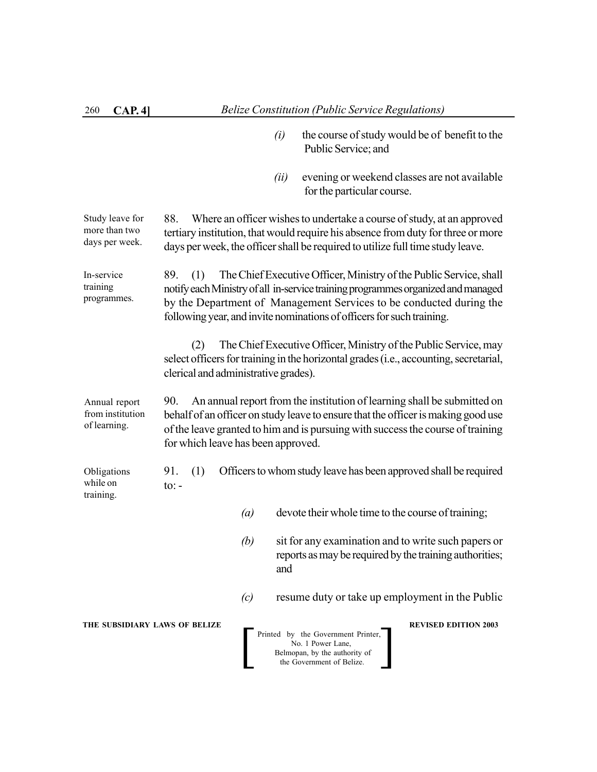- *(i)* the course of study would be of benefit to the Public Service; and
- *(ii)* evening or weekend classes are not available for the particular course.

88. Where an officer wishes to undertake a course of study, at an approved tertiary institution, that would require his absence from duty for three or more days per week, the officer shall be required to utilize full time study leave. Study leave for more than two days per week.

89. (1) The Chief Executive Officer, Ministry of the Public Service, shall notify each Ministry of all in-service training programmes organized and managed by the Department of Management Services to be conducted during the following year, and invite nominations of officers for such training. In-service training programmes.

> (2) The Chief Executive Officer, Ministry of the Public Service, may select officers for training in the horizontal grades (i.e., accounting, secretarial, clerical and administrative grades).

90. An annual report from the institution of learning shall be submitted on behalf of an officer on study leave to ensure that the officer is making good use of the leave granted to him and is pursuing with success the course of training for which leave has been approved. Annual report from institution of learning.

91. (1) Officers to whom study leave has been approved shall be required  $to: -$ Obligations while on training.

- *(a)* devote their whole time to the course of training;
- *(b)* sit for any examination and to write such papers or reports as may be required by the training authorities; and
- *(c)* resume duty or take up employment in the Public

**THE SUBSIDIARY LAWS OF BELIZE REVISED EDITION 2003**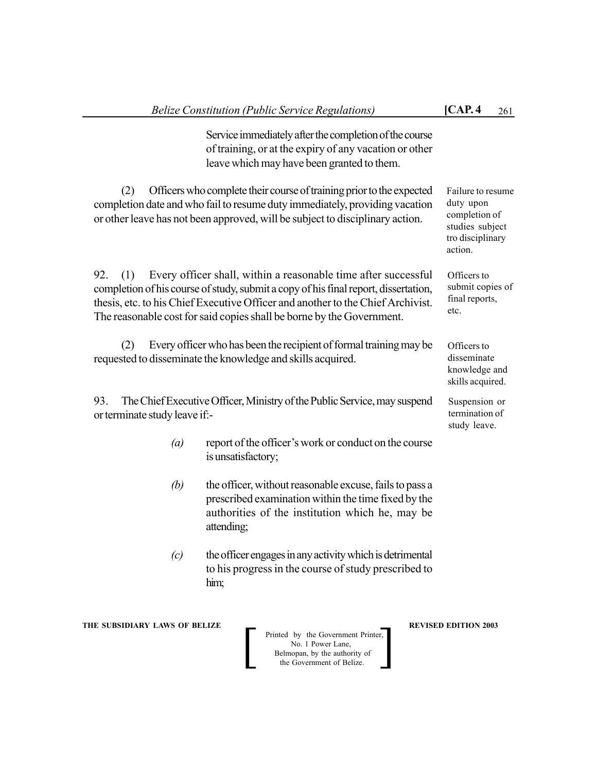Service immediately after the completion of the course of training, or at the expiry of any vacation or other leave which may have been granted to them.

(2) Officers who complete their course of training prior to the expected completion date and who fail to resume duty immediately, providing vacation or other leave has not been approved, will be subject to disciplinary action.

92. (1) Every officer shall, within a reasonable time after successful completion of his course of study, submit a copy of his final report, dissertation, thesis, etc. to his Chief Executive Officer and another to the Chief Archivist. The reasonable cost for said copies shall be borne by the Government.

(2) Every officer who has been the recipient of formal training may be requested to disseminate the knowledge and skills acquired.

93. The Chief Executive Officer, Ministry of the Public Service, may suspend or terminate study leave if:-

- *(a)* report of the officer's work or conduct on the course is unsatisfactory;
- *(b)* the officer, without reasonable excuse, fails to pass a prescribed examination within the time fixed by the authorities of the institution which he, may be attending;
- *(c)* the officer engages in any activity which is detrimental to his progress in the course of study prescribed to him;

**THE SUBSIDIARY LAWS OF BELIZE A LOCAL CONSUMING A LOCAL PREVISED EDITION 2003** 

Printed by the Government Printer, No. 1 Power Lane, Belmopan, by the authority of<br>the Government of Belize. Printed by the Government Printer,<br>No. 1 Power Lane,<br>Belmopan, by the authority of<br>the Government of Belize.

Officers to disseminate knowledge and skills acquired.

Suspension or termination of study leave.

Failure to resume duty upon completion of studies subject tro disciplinary

action.

etc.

Officers to submit copies of final reports,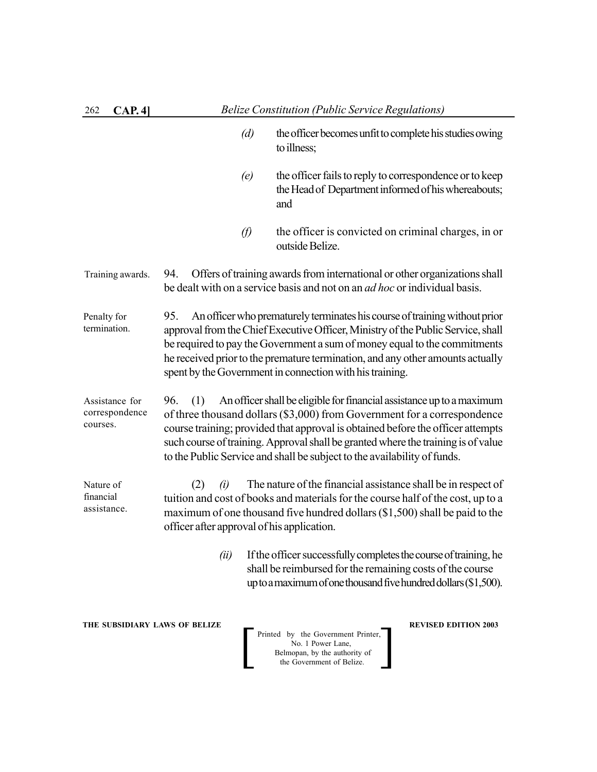| 262<br>CAP. 4]                               |                                                          | <b>Belize Constitution (Public Service Regulations)</b>                                                                                                                                                                                                                                                                                                                                               |
|----------------------------------------------|----------------------------------------------------------|-------------------------------------------------------------------------------------------------------------------------------------------------------------------------------------------------------------------------------------------------------------------------------------------------------------------------------------------------------------------------------------------------------|
|                                              | (d)                                                      | the officer becomes unfit to complete his studies owing<br>to illness;                                                                                                                                                                                                                                                                                                                                |
|                                              | (e)                                                      | the officer fails to reply to correspondence or to keep<br>the Head of Department informed of his whereabouts;<br>and                                                                                                                                                                                                                                                                                 |
|                                              | $\varnothing$                                            | the officer is convicted on criminal charges, in or<br>outside Belize.                                                                                                                                                                                                                                                                                                                                |
| Training awards.                             | 94.                                                      | Offers of training awards from international or other organizations shall<br>be dealt with on a service basis and not on an <i>ad hoc</i> or individual basis.                                                                                                                                                                                                                                        |
| Penalty for<br>termination.                  | 95.                                                      | An officer who prematurely terminates his course of training without prior<br>approval from the Chief Executive Officer, Ministry of the Public Service, shall<br>be required to pay the Government a sum of money equal to the commitments<br>he received prior to the premature termination, and any other amounts actually<br>spent by the Government in connection with his training.             |
| Assistance for<br>correspondence<br>courses. | 96.<br>(1)                                               | An officer shall be eligible for financial assistance up to a maximum<br>of three thousand dollars (\$3,000) from Government for a correspondence<br>course training; provided that approval is obtained before the officer attempts<br>such course of training. Approval shall be granted where the training is of value<br>to the Public Service and shall be subject to the availability of funds. |
| Nature of<br>financial<br>assistance.        | (2)<br>(i)<br>officer after approval of his application. | The nature of the financial assistance shall be in respect of<br>tuition and cost of books and materials for the course half of the cost, up to a<br>maximum of one thousand five hundred dollars (\$1,500) shall be paid to the                                                                                                                                                                      |
|                                              | (ii)                                                     | If the officer successfully completes the course of training, he<br>shall be reimbursed for the remaining costs of the course<br>up to a maximum of one thousand five hundred dollars (\$1,500).                                                                                                                                                                                                      |
| THE SUBSIDIARY LAWS OF BELIZE                |                                                          | <b>REVISED EDITION 2003</b><br>Printed by the Government Printer,<br>No. 1 Power Lane,<br>Belmopan, by the authority of<br>the Government of Belize.                                                                                                                                                                                                                                                  |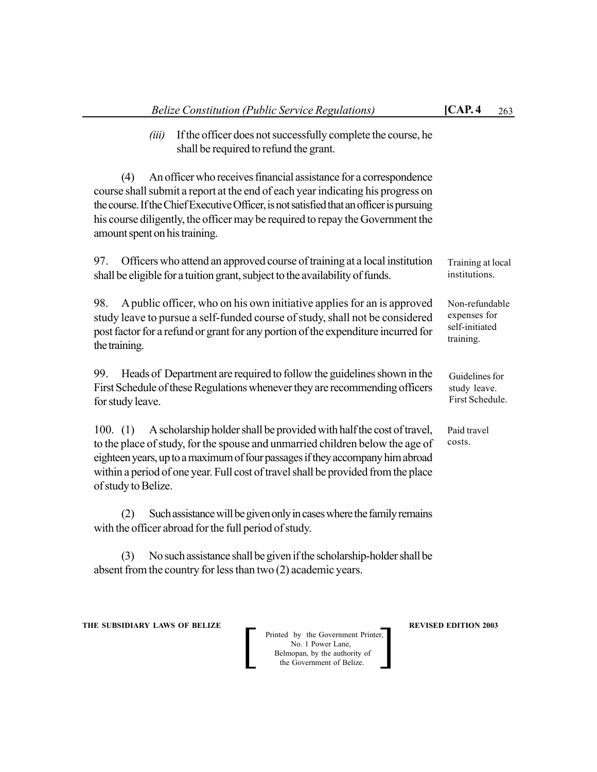*(iii)* If the officer does not successfully complete the course, he shall be required to refund the grant.

(4) An officer who receives financial assistance for a correspondence course shall submit a report at the end of each year indicating his progress on the course. If the Chief Executive Officer, is not satisfied that an officer is pursuing his course diligently, the officer may be required to repay the Government the amount spent on his training.

97. Officers who attend an approved course of training at a local institution shall be eligible for a tuition grant, subject to the availability of funds.

98. A public officer, who on his own initiative applies for an is approved study leave to pursue a self-funded course of study, shall not be considered post factor for a refund or grant for any portion of the expenditure incurred for the training.

99. Heads of Department are required to follow the guidelines shown in the First Schedule of these Regulationswhenever they are recommending officers for study leave.

100. (1) A scholarship holder shall be provided with half the cost of travel, to the place of study, for the spouse and unmarried children below the age of eighteen years, up to a maximum of four passages if they accompany him abroad within a period of one year. Full cost of travel shall be provided from the place of study to Belize.

(2) Such assistance will be given only in cases where the family remains with the officer abroad for the full period of study.

(3) No such assistance shall be given if the scholarship-holder shall be absent from the country for less than two (2) academic years.

**THE SUBSIDIARY LAWS OF BELIZE A LOCAL CONSUMING A LOCAL PREVISED EDITION 2003** 

Printed by the Government Printer, No. 1 Power Lane, Belmopan, by the authority of<br>the Government of Belize. Printed by the Government Printer,<br>No. 1 Power Lane,<br>Belmopan, by the authority of<br>the Government of Belize.

Guidelines for study leave. First Schedule.

Training at local institutions.

Non-refundable expenses for self-initiated training.

Paid travel costs.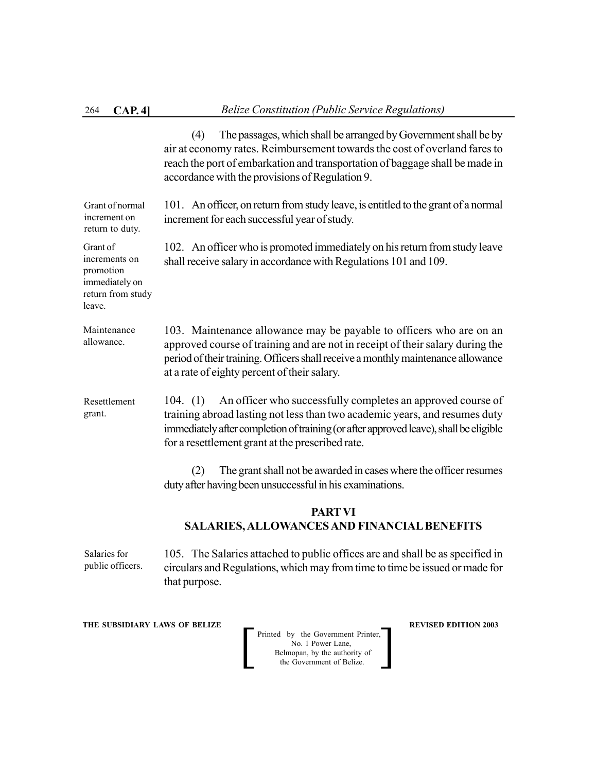Grant of

promotion immediately on return from study

leave.

(4) The passages, which shall be arranged by Government shall be by air at economy rates. Reimbursement towards the cost of overland fares to reach the port of embarkation and transportation of baggage shall be made in accordance with the provisions of Regulation 9.

101. An officer, on return from study leave, is entitled to the grant of a normal increment for each successful year of study. Grant of normal increment on return to duty.

102. An officer who is promoted immediately on his return from study leave shall receive salary in accordance with Regulations 101 and 109. increments on

103. Maintenance allowance may be payable to officers who are on an approved course of training and are not in receipt of their salary during the period of their training. Officers shall receive a monthly maintenance allowance at a rate of eighty percent of their salary. Maintenance allowance.

104. (1) An officer who successfully completes an approved course of training abroad lasting not less than two academic years, and resumes duty immediately after completion of training (or after approved leave), shall be eligible for a resettlement grant at the prescribed rate. Resettlement grant.

> (2) The grant shall not be awarded in cases where the officer resumes duty after having been unsuccessful in his examinations.

# **PARTVI SALARIES, ALLOWANCES AND FINANCIAL BENEFITS**

105. The Salaries attached to public offices are and shall be as specified in circulars and Regulations, which may from time to time be issued or made for that purpose. Salaries for public officers.

**THE SUBSIDIARY LAWS OF BELIZE REVISED EDITION 2003**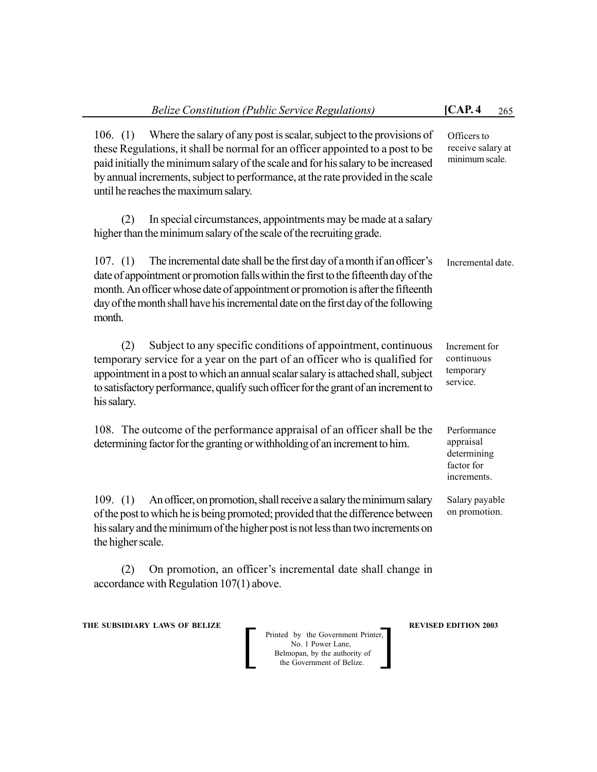| <b>Belize Constitution (Public Service Regulations)</b>                                                                                                                                                                                                                                                                                                                              | [CAP.4]<br>265                                                       |
|--------------------------------------------------------------------------------------------------------------------------------------------------------------------------------------------------------------------------------------------------------------------------------------------------------------------------------------------------------------------------------------|----------------------------------------------------------------------|
| Where the salary of any post is scalar, subject to the provisions of<br>106. $(1)$<br>these Regulations, it shall be normal for an officer appointed to a post to be<br>paid initially the minimum salary of the scale and for his salary to be increased<br>by annual increments, subject to performance, at the rate provided in the scale<br>until he reaches the maximum salary. | Officers to<br>receive salary at<br>minimum scale.                   |
| In special circumstances, appointments may be made at a salary<br>(2)<br>higher than the minimum salary of the scale of the recruiting grade.                                                                                                                                                                                                                                        |                                                                      |
| The incremental date shall be the first day of a month if an officer's<br>107. (1)<br>date of appointment or promotion falls within the first to the fifteenth day of the<br>month. An officer whose date of appointment or promotion is after the fifteenth<br>day of the month shall have his incremental date on the first day of the following<br>month.                         | Incremental date.                                                    |
| Subject to any specific conditions of appointment, continuous<br>(2)<br>temporary service for a year on the part of an officer who is qualified for<br>appointment in a post to which an annual scalar salary is attached shall, subject<br>to satisfactory performance, qualify such officer for the grant of an increment to<br>his salary.                                        | Increment for<br>continuous<br>temporary<br>service.                 |
| 108. The outcome of the performance appraisal of an officer shall be the<br>determining factor for the granting or withholding of an increment to him.                                                                                                                                                                                                                               | Performance<br>appraisal<br>determining<br>factor for<br>increments. |
| An officer, on promotion, shall receive a salary the minimum salary<br>109. (1)<br>of the post to which he is being promoted; provided that the difference between<br>his salary and the minimum of the higher post is not less than two increments on<br>the higher scale.                                                                                                          | Salary payable<br>on promotion.                                      |
|                                                                                                                                                                                                                                                                                                                                                                                      |                                                                      |

(2) On promotion, an officer's incremental date shall change in accordance with Regulation 107(1) above.

**THE SUBSIDIARY LAWS OF BELIZE A REVISED EDITION 2003**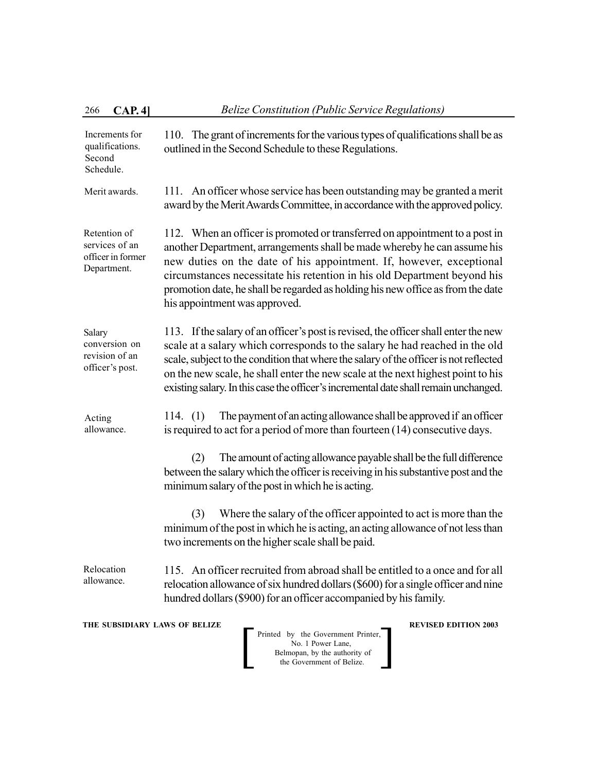| 266                                                                                                 | CAP.4]                                                                                                                                                       | <b>Belize Constitution (Public Service Regulations)</b>                                                                                                                                                                                                                                                                                                                                                                                |  |  |
|-----------------------------------------------------------------------------------------------------|--------------------------------------------------------------------------------------------------------------------------------------------------------------|----------------------------------------------------------------------------------------------------------------------------------------------------------------------------------------------------------------------------------------------------------------------------------------------------------------------------------------------------------------------------------------------------------------------------------------|--|--|
| Increments for<br>qualifications.<br>Second<br>Schedule.                                            |                                                                                                                                                              | 110. The grant of increments for the various types of qualifications shall be as<br>outlined in the Second Schedule to these Regulations.                                                                                                                                                                                                                                                                                              |  |  |
| Merit awards.                                                                                       | An officer whose service has been outstanding may be granted a merit<br>111.<br>award by the Merit Awards Committee, in accordance with the approved policy. |                                                                                                                                                                                                                                                                                                                                                                                                                                        |  |  |
| Retention of<br>services of an<br>officer in former<br>Department.<br>his appointment was approved. |                                                                                                                                                              | 112. When an officer is promoted or transferred on appointment to a post in<br>another Department, arrangements shall be made whereby he can assume his<br>new duties on the date of his appointment. If, however, exceptional<br>circumstances necessitate his retention in his old Department beyond his<br>promotion date, he shall be regarded as holding his new office as from the date                                          |  |  |
| Salary<br>conversion on<br>revision of an<br>officer's post.                                        |                                                                                                                                                              | 113. If the salary of an officer's post is revised, the officer shall enter the new<br>scale at a salary which corresponds to the salary he had reached in the old<br>scale, subject to the condition that where the salary of the officer is not reflected<br>on the new scale, he shall enter the new scale at the next highest point to his<br>existing salary. In this case the officer's incremental date shall remain unchanged. |  |  |
| Acting<br>allowance.                                                                                |                                                                                                                                                              | The payment of an acting allowance shall be approved if an officer<br>114. $(1)$<br>is required to act for a period of more than fourteen (14) consecutive days.                                                                                                                                                                                                                                                                       |  |  |
|                                                                                                     |                                                                                                                                                              | The amount of acting allowance payable shall be the full difference<br>(2)<br>between the salary which the officer is receiving in his substantive post and the<br>minimum salary of the post in which he is acting.                                                                                                                                                                                                                   |  |  |
|                                                                                                     |                                                                                                                                                              | Where the salary of the officer appointed to act is more than the<br>(3)<br>minimum of the post in which he is acting, an acting allowance of not less than<br>two increments on the higher scale shall be paid.                                                                                                                                                                                                                       |  |  |
| Relocation<br>allowance.                                                                            |                                                                                                                                                              | 115. An officer recruited from abroad shall be entitled to a once and for all<br>relocation allowance of six hundred dollars (\$600) for a single officer and nine<br>hundred dollars (\$900) for an officer accompanied by his family.                                                                                                                                                                                                |  |  |
|                                                                                                     |                                                                                                                                                              | THE SUBSIDIARY LAWS OF BELIZE<br><b>REVISED EDITION 2003</b><br>Printed by the Government Printer,<br>No. 1 Power Lane,<br>Belmopan, by the authority of<br>the Government of Belize.                                                                                                                                                                                                                                                  |  |  |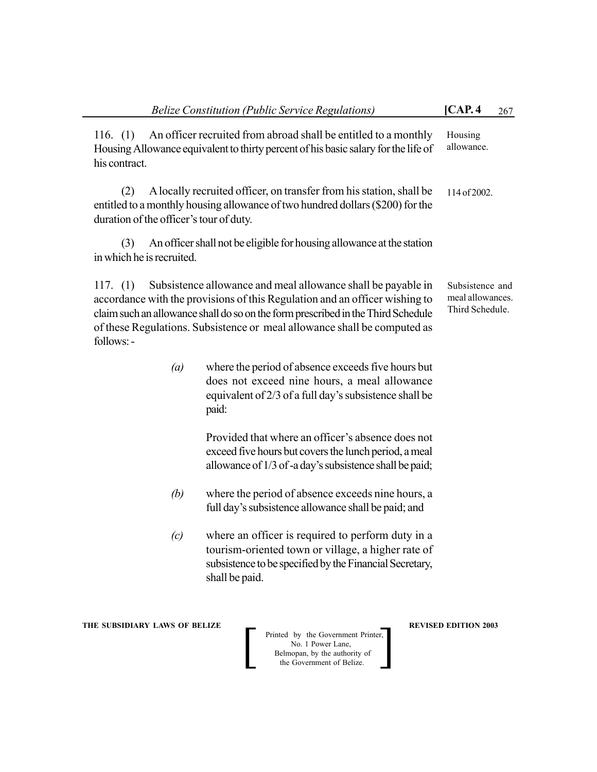| An officer recruited from abroad shall be entitled to a monthly<br>116. $(1)$<br>Housing<br>allowance.<br>Housing Allowance equivalent to thirty percent of his basic salary for the life of<br>his contract.<br>A locally recruited officer, on transfer from his station, shall be<br>(2)<br>114 of 2002.<br>entitled to a monthly housing allowance of two hundred dollars (\$200) for the<br>duration of the officer's tour of duty.<br>An officer shall not be eligible for housing allowance at the station<br>(3)<br>in which he is recruited.<br>Subsistence allowance and meal allowance shall be payable in<br>117. $(1)$<br>Subsistence and<br>meal allowances.<br>accordance with the provisions of this Regulation and an officer wishing to<br>Third Schedule.<br>claim such an allowance shall do so on the form prescribed in the Third Schedule<br>of these Regulations. Subsistence or meal allowance shall be computed as<br>follows: -<br>where the period of absence exceeds five hours but<br>$\left(a\right)$<br>does not exceed nine hours, a meal allowance<br>equivalent of 2/3 of a full day's subsistence shall be<br>paid:<br>Provided that where an officer's absence does not<br>exceed five hours but covers the lunch period, a meal<br>allowance of 1/3 of -a day's subsistence shall be paid;<br>(b)<br>where the period of absence exceeds nine hours, a<br>full day's subsistence allowance shall be paid; and<br>where an officer is required to perform duty in a<br>(c)<br>tourism-oriented town or village, a higher rate of<br>subsistence to be specified by the Financial Secretary,<br>shall be paid. |  | <b>Belize Constitution (Public Service Regulations)</b> | [CAP.4] | 267 |
|----------------------------------------------------------------------------------------------------------------------------------------------------------------------------------------------------------------------------------------------------------------------------------------------------------------------------------------------------------------------------------------------------------------------------------------------------------------------------------------------------------------------------------------------------------------------------------------------------------------------------------------------------------------------------------------------------------------------------------------------------------------------------------------------------------------------------------------------------------------------------------------------------------------------------------------------------------------------------------------------------------------------------------------------------------------------------------------------------------------------------------------------------------------------------------------------------------------------------------------------------------------------------------------------------------------------------------------------------------------------------------------------------------------------------------------------------------------------------------------------------------------------------------------------------------------------------------------------------------------------------------------------------|--|---------------------------------------------------------|---------|-----|
|                                                                                                                                                                                                                                                                                                                                                                                                                                                                                                                                                                                                                                                                                                                                                                                                                                                                                                                                                                                                                                                                                                                                                                                                                                                                                                                                                                                                                                                                                                                                                                                                                                                    |  |                                                         |         |     |
|                                                                                                                                                                                                                                                                                                                                                                                                                                                                                                                                                                                                                                                                                                                                                                                                                                                                                                                                                                                                                                                                                                                                                                                                                                                                                                                                                                                                                                                                                                                                                                                                                                                    |  |                                                         |         |     |
|                                                                                                                                                                                                                                                                                                                                                                                                                                                                                                                                                                                                                                                                                                                                                                                                                                                                                                                                                                                                                                                                                                                                                                                                                                                                                                                                                                                                                                                                                                                                                                                                                                                    |  |                                                         |         |     |
|                                                                                                                                                                                                                                                                                                                                                                                                                                                                                                                                                                                                                                                                                                                                                                                                                                                                                                                                                                                                                                                                                                                                                                                                                                                                                                                                                                                                                                                                                                                                                                                                                                                    |  |                                                         |         |     |
|                                                                                                                                                                                                                                                                                                                                                                                                                                                                                                                                                                                                                                                                                                                                                                                                                                                                                                                                                                                                                                                                                                                                                                                                                                                                                                                                                                                                                                                                                                                                                                                                                                                    |  |                                                         |         |     |
|                                                                                                                                                                                                                                                                                                                                                                                                                                                                                                                                                                                                                                                                                                                                                                                                                                                                                                                                                                                                                                                                                                                                                                                                                                                                                                                                                                                                                                                                                                                                                                                                                                                    |  |                                                         |         |     |
|                                                                                                                                                                                                                                                                                                                                                                                                                                                                                                                                                                                                                                                                                                                                                                                                                                                                                                                                                                                                                                                                                                                                                                                                                                                                                                                                                                                                                                                                                                                                                                                                                                                    |  |                                                         |         |     |
|                                                                                                                                                                                                                                                                                                                                                                                                                                                                                                                                                                                                                                                                                                                                                                                                                                                                                                                                                                                                                                                                                                                                                                                                                                                                                                                                                                                                                                                                                                                                                                                                                                                    |  |                                                         |         |     |

**THE SUBSIDIARY LAWS OF BELIZE AND REVISED EDITION 2003** Printed by the Government Printer, No. 1 Power Lane, Belmopan, by the authority of Printed by the Government Printer,<br>No. 1 Power Lane,<br>Belmopan, by the authority of<br>the Government of Belize.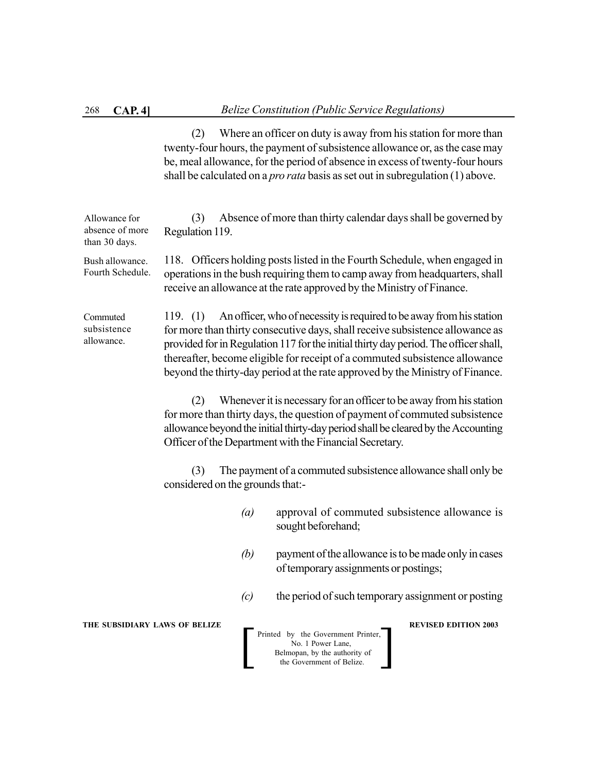(2) Where an officer on duty is away from his station for more than twenty-four hours, the payment of subsistence allowance or, as the case may be, meal allowance, for the period of absence in excess of twenty-four hours shall be calculated on a *pro rata* basis as set out in subregulation (1) above.

**THE SUBSIDIARY LAWS OF BELIZE REVISED EDITION 2003**  Printed by the Government Printer, No. 1 Power Lane, Belmopan, by the authority of Printed by the Government Printer,<br>No. 1 Power Lane,<br>Belmopan, by the authority of<br>the Government of Belize. (3) Absence of more than thirty calendar days shall be governed by Regulation 119. 118. Officers holding posts listed in the Fourth Schedule, when engaged in operations in the bush requiring them to camp away from headquarters, shall receive an allowance at the rate approved by the Ministry of Finance. 119. (1) An officer, who of necessity is required to be away from his station for more than thirty consecutive days, shall receive subsistence allowance as provided for in Regulation 117 for the initial thirty day period. The officer shall, thereafter, become eligible for receipt of a commuted subsistence allowance beyond the thirty-day period at the rate approved by the Ministry of Finance. (2) Whenever it is necessary for an officer to be away from his station for more than thirty days, the question of payment of commuted subsistence allowance beyond the initial thirty-day period shall be cleared by the Accounting Officer of the Department with the Financial Secretary. (3) The payment of a commuted subsistence allowance shall only be considered on the grounds that:- *(a)* approval of commuted subsistence allowance is sought beforehand; *(b)* payment of the allowance is to be made only in cases of temporary assignments or postings; *(c)* the period of such temporary assignment or posting Allowance for absence of more than 30 days. Bush allowance. Fourth Schedule. Commuted subsistence allowance.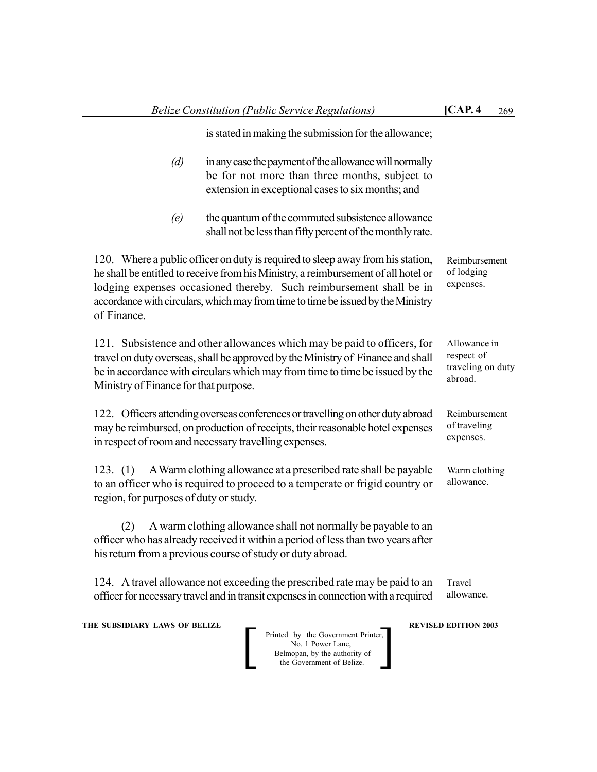|                                                    | <b>Belize Constitution (Public Service Regulations)</b>                                                                                                                                                                                                                                                                          | [CAP.4]                                                    | 269 |
|----------------------------------------------------|----------------------------------------------------------------------------------------------------------------------------------------------------------------------------------------------------------------------------------------------------------------------------------------------------------------------------------|------------------------------------------------------------|-----|
|                                                    | is stated in making the submission for the allowance;                                                                                                                                                                                                                                                                            |                                                            |     |
| (d)                                                | in any case the payment of the allowance will normally<br>be for not more than three months, subject to<br>extension in exceptional cases to six months; and                                                                                                                                                                     |                                                            |     |
| (e)                                                | the quantum of the commuted subsistence allowance<br>shall not be less than fifty percent of the monthly rate.                                                                                                                                                                                                                   |                                                            |     |
| of Finance.                                        | 120. Where a public officer on duty is required to sleep away from his station,<br>he shall be entitled to receive from his Ministry, a reimbursement of all hotel or<br>lodging expenses occasioned thereby. Such reimbursement shall be in<br>accordance with circulars, which may from time to time be issued by the Ministry | Reimbursement<br>of lodging<br>expenses.                   |     |
| Ministry of Finance for that purpose.              | 121. Subsistence and other allowances which may be paid to officers, for<br>travel on duty overseas, shall be approved by the Ministry of Finance and shall<br>be in accordance with circulars which may from time to time be issued by the                                                                                      | Allowance in<br>respect of<br>traveling on duty<br>abroad. |     |
|                                                    | 122. Officers attending overseas conferences or travelling on other duty abroad<br>may be reimbursed, on production of receipts, their reasonable hotel expenses<br>in respect of room and necessary travelling expenses.                                                                                                        | Reimbursement<br>of traveling<br>expenses.                 |     |
| 123. (1)<br>region, for purposes of duty or study. | A Warm clothing allowance at a prescribed rate shall be payable<br>to an officer who is required to proceed to a temperate or frigid country or                                                                                                                                                                                  | Warm clothing<br>allowance.                                |     |
| (2)                                                | A warm clothing allowance shall not normally be payable to an<br>officer who has already received it within a period of less than two years after<br>his return from a previous course of study or duty abroad.                                                                                                                  |                                                            |     |
|                                                    | 124. A travel allowance not exceeding the prescribed rate may be paid to an<br>officer for necessary travel and in transit expenses in connection with a required                                                                                                                                                                | Travel<br>allowance.                                       |     |
|                                                    |                                                                                                                                                                                                                                                                                                                                  |                                                            |     |

**THE SUBSIDIARY LAWS OF BELIZE AND REVISED EDITION 2003**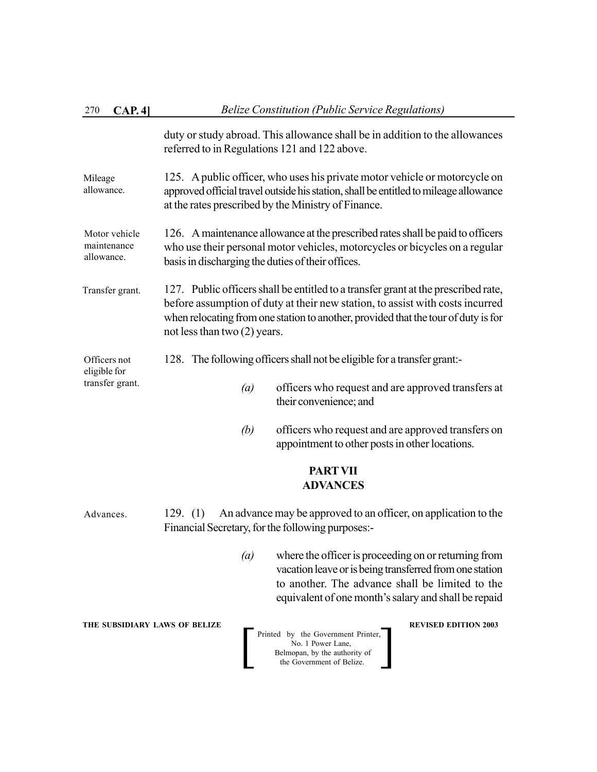| CAP.4<br>270                               | <b>Belize Constitution (Public Service Regulations)</b>                                                                                                                                                                                                                                     |  |  |  |  |
|--------------------------------------------|---------------------------------------------------------------------------------------------------------------------------------------------------------------------------------------------------------------------------------------------------------------------------------------------|--|--|--|--|
|                                            | duty or study abroad. This allowance shall be in addition to the allowances<br>referred to in Regulations 121 and 122 above.                                                                                                                                                                |  |  |  |  |
| Mileage<br>allowance.                      | 125. A public officer, who uses his private motor vehicle or motorcycle on<br>approved official travel outside his station, shall be entitled to mileage allowance<br>at the rates prescribed by the Ministry of Finance.                                                                   |  |  |  |  |
| Motor vehicle<br>maintenance<br>allowance. | 126. A maintenance allowance at the prescribed rates shall be paid to officers<br>who use their personal motor vehicles, motorcycles or bicycles on a regular<br>basis in discharging the duties of their offices.                                                                          |  |  |  |  |
| Transfer grant.                            | 127. Public officers shall be entitled to a transfer grant at the prescribed rate,<br>before assumption of duty at their new station, to assist with costs incurred<br>when relocating from one station to another, provided that the tour of duty is for<br>not less than two $(2)$ years. |  |  |  |  |
| Officers not<br>eligible for               | 128. The following officers shall not be eligible for a transfer grant:-                                                                                                                                                                                                                    |  |  |  |  |
| transfer grant.                            | officers who request and are approved transfers at<br>(a)<br>their convenience; and                                                                                                                                                                                                         |  |  |  |  |
|                                            | (b)<br>officers who request and are approved transfers on<br>appointment to other posts in other locations.                                                                                                                                                                                 |  |  |  |  |
|                                            | <b>PART VII</b><br><b>ADVANCES</b>                                                                                                                                                                                                                                                          |  |  |  |  |
| Advances.                                  | An advance may be approved to an officer, on application to the<br>129. (1)<br>Financial Secretary, for the following purposes:-                                                                                                                                                            |  |  |  |  |
|                                            | where the officer is proceeding on or returning from<br>$\left(a\right)$<br>vacation leave or is being transferred from one station<br>to another. The advance shall be limited to the<br>equivalent of one month's salary and shall be repaid                                              |  |  |  |  |
| THE SUBSIDIARY LAWS OF BELIZE              | <b>REVISED EDITION 2003</b><br>Printed by the Government Printer,<br>No. 1 Power Lane,<br>Belmopan, by the authority of<br>the Government of Belize.                                                                                                                                        |  |  |  |  |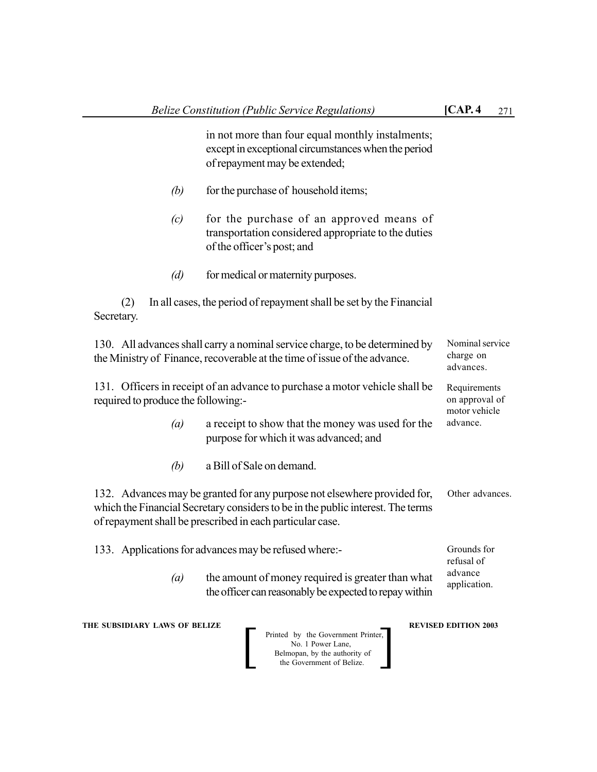Requirements on approval of motor vehicle advance.

in not more than four equal monthly instalments; except in exceptional circumstances when the period of repayment may be extended;

- *(b)* for the purchase of household items;
- *(c)* for the purchase of an approved means of transportation considered appropriate to the duties of the officer's post; and
- *(d)* for medical or maternity purposes.

(2) In all cases, the period of repayment shall be set by the Financial Secretary.

130. All advances shall carry a nominal service charge, to be determined by the Ministry of Finance, recoverable at the time of issue of the advance. Nominal service charge on advances.

131. Officers in receipt of an advance to purchase a motor vehicle shall be required to produce the following:-

- *(a)* a receipt to show that the money was used for the purpose for which it was advanced; and
- *(b)* a Bill of Sale on demand.

132. Advances may be granted for any purpose not elsewhere provided for, which the Financial Secretary considers to be in the public interest. The terms of repayment shall be prescribed in each particular case. Other advances.

133. Applications for advances may be refused where:-

*(a)* the amount of money required is greater than what the officer can reasonably be expected to repay within advance application.

**THE SUBSIDIARY LAWS OF BELIZE A LOCAL CONSUMING A LOCAL PREVISED EDITION 2003** 



Grounds for refusal of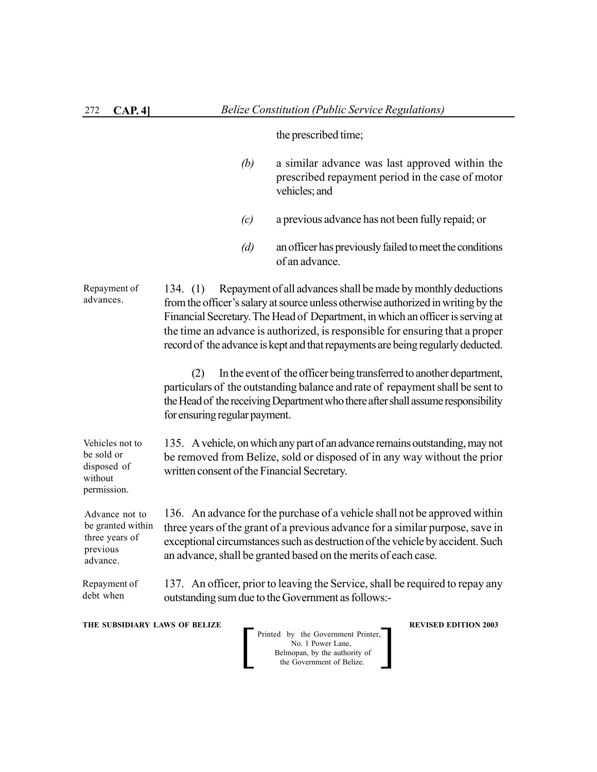| 272<br>CAP. 4]                                                                | <b>Belize Constitution (Public Service Regulations)</b>                                                                                                                                                                                                                                                                                                                                                               |
|-------------------------------------------------------------------------------|-----------------------------------------------------------------------------------------------------------------------------------------------------------------------------------------------------------------------------------------------------------------------------------------------------------------------------------------------------------------------------------------------------------------------|
|                                                                               | the prescribed time;                                                                                                                                                                                                                                                                                                                                                                                                  |
|                                                                               | (b)<br>a similar advance was last approved within the<br>prescribed repayment period in the case of motor<br>vehicles; and                                                                                                                                                                                                                                                                                            |
|                                                                               | a previous advance has not been fully repaid; or<br>(c)                                                                                                                                                                                                                                                                                                                                                               |
|                                                                               | an officer has previously failed to meet the conditions<br>(d)<br>of an advance.                                                                                                                                                                                                                                                                                                                                      |
| Repayment of<br>advances.                                                     | Repayment of all advances shall be made by monthly deductions<br>134. $(1)$<br>from the officer's salary at source unless otherwise authorized in writing by the<br>Financial Secretary. The Head of Department, in which an officer is serving at<br>the time an advance is authorized, is responsible for ensuring that a proper<br>record of the advance is kept and that repayments are being regularly deducted. |
|                                                                               | In the event of the officer being transferred to another department,<br>(2)<br>particulars of the outstanding balance and rate of repayment shall be sent to<br>the Head of the receiving Department who there after shall assume responsibility<br>for ensuring regular payment.                                                                                                                                     |
| Vehicles not to<br>be sold or<br>disposed of<br>without<br>permission.        | 135. A vehicle, on which any part of an advance remains outstanding, may not<br>be removed from Belize, sold or disposed of in any way without the prior<br>written consent of the Financial Secretary.                                                                                                                                                                                                               |
| Advance not to<br>be granted within<br>three years of<br>previous<br>advance. | 136. An advance for the purchase of a vehicle shall not be approved within<br>three years of the grant of a previous advance for a similar purpose, save in<br>exceptional circumstances such as destruction of the vehicle by accident. Such<br>an advance, shall be granted based on the merits of each case.                                                                                                       |
| Repayment of<br>debt when                                                     | 137. An officer, prior to leaving the Service, shall be required to repay any<br>outstanding sum due to the Government as follows:-                                                                                                                                                                                                                                                                                   |
| THE SUBSIDIARY LAWS OF BELIZE                                                 | <b>REVISED EDITION 2003</b><br>Printed by the Government Printer,<br>No. 1 Power Lane,<br>Belmopan, by the authority of<br>the Government of Belize.                                                                                                                                                                                                                                                                  |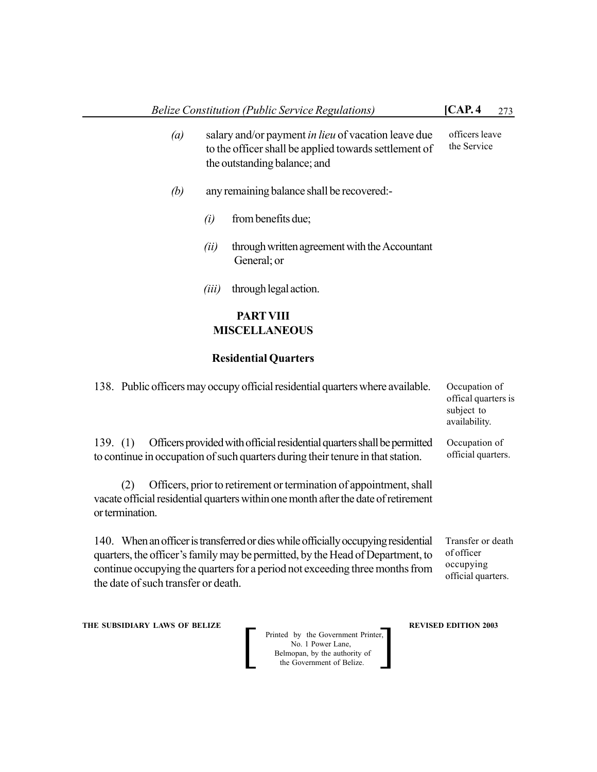- *(a)* salary and/or payment *in lieu* of vacation leave due to the officer shall be applied towards settlement of the outstanding balance; and officers leave the Service
- *(b)* any remaining balance shall be recovered:-
	- *(i)* from benefits due;
	- *(ii)* through written agreement with the Accountant General; or
	- *(iii)* through legal action.

# **PARTVIII MISCELLANEOUS**

#### **Residential Quarters**

| 138. Public officers may occupy official residential quarters where available.                                                                                                                                                                       | Occupation of<br>offical quarters is<br>subject to<br>availability. |
|------------------------------------------------------------------------------------------------------------------------------------------------------------------------------------------------------------------------------------------------------|---------------------------------------------------------------------|
| Officers provided with official residential quarters shall be permitted<br>139. $(1)$<br>to continue in occupation of such quarters during their tenure in that station.                                                                             | Occupation of<br>official quarters.                                 |
| Officers, prior to retirement or termination of appointment, shall<br>(2)<br>vacate official residential quarters within one month after the date of retirement<br>or termination.                                                                   |                                                                     |
| 140. When an officer is transferred or dies while officially occupying residential<br>quarters, the officer's family may be permitted, by the Head of Department, to<br>continue occupying the quarters for a period not exceeding three months from | Transfer or death<br>of officer<br>occupying<br>official quarters.  |

**THE SUBSIDIARY LAWS OF BELIZE AND REVISED EDITION 2003** 

the date of such transfer or death.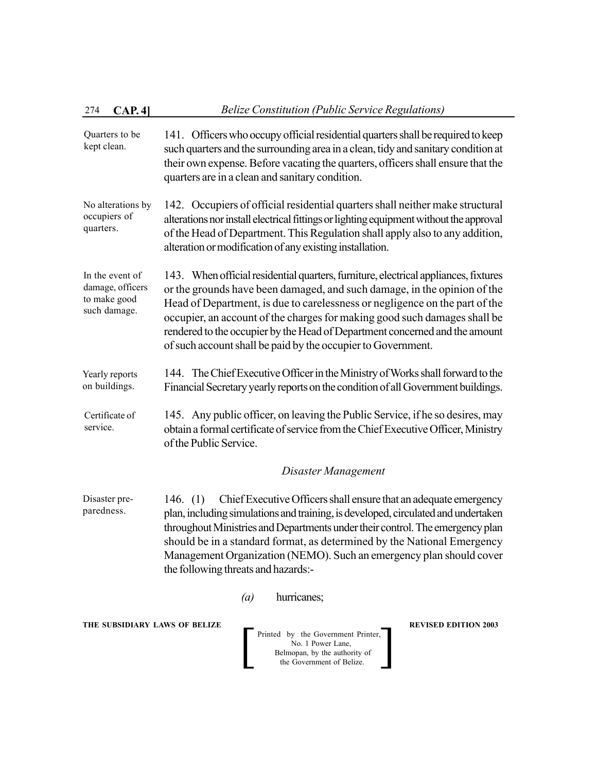# 274 **CAP. 4]** *Belize Constitution (Public Service Regulations)*

- 141. Officers who occupy official residential quarters shall be required to keep such quarters and the surrounding area in a clean, tidy and sanitary condition at their own expense. Before vacating the quarters, officers shall ensure that the quarters are in a clean and sanitary condition. Quarters to be kept clean.
- 142. Occupiers of official residential quarters shall neither make structural alterations nor install electrical fittings or lighting equipment without the approval of the Head of Department. This Regulation shall apply also to any addition, alteration or modification of any existing installation. No alterations by occupiers of quarters.
- 143. When official residential quarters, furniture, electrical appliances, fixtures or the grounds have been damaged, and such damage, in the opinion of the Head of Department, is due to carelessness or negligence on the part of the occupier, an account of the charges for making good such damages shall be rendered to the occupier by the Head of Department concerned and the amount of such account shall be paid by the occupier to Government. In the event of damage, officers to make good such damage.
- 144. The Chief Executive Officer in the Ministry of Works shall forward to the Financial Secretary yearly reports on the condition of all Government buildings. Yearly reports on buildings.
- 145. Any public officer, on leaving the Public Service, if he so desires, may obtain a formal certificate of service from the Chief Executive Officer, Ministry of the Public Service. Certificate of service.

#### *Disaster Management*

146. (1) Chief Executive Officers shall ensure that an adequate emergency plan, including simulations and training, is developed, circulated and undertaken throughout Ministries and Departments under their control. The emergency plan should be in a standard format, as determined by the National Emergency Management Organization (NEMO). Such an emergency plan should cover the following threats and hazards:- Disaster preparedness.

*(a)* hurricanes;

#### **THE SUBSIDIARY LAWS OF BELIZE REVISED EDITION 2003**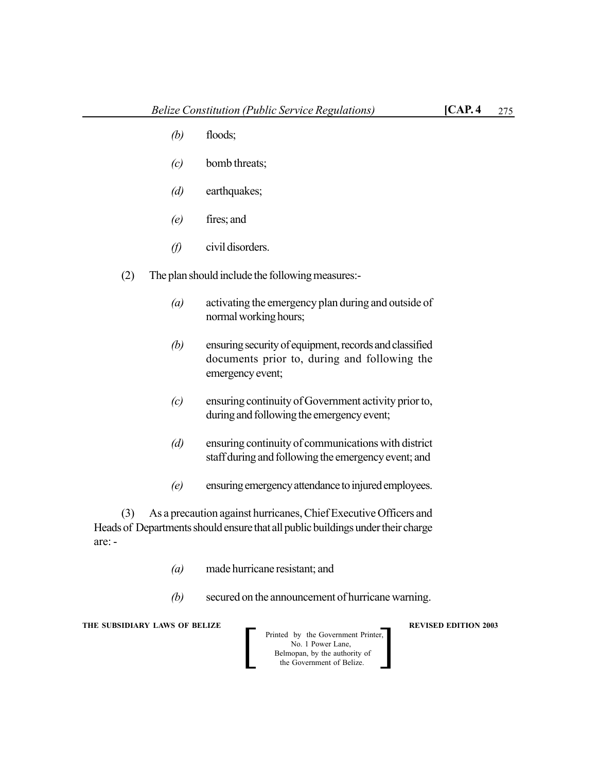- *(b)* floods;
- *(c)* bomb threats;
- *(d)* earthquakes;
- *(e)* fires; and
- *(f)* civil disorders.
- (2) The plan should include the following measures:-
	- *(a)* activating the emergency plan during and outside of normal working hours;
	- *(b)* ensuring security of equipment, records and classified documents prior to, during and following the emergency event;
	- *(c)* ensuring continuity of Government activity prior to, during and following the emergency event;
	- *(d)* ensuring continuity of communications with district staff during and following the emergency event; and
	- *(e)* ensuring emergency attendance to injured employees.

(3) As a precaution against hurricanes, Chief Executive Officers and Heads of Departments should ensure that all public buildings under their charge are: -

- *(a)* made hurricane resistant; and
- *(b)* secured on the announcement of hurricane warning.

**THE SUBSIDIARY LAWS OF BELIZE**  $\qquad$  $\qquad$  **REVISED EDITION 2003** 

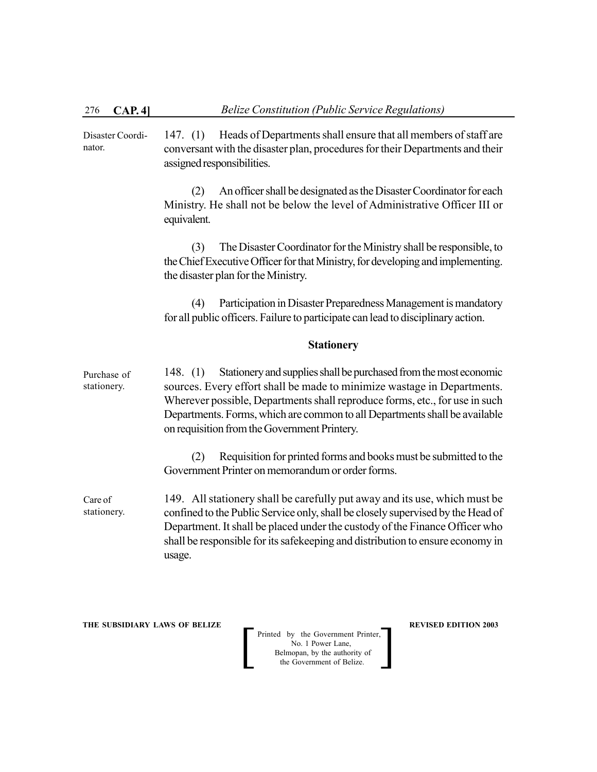147. (1) Heads of Departments shall ensure that all members of staff are conversant with the disaster plan, procedures for their Departments and their assigned responsibilities. Disaster Coordinator.

> (2) An officer shall be designated as the Disaster Coordinator for each Ministry. He shall not be below the level of Administrative Officer III or equivalent.

> (3) The Disaster Coordinator for the Ministry shall be responsible, to the Chief Executive Officer for that Ministry, for developing and implementing. the disaster plan for the Ministry.

> (4) Participation in Disaster Preparedness Management is mandatory for all public officers. Failure to participate can lead to disciplinary action.

#### **Stationery**

148. (1) Stationery and supplies shall be purchased from the most economic sources. Every effort shall be made to minimize wastage in Departments. Wherever possible, Departments shall reproduce forms, etc., for use in such Departments. Forms, which are common to all Departments shall be available on requisition from the Government Printery. Purchase of stationery.

> (2) Requisition for printed forms and books must be submitted to the Government Printer on memorandum or order forms.

149. All stationery shall be carefully put away and its use, which must be confined to the Public Service only, shall be closely supervised by the Head of Department. It shall be placed under the custody of the Finance Officer who shall be responsible for its safekeeping and distribution to ensure economy in usage. Care of stationery.

**THE SUBSIDIARY LAWS OF BELIZE REVISED EDITION 2003**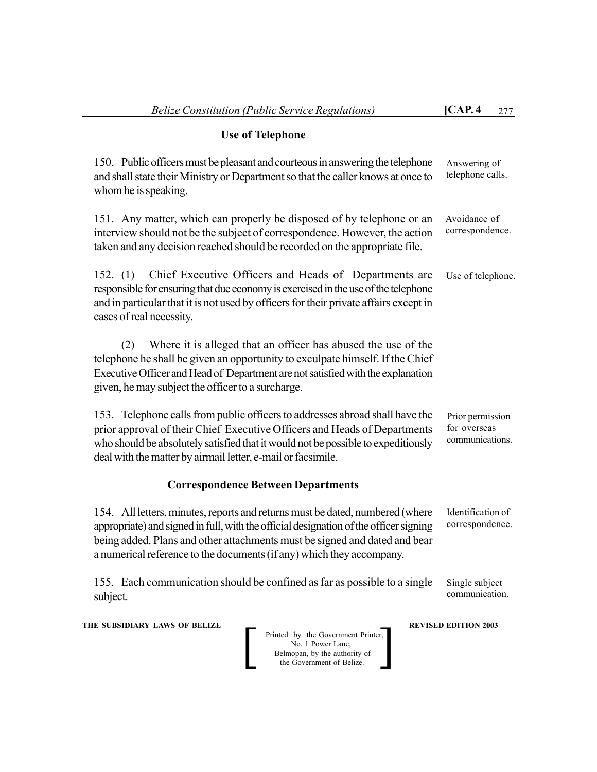# **Use of Telephone**

150. Public officers must be pleasant and courteous in answering the telephone and shall state their Ministry or Department so that the caller knows at once to whom he is speaking. 151. Any matter, which can properly be disposed of by telephone or an interview should not be the subject of correspondence. However, the action taken and any decision reached should be recorded on the appropriate file. 152. (1) Chief Executive Officers and Heads of Departments are responsible for ensuring that due economy is exercised in the use of the telephone and in particular that it is not used by officers for their private affairs except in cases of real necessity. (2) Where it is alleged that an officer has abused the use of the telephone he shall be given an opportunity to exculpate himself. If the Chief Executive Officer and Head of Department are not satisfied with the explanation given, he may subject the officer to a surcharge. 153. Telephone calls from public officers to addresses abroad shall have the prior approval of their Chief Executive Officers and Heads of Departments who should be absolutely satisfied that it would not be possible to expeditiously Answering of telephone calls. Avoidance of correspondence. Use of telephone. Prior permission for overseas communications.

deal with the matter by airmail letter, e-mail or facsimile.

# **Correspondence Between Departments**

154. All letters, minutes, reports and returns must be dated, numbered (where appropriate) and signed in full, with the official designation of the officer signing being added. Plans and other attachments must be signed and dated and bear a numerical reference to the documents (if any) which they accompany. Identification of correspondence.

155. Each communication should be confined as far as possible to a single subject. Single subject communication.

**THE SUBSIDIARY LAWS OF BELIZE A LOCAL CONSUMING A LOCAL PREVISED EDITION 2003** 

| Printed by the Government Printer, |
|------------------------------------|
| No. 1 Power Lane.                  |
| Belmopan, by the authority of      |
| the Government of Belize.          |
|                                    |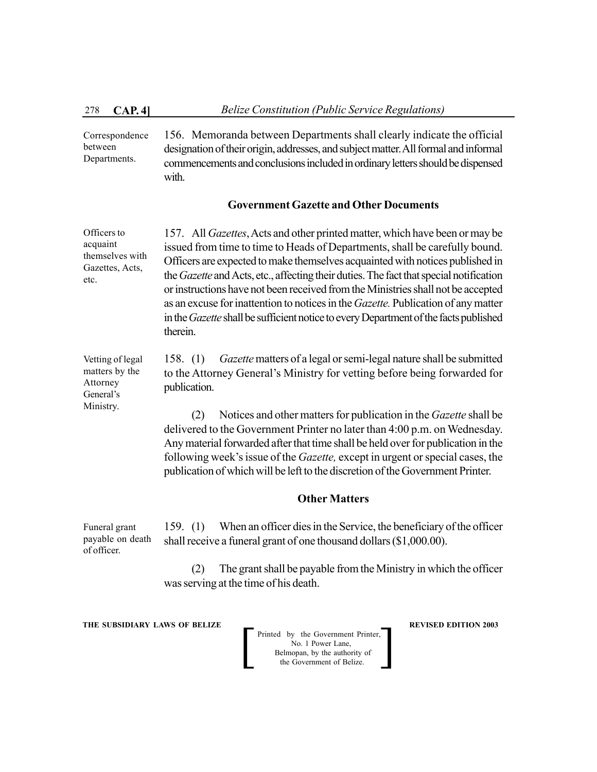Ministry.

156. Memoranda between Departments shall clearly indicate the official designation of their origin, addresses, and subject matter. All formal and informal commencements and conclusions included in ordinary letters should be dispensed with. Correspondence between Departments.

#### **Government Gazette and Other Documents**

157. All *Gazettes*, Acts and other printed matter, which have been or may be issued from time to time to Heads of Departments, shall be carefully bound. Officers are expected to make themselves acquainted with notices published in the *Gazette* and Acts, etc., affecting their duties. The fact that special notification or instructions have not been received from the Ministries shall not be accepted as an excuse for inattention to notices in the *Gazette.* Publication of any matter in the *Gazette* shall be sufficient notice to every Department of the facts published therein. Officers to acquaint themselves with Gazettes, Acts, etc.

158. (1) *Gazette* matters of a legal or semi-legal nature shall be submitted to the Attorney General's Ministry for vetting before being forwarded for publication. Vetting of legal matters by the Attorney General's

> (2) Notices and other matters for publication in the *Gazette* shall be delivered to the Government Printer no later than 4:00 p.m. on Wednesday. Any material forwarded after that time shall be held over for publication in the following week's issue of the *Gazette,* except in urgent or special cases, the publication of which will be left to the discretion of the Government Printer.

#### **Other Matters**

159. (1) When an officer dies in the Service, the beneficiary of the officer shall receive a funeral grant of one thousand dollars (\$1,000.00). Funeral grant payable on death of officer.

> (2) The grant shall be payable from the Ministry in which the officer was serving at the time of his death.

**THE SUBSIDIARY LAWS OF BELIZE REVISED EDITION 2003**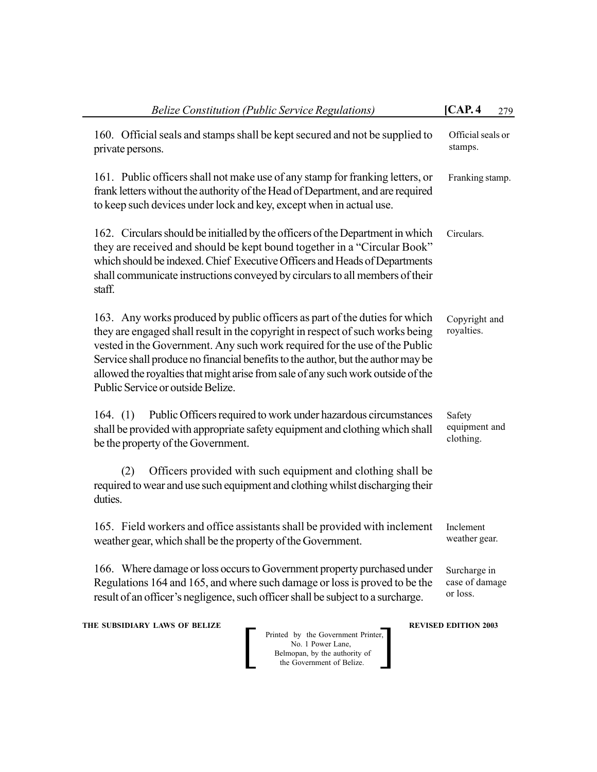| <b>Belize Constitution (Public Service Regulations)</b>                                                                                                                                                                                                                                                                                                                                                                                                | [CAP.4]                                    | 279 |
|--------------------------------------------------------------------------------------------------------------------------------------------------------------------------------------------------------------------------------------------------------------------------------------------------------------------------------------------------------------------------------------------------------------------------------------------------------|--------------------------------------------|-----|
| 160. Official seals and stamps shall be kept secured and not be supplied to<br>private persons.                                                                                                                                                                                                                                                                                                                                                        | Official seals or<br>stamps.               |     |
| 161. Public officers shall not make use of any stamp for franking letters, or<br>frank letters without the authority of the Head of Department, and are required<br>to keep such devices under lock and key, except when in actual use.                                                                                                                                                                                                                | Franking stamp.                            |     |
| 162. Circulars should be initialled by the officers of the Department in which<br>they are received and should be kept bound together in a "Circular Book"<br>which should be indexed. Chief Executive Officers and Heads of Departments<br>shall communicate instructions conveyed by circulars to all members of their<br>staff.                                                                                                                     | Circulars.                                 |     |
| 163. Any works produced by public officers as part of the duties for which<br>they are engaged shall result in the copyright in respect of such works being<br>vested in the Government. Any such work required for the use of the Public<br>Service shall produce no financial benefits to the author, but the author may be<br>allowed the royalties that might arise from sale of any such work outside of the<br>Public Service or outside Belize. | Copyright and<br>royalties.                |     |
| Public Officers required to work under hazardous circumstances<br>164. $(1)$<br>shall be provided with appropriate safety equipment and clothing which shall<br>be the property of the Government.                                                                                                                                                                                                                                                     | Safety<br>equipment and<br>clothing.       |     |
| Officers provided with such equipment and clothing shall be<br>(2)<br>required to wear and use such equipment and clothing whilst discharging their<br>duties.                                                                                                                                                                                                                                                                                         |                                            |     |
| 165. Field workers and office assistants shall be provided with inclement<br>weather gear, which shall be the property of the Government.                                                                                                                                                                                                                                                                                                              | Inclement<br>weather gear.                 |     |
| 166. Where damage or loss occurs to Government property purchased under<br>Regulations 164 and 165, and where such damage or loss is proved to be the<br>result of an officer's negligence, such officer shall be subject to a surcharge.                                                                                                                                                                                                              | Surcharge in<br>case of damage<br>or loss. |     |
| THE SUBSIDIARY LAWS OF BELIZE<br>Printed by the Government Printer,<br>No. 1 Power Lane,<br>Belmopan, by the authority of<br>the Government of Belize.                                                                                                                                                                                                                                                                                                 | <b>REVISED EDITION 2003</b>                |     |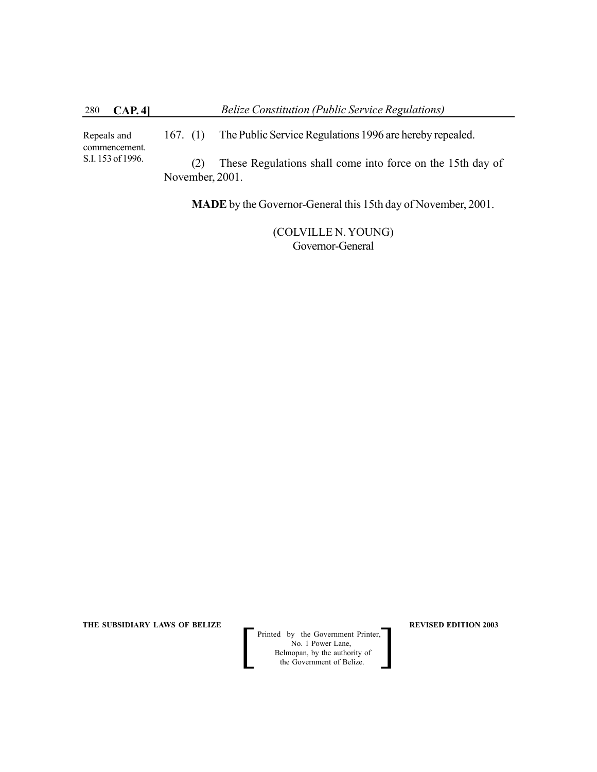167. (1) The Public Service Regulations 1996 are hereby repealed. (2) These Regulations shall come into force on the 15th day of November, 2001. Repeals and commencement. S.I. 153 of 1996.

**MADE** by the Governor-General this 15th day of November, 2001.

(COLVILLE N. YOUNG) Governor-General

**THE SUBSIDIARY LAWS OF BELIZE ALL CONSUMING A REVISED EDITION 2003**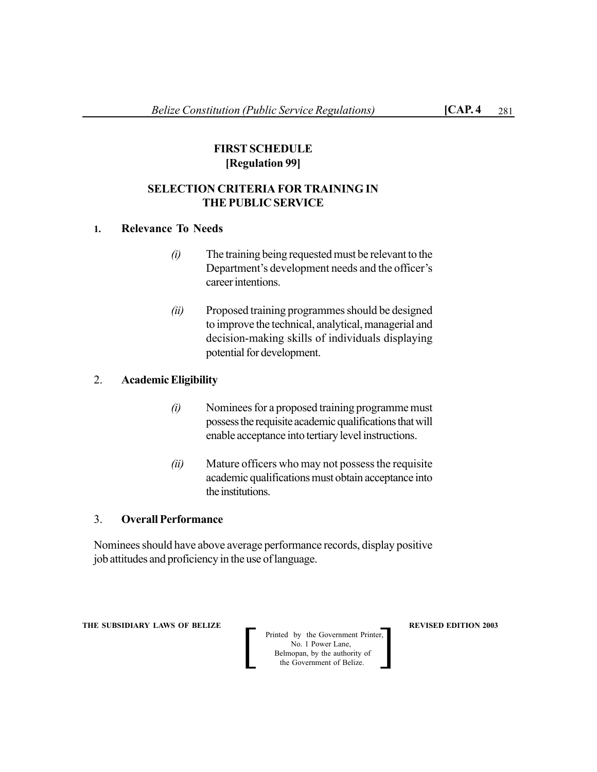# **FIRST SCHEDULE [Regulation 99]**

# **SELECTION CRITERIA FOR TRAINING IN THE PUBLIC SERVICE**

# **1. Relevance To Needs**

- *(i)* The training being requested must be relevant to the Department's development needs and the officer's career intentions.
- *(ii)* Proposed training programmes should be designed to improve the technical, analytical, managerial and decision-making skills of individuals displaying potential for development.

# 2. **Academic Eligibility**

- *(i)* Nominees for a proposed training programme must possess the requisite academic qualifications that will enable acceptance into tertiary level instructions.
- *(ii)* Mature officers who may not possess the requisite academic qualifications must obtain acceptance into the institutions.

# 3. **Overall Performance**

Nominees should have above average performance records, display positive job attitudes and proficiency in the use of language.

**THE SUBSIDIARY LAWS OF BELIZE**  $\qquad$  **WE REVISED EDITION 2003**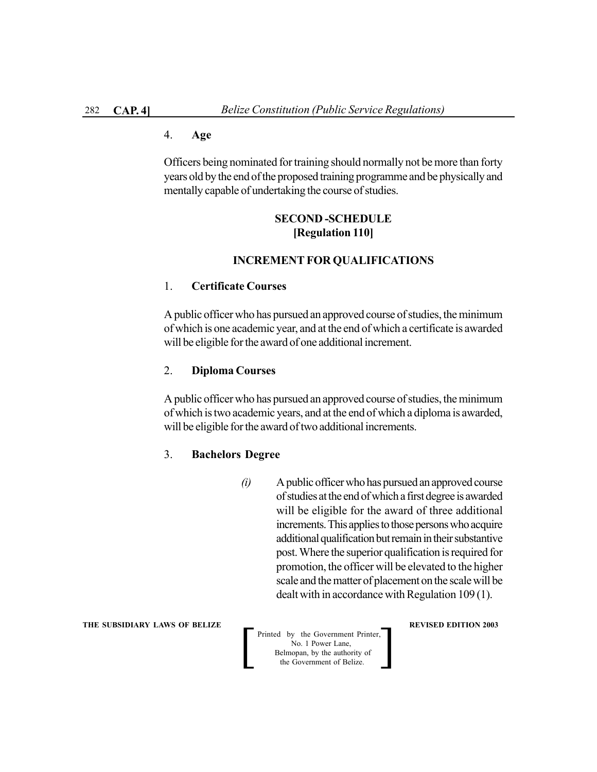### 4. **Age**

Officers being nominated for training should normally not be more than forty years old by the end of the proposed training programme and be physically and mentally capable of undertaking the course of studies.

# **SECOND -SCHEDULE [Regulation 110]**

#### **INCREMENT FOR QUALIFICATIONS**

#### 1. **Certificate Courses**

A public officer who has pursued an approved course of studies, the minimum of which is one academic year, and at the end of which a certificate is awarded will be eligible for the award of one additional increment.

### 2. **Diploma Courses**

A public officer who has pursued an approved course of studies, the minimum of which is two academic years, and at the end of which a diploma is awarded, will be eligible for the award of two additional increments.

#### 3. **Bachelors Degree**

*(i)* A public officer who has pursued an approved course of studies at the end of which a first degree is awarded will be eligible for the award of three additional increments. This applies to those persons who acquire additional qualification but remain in their substantive post. Where the superior qualification is required for promotion, the officer will be elevated to the higher scale and the matter of placement on the scale will be dealt with in accordance with Regulation 109 (1).

#### **THE SUBSIDIARY LAWS OF BELIZE A LOCAL CONSUMING A LOCAL PREVISED EDITION 2003**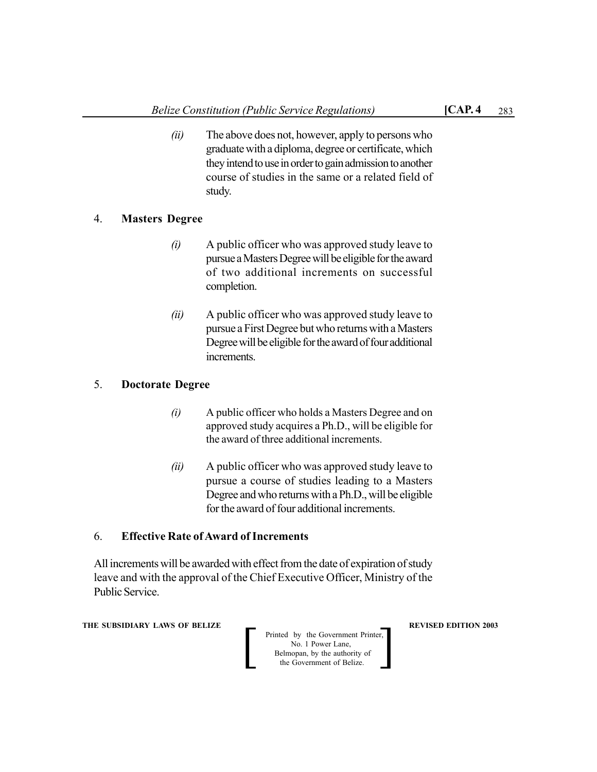study.

*(ii)* The above does not, however, apply to persons who graduate with a diploma, degree or certificate, which they intend to use in order to gain admission to another course of studies in the same or a related field of

# 4. **Masters Degree**

- *(i)* A public officer who was approved study leave to pursue a Masters Degree will be eligible for the award of two additional increments on successful completion.
- *(ii)* A public officer who was approved study leave to pursue a First Degree but who returns with a Masters Degree will be eligible for the award of four additional increments.

# 5. **Doctorate Degree**

- *(i)* A public officer who holds a Masters Degree and on approved study acquires a Ph.D., will be eligible for the award of three additional increments.
- *(ii)* A public officer who was approved study leave to pursue a course of studies leading to a Masters Degree and who returns with a Ph.D., will be eligible for the award of four additional increments.

# 6. **Effective Rate of Award of Increments**

All increments will be awarded with effect from the date of expiration of study leave and with the approval of the Chief Executive Officer, Ministry of the Public Service.

**THE SUBSIDIARY LAWS OF BELIZE A LOCAL CONSUMING A LOCAL PREVISED EDITION 2003** 

| Printed by the Government Printer, |
|------------------------------------|
| No. 1 Power Lane.                  |
| Belmopan, by the authority of      |
| the Government of Belize.          |
|                                    |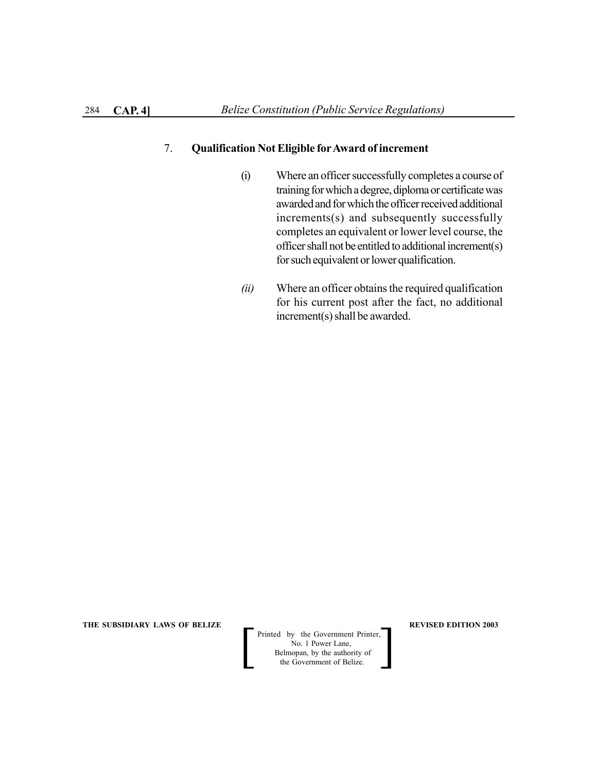### 7. **Qualification Not Eligible forAward of increment**

- (i) Where an officer successfully completes a course of training for which a degree, diploma or certificate was awarded and for which the officer received additional increments(s) and subsequently successfully completes an equivalent or lower level course, the officer shall not be entitled to additional increment(s) for such equivalent or lower qualification.
- *(ii)* Where an officer obtains the required qualification for his current post after the fact, no additional increment(s) shall be awarded.

**THE SUBSIDIARY LAWS OF BELIZE REVISED EDITION 2003**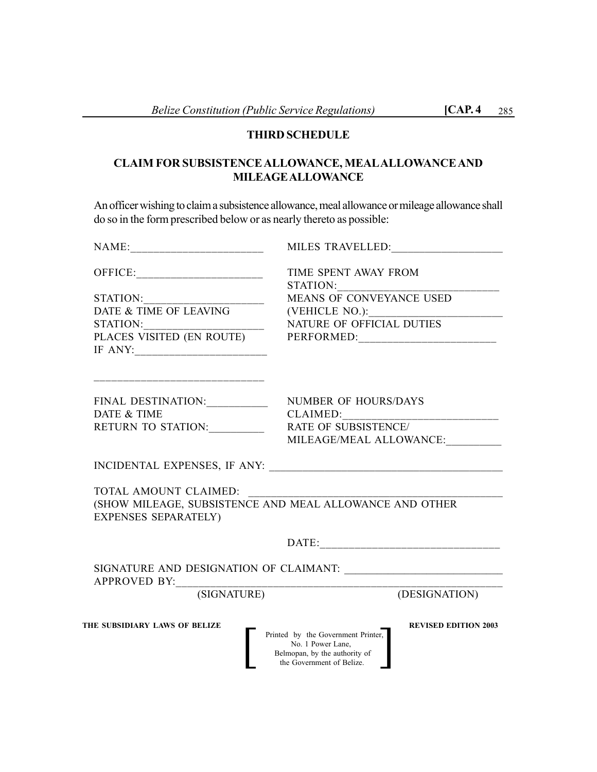# **THIRD SCHEDULE**

# **CLAIM FOR SUBSISTENCE ALLOWANCE, MEALALLOWANCE AND MILEAGE ALLOWANCE**

An officer wishing to claim a subsistence allowance, meal allowance or mileage allowance shall do so in the form prescribed below or as nearly thereto as possible:

| MILES TRAVELLED:                                                                                                                                     |
|------------------------------------------------------------------------------------------------------------------------------------------------------|
| TIME SPENT AWAY FROM                                                                                                                                 |
|                                                                                                                                                      |
| MEANS OF CONVEYANCE USED                                                                                                                             |
|                                                                                                                                                      |
| NATURE OF OFFICIAL DUTIES                                                                                                                            |
|                                                                                                                                                      |
|                                                                                                                                                      |
|                                                                                                                                                      |
| FINAL DESTINATION: ___________<br>NUMBER OF HOURS/DAYS                                                                                               |
| CLAIMED:                                                                                                                                             |
| RETURN TO STATION:<br>RATE OF SUBSISTENCE/                                                                                                           |
| MILEAGE/MEAL ALLOWANCE:                                                                                                                              |
|                                                                                                                                                      |
|                                                                                                                                                      |
| (SHOW MILEAGE, SUBSISTENCE AND MEAL ALLOWANCE AND OTHER                                                                                              |
|                                                                                                                                                      |
|                                                                                                                                                      |
|                                                                                                                                                      |
|                                                                                                                                                      |
|                                                                                                                                                      |
| (SIGNATURE)<br>(DESIGNATION)                                                                                                                         |
| <b>REVISED EDITION 2003</b><br>Printed by the Government Printer,<br>No. 1 Power Lane,<br>Belmopan, by the authority of<br>the Government of Belize. |
|                                                                                                                                                      |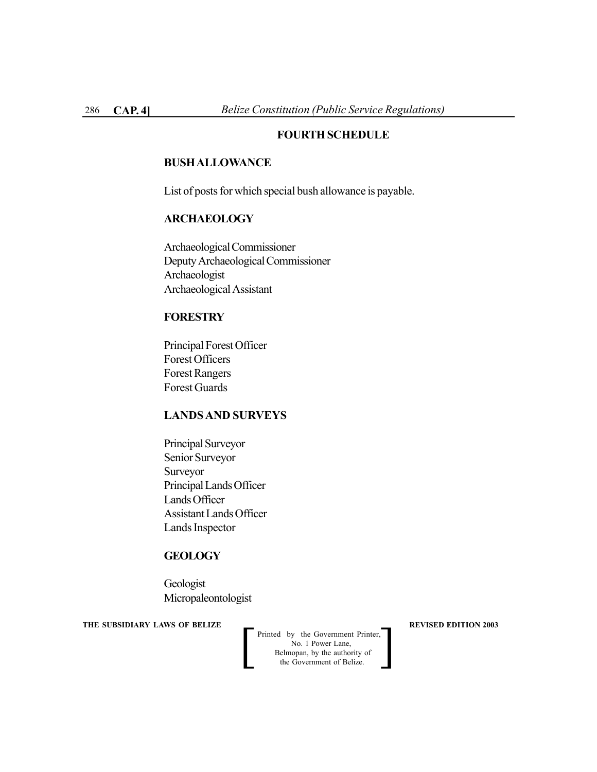## **FOURTH SCHEDULE**

#### **BUSH ALLOWANCE**

List of posts for which special bush allowance is payable.

#### **ARCHAEOLOGY**

Archaeological Commissioner Deputy Archaeological Commissioner Archaeologist Archaeological Assistant

# **FORESTRY**

Principal Forest Officer Forest Officers Forest Rangers Forest Guards

### **LANDS AND SURVEYS**

Principal Surveyor Senior Surveyor Surveyor Principal Lands Officer Lands Officer Assistant Lands Officer Lands Inspector

# **GEOLOGY**

Geologist Micropaleontologist

**THE SUBSIDIARY LAWS OF BELIZE**  $\qquad$  **<b>REVISED EDITION 2003**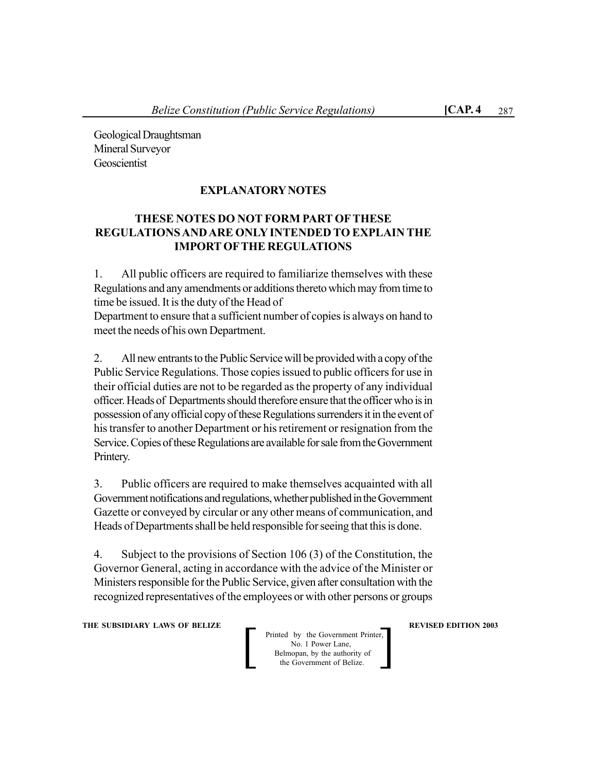Geological Draughtsman Mineral Surveyor **Geoscientist** 

# **EXPLANATORY NOTES**

# **THESE NOTES DO NOT FORM PART OFTHESE REGULATIONS AND ARE ONLY INTENDED TO EXPLAIN THE IMPORT OFTHE REGULATIONS**

1. All public officers are required to familiarize themselves with these Regulations and any amendments or additions thereto which may from time to time be issued. It is the duty of the Head of

Department to ensure that a sufficient number of copies is always on hand to meet the needs of his own Department.

2. All new entrants to the Public Service will be provided with a copy of the Public Service Regulations. Those copies issued to public officers for use in their official duties are not to be regarded as the property of any individual officer. Heads of Departments should therefore ensure that the officer who is in possession of any official copy of these Regulations surrenders it in the event of his transfer to another Department or his retirement or resignation from the Service. Copies of these Regulations are available for sale from the Government Printery.

3. Public officers are required to make themselves acquainted with all Government notifications and regulations, whether published in the Government Gazette or conveyed by circular or any other means of communication, and Heads of Departments shall be held responsible for seeing that this is done.

4. Subject to the provisions of Section 106 (3) of the Constitution, the Governor General, acting in accordance with the advice of the Minister or Ministers responsible for the Public Service, given after consultation with the recognized representatives of the employees or with other persons or groups

**THE SUBSIDIARY LAWS OF BELIZE A LOCAL CONSUMING A LOCAL PREVISED EDITION 2003**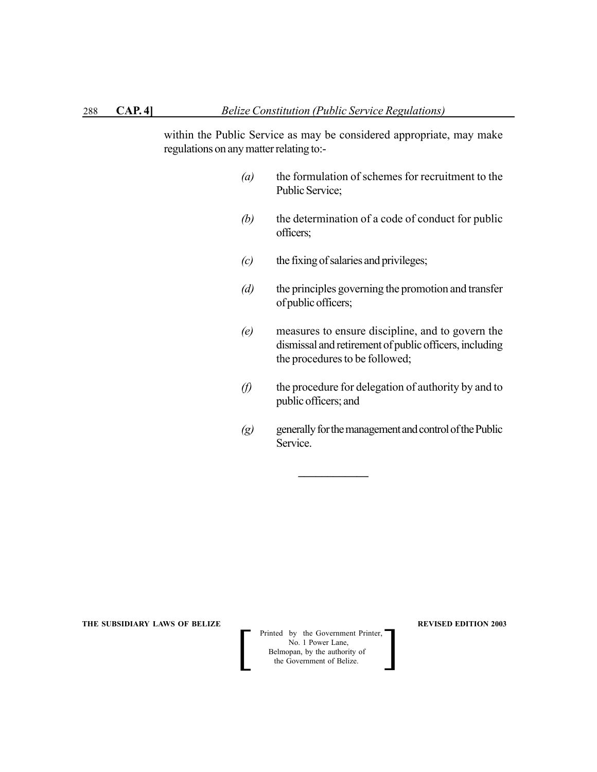within the Public Service as may be considered appropriate, may make regulations on any matter relating to:-

- *(a)* the formulation of schemes for recruitment to the Public Service;
- *(b)* the determination of a code of conduct for public officers;
- *(c)* the fixing of salaries and privileges;

**\_\_\_\_\_\_\_\_\_\_\_\_**

- *(d)* the principles governing the promotion and transfer of public officers;
- *(e)* measures to ensure discipline, and to govern the dismissal and retirement of public officers, including the procedures to be followed;
- *(f)* the procedure for delegation of authority by and to public officers; and
- *(g)* generally for the management and control of the Public Service.

**THE SUBSIDIARY LAWS OF BELIZE REVISED EDITION 2003** 

Printed by the Government Printer,<br>
No. 1 Power Lane,<br>
Belmopan, by the authority of<br>
the Government of Belize. No. 1 Power Lane,<br>Belmopan, by the authority of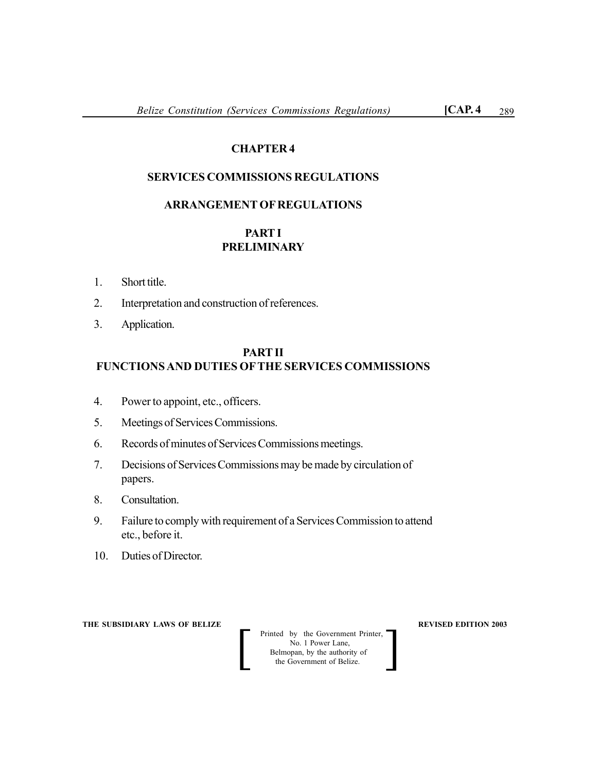# **CHAPTER 4**

# **SERVICES COMMISSIONS REGULATIONS**

#### **ARRANGEMENT OF REGULATIONS**

# **PART I PRELIMINARY**

- 1. Short title.
- 2. Interpretation and construction of references.
- 3. Application.

#### **PART II**

# **FUNCTIONS AND DUTIES OFTHE SERVICES COMMISSIONS**

- 4. Power to appoint, etc., officers.
- 5. Meetings of Services Commissions.
- 6. Records of minutes of Services Commissions meetings.
- 7. Decisions of Services Commissions may be made by circulation of papers.
- 8. Consultation.
- 9. Failure to comply with requirement of a Services Commission to attend etc., before it.
- 10. Duties of Director.

**THE SUBSIDIARY LAWS OF BELIZE REVISED EDITION 2003** 

Printed by the Government Printer,<br>
No. 1 Power Lane,<br>
Belmopan, by the authority of<br>
the Government of Belize. No. 1 Power Lane,<br>Belmopan, by the authority of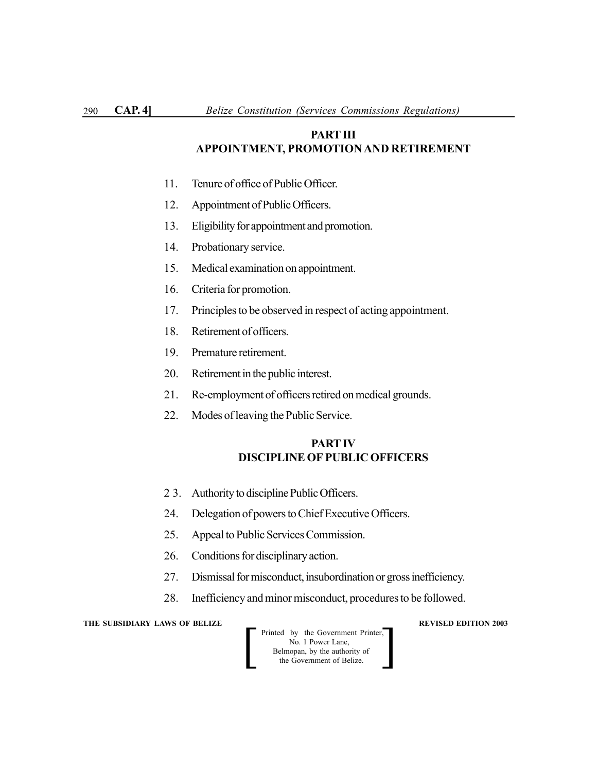# **PART III APPOINTMENT, PROMOTION AND RETIREMENT**

- 11. Tenure of office of Public Officer.
- 12. Appointment of Public Officers.
- 13. Eligibility for appointment and promotion.
- 14. Probationary service.
- 15. Medical examination on appointment.
- 16. Criteria for promotion.
- 17. Principles to be observed in respect of acting appointment.
- 18. Retirement of officers.
- 19. Premature retirement.
- 20. Retirement in the public interest.
- 21. Re-employment of officers retired on medical grounds.
- 22. Modes of leaving the Public Service.

#### **PART IV DISCIPLINE OF PUBLIC OFFICERS**

- 2 3. Authority to discipline Public Officers.
- 24. Delegation of powers to Chief Executive Officers.
- 25. Appeal to Public Services Commission.
- 26. Conditions for disciplinary action.
- 27. Dismissal for misconduct, insubordination or gross inefficiency.
- 28. Inefficiency and minor misconduct, procedures to be followed.

**THE SUBSIDIARY LAWS OF BELIZE REVISED EDITION 2003** 

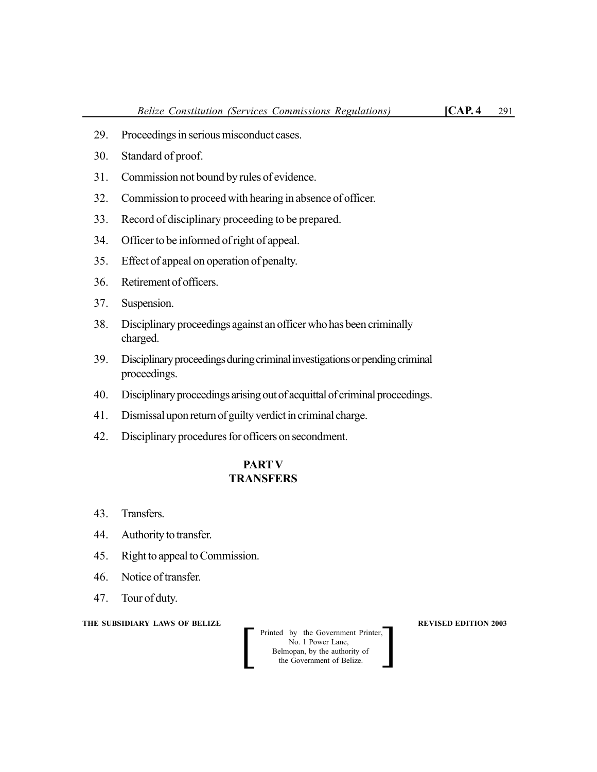- 29. Proceedings in serious misconduct cases.
- 30. Standard of proof.
- 31. Commission not bound by rules of evidence.
- 32. Commission to proceed with hearing in absence of officer.
- 33. Record of disciplinary proceeding to be prepared.
- 34. Officer to be informed of right of appeal.
- 35. Effect of appeal on operation of penalty.
- 36. Retirement of officers.
- 37. Suspension.
- 38. Disciplinary proceedings against an officer who has been criminally charged.
- 39. Disciplinary proceedings during criminal investigations or pending criminal proceedings.
- 40. Disciplinary proceedings arising out of acquittal of criminal proceedings.
- 41. Dismissal upon return of guilty verdict in criminal charge.
- 42. Disciplinary procedures for officers on secondment.

# **PARTV TRANSFERS**

- 43. Transfers.
- 44. Authority to transfer.
- 45. Right to appeal to Commission.
- 46. Notice of transfer.
- 47. Tour of duty.

#### **THE SUBSIDIARY LAWS OF BELIZE REVISED EDITION 2003**

 Printed by the Government Printer, No. 1 Power Lane, Belmopan, by the authority of Printed by the Government Printer,<br>
No. 1 Power Lane,<br>
Belmopan, by the authority of<br>
the Government of Belize.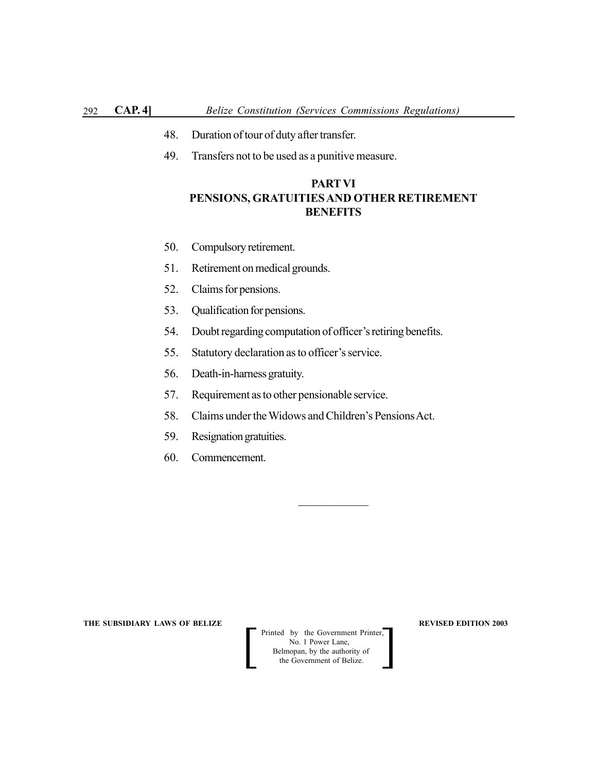- 48. Duration of tour of duty after transfer.
- 49. Transfers not to be used as a punitive measure.

# **PARTVI PENSIONS, GRATUITIES AND OTHER RETIREMENT BENEFITS**

- 50. Compulsory retirement.
- 51. Retirement on medical grounds.
- 52. Claims for pensions.
- 53. Qualification for pensions.
- 54. Doubt regarding computation of officer's retiring benefits.
- 55. Statutory declaration as to officer's service.
- 56. Death-in-harness gratuity.
- 57. Requirement as to other pensionable service.
- 58. Claims under the Widows and Children's Pensions Act.
- 59. Resignation gratuities.
- 60. Commencement.

**THE SUBSIDIARY LAWS OF BELIZE REVISED EDITION 2003** 

 Printed by the Government Printer, No. 1 Power Lane, Belmopan, by the authority of Printed by the Government Printer,<br>
No. 1 Power Lane,<br>
Belmopan, by the authority of<br>
the Government of Belize.

 $\mathcal{L}_\text{max}$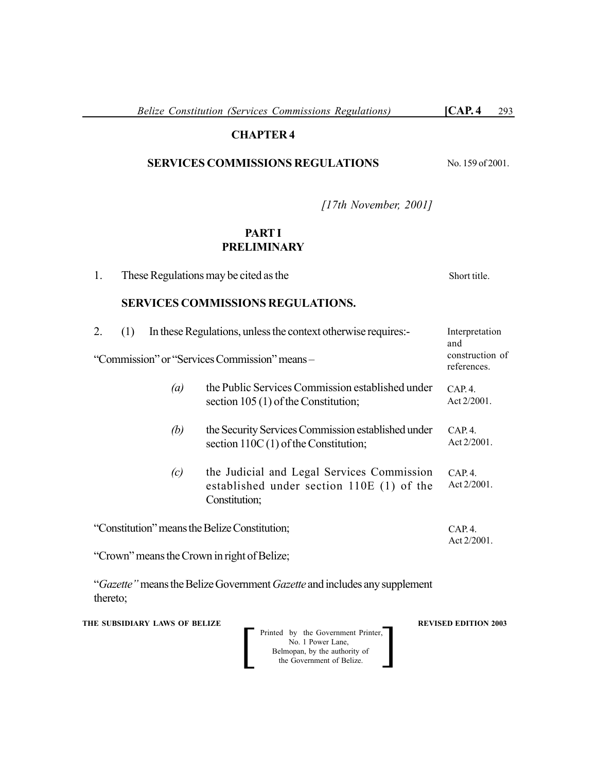*Belize Constitution (Services Commissions Regulations)* **[CAP. 4** 293

# **CHAPTER 4**

# **SERVICES COMMISSIONS REGULATIONS**

No. 159 of 2001.

*[17th November, 2001]*

## **PART I PRELIMINARY**

1. These Regulations may be cited as the **SERVICES COMMISSIONS REGULATIONS.** 2. (1) In these Regulations, unless the context otherwise requires:- "Commission" or "Services Commission" means – *(a)* the Public Services Commission established under section 105 (1) of the Constitution; *(b)* the Security Services Commission established under section 110C(1) of the Constitution; *(c)* the Judicial and Legal Services Commission established under section 110E (1) of the Constitution; "Constitution" means the Belize Constitution; "Crown" means the Crown in right of Belize; Short title. Interpretation and construction of references.  $CAP 4$ Act 2/2001.  $CAP. 4.$ Act 2/2001. CAP. 4. Act 2/2001. CAP. 4. Act 2/2001.

"*Gazette"* means the Belize Government *Gazette* and includes any supplement thereto;

**THE SUBSIDIARY LAWS OF BELIZE REVISED EDITION 2003** 

 Printed by the Government Printer, No. 1 Power Lane, Belmopan, by the authority of Printed by the Government Printer,<br>
No. 1 Power Lane,<br>
Belmopan, by the authority of<br>
the Government of Belize.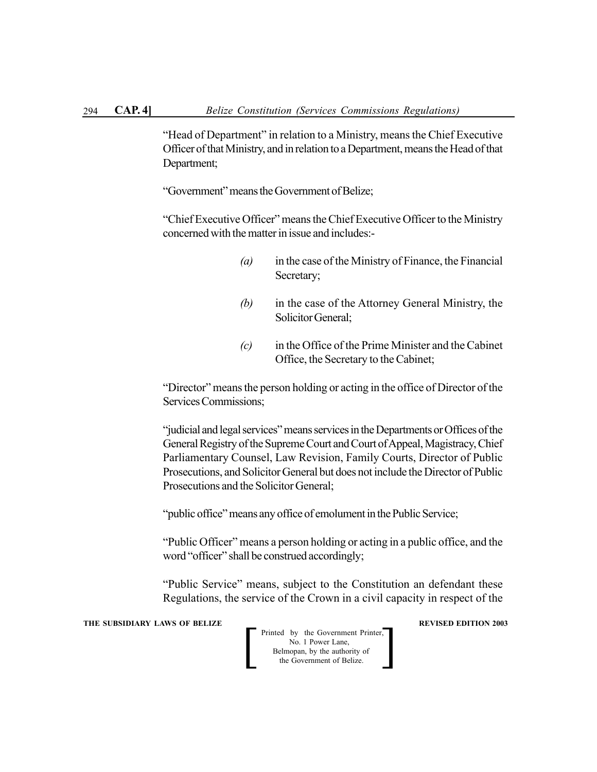"Head of Department" in relation to a Ministry, means the Chief Executive Officer of that Ministry, and in relation to a Department, means the Head of that Department;

"Government" means the Government of Belize;

"Chief Executive Officer" means the Chief Executive Officer to the Ministry concerned with the matter in issue and includes:-

- *(a)* in the case of the Ministry of Finance, the Financial Secretary;
- *(b)* in the case of the Attorney General Ministry, the Solicitor General;
- *(c)* in the Office of the Prime Minister and the Cabinet Office, the Secretary to the Cabinet;

"Director" means the person holding or acting in the office of Director of the Services Commissions;

"judicial and legal services" means services in the Departments or Offices of the General Registry of the Supreme Court and Court of Appeal, Magistracy, Chief Parliamentary Counsel, Law Revision, Family Courts, Director of Public Prosecutions, and Solicitor General but does not include the Director of Public Prosecutions and the Solicitor General;

"public office" means any office of emolument in the Public Service;

"Public Officer" means a person holding or acting in a public office, and the word "officer" shall be construed accordingly;

"Public Service" means, subject to the Constitution an defendant these Regulations, the service of the Crown in a civil capacity in respect of the

**THE SUBSIDIARY LAWS OF BELIZE REVISED EDITION 2003** 

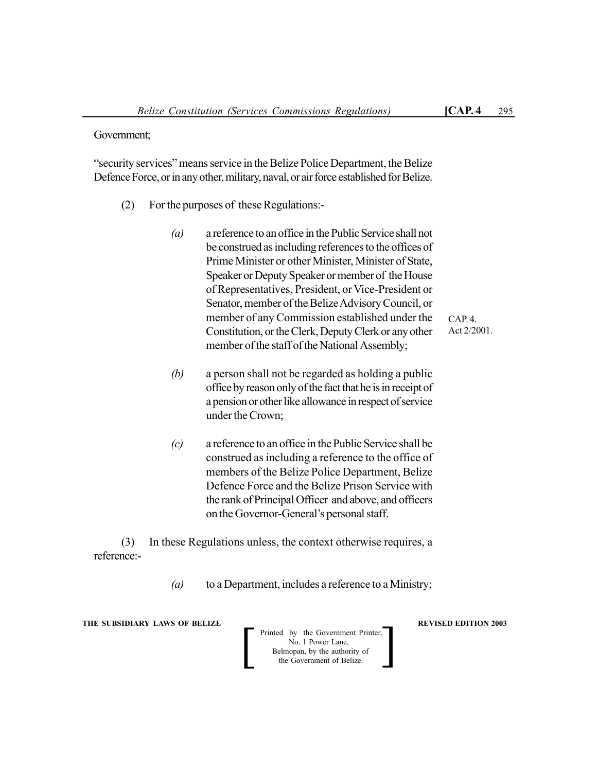"security services" means service in the Belize Police Department, the Belize Defence Force, or in any other, military, naval, or air force established for Belize.

- (2) For the purposes of these Regulations:-
	- *(a)* a reference to an office in the Public Service shall not be construed as including references to the offices of Prime Minister or other Minister, Minister of State, Speaker or Deputy Speaker or member of the House of Representatives, President, or Vice-President or Senator, member of the Belize Advisory Council, or member of any Commission established under the Constitution, or the Clerk, Deputy Clerk or any other member of the staff of the National Assembly;
	- *(b)* a person shall not be regarded as holding a public office by reason only of the fact that he is in receipt of a pension or other like allowance in respect of service under the Crown;
	- *(c)* a reference to an office in the Public Service shall be construed as including a reference to the office of members of the Belize Police Department, Belize Defence Force and the Belize Prison Service with the rank of Principal Officer and above, and officers on the Governor-General's personal staff.

(3) In these Regulations unless, the context otherwise requires, a reference:-

*(a)* to a Department, includes a reference to a Ministry;

**THE SUBSIDIARY LAWS OF BELIZE REVISED EDITION 2003** 

Printed by the Government Printer, No. 1 Power Lane, Belmopan, by the authority of<br>the Government of Belize. Printed by the Government Printer,<br>
No. 1 Power Lane,<br>
Belmopan, by the authority of<br>
the Government of Belize.

CAP. 4. Act 2/2001.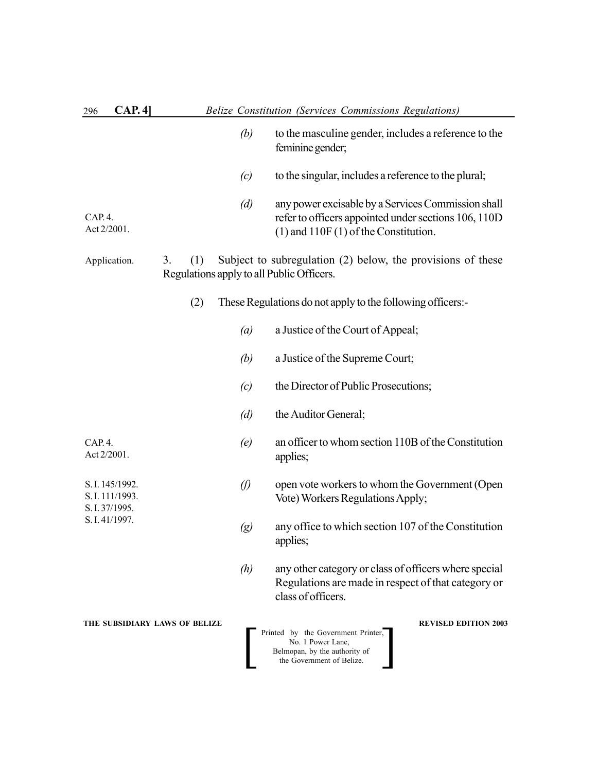| CAP.4<br>296                                                           |                   | Belize Constitution (Services Commissions Regulations)                                                                                                 |
|------------------------------------------------------------------------|-------------------|--------------------------------------------------------------------------------------------------------------------------------------------------------|
|                                                                        | (b)               | to the masculine gender, includes a reference to the<br>feminine gender;                                                                               |
|                                                                        | (c)               | to the singular, includes a reference to the plural;                                                                                                   |
| CAP. 4.<br>Act 2/2001.                                                 | (d)               | any power excisable by a Services Commission shall<br>refer to officers appointed under sections 106, 110D<br>$(1)$ and $110F(1)$ of the Constitution. |
| Application.                                                           | (1)<br>3.         | Subject to subregulation (2) below, the provisions of these<br>Regulations apply to all Public Officers.                                               |
|                                                                        | (2)               | These Regulations do not apply to the following officers:-                                                                                             |
|                                                                        | (a)               | a Justice of the Court of Appeal;                                                                                                                      |
|                                                                        | (b)               | a Justice of the Supreme Court;                                                                                                                        |
|                                                                        | (c)               | the Director of Public Prosecutions;                                                                                                                   |
|                                                                        | (d)               | the Auditor General;                                                                                                                                   |
| CAP.4.<br>Act 2/2001.                                                  | (e)               | an officer to whom section 110B of the Constitution<br>applies;                                                                                        |
| S. I. 145/1992.<br>S. I. 111/1993.<br>S. I. 37/1995.<br>S. I. 41/1997. | $\varnothing$     | open vote workers to whom the Government (Open<br>Vote) Workers Regulations Apply;                                                                     |
|                                                                        | $\left( g\right)$ | any office to which section 107 of the Constitution<br>applies;                                                                                        |
|                                                                        | (h)               | any other category or class of officers where special<br>Regulations are made in respect of that category or<br>class of officers.                     |
| THE SUBSIDIARY LAWS OF BELIZE                                          |                   | <b>REVISED EDITION 2003</b><br>Printed by the Government Printer,<br>No. 1 Power Lane,<br>Belmopan, by the authority of<br>the Government of Belize.   |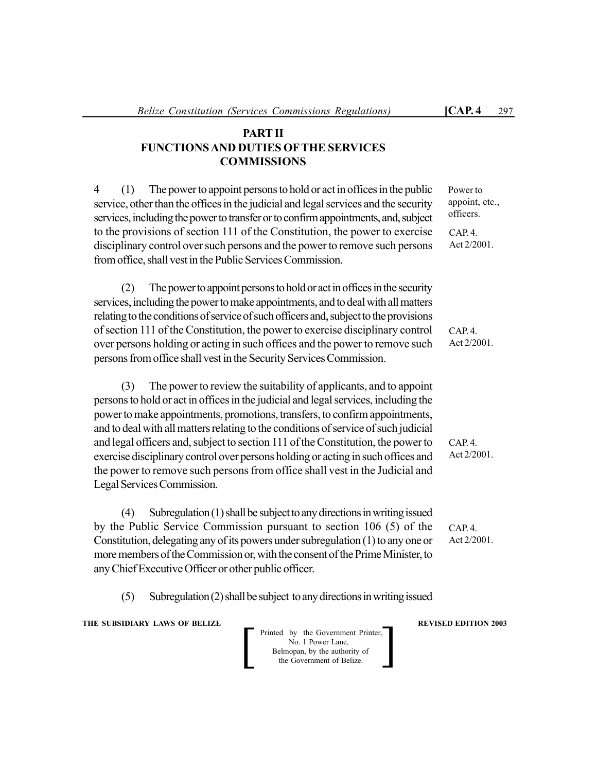# **PART II FUNCTIONS AND DUTIES OFTHE SERVICES COMMISSIONS**

4 (1) The power to appoint persons to hold or act in offices in the public service, other than the offices in the judicial and legal services and the security services, including the power to transfer or to confirm appointments, and, subject to the provisions of section 111 of the Constitution, the power to exercise disciplinary control over such persons and the power to remove such persons from office, shall vest in the Public Services Commission.

(2) The power to appoint persons to hold or act in offices in the security services, including the power to make appointments, and to deal with all matters relating to the conditions of service of such officers and, subject to the provisions of section 111 of the Constitution, the power to exercise disciplinary control over persons holding or acting in such offices and the power to remove such persons from office shall vest in the Security Services Commission.

(3) The power to review the suitability of applicants, and to appoint persons to hold or act in offices in the judicial and legal services, including the power to make appointments, promotions, transfers, to confirm appointments, and to deal with all matters relating to the conditions of service of such judicial and legal officers and, subject to section 111 of the Constitution, the power to exercise disciplinary control over persons holding or acting in such offices and the power to remove such persons from office shall vest in the Judicial and Legal Services Commission.

(4) Subregulation (1) shall be subject to any directions in writing issued by the Public Service Commission pursuant to section 106 (5) of the Constitution, delegating any of its powers under subregulation (1) to any one or more members of the Commission or, with the consent of the Prime Minister, to any Chief Executive Officer or other public officer.

(5) Subregulation (2) shall be subject to any directions in writing issued

**THE SUBSIDIARY LAWS OF BELIZE REVISED EDITION 2003** 

Printed by the Government Printer, No. 1 Power Lane, Belmopan, by the authority of Printed by the Government Printer,<br>
No. 1 Power Lane,<br>
Belmopan, by the authority of<br>
the Government of Belize.

 $CAP 4$ Act 2/2001.

CAP. 4. Act 2/2001.

Power to appoint, etc., officers.

CAP. 4. Act 2/2001.

CAP. 4. Act 2/2001.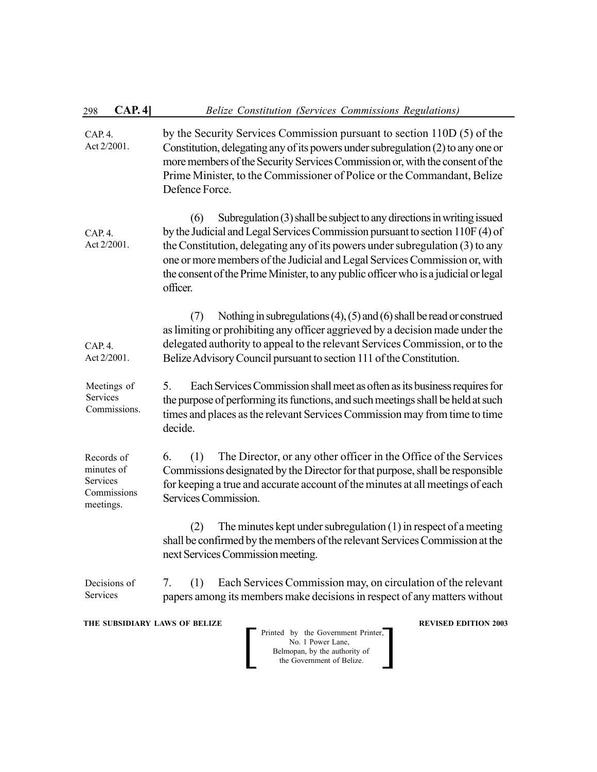| 298                                                                                                                                                                                   | CAP.4]                      | Belize Constitution (Services Commissions Regulations)                                                                                                                                                                                                                                                                                                                                                                           |  |
|---------------------------------------------------------------------------------------------------------------------------------------------------------------------------------------|-----------------------------|----------------------------------------------------------------------------------------------------------------------------------------------------------------------------------------------------------------------------------------------------------------------------------------------------------------------------------------------------------------------------------------------------------------------------------|--|
| CAP.4.                                                                                                                                                                                | Act 2/2001.                 | by the Security Services Commission pursuant to section 110D (5) of the<br>Constitution, delegating any of its powers under subregulation (2) to any one or<br>more members of the Security Services Commission or, with the consent of the<br>Prime Minister, to the Commissioner of Police or the Commandant, Belize<br>Defence Force.                                                                                         |  |
| CAP. 4.                                                                                                                                                                               | Act 2/2001.                 | Subregulation (3) shall be subject to any directions in writing issued<br>(6)<br>by the Judicial and Legal Services Commission pursuant to section 110F (4) of<br>the Constitution, delegating any of its powers under subregulation (3) to any<br>one or more members of the Judicial and Legal Services Commission or, with<br>the consent of the Prime Minister, to any public officer who is a judicial or legal<br>officer. |  |
| CAP. 4.                                                                                                                                                                               | Act 2/2001.                 | Nothing in subregulations $(4)$ , $(5)$ and $(6)$ shall be read or construed<br>(7)<br>as limiting or prohibiting any officer aggrieved by a decision made under the<br>delegated authority to appeal to the relevant Services Commission, or to the<br>Belize Advisory Council pursuant to section 111 of the Constitution.                                                                                                     |  |
| Services                                                                                                                                                                              | Meetings of<br>Commissions. | Each Services Commission shall meet as often as its business requires for<br>5.<br>the purpose of performing its functions, and such meetings shall be held at such<br>times and places as the relevant Services Commission may from time to time<br>decide.                                                                                                                                                                     |  |
| Records of<br>minutes of<br>Services<br>meetings.                                                                                                                                     | Commissions                 | The Director, or any other officer in the Office of the Services<br>6.<br>(1)<br>Commissions designated by the Director for that purpose, shall be responsible<br>for keeping a true and accurate account of the minutes at all meetings of each<br>Services Commission.                                                                                                                                                         |  |
|                                                                                                                                                                                       |                             | The minutes kept under subregulation $(1)$ in respect of a meeting<br>(2)<br>shall be confirmed by the members of the relevant Services Commission at the<br>next Services Commission meeting.                                                                                                                                                                                                                                   |  |
| Services                                                                                                                                                                              | Decisions of                | Each Services Commission may, on circulation of the relevant<br>(1)<br>7.<br>papers among its members make decisions in respect of any matters without                                                                                                                                                                                                                                                                           |  |
| THE SUBSIDIARY LAWS OF BELIZE<br><b>REVISED EDITION 2003</b><br>Printed by the Government Printer,<br>No. 1 Power Lane,<br>Belmopan, by the authority of<br>the Government of Belize. |                             |                                                                                                                                                                                                                                                                                                                                                                                                                                  |  |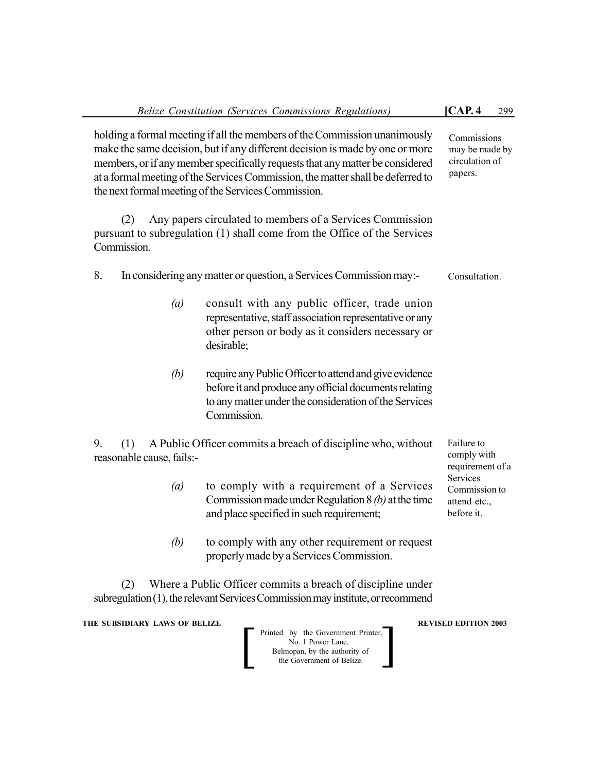|                                                                                                                                                                                                                                                                                                                                                                                      | Belize Constitution (Services Commissions Regulations)                                                                                                                                  | [CAP.4]<br>299                                          |
|--------------------------------------------------------------------------------------------------------------------------------------------------------------------------------------------------------------------------------------------------------------------------------------------------------------------------------------------------------------------------------------|-----------------------------------------------------------------------------------------------------------------------------------------------------------------------------------------|---------------------------------------------------------|
| holding a formal meeting if all the members of the Commission unanimously<br>make the same decision, but if any different decision is made by one or more<br>members, or if any member specifically requests that any matter be considered<br>at a formal meeting of the Services Commission, the matter shall be deferred to<br>the next formal meeting of the Services Commission. | Commissions<br>may be made by<br>circulation of<br>papers.                                                                                                                              |                                                         |
| (2)<br>Commission.                                                                                                                                                                                                                                                                                                                                                                   | Any papers circulated to members of a Services Commission<br>pursuant to subregulation (1) shall come from the Office of the Services                                                   |                                                         |
| 8.                                                                                                                                                                                                                                                                                                                                                                                   | In considering any matter or question, a Services Commission may:-                                                                                                                      | Consultation.                                           |
| $\left(a\right)$                                                                                                                                                                                                                                                                                                                                                                     | consult with any public officer, trade union<br>representative, staff association representative or any<br>other person or body as it considers necessary or<br>desirable;              |                                                         |
| (b)                                                                                                                                                                                                                                                                                                                                                                                  | require any Public Officer to attend and give evidence<br>before it and produce any official documents relating<br>to any matter under the consideration of the Services<br>Commission. |                                                         |
| 9.<br>A Public Officer commits a breach of discipline who, without<br>(1)<br>reasonable cause, fails:-                                                                                                                                                                                                                                                                               |                                                                                                                                                                                         | Failure to<br>comply with<br>requirement of a           |
| (a)                                                                                                                                                                                                                                                                                                                                                                                  | to comply with a requirement of a Services<br>Commission made under Regulation $8(b)$ at the time<br>and place specified in such requirement;                                           | Services<br>Commission to<br>attend etc.,<br>before it. |
| (b)                                                                                                                                                                                                                                                                                                                                                                                  | to comply with any other requirement or request<br>properly made by a Services Commission.                                                                                              |                                                         |
| (2)                                                                                                                                                                                                                                                                                                                                                                                  | Where a Public Officer commits a breach of discipline under<br>subregulation (1), the relevant Services Commission may institute, or recommend                                          |                                                         |
| THE SUBSIDIARY LAWS OF BELIZE                                                                                                                                                                                                                                                                                                                                                        | Printed by the Government Printer,<br>No. 1 Power Lane,<br>Belmopan, by the authority of<br>the Government of Belize.                                                                   | <b>REVISED EDITION 2003</b>                             |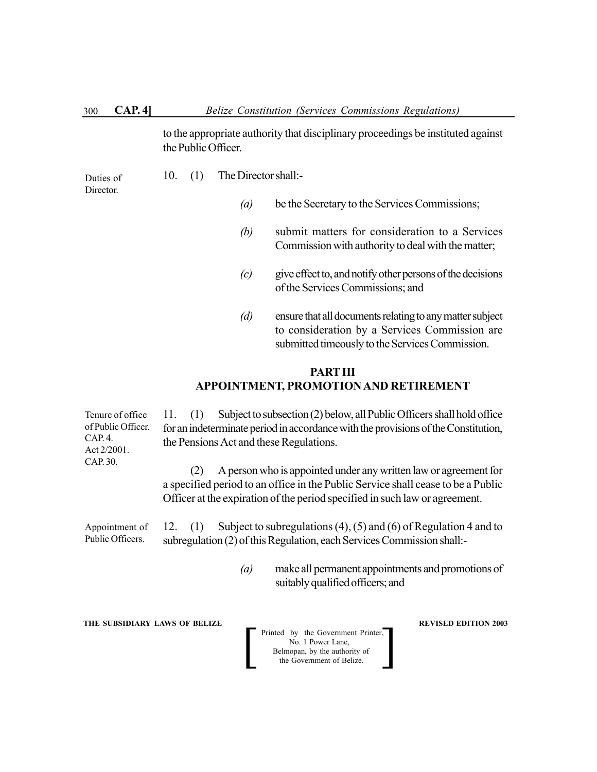to the appropriate authority that disciplinary proceedings be instituted against the Public Officer.

Duties of Director.

- 10. (1) The Director shall:-
	- *(a)* be the Secretary to the Services Commissions;
	- *(b)* submit matters for consideration to a Services Commission with authority to deal with the matter;
	- *(c)* give effect to, and notify other persons of the decisions of the Services Commissions; and
	- *(d)* ensure that all documents relating to any matter subject to consideration by a Services Commission are submitted timeously to the Services Commission.

# **PART III APPOINTMENT, PROMOTION AND RETIREMENT**

11. (1) Subject to subsection (2) below, all Public Officers shall hold office for an indeterminate period in accordance with the provisions of the Constitution, the Pensions Act and these Regulations.

(2) A person who is appointed under any written law or agreement for a specified period to an office in the Public Service shall cease to be a Public Officer at the expiration of the period specified in such law or agreement.

12. (1) Subject to subregulations (4), (5) and (6) of Regulation 4 and to subregulation (2) of this Regulation, each Services Commission shall:- Appointment of Public Officers.

> *(a)* make all permanent appointments and promotions of suitably qualified officers; and

**THE SUBSIDIARY LAWS OF BELIZE REVISED EDITION 2003** 

Printed by the Government Printer,<br>
No. 1 Power Lane,<br>
Belmopan, by the authority of<br>
the Government of Belize. No. 1 Power Lane, Belmopan, by the authority of

Tenure of office of Public Officer. CAP. 4. Act 2/2001. CAP. 30.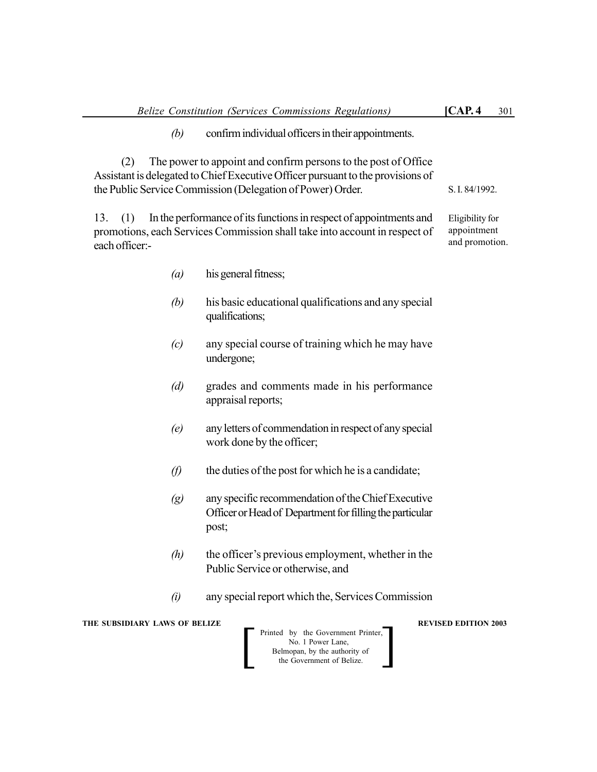*(b)* confirm individual officers in their appointments.

(2) The power to appoint and confirm persons to the post of Office Assistant is delegated to Chief Executive Officer pursuant to the provisions of the Public Service Commission (Delegation of Power) Order.

13. (1) In the performance of its functions in respect of appointments and promotions, each Services Commission shall take into account in respect of each officer:-

Eligibility for appointment and promotion.

S. I. 84/1992.

- *(a)* his general fitness;
- *(b)* his basic educational qualifications and any special qualifications;
- *(c)* any special course of training which he may have undergone;
- *(d)* grades and comments made in his performance appraisal reports;
- *(e)* any letters of commendation in respect of any special work done by the officer;
- $(f)$  the duties of the post for which he is a candidate;
- *(g)* any specific recommendation of the Chief Executive Officer or Head of Department for filling the particular post;
- *(h)* the officer's previous employment, whether in the Public Service or otherwise, and
- *(i)* any special report which the, Services Commission

**THE SUBSIDIARY LAWS OF BELIZE REVISED EDITION 2003** 

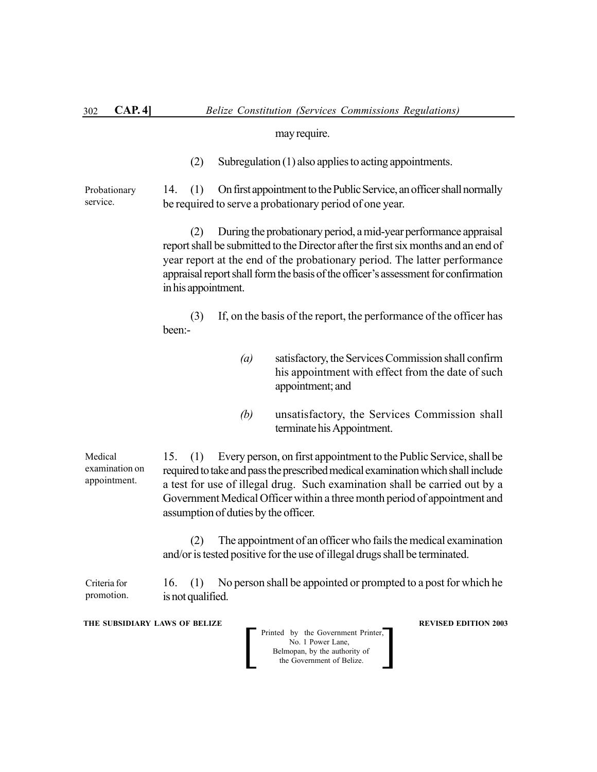#### may require.

(2) Subregulation (1) also applies to acting appointments.

14. (1) On first appointment to the Public Service, an officer shall normally be required to serve a probationary period of one year. Probationary service.

> (2) During the probationary period, a mid-year performance appraisal report shall be submitted to the Director after the first six months and an end of year report at the end of the probationary period. The latter performance appraisal report shall form the basis of the officer's assessment for confirmation in his appointment.

> (3) If, on the basis of the report, the performance of the officer has been:-

- *(a)* satisfactory, the Services Commission shall confirm his appointment with effect from the date of such appointment; and
- *(b)* unsatisfactory, the Services Commission shall terminate his Appointment.

15. (1) Every person, on first appointment to the Public Service, shall be required to take and pass the prescribed medical examination which shall include a test for use of illegal drug. Such examination shall be carried out by a Government Medical Officer within a three month period of appointment and assumption of duties by the officer. Medical examination on appointment.

> (2) The appointment of an officer who fails the medical examination and/or is tested positive for the use of illegal drugs shall be terminated.

16. (1) No person shall be appointed or prompted to a post for which he is not qualified. Criteria for promotion.

**THE SUBSIDIARY LAWS OF BELIZE REVISED EDITION 2003** 

Printed by the Government Printer,<br>
No. 1 Power Lane,<br>
Belmopan, by the authority of<br>
the Government of Belize. No. 1 Power Lane, Belmopan, by the authority of<br>the Government of Belize.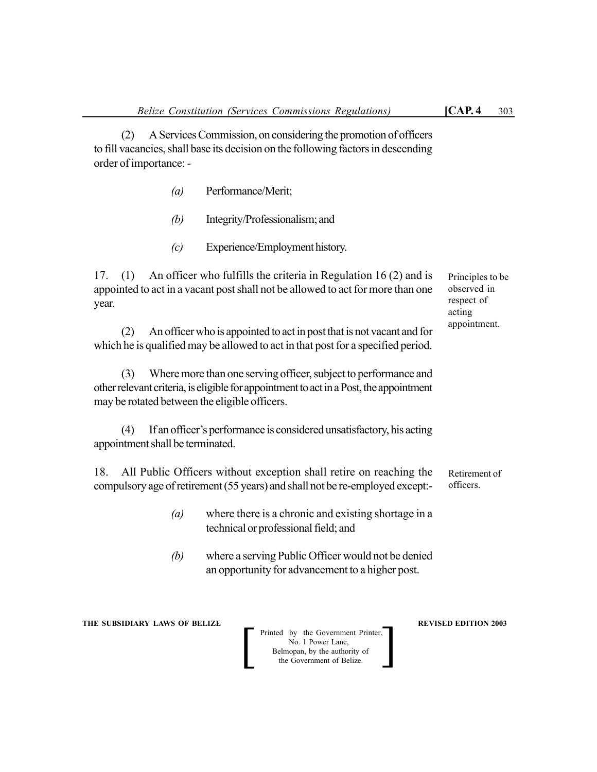Principles to be observed in respect of acting appointment.

(2) A Services Commission, on considering the promotion of officers to fill vacancies, shall base its decision on the following factors in descending order of importance: -

- *(a)* Performance/Merit;
- *(b)* Integrity/Professionalism; and
- *(c)* Experience/Employment history.

17. (1) An officer who fulfills the criteria in Regulation 16 (2) and is appointed to act in a vacant post shall not be allowed to act for more than one year.

(2) An officer who is appointed to act in post that is not vacant and for which he is qualified may be allowed to act in that post for a specified period.

(3) Where more than one serving officer, subject to performance and other relevant criteria, is eligible for appointment to act in a Post, the appointment may be rotated between the eligible officers.

(4) If an officer's performance is considered unsatisfactory, his acting appointment shall be terminated.

18. All Public Officers without exception shall retire on reaching the compulsory age of retirement (55 years) and shall not be re-employed except:- Retirement of officers.

- *(a)* where there is a chronic and existing shortage in a technical or professional field; and
- *(b)* where a serving Public Officer would not be denied an opportunity for advancement to a higher post.

**THE SUBSIDIARY LAWS OF BELIZE REVISED EDITION 2003** 

Printed by the Government Printer, No. 1 Power Lane, Belmopan, by the authority of<br>the Government of Belize. Printed by the Government Printer,<br>
No. 1 Power Lane,<br>
Belmopan, by the authority of<br>
the Government of Belize.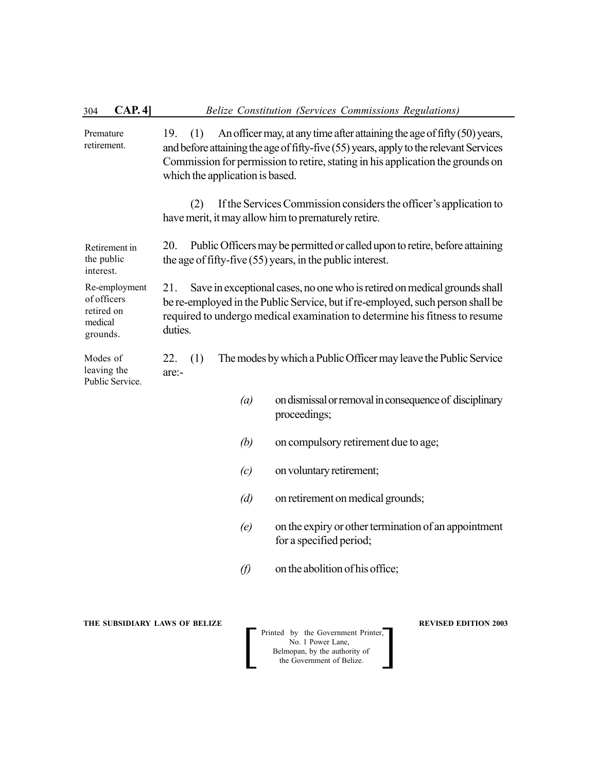| CAP.4<br>304                                                      | Belize Constitution (Services Commissions Regulations)                                                                                                                                                                                                                                               |  |  |
|-------------------------------------------------------------------|------------------------------------------------------------------------------------------------------------------------------------------------------------------------------------------------------------------------------------------------------------------------------------------------------|--|--|
| Premature<br>retirement.                                          | An officer may, at any time after attaining the age of fifty (50) years,<br>19.<br>(1)<br>and before attaining the age of fifty-five (55) years, apply to the relevant Services<br>Commission for permission to retire, stating in his application the grounds on<br>which the application is based. |  |  |
|                                                                   | If the Services Commission considers the officer's application to<br>(2)<br>have merit, it may allow him to prematurely retire.                                                                                                                                                                      |  |  |
| Retirement in<br>the public<br>interest.                          | 20.<br>Public Officers may be permitted or called upon to retire, before attaining<br>the age of fifty-five $(55)$ years, in the public interest.                                                                                                                                                    |  |  |
| Re-employment<br>of officers<br>retired on<br>medical<br>grounds. | 21.<br>Save in exceptional cases, no one who is retired on medical grounds shall<br>be re-employed in the Public Service, but if re-employed, such person shall be<br>required to undergo medical examination to determine his fitness to resume<br>duties.                                          |  |  |
| Modes of<br>leaving the<br>Public Service.                        | 22.<br>The modes by which a Public Officer may leave the Public Service<br>(1)<br>are:-                                                                                                                                                                                                              |  |  |
|                                                                   | on dismissal or removal in consequence of disciplinary<br>$\left(a\right)$<br>proceedings;                                                                                                                                                                                                           |  |  |
|                                                                   | (b)<br>on compulsory retirement due to age;                                                                                                                                                                                                                                                          |  |  |
|                                                                   | on voluntary retirement;<br>(c)                                                                                                                                                                                                                                                                      |  |  |
|                                                                   | (d)<br>on retirement on medical grounds;                                                                                                                                                                                                                                                             |  |  |
|                                                                   | on the expiry or other termination of an appointment<br>(e)<br>for a specified period;                                                                                                                                                                                                               |  |  |
|                                                                   | on the abolition of his office;<br>$\mathcal{D}$                                                                                                                                                                                                                                                     |  |  |
|                                                                   |                                                                                                                                                                                                                                                                                                      |  |  |

**THE SUBSIDIARY LAWS OF BELIZE REVISED EDITION 2003** 

 Printed by the Government Printer, No. 1 Power Lane, Belmopan, by the authority of Printed by the Government Printer,<br>
No. 1 Power Lane,<br>
Belmopan, by the authority of<br>
the Government of Belize.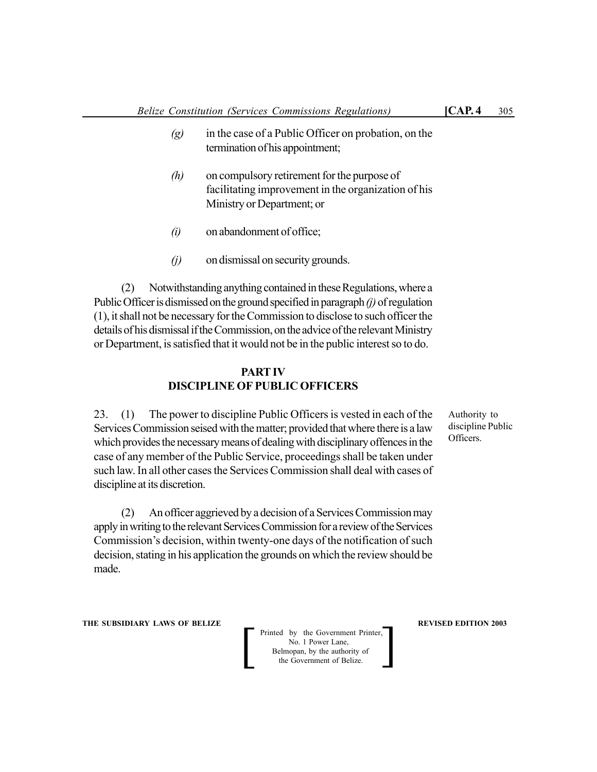- *(g)* in the case of a Public Officer on probation, on the termination of his appointment;
- *(h)* on compulsory retirement for the purpose of facilitating improvement in the organization of his Ministry or Department; or
- *(i)* on abandonment of office;
- *(j)* on dismissal on security grounds.

(2) Notwithstanding anything contained in these Regulations, where a Public Officer is dismissed on the ground specified in paragraph *(j)* of regulation (1), it shall not be necessary for the Commission to disclose to such officer the details of his dismissal if the Commission, on the advice of the relevant Ministry or Department, is satisfied that it would not be in the public interest so to do.

#### **PART IV DISCIPLINE OF PUBLIC OFFICERS**

23. (1) The power to discipline Public Officers is vested in each of the Services Commission seised with the matter; provided that where there is a law which provides the necessary means of dealing with disciplinary offences in the case of any member of the Public Service, proceedings shall be taken under such law. In all other cases the Services Commission shall deal with cases of discipline at its discretion.

Authority to discipline Public Officers.

(2) An officer aggrieved by a decision of a Services Commission may apply in writing to the relevant Services Commission for a review of the Services Commission's decision, within twenty-one days of the notification of such decision, stating in his application the grounds on which the review should be made.

**THE SUBSIDIARY LAWS OF BELIZE REVISED EDITION 2003** 

Printed by the Government Printer, No. 1 Power Lane, Belmopan, by the authority of Printed by the Government Printer,<br>
No. 1 Power Lane,<br>
Belmopan, by the authority of<br>
the Government of Belize.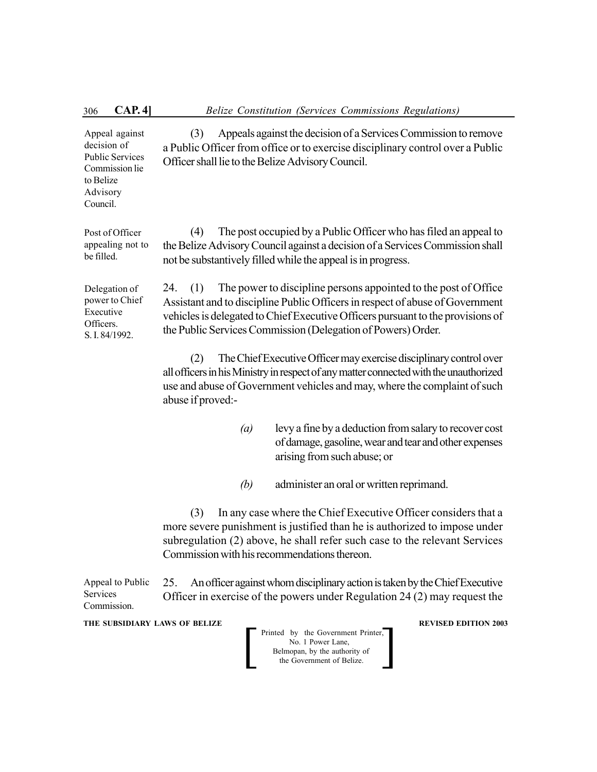| CAP.4]<br>306                                                                                                  | Belize Constitution (Services Commissions Regulations)                                                                                                                                                                                                                                                            |
|----------------------------------------------------------------------------------------------------------------|-------------------------------------------------------------------------------------------------------------------------------------------------------------------------------------------------------------------------------------------------------------------------------------------------------------------|
| Appeal against<br>decision of<br><b>Public Services</b><br>Commission lie<br>to Belize<br>Advisory<br>Council. | Appeals against the decision of a Services Commission to remove<br>(3)<br>a Public Officer from office or to exercise disciplinary control over a Public<br>Officer shall lie to the Belize Advisory Council.                                                                                                     |
| Post of Officer<br>appealing not to<br>be filled.                                                              | The post occupied by a Public Officer who has filed an appeal to<br>(4)<br>the Belize Advisory Council against a decision of a Services Commission shall<br>not be substantively filled while the appeal is in progress.                                                                                          |
| Delegation of<br>power to Chief<br>Executive<br>Officers.<br>S. I. 84/1992.                                    | The power to discipline persons appointed to the post of Office<br>24.<br>(1)<br>Assistant and to discipline Public Officers in respect of abuse of Government<br>vehicles is delegated to Chief Executive Officers pursuant to the provisions of<br>the Public Services Commission (Delegation of Powers) Order. |
|                                                                                                                | The Chief Executive Officer may exercise disciplinary control over<br>(2)<br>all officers in his Ministry in respect of any matter connected with the unauthorized<br>use and abuse of Government vehicles and may, where the complaint of such<br>abuse if proved:-                                              |
|                                                                                                                | levy a fine by a deduction from salary to recover cost<br>$\left(a\right)$<br>of damage, gasoline, wear and tear and other expenses<br>arising from such abuse; or                                                                                                                                                |
|                                                                                                                | (b)<br>administer an oral or written reprimand.                                                                                                                                                                                                                                                                   |
|                                                                                                                | In any case where the Chief Executive Officer considers that a<br>(3)<br>more severe punishment is justified than he is authorized to impose under<br>subregulation (2) above, he shall refer such case to the relevant Services<br>Commission with his recommendations thereon.                                  |
| Appeal to Public<br>Services<br>Commission.                                                                    | An officer against whom disciplinary action is taken by the Chief Executive<br>25.<br>Officer in exercise of the powers under Regulation 24 (2) may request the                                                                                                                                                   |
| THE SUBSIDIARY LAWS OF BELIZE                                                                                  | <b>REVISED EDITION 2003</b><br>Printed by the Government Printer,<br>No. 1 Power Lane,<br>Belmopan, by the authority of<br>the Government of Belize.                                                                                                                                                              |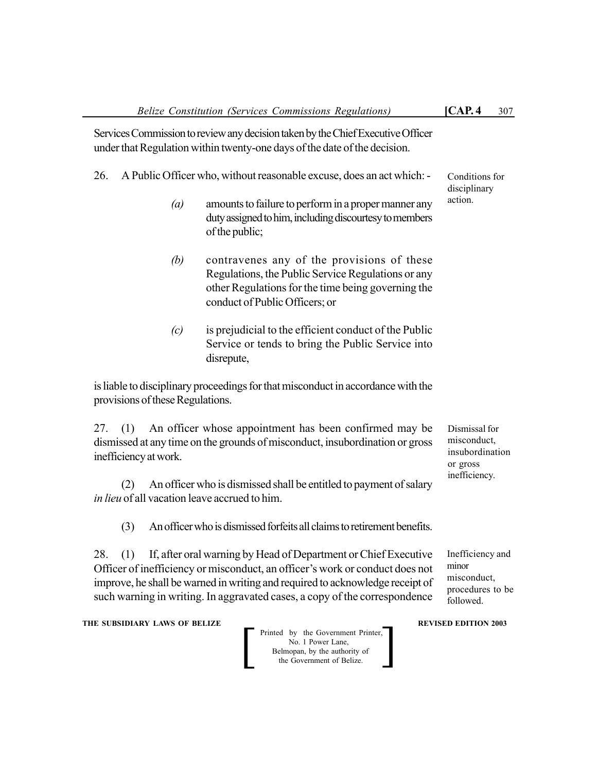Services Commission to review any decision taken by the Chief Executive Officer under that Regulation within twenty-one days of the date of the decision.

- 26. A Public Officer who, without reasonable excuse, does an act which:
	- *(a)* amounts to failure to perform in a proper manner any duty assigned to him, including discourtesy to members of the public;
	- *(b)* contravenes any of the provisions of these Regulations, the Public Service Regulations or any other Regulations for the time being governing the conduct of Public Officers; or
	- *(c)* is prejudicial to the efficient conduct of the Public Service or tends to bring the Public Service into disrepute,

is liable to disciplinary proceedings for that misconduct in accordance with the provisions of these Regulations.

27. (1) An officer whose appointment has been confirmed may be dismissed at any time on the grounds of misconduct, insubordination or gross inefficiency at work.

(2) An officer who is dismissed shall be entitled to payment of salary *in lieu* of all vacation leave accrued to him.

(3) An officer who is dismissed forfeits all claims to retirement benefits.

28. (1) If, after oral warning by Head of Department or Chief Executive Officer of inefficiency or misconduct, an officer's work or conduct does not improve, he shall be warned in writing and required to acknowledge receipt of such warning in writing. In aggravated cases, a copy of the correspondence

**THE SUBSIDIARY LAWS OF BELIZE REVISED EDITION 2003** 

 Printed by the Government Printer, No. 1 Power Lane, Belmopan, by the authority of Printed by the Government Printer,<br>
No. 1 Power Lane,<br>
Belmopan, by the authority of<br>
the Government of Belize. Conditions for disciplinary action.

Dismissal for misconduct, insubordination or gross inefficiency.

Inefficiency and minor misconduct, procedures to be followed.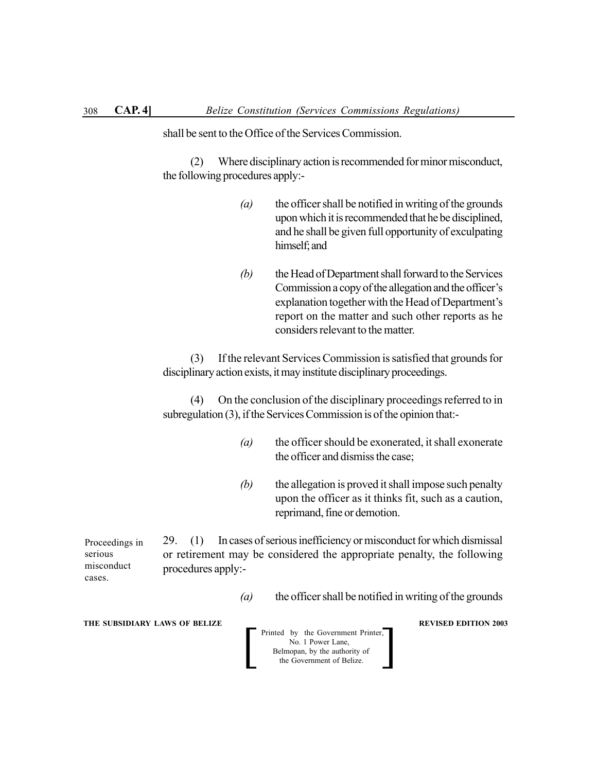shall be sent to the Office of the Services Commission.

(2) Where disciplinary action is recommended for minor misconduct, the following procedures apply:-

- *(a)* the officer shall be notified in writing of the grounds upon which it is recommended that he be disciplined, and he shall be given full opportunity of exculpating himself; and
- *(b)* the Head of Department shall forward to the Services Commission a copy of the allegation and the officer's explanation together with the Head of Department's report on the matter and such other reports as he considers relevant to the matter.

(3) If the relevant Services Commission is satisfied that grounds for disciplinary action exists, it may institute disciplinary proceedings.

(4) On the conclusion of the disciplinary proceedings referred to in subregulation (3), if the Services Commission is of the opinion that:-

- *(a)* the officer should be exonerated, it shall exonerate the officer and dismiss the case;
- *(b)* the allegation is proved it shall impose such penalty upon the officer as it thinks fit, such as a caution, reprimand, fine or demotion.

29. (1) In cases of serious inefficiency or misconduct for which dismissal or retirement may be considered the appropriate penalty, the following procedures apply:- Proceedings in serious misconduct cases.

*(a)* the officer shall be notified in writing of the grounds

**THE SUBSIDIARY LAWS OF BELIZE REVISED EDITION 2003** 

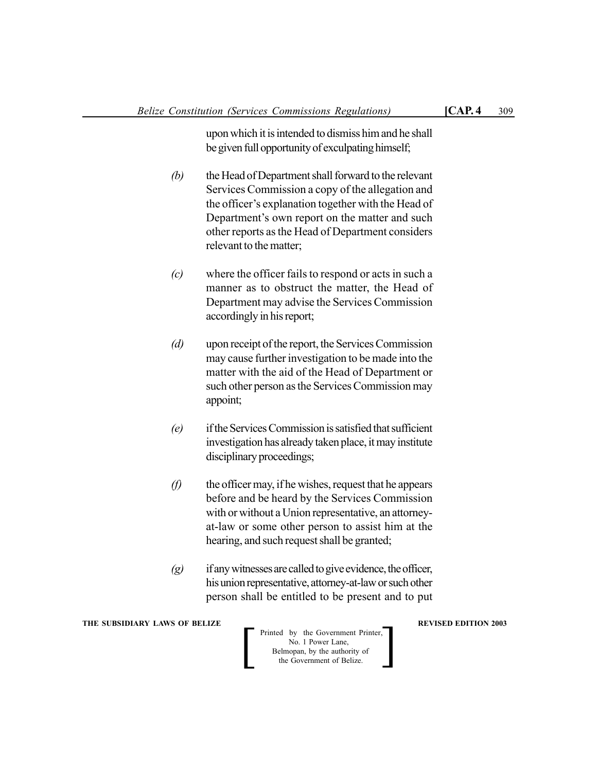upon which it is intended to dismiss him and he shall be given full opportunity of exculpating himself;

- *(b)* the Head of Department shall forward to the relevant Services Commission a copy of the allegation and the officer's explanation together with the Head of Department's own report on the matter and such other reports as the Head of Department considers relevant to the matter;
- *(c)* where the officer fails to respond or acts in such a manner as to obstruct the matter, the Head of Department may advise the Services Commission accordingly in his report;
- *(d)* upon receipt of the report, the Services Commission may cause further investigation to be made into the matter with the aid of the Head of Department or such other person as the Services Commission may appoint;
- *(e)* if the Services Commission is satisfied that sufficient investigation has already taken place, it may institute disciplinary proceedings;
- *(f)* the officer may, if he wishes, request that he appears before and be heard by the Services Commission with or without a Union representative, an attorneyat-law or some other person to assist him at the hearing, and such request shall be granted;
- *(g)* if any witnesses are called to give evidence, the officer, his union representative, attorney-at-law or such other person shall be entitled to be present and to put

**THE SUBSIDIARY LAWS OF BELIZE REVISED EDITION 2003** 

 Printed by the Government Printer, No. 1 Power Lane, Belmopan, by the authority of Printed by the Government Printer,<br>
No. 1 Power Lane,<br>
Belmopan, by the authority of<br>
the Government of Belize.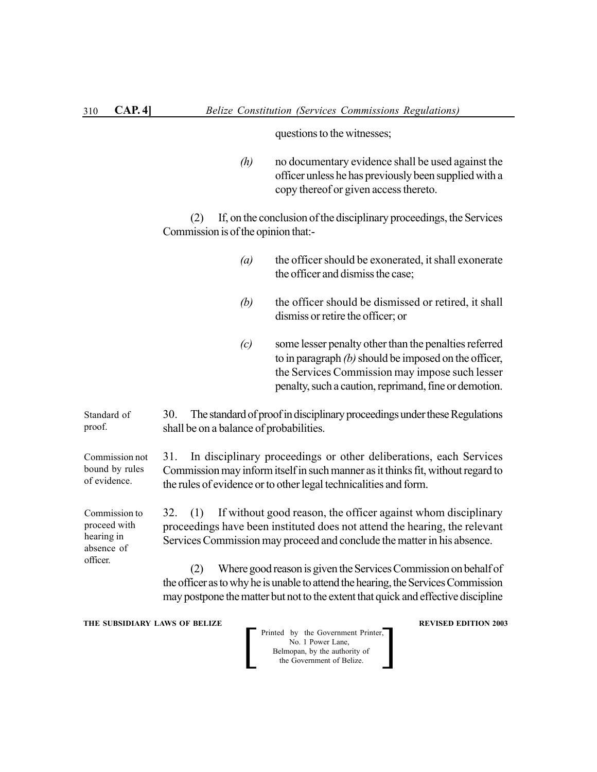questions to the witnesses;

*(h)* no documentary evidence shall be used against the officer unless he has previously been supplied with a copy thereof or given access thereto.

(2) If, on the conclusion of the disciplinary proceedings, the Services Commission is of the opinion that:-

- *(a)* the officer should be exonerated, it shall exonerate the officer and dismiss the case;
- *(b)* the officer should be dismissed or retired, it shall dismiss or retire the officer; or
- *(c)* some lesser penalty other than the penalties referred to in paragraph *(b)* should be imposed on the officer, the Services Commission may impose such lesser penalty, such a caution, reprimand, fine or demotion.

30. The standard of proof in disciplinary proceedings under these Regulations shall be on a balance of probabilities. Standard of proof.

Commission not bound by rules of evidence.

Commission to proceed with hearing in absence of officer.

31. In disciplinary proceedings or other deliberations, each Services Commission may inform itself in such manner as it thinks fit, without regard to the rules of evidence or to other legal technicalities and form.

32. (1) If without good reason, the officer against whom disciplinary proceedings have been instituted does not attend the hearing, the relevant Services Commission may proceed and conclude the matter in his absence.

(2) Where good reason is given the Services Commission on behalf of the officer as to why he is unable to attend the hearing, the Services Commission may postpone the matter but not to the extent that quick and effective discipline

**THE SUBSIDIARY LAWS OF BELIZE REVISED EDITION 2003** 

Printed by the Government Printer,<br>
No. 1 Power Lane,<br>
Belmopan, by the authority of<br>
the Government of Belize. No. 1 Power Lane, Belmopan, by the authority of<br>the Government of Belize.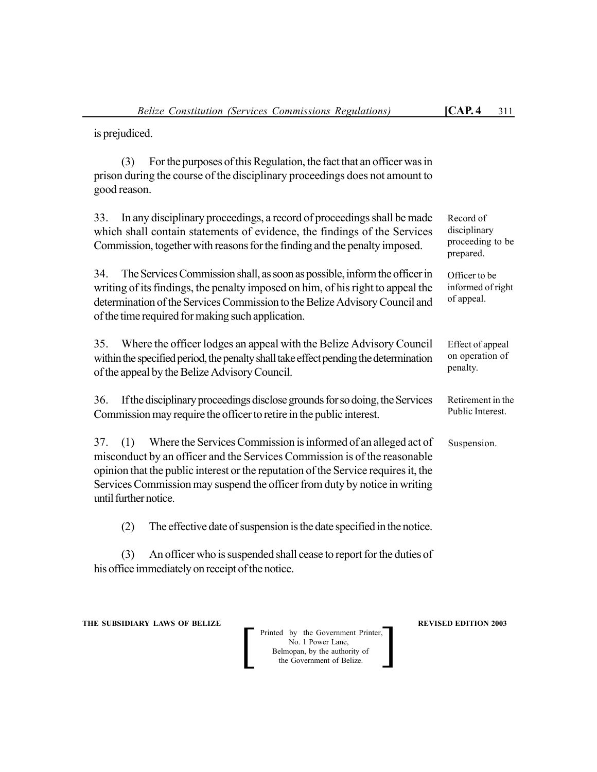is prejudiced.

(3) For the purposes of this Regulation, the fact that an officer was in prison during the course of the disciplinary proceedings does not amount to good reason.

33. In any disciplinary proceedings, a record of proceedings shall be made which shall contain statements of evidence, the findings of the Services Commission, together with reasons for the finding and the penalty imposed.

34. The Services Commission shall, as soon as possible, inform the officer in writing of its findings, the penalty imposed on him, of his right to appeal the determination of the Services Commission to the Belize Advisory Council and of the time required for making such application.

35. Where the officer lodges an appeal with the Belize Advisory Council within the specified period, the penalty shall take effect pending the determination of the appeal by the Belize Advisory Council.

36. If the disciplinary proceedings disclose grounds for so doing, the Services Commission may require the officer to retire in the public interest.

37. (1) Where the Services Commission is informed of an alleged act of misconduct by an officer and the Services Commission is of the reasonable opinion that the public interest or the reputation of the Service requires it, the Services Commission may suspend the officer from duty by notice in writing until further notice.

(2) The effective date of suspension is the date specified in the notice.

(3) An officer who is suspended shall cease to report for the duties of his office immediately on receipt of the notice.

**THE SUBSIDIARY LAWS OF BELIZE REVISED EDITION 2003** 

Printed by the Government Printer, No. 1 Power Lane, Belmopan, by the authority of<br>the Government of Belize. Printed by the Government Printer,<br>
No. 1 Power Lane,<br>
Belmopan, by the authority of<br>
the Government of Belize. Record of disciplinary proceeding to be prepared.

Officer to be informed of right of appeal.

Effect of appeal on operation of penalty.

Retirement in the Public Interest.

Suspension.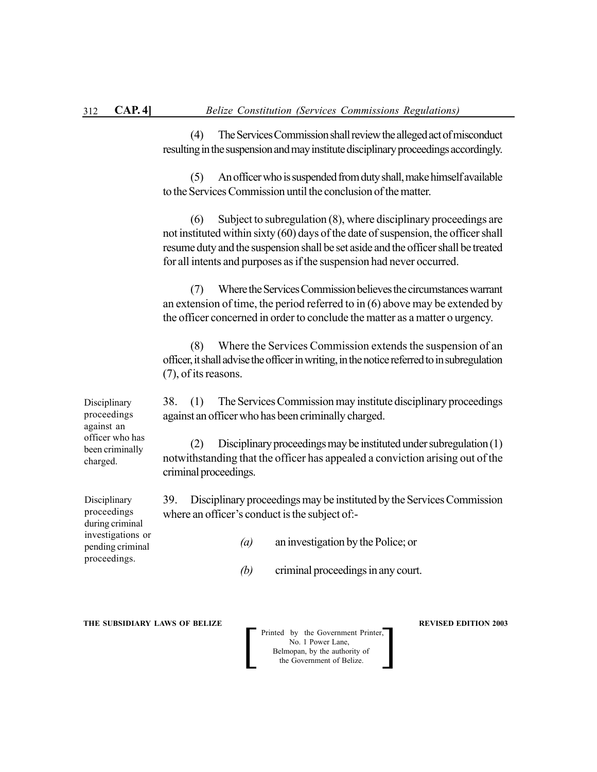(4) The Services Commission shall review the alleged act of misconduct resulting in the suspension and may institute disciplinary proceedings accordingly.

(5) An officer who is suspended from duty shall, make himself available to the Services Commission until the conclusion of the matter.

(6) Subject to subregulation (8), where disciplinary proceedings are not instituted within sixty (60) days of the date of suspension, the officer shall resume duty and the suspension shall be set aside and the officer shall be treated for all intents and purposes as if the suspension had never occurred.

(7) Where the Services Commission believes the circumstances warrant an extension of time, the period referred to in (6) above may be extended by the officer concerned in order to conclude the matter as a matter o urgency.

(8) Where the Services Commission extends the suspension of an officer, it shall advise the officer in writing, in the notice referred to in subregulation (7), of its reasons.

38. (1) The Services Commission may institute disciplinary proceedings against an officer who has been criminally charged.

(2) Disciplinary proceedings may be instituted under subregulation (1) notwithstanding that the officer has appealed a conviction arising out of the criminal proceedings.

39. Disciplinary proceedings may be instituted by the Services Commission where an officer's conduct is the subject of:-

- *(a)* an investigation by the Police; or
- *(b)* criminal proceedings in any court.

**THE SUBSIDIARY LAWS OF BELIZE REVISED EDITION 2003** 

Printed by the Government Printer,<br>
No. 1 Power Lane,<br>
Belmopan, by the authority of<br>
the Government of Belize. No. 1 Power Lane, Belmopan, by the authority of

Disciplinary proceedings against an officer who has been criminally charged.

**Disciplinary** proceedings during criminal investigations or pending criminal proceedings.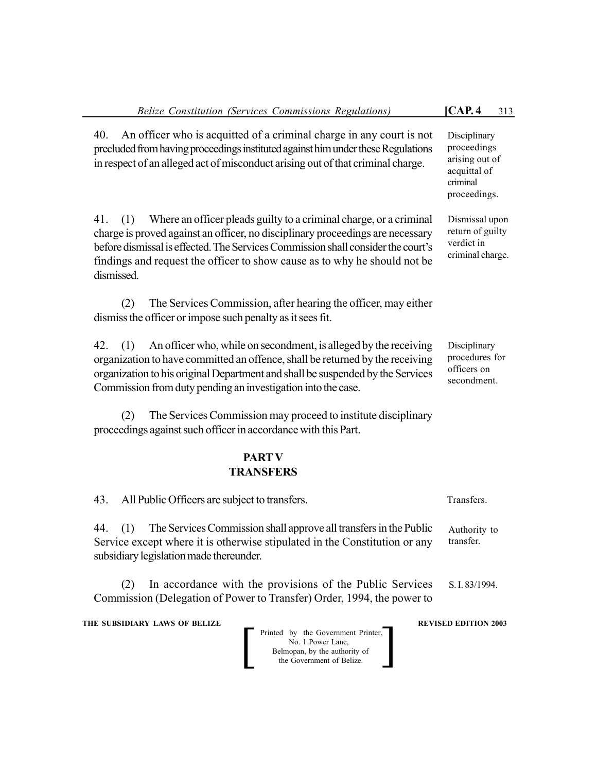| Belize Constitution (Services Commissions Regulations)                                                                                                                                                                                                                                                                                            | [CAP.4]<br>313                                                                            |  |  |  |
|---------------------------------------------------------------------------------------------------------------------------------------------------------------------------------------------------------------------------------------------------------------------------------------------------------------------------------------------------|-------------------------------------------------------------------------------------------|--|--|--|
| An officer who is acquitted of a criminal charge in any court is not<br>40.<br>precluded from having proceedings instituted against him under these Regulations<br>in respect of an alleged act of misconduct arising out of that criminal charge.                                                                                                | Disciplinary<br>proceedings<br>arising out of<br>acquittal of<br>criminal<br>proceedings. |  |  |  |
| Where an officer pleads guilty to a criminal charge, or a criminal<br>41.<br>(1)<br>charge is proved against an officer, no disciplinary proceedings are necessary<br>before dismissal is effected. The Services Commission shall consider the court's<br>findings and request the officer to show cause as to why he should not be<br>dismissed. | Dismissal upon<br>return of guilty<br>verdict in<br>criminal charge.                      |  |  |  |
| The Services Commission, after hearing the officer, may either<br>(2)<br>dismiss the officer or impose such penalty as it sees fit.                                                                                                                                                                                                               |                                                                                           |  |  |  |
| An officer who, while on secondment, is alleged by the receiving<br>42.<br>(1)<br>organization to have committed an offence, shall be returned by the receiving<br>organization to his original Department and shall be suspended by the Services<br>Commission from duty pending an investigation into the case.                                 | Disciplinary<br>procedures for<br>officers on<br>secondment.                              |  |  |  |
| The Services Commission may proceed to institute disciplinary<br>(2)<br>proceedings against such officer in accordance with this Part.                                                                                                                                                                                                            |                                                                                           |  |  |  |
| <b>PART V</b><br><b>TRANSFERS</b>                                                                                                                                                                                                                                                                                                                 |                                                                                           |  |  |  |
| All Public Officers are subject to transfers.<br>43.                                                                                                                                                                                                                                                                                              | Transfers.                                                                                |  |  |  |
| The Services Commission shall approve all transfers in the Public<br>44.<br>(1)<br>Service except where it is otherwise stipulated in the Constitution or any<br>subsidiary legislation made thereunder.                                                                                                                                          | Authority to<br>transfer.                                                                 |  |  |  |
| In accordance with the provisions of the Public Services<br>(2)<br>Commission (Delegation of Power to Transfer) Order, 1994, the power to                                                                                                                                                                                                         | S. I. 83/1994.                                                                            |  |  |  |
| THE SUBSIDIARY LAWS OF BELIZE<br>Printed by the Government Printer,<br>No. 1 Power Lane,<br>Belmopan, by the authority of<br>the Government of Belize.                                                                                                                                                                                            | <b>REVISED EDITION 2003</b>                                                               |  |  |  |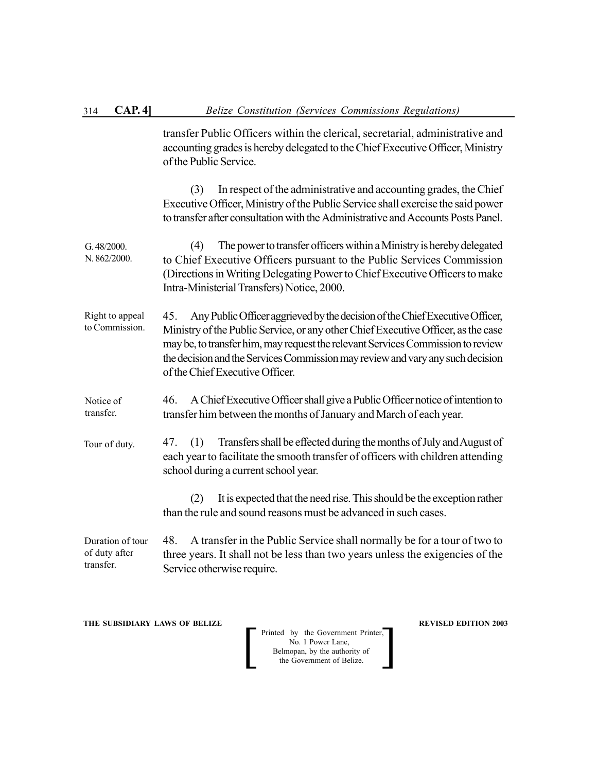transfer Public Officers within the clerical, secretarial, administrative and accounting grades is hereby delegated to the Chief Executive Officer, Ministry of the Public Service.

(3) In respect of the administrative and accounting grades, the Chief Executive Officer, Ministry of the Public Service shall exercise the said power to transfer after consultation with the Administrative and Accounts Posts Panel.

- (4) The power to transfer officers within a Ministry is hereby delegated to Chief Executive Officers pursuant to the Public Services Commission (Directions in Writing Delegating Power to Chief Executive Officers to make Intra-Ministerial Transfers) Notice, 2000. G. 48/2000. N. 862/2000.
- 45. Any Public Officer aggrieved by the decision of the Chief Executive Officer, Ministry of the Public Service, or any other Chief Executive Officer, as the case may be, to transfer him, may request the relevant Services Commission to review the decision and the Services Commission may review and vary any such decision of the Chief Executive Officer. Right to appeal to Commission.
- 46. A Chief Executive Officer shall give a Public Officer notice of intention to transfer him between the months of January and March of each year. Notice of transfer.
- 47. (1) Transfers shall be effected during the months of July and August of each year to facilitate the smooth transfer of officers with children attending school during a current school year. Tour of duty.

(2) It is expected that the need rise. This should be the exception rather than the rule and sound reasons must be advanced in such cases.

48. A transfer in the Public Service shall normally be for a tour of two to three years. It shall not be less than two years unless the exigencies of the Service otherwise require. Duration of tour of duty after transfer.

**THE SUBSIDIARY LAWS OF BELIZE REVISED EDITION 2003** 

Printed by the Government Printer,<br>
No. 1 Power Lane,<br>
Belmopan, by the authority of<br>
the Government of Belize. No. 1 Power Lane, Belmopan, by the authority of<br>the Government of Belize.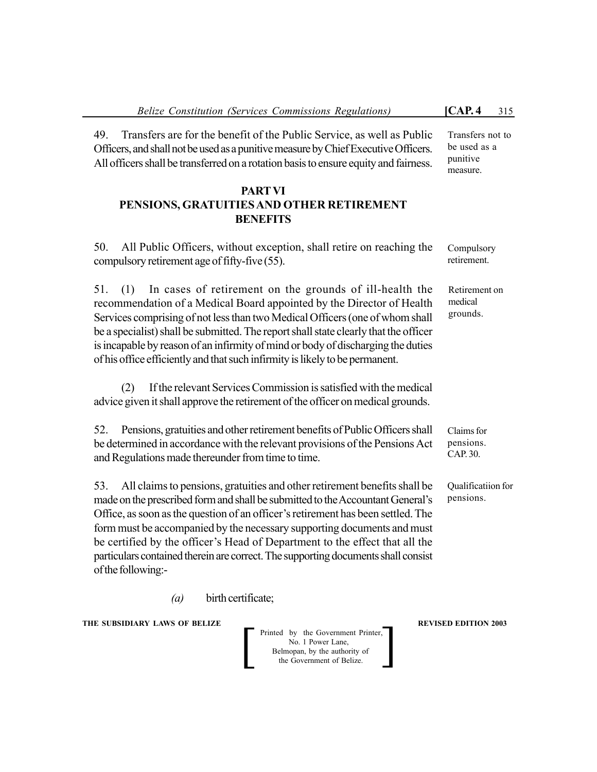49. Transfers are for the benefit of the Public Service, as well as Public Officers, and shall not be used as a punitive measure by Chief Executive Officers. All officers shall be transferred on a rotation basis to ensure equity and fairness.

# **PARTVI PENSIONS, GRATUITIES AND OTHER RETIREMENT BENEFITS**

50. All Public Officers, without exception, shall retire on reaching the compulsory retirement age of fifty-five (55).

51. (1) In cases of retirement on the grounds of ill-health the recommendation of a Medical Board appointed by the Director of Health Services comprising of not less than two Medical Officers (one of whom shall be a specialist) shall be submitted. The report shall state clearly that the officer is incapable by reason of an infirmity of mind or body of discharging the duties of his office efficiently and that such infirmity is likely to be permanent.

(2) If the relevant Services Commission is satisfied with the medical advice given it shall approve the retirement of the officer on medical grounds.

52. Pensions, gratuities and other retirement benefits of Public Officers shall be determined in accordance with the relevant provisions of the Pensions Act and Regulations made thereunder from time to time.

Transfers not to be used as a punitive measure.

Compulsory retirement.

Retirement on medical grounds.

Claims for pensions. CAP. 30.

Qualificatiion for pensions.

53. All claims to pensions, gratuities and other retirement benefits shall be made on the prescribed form and shall be submitted to the Accountant General's Office, as soon as the question of an officer's retirement has been settled. The form must be accompanied by the necessary supporting documents and must be certified by the officer's Head of Department to the effect that all the particulars contained therein are correct. The supporting documents shall consist of the following:-

*(a)* birth certificate;

**THE SUBSIDIARY LAWS OF BELIZE REVISED EDITION 2003** 

Printed by the Government Printer, No. 1 Power Lane, Belmopan, by the authority of Printed by the Government Printer,<br>
No. 1 Power Lane,<br>
Belmopan, by the authority of<br>
the Government of Belize.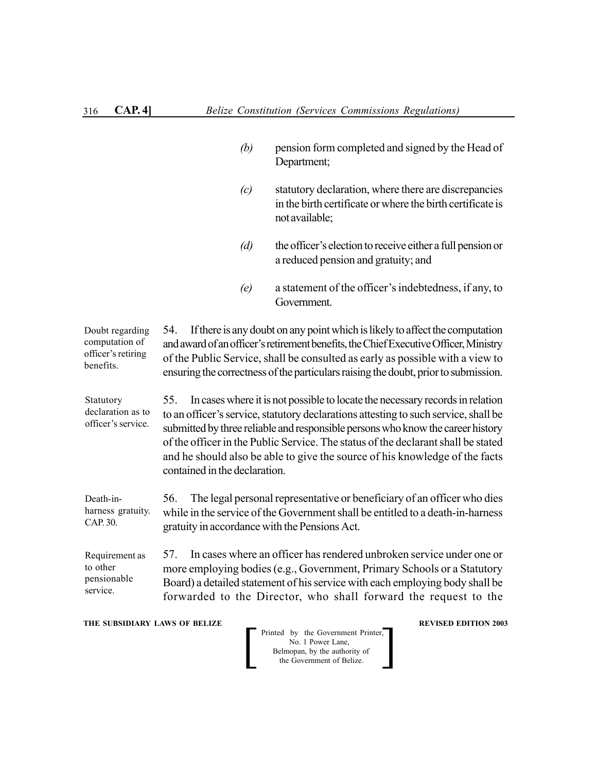*(b)* pension form completed and signed by the Head of Department; *(c)* statutory declaration, where there are discrepancies in the birth certificate or where the birth certificate is not available; *(d)* the officer's election to receive either a full pension or a reduced pension and gratuity; and *(e)* a statement of the officer's indebtedness, if any, to Government. 54. If there is any doubt on any point which is likely to affect the computation and award of an officer's retirement benefits, the Chief Executive Officer, Ministry of the Public Service, shall be consulted as early as possible with a view to ensuring the correctness of the particulars raising the doubt, prior to submission. 55. In cases where it is not possible to locate the necessary records in relation to an officer's service, statutory declarations attesting to such service, shall be submitted by three reliable and responsible persons who know the career history of the officer in the Public Service. The status of the declarant shall be stated and he should also be able to give the source of his knowledge of the facts contained in the declaration. 56. The legal personal representative or beneficiary of an officer who dies while in the service of the Government shall be entitled to a death-in-harness gratuity in accordance with the Pensions Act. 57. In cases where an officer has rendered unbroken service under one or more employing bodies (e.g., Government, Primary Schools or a Statutory Board) a detailed statement of his service with each employing body shall be forwarded to the Director, who shall forward the request to the Doubt regarding computation of officer's retiring benefits. Statutory declaration as to officer's service. Death-inharness gratuity. CAP. 30. Requirement as to other pensionable service.

**THE SUBSIDIARY LAWS OF BELIZE REVISED EDITION 2003** 

Printed by the Government Printer,<br>
No. 1 Power Lane,<br>
Belmopan, by the authority of<br>
the Government of Belize. No. 1 Power Lane, Belmopan, by the authority of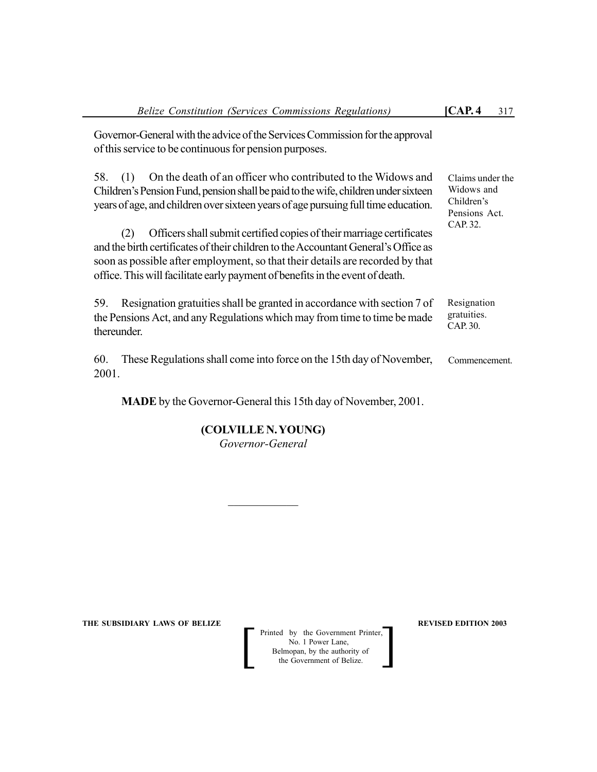Claims under the Widows and Children's Pensions Act. CAP. 32.

Governor-General with the advice of the Services Commission for the approval of this service to be continuous for pension purposes.

58. (1) On the death of an officer who contributed to the Widows and Children's Pension Fund, pension shall be paid to the wife, children under sixteen years of age, and children over sixteen years of age pursuing full time education.

(2) Officers shall submit certified copies of their marriage certificates and the birth certificates of their children to the Accountant General's Office as soon as possible after employment, so that their details are recorded by that office. This will facilitate early payment of benefits in the event of death.

59. Resignation gratuities shall be granted in accordance with section 7 of the Pensions Act, and any Regulations which may from time to time be made thereunder. Resignation gratuities. CAP. 30.

60. These Regulations shall come into force on the 15th day of November, 2001. Commencement.

**MADE** by the Governor-General this 15th day of November, 2001.

**(COLVILLE N. YOUNG)** *Governor-General*

 $\mathcal{L}_\text{max}$ 

**THE SUBSIDIARY LAWS OF BELIZE REVISED EDITION 2003** 

Printed by the Government Printer, No. 1 Power Lane, Belmopan, by the authority of<br>the Government of Belize. Printed by the Government Printer,<br>
No. 1 Power Lane,<br>
Belmopan, by the authority of<br>
the Government of Belize.